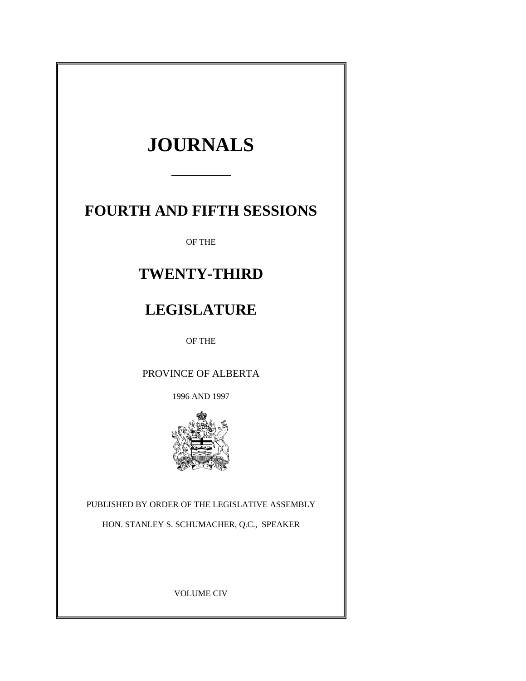# **JOURNALS**

## **FOURTH AND FIFTH SESSIONS**

OF THE

## **TWENTY-THIRD**

## **LEGISLATURE**

OF THE

PROVINCE OF ALBERTA

1996 AND 1997



PUBLISHED BY ORDER OF THE LEGISLATIVE ASSEMBLY

HON. STANLEY S. SCHUMACHER, Q.C., SPEAKER

VOLUME CIV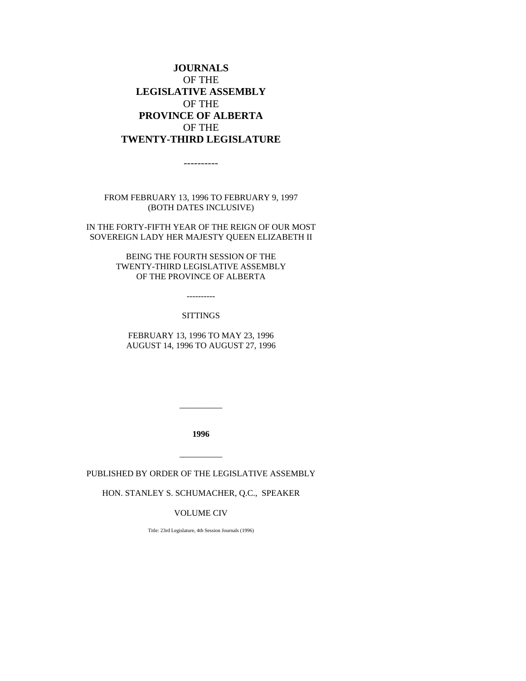## **JOURNALS** OF THE **LEGISLATIVE ASSEMBLY** OF THE **PROVINCE OF ALBERTA** OF THE **TWENTY-THIRD LEGISLATURE**

----------

FROM FEBRUARY 13, 1996 TO FEBRUARY 9, 1997 (BOTH DATES INCLUSIVE)

IN THE FORTY-FIFTH YEAR OF THE REIGN OF OUR MOST SOVEREIGN LADY HER MAJESTY QUEEN ELIZABETH II

> BEING THE FOURTH SESSION OF THE TWENTY-THIRD LEGISLATIVE ASSEMBLY OF THE PROVINCE OF ALBERTA

> > ----------

#### SITTINGS

FEBRUARY 13, 1996 TO MAY 23, 1996 AUGUST 14, 1996 TO AUGUST 27, 1996

**1996**

\_\_\_\_\_\_\_\_\_\_

PUBLISHED BY ORDER OF THE LEGISLATIVE ASSEMBLY

\_\_\_\_\_\_\_\_\_\_

HON. STANLEY S. SCHUMACHER, Q.C., SPEAKER

#### VOLUME CIV

Title: 23rd Legislature, 4th Session Journals (1996)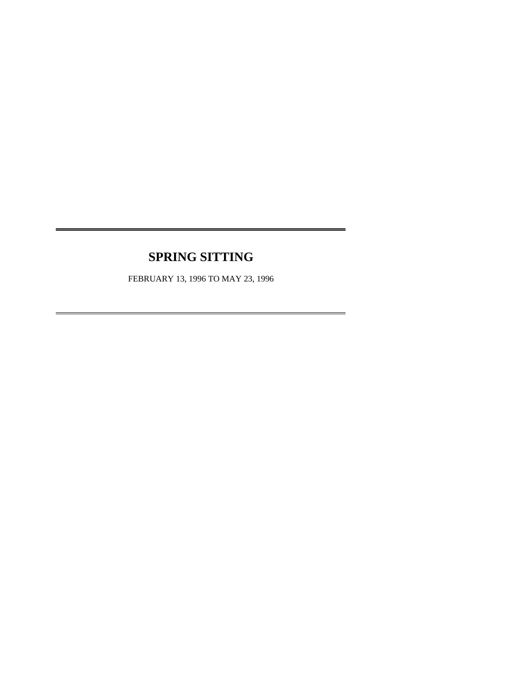## **SPRING SITTING**

 $\overline{a}$ 

 $\overline{a}$ 

FEBRUARY 13, 1996 TO MAY 23, 1996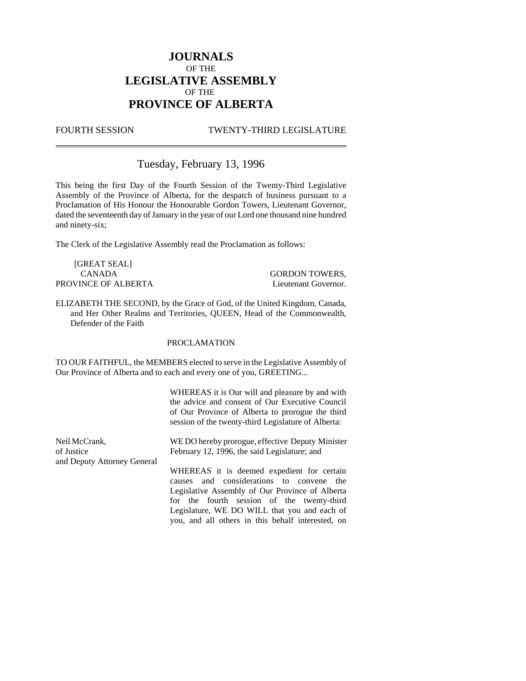## **JOURNALS** OF THE **LEGISLATIVE ASSEMBLY** OF THE **PROVINCE OF ALBERTA**

 $\overline{a}$ 

#### FOURTH SESSION TWENTY-THIRD LEGISLATURE

## Tuesday, February 13, 1996

This being the first Day of the Fourth Session of the Twenty-Third Legislative Assembly of the Province of Alberta, for the despatch of business pursuant to a Proclamation of His Honour the Honourable Gordon Towers, Lieutenant Governor, dated the seventeenth day of January in the year of our Lord one thousand nine hundred and ninety-six;

The Clerk of the Legislative Assembly read the Proclamation as follows:

[GREAT SEAL] CANADA GORDON TOWERS, PROVINCE OF ALBERTA Lieutenant Governor.

ELIZABETH THE SECOND, by the Grace of God, of the United Kingdom, Canada, and Her Other Realms and Territories, QUEEN, Head of the Commonwealth, Defender of the Faith

#### PROCLAMATION

TO OUR FAITHFUL, the MEMBERS elected to serve in the Legislative Assembly of Our Province of Alberta and to each and every one of you, GREETING...

> WHEREAS it is Our will and pleasure by and with the advice and consent of Our Executive Council of Our Province of Alberta to prorogue the third session of the twenty-third Legislature of Alberta:

> you, and all others in this behalf interested, on

| Neil McCrank,               | WE DO hereby prorogue, effective Deputy Minister |  |  |
|-----------------------------|--------------------------------------------------|--|--|
| of Justice                  | February 12, 1996, the said Legislature; and     |  |  |
| and Deputy Attorney General |                                                  |  |  |
|                             | WHEREAS it is deemed expedient for certain       |  |  |
|                             | causes and considerations to convene the         |  |  |
|                             | Legislative Assembly of Our Province of Alberta  |  |  |
|                             | for the fourth session of the twenty-third       |  |  |
|                             | Legislature, WE DO WILL that you and each of     |  |  |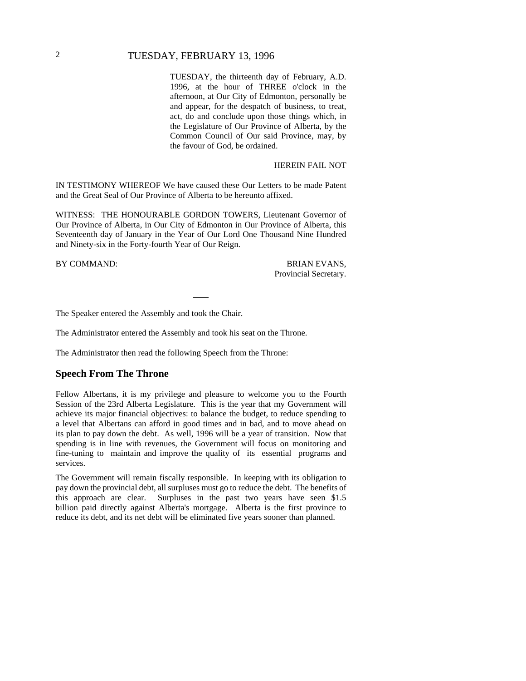## 2 TUESDAY, FEBRUARY 13, 1996

TUESDAY, the thirteenth day of February, A.D. 1996, at the hour of THREE o'clock in the afternoon, at Our City of Edmonton, personally be and appear, for the despatch of business, to treat, act, do and conclude upon those things which, in the Legislature of Our Province of Alberta, by the Common Council of Our said Province, may, by the favour of God, be ordained.

#### HEREIN FAIL NOT

IN TESTIMONY WHEREOF We have caused these Our Letters to be made Patent and the Great Seal of Our Province of Alberta to be hereunto affixed.

WITNESS: THE HONOURABLE GORDON TOWERS, Lieutenant Governor of Our Province of Alberta, in Our City of Edmonton in Our Province of Alberta, this Seventeenth day of January in the Year of Our Lord One Thousand Nine Hundred and Ninety-six in the Forty-fourth Year of Our Reign.

BY COMMAND: BRIAN EVANS, Provincial Secretary.

The Speaker entered the Assembly and took the Chair.

The Administrator entered the Assembly and took his seat on the Throne.

The Administrator then read the following Speech from the Throne:

#### **Speech From The Throne**

Fellow Albertans, it is my privilege and pleasure to welcome you to the Fourth Session of the 23rd Alberta Legislature. This is the year that my Government will achieve its major financial objectives: to balance the budget, to reduce spending to a level that Albertans can afford in good times and in bad, and to move ahead on its plan to pay down the debt. As well, 1996 will be a year of transition. Now that spending is in line with revenues, the Government will focus on monitoring and fine-tuning to maintain and improve the quality of its essential programs and services.

The Government will remain fiscally responsible. In keeping with its obligation to pay down the provincial debt, all surpluses must go to reduce the debt. The benefits of this approach are clear. Surpluses in the past two years have seen \$1.5 billion paid directly against Alberta's mortgage. Alberta is the first province to reduce its debt, and its net debt will be eliminated five years sooner than planned.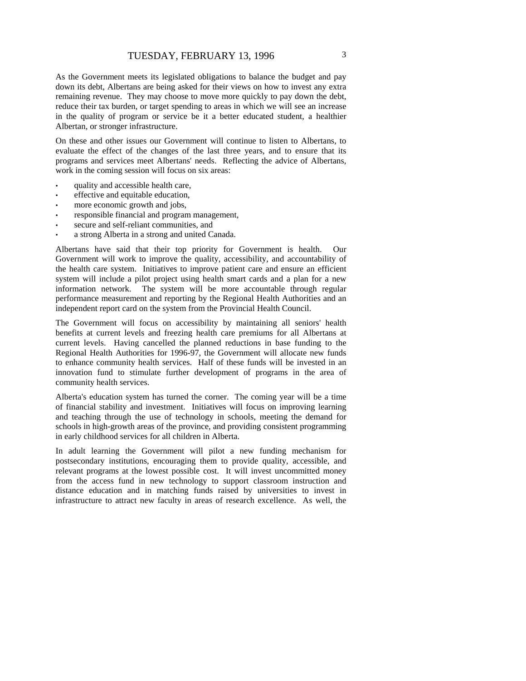As the Government meets its legislated obligations to balance the budget and pay down its debt, Albertans are being asked for their views on how to invest any extra remaining revenue. They may choose to move more quickly to pay down the debt, reduce their tax burden, or target spending to areas in which we will see an increase in the quality of program or service be it a better educated student, a healthier Albertan, or stronger infrastructure.

On these and other issues our Government will continue to listen to Albertans, to evaluate the effect of the changes of the last three years, and to ensure that its programs and services meet Albertans' needs. Reflecting the advice of Albertans, work in the coming session will focus on six areas:

- quality and accessible health care,
- effective and equitable education,
- more economic growth and jobs,
- responsible financial and program management,
- secure and self-reliant communities, and
- a strong Alberta in a strong and united Canada.

Albertans have said that their top priority for Government is health. Our Government will work to improve the quality, accessibility, and accountability of the health care system. Initiatives to improve patient care and ensure an efficient system will include a pilot project using health smart cards and a plan for a new information network. The system will be more accountable through regular performance measurement and reporting by the Regional Health Authorities and an independent report card on the system from the Provincial Health Council.

The Government will focus on accessibility by maintaining all seniors' health benefits at current levels and freezing health care premiums for all Albertans at current levels. Having cancelled the planned reductions in base funding to the Regional Health Authorities for 1996-97, the Government will allocate new funds to enhance community health services. Half of these funds will be invested in an innovation fund to stimulate further development of programs in the area of community health services.

Alberta's education system has turned the corner. The coming year will be a time of financial stability and investment. Initiatives will focus on improving learning and teaching through the use of technology in schools, meeting the demand for schools in high-growth areas of the province, and providing consistent programming in early childhood services for all children in Alberta.

In adult learning the Government will pilot a new funding mechanism for postsecondary institutions, encouraging them to provide quality, accessible, and relevant programs at the lowest possible cost. It will invest uncommitted money from the access fund in new technology to support classroom instruction and distance education and in matching funds raised by universities to invest in infrastructure to attract new faculty in areas of research excellence. As well, the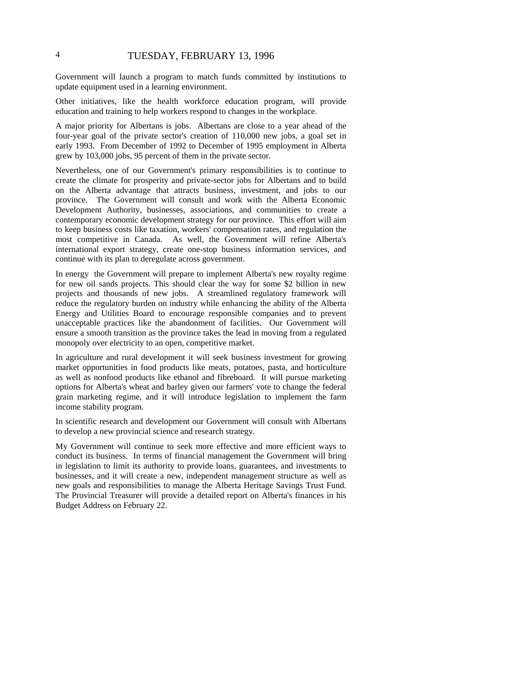## 4 TUESDAY, FEBRUARY 13, 1996

Government will launch a program to match funds committed by institutions to update equipment used in a learning environment.

Other initiatives, like the health workforce education program, will provide education and training to help workers respond to changes in the workplace.

A major priority for Albertans is jobs. Albertans are close to a year ahead of the four-year goal of the private sector's creation of 110,000 new jobs, a goal set in early 1993. From December of 1992 to December of 1995 employment in Alberta grew by 103,000 jobs, 95 percent of them in the private sector.

Nevertheless, one of our Government's primary responsibilities is to continue to create the climate for prosperity and private-sector jobs for Albertans and to build on the Alberta advantage that attracts business, investment, and jobs to our province. The Government will consult and work with the Alberta Economic Development Authority, businesses, associations, and communities to create a contemporary economic development strategy for our province. This effort will aim to keep business costs like taxation, workers' compensation rates, and regulation the most competitive in Canada. As well, the Government will refine Alberta's international export strategy, create one-stop business information services, and continue with its plan to deregulate across government.

In energy the Government will prepare to implement Alberta's new royalty regime for new oil sands projects. This should clear the way for some \$2 billion in new projects and thousands of new jobs. A streamlined regulatory framework will reduce the regulatory burden on industry while enhancing the ability of the Alberta Energy and Utilities Board to encourage responsible companies and to prevent unacceptable practices like the abandonment of facilities. Our Government will ensure a smooth transition as the province takes the lead in moving from a regulated monopoly over electricity to an open, competitive market.

In agriculture and rural development it will seek business investment for growing market opportunities in food products like meats, potatoes, pasta, and horticulture as well as nonfood products like ethanol and fibreboard. It will pursue marketing options for Alberta's wheat and barley given our farmers' vote to change the federal grain marketing regime, and it will introduce legislation to implement the farm income stability program.

In scientific research and development our Government will consult with Albertans to develop a new provincial science and research strategy.

My Government will continue to seek more effective and more efficient ways to conduct its business. In terms of financial management the Government will bring in legislation to limit its authority to provide loans, guarantees, and investments to businesses, and it will create a new, independent management structure as well as new goals and responsibilities to manage the Alberta Heritage Savings Trust Fund. The Provincial Treasurer will provide a detailed report on Alberta's finances in his Budget Address on February 22.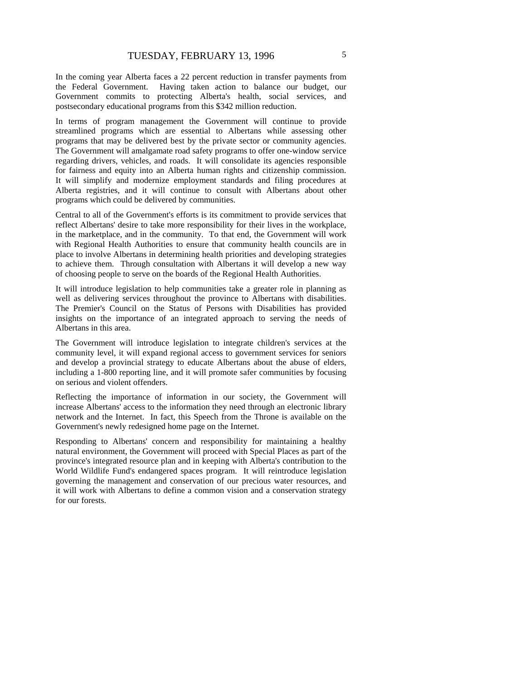In the coming year Alberta faces a 22 percent reduction in transfer payments from the Federal Government. Having taken action to balance our budget, our Government commits to protecting Alberta's health, social services, and postsecondary educational programs from this \$342 million reduction.

In terms of program management the Government will continue to provide streamlined programs which are essential to Albertans while assessing other programs that may be delivered best by the private sector or community agencies. The Government will amalgamate road safety programs to offer one-window service regarding drivers, vehicles, and roads. It will consolidate its agencies responsible for fairness and equity into an Alberta human rights and citizenship commission. It will simplify and modernize employment standards and filing procedures at Alberta registries, and it will continue to consult with Albertans about other programs which could be delivered by communities.

Central to all of the Government's efforts is its commitment to provide services that reflect Albertans' desire to take more responsibility for their lives in the workplace, in the marketplace, and in the community. To that end, the Government will work with Regional Health Authorities to ensure that community health councils are in place to involve Albertans in determining health priorities and developing strategies to achieve them. Through consultation with Albertans it will develop a new way of choosing people to serve on the boards of the Regional Health Authorities.

It will introduce legislation to help communities take a greater role in planning as well as delivering services throughout the province to Albertans with disabilities. The Premier's Council on the Status of Persons with Disabilities has provided insights on the importance of an integrated approach to serving the needs of Albertans in this area.

The Government will introduce legislation to integrate children's services at the community level, it will expand regional access to government services for seniors and develop a provincial strategy to educate Albertans about the abuse of elders, including a 1-800 reporting line, and it will promote safer communities by focusing on serious and violent offenders.

Reflecting the importance of information in our society, the Government will increase Albertans' access to the information they need through an electronic library network and the Internet. In fact, this Speech from the Throne is available on the Government's newly redesigned home page on the Internet.

Responding to Albertans' concern and responsibility for maintaining a healthy natural environment, the Government will proceed with Special Places as part of the province's integrated resource plan and in keeping with Alberta's contribution to the World Wildlife Fund's endangered spaces program. It will reintroduce legislation governing the management and conservation of our precious water resources, and it will work with Albertans to define a common vision and a conservation strategy for our forests.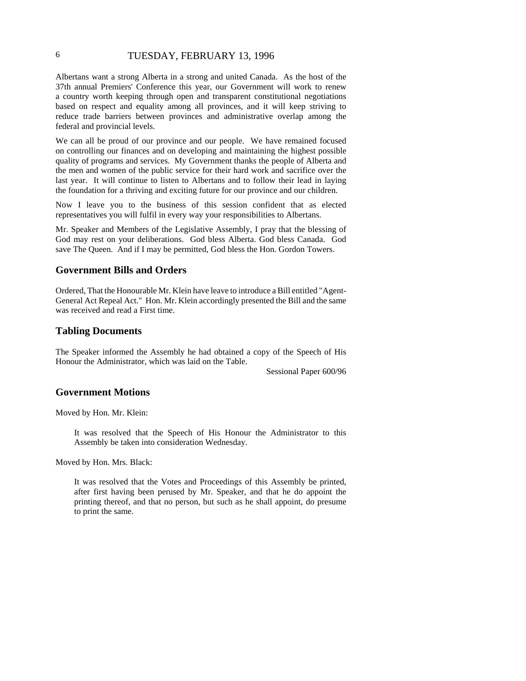## 6 TUESDAY, FEBRUARY 13, 1996

Albertans want a strong Alberta in a strong and united Canada. As the host of the 37th annual Premiers' Conference this year, our Government will work to renew a country worth keeping through open and transparent constitutional negotiations based on respect and equality among all provinces, and it will keep striving to reduce trade barriers between provinces and administrative overlap among the federal and provincial levels.

We can all be proud of our province and our people. We have remained focused on controlling our finances and on developing and maintaining the highest possible quality of programs and services. My Government thanks the people of Alberta and the men and women of the public service for their hard work and sacrifice over the last year. It will continue to listen to Albertans and to follow their lead in laying the foundation for a thriving and exciting future for our province and our children.

Now I leave you to the business of this session confident that as elected representatives you will fulfil in every way your responsibilities to Albertans.

Mr. Speaker and Members of the Legislative Assembly, I pray that the blessing of God may rest on your deliberations. God bless Alberta. God bless Canada. God save The Queen. And if I may be permitted, God bless the Hon. Gordon Towers.

#### **Government Bills and Orders**

Ordered, That the Honourable Mr. Klein have leave to introduce a Bill entitled "Agent-General Act Repeal Act." Hon. Mr. Klein accordingly presented the Bill and the same was received and read a First time.

#### **Tabling Documents**

The Speaker informed the Assembly he had obtained a copy of the Speech of His Honour the Administrator, which was laid on the Table.

Sessional Paper 600/96

#### **Government Motions**

Moved by Hon. Mr. Klein:

It was resolved that the Speech of His Honour the Administrator to this Assembly be taken into consideration Wednesday.

Moved by Hon. Mrs. Black:

It was resolved that the Votes and Proceedings of this Assembly be printed, after first having been perused by Mr. Speaker, and that he do appoint the printing thereof, and that no person, but such as he shall appoint, do presume to print the same.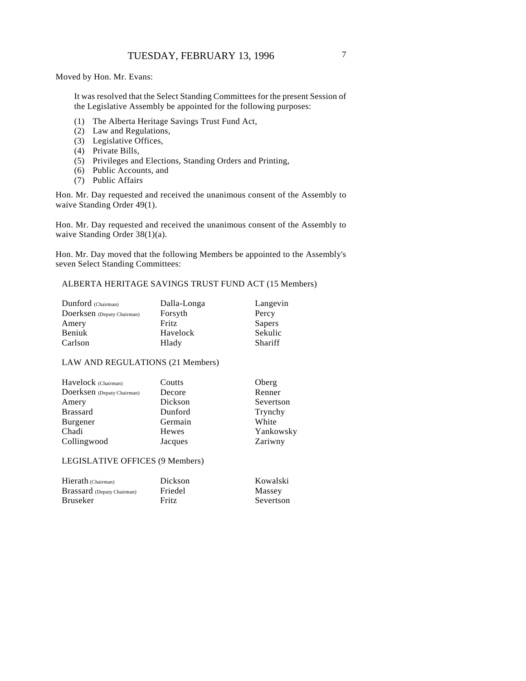Moved by Hon. Mr. Evans:

It was resolved that the Select Standing Committees for the present Session of the Legislative Assembly be appointed for the following purposes:

- (1) The Alberta Heritage Savings Trust Fund Act,
- (2) Law and Regulations,
- (3) Legislative Offices,
- (4) Private Bills,
- (5) Privileges and Elections, Standing Orders and Printing,
- (6) Public Accounts, and
- (7) Public Affairs

Hon. Mr. Day requested and received the unanimous consent of the Assembly to waive Standing Order 49(1).

Hon. Mr. Day requested and received the unanimous consent of the Assembly to waive Standing Order 38(1)(a).

Hon. Mr. Day moved that the following Members be appointed to the Assembly's seven Select Standing Committees:

## ALBERTA HERITAGE SAVINGS TRUST FUND ACT (15 Members)

| Dunford (Chairman)         | Dalla-Longa | Langevin       |
|----------------------------|-------------|----------------|
| Doerksen (Deputy Chairman) | Forsyth     | Percy          |
| Amery                      | Fritz       | Sapers         |
| Beniuk                     | Havelock    | Sekulic        |
| Carlson                    | Hlady       | <b>Shariff</b> |

#### LAW AND REGULATIONS (21 Members)

| Coutts  | Oberg     |
|---------|-----------|
| Decore  | Renner    |
| Dickson | Severtson |
| Dunford | Trynchy   |
| Germain | White     |
| Hewes   | Yankowsky |
| Jacques | Zariwny   |
|         |           |

#### LEGISLATIVE OFFICES (9 Members)

| Hierath (Chairman)                | Dickson      | Kowalski  |
|-----------------------------------|--------------|-----------|
| <b>Brassard</b> (Deputy Chairman) | Friedel      | Massey    |
| Bruseker                          | <b>Fritz</b> | Severtson |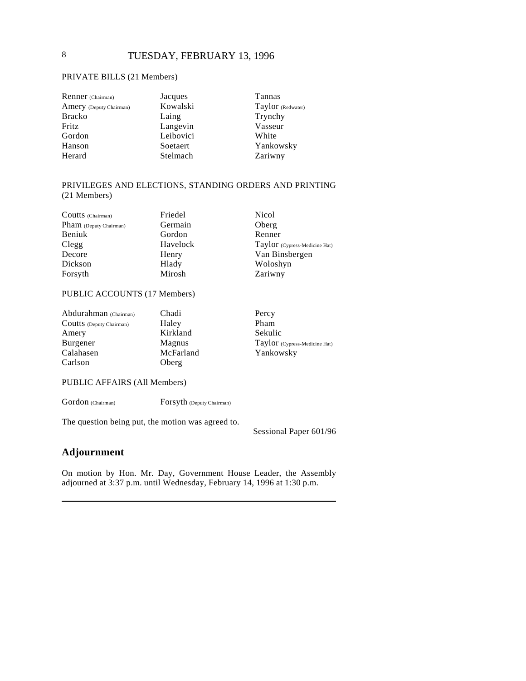#### PRIVATE BILLS (21 Members)

| Renner (Chairman)       | Jacques   | Tannas            |
|-------------------------|-----------|-------------------|
| Amery (Deputy Chairman) | Kowalski  | Taylor (Redwater) |
| <b>Bracko</b>           | Laing     | Trynchy           |
| Fritz                   | Langevin  | Vasseur           |
| Gordon                  | Leibovici | White             |
| Hanson                  | Soetaert  | Yankowsky         |
| Herard                  | Stelmach  | Zariwny           |

#### PRIVILEGES AND ELECTIONS, STANDING ORDERS AND PRINTING (21 Members)

| Friedel  | <b>Nicol</b>                  |
|----------|-------------------------------|
| Germain  | Oberg                         |
| Gordon   | Renner                        |
| Havelock | Taylor (Cypress-Medicine Hat) |
| Henry    | Van Binsbergen                |
| Hlady    | Woloshyn                      |
| Mirosh   | Zariwny                       |
|          |                               |

## PUBLIC ACCOUNTS (17 Members)

| Abdurahman (Chairman)    | Chadi     |
|--------------------------|-----------|
| Coutts (Deputy Chairman) | Haley     |
| Amery                    | Kirkland  |
| Burgener                 | Magnus    |
| Calahasen                | McFarland |
| Carlson                  | Oberg     |

Percy Pham Sekulic Taylor (Cypress-Medicine Hat) Yankowsky

#### PUBLIC AFFAIRS (All Members)

Gordon (Chairman) Forsyth (Deputy Chairman)

The question being put, the motion was agreed to.

Sessional Paper 601/96

## **Adjournment**

On motion by Hon. Mr. Day, Government House Leader, the Assembly adjourned at 3:37 p.m. until Wednesday, February 14, 1996 at 1:30 p.m.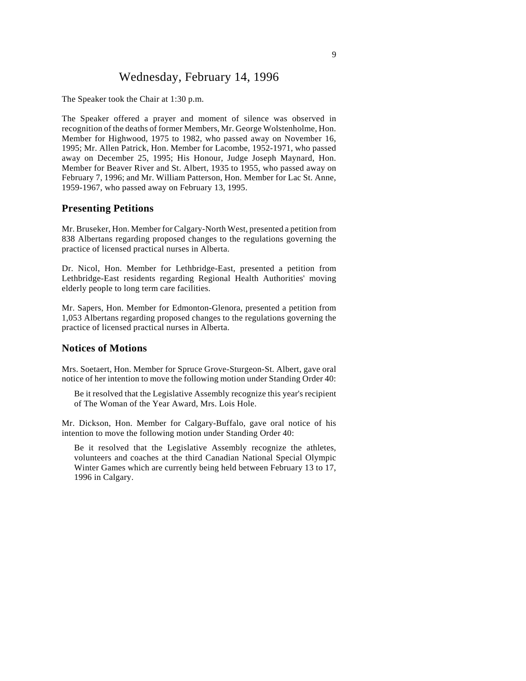## Wednesday, February 14, 1996

The Speaker took the Chair at 1:30 p.m.

The Speaker offered a prayer and moment of silence was observed in recognition of the deaths of former Members, Mr. George Wolstenholme, Hon. Member for Highwood, 1975 to 1982, who passed away on November 16, 1995; Mr. Allen Patrick, Hon. Member for Lacombe, 1952-1971, who passed away on December 25, 1995; His Honour, Judge Joseph Maynard, Hon. Member for Beaver River and St. Albert, 1935 to 1955, who passed away on February 7, 1996; and Mr. William Patterson, Hon. Member for Lac St. Anne, 1959-1967, who passed away on February 13, 1995.

#### **Presenting Petitions**

Mr. Bruseker, Hon. Member for Calgary-North West, presented a petition from 838 Albertans regarding proposed changes to the regulations governing the practice of licensed practical nurses in Alberta.

Dr. Nicol, Hon. Member for Lethbridge-East, presented a petition from Lethbridge-East residents regarding Regional Health Authorities' moving elderly people to long term care facilities.

Mr. Sapers, Hon. Member for Edmonton-Glenora, presented a petition from 1,053 Albertans regarding proposed changes to the regulations governing the practice of licensed practical nurses in Alberta.

#### **Notices of Motions**

Mrs. Soetaert, Hon. Member for Spruce Grove-Sturgeon-St. Albert, gave oral notice of her intention to move the following motion under Standing Order 40:

Be it resolved that the Legislative Assembly recognize this year's recipient of The Woman of the Year Award, Mrs. Lois Hole.

Mr. Dickson, Hon. Member for Calgary-Buffalo, gave oral notice of his intention to move the following motion under Standing Order 40:

Be it resolved that the Legislative Assembly recognize the athletes, volunteers and coaches at the third Canadian National Special Olympic Winter Games which are currently being held between February 13 to 17, 1996 in Calgary.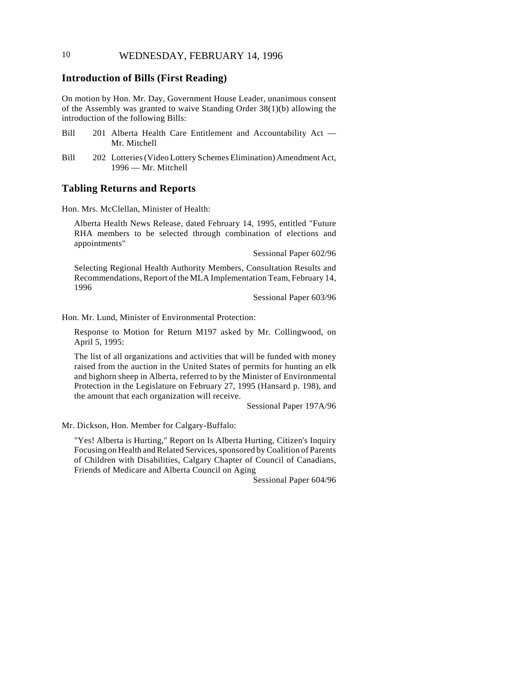## 10 WEDNESDAY, FEBRUARY 14, 1996

### **Introduction of Bills (First Reading)**

On motion by Hon. Mr. Day, Government House Leader, unanimous consent of the Assembly was granted to waive Standing Order 38(1)(b) allowing the introduction of the following Bills:

- Bill 201 Alberta Health Care Entitlement and Accountability Act Mr. Mitchell
- Bill 202 Lotteries (Video Lottery Schemes Elimination) Amendment Act, 1996 — Mr. Mitchell

#### **Tabling Returns and Reports**

Hon. Mrs. McClellan, Minister of Health:

Alberta Health News Release, dated February 14, 1995, entitled "Future RHA members to be selected through combination of elections and appointments"

Sessional Paper 602/96

Selecting Regional Health Authority Members, Consultation Results and Recommendations, Report of the MLA Implementation Team, February 14, 1996

Sessional Paper 603/96

Hon. Mr. Lund, Minister of Environmental Protection:

Response to Motion for Return M197 asked by Mr. Collingwood, on April 5, 1995:

The list of all organizations and activities that will be funded with money raised from the auction in the United States of permits for hunting an elk and bighorn sheep in Alberta, referred to by the Minister of Environmental Protection in the Legislature on February 27, 1995 (Hansard p. 198), and the amount that each organization will receive.

Sessional Paper 197A/96

Mr. Dickson, Hon. Member for Calgary-Buffalo:

"Yes! Alberta is Hurting," Report on Is Alberta Hurting, Citizen's Inquiry Focusing on Health and Related Services, sponsored by Coalition of Parents of Children with Disabilities, Calgary Chapter of Council of Canadians, Friends of Medicare and Alberta Council on Aging

Sessional Paper 604/96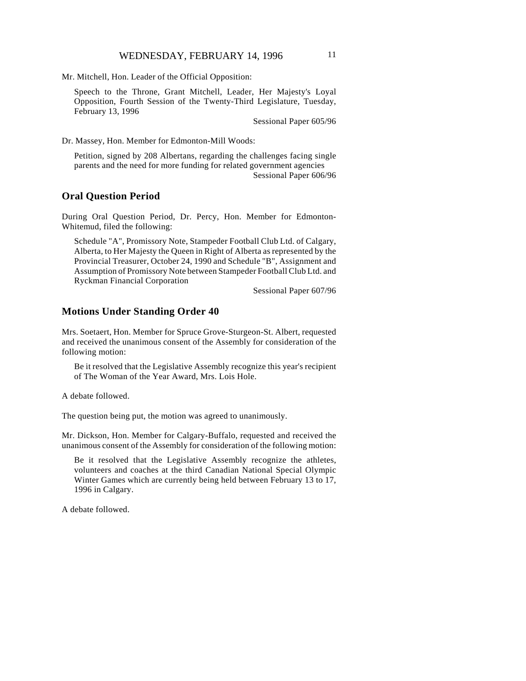Mr. Mitchell, Hon. Leader of the Official Opposition:

Speech to the Throne, Grant Mitchell, Leader, Her Majesty's Loyal Opposition, Fourth Session of the Twenty-Third Legislature, Tuesday, February 13, 1996

Sessional Paper 605/96

Dr. Massey, Hon. Member for Edmonton-Mill Woods:

Petition, signed by 208 Albertans, regarding the challenges facing single parents and the need for more funding for related government agencies Sessional Paper 606/96

## **Oral Question Period**

During Oral Question Period, Dr. Percy, Hon. Member for Edmonton-Whitemud, filed the following:

Schedule "A", Promissory Note, Stampeder Football Club Ltd. of Calgary, Alberta, to Her Majesty the Queen in Right of Alberta as represented by the Provincial Treasurer, October 24, 1990 and Schedule "B", Assignment and Assumption of Promissory Note between Stampeder Football Club Ltd. and Ryckman Financial Corporation

Sessional Paper 607/96

## **Motions Under Standing Order 40**

Mrs. Soetaert, Hon. Member for Spruce Grove-Sturgeon-St. Albert, requested and received the unanimous consent of the Assembly for consideration of the following motion:

Be it resolved that the Legislative Assembly recognize this year's recipient of The Woman of the Year Award, Mrs. Lois Hole.

A debate followed.

The question being put, the motion was agreed to unanimously.

Mr. Dickson, Hon. Member for Calgary-Buffalo, requested and received the unanimous consent of the Assembly for consideration of the following motion:

Be it resolved that the Legislative Assembly recognize the athletes, volunteers and coaches at the third Canadian National Special Olympic Winter Games which are currently being held between February 13 to 17, 1996 in Calgary.

A debate followed.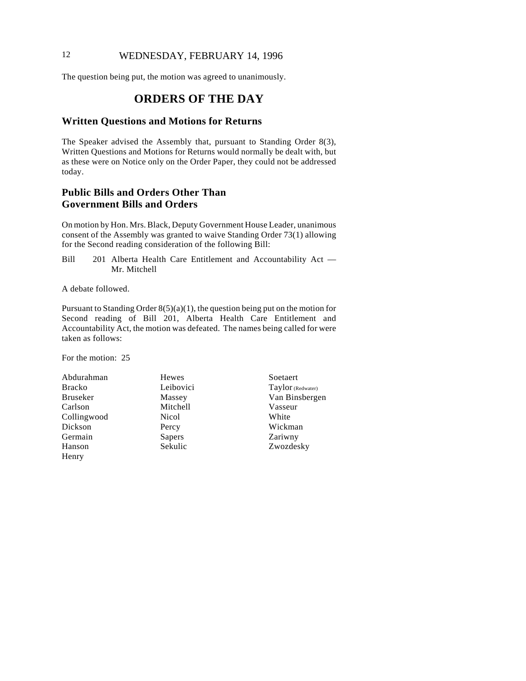## 12 WEDNESDAY, FEBRUARY 14, 1996

The question being put, the motion was agreed to unanimously.

## **ORDERS OF THE DAY**

#### **Written Questions and Motions for Returns**

The Speaker advised the Assembly that, pursuant to Standing Order 8(3), Written Questions and Motions for Returns would normally be dealt with, but as these were on Notice only on the Order Paper, they could not be addressed today.

## **Public Bills and Orders Other Than Government Bills and Orders**

On motion by Hon. Mrs. Black, Deputy Government House Leader, unanimous consent of the Assembly was granted to waive Standing Order 73(1) allowing for the Second reading consideration of the following Bill:

Bill 201 Alberta Health Care Entitlement and Accountability Act — Mr. Mitchell

A debate followed.

Pursuant to Standing Order  $8(5)(a)(1)$ , the question being put on the motion for Second reading of Bill 201, Alberta Health Care Entitlement and Accountability Act, the motion was defeated. The names being called for were taken as follows:

For the motion: 25

- Abdurahman Bracko Bruseker Carlson Collingwood Dickson Germain Hanson Henry
- Hewes Leibovici Massey Mitchell Nicol Percy Sapers Sekulic
- Soetaert Taylor (Redwater) Van Binsbergen Vasseur White Wickman Zariwny Zwozdesky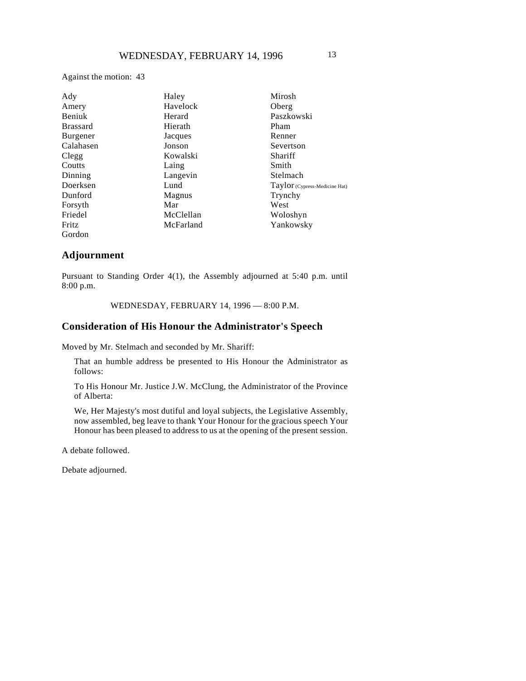Against the motion: 43

| Ady             | Haley     | Mirosh                        |
|-----------------|-----------|-------------------------------|
| Amery           | Havelock  | Oberg                         |
| Beniuk          | Herard    | Paszkowski                    |
| <b>Brassard</b> | Hierath   | Pham                          |
| Burgener        | Jacques   | Renner                        |
| Calahasen       | Jonson    | Severtson                     |
| Clegg           | Kowalski  | Shariff                       |
| Coutts          | Laing     | Smith                         |
| Dinning         | Langevin  | Stelmach                      |
| Doerksen        | Lund      | Taylor (Cypress-Medicine Hat) |
| Dunford         | Magnus    | Trynchy                       |
| Forsyth         | Mar       | West                          |
| Friedel         | McClellan | Woloshyn                      |
| Fritz           | McFarland | Yankowsky                     |
| Gordon          |           |                               |

#### **Adjournment**

Pursuant to Standing Order 4(1), the Assembly adjourned at 5:40 p.m. until 8:00 p.m.

WEDNESDAY, FEBRUARY 14, 1996 — 8:00 P.M.

#### **Consideration of His Honour the Administrator's Speech**

Moved by Mr. Stelmach and seconded by Mr. Shariff:

That an humble address be presented to His Honour the Administrator as follows:

To His Honour Mr. Justice J.W. McClung, the Administrator of the Province of Alberta:

We, Her Majesty's most dutiful and loyal subjects, the Legislative Assembly, now assembled, beg leave to thank Your Honour for the gracious speech Your Honour has been pleased to address to us at the opening of the present session.

A debate followed.

Debate adjourned.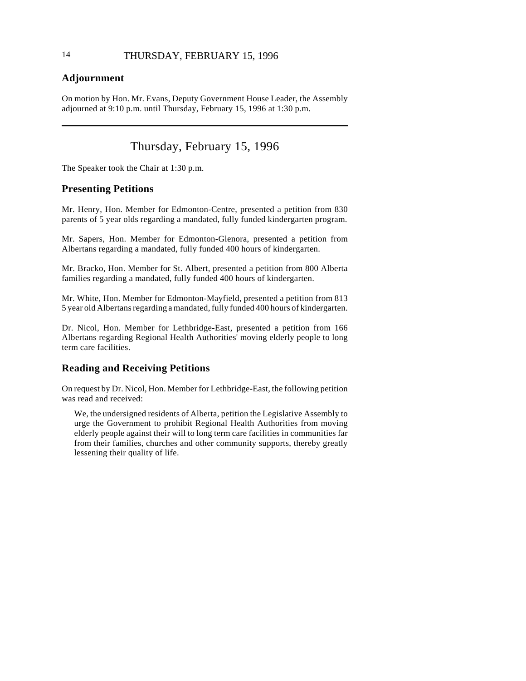## **Adjournment**

 $\overline{\phantom{a}}$ 

On motion by Hon. Mr. Evans, Deputy Government House Leader, the Assembly adjourned at 9:10 p.m. until Thursday, February 15, 1996 at 1:30 p.m.

## Thursday, February 15, 1996

The Speaker took the Chair at 1:30 p.m.

## **Presenting Petitions**

Mr. Henry, Hon. Member for Edmonton-Centre, presented a petition from 830 parents of 5 year olds regarding a mandated, fully funded kindergarten program.

Mr. Sapers, Hon. Member for Edmonton-Glenora, presented a petition from Albertans regarding a mandated, fully funded 400 hours of kindergarten.

Mr. Bracko, Hon. Member for St. Albert, presented a petition from 800 Alberta families regarding a mandated, fully funded 400 hours of kindergarten.

Mr. White, Hon. Member for Edmonton-Mayfield, presented a petition from 813 5 year old Albertans regarding a mandated, fully funded 400 hours of kindergarten.

Dr. Nicol, Hon. Member for Lethbridge-East, presented a petition from 166 Albertans regarding Regional Health Authorities' moving elderly people to long term care facilities.

## **Reading and Receiving Petitions**

On request by Dr. Nicol, Hon. Member for Lethbridge-East, the following petition was read and received:

We, the undersigned residents of Alberta, petition the Legislative Assembly to urge the Government to prohibit Regional Health Authorities from moving elderly people against their will to long term care facilities in communities far from their families, churches and other community supports, thereby greatly lessening their quality of life.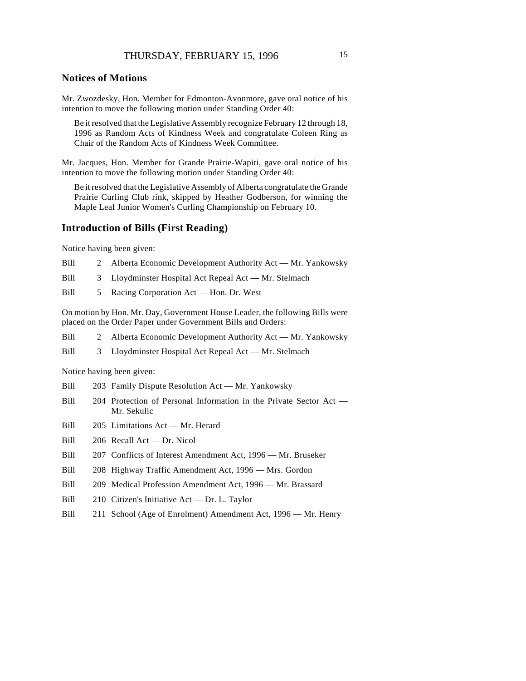Mr. Zwozdesky, Hon. Member for Edmonton-Avonmore, gave oral notice of his intention to move the following motion under Standing Order 40:

Be it resolved that the Legislative Assembly recognize February 12 through 18, 1996 as Random Acts of Kindness Week and congratulate Coleen Ring as Chair of the Random Acts of Kindness Week Committee.

Mr. Jacques, Hon. Member for Grande Prairie-Wapiti, gave oral notice of his intention to move the following motion under Standing Order 40:

Be it resolved that the Legislative Assembly of Alberta congratulate the Grande Prairie Curling Club rink, skipped by Heather Godberson, for winning the Maple Leaf Junior Women's Curling Championship on February 10.

#### **Introduction of Bills (First Reading)**

Notice having been given:

- Bill 2 Alberta Economic Development Authority Act Mr. Yankowsky
- Bill 3 Lloydminster Hospital Act Repeal Act Mr. Stelmach
- Bill 5 Racing Corporation Act Hon. Dr. West

On motion by Hon. Mr. Day, Government House Leader, the following Bills were placed on the Order Paper under Government Bills and Orders:

- Bill 2 Alberta Economic Development Authority Act Mr. Yankowsky
- Bill 3 Lloydminster Hospital Act Repeal Act Mr. Stelmach

Notice having been given:

- Bill 203 Family Dispute Resolution Act Mr. Yankowsky
- Bill 204 Protection of Personal Information in the Private Sector Act Mr. Sekulic
- Bill 205 Limitations Act Mr. Herard
- Bill 206 Recall Act Dr. Nicol
- Bill 207 Conflicts of Interest Amendment Act, 1996 Mr. Bruseker
- Bill 208 Highway Traffic Amendment Act, 1996 Mrs. Gordon
- Bill 209 Medical Profession Amendment Act, 1996 Mr. Brassard
- Bill 210 Citizen's Initiative Act Dr. L. Taylor
- Bill 211 School (Age of Enrolment) Amendment Act, 1996 Mr. Henry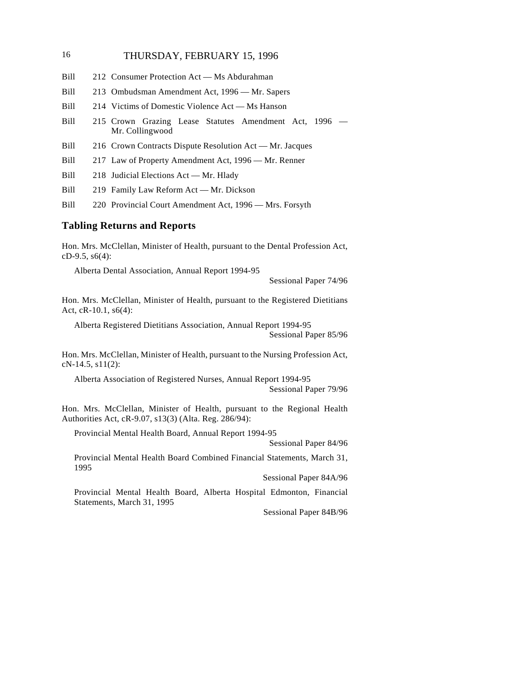## 16 THURSDAY, FEBRUARY 15, 1996

- Bill 212 Consumer Protection Act Ms Abdurahman
- Bill 213 Ombudsman Amendment Act, 1996 Mr. Sapers
- Bill 214 Victims of Domestic Violence Act Ms Hanson
- Bill 215 Crown Grazing Lease Statutes Amendment Act, 1996 Mr. Collingwood
- Bill 216 Crown Contracts Dispute Resolution Act Mr. Jacques
- Bill 217 Law of Property Amendment Act, 1996 Mr. Renner
- Bill 218 Judicial Elections Act Mr. Hlady
- Bill 219 Family Law Reform Act Mr. Dickson
- Bill 220 Provincial Court Amendment Act, 1996 Mrs. Forsyth

#### **Tabling Returns and Reports**

Hon. Mrs. McClellan, Minister of Health, pursuant to the Dental Profession Act, cD-9.5, s6(4):

Alberta Dental Association, Annual Report 1994-95

Sessional Paper 74/96

Hon. Mrs. McClellan, Minister of Health, pursuant to the Registered Dietitians Act, cR-10.1, s6(4):

Alberta Registered Dietitians Association, Annual Report 1994-95 Sessional Paper 85/96

Hon. Mrs. McClellan, Minister of Health, pursuant to the Nursing Profession Act, cN-14.5, s11(2):

Alberta Association of Registered Nurses, Annual Report 1994-95 Sessional Paper 79/96

Hon. Mrs. McClellan, Minister of Health, pursuant to the Regional Health Authorities Act, cR-9.07, s13(3) (Alta. Reg. 286/94):

Provincial Mental Health Board, Annual Report 1994-95

Sessional Paper 84/96

Provincial Mental Health Board Combined Financial Statements, March 31, 1995

Sessional Paper 84A/96

Provincial Mental Health Board, Alberta Hospital Edmonton, Financial Statements, March 31, 1995

Sessional Paper 84B/96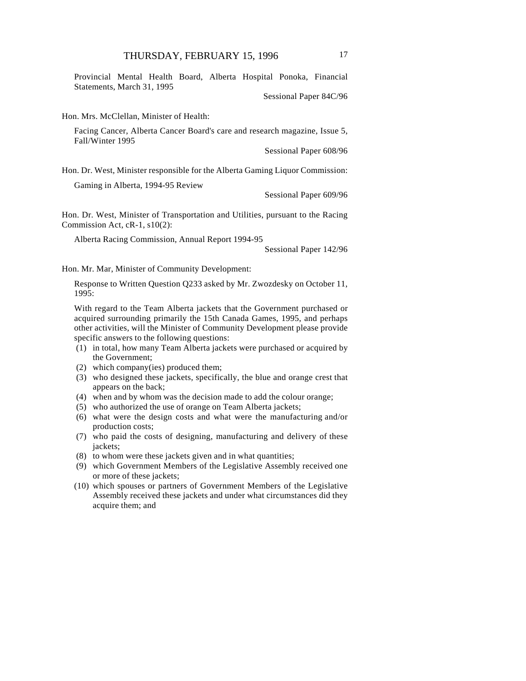Provincial Mental Health Board, Alberta Hospital Ponoka, Financial Statements, March 31, 1995

Sessional Paper 84C/96

Hon. Mrs. McClellan, Minister of Health:

Facing Cancer, Alberta Cancer Board's care and research magazine, Issue 5, Fall/Winter 1995

Sessional Paper 608/96

Hon. Dr. West, Minister responsible for the Alberta Gaming Liquor Commission:

Gaming in Alberta, 1994-95 Review

Sessional Paper 609/96

Hon. Dr. West, Minister of Transportation and Utilities, pursuant to the Racing Commission Act, cR-1, s10(2):

Alberta Racing Commission, Annual Report 1994-95

Sessional Paper 142/96

Hon. Mr. Mar, Minister of Community Development:

Response to Written Question Q233 asked by Mr. Zwozdesky on October 11, 1995:

With regard to the Team Alberta jackets that the Government purchased or acquired surrounding primarily the 15th Canada Games, 1995, and perhaps other activities, will the Minister of Community Development please provide specific answers to the following questions:

- (1) in total, how many Team Alberta jackets were purchased or acquired by the Government;
- (2) which company(ies) produced them;
- (3) who designed these jackets, specifically, the blue and orange crest that appears on the back;
- (4) when and by whom was the decision made to add the colour orange;
- (5) who authorized the use of orange on Team Alberta jackets;
- (6) what were the design costs and what were the manufacturing and/or production costs;
- (7) who paid the costs of designing, manufacturing and delivery of these jackets;
- (8) to whom were these jackets given and in what quantities;
- (9) which Government Members of the Legislative Assembly received one or more of these jackets;
- (10) which spouses or partners of Government Members of the Legislative Assembly received these jackets and under what circumstances did they acquire them; and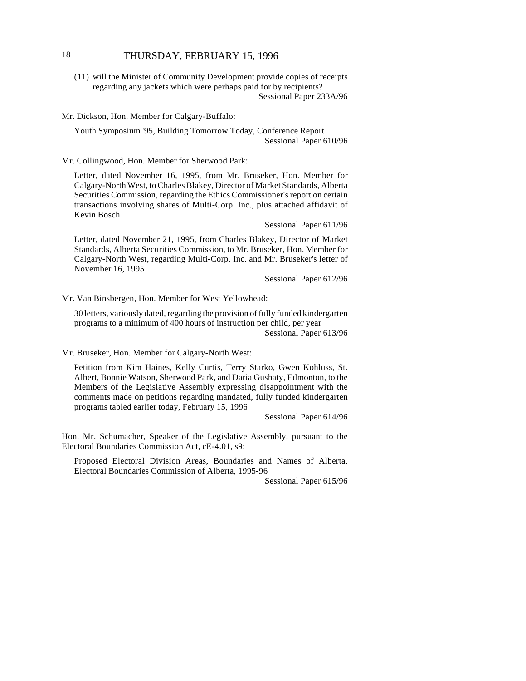## 18 THURSDAY, FEBRUARY 15, 1996

(11) will the Minister of Community Development provide copies of receipts regarding any jackets which were perhaps paid for by recipients? Sessional Paper 233A/96

Mr. Dickson, Hon. Member for Calgary-Buffalo:

Youth Symposium '95, Building Tomorrow Today, Conference Report Sessional Paper 610/96

Mr. Collingwood, Hon. Member for Sherwood Park:

Letter, dated November 16, 1995, from Mr. Bruseker, Hon. Member for Calgary-North West, to Charles Blakey, Director of Market Standards, Alberta Securities Commission, regarding the Ethics Commissioner's report on certain transactions involving shares of Multi-Corp. Inc., plus attached affidavit of Kevin Bosch

Sessional Paper 611/96

Letter, dated November 21, 1995, from Charles Blakey, Director of Market Standards, Alberta Securities Commission, to Mr. Bruseker, Hon. Member for Calgary-North West, regarding Multi-Corp. Inc. and Mr. Bruseker's letter of November 16, 1995

Sessional Paper 612/96

Mr. Van Binsbergen, Hon. Member for West Yellowhead:

30 letters, variously dated, regarding the provision of fully funded kindergarten programs to a minimum of 400 hours of instruction per child, per year Sessional Paper 613/96

Mr. Bruseker, Hon. Member for Calgary-North West:

Petition from Kim Haines, Kelly Curtis, Terry Starko, Gwen Kohluss, St. Albert, Bonnie Watson, Sherwood Park, and Daria Gushaty, Edmonton, to the Members of the Legislative Assembly expressing disappointment with the comments made on petitions regarding mandated, fully funded kindergarten programs tabled earlier today, February 15, 1996

Sessional Paper 614/96

Hon. Mr. Schumacher, Speaker of the Legislative Assembly, pursuant to the Electoral Boundaries Commission Act, cE-4.01, s9:

Proposed Electoral Division Areas, Boundaries and Names of Alberta, Electoral Boundaries Commission of Alberta, 1995-96

Sessional Paper 615/96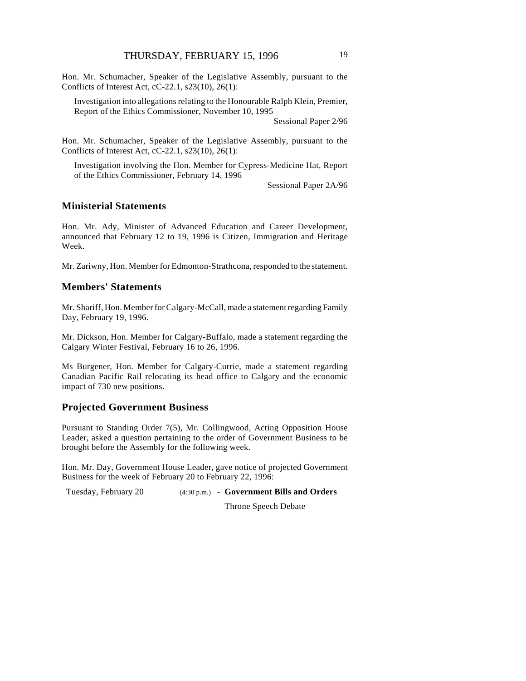Hon. Mr. Schumacher, Speaker of the Legislative Assembly, pursuant to the Conflicts of Interest Act, cC-22.1, s23(10), 26(1):

Investigation into allegations relating to the Honourable Ralph Klein, Premier, Report of the Ethics Commissioner, November 10, 1995

Sessional Paper 2/96

Hon. Mr. Schumacher, Speaker of the Legislative Assembly, pursuant to the Conflicts of Interest Act, cC-22.1, s23(10), 26(1):

Investigation involving the Hon. Member for Cypress-Medicine Hat, Report of the Ethics Commissioner, February 14, 1996

Sessional Paper 2A/96

#### **Ministerial Statements**

Hon. Mr. Ady, Minister of Advanced Education and Career Development, announced that February 12 to 19, 1996 is Citizen, Immigration and Heritage Week.

Mr. Zariwny, Hon. Member for Edmonton-Strathcona, responded to the statement.

#### **Members' Statements**

Mr. Shariff, Hon. Member for Calgary-McCall, made a statement regarding Family Day, February 19, 1996.

Mr. Dickson, Hon. Member for Calgary-Buffalo, made a statement regarding the Calgary Winter Festival, February 16 to 26, 1996.

Ms Burgener, Hon. Member for Calgary-Currie, made a statement regarding Canadian Pacific Rail relocating its head office to Calgary and the economic impact of 730 new positions.

## **Projected Government Business**

Pursuant to Standing Order 7(5), Mr. Collingwood, Acting Opposition House Leader, asked a question pertaining to the order of Government Business to be brought before the Assembly for the following week.

Hon. Mr. Day, Government House Leader, gave notice of projected Government Business for the week of February 20 to February 22, 1996:

Tuesday, February 20 (4:30 p.m.) - **Government Bills and Orders**

Throne Speech Debate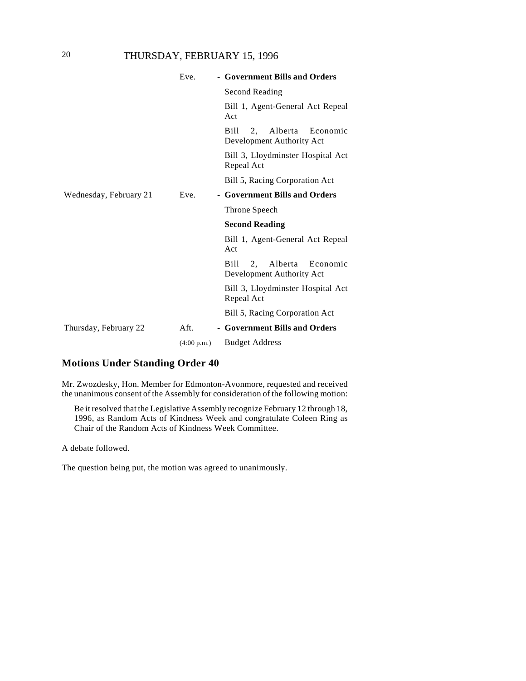## 20 THURSDAY, FEBRUARY 15, 1996

|                        | Eve.        | - Government Bills and Orders                                  |
|------------------------|-------------|----------------------------------------------------------------|
|                        |             | Second Reading                                                 |
|                        |             | Bill 1, Agent-General Act Repeal<br>Act                        |
|                        |             | Bill<br>2,<br>Alberta<br>Economic<br>Development Authority Act |
|                        |             | Bill 3, Lloydminster Hospital Act<br>Repeal Act                |
|                        |             | Bill 5, Racing Corporation Act                                 |
| Wednesday, February 21 | Eve.        | - Government Bills and Orders                                  |
|                        |             | Throne Speech                                                  |
|                        |             | <b>Second Reading</b>                                          |
|                        |             | Bill 1, Agent-General Act Repeal<br>Act                        |
|                        |             | Bill<br>2.<br>Alberta<br>Economic<br>Development Authority Act |
|                        |             | Bill 3, Lloydminster Hospital Act<br>Repeal Act                |
|                        |             | Bill 5, Racing Corporation Act                                 |
| Thursday, February 22  | Aft.        | - Government Bills and Orders                                  |
|                        | (4:00 p.m.) | <b>Budget Address</b>                                          |

## **Motions Under Standing Order 40**

Mr. Zwozdesky, Hon. Member for Edmonton-Avonmore, requested and received the unanimous consent of the Assembly for consideration of the following motion:

Be it resolved that the Legislative Assembly recognize February 12 through 18, 1996, as Random Acts of Kindness Week and congratulate Coleen Ring as Chair of the Random Acts of Kindness Week Committee.

A debate followed.

The question being put, the motion was agreed to unanimously.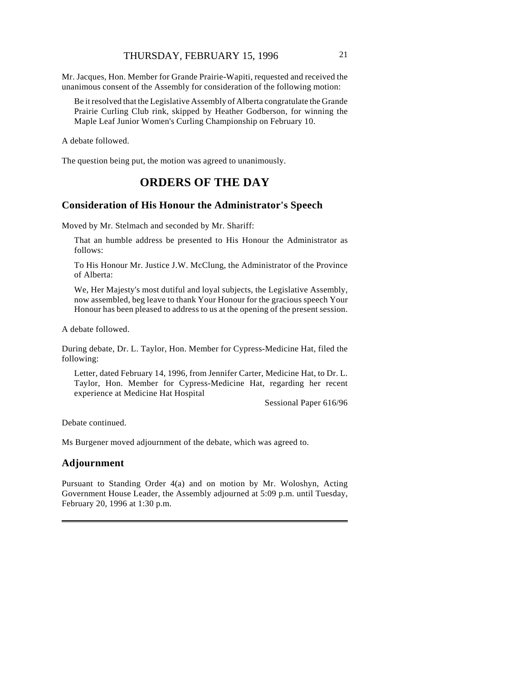Mr. Jacques, Hon. Member for Grande Prairie-Wapiti, requested and received the unanimous consent of the Assembly for consideration of the following motion:

Be it resolved that the Legislative Assembly of Alberta congratulate the Grande Prairie Curling Club rink, skipped by Heather Godberson, for winning the Maple Leaf Junior Women's Curling Championship on February 10.

A debate followed.

The question being put, the motion was agreed to unanimously.

## **ORDERS OF THE DAY**

#### **Consideration of His Honour the Administrator's Speech**

Moved by Mr. Stelmach and seconded by Mr. Shariff:

That an humble address be presented to His Honour the Administrator as follows:

To His Honour Mr. Justice J.W. McClung, the Administrator of the Province of Alberta:

We, Her Majesty's most dutiful and loyal subjects, the Legislative Assembly, now assembled, beg leave to thank Your Honour for the gracious speech Your Honour has been pleased to address to us at the opening of the present session.

A debate followed.

During debate, Dr. L. Taylor, Hon. Member for Cypress-Medicine Hat, filed the following:

Letter, dated February 14, 1996, from Jennifer Carter, Medicine Hat, to Dr. L. Taylor, Hon. Member for Cypress-Medicine Hat, regarding her recent experience at Medicine Hat Hospital

Sessional Paper 616/96

Debate continued.

Ms Burgener moved adjournment of the debate, which was agreed to.

## **Adjournment**

Pursuant to Standing Order 4(a) and on motion by Mr. Woloshyn, Acting Government House Leader, the Assembly adjourned at 5:09 p.m. until Tuesday, February 20, 1996 at 1:30 p.m.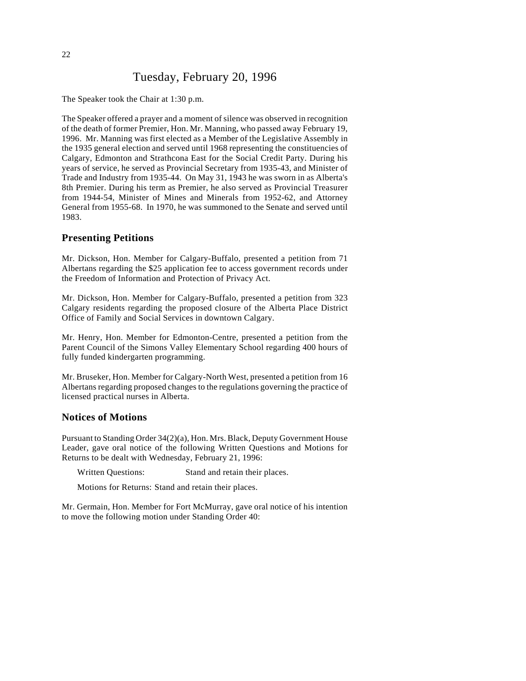## Tuesday, February 20, 1996

The Speaker took the Chair at 1:30 p.m.

The Speaker offered a prayer and a moment of silence was observed in recognition of the death of former Premier, Hon. Mr. Manning, who passed away February 19, 1996. Mr. Manning was first elected as a Member of the Legislative Assembly in the 1935 general election and served until 1968 representing the constituencies of Calgary, Edmonton and Strathcona East for the Social Credit Party. During his years of service, he served as Provincial Secretary from 1935-43, and Minister of Trade and Industry from 1935-44. On May 31, 1943 he was sworn in as Alberta's 8th Premier. During his term as Premier, he also served as Provincial Treasurer from 1944-54, Minister of Mines and Minerals from 1952-62, and Attorney General from 1955-68. In 1970, he was summoned to the Senate and served until 1983.

#### **Presenting Petitions**

Mr. Dickson, Hon. Member for Calgary-Buffalo, presented a petition from 71 Albertans regarding the \$25 application fee to access government records under the Freedom of Information and Protection of Privacy Act.

Mr. Dickson, Hon. Member for Calgary-Buffalo, presented a petition from 323 Calgary residents regarding the proposed closure of the Alberta Place District Office of Family and Social Services in downtown Calgary.

Mr. Henry, Hon. Member for Edmonton-Centre, presented a petition from the Parent Council of the Simons Valley Elementary School regarding 400 hours of fully funded kindergarten programming.

Mr. Bruseker, Hon. Member for Calgary-North West, presented a petition from 16 Albertans regarding proposed changes to the regulations governing the practice of licensed practical nurses in Alberta.

#### **Notices of Motions**

Pursuant to Standing Order 34(2)(a), Hon. Mrs. Black, Deputy Government House Leader, gave oral notice of the following Written Questions and Motions for Returns to be dealt with Wednesday, February 21, 1996:

Written Questions: Stand and retain their places.

Motions for Returns: Stand and retain their places.

Mr. Germain, Hon. Member for Fort McMurray, gave oral notice of his intention to move the following motion under Standing Order 40: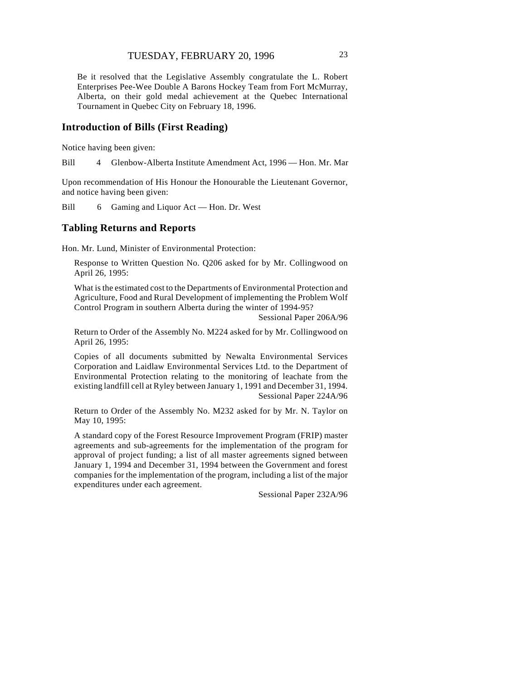Be it resolved that the Legislative Assembly congratulate the L. Robert Enterprises Pee-Wee Double A Barons Hockey Team from Fort McMurray, Alberta, on their gold medal achievement at the Quebec International Tournament in Quebec City on February 18, 1996.

## **Introduction of Bills (First Reading)**

Notice having been given:

Bill 4 Glenbow-Alberta Institute Amendment Act, 1996 — Hon. Mr. Mar

Upon recommendation of His Honour the Honourable the Lieutenant Governor, and notice having been given:

Bill 6 Gaming and Liquor Act — Hon. Dr. West

#### **Tabling Returns and Reports**

Hon. Mr. Lund, Minister of Environmental Protection:

Response to Written Question No. Q206 asked for by Mr. Collingwood on April 26, 1995:

What is the estimated cost to the Departments of Environmental Protection and Agriculture, Food and Rural Development of implementing the Problem Wolf Control Program in southern Alberta during the winter of 1994-95?

Sessional Paper 206A/96

Return to Order of the Assembly No. M224 asked for by Mr. Collingwood on April 26, 1995:

Copies of all documents submitted by Newalta Environmental Services Corporation and Laidlaw Environmental Services Ltd. to the Department of Environmental Protection relating to the monitoring of leachate from the existing landfill cell at Ryley between January 1, 1991 and December 31, 1994. Sessional Paper 224A/96

Return to Order of the Assembly No. M232 asked for by Mr. N. Taylor on May 10, 1995:

A standard copy of the Forest Resource Improvement Program (FRIP) master agreements and sub-agreements for the implementation of the program for approval of project funding; a list of all master agreements signed between January 1, 1994 and December 31, 1994 between the Government and forest companies for the implementation of the program, including a list of the major expenditures under each agreement.

Sessional Paper 232A/96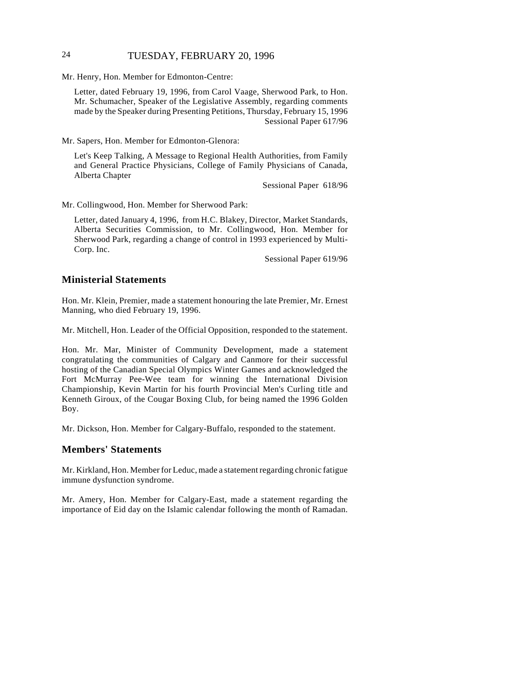## 24 TUESDAY, FEBRUARY 20, 1996

Mr. Henry, Hon. Member for Edmonton-Centre:

Letter, dated February 19, 1996, from Carol Vaage, Sherwood Park, to Hon. Mr. Schumacher, Speaker of the Legislative Assembly, regarding comments made by the Speaker during Presenting Petitions, Thursday, February 15, 1996 Sessional Paper 617/96

Mr. Sapers, Hon. Member for Edmonton-Glenora:

Let's Keep Talking, A Message to Regional Health Authorities, from Family and General Practice Physicians, College of Family Physicians of Canada, Alberta Chapter

Sessional Paper 618/96

Mr. Collingwood, Hon. Member for Sherwood Park:

Letter, dated January 4, 1996, from H.C. Blakey, Director, Market Standards, Alberta Securities Commission, to Mr. Collingwood, Hon. Member for Sherwood Park, regarding a change of control in 1993 experienced by Multi-Corp. Inc.

Sessional Paper 619/96

#### **Ministerial Statements**

Hon. Mr. Klein, Premier, made a statement honouring the late Premier, Mr. Ernest Manning, who died February 19, 1996.

Mr. Mitchell, Hon. Leader of the Official Opposition, responded to the statement.

Hon. Mr. Mar, Minister of Community Development, made a statement congratulating the communities of Calgary and Canmore for their successful hosting of the Canadian Special Olympics Winter Games and acknowledged the Fort McMurray Pee-Wee team for winning the International Division Championship, Kevin Martin for his fourth Provincial Men's Curling title and Kenneth Giroux, of the Cougar Boxing Club, for being named the 1996 Golden Boy.

Mr. Dickson, Hon. Member for Calgary-Buffalo, responded to the statement.

## **Members' Statements**

Mr. Kirkland, Hon. Member for Leduc, made a statement regarding chronic fatigue immune dysfunction syndrome.

Mr. Amery, Hon. Member for Calgary-East, made a statement regarding the importance of Eid day on the Islamic calendar following the month of Ramadan.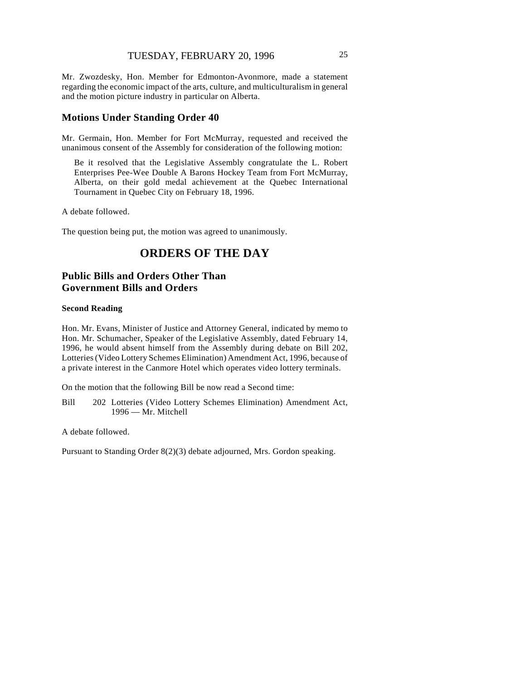Mr. Zwozdesky, Hon. Member for Edmonton-Avonmore, made a statement regarding the economic impact of the arts, culture, and multiculturalism in general and the motion picture industry in particular on Alberta.

#### **Motions Under Standing Order 40**

Mr. Germain, Hon. Member for Fort McMurray, requested and received the unanimous consent of the Assembly for consideration of the following motion:

Be it resolved that the Legislative Assembly congratulate the L. Robert Enterprises Pee-Wee Double A Barons Hockey Team from Fort McMurray, Alberta, on their gold medal achievement at the Quebec International Tournament in Quebec City on February 18, 1996.

A debate followed.

The question being put, the motion was agreed to unanimously.

## **ORDERS OF THE DAY**

## **Public Bills and Orders Other Than Government Bills and Orders**

#### **Second Reading**

Hon. Mr. Evans, Minister of Justice and Attorney General, indicated by memo to Hon. Mr. Schumacher, Speaker of the Legislative Assembly, dated February 14, 1996, he would absent himself from the Assembly during debate on Bill 202, Lotteries (Video Lottery Schemes Elimination) Amendment Act, 1996, because of a private interest in the Canmore Hotel which operates video lottery terminals.

On the motion that the following Bill be now read a Second time:

Bill 202 Lotteries (Video Lottery Schemes Elimination) Amendment Act, 1996 — Mr. Mitchell

A debate followed.

Pursuant to Standing Order 8(2)(3) debate adjourned, Mrs. Gordon speaking.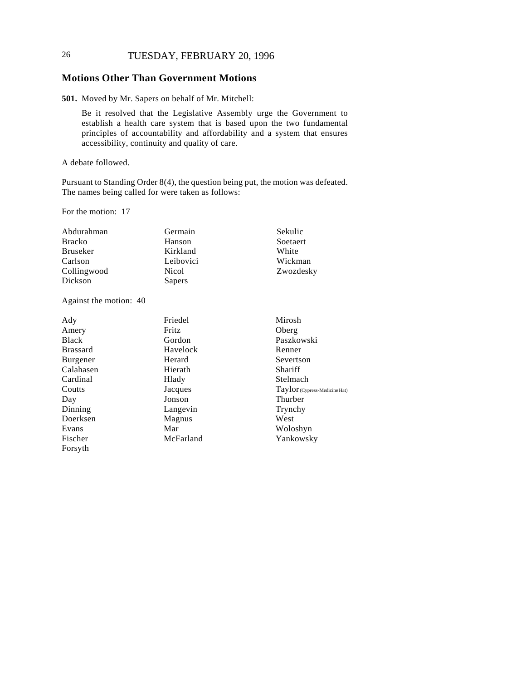## 26 TUESDAY, FEBRUARY 20, 1996

## **Motions Other Than Government Motions**

**501.** Moved by Mr. Sapers on behalf of Mr. Mitchell:

Be it resolved that the Legislative Assembly urge the Government to establish a health care system that is based upon the two fundamental principles of accountability and affordability and a system that ensures accessibility, continuity and quality of care.

A debate followed.

Pursuant to Standing Order 8(4), the question being put, the motion was defeated. The names being called for were taken as follows:

For the motion: 17

| Abdurahman  | Germain   | Sekulic   |
|-------------|-----------|-----------|
| Bracko      | Hanson    | Soetaert  |
| Bruseker    | Kirkland  | White     |
| Carlson     | Leibovici | Wickman   |
| Collingwood | Nicol     | Zwozdesky |
| Dickson     | Sapers    |           |

Against the motion: 40

| Ady             | Friedel      | Mirosh                          |
|-----------------|--------------|---------------------------------|
| Amery           | <b>Fritz</b> | Oberg                           |
| <b>Black</b>    | Gordon       | Paszkowski                      |
| <b>Brassard</b> | Havelock     | Renner                          |
| Burgener        | Herard       | Severtson                       |
| Calahasen       | Hierath      | Shariff                         |
| Cardinal        | Hlady        | Stelmach                        |
| Coutts          | Jacques      | $Taylor$ (Cypress-Medicine Hat) |
| Day             | Jonson       | Thurber                         |
| Dinning         | Langevin     | Trynchy                         |
| Doerksen        | Magnus       | West                            |
| Evans           | Mar          | Woloshyn                        |
| Fischer         | McFarland    | Yankowsky                       |
| Forsyth         |              |                                 |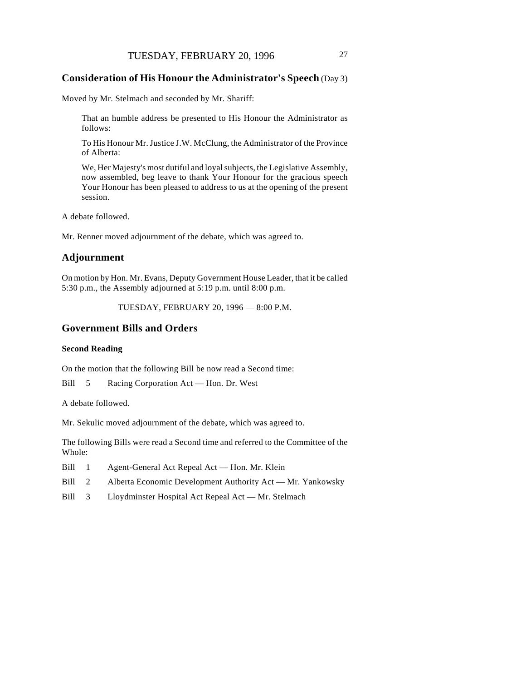#### **Consideration of His Honour the Administrator's Speech** (Day 3)

Moved by Mr. Stelmach and seconded by Mr. Shariff:

That an humble address be presented to His Honour the Administrator as follows:

To His Honour Mr. Justice J.W. McClung, the Administrator of the Province of Alberta:

We, Her Majesty's most dutiful and loyal subjects, the Legislative Assembly, now assembled, beg leave to thank Your Honour for the gracious speech Your Honour has been pleased to address to us at the opening of the present session.

A debate followed.

Mr. Renner moved adjournment of the debate, which was agreed to.

### **Adjournment**

On motion by Hon. Mr. Evans, Deputy Government House Leader, that it be called 5:30 p.m., the Assembly adjourned at 5:19 p.m. until 8:00 p.m.

TUESDAY, FEBRUARY 20, 1996 — 8:00 P.M.

#### **Government Bills and Orders**

#### **Second Reading**

On the motion that the following Bill be now read a Second time:

Bill 5 Racing Corporation Act — Hon. Dr. West

A debate followed.

Mr. Sekulic moved adjournment of the debate, which was agreed to.

The following Bills were read a Second time and referred to the Committee of the Whole:

- Bill 1 Agent-General Act Repeal Act Hon. Mr. Klein
- Bill 2 Alberta Economic Development Authority Act Mr. Yankowsky
- Bill 3 Lloydminster Hospital Act Repeal Act Mr. Stelmach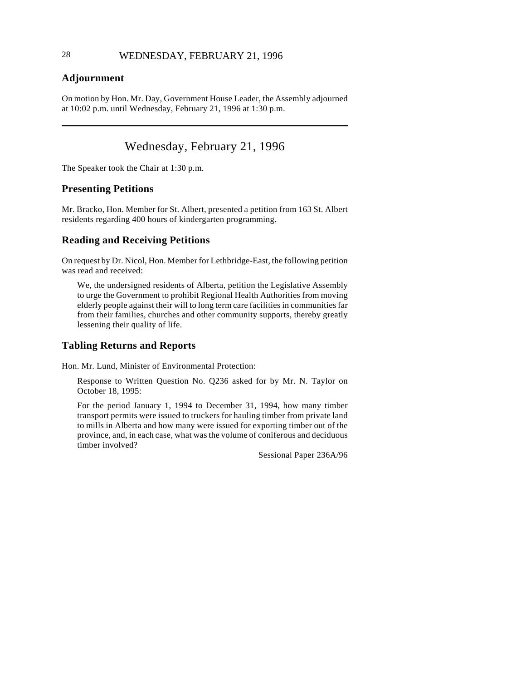## **Adjournment**

 $\overline{\phantom{a}}$ 

On motion by Hon. Mr. Day, Government House Leader, the Assembly adjourned at 10:02 p.m. until Wednesday, February 21, 1996 at 1:30 p.m.

## Wednesday, February 21, 1996

The Speaker took the Chair at 1:30 p.m.

## **Presenting Petitions**

Mr. Bracko, Hon. Member for St. Albert, presented a petition from 163 St. Albert residents regarding 400 hours of kindergarten programming.

## **Reading and Receiving Petitions**

On request by Dr. Nicol, Hon. Member for Lethbridge-East, the following petition was read and received:

We, the undersigned residents of Alberta, petition the Legislative Assembly to urge the Government to prohibit Regional Health Authorities from moving elderly people against their will to long term care facilities in communities far from their families, churches and other community supports, thereby greatly lessening their quality of life.

## **Tabling Returns and Reports**

Hon. Mr. Lund, Minister of Environmental Protection:

Response to Written Question No. Q236 asked for by Mr. N. Taylor on October 18, 1995:

For the period January 1, 1994 to December 31, 1994, how many timber transport permits were issued to truckers for hauling timber from private land to mills in Alberta and how many were issued for exporting timber out of the province, and, in each case, what was the volume of coniferous and deciduous timber involved?

Sessional Paper 236A/96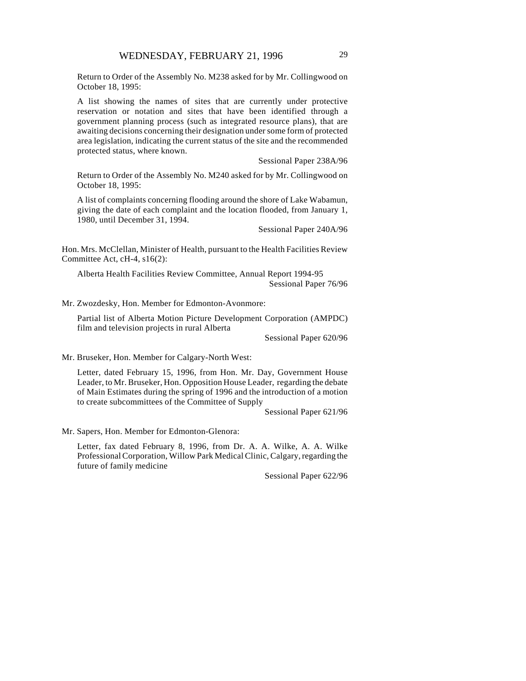Return to Order of the Assembly No. M238 asked for by Mr. Collingwood on October 18, 1995:

A list showing the names of sites that are currently under protective reservation or notation and sites that have been identified through a government planning process (such as integrated resource plans), that are awaiting decisions concerning their designation under some form of protected area legislation, indicating the current status of the site and the recommended protected status, where known.

Sessional Paper 238A/96

Return to Order of the Assembly No. M240 asked for by Mr. Collingwood on October 18, 1995:

A list of complaints concerning flooding around the shore of Lake Wabamun, giving the date of each complaint and the location flooded, from January 1, 1980, until December 31, 1994.

Sessional Paper 240A/96

Hon. Mrs. McClellan, Minister of Health, pursuant to the Health Facilities Review Committee Act, cH-4, s16(2):

Alberta Health Facilities Review Committee, Annual Report 1994-95 Sessional Paper 76/96

Mr. Zwozdesky, Hon. Member for Edmonton-Avonmore:

Partial list of Alberta Motion Picture Development Corporation (AMPDC) film and television projects in rural Alberta

Sessional Paper 620/96

Mr. Bruseker, Hon. Member for Calgary-North West:

Letter, dated February 15, 1996, from Hon. Mr. Day, Government House Leader, to Mr. Bruseker, Hon. Opposition House Leader, regarding the debate of Main Estimates during the spring of 1996 and the introduction of a motion to create subcommittees of the Committee of Supply

Sessional Paper 621/96

Mr. Sapers, Hon. Member for Edmonton-Glenora:

Letter, fax dated February 8, 1996, from Dr. A. A. Wilke, A. A. Wilke Professional Corporation, Willow Park Medical Clinic, Calgary, regarding the future of family medicine

Sessional Paper 622/96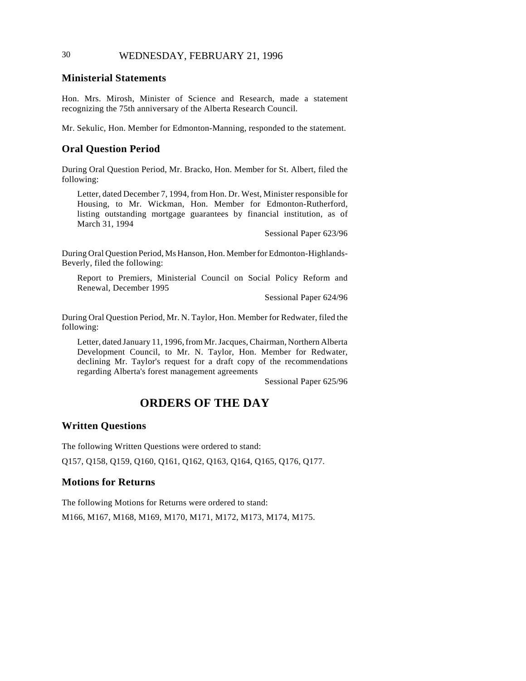## 30 WEDNESDAY, FEBRUARY 21, 1996

## **Ministerial Statements**

Hon. Mrs. Mirosh, Minister of Science and Research, made a statement recognizing the 75th anniversary of the Alberta Research Council.

Mr. Sekulic, Hon. Member for Edmonton-Manning, responded to the statement.

## **Oral Question Period**

During Oral Question Period, Mr. Bracko, Hon. Member for St. Albert, filed the following:

Letter, dated December 7, 1994, from Hon. Dr. West, Minister responsible for Housing, to Mr. Wickman, Hon. Member for Edmonton-Rutherford, listing outstanding mortgage guarantees by financial institution, as of March 31, 1994

Sessional Paper 623/96

During Oral Question Period, Ms Hanson, Hon. Member for Edmonton-Highlands-Beverly, filed the following:

Report to Premiers, Ministerial Council on Social Policy Reform and Renewal, December 1995

Sessional Paper 624/96

During Oral Question Period, Mr. N. Taylor, Hon. Member for Redwater, filed the following:

Letter, dated January 11, 1996, from Mr. Jacques, Chairman, Northern Alberta Development Council, to Mr. N. Taylor, Hon. Member for Redwater, declining Mr. Taylor's request for a draft copy of the recommendations regarding Alberta's forest management agreements

Sessional Paper 625/96

## **ORDERS OF THE DAY**

## **Written Questions**

The following Written Questions were ordered to stand:

Q157, Q158, Q159, Q160, Q161, Q162, Q163, Q164, Q165, Q176, Q177.

#### **Motions for Returns**

The following Motions for Returns were ordered to stand:

M166, M167, M168, M169, M170, M171, M172, M173, M174, M175.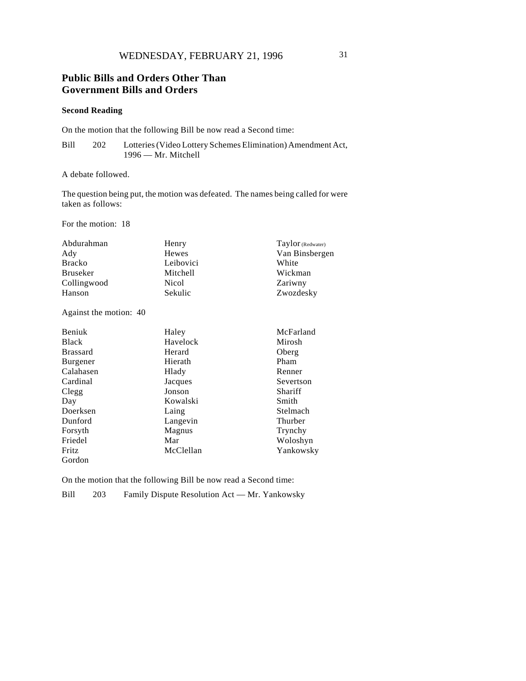## **Public Bills and Orders Other Than Government Bills and Orders**

#### **Second Reading**

On the motion that the following Bill be now read a Second time:

Bill 202 Lotteries (Video Lottery Schemes Elimination) Amendment Act, 1996 — Mr. Mitchell

A debate followed.

The question being put, the motion was defeated. The names being called for were taken as follows:

For the motion: 18

| Abdurahman      | Henry     | Taylor (Redwater) |
|-----------------|-----------|-------------------|
| Ady             | Hewes     | Van Binsbergen    |
| <b>Bracko</b>   | Leibovici | White             |
| <b>Bruseker</b> | Mitchell  | Wickman           |
| Collingwood     | Nicol     | Zariwny           |
| Hanson          | Sekulic   | Zwozdesky         |

Against the motion: 40

| <b>Beniuk</b>   | Haley     | McFarland |
|-----------------|-----------|-----------|
| <b>Black</b>    | Havelock  | Mirosh    |
| <b>Brassard</b> | Herard    | Oberg     |
| Burgener        | Hierath   | Pham      |
| Calahasen       | Hlady     | Renner    |
| Cardinal        | Jacques   | Severtson |
| Clegg           | Jonson    | Shariff   |
| Day             | Kowalski  | Smith     |
| Doerksen        | Laing     | Stelmach  |
| Dunford         | Langevin  | Thurber   |
| Forsyth         | Magnus    | Trynchy   |
| Friedel         | Mar       | Woloshyn  |
| Fritz           | McClellan | Yankowsky |
| Gordon          |           |           |

On the motion that the following Bill be now read a Second time:

Bill 203 Family Dispute Resolution Act — Mr. Yankowsky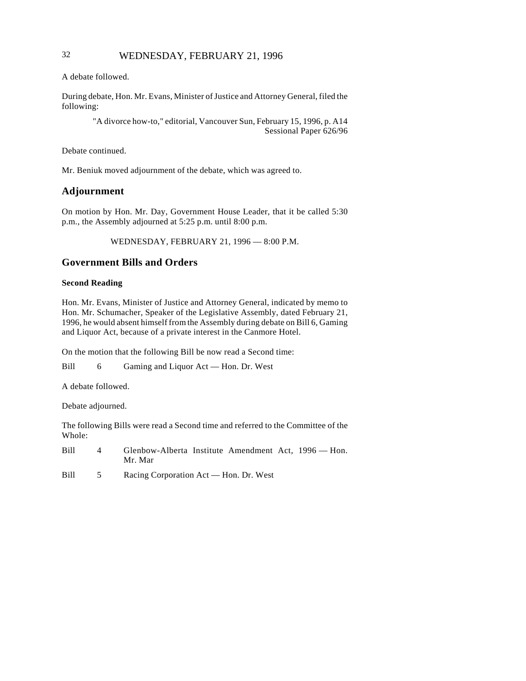## 32 WEDNESDAY, FEBRUARY 21, 1996

A debate followed.

During debate, Hon. Mr. Evans, Minister of Justice and Attorney General, filed the following:

> "A divorce how-to," editorial, Vancouver Sun, February 15, 1996, p. A14 Sessional Paper 626/96

Debate continued.

Mr. Beniuk moved adjournment of the debate, which was agreed to.

## **Adjournment**

On motion by Hon. Mr. Day, Government House Leader, that it be called 5:30 p.m., the Assembly adjourned at 5:25 p.m. until 8:00 p.m.

WEDNESDAY, FEBRUARY 21, 1996 — 8:00 P.M.

## **Government Bills and Orders**

#### **Second Reading**

Hon. Mr. Evans, Minister of Justice and Attorney General, indicated by memo to Hon. Mr. Schumacher, Speaker of the Legislative Assembly, dated February 21, 1996, he would absent himself from the Assembly during debate on Bill 6, Gaming and Liquor Act, because of a private interest in the Canmore Hotel.

On the motion that the following Bill be now read a Second time:

Bill 6 Gaming and Liquor Act — Hon. Dr. West

A debate followed.

Debate adjourned.

The following Bills were read a Second time and referred to the Committee of the Whole:

Bill 4 Glenbow-Alberta Institute Amendment Act, 1996 — Hon. Mr. Mar

Bill 5 Racing Corporation Act — Hon. Dr. West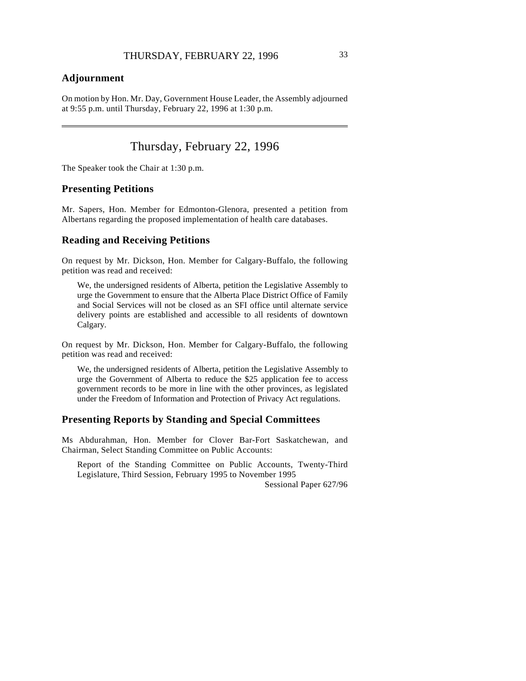## **Adjournment**

 $\overline{\phantom{a}}$ 

On motion by Hon. Mr. Day, Government House Leader, the Assembly adjourned at 9:55 p.m. until Thursday, February 22, 1996 at 1:30 p.m.

## Thursday, February 22, 1996

The Speaker took the Chair at 1:30 p.m.

## **Presenting Petitions**

Mr. Sapers, Hon. Member for Edmonton-Glenora, presented a petition from Albertans regarding the proposed implementation of health care databases.

## **Reading and Receiving Petitions**

On request by Mr. Dickson, Hon. Member for Calgary-Buffalo, the following petition was read and received:

We, the undersigned residents of Alberta, petition the Legislative Assembly to urge the Government to ensure that the Alberta Place District Office of Family and Social Services will not be closed as an SFI office until alternate service delivery points are established and accessible to all residents of downtown Calgary.

On request by Mr. Dickson, Hon. Member for Calgary-Buffalo, the following petition was read and received:

We, the undersigned residents of Alberta, petition the Legislative Assembly to urge the Government of Alberta to reduce the \$25 application fee to access government records to be more in line with the other provinces, as legislated under the Freedom of Information and Protection of Privacy Act regulations.

#### **Presenting Reports by Standing and Special Committees**

Ms Abdurahman, Hon. Member for Clover Bar-Fort Saskatchewan, and Chairman, Select Standing Committee on Public Accounts:

Report of the Standing Committee on Public Accounts, Twenty-Third Legislature, Third Session, February 1995 to November 1995

Sessional Paper 627/96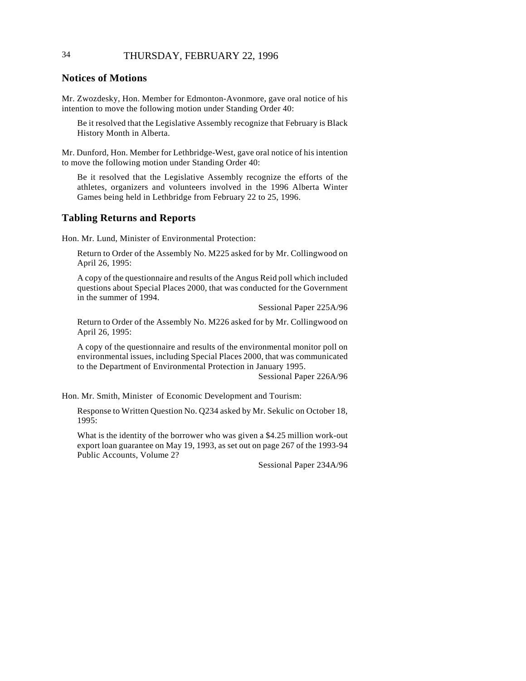# 34 THURSDAY, FEBRUARY 22, 1996

## **Notices of Motions**

Mr. Zwozdesky, Hon. Member for Edmonton-Avonmore, gave oral notice of his intention to move the following motion under Standing Order 40:

Be it resolved that the Legislative Assembly recognize that February is Black History Month in Alberta.

Mr. Dunford, Hon. Member for Lethbridge-West, gave oral notice of his intention to move the following motion under Standing Order 40:

Be it resolved that the Legislative Assembly recognize the efforts of the athletes, organizers and volunteers involved in the 1996 Alberta Winter Games being held in Lethbridge from February 22 to 25, 1996.

## **Tabling Returns and Reports**

Hon. Mr. Lund, Minister of Environmental Protection:

Return to Order of the Assembly No. M225 asked for by Mr. Collingwood on April 26, 1995:

A copy of the questionnaire and results of the Angus Reid poll which included questions about Special Places 2000, that was conducted for the Government in the summer of 1994.

Sessional Paper 225A/96

Return to Order of the Assembly No. M226 asked for by Mr. Collingwood on April 26, 1995:

A copy of the questionnaire and results of the environmental monitor poll on environmental issues, including Special Places 2000, that was communicated to the Department of Environmental Protection in January 1995.

Sessional Paper 226A/96

Hon. Mr. Smith, Minister of Economic Development and Tourism:

Response to Written Question No. Q234 asked by Mr. Sekulic on October 18, 1995:

What is the identity of the borrower who was given a \$4.25 million work-out export loan guarantee on May 19, 1993, as set out on page 267 of the 1993-94 Public Accounts, Volume 2?

Sessional Paper 234A/96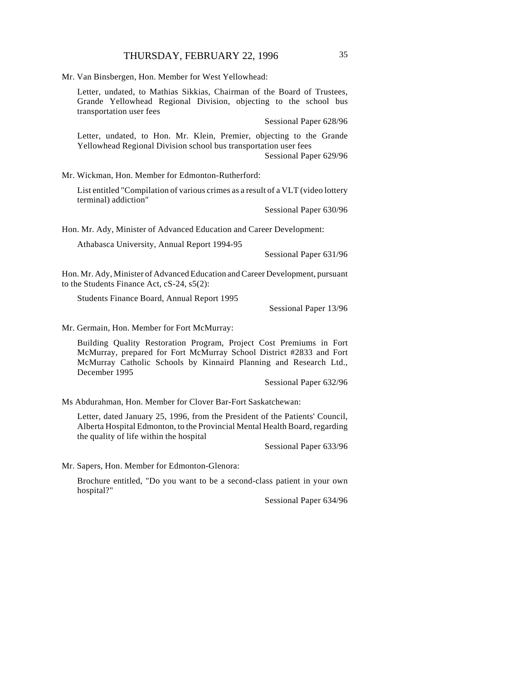Mr. Van Binsbergen, Hon. Member for West Yellowhead:

Letter, undated, to Mathias Sikkias, Chairman of the Board of Trustees, Grande Yellowhead Regional Division, objecting to the school bus transportation user fees

Sessional Paper 628/96

Letter, undated, to Hon. Mr. Klein, Premier, objecting to the Grande Yellowhead Regional Division school bus transportation user fees Sessional Paper 629/96

Mr. Wickman, Hon. Member for Edmonton-Rutherford:

List entitled "Compilation of various crimes as a result of a VLT (video lottery terminal) addiction"

Sessional Paper 630/96

Hon. Mr. Ady, Minister of Advanced Education and Career Development:

Athabasca University, Annual Report 1994-95

Sessional Paper 631/96

Hon. Mr. Ady, Minister of Advanced Education and Career Development, pursuant to the Students Finance Act, cS-24, s5(2):

Students Finance Board, Annual Report 1995

Sessional Paper 13/96

Mr. Germain, Hon. Member for Fort McMurray:

Building Quality Restoration Program, Project Cost Premiums in Fort McMurray, prepared for Fort McMurray School District #2833 and Fort McMurray Catholic Schools by Kinnaird Planning and Research Ltd., December 1995

Sessional Paper 632/96

Ms Abdurahman, Hon. Member for Clover Bar-Fort Saskatchewan:

Letter, dated January 25, 1996, from the President of the Patients' Council, Alberta Hospital Edmonton, to the Provincial Mental Health Board, regarding the quality of life within the hospital

Sessional Paper 633/96

Mr. Sapers, Hon. Member for Edmonton-Glenora:

Brochure entitled, "Do you want to be a second-class patient in your own hospital?"

Sessional Paper 634/96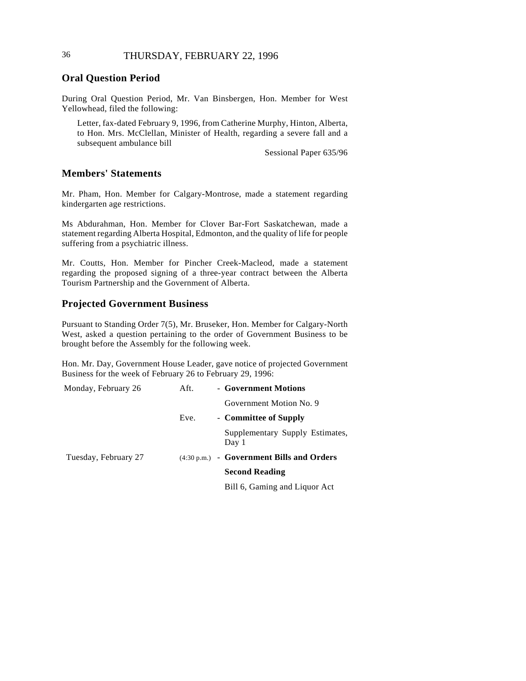# 36 THURSDAY, FEBRUARY 22, 1996

## **Oral Question Period**

During Oral Question Period, Mr. Van Binsbergen, Hon. Member for West Yellowhead, filed the following:

Letter, fax-dated February 9, 1996, from Catherine Murphy, Hinton, Alberta, to Hon. Mrs. McClellan, Minister of Health, regarding a severe fall and a subsequent ambulance bill

Sessional Paper 635/96

## **Members' Statements**

Mr. Pham, Hon. Member for Calgary-Montrose, made a statement regarding kindergarten age restrictions.

Ms Abdurahman, Hon. Member for Clover Bar-Fort Saskatchewan, made a statement regarding Alberta Hospital, Edmonton, and the quality of life for people suffering from a psychiatric illness.

Mr. Coutts, Hon. Member for Pincher Creek-Macleod, made a statement regarding the proposed signing of a three-year contract between the Alberta Tourism Partnership and the Government of Alberta.

## **Projected Government Business**

Pursuant to Standing Order 7(5), Mr. Bruseker, Hon. Member for Calgary-North West, asked a question pertaining to the order of Government Business to be brought before the Assembly for the following week.

Hon. Mr. Day, Government House Leader, gave notice of projected Government Business for the week of February 26 to February 29, 1996:

| Monday, February 26  | Aft. | - Government Motions                                |
|----------------------|------|-----------------------------------------------------|
|                      |      | Government Motion No. 9                             |
|                      | Eve. | - Committee of Supply                               |
|                      |      | Supplementary Supply Estimates,<br>Day 1            |
| Tuesday, February 27 |      | $(4:30 \text{ p.m.})$ - Government Bills and Orders |
|                      |      | <b>Second Reading</b>                               |
|                      |      | Bill 6, Gaming and Liquor Act                       |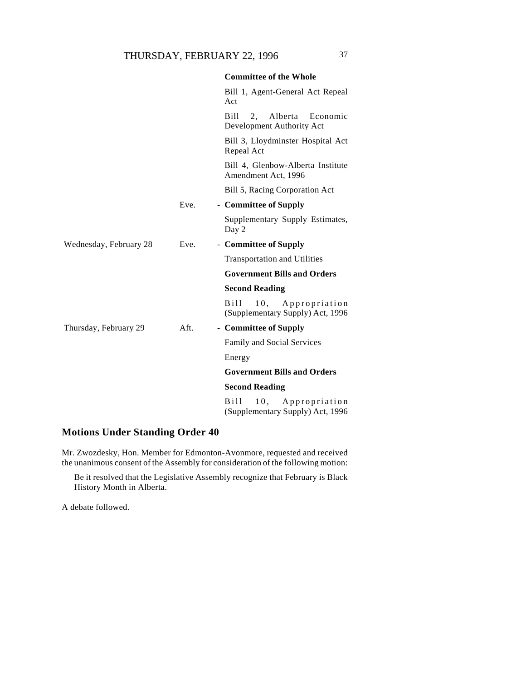|                        |      | <b>Committee of the Whole</b>                                                |
|------------------------|------|------------------------------------------------------------------------------|
|                        |      | Bill 1, Agent-General Act Repeal<br>Act                                      |
|                        |      | Bill<br>2.<br>Alberta<br>Economic<br>Development Authority Act               |
|                        |      | Bill 3, Lloydminster Hospital Act<br>Repeal Act                              |
|                        |      | Bill 4, Glenbow-Alberta Institute<br>Amendment Act, 1996                     |
|                        |      | Bill 5, Racing Corporation Act                                               |
|                        | Eve. | - Committee of Supply                                                        |
|                        |      | Supplementary Supply Estimates,<br>Day 2                                     |
| Wednesday, February 28 | Eve. | - Committee of Supply                                                        |
|                        |      | <b>Transportation and Utilities</b>                                          |
|                        |      | <b>Government Bills and Orders</b>                                           |
|                        |      | <b>Second Reading</b>                                                        |
|                        |      | 10,<br>B <sub>111</sub><br>Appropriation<br>(Supplementary Supply) Act, 1996 |
| Thursday, February 29  | Aft. | - Committee of Supply                                                        |
|                        |      | Family and Social Services                                                   |
|                        |      | Energy                                                                       |
|                        |      | <b>Government Bills and Orders</b>                                           |
|                        |      | <b>Second Reading</b>                                                        |
|                        |      | <b>Bill</b><br>10.<br>Appropriation<br>(Supplementary Supply) Act, 1996      |

# **Motions Under Standing Order 40**

Mr. Zwozdesky, Hon. Member for Edmonton-Avonmore, requested and received the unanimous consent of the Assembly for consideration of the following motion:

Be it resolved that the Legislative Assembly recognize that February is Black History Month in Alberta.

A debate followed.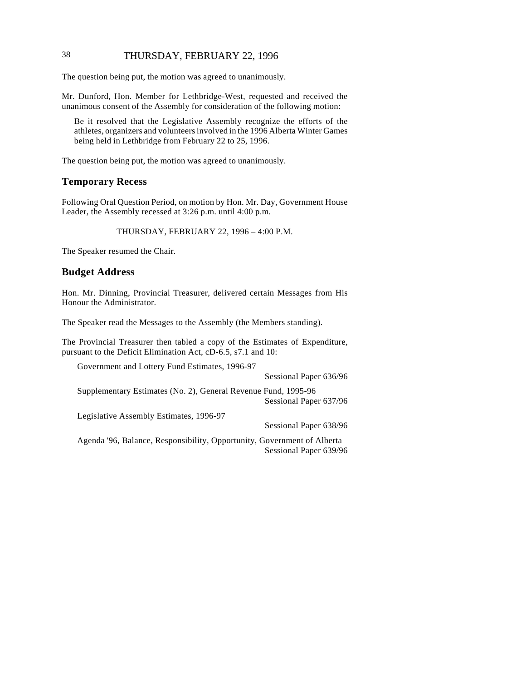# 38 THURSDAY, FEBRUARY 22, 1996

The question being put, the motion was agreed to unanimously.

Mr. Dunford, Hon. Member for Lethbridge-West, requested and received the unanimous consent of the Assembly for consideration of the following motion:

Be it resolved that the Legislative Assembly recognize the efforts of the athletes, organizers and volunteers involved in the 1996 Alberta Winter Games being held in Lethbridge from February 22 to 25, 1996.

The question being put, the motion was agreed to unanimously.

## **Temporary Recess**

Following Oral Question Period, on motion by Hon. Mr. Day, Government House Leader, the Assembly recessed at 3:26 p.m. until 4:00 p.m.

#### THURSDAY, FEBRUARY 22, 1996 – 4:00 P.M.

The Speaker resumed the Chair.

### **Budget Address**

Hon. Mr. Dinning, Provincial Treasurer, delivered certain Messages from His Honour the Administrator.

The Speaker read the Messages to the Assembly (the Members standing).

The Provincial Treasurer then tabled a copy of the Estimates of Expenditure, pursuant to the Deficit Elimination Act, cD-6.5, s7.1 and 10:

| Government and Lottery Fund Estimates, 1996-97                          |                        |
|-------------------------------------------------------------------------|------------------------|
|                                                                         | Sessional Paper 636/96 |
| Supplementary Estimates (No. 2), General Revenue Fund, 1995-96          |                        |
|                                                                         | Sessional Paper 637/96 |
| Legislative Assembly Estimates, 1996-97                                 |                        |
|                                                                         | Sessional Paper 638/96 |
| Agenda '96, Balance, Responsibility, Opportunity, Government of Alberta | Sessional Paper 639/96 |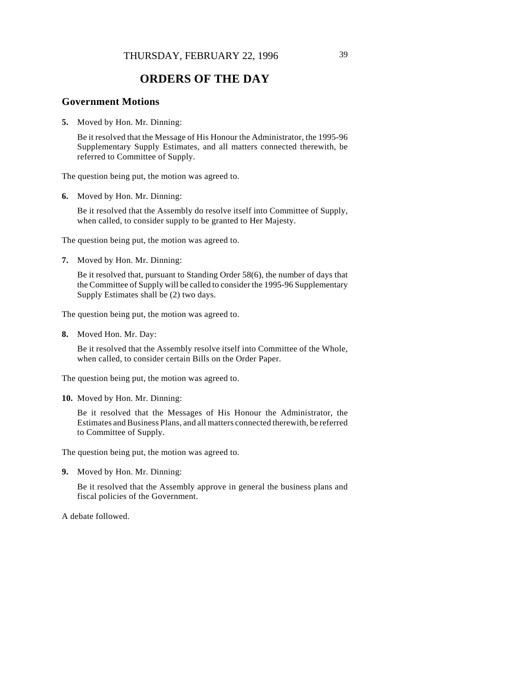# **ORDERS OF THE DAY**

## **Government Motions**

**5.** Moved by Hon. Mr. Dinning:

Be it resolved that the Message of His Honour the Administrator, the 1995-96 Supplementary Supply Estimates, and all matters connected therewith, be referred to Committee of Supply.

The question being put, the motion was agreed to.

**6.** Moved by Hon. Mr. Dinning:

Be it resolved that the Assembly do resolve itself into Committee of Supply, when called, to consider supply to be granted to Her Majesty.

The question being put, the motion was agreed to.

**7.** Moved by Hon. Mr. Dinning:

Be it resolved that, pursuant to Standing Order 58(6), the number of days that the Committee of Supply will be called to consider the 1995-96 Supplementary Supply Estimates shall be (2) two days.

The question being put, the motion was agreed to.

**8.** Moved Hon. Mr. Day:

Be it resolved that the Assembly resolve itself into Committee of the Whole, when called, to consider certain Bills on the Order Paper.

The question being put, the motion was agreed to.

**10.** Moved by Hon. Mr. Dinning:

Be it resolved that the Messages of His Honour the Administrator, the Estimates and Business Plans, and all matters connected therewith, be referred to Committee of Supply.

The question being put, the motion was agreed to.

**9.** Moved by Hon. Mr. Dinning:

Be it resolved that the Assembly approve in general the business plans and fiscal policies of the Government.

A debate followed.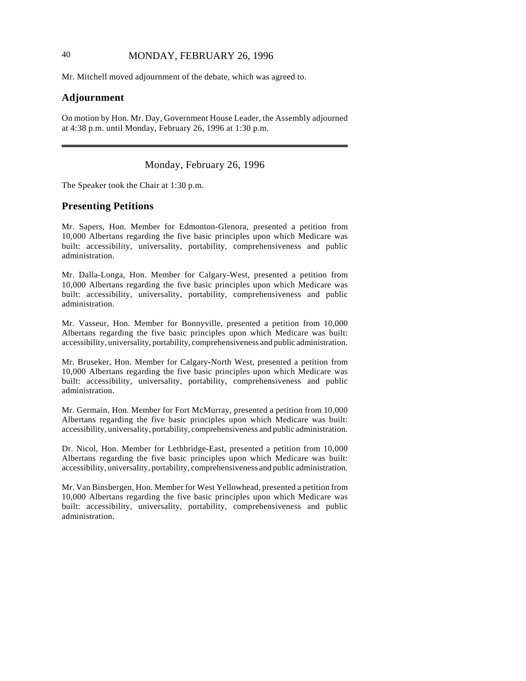# 40 MONDAY, FEBRUARY 26, 1996

Mr. Mitchell moved adjournment of the debate, which was agreed to.

### **Adjournment**

 $\overline{\phantom{a}}$ 

On motion by Hon. Mr. Day, Government House Leader, the Assembly adjourned at 4:38 p.m. until Monday, February 26, 1996 at 1:30 p.m.

## Monday, February 26, 1996

The Speaker took the Chair at 1:30 p.m.

#### **Presenting Petitions**

Mr. Sapers, Hon. Member for Edmonton-Glenora, presented a petition from 10,000 Albertans regarding the five basic principles upon which Medicare was built: accessibility, universality, portability, comprehensiveness and public administration.

Mr. Dalla-Longa, Hon. Member for Calgary-West, presented a petition from 10,000 Albertans regarding the five basic principles upon which Medicare was built: accessibility, universality, portability, comprehensiveness and public administration.

Mr. Vasseur, Hon. Member for Bonnyville, presented a petition from 10,000 Albertans regarding the five basic principles upon which Medicare was built: accessibility, universality, portability, comprehensiveness and public administration.

Mr. Bruseker, Hon. Member for Calgary-North West, presented a petition from 10,000 Albertans regarding the five basic principles upon which Medicare was built: accessibility, universality, portability, comprehensiveness and public administration.

Mr. Germain, Hon. Member for Fort McMurray, presented a petition from 10,000 Albertans regarding the five basic principles upon which Medicare was built: accessibility, universality, portability, comprehensiveness and public administration.

Dr. Nicol, Hon. Member for Lethbridge-East, presented a petition from 10,000 Albertans regarding the five basic principles upon which Medicare was built: accessibility, universality, portability, comprehensiveness and public administration.

Mr. Van Binsbergen, Hon. Member for West Yellowhead, presented a petition from 10,000 Albertans regarding the five basic principles upon which Medicare was built: accessibility, universality, portability, comprehensiveness and public administration.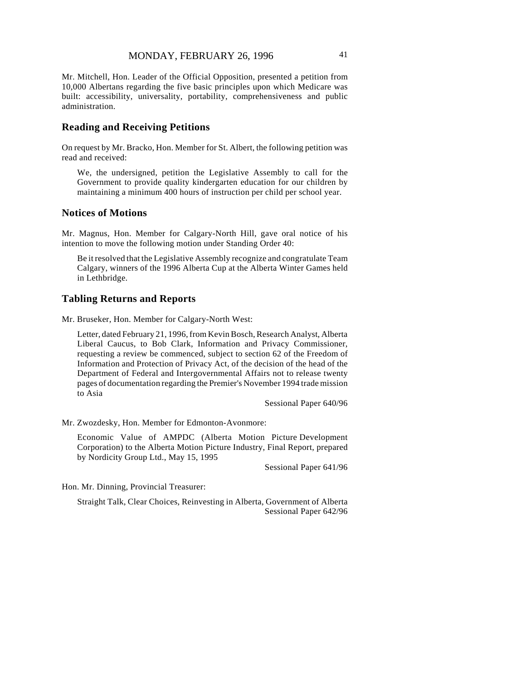Mr. Mitchell, Hon. Leader of the Official Opposition, presented a petition from 10,000 Albertans regarding the five basic principles upon which Medicare was built: accessibility, universality, portability, comprehensiveness and public administration.

## **Reading and Receiving Petitions**

On request by Mr. Bracko, Hon. Member for St. Albert, the following petition was read and received:

We, the undersigned, petition the Legislative Assembly to call for the Government to provide quality kindergarten education for our children by maintaining a minimum 400 hours of instruction per child per school year.

## **Notices of Motions**

Mr. Magnus, Hon. Member for Calgary-North Hill, gave oral notice of his intention to move the following motion under Standing Order 40:

Be it resolved that the Legislative Assembly recognize and congratulate Team Calgary, winners of the 1996 Alberta Cup at the Alberta Winter Games held in Lethbridge.

# **Tabling Returns and Reports**

Mr. Bruseker, Hon. Member for Calgary-North West:

Letter, dated February 21, 1996, from Kevin Bosch, Research Analyst, Alberta Liberal Caucus, to Bob Clark, Information and Privacy Commissioner, requesting a review be commenced, subject to section 62 of the Freedom of Information and Protection of Privacy Act, of the decision of the head of the Department of Federal and Intergovernmental Affairs not to release twenty pages of documentation regarding the Premier's November 1994 trade mission to Asia

Sessional Paper 640/96

Mr. Zwozdesky, Hon. Member for Edmonton-Avonmore:

 Economic Value of AMPDC (Alberta Motion Picture Development Corporation) to the Alberta Motion Picture Industry, Final Report, prepared by Nordicity Group Ltd., May 15, 1995

Sessional Paper 641/96

Hon. Mr. Dinning, Provincial Treasurer:

Straight Talk, Clear Choices, Reinvesting in Alberta, Government of Alberta Sessional Paper 642/96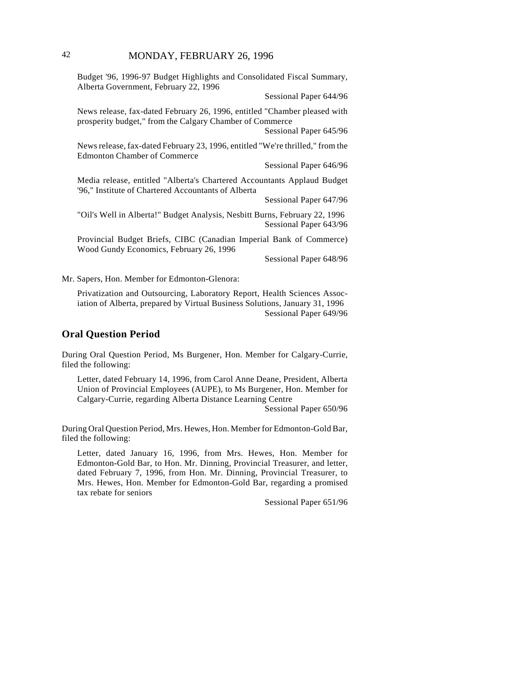## 42 MONDAY, FEBRUARY 26, 1996

Budget '96, 1996-97 Budget Highlights and Consolidated Fiscal Summary, Alberta Government, February 22, 1996

Sessional Paper 644/96

News release, fax-dated February 26, 1996, entitled "Chamber pleased with prosperity budget," from the Calgary Chamber of Commerce

Sessional Paper 645/96

News release, fax-dated February 23, 1996, entitled "We're thrilled," from the Edmonton Chamber of Commerce

Sessional Paper 646/96

Media release, entitled "Alberta's Chartered Accountants Applaud Budget '96," Institute of Chartered Accountants of Alberta

Sessional Paper 647/96

"Oil's Well in Alberta!" Budget Analysis, Nesbitt Burns, February 22, 1996 Sessional Paper 643/96

Provincial Budget Briefs, CIBC (Canadian Imperial Bank of Commerce) Wood Gundy Economics, February 26, 1996

Sessional Paper 648/96

Mr. Sapers, Hon. Member for Edmonton-Glenora:

Privatization and Outsourcing, Laboratory Report, Health Sciences Association of Alberta, prepared by Virtual Business Solutions, January 31, 1996 Sessional Paper 649/96

#### **Oral Question Period**

During Oral Question Period, Ms Burgener, Hon. Member for Calgary-Currie, filed the following:

Letter, dated February 14, 1996, from Carol Anne Deane, President, Alberta Union of Provincial Employees (AUPE), to Ms Burgener, Hon. Member for Calgary-Currie, regarding Alberta Distance Learning Centre

Sessional Paper 650/96

During Oral Question Period, Mrs. Hewes, Hon. Member for Edmonton-Gold Bar, filed the following:

Letter, dated January 16, 1996, from Mrs. Hewes, Hon. Member for Edmonton-Gold Bar, to Hon. Mr. Dinning, Provincial Treasurer, and letter, dated February 7, 1996, from Hon. Mr. Dinning, Provincial Treasurer, to Mrs. Hewes, Hon. Member for Edmonton-Gold Bar, regarding a promised tax rebate for seniors

Sessional Paper 651/96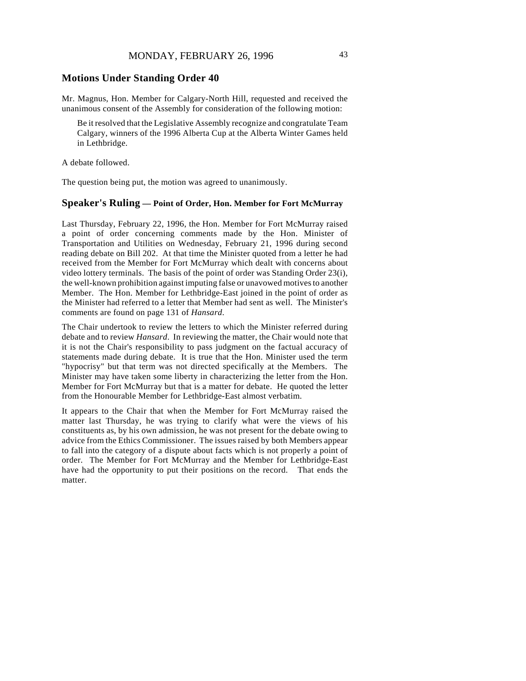## **Motions Under Standing Order 40**

Mr. Magnus, Hon. Member for Calgary-North Hill, requested and received the unanimous consent of the Assembly for consideration of the following motion:

Be it resolved that the Legislative Assembly recognize and congratulate Team Calgary, winners of the 1996 Alberta Cup at the Alberta Winter Games held in Lethbridge.

A debate followed.

The question being put, the motion was agreed to unanimously.

## **Speaker's Ruling — Point of Order, Hon. Member for Fort McMurray**

Last Thursday, February 22, 1996, the Hon. Member for Fort McMurray raised a point of order concerning comments made by the Hon. Minister of Transportation and Utilities on Wednesday, February 21, 1996 during second reading debate on Bill 202. At that time the Minister quoted from a letter he had received from the Member for Fort McMurray which dealt with concerns about video lottery terminals. The basis of the point of order was Standing Order 23(i), the well-known prohibition against imputing false or unavowed motives to another Member. The Hon. Member for Lethbridge-East joined in the point of order as the Minister had referred to a letter that Member had sent as well. The Minister's comments are found on page 131 of *Hansard*.

The Chair undertook to review the letters to which the Minister referred during debate and to review *Hansard*. In reviewing the matter, the Chair would note that it is not the Chair's responsibility to pass judgment on the factual accuracy of statements made during debate. It is true that the Hon. Minister used the term "hypocrisy" but that term was not directed specifically at the Members. The Minister may have taken some liberty in characterizing the letter from the Hon. Member for Fort McMurray but that is a matter for debate. He quoted the letter from the Honourable Member for Lethbridge-East almost verbatim.

It appears to the Chair that when the Member for Fort McMurray raised the matter last Thursday, he was trying to clarify what were the views of his constituents as, by his own admission, he was not present for the debate owing to advice from the Ethics Commissioner. The issues raised by both Members appear to fall into the category of a dispute about facts which is not properly a point of order. The Member for Fort McMurray and the Member for Lethbridge-East have had the opportunity to put their positions on the record. That ends the matter.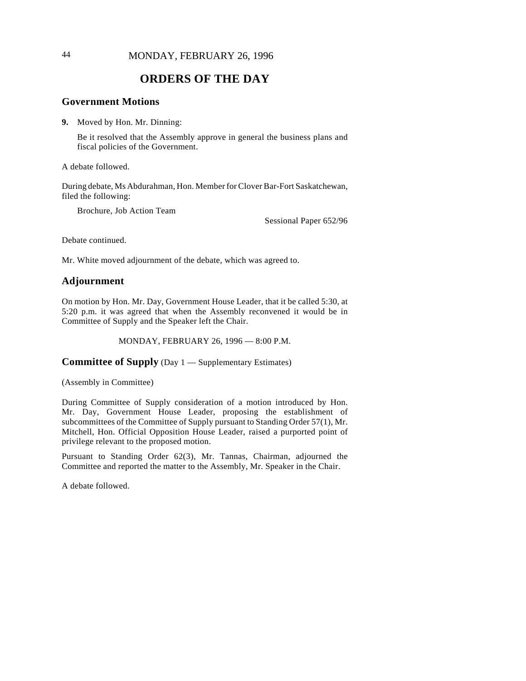## 44 MONDAY, FEBRUARY 26, 1996

# **ORDERS OF THE DAY**

## **Government Motions**

**9.** Moved by Hon. Mr. Dinning:

Be it resolved that the Assembly approve in general the business plans and fiscal policies of the Government.

A debate followed.

During debate, Ms Abdurahman, Hon. Member for Clover Bar-Fort Saskatchewan, filed the following:

Brochure, Job Action Team

Sessional Paper 652/96

Debate continued.

Mr. White moved adjournment of the debate, which was agreed to.

## **Adjournment**

On motion by Hon. Mr. Day, Government House Leader, that it be called 5:30, at 5:20 p.m. it was agreed that when the Assembly reconvened it would be in Committee of Supply and the Speaker left the Chair.

MONDAY, FEBRUARY 26, 1996 — 8:00 P.M.

## **Committee of Supply** (Day 1 — Supplementary Estimates)

(Assembly in Committee)

During Committee of Supply consideration of a motion introduced by Hon. Mr. Day, Government House Leader, proposing the establishment of subcommittees of the Committee of Supply pursuant to Standing Order 57(1), Mr. Mitchell, Hon. Official Opposition House Leader, raised a purported point of privilege relevant to the proposed motion.

Pursuant to Standing Order 62(3), Mr. Tannas, Chairman, adjourned the Committee and reported the matter to the Assembly, Mr. Speaker in the Chair.

A debate followed.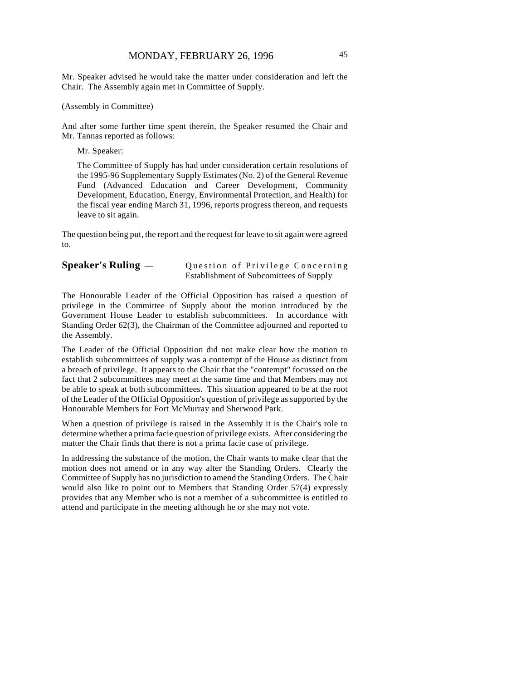Mr. Speaker advised he would take the matter under consideration and left the Chair. The Assembly again met in Committee of Supply.

(Assembly in Committee)

And after some further time spent therein, the Speaker resumed the Chair and Mr. Tannas reported as follows:

Mr. Speaker:

The Committee of Supply has had under consideration certain resolutions of the 1995-96 Supplementary Supply Estimates (No. 2) of the General Revenue Fund (Advanced Education and Career Development, Community Development, Education, Energy, Environmental Protection, and Health) for the fiscal year ending March 31, 1996, reports progress thereon, and requests leave to sit again.

The question being put, the report and the request for leave to sit again were agreed to.

### **Speaker's Ruling** — Question of Privilege Concerning Establishment of Subcomittees of Supply

The Honourable Leader of the Official Opposition has raised a question of privilege in the Committee of Supply about the motion introduced by the Government House Leader to establish subcommittees. In accordance with Standing Order 62(3), the Chairman of the Committee adjourned and reported to the Assembly.

The Leader of the Official Opposition did not make clear how the motion to establish subcommittees of supply was a contempt of the House as distinct from a breach of privilege. It appears to the Chair that the "contempt" focussed on the fact that 2 subcommittees may meet at the same time and that Members may not be able to speak at both subcommittees. This situation appeared to be at the root of the Leader of the Official Opposition's question of privilege as supported by the Honourable Members for Fort McMurray and Sherwood Park.

When a question of privilege is raised in the Assembly it is the Chair's role to determine whether a prima facie question of privilege exists. After considering the matter the Chair finds that there is not a prima facie case of privilege.

In addressing the substance of the motion, the Chair wants to make clear that the motion does not amend or in any way alter the Standing Orders. Clearly the Committee of Supply has no jurisdiction to amend the Standing Orders. The Chair would also like to point out to Members that Standing Order 57(4) expressly provides that any Member who is not a member of a subcommittee is entitled to attend and participate in the meeting although he or she may not vote.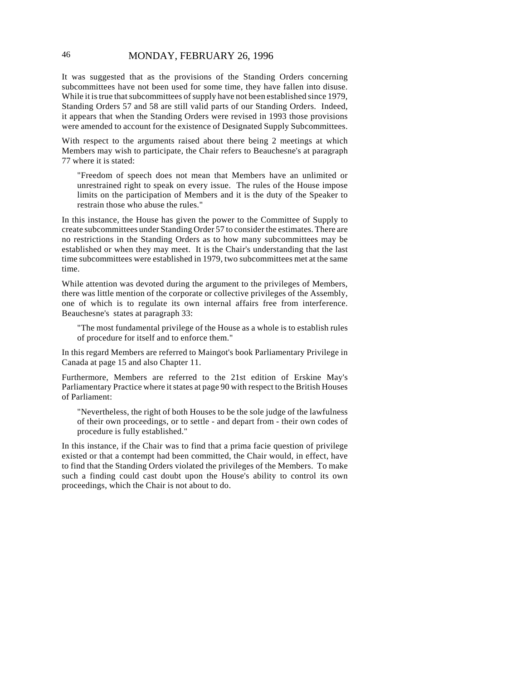## 46 MONDAY, FEBRUARY 26, 1996

It was suggested that as the provisions of the Standing Orders concerning subcommittees have not been used for some time, they have fallen into disuse. While it is true that subcommittees of supply have not been established since 1979, Standing Orders 57 and 58 are still valid parts of our Standing Orders. Indeed, it appears that when the Standing Orders were revised in 1993 those provisions were amended to account for the existence of Designated Supply Subcommittees.

With respect to the arguments raised about there being 2 meetings at which Members may wish to participate, the Chair refers to Beauchesne's at paragraph 77 where it is stated:

"Freedom of speech does not mean that Members have an unlimited or unrestrained right to speak on every issue. The rules of the House impose limits on the participation of Members and it is the duty of the Speaker to restrain those who abuse the rules."

In this instance, the House has given the power to the Committee of Supply to create subcommittees under Standing Order 57 to consider the estimates. There are no restrictions in the Standing Orders as to how many subcommittees may be established or when they may meet. It is the Chair's understanding that the last time subcommittees were established in 1979, two subcommittees met at the same time.

While attention was devoted during the argument to the privileges of Members, there was little mention of the corporate or collective privileges of the Assembly, one of which is to regulate its own internal affairs free from interference. Beauchesne's states at paragraph 33:

"The most fundamental privilege of the House as a whole is to establish rules of procedure for itself and to enforce them."

In this regard Members are referred to Maingot's book Parliamentary Privilege in Canada at page 15 and also Chapter 11.

Furthermore, Members are referred to the 21st edition of Erskine May's Parliamentary Practice where it states at page 90 with respect to the British Houses of Parliament:

"Nevertheless, the right of both Houses to be the sole judge of the lawfulness of their own proceedings, or to settle - and depart from - their own codes of procedure is fully established."

In this instance, if the Chair was to find that a prima facie question of privilege existed or that a contempt had been committed, the Chair would, in effect, have to find that the Standing Orders violated the privileges of the Members. To make such a finding could cast doubt upon the House's ability to control its own proceedings, which the Chair is not about to do.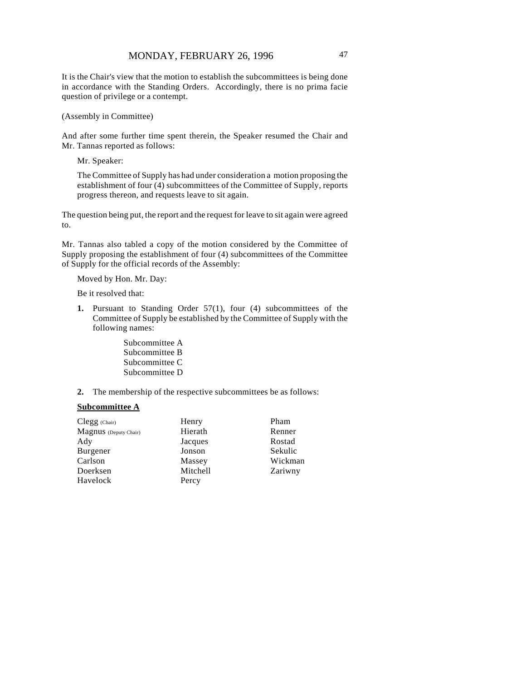It is the Chair's view that the motion to establish the subcommittees is being done in accordance with the Standing Orders. Accordingly, there is no prima facie question of privilege or a contempt.

(Assembly in Committee)

And after some further time spent therein, the Speaker resumed the Chair and Mr. Tannas reported as follows:

Mr. Speaker:

The Committee of Supply has had under consideration a motion proposing the establishment of four (4) subcommittees of the Committee of Supply, reports progress thereon, and requests leave to sit again.

The question being put, the report and the request for leave to sit again were agreed to.

Mr. Tannas also tabled a copy of the motion considered by the Committee of Supply proposing the establishment of four (4) subcommittees of the Committee of Supply for the official records of the Assembly:

Moved by Hon. Mr. Day:

Be it resolved that:

- **1.** Pursuant to Standing Order 57(1), four (4) subcommittees of the Committee of Supply be established by the Committee of Supply with the following names:
	- Subcommittee A Subcommittee B Subcommittee C Subcommittee D
- **2.** The membership of the respective subcommittees be as follows:

#### **Subcommittee A**

| $Clegg$ (Chair)       | Henry    | Pham    |
|-----------------------|----------|---------|
| Magnus (Deputy Chair) | Hierath  | Renner  |
| Ady                   | Jacques  | Rostad  |
| Burgener              | Jonson   | Sekulic |
| Carlson               | Massey   | Wickman |
| Doerksen              | Mitchell | Zariwny |
| Havelock              | Percy    |         |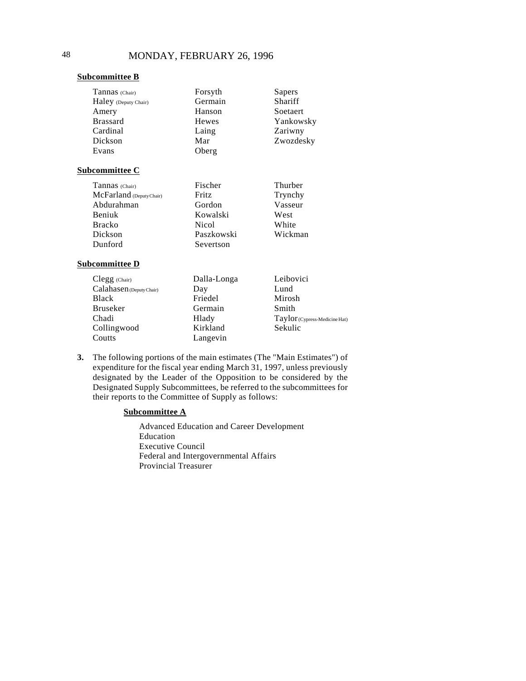#### **Subcommittee B**

| Tannas (Chair)           | Forsyth      | Sapers                                             |
|--------------------------|--------------|----------------------------------------------------|
| Haley (Deputy Chair)     | Germain      | Shariff                                            |
| Amery                    | Hanson       | <b>Soetaert</b>                                    |
| <b>Brassard</b>          | Hewes        | Yankowsky                                          |
| Cardinal                 | Laing        | Zariwny                                            |
| Dickson                  | Mar          | Zwozdesky                                          |
| Evans                    | Oberg        |                                                    |
| <u>Subcommittee C</u>    |              |                                                    |
| Tannas (Chair)           | Fischer      | Thurber                                            |
| McFarland (Deputy Chair) | <b>Fritz</b> | Trynchy                                            |
| Abdurahman               | Gordon       | Vasseur                                            |
| Beniuk                   | Kowalski     | West                                               |
| <b>Bracko</b>            | <b>Nicol</b> | White                                              |
| Dickson                  | Paszkowski   | Wickman                                            |
| Dunford                  | Severtson    |                                                    |
| <b>Subcommittee D</b>    |              |                                                    |
| Clegg (Chair)            | Dalla-Longa  | Leibovici                                          |
| Calahasen (Deputy Chair) | Day          | Lund                                               |
| <b>Black</b>             | Friedel      | Mirosh                                             |
| <b>Bruseker</b>          | Germain      | Smith                                              |
| Chadi                    | Hlady        | $Taylor\left( \text{Cypress-Medicine Hat} \right)$ |
| Collingwood              | Kirkland     | Sekulic                                            |
| Coutts                   | Langevin     |                                                    |
|                          |              |                                                    |

**3.** The following portions of the main estimates (The "Main Estimates") of expenditure for the fiscal year ending March 31, 1997, unless previously designated by the Leader of the Opposition to be considered by the Designated Supply Subcommittees, be referred to the subcommittees for their reports to the Committee of Supply as follows:

## **Subcommittee A**

Advanced Education and Career Development Education Executive Council Federal and Intergovernmental Affairs Provincial Treasurer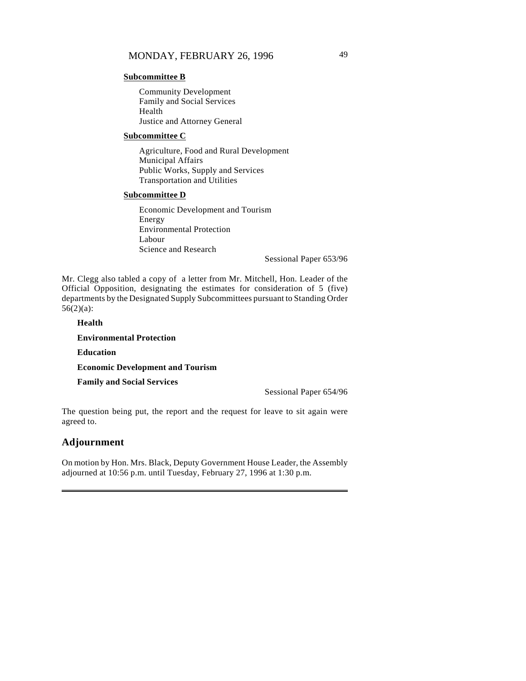#### **Subcommittee B**

Community Development Family and Social Services Health Justice and Attorney General

#### **Subcommittee C**

Agriculture, Food and Rural Development Municipal Affairs Public Works, Supply and Services Transportation and Utilities

#### **Subcommittee D**

Economic Development and Tourism Energy Environmental Protection Labour Science and Research

Sessional Paper 653/96

Mr. Clegg also tabled a copy of a letter from Mr. Mitchell, Hon. Leader of the Official Opposition, designating the estimates for consideration of 5 (five) departments by the Designated Supply Subcommittees pursuant to Standing Order  $56(2)(a)$ :

**Health**

#### **Environmental Protection**

**Education**

**Economic Development and Tourism**

**Family and Social Services**

Sessional Paper 654/96

The question being put, the report and the request for leave to sit again were agreed to.

## **Adjournment**

On motion by Hon. Mrs. Black, Deputy Government House Leader, the Assembly adjourned at 10:56 p.m. until Tuesday, February 27, 1996 at 1:30 p.m.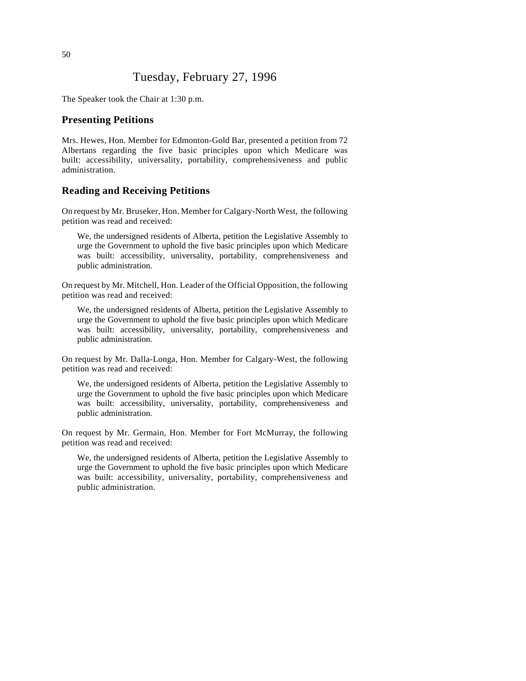# Tuesday, February 27, 1996

The Speaker took the Chair at 1:30 p.m.

### **Presenting Petitions**

Mrs. Hewes, Hon. Member for Edmonton-Gold Bar, presented a petition from 72 Albertans regarding the five basic principles upon which Medicare was built: accessibility, universality, portability, comprehensiveness and public administration.

## **Reading and Receiving Petitions**

On request by Mr. Bruseker, Hon. Member for Calgary-North West, the following petition was read and received:

We, the undersigned residents of Alberta, petition the Legislative Assembly to urge the Government to uphold the five basic principles upon which Medicare was built: accessibility, universality, portability, comprehensiveness and public administration.

On request by Mr. Mitchell, Hon. Leader of the Official Opposition, the following petition was read and received:

We, the undersigned residents of Alberta, petition the Legislative Assembly to urge the Government to uphold the five basic principles upon which Medicare was built: accessibility, universality, portability, comprehensiveness and public administration.

On request by Mr. Dalla-Longa, Hon. Member for Calgary-West, the following petition was read and received:

We, the undersigned residents of Alberta, petition the Legislative Assembly to urge the Government to uphold the five basic principles upon which Medicare was built: accessibility, universality, portability, comprehensiveness and public administration.

On request by Mr. Germain, Hon. Member for Fort McMurray, the following petition was read and received:

We, the undersigned residents of Alberta, petition the Legislative Assembly to urge the Government to uphold the five basic principles upon which Medicare was built: accessibility, universality, portability, comprehensiveness and public administration.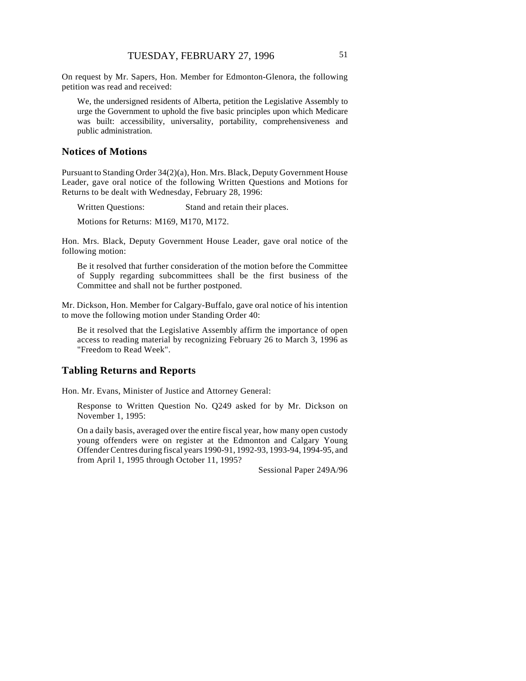On request by Mr. Sapers, Hon. Member for Edmonton-Glenora, the following petition was read and received:

We, the undersigned residents of Alberta, petition the Legislative Assembly to urge the Government to uphold the five basic principles upon which Medicare was built: accessibility, universality, portability, comprehensiveness and public administration.

#### **Notices of Motions**

Pursuant to Standing Order 34(2)(a), Hon. Mrs. Black, Deputy Government House Leader, gave oral notice of the following Written Questions and Motions for Returns to be dealt with Wednesday, February 28, 1996:

Written Questions: Stand and retain their places.

Motions for Returns: M169, M170, M172.

Hon. Mrs. Black, Deputy Government House Leader, gave oral notice of the following motion:

Be it resolved that further consideration of the motion before the Committee of Supply regarding subcommittees shall be the first business of the Committee and shall not be further postponed.

Mr. Dickson, Hon. Member for Calgary-Buffalo, gave oral notice of his intention to move the following motion under Standing Order 40:

Be it resolved that the Legislative Assembly affirm the importance of open access to reading material by recognizing February 26 to March 3, 1996 as "Freedom to Read Week".

### **Tabling Returns and Reports**

Hon. Mr. Evans, Minister of Justice and Attorney General:

Response to Written Question No. Q249 asked for by Mr. Dickson on November 1, 1995:

On a daily basis, averaged over the entire fiscal year, how many open custody young offenders were on register at the Edmonton and Calgary Young Offender Centres during fiscal years 1990-91, 1992-93, 1993-94, 1994-95, and from April 1, 1995 through October 11, 1995?

Sessional Paper 249A/96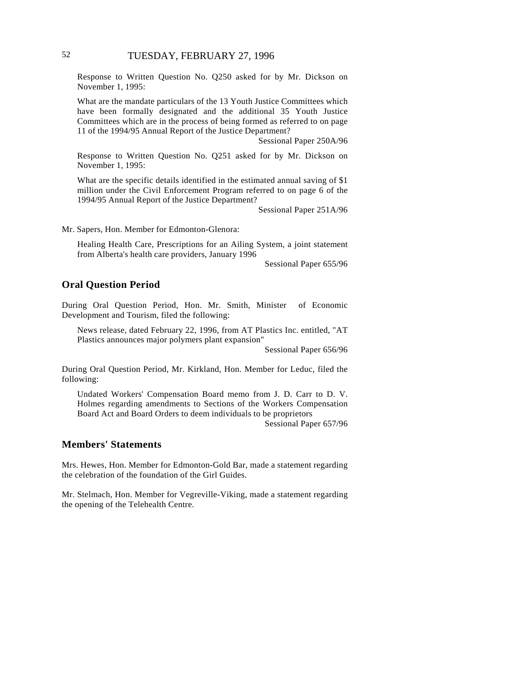Response to Written Question No. Q250 asked for by Mr. Dickson on November 1, 1995:

What are the mandate particulars of the 13 Youth Justice Committees which have been formally designated and the additional 35 Youth Justice Committees which are in the process of being formed as referred to on page 11 of the 1994/95 Annual Report of the Justice Department?

Sessional Paper 250A/96

Response to Written Question No. Q251 asked for by Mr. Dickson on November 1, 1995:

What are the specific details identified in the estimated annual saving of \$1 million under the Civil Enforcement Program referred to on page 6 of the 1994/95 Annual Report of the Justice Department?

Sessional Paper 251A/96

Mr. Sapers, Hon. Member for Edmonton-Glenora:

Healing Health Care, Prescriptions for an Ailing System, a joint statement from Alberta's health care providers, January 1996

Sessional Paper 655/96

## **Oral Question Period**

During Oral Question Period, Hon. Mr. Smith, Minister of Economic Development and Tourism, filed the following:

News release, dated February 22, 1996, from AT Plastics Inc. entitled, "AT Plastics announces major polymers plant expansion"

Sessional Paper 656/96

During Oral Question Period, Mr. Kirkland, Hon. Member for Leduc, filed the following:

Undated Workers' Compensation Board memo from J. D. Carr to D. V. Holmes regarding amendments to Sections of the Workers Compensation Board Act and Board Orders to deem individuals to be proprietors

Sessional Paper 657/96

## **Members' Statements**

Mrs. Hewes, Hon. Member for Edmonton-Gold Bar, made a statement regarding the celebration of the foundation of the Girl Guides.

Mr. Stelmach, Hon. Member for Vegreville-Viking, made a statement regarding the opening of the Telehealth Centre.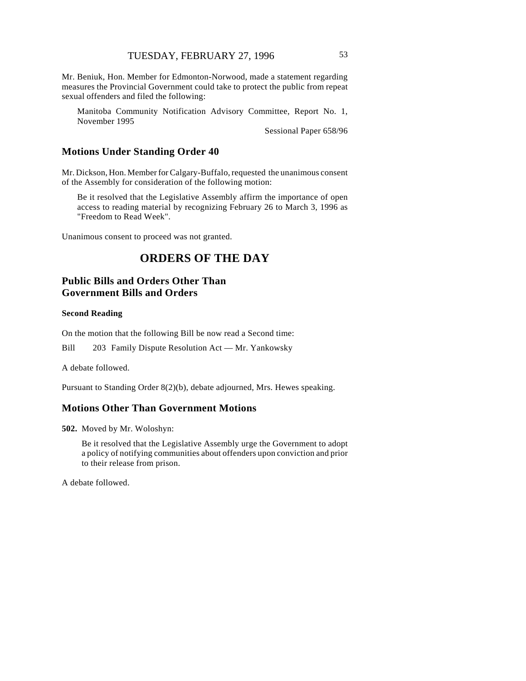Mr. Beniuk, Hon. Member for Edmonton-Norwood, made a statement regarding measures the Provincial Government could take to protect the public from repeat sexual offenders and filed the following:

Manitoba Community Notification Advisory Committee, Report No. 1, November 1995

Sessional Paper 658/96

## **Motions Under Standing Order 40**

Mr. Dickson, Hon. Member for Calgary-Buffalo, requested the unanimous consent of the Assembly for consideration of the following motion:

Be it resolved that the Legislative Assembly affirm the importance of open access to reading material by recognizing February 26 to March 3, 1996 as "Freedom to Read Week".

Unanimous consent to proceed was not granted.

# **ORDERS OF THE DAY**

# **Public Bills and Orders Other Than Government Bills and Orders**

#### **Second Reading**

On the motion that the following Bill be now read a Second time:

Bill 203 Family Dispute Resolution Act — Mr. Yankowsky

A debate followed.

Pursuant to Standing Order 8(2)(b), debate adjourned, Mrs. Hewes speaking.

## **Motions Other Than Government Motions**

**502.** Moved by Mr. Woloshyn:

Be it resolved that the Legislative Assembly urge the Government to adopt a policy of notifying communities about offenders upon conviction and prior to their release from prison.

A debate followed.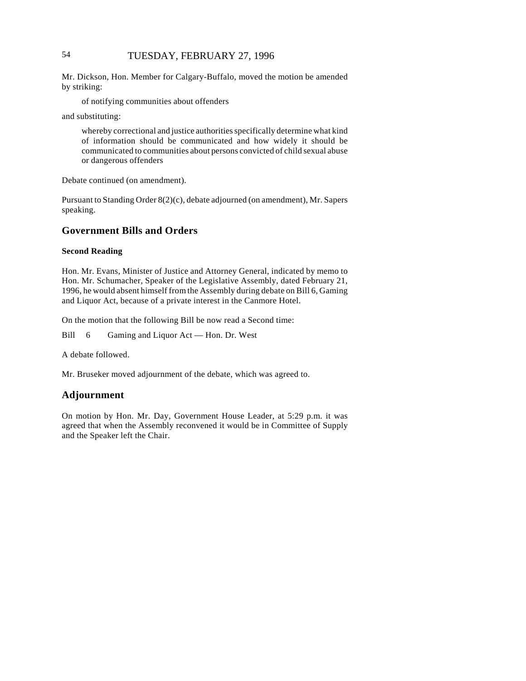# 54 TUESDAY, FEBRUARY 27, 1996

Mr. Dickson, Hon. Member for Calgary-Buffalo, moved the motion be amended by striking:

of notifying communities about offenders

and substituting:

whereby correctional and justice authorities specifically determine what kind of information should be communicated and how widely it should be communicated to communities about persons convicted of child sexual abuse or dangerous offenders

Debate continued (on amendment).

Pursuant to Standing Order 8(2)(c), debate adjourned (on amendment), Mr. Sapers speaking.

## **Government Bills and Orders**

#### **Second Reading**

Hon. Mr. Evans, Minister of Justice and Attorney General, indicated by memo to Hon. Mr. Schumacher, Speaker of the Legislative Assembly, dated February 21, 1996, he would absent himself from the Assembly during debate on Bill 6, Gaming and Liquor Act, because of a private interest in the Canmore Hotel.

On the motion that the following Bill be now read a Second time:

Bill 6 Gaming and Liquor Act — Hon. Dr. West

A debate followed.

Mr. Bruseker moved adjournment of the debate, which was agreed to.

## **Adjournment**

On motion by Hon. Mr. Day, Government House Leader, at 5:29 p.m. it was agreed that when the Assembly reconvened it would be in Committee of Supply and the Speaker left the Chair.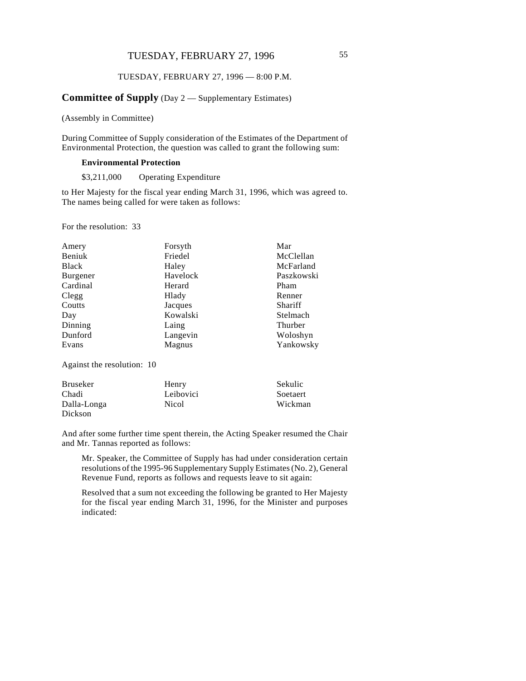## TUESDAY, FEBRUARY 27, 1996 55

#### TUESDAY, FEBRUARY 27, 1996 — 8:00 P.M.

### **Committee of Supply** (Day 2 — Supplementary Estimates)

(Assembly in Committee)

During Committee of Supply consideration of the Estimates of the Department of Environmental Protection, the question was called to grant the following sum:

#### **Environmental Protection**

\$3,211,000 Operating Expenditure

to Her Majesty for the fiscal year ending March 31, 1996, which was agreed to. The names being called for were taken as follows:

For the resolution: 33

| Amery        | Forsyth  | Mar        |
|--------------|----------|------------|
| Beniuk       | Friedel  | McClellan  |
| <b>Black</b> | Haley    | McFarland  |
| Burgener     | Havelock | Paszkowski |
| Cardinal     | Herard   | Pham       |
| Clegg        | Hlady    | Renner     |
| Coutts       | Jacques  | Shariff    |
| Day          | Kowalski | Stelmach   |
| Dinning      | Laing    | Thurber    |
| Dunford      | Langevin | Woloshyn   |
| Evans        | Magnus   | Yankowsky  |

Against the resolution: 10

| <b>Bruseker</b> | Henry     | <b>Sekulic</b> |
|-----------------|-----------|----------------|
| Chadi           | Leibovici | Soetaert       |
| Dalla-Longa     | Nicol     | Wickman        |
| Dickson         |           |                |

And after some further time spent therein, the Acting Speaker resumed the Chair and Mr. Tannas reported as follows:

Mr. Speaker, the Committee of Supply has had under consideration certain resolutions of the 1995-96 Supplementary Supply Estimates (No. 2), General Revenue Fund, reports as follows and requests leave to sit again:

Resolved that a sum not exceeding the following be granted to Her Majesty for the fiscal year ending March 31, 1996, for the Minister and purposes indicated: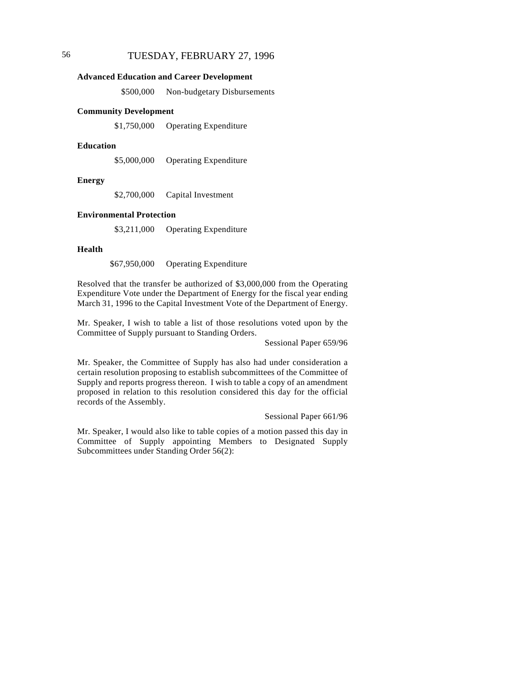#### **Advanced Education and Career Development**

\$500,000 Non-budgetary Disbursements

#### **Community Development**

\$1,750,000 Operating Expenditure

#### **Education**

\$5,000,000 Operating Expenditure

#### **Energy**

\$2,700,000 Capital Investment

#### **Environmental Protection**

\$3,211,000 Operating Expenditure

#### **Health**

\$67,950,000 Operating Expenditure

Resolved that the transfer be authorized of \$3,000,000 from the Operating Expenditure Vote under the Department of Energy for the fiscal year ending March 31, 1996 to the Capital Investment Vote of the Department of Energy.

Mr. Speaker, I wish to table a list of those resolutions voted upon by the Committee of Supply pursuant to Standing Orders.

Sessional Paper 659/96

Mr. Speaker, the Committee of Supply has also had under consideration a certain resolution proposing to establish subcommittees of the Committee of Supply and reports progress thereon. I wish to table a copy of an amendment proposed in relation to this resolution considered this day for the official records of the Assembly.

Sessional Paper 661/96

Mr. Speaker, I would also like to table copies of a motion passed this day in Committee of Supply appointing Members to Designated Supply Subcommittees under Standing Order 56(2):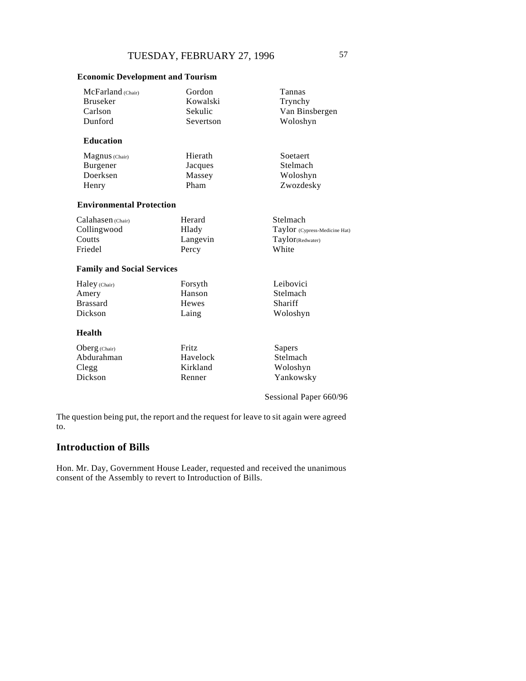## **Economic Development and Tourism**

| McFarland (Chair)                 | Gordon       | Tannas                        |
|-----------------------------------|--------------|-------------------------------|
| <b>Bruseker</b>                   | Kowalski     | Trynchy                       |
| Carlson                           | Sekulic      | Van Binsbergen                |
| Dunford                           | Severtson    | Woloshyn                      |
| <b>Education</b>                  |              |                               |
| Magnus (Chair)                    | Hierath      | Soetaert                      |
| Burgener                          | Jacques      | Stelmach                      |
| Doerksen                          | Massey       | Woloshyn                      |
| Henry                             | Pham         | Zwozdesky                     |
| <b>Environmental Protection</b>   |              |                               |
| Calahasen (Chair)                 | Herard       | Stelmach                      |
| Collingwood                       | Hlady        | Taylor (Cypress-Medicine Hat) |
| Coutts                            | Langevin     | Taylor(Redwater)              |
| Friedel                           | Percy        | White                         |
| <b>Family and Social Services</b> |              |                               |
| Haley (Chair)                     | Forsyth      | Leibovici                     |
| Amery                             | Hanson       | Stelmach                      |
| <b>Brassard</b>                   | <b>Hewes</b> | Shariff                       |
| Dickson                           | Laing        | Woloshyn                      |
| <b>Health</b>                     |              |                               |
| Oberg (Chair)                     | Fritz        | Sapers                        |
| Abdurahman                        | Havelock     | Stelmach                      |
| Clegg                             | Kirkland     | Woloshyn                      |
| Dickson                           | Renner       | Yankowsky                     |
|                                   |              | Sessional Paper 660/96        |

The question being put, the report and the request for leave to sit again were agreed to.

# **Introduction of Bills**

Hon. Mr. Day, Government House Leader, requested and received the unanimous consent of the Assembly to revert to Introduction of Bills.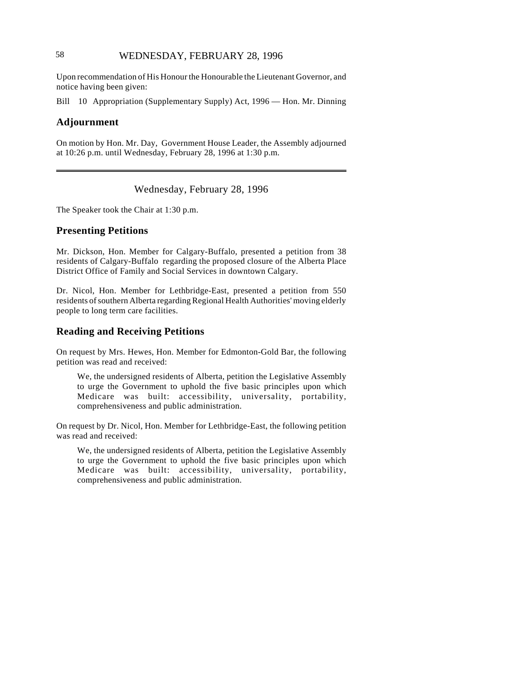# 58 WEDNESDAY, FEBRUARY 28, 1996

Upon recommendation of His Honour the Honourable the Lieutenant Governor, and notice having been given:

Bill 10 Appropriation (Supplementary Supply) Act, 1996 — Hon. Mr. Dinning

#### **Adjournment**

On motion by Hon. Mr. Day, Government House Leader, the Assembly adjourned at 10:26 p.m. until Wednesday, February 28, 1996 at 1:30 p.m.

# Wednesday, February 28, 1996

The Speaker took the Chair at 1:30 p.m.

### **Presenting Petitions**

Mr. Dickson, Hon. Member for Calgary-Buffalo, presented a petition from 38 residents of Calgary-Buffalo regarding the proposed closure of the Alberta Place District Office of Family and Social Services in downtown Calgary.

Dr. Nicol, Hon. Member for Lethbridge-East, presented a petition from 550 residents of southern Alberta regarding Regional Health Authorities' moving elderly people to long term care facilities.

## **Reading and Receiving Petitions**

On request by Mrs. Hewes, Hon. Member for Edmonton-Gold Bar, the following petition was read and received:

We, the undersigned residents of Alberta, petition the Legislative Assembly to urge the Government to uphold the five basic principles upon which Medicare was built: accessibility, universality, portability, comprehensiveness and public administration.

On request by Dr. Nicol, Hon. Member for Lethbridge-East, the following petition was read and received:

We, the undersigned residents of Alberta, petition the Legislative Assembly to urge the Government to uphold the five basic principles upon which Medicare was built: accessibility, universality, portability, comprehensiveness and public administration.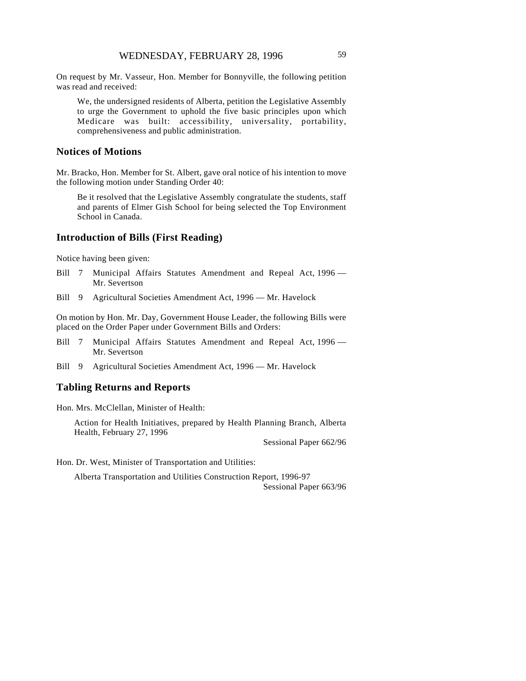On request by Mr. Vasseur, Hon. Member for Bonnyville, the following petition was read and received:

We, the undersigned residents of Alberta, petition the Legislative Assembly to urge the Government to uphold the five basic principles upon which Medicare was built: accessibility, universality, portability, comprehensiveness and public administration.

### **Notices of Motions**

Mr. Bracko, Hon. Member for St. Albert, gave oral notice of his intention to move the following motion under Standing Order 40:

Be it resolved that the Legislative Assembly congratulate the students, staff and parents of Elmer Gish School for being selected the Top Environment School in Canada.

#### **Introduction of Bills (First Reading)**

Notice having been given:

- Bill 7 Municipal Affairs Statutes Amendment and Repeal Act, 1996 -Mr. Severtson
- Bill 9 Agricultural Societies Amendment Act, 1996 Mr. Havelock

On motion by Hon. Mr. Day, Government House Leader, the following Bills were placed on the Order Paper under Government Bills and Orders:

- Bill 7 Municipal Affairs Statutes Amendment and Repeal Act, 1996 -Mr. Severtson
- Bill 9 Agricultural Societies Amendment Act, 1996 Mr. Havelock

## **Tabling Returns and Reports**

Hon. Mrs. McClellan, Minister of Health:

Action for Health Initiatives, prepared by Health Planning Branch, Alberta Health, February 27, 1996

Sessional Paper 662/96

Hon. Dr. West, Minister of Transportation and Utilities:

Alberta Transportation and Utilities Construction Report, 1996-97 Sessional Paper 663/96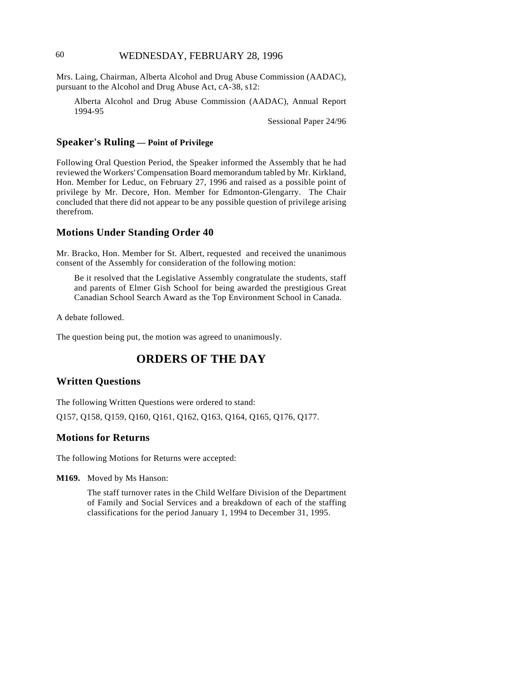## 60 WEDNESDAY, FEBRUARY 28, 1996

Mrs. Laing, Chairman, Alberta Alcohol and Drug Abuse Commission (AADAC), pursuant to the Alcohol and Drug Abuse Act, cA-38, s12:

Alberta Alcohol and Drug Abuse Commission (AADAC), Annual Report 1994-95

Sessional Paper 24/96

## **Speaker's Ruling — Point of Privilege**

Following Oral Question Period, the Speaker informed the Assembly that he had reviewed the Workers' Compensation Board memorandum tabled by Mr. Kirkland, Hon. Member for Leduc, on February 27, 1996 and raised as a possible point of privilege by Mr. Decore, Hon. Member for Edmonton-Glengarry. The Chair concluded that there did not appear to be any possible question of privilege arising therefrom.

## **Motions Under Standing Order 40**

Mr. Bracko, Hon. Member for St. Albert, requested and received the unanimous consent of the Assembly for consideration of the following motion:

Be it resolved that the Legislative Assembly congratulate the students, staff and parents of Elmer Gish School for being awarded the prestigious Great Canadian School Search Award as the Top Environment School in Canada.

A debate followed.

The question being put, the motion was agreed to unanimously.

# **ORDERS OF THE DAY**

#### **Written Questions**

The following Written Questions were ordered to stand:

Q157, Q158, Q159, Q160, Q161, Q162, Q163, Q164, Q165, Q176, Q177.

## **Motions for Returns**

The following Motions for Returns were accepted:

**M169.** Moved by Ms Hanson:

The staff turnover rates in the Child Welfare Division of the Department of Family and Social Services and a breakdown of each of the staffing classifications for the period January 1, 1994 to December 31, 1995.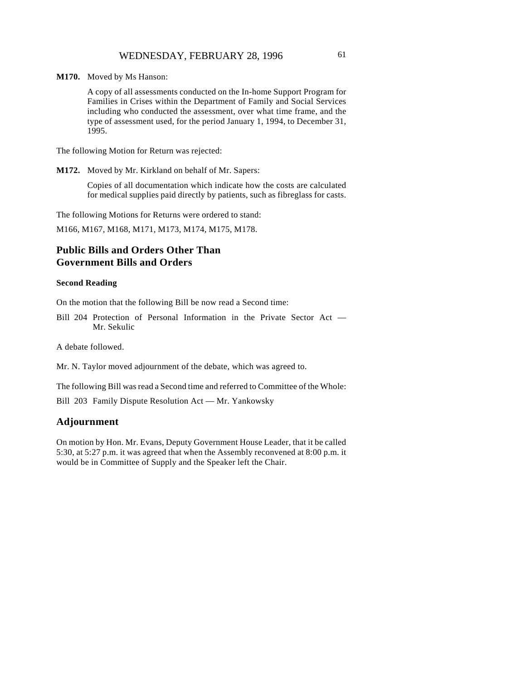**M170.** Moved by Ms Hanson:

A copy of all assessments conducted on the In-home Support Program for Families in Crises within the Department of Family and Social Services including who conducted the assessment, over what time frame, and the type of assessment used, for the period January 1, 1994, to December 31, 1995.

The following Motion for Return was rejected:

**M172.** Moved by Mr. Kirkland on behalf of Mr. Sapers:

Copies of all documentation which indicate how the costs are calculated for medical supplies paid directly by patients, such as fibreglass for casts.

The following Motions for Returns were ordered to stand:

M166, M167, M168, M171, M173, M174, M175, M178.

# **Public Bills and Orders Other Than Government Bills and Orders**

#### **Second Reading**

On the motion that the following Bill be now read a Second time:

Bill 204 Protection of Personal Information in the Private Sector Act — Mr. Sekulic

A debate followed.

Mr. N. Taylor moved adjournment of the debate, which was agreed to.

The following Bill was read a Second time and referred to Committee of the Whole:

Bill 203 Family Dispute Resolution Act — Mr. Yankowsky

### **Adjournment**

On motion by Hon. Mr. Evans, Deputy Government House Leader, that it be called 5:30, at 5:27 p.m. it was agreed that when the Assembly reconvened at 8:00 p.m. it would be in Committee of Supply and the Speaker left the Chair.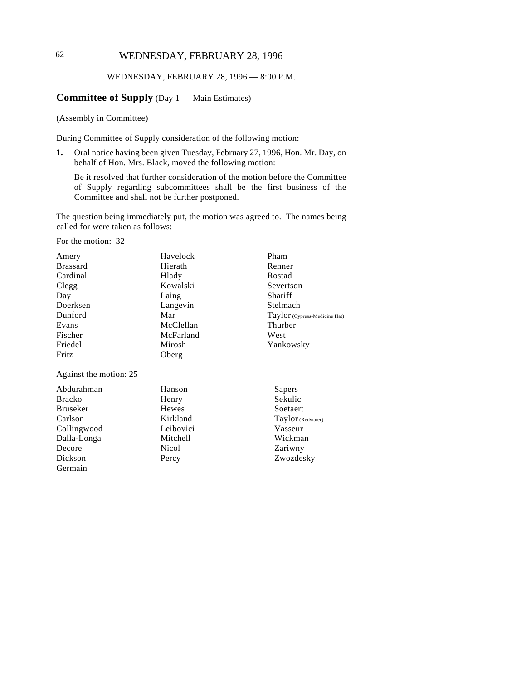# 62 WEDNESDAY, FEBRUARY 28, 1996

#### WEDNESDAY, FEBRUARY 28, 1996 — 8:00 P.M.

## **Committee of Supply** (Day 1 — Main Estimates)

(Assembly in Committee)

During Committee of Supply consideration of the following motion:

**1.** Oral notice having been given Tuesday, February 27, 1996, Hon. Mr. Day, on behalf of Hon. Mrs. Black, moved the following motion:

Be it resolved that further consideration of the motion before the Committee of Supply regarding subcommittees shall be the first business of the Committee and shall not be further postponed.

The question being immediately put, the motion was agreed to. The names being called for were taken as follows:

For the motion: 32

| Amery                  | Havelock  | Pham                          |
|------------------------|-----------|-------------------------------|
| <b>Brassard</b>        | Hierath   | Renner                        |
| Cardinal               | Hlady     | Rostad                        |
| Clegg                  | Kowalski  | Severtson                     |
| Day                    | Laing     | Shariff                       |
| Doerksen               | Langevin  | Stelmach                      |
| Dunford                | Mar       | Taylor (Cypress-Medicine Hat) |
| Evans                  | McClellan | Thurber                       |
| Fischer                | McFarland | West                          |
| Friedel                | Mirosh    | Yankowsky                     |
| Fritz                  | Oberg     |                               |
| Against the motion: 25 |           |                               |
| Abdurahman             | Hanson    | Sapers                        |
| <b>Bracko</b>          | Henry     | Sekulic                       |
| <b>Bruseker</b>        | Hewes     | Soetaert                      |
| Carlson                | Kirkland  | Taylor (Redwater)             |
| Collingwood            | Leibovici | Vasseur                       |
| Dalla-Longa            | Mitchell  | Wickman                       |
| Decore                 | Nicol     | Zariwny                       |
| Dickson                | Percy     | Zwozdesky                     |
| Germain                |           |                               |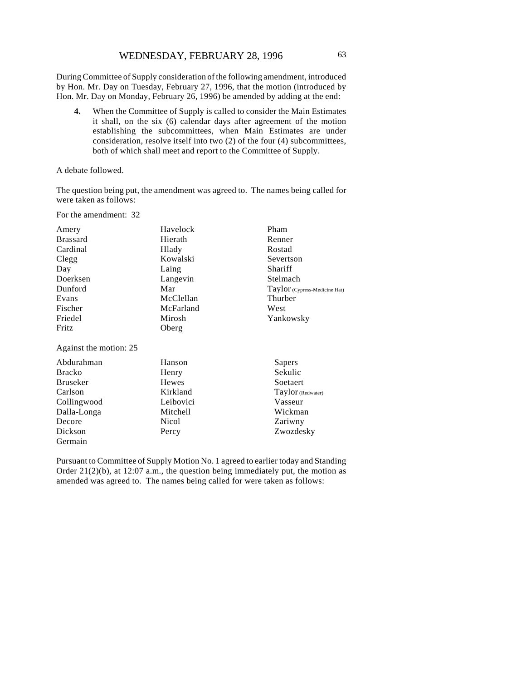During Committee of Supply consideration of the following amendment, introduced by Hon. Mr. Day on Tuesday, February 27, 1996, that the motion (introduced by Hon. Mr. Day on Monday, February 26, 1996) be amended by adding at the end:

**4.** When the Committee of Supply is called to consider the Main Estimates it shall, on the six (6) calendar days after agreement of the motion establishing the subcommittees, when Main Estimates are under consideration, resolve itself into two (2) of the four (4) subcommittees, both of which shall meet and report to the Committee of Supply.

#### A debate followed.

The question being put, the amendment was agreed to. The names being called for were taken as follows:

For the amendment: 32

Dickson Germain

| Amery                  | Havelock  | Pham                          |
|------------------------|-----------|-------------------------------|
| <b>Brassard</b>        | Hierath   | Renner                        |
| Cardinal               | Hlady     | Rostad                        |
| Clegg                  | Kowalski  | Severtson                     |
| Day                    | Laing     | Shariff                       |
| Doerksen               | Langevin  | Stelmach                      |
| Dunford                | Mar       | Taylor (Cypress-Medicine Hat) |
| Evans                  | McClellan | Thurber                       |
| Fischer                | McFarland | West                          |
| Friedel                | Mirosh    | Yankowsky                     |
| Fritz                  | Oberg     |                               |
| Against the motion: 25 |           |                               |
| Abdurahman             | Hanson    | Sapers                        |
| <b>Bracko</b>          | Henry     | Sekulic                       |
| <b>Bruseker</b>        | Hewes     | Soetaert                      |
| Carlson                | Kirkland  | Taylor (Redwater)             |
| Collingwood            | Leibovici | Vasseur                       |
| Dalla-Longa            | Mitchell  | Wickman                       |
| Decore                 | Nicol     | Zariwny                       |

Pursuant to Committee of Supply Motion No. 1 agreed to earlier today and Standing Order 21(2)(b), at 12:07 a.m., the question being immediately put, the motion as amended was agreed to. The names being called for were taken as follows:

Zwozdesky

Percy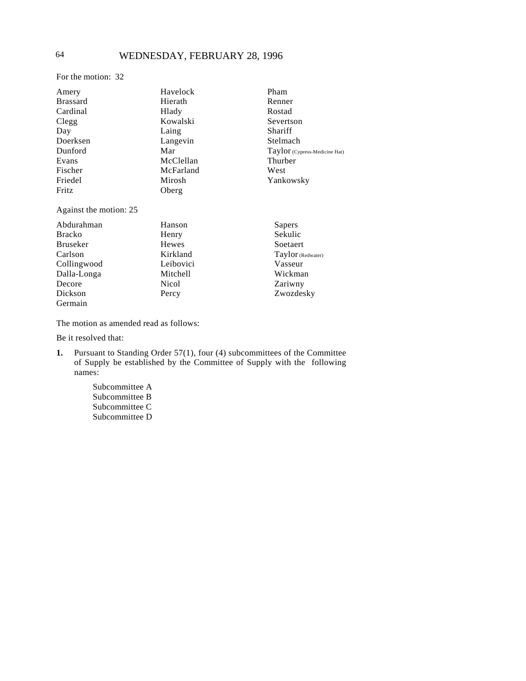# 64 WEDNESDAY, FEBRUARY 28, 1996

For the motion: 32

| Amery                  | Havelock  | Pham                          |
|------------------------|-----------|-------------------------------|
| <b>Brassard</b>        | Hierath   | Renner                        |
| Cardinal               | Hlady     | Rostad                        |
| Clegg                  | Kowalski  | Severtson                     |
| Day                    | Laing     | Shariff                       |
| Doerksen               | Langevin  | Stelmach                      |
| Dunford                | Mar       | Taylor (Cypress-Medicine Hat) |
| Evans                  | McClellan | Thurber                       |
| Fischer                | McFarland | West                          |
| Friedel                | Mirosh    | Yankowsky                     |
| Fritz                  | Oberg     |                               |
| Against the motion: 25 |           |                               |
| Abdurahman             | Hanson    | Sapers                        |

| <u>roughamman</u> | 110119011 | Dapels            |
|-------------------|-----------|-------------------|
| <b>Bracko</b>     | Henry     | Sekulic           |
| <b>Bruseker</b>   | Hewes     | Soetaert          |
| Carlson           | Kirkland  | Taylor (Redwater) |
| Collingwood       | Leibovici | Vasseur           |
| Dalla-Longa       | Mitchell  | Wickman           |
| Decore            | Nicol     | Zariwny           |
| Dickson           | Percy     | Zwozdesky         |
| Germain           |           |                   |

The motion as amended read as follows:

Be it resolved that:

- **1.** Pursuant to Standing Order 57(1), four (4) subcommittees of the Committee of Supply be established by the Committee of Supply with the following names:
	- Subcommittee A Subcommittee B Subcommittee C Subcommittee D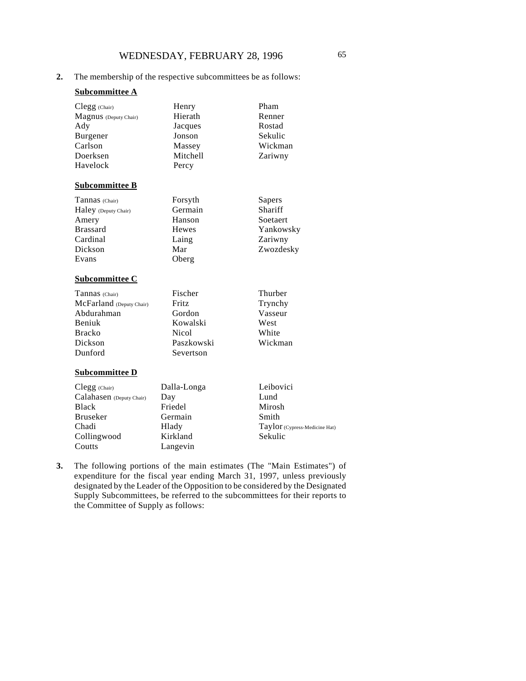## **2.** The membership of the respective subcommittees be as follows:

### **Subcommittee A**

| Clegg (Chair)<br>Magnus (Deputy Chair)<br>Ady<br>Burgener<br>Carlson<br>Doerksen | Henry<br>Hierath<br>Jacques<br>Jonson<br>Massey<br><b>Mitchell</b> | Pham<br>Renner<br>Rostad<br>Sekulic<br>Wickman<br>Zariwny |
|----------------------------------------------------------------------------------|--------------------------------------------------------------------|-----------------------------------------------------------|
| Havelock                                                                         | Percy                                                              |                                                           |
| <b>Subcommittee B</b>                                                            |                                                                    |                                                           |
| Tannas (Chair)                                                                   | Forsyth                                                            | Sapers                                                    |
| Haley (Deputy Chair)                                                             | Germain                                                            | Shariff                                                   |
| Amery                                                                            | Hanson                                                             | Soetaert                                                  |
| <b>Brassard</b>                                                                  | Hewes                                                              | Yankowsky                                                 |
| Cardinal                                                                         | Laing                                                              | Zariwny                                                   |
| Dickson                                                                          | Mar                                                                | Zwozdesky                                                 |
| Evans                                                                            | Oberg                                                              |                                                           |
| <b>Subcommittee C</b>                                                            |                                                                    |                                                           |
| Tannas (Chair)                                                                   | Fischer                                                            | Thurber                                                   |
| McFarland (Deputy Chair)                                                         | Fritz                                                              | Trynchy                                                   |
| Abdurahman                                                                       | Gordon                                                             | Vasseur                                                   |
| Beniuk                                                                           | Kowalski                                                           | West                                                      |
| <b>Bracko</b>                                                                    | <b>Nicol</b>                                                       | White                                                     |
| Dickson                                                                          | Paszkowski                                                         | Wickman                                                   |
| Dunford                                                                          | Severtson                                                          |                                                           |
| $\sim$                                                                           |                                                                    |                                                           |

### **Subcommittee D**

| $Clegg$ (Chair)          | Dalla-Longa | Leibovici                     |
|--------------------------|-------------|-------------------------------|
| Calahasen (Deputy Chair) | Day         | Lund                          |
| <b>Black</b>             | Friedel     | Mirosh                        |
| <b>Bruseker</b>          | Germain     | Smith                         |
| Chadi                    | Hlady       | Taylor (Cypress-Medicine Hat) |
| Collingwood              | Kirkland    | Sekulic                       |
| Coutts                   | Langevin    |                               |

**3.** The following portions of the main estimates (The "Main Estimates") of expenditure for the fiscal year ending March 31, 1997, unless previously designated by the Leader of the Opposition to be considered by the Designated Supply Subcommittees, be referred to the subcommittees for their reports to the Committee of Supply as follows: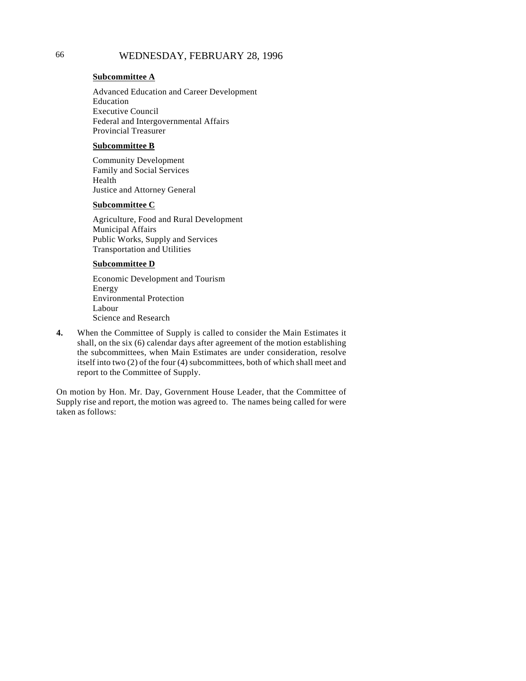# 66 WEDNESDAY, FEBRUARY 28, 1996

#### **Subcommittee A**

Advanced Education and Career Development Education Executive Council Federal and Intergovernmental Affairs Provincial Treasurer

#### **Subcommittee B**

Community Development Family and Social Services Health Justice and Attorney General

#### **Subcommittee C**

Agriculture, Food and Rural Development Municipal Affairs Public Works, Supply and Services Transportation and Utilities

### **Subcommittee D**

Economic Development and Tourism Energy Environmental Protection Labour Science and Research

**4.** When the Committee of Supply is called to consider the Main Estimates it shall, on the six (6) calendar days after agreement of the motion establishing the subcommittees, when Main Estimates are under consideration, resolve itself into two (2) of the four (4) subcommittees, both of which shall meet and report to the Committee of Supply.

On motion by Hon. Mr. Day, Government House Leader, that the Committee of Supply rise and report, the motion was agreed to. The names being called for were taken as follows: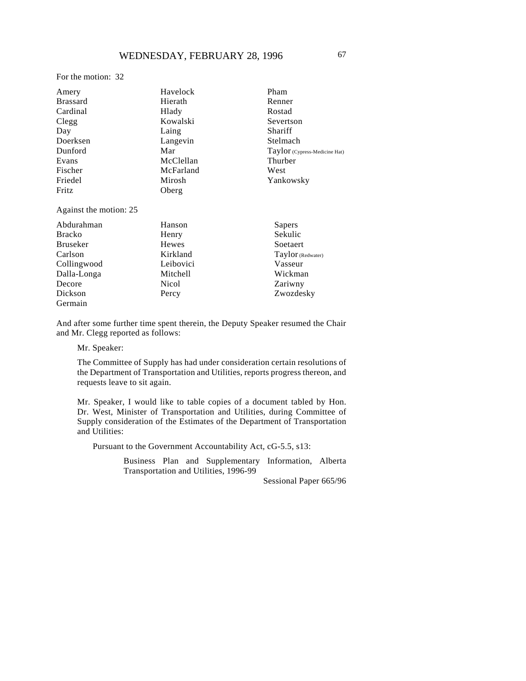For the motion: 32

| Amery                  | Havelock  | Pham                          |
|------------------------|-----------|-------------------------------|
| <b>Brassard</b>        | Hierath   | Renner                        |
| Cardinal               | Hlady     | Rostad                        |
| Clegg                  | Kowalski  | Severtson                     |
| Day                    | Laing     | Shariff                       |
| Doerksen               | Langevin  | Stelmach                      |
| Dunford                | Mar       | Taylor (Cypress-Medicine Hat) |
| Evans                  | McClellan | Thurber                       |
| Fischer                | McFarland | West                          |
| Friedel                | Mirosh    | Yankowsky                     |
| Fritz                  | Oberg     |                               |
| Against the motion: 25 |           |                               |
| .                      |           |                               |

| Abdurahman      | Hanson       | Sapers            |
|-----------------|--------------|-------------------|
| <b>Bracko</b>   | Henry        | Sekulic           |
| <b>Bruseker</b> | Hewes        | Soetaert          |
| Carlson         | Kirkland     | Taylor (Redwater) |
| Collingwood     | Leibovici    | Vasseur           |
| Dalla-Longa     | Mitchell     | Wickman           |
| Decore          | <b>Nicol</b> | Zariwny           |
| Dickson         | Percy        | Zwozdesky         |
| Germain         |              |                   |

And after some further time spent therein, the Deputy Speaker resumed the Chair and Mr. Clegg reported as follows:

Mr. Speaker:

The Committee of Supply has had under consideration certain resolutions of the Department of Transportation and Utilities, reports progress thereon, and requests leave to sit again.

Mr. Speaker, I would like to table copies of a document tabled by Hon. Dr. West, Minister of Transportation and Utilities, during Committee of Supply consideration of the Estimates of the Department of Transportation and Utilities:

Pursuant to the Government Accountability Act, cG-5.5, s13:

Business Plan and Supplementary Information, Alberta Transportation and Utilities, 1996-99

Sessional Paper 665/96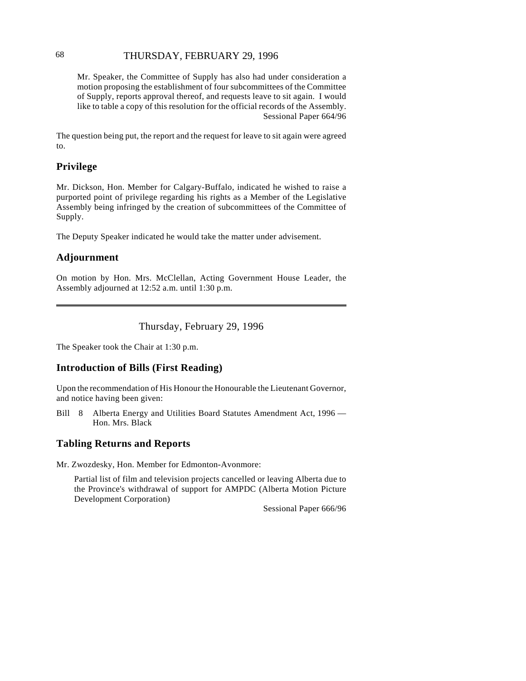## THURSDAY, FEBRUARY 29, 1996 68

Mr. Speaker, the Committee of Supply has also had under consideration a motion proposing the establishment of four subcommittees of the Committee of Supply, reports approval thereof, and requests leave to sit again. I would like to table a copy of this resolution for the official records of the Assembly. Sessional Paper 664/96

The question being put, the report and the request for leave to sit again were agreed to.

## **Privilege**

Mr. Dickson, Hon. Member for Calgary-Buffalo, indicated he wished to raise a purported point of privilege regarding his rights as a Member of the Legislative Assembly being infringed by the creation of subcommittees of the Committee of Supply.

The Deputy Speaker indicated he would take the matter under advisement.

## **Adjournment**

On motion by Hon. Mrs. McClellan, Acting Government House Leader, the Assembly adjourned at 12:52 a.m. until 1:30 p.m.

Thursday, February 29, 1996

The Speaker took the Chair at 1:30 p.m.

## **Introduction of Bills (First Reading)**

Upon the recommendation of His Honour the Honourable the Lieutenant Governor, and notice having been given:

Bill 8 Alberta Energy and Utilities Board Statutes Amendment Act, 1996 — Hon. Mrs. Black

## **Tabling Returns and Reports**

Mr. Zwozdesky, Hon. Member for Edmonton-Avonmore:

Partial list of film and television projects cancelled or leaving Alberta due to the Province's withdrawal of support for AMPDC (Alberta Motion Picture Development Corporation)

Sessional Paper 666/96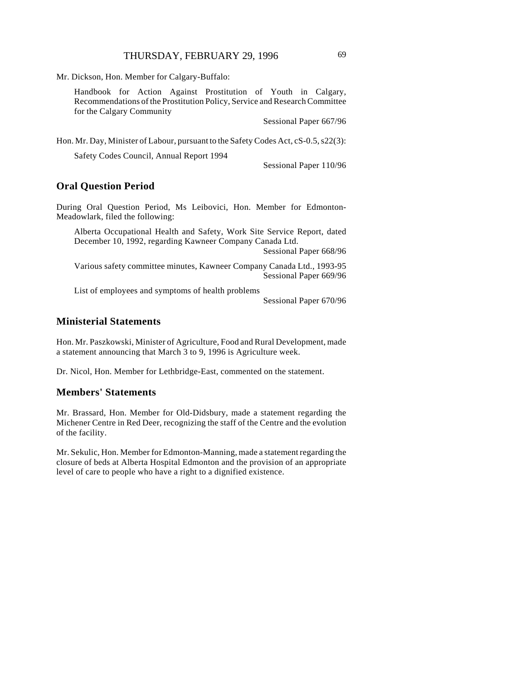Mr. Dickson, Hon. Member for Calgary-Buffalo:

Handbook for Action Against Prostitution of Youth in Calgary, Recommendations of the Prostitution Policy, Service and Research Committee for the Calgary Community

Sessional Paper 667/96

Hon. Mr. Day, Minister of Labour, pursuant to the Safety Codes Act, cS-0.5, s22(3):

Safety Codes Council, Annual Report 1994

Sessional Paper 110/96

## **Oral Question Period**

During Oral Question Period, Ms Leibovici, Hon. Member for Edmonton-Meadowlark, filed the following:

Alberta Occupational Health and Safety, Work Site Service Report, dated December 10, 1992, regarding Kawneer Company Canada Ltd.

Sessional Paper 668/96

Various safety committee minutes, Kawneer Company Canada Ltd., 1993-95 Sessional Paper 669/96

List of employees and symptoms of health problems

Sessional Paper 670/96

## **Ministerial Statements**

Hon. Mr. Paszkowski, Minister of Agriculture, Food and Rural Development, made a statement announcing that March 3 to 9, 1996 is Agriculture week.

Dr. Nicol, Hon. Member for Lethbridge-East, commented on the statement.

## **Members' Statements**

Mr. Brassard, Hon. Member for Old-Didsbury, made a statement regarding the Michener Centre in Red Deer, recognizing the staff of the Centre and the evolution of the facility.

Mr. Sekulic, Hon. Member for Edmonton-Manning, made a statement regarding the closure of beds at Alberta Hospital Edmonton and the provision of an appropriate level of care to people who have a right to a dignified existence.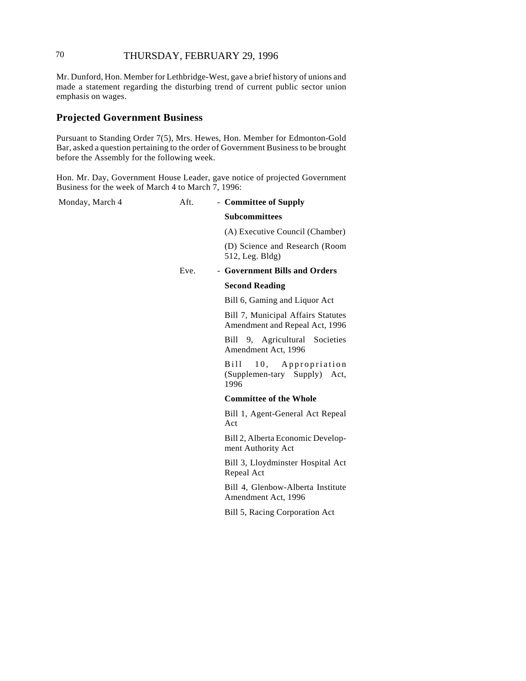# <sup>70</sup> THURSDAY, FEBRUARY 29, 1996

Mr. Dunford, Hon. Member for Lethbridge-West, gave a brief history of unions and made a statement regarding the disturbing trend of current public sector union emphasis on wages.

#### **Projected Government Business**

Pursuant to Standing Order 7(5), Mrs. Hewes, Hon. Member for Edmonton-Gold Bar, asked a question pertaining to the order of Government Business to be brought before the Assembly for the following week.

Hon. Mr. Day, Government House Leader, gave notice of projected Government Business for the week of March 4 to March 7, 1996:

Monday, March 4 **Aft.** - **Committee of Supply** 

**Subcommittees**

(A) Executive Council (Chamber)

(D) Science and Research (Room 512, Leg. Bldg)

Eve. - **Government Bills and Orders**

#### **Second Reading**

Bill 6, Gaming and Liquor Act

Bill 7, Municipal Affairs Statutes Amendment and Repeal Act, 1996

Bill 9, Agricultural Societies Amendment Act, 1996

Bill 10, Appropriation (Supplemen-tary Supply) Act, 1996

#### **Committee of the Whole**

Bill 1, Agent-General Act Repeal Act

Bill 2, Alberta Economic Development Authority Act

Bill 3, Lloydminster Hospital Act Repeal Act

Bill 4, Glenbow-Alberta Institute Amendment Act, 1996

Bill 5, Racing Corporation Act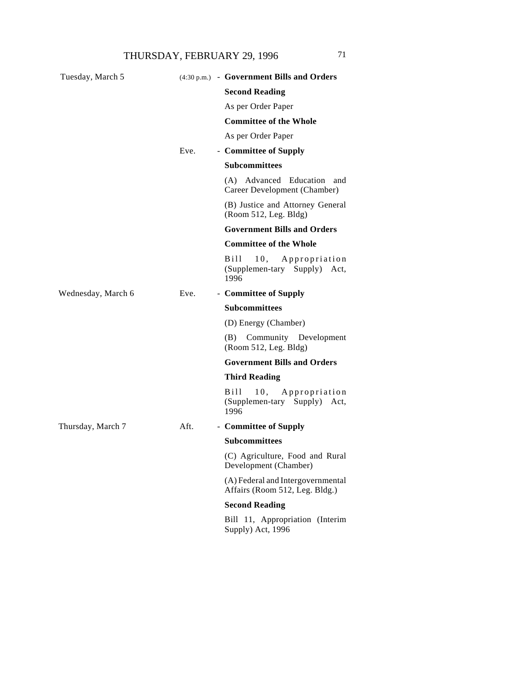| Tuesday, March 5   |      | (4:30 p.m.) - Government Bills and Orders                           |
|--------------------|------|---------------------------------------------------------------------|
|                    |      | <b>Second Reading</b>                                               |
|                    |      | As per Order Paper                                                  |
|                    |      | <b>Committee of the Whole</b>                                       |
|                    |      | As per Order Paper                                                  |
|                    | Eve. | - Committee of Supply                                               |
|                    |      | <b>Subcommittees</b>                                                |
|                    |      | (A) Advanced Education and<br>Career Development (Chamber)          |
|                    |      | (B) Justice and Attorney General<br>(Room 512, Leg. Bldg)           |
|                    |      | <b>Government Bills and Orders</b>                                  |
|                    |      | <b>Committee of the Whole</b>                                       |
|                    |      | Bill –<br>10, Appropriation<br>(Supplemen-tary Supply) Act,<br>1996 |
| Wednesday, March 6 | Eve. | - Committee of Supply                                               |
|                    |      | <b>Subcommittees</b>                                                |
|                    |      | (D) Energy (Chamber)                                                |
|                    |      | Community Development<br>(B)<br>(Room 512, Leg. Bldg)               |
|                    |      | <b>Government Bills and Orders</b>                                  |
|                    |      | <b>Third Reading</b>                                                |
|                    |      | Bill 10, Appropriation<br>(Supplemen-tary Supply) Act,<br>1996      |
| Thursday, March 7  | Aft. | - Committee of Supply                                               |
|                    |      | <b>Subcommittees</b>                                                |
|                    |      | (C) Agriculture, Food and Rural<br>Development (Chamber)            |
|                    |      | (A) Federal and Intergovernmental<br>Affairs (Room 512, Leg. Bldg.) |
|                    |      | <b>Second Reading</b>                                               |
|                    |      | Bill 11, Appropriation (Interim<br>Supply) Act, 1996                |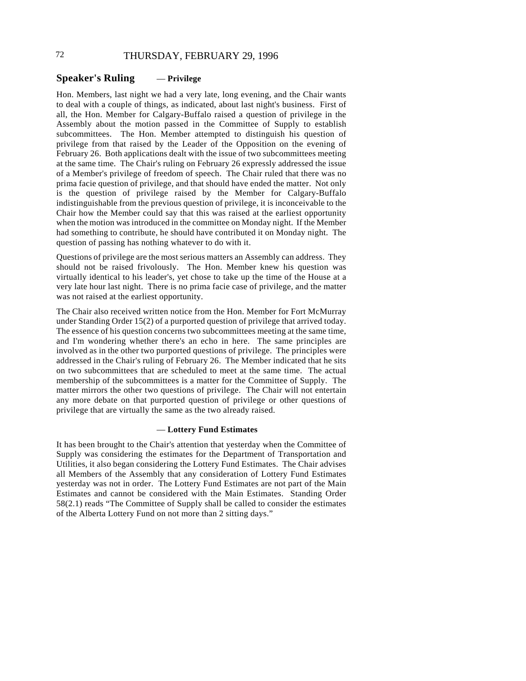# 72 THURSDAY, FEBRUARY 29, 1996

# **Speaker's Ruling** — **Privilege**

Hon. Members, last night we had a very late, long evening, and the Chair wants to deal with a couple of things, as indicated, about last night's business. First of all, the Hon. Member for Calgary-Buffalo raised a question of privilege in the Assembly about the motion passed in the Committee of Supply to establish subcommittees. The Hon. Member attempted to distinguish his question of privilege from that raised by the Leader of the Opposition on the evening of February 26. Both applications dealt with the issue of two subcommittees meeting at the same time. The Chair's ruling on February 26 expressly addressed the issue of a Member's privilege of freedom of speech. The Chair ruled that there was no prima facie question of privilege, and that should have ended the matter. Not only is the question of privilege raised by the Member for Calgary-Buffalo indistinguishable from the previous question of privilege, it is inconceivable to the Chair how the Member could say that this was raised at the earliest opportunity when the motion was introduced in the committee on Monday night. If the Member had something to contribute, he should have contributed it on Monday night. The question of passing has nothing whatever to do with it.

Questions of privilege are the most serious matters an Assembly can address. They should not be raised frivolously. The Hon. Member knew his question was virtually identical to his leader's, yet chose to take up the time of the House at a very late hour last night. There is no prima facie case of privilege, and the matter was not raised at the earliest opportunity.

The Chair also received written notice from the Hon. Member for Fort McMurray under Standing Order 15(2) of a purported question of privilege that arrived today. The essence of his question concerns two subcommittees meeting at the same time, and I'm wondering whether there's an echo in here. The same principles are involved as in the other two purported questions of privilege. The principles were addressed in the Chair's ruling of February 26. The Member indicated that he sits on two subcommittees that are scheduled to meet at the same time. The actual membership of the subcommittees is a matter for the Committee of Supply. The matter mirrors the other two questions of privilege. The Chair will not entertain any more debate on that purported question of privilege or other questions of privilege that are virtually the same as the two already raised.

#### — **Lottery Fund Estimates**

It has been brought to the Chair's attention that yesterday when the Committee of Supply was considering the estimates for the Department of Transportation and Utilities, it also began considering the Lottery Fund Estimates. The Chair advises all Members of the Assembly that any consideration of Lottery Fund Estimates yesterday was not in order. The Lottery Fund Estimates are not part of the Main Estimates and cannot be considered with the Main Estimates. Standing Order 58(2.1) reads "The Committee of Supply shall be called to consider the estimates of the Alberta Lottery Fund on not more than 2 sitting days."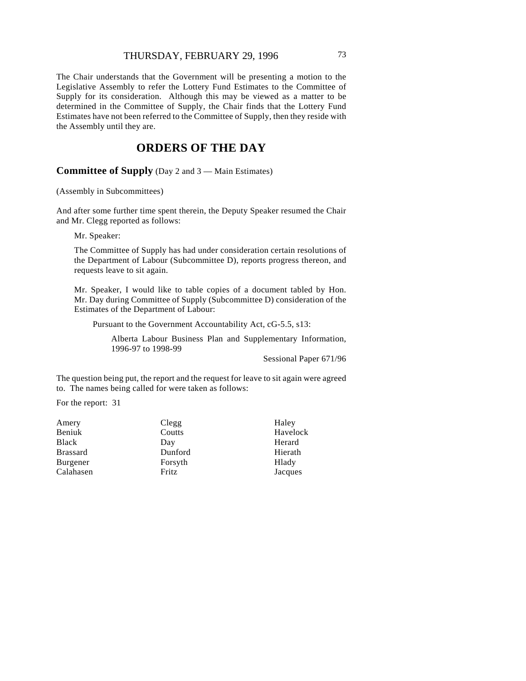# THURSDAY, FEBRUARY 29, 1996 73

The Chair understands that the Government will be presenting a motion to the Legislative Assembly to refer the Lottery Fund Estimates to the Committee of Supply for its consideration. Although this may be viewed as a matter to be determined in the Committee of Supply, the Chair finds that the Lottery Fund Estimates have not been referred to the Committee of Supply, then they reside with the Assembly until they are.

# **ORDERS OF THE DAY**

**Committee of Supply** (Day 2 and 3 — Main Estimates)

(Assembly in Subcommittees)

And after some further time spent therein, the Deputy Speaker resumed the Chair and Mr. Clegg reported as follows:

Mr. Speaker:

The Committee of Supply has had under consideration certain resolutions of the Department of Labour (Subcommittee D), reports progress thereon, and requests leave to sit again.

Mr. Speaker, I would like to table copies of a document tabled by Hon. Mr. Day during Committee of Supply (Subcommittee D) consideration of the Estimates of the Department of Labour:

Pursuant to the Government Accountability Act, cG-5.5, s13:

Alberta Labour Business Plan and Supplementary Information, 1996-97 to 1998-99

Sessional Paper 671/96

The question being put, the report and the request for leave to sit again were agreed to. The names being called for were taken as follows:

For the report: 31

| Clegg   | Haley    |
|---------|----------|
| Coutts  | Havelock |
| Day     | Herard   |
| Dunford | Hierath  |
| Forsyth | Hlady    |
| Fritz   | Jacques  |
|         |          |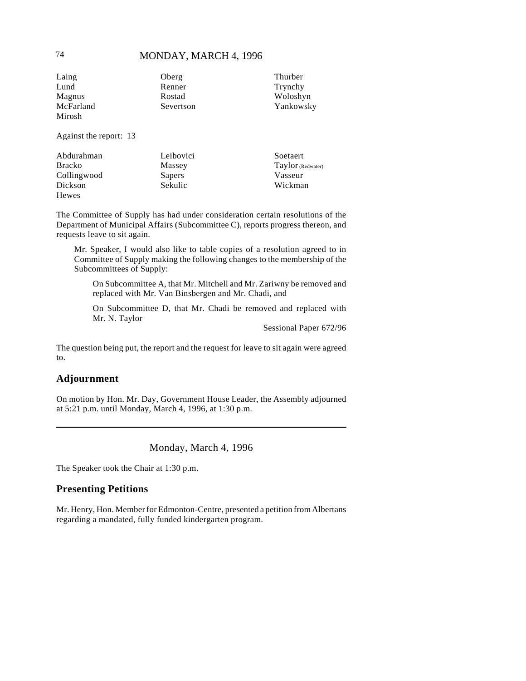# 74 **MONDAY, MARCH 4, 1996**

| Laing               | Oberg     | Thurber   |
|---------------------|-----------|-----------|
| Lund                | Renner    | Trynchy   |
| Magnus              | Rostad    | Woloshyn  |
| McFarland<br>Mirosh | Severtson | Yankowsky |

Against the report: 13

| Abdurahman    | Leibovici | Soetaert          |
|---------------|-----------|-------------------|
| <b>Bracko</b> | Massey    | Taylor (Redwater) |
| Collingwood   | Sapers    | Vasseur           |
| Dickson       | Sekulic   | Wickman           |
| Hewes         |           |                   |

The Committee of Supply has had under consideration certain resolutions of the Department of Municipal Affairs (Subcommittee C), reports progress thereon, and requests leave to sit again.

Mr. Speaker, I would also like to table copies of a resolution agreed to in Committee of Supply making the following changes to the membership of the Subcommittees of Supply:

On Subcommittee A, that Mr. Mitchell and Mr. Zariwny be removed and replaced with Mr. Van Binsbergen and Mr. Chadi, and

On Subcommittee D, that Mr. Chadi be removed and replaced with Mr. N. Taylor

Sessional Paper 672/96

The question being put, the report and the request for leave to sit again were agreed to.

# **Adjournment**

On motion by Hon. Mr. Day, Government House Leader, the Assembly adjourned at 5:21 p.m. until Monday, March 4, 1996, at 1:30 p.m.

Monday, March 4, 1996

The Speaker took the Chair at 1:30 p.m.

# **Presenting Petitions**

Mr. Henry, Hon. Member for Edmonton-Centre, presented a petition from Albertans regarding a mandated, fully funded kindergarten program.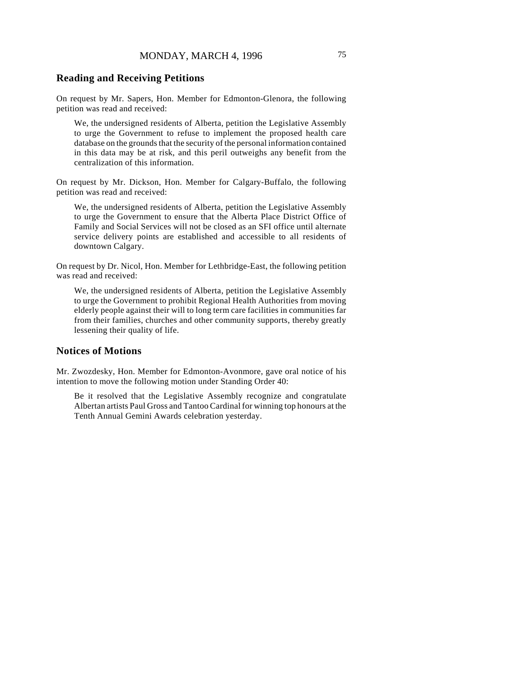# **Reading and Receiving Petitions**

On request by Mr. Sapers, Hon. Member for Edmonton-Glenora, the following petition was read and received:

We, the undersigned residents of Alberta, petition the Legislative Assembly to urge the Government to refuse to implement the proposed health care database on the grounds that the security of the personal information contained in this data may be at risk, and this peril outweighs any benefit from the centralization of this information.

On request by Mr. Dickson, Hon. Member for Calgary-Buffalo, the following petition was read and received:

We, the undersigned residents of Alberta, petition the Legislative Assembly to urge the Government to ensure that the Alberta Place District Office of Family and Social Services will not be closed as an SFI office until alternate service delivery points are established and accessible to all residents of downtown Calgary.

On request by Dr. Nicol, Hon. Member for Lethbridge-East, the following petition was read and received:

We, the undersigned residents of Alberta, petition the Legislative Assembly to urge the Government to prohibit Regional Health Authorities from moving elderly people against their will to long term care facilities in communities far from their families, churches and other community supports, thereby greatly lessening their quality of life.

# **Notices of Motions**

Mr. Zwozdesky, Hon. Member for Edmonton-Avonmore, gave oral notice of his intention to move the following motion under Standing Order 40:

Be it resolved that the Legislative Assembly recognize and congratulate Albertan artists Paul Gross and Tantoo Cardinal for winning top honours at the Tenth Annual Gemini Awards celebration yesterday.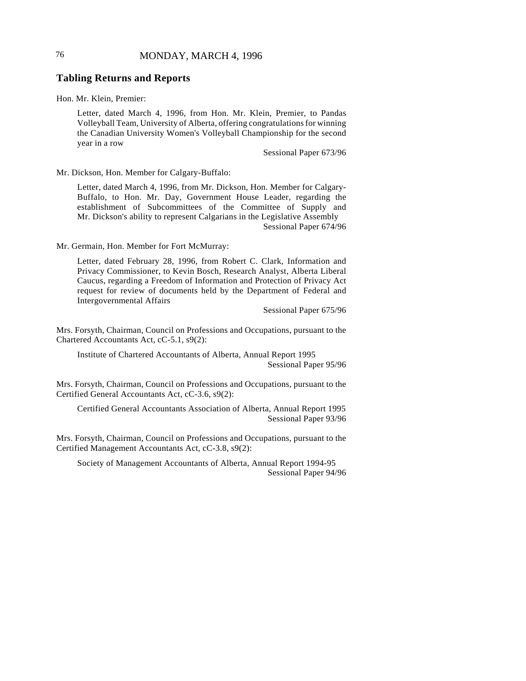# 76 **MONDAY, MARCH 4, 1996**

# **Tabling Returns and Reports**

Hon. Mr. Klein, Premier:

Letter, dated March 4, 1996, from Hon. Mr. Klein, Premier, to Pandas Volleyball Team, University of Alberta, offering congratulations for winning the Canadian University Women's Volleyball Championship for the second year in a row

Sessional Paper 673/96

Mr. Dickson, Hon. Member for Calgary-Buffalo:

Letter, dated March 4, 1996, from Mr. Dickson, Hon. Member for Calgary-Buffalo, to Hon. Mr. Day, Government House Leader, regarding the establishment of Subcommittees of the Committee of Supply and Mr. Dickson's ability to represent Calgarians in the Legislative Assembly Sessional Paper 674/96

Mr. Germain, Hon. Member for Fort McMurray:

Letter, dated February 28, 1996, from Robert C. Clark, Information and Privacy Commissioner, to Kevin Bosch, Research Analyst, Alberta Liberal Caucus, regarding a Freedom of Information and Protection of Privacy Act request for review of documents held by the Department of Federal and Intergovernmental Affairs

Sessional Paper 675/96

Mrs. Forsyth, Chairman, Council on Professions and Occupations, pursuant to the Chartered Accountants Act, cC-5.1, s9(2):

Institute of Chartered Accountants of Alberta, Annual Report 1995 Sessional Paper 95/96

Mrs. Forsyth, Chairman, Council on Professions and Occupations, pursuant to the Certified General Accountants Act, cC-3.6, s9(2):

Certified General Accountants Association of Alberta, Annual Report 1995 Sessional Paper 93/96

Mrs. Forsyth, Chairman, Council on Professions and Occupations, pursuant to the Certified Management Accountants Act, cC-3.8, s9(2):

Society of Management Accountants of Alberta, Annual Report 1994-95 Sessional Paper 94/96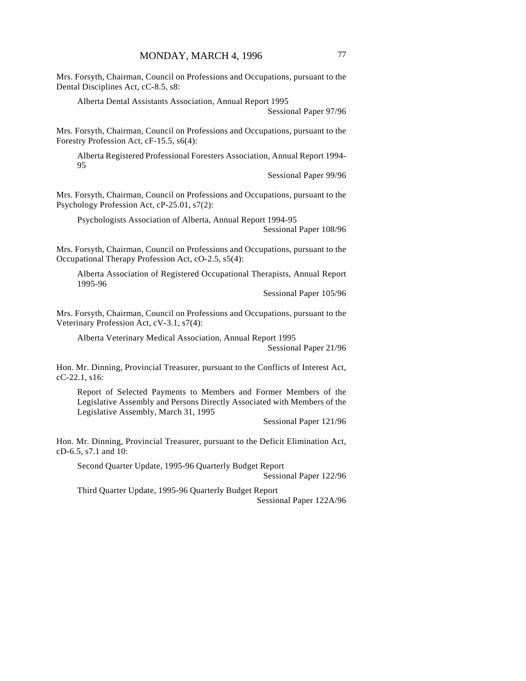Mrs. Forsyth, Chairman, Council on Professions and Occupations, pursuant to the Dental Disciplines Act, cC-8.5, s8:

Alberta Dental Assistants Association, Annual Report 1995

Sessional Paper 97/96

Mrs. Forsyth, Chairman, Council on Professions and Occupations, pursuant to the Forestry Profession Act, cF-15.5, s6(4):

Alberta Registered Professional Foresters Association, Annual Report 1994- 95

Sessional Paper 99/96

Mrs. Forsyth, Chairman, Council on Professions and Occupations, pursuant to the Psychology Profession Act, cP-25.01, s7(2):

Psychologists Association of Alberta, Annual Report 1994-95

Sessional Paper 108/96

Mrs. Forsyth, Chairman, Council on Professions and Occupations, pursuant to the Occupational Therapy Profession Act, cO-2.5, s5(4):

Alberta Association of Registered Occupational Therapists, Annual Report 1995-96

Sessional Paper 105/96

Mrs. Forsyth, Chairman, Council on Professions and Occupations, pursuant to the Veterinary Profession Act, cV-3.1, s7(4):

Alberta Veterinary Medical Association, Annual Report 1995

Sessional Paper 21/96

Hon. Mr. Dinning, Provincial Treasurer, pursuant to the Conflicts of Interest Act, cC-22.1, s16:

Report of Selected Payments to Members and Former Members of the Legislative Assembly and Persons Directly Associated with Members of the Legislative Assembly, March 31, 1995

Sessional Paper 121/96

Hon. Mr. Dinning, Provincial Treasurer, pursuant to the Deficit Elimination Act, cD-6.5, s7.1 and 10:

Second Quarter Update, 1995-96 Quarterly Budget Report Sessional Paper 122/96

Third Quarter Update, 1995-96 Quarterly Budget Report Sessional Paper 122A/96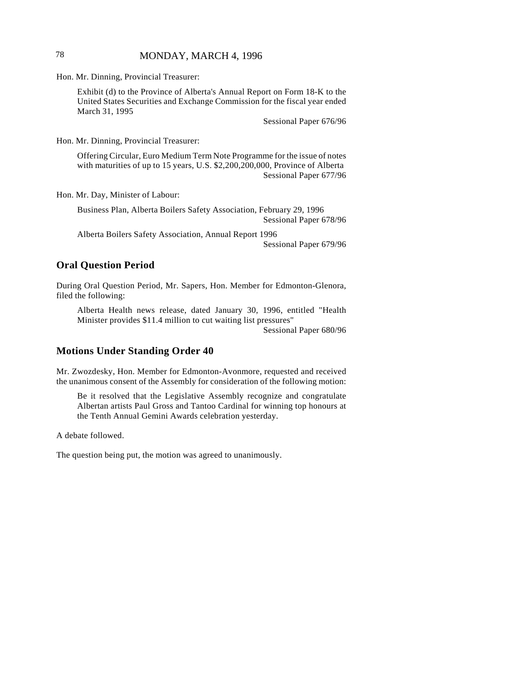# 78 MONDAY, MARCH 4, 1996

Hon. Mr. Dinning, Provincial Treasurer:

Exhibit (d) to the Province of Alberta's Annual Report on Form 18-K to the United States Securities and Exchange Commission for the fiscal year ended March 31, 1995

Sessional Paper 676/96

Hon. Mr. Dinning, Provincial Treasurer:

Offering Circular, Euro Medium Term Note Programme for the issue of notes with maturities of up to 15 years, U.S. \$2,200,200,000, Province of Alberta Sessional Paper 677/96

Hon. Mr. Day, Minister of Labour:

Business Plan, Alberta Boilers Safety Association, February 29, 1996 Sessional Paper 678/96

Alberta Boilers Safety Association, Annual Report 1996 Sessional Paper 679/96

# **Oral Question Period**

During Oral Question Period, Mr. Sapers, Hon. Member for Edmonton-Glenora, filed the following:

Alberta Health news release, dated January 30, 1996, entitled "Health Minister provides \$11.4 million to cut waiting list pressures"

Sessional Paper 680/96

# **Motions Under Standing Order 40**

Mr. Zwozdesky, Hon. Member for Edmonton-Avonmore, requested and received the unanimous consent of the Assembly for consideration of the following motion:

Be it resolved that the Legislative Assembly recognize and congratulate Albertan artists Paul Gross and Tantoo Cardinal for winning top honours at the Tenth Annual Gemini Awards celebration yesterday.

A debate followed.

The question being put, the motion was agreed to unanimously.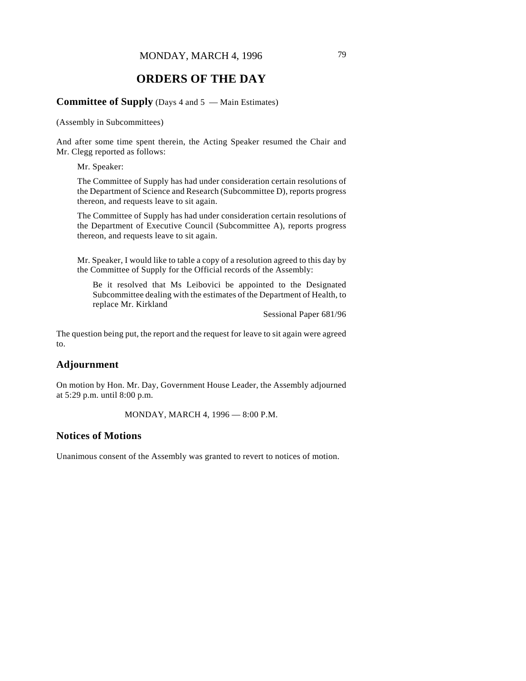# **ORDERS OF THE DAY**

## **Committee of Supply** (Days 4 and 5 — Main Estimates)

(Assembly in Subcommittees)

And after some time spent therein, the Acting Speaker resumed the Chair and Mr. Clegg reported as follows:

Mr. Speaker:

The Committee of Supply has had under consideration certain resolutions of the Department of Science and Research (Subcommittee D), reports progress thereon, and requests leave to sit again.

The Committee of Supply has had under consideration certain resolutions of the Department of Executive Council (Subcommittee A), reports progress thereon, and requests leave to sit again.

Mr. Speaker, I would like to table a copy of a resolution agreed to this day by the Committee of Supply for the Official records of the Assembly:

Be it resolved that Ms Leibovici be appointed to the Designated Subcommittee dealing with the estimates of the Department of Health, to replace Mr. Kirkland

Sessional Paper 681/96

The question being put, the report and the request for leave to sit again were agreed to.

# **Adjournment**

On motion by Hon. Mr. Day, Government House Leader, the Assembly adjourned at 5:29 p.m. until 8:00 p.m.

MONDAY, MARCH 4, 1996 — 8:00 P.M.

# **Notices of Motions**

Unanimous consent of the Assembly was granted to revert to notices of motion.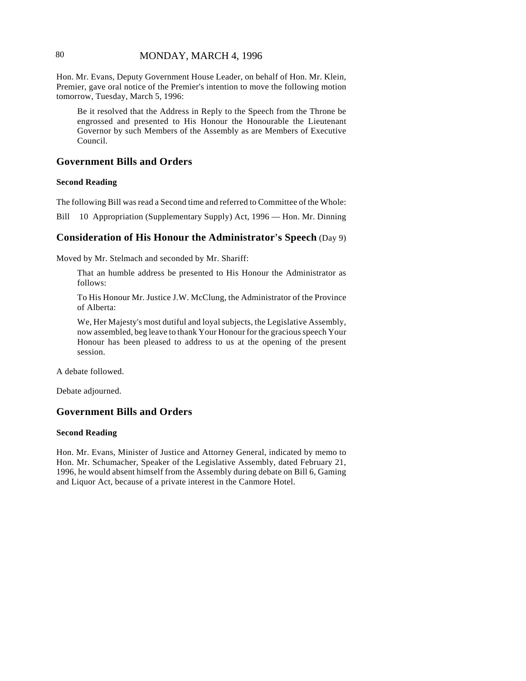# 80 MONDAY, MARCH 4, 1996

Hon. Mr. Evans, Deputy Government House Leader, on behalf of Hon. Mr. Klein, Premier, gave oral notice of the Premier's intention to move the following motion tomorrow, Tuesday, March 5, 1996:

Be it resolved that the Address in Reply to the Speech from the Throne be engrossed and presented to His Honour the Honourable the Lieutenant Governor by such Members of the Assembly as are Members of Executive Council.

# **Government Bills and Orders**

#### **Second Reading**

The following Bill was read a Second time and referred to Committee of the Whole:

Bill 10 Appropriation (Supplementary Supply) Act, 1996 — Hon. Mr. Dinning

#### **Consideration of His Honour the Administrator's Speech** (Day 9)

Moved by Mr. Stelmach and seconded by Mr. Shariff:

That an humble address be presented to His Honour the Administrator as follows:

To His Honour Mr. Justice J.W. McClung, the Administrator of the Province of Alberta:

We, Her Majesty's most dutiful and loyal subjects, the Legislative Assembly, now assembled, beg leave to thank Your Honour for the gracious speech Your Honour has been pleased to address to us at the opening of the present session.

A debate followed.

Debate adjourned.

### **Government Bills and Orders**

#### **Second Reading**

Hon. Mr. Evans, Minister of Justice and Attorney General, indicated by memo to Hon. Mr. Schumacher, Speaker of the Legislative Assembly, dated February 21, 1996, he would absent himself from the Assembly during debate on Bill 6, Gaming and Liquor Act, because of a private interest in the Canmore Hotel.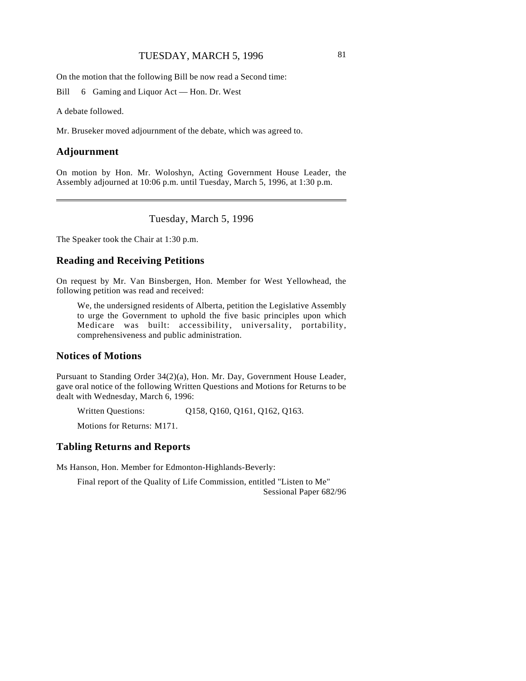# TUESDAY, MARCH 5, 1996 81

On the motion that the following Bill be now read a Second time:

Bill 6 Gaming and Liquor Act — Hon. Dr. West

A debate followed.

Mr. Bruseker moved adjournment of the debate, which was agreed to.

#### **Adjournment**

 $\overline{\phantom{a}}$ 

On motion by Hon. Mr. Woloshyn, Acting Government House Leader, the Assembly adjourned at 10:06 p.m. until Tuesday, March 5, 1996, at 1:30 p.m.

Tuesday, March 5, 1996

The Speaker took the Chair at 1:30 p.m.

# **Reading and Receiving Petitions**

On request by Mr. Van Binsbergen, Hon. Member for West Yellowhead, the following petition was read and received:

We, the undersigned residents of Alberta, petition the Legislative Assembly to urge the Government to uphold the five basic principles upon which Medicare was built: accessibility, universality, portability, comprehensiveness and public administration.

#### **Notices of Motions**

Pursuant to Standing Order 34(2)(a), Hon. Mr. Day, Government House Leader, gave oral notice of the following Written Questions and Motions for Returns to be dealt with Wednesday, March 6, 1996:

Written Questions: Q158, Q160, Q161, Q162, Q163.

Motions for Returns: M171.

#### **Tabling Returns and Reports**

Ms Hanson, Hon. Member for Edmonton-Highlands-Beverly:

Final report of the Quality of Life Commission, entitled "Listen to Me" Sessional Paper 682/96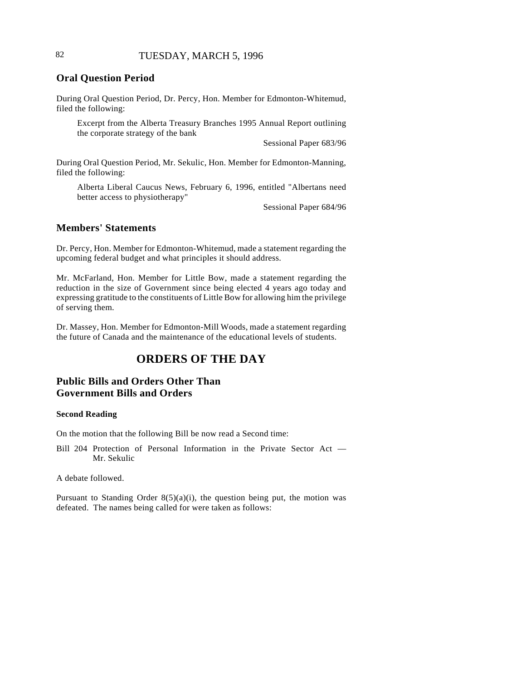# 82 TUESDAY, MARCH 5, 1996

# **Oral Question Period**

During Oral Question Period, Dr. Percy, Hon. Member for Edmonton-Whitemud, filed the following:

Excerpt from the Alberta Treasury Branches 1995 Annual Report outlining the corporate strategy of the bank

Sessional Paper 683/96

During Oral Question Period, Mr. Sekulic, Hon. Member for Edmonton-Manning, filed the following:

Alberta Liberal Caucus News, February 6, 1996, entitled "Albertans need better access to physiotherapy"

Sessional Paper 684/96

#### **Members' Statements**

Dr. Percy, Hon. Member for Edmonton-Whitemud, made a statement regarding the upcoming federal budget and what principles it should address.

Mr. McFarland, Hon. Member for Little Bow, made a statement regarding the reduction in the size of Government since being elected 4 years ago today and expressing gratitude to the constituents of Little Bow for allowing him the privilege of serving them.

Dr. Massey, Hon. Member for Edmonton-Mill Woods, made a statement regarding the future of Canada and the maintenance of the educational levels of students.

# **ORDERS OF THE DAY**

# **Public Bills and Orders Other Than Government Bills and Orders**

#### **Second Reading**

On the motion that the following Bill be now read a Second time:

Bill 204 Protection of Personal Information in the Private Sector Act — Mr. Sekulic

A debate followed.

Pursuant to Standing Order  $8(5)(a)(i)$ , the question being put, the motion was defeated. The names being called for were taken as follows: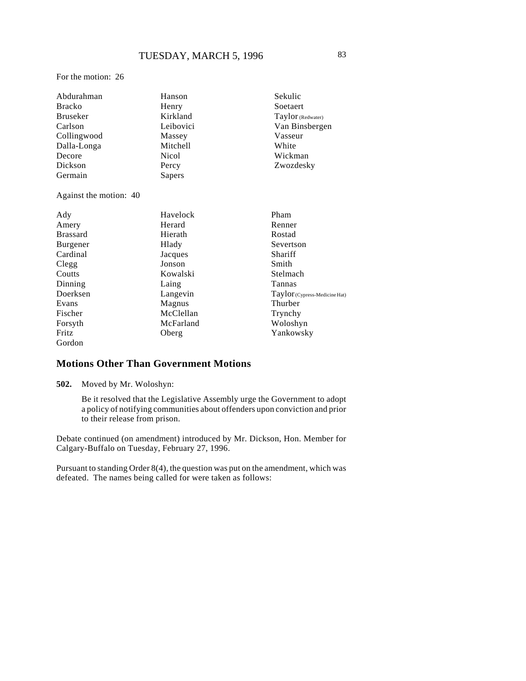For the motion: 26

| Abdurahman             | Hanson       | Sekulic                       |
|------------------------|--------------|-------------------------------|
| <b>Bracko</b>          | Henry        | Soetaert                      |
| <b>Bruseker</b>        | Kirkland     | Taylor (Redwater)             |
| Carlson                | Leibovici    | Van Binsbergen                |
| Collingwood            | Massey       | Vasseur                       |
| Dalla-Longa            | Mitchell     | White                         |
| Decore                 | <b>Nicol</b> | Wickman                       |
| Dickson                | Percy        | Zwozdesky                     |
| Germain                | Sapers       |                               |
| Against the motion: 40 |              |                               |
| Ady                    | Havelock     | Pham                          |
| Amery                  | Herard       | Renner                        |
| <b>Brassard</b>        | Hierath      | Rostad                        |
| Burgener               | Hlady        | Severtson                     |
| Cardinal               | Jacques      | Shariff                       |
| Clegg                  | Jonson       | Smith                         |
| Coutts                 | Kowalski     | Stelmach                      |
| Dinning                | Laing        | Tannas                        |
| Doerksen               | Langevin     | Taylor (Cypress-Medicine Hat) |
| Evans                  | Magnus       | Thurber                       |
| Fischer                | McClellan    | Trynchy                       |
| Forsyth                | McFarland    | Woloshyn                      |
| <b>Fritz</b>           | Oberg        | Yankowsky                     |
| Gordon                 |              |                               |

# **Motions Other Than Government Motions**

**502.** Moved by Mr. Woloshyn:

Be it resolved that the Legislative Assembly urge the Government to adopt a policy of notifying communities about offenders upon conviction and prior to their release from prison.

Debate continued (on amendment) introduced by Mr. Dickson, Hon. Member for Calgary-Buffalo on Tuesday, February 27, 1996.

Pursuant to standing Order 8(4), the question was put on the amendment, which was defeated. The names being called for were taken as follows: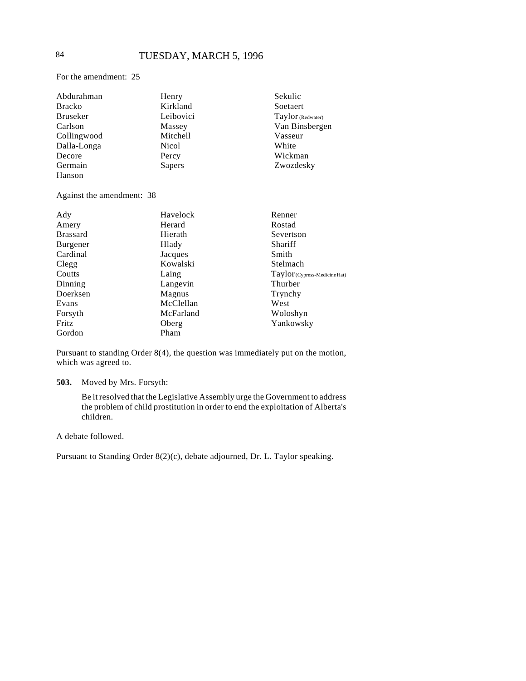For the amendment: 25

| Abdurahman      | Henry        | Sekulic           |
|-----------------|--------------|-------------------|
| <b>Bracko</b>   | Kirkland     | Soetaert          |
| <b>Bruseker</b> | Leibovici    | Taylor (Redwater) |
| Carlson         | Massey       | Van Binsbergen    |
| Collingwood     | Mitchell     | Vasseur           |
| Dalla-Longa     | <b>Nicol</b> | White             |
| Decore          | Percy        | Wickman           |
| Germain         | Sapers       | Zwozdesky         |
| Hanson          |              |                   |

Against the amendment: 38

| Ady             | Havelock  | Renner                        |
|-----------------|-----------|-------------------------------|
| Amery           | Herard    | Rostad                        |
| <b>Brassard</b> | Hierath   | Severtson                     |
| Burgener        | Hlady     | Shariff                       |
| Cardinal        | Jacques   | Smith                         |
| Clegg           | Kowalski  | Stelmach                      |
| Coutts          | Laing     | Taylor (Cypress-Medicine Hat) |
| Dinning         | Langevin  | Thurber                       |
| Doerksen        | Magnus    | Trynchy                       |
| Evans           | McClellan | West                          |
| Forsyth         | McFarland | Woloshyn                      |
| Fritz           | Oberg     | Yankowsky                     |
| Gordon          | Pham      |                               |

Pursuant to standing Order 8(4), the question was immediately put on the motion, which was agreed to.

#### **503.** Moved by Mrs. Forsyth:

Be it resolved that the Legislative Assembly urge the Government to address the problem of child prostitution in order to end the exploitation of Alberta's children.

A debate followed.

Pursuant to Standing Order 8(2)(c), debate adjourned, Dr. L. Taylor speaking.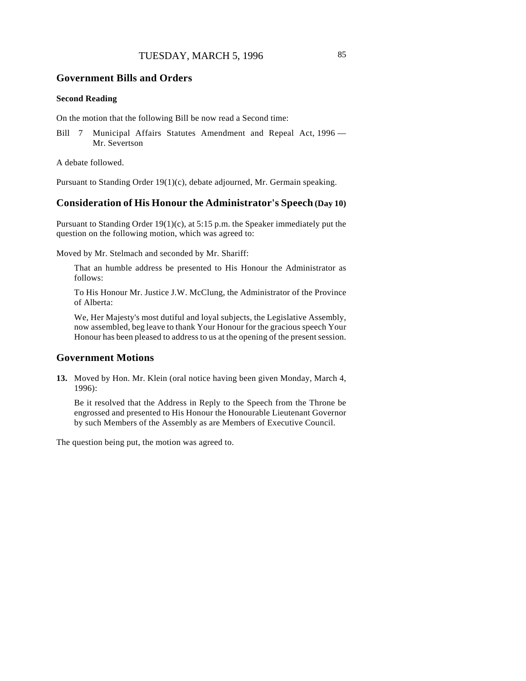#### **Government Bills and Orders**

#### **Second Reading**

On the motion that the following Bill be now read a Second time:

Bill 7 Municipal Affairs Statutes Amendment and Repeal Act, 1996 -Mr. Severtson

A debate followed.

Pursuant to Standing Order 19(1)(c), debate adjourned, Mr. Germain speaking.

# **Consideration of His Honour the Administrator's Speech (Day 10)**

Pursuant to Standing Order 19(1)(c), at 5:15 p.m. the Speaker immediately put the question on the following motion, which was agreed to:

Moved by Mr. Stelmach and seconded by Mr. Shariff:

That an humble address be presented to His Honour the Administrator as follows:

To His Honour Mr. Justice J.W. McClung, the Administrator of the Province of Alberta:

We, Her Majesty's most dutiful and loyal subjects, the Legislative Assembly, now assembled, beg leave to thank Your Honour for the gracious speech Your Honour has been pleased to address to us at the opening of the present session.

#### **Government Motions**

**13.** Moved by Hon. Mr. Klein (oral notice having been given Monday, March 4, 1996):

Be it resolved that the Address in Reply to the Speech from the Throne be engrossed and presented to His Honour the Honourable Lieutenant Governor by such Members of the Assembly as are Members of Executive Council.

The question being put, the motion was agreed to.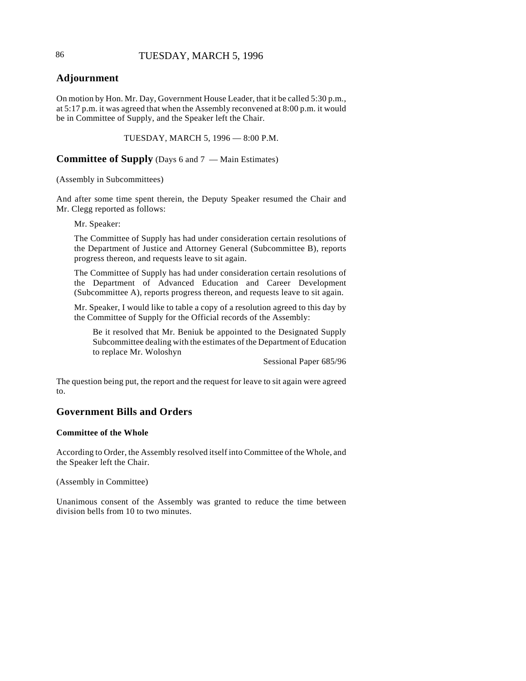# 86 TUESDAY, MARCH 5, 1996

# **Adjournment**

On motion by Hon. Mr. Day, Government House Leader, that it be called 5:30 p.m., at 5:17 p.m. it was agreed that when the Assembly reconvened at 8:00 p.m. it would be in Committee of Supply, and the Speaker left the Chair.

TUESDAY, MARCH 5, 1996 — 8:00 P.M.

**Committee of Supply** (Days 6 and 7 — Main Estimates)

(Assembly in Subcommittees)

And after some time spent therein, the Deputy Speaker resumed the Chair and Mr. Clegg reported as follows:

Mr. Speaker:

The Committee of Supply has had under consideration certain resolutions of the Department of Justice and Attorney General (Subcommittee B), reports progress thereon, and requests leave to sit again.

The Committee of Supply has had under consideration certain resolutions of the Department of Advanced Education and Career Development (Subcommittee A), reports progress thereon, and requests leave to sit again.

Mr. Speaker, I would like to table a copy of a resolution agreed to this day by the Committee of Supply for the Official records of the Assembly:

Be it resolved that Mr. Beniuk be appointed to the Designated Supply Subcommittee dealing with the estimates of the Department of Education to replace Mr. Woloshyn

Sessional Paper 685/96

The question being put, the report and the request for leave to sit again were agreed to.

# **Government Bills and Orders**

#### **Committee of the Whole**

According to Order, the Assembly resolved itself into Committee of the Whole, and the Speaker left the Chair.

(Assembly in Committee)

Unanimous consent of the Assembly was granted to reduce the time between division bells from 10 to two minutes.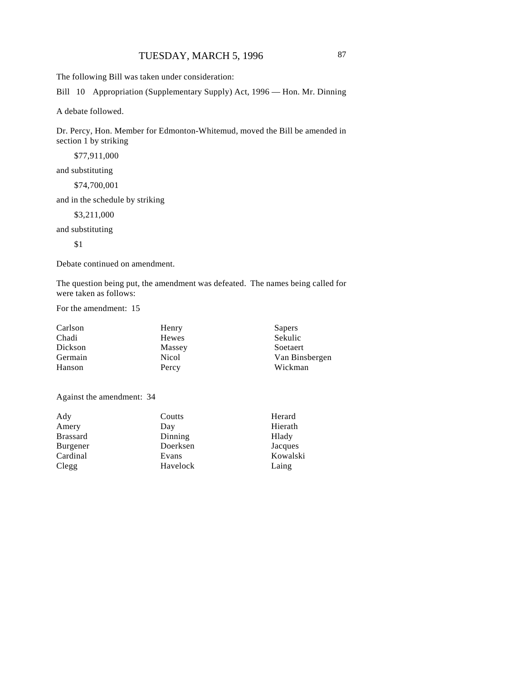The following Bill was taken under consideration:

Bill 10 Appropriation (Supplementary Supply) Act, 1996 — Hon. Mr. Dinning

A debate followed.

Dr. Percy, Hon. Member for Edmonton-Whitemud, moved the Bill be amended in section 1 by striking

\$77,911,000

and substituting

\$74,700,001

and in the schedule by striking

\$3,211,000

and substituting

\$1

Debate continued on amendment.

The question being put, the amendment was defeated. The names being called for were taken as follows:

For the amendment: 15

| Carlson | Henry  | Sapers         |
|---------|--------|----------------|
| Chadi   | Hewes  | Sekulic        |
| Dickson | Massey | Soetaert       |
| Germain | Nicol  | Van Binsbergen |
| Hanson  | Percy  | Wickman        |

Against the amendment: 34

| Ady             | Coutts   | Herard   |
|-----------------|----------|----------|
| Amery           | Day      | Hierath  |
| <b>Brassard</b> | Dinning  | Hlady    |
| Burgener        | Doerksen | Jacques  |
| Cardinal        | Evans    | Kowalski |
| Clegg           | Havelock | Laing    |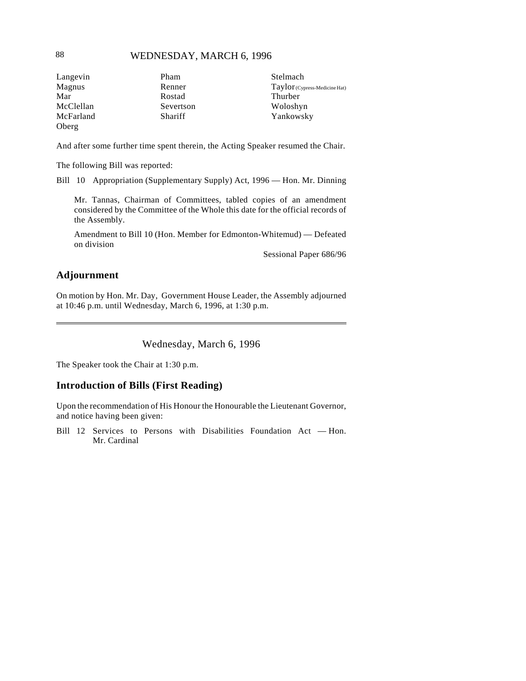# 88 WEDNESDAY, MARCH 6, 1996

| Langevin  | Pham      | Stelmach                      |
|-----------|-----------|-------------------------------|
| Magnus    | Renner    | Taylor (Cypress-Medicine Hat) |
| Mar       | Rostad    | Thurber                       |
| McClellan | Severtson | Woloshyn                      |
| McFarland | Shariff   | Yankowsky                     |
| Oberg     |           |                               |

And after some further time spent therein, the Acting Speaker resumed the Chair.

The following Bill was reported:

Bill 10 Appropriation (Supplementary Supply) Act, 1996 — Hon. Mr. Dinning

Mr. Tannas, Chairman of Committees, tabled copies of an amendment considered by the Committee of the Whole this date for the official records of the Assembly.

Amendment to Bill 10 (Hon. Member for Edmonton-Whitemud) — Defeated on division

Sessional Paper 686/96

# **Adjournment**

 $\overline{\phantom{a}}$ 

On motion by Hon. Mr. Day, Government House Leader, the Assembly adjourned at 10:46 p.m. until Wednesday, March 6, 1996, at 1:30 p.m.

Wednesday, March 6, 1996

The Speaker took the Chair at 1:30 p.m.

# **Introduction of Bills (First Reading)**

Upon the recommendation of His Honour the Honourable the Lieutenant Governor, and notice having been given:

Bill 12 Services to Persons with Disabilities Foundation Act — Hon. Mr. Cardinal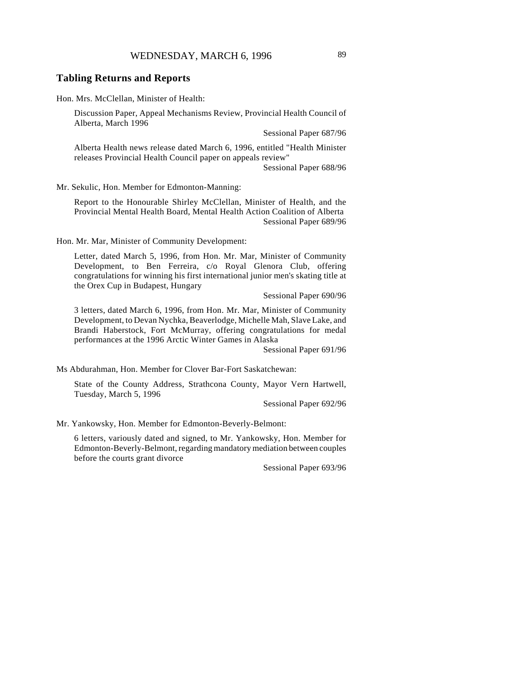## **Tabling Returns and Reports**

Hon. Mrs. McClellan, Minister of Health:

Discussion Paper, Appeal Mechanisms Review, Provincial Health Council of Alberta, March 1996

Sessional Paper 687/96

Alberta Health news release dated March 6, 1996, entitled "Health Minister releases Provincial Health Council paper on appeals review"

Sessional Paper 688/96

Mr. Sekulic, Hon. Member for Edmonton-Manning:

Report to the Honourable Shirley McClellan, Minister of Health, and the Provincial Mental Health Board, Mental Health Action Coalition of Alberta Sessional Paper 689/96

Hon. Mr. Mar, Minister of Community Development:

Letter, dated March 5, 1996, from Hon. Mr. Mar, Minister of Community Development, to Ben Ferreira, c/o Royal Glenora Club, offering congratulations for winning his first international junior men's skating title at the Orex Cup in Budapest, Hungary

Sessional Paper 690/96

3 letters, dated March 6, 1996, from Hon. Mr. Mar, Minister of Community Development, to Devan Nychka, Beaverlodge, Michelle Mah, Slave Lake, and Brandi Haberstock, Fort McMurray, offering congratulations for medal performances at the 1996 Arctic Winter Games in Alaska

Sessional Paper 691/96

Ms Abdurahman, Hon. Member for Clover Bar-Fort Saskatchewan:

State of the County Address, Strathcona County, Mayor Vern Hartwell, Tuesday, March 5, 1996

Sessional Paper 692/96

Mr. Yankowsky, Hon. Member for Edmonton-Beverly-Belmont:

6 letters, variously dated and signed, to Mr. Yankowsky, Hon. Member for Edmonton-Beverly-Belmont, regarding mandatory mediation between couples before the courts grant divorce

Sessional Paper 693/96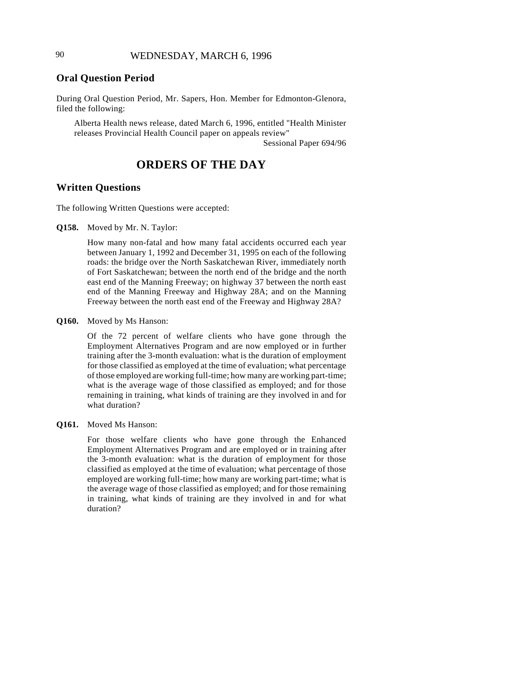# **Oral Question Period**

During Oral Question Period, Mr. Sapers, Hon. Member for Edmonton-Glenora, filed the following:

Alberta Health news release, dated March 6, 1996, entitled "Health Minister releases Provincial Health Council paper on appeals review"

Sessional Paper 694/96

# **ORDERS OF THE DAY**

#### **Written Questions**

The following Written Questions were accepted:

**Q158.** Moved by Mr. N. Taylor:

How many non-fatal and how many fatal accidents occurred each year between January 1, 1992 and December 31, 1995 on each of the following roads: the bridge over the North Saskatchewan River, immediately north of Fort Saskatchewan; between the north end of the bridge and the north east end of the Manning Freeway; on highway 37 between the north east end of the Manning Freeway and Highway 28A; and on the Manning Freeway between the north east end of the Freeway and Highway 28A?

**Q160.** Moved by Ms Hanson:

Of the 72 percent of welfare clients who have gone through the Employment Alternatives Program and are now employed or in further training after the 3-month evaluation: what is the duration of employment for those classified as employed at the time of evaluation; what percentage of those employed are working full-time; how many are working part-time; what is the average wage of those classified as employed; and for those remaining in training, what kinds of training are they involved in and for what duration?

#### **Q161.** Moved Ms Hanson:

For those welfare clients who have gone through the Enhanced Employment Alternatives Program and are employed or in training after the 3-month evaluation: what is the duration of employment for those classified as employed at the time of evaluation; what percentage of those employed are working full-time; how many are working part-time; what is the average wage of those classified as employed; and for those remaining in training, what kinds of training are they involved in and for what duration?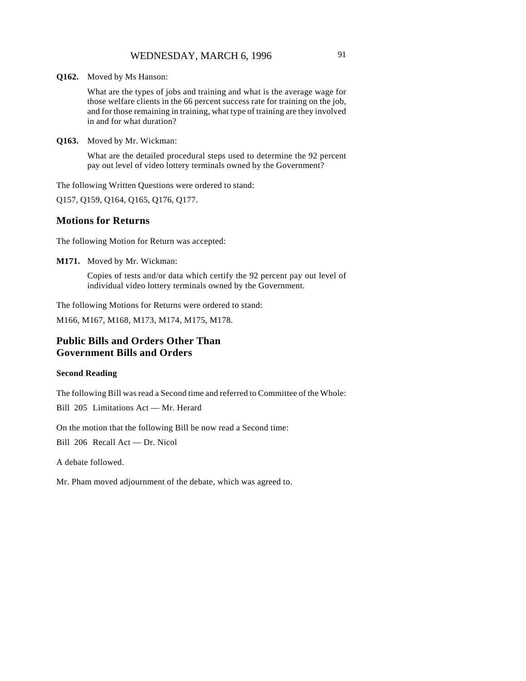**Q162.** Moved by Ms Hanson:

What are the types of jobs and training and what is the average wage for those welfare clients in the 66 percent success rate for training on the job, and for those remaining in training, what type of training are they involved in and for what duration?

**Q163.** Moved by Mr. Wickman:

What are the detailed procedural steps used to determine the 92 percent pay out level of video lottery terminals owned by the Government?

The following Written Questions were ordered to stand:

Q157, Q159, Q164, Q165, Q176, Q177.

#### **Motions for Returns**

The following Motion for Return was accepted:

**M171.** Moved by Mr. Wickman:

Copies of tests and/or data which certify the 92 percent pay out level of individual video lottery terminals owned by the Government.

The following Motions for Returns were ordered to stand:

M166, M167, M168, M173, M174, M175, M178.

# **Public Bills and Orders Other Than Government Bills and Orders**

#### **Second Reading**

The following Bill was read a Second time and referred to Committee of the Whole:

Bill 205 Limitations Act — Mr. Herard

On the motion that the following Bill be now read a Second time:

Bill 206 Recall Act — Dr. Nicol

A debate followed.

Mr. Pham moved adjournment of the debate, which was agreed to.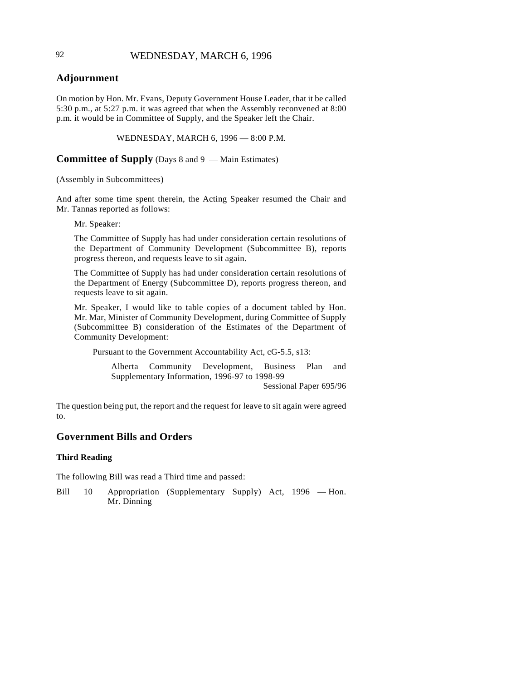# 92 WEDNESDAY, MARCH 6, 1996

# **Adjournment**

On motion by Hon. Mr. Evans, Deputy Government House Leader, that it be called 5:30 p.m., at 5:27 p.m. it was agreed that when the Assembly reconvened at 8:00 p.m. it would be in Committee of Supply, and the Speaker left the Chair.

WEDNESDAY, MARCH 6, 1996 — 8:00 P.M.

**Committee of Supply** (Days 8 and 9 — Main Estimates)

(Assembly in Subcommittees)

And after some time spent therein, the Acting Speaker resumed the Chair and Mr. Tannas reported as follows:

Mr. Speaker:

The Committee of Supply has had under consideration certain resolutions of the Department of Community Development (Subcommittee B), reports progress thereon, and requests leave to sit again.

The Committee of Supply has had under consideration certain resolutions of the Department of Energy (Subcommittee D), reports progress thereon, and requests leave to sit again.

Mr. Speaker, I would like to table copies of a document tabled by Hon. Mr. Mar, Minister of Community Development, during Committee of Supply (Subcommittee B) consideration of the Estimates of the Department of Community Development:

Pursuant to the Government Accountability Act, cG-5.5, s13:

Alberta Community Development, Business Plan and Supplementary Information, 1996-97 to 1998-99 Sessional Paper 695/96

The question being put, the report and the request for leave to sit again were agreed to.

# **Government Bills and Orders**

#### **Third Reading**

The following Bill was read a Third time and passed:

Bill 10 Appropriation (Supplementary Supply) Act, 1996 — Hon. Mr. Dinning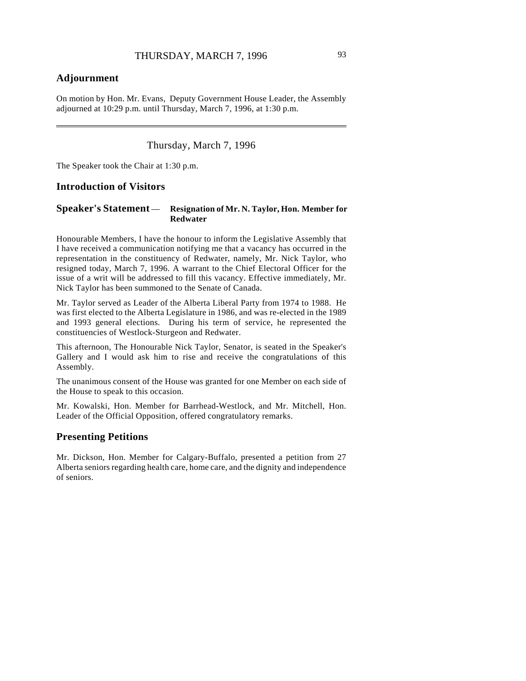# **Adjournment**

 $\overline{\phantom{a}}$ 

On motion by Hon. Mr. Evans, Deputy Government House Leader, the Assembly adjourned at 10:29 p.m. until Thursday, March 7, 1996, at 1:30 p.m.

# Thursday, March 7, 1996

The Speaker took the Chair at 1:30 p.m.

#### **Introduction of Visitors**

#### **Speaker's Statement** — **Resignation of Mr. N. Taylor, Hon. Member for Redwater**

Honourable Members, I have the honour to inform the Legislative Assembly that I have received a communication notifying me that a vacancy has occurred in the representation in the constituency of Redwater, namely, Mr. Nick Taylor, who resigned today, March 7, 1996. A warrant to the Chief Electoral Officer for the issue of a writ will be addressed to fill this vacancy. Effective immediately, Mr. Nick Taylor has been summoned to the Senate of Canada.

Mr. Taylor served as Leader of the Alberta Liberal Party from 1974 to 1988. He was first elected to the Alberta Legislature in 1986, and was re-elected in the 1989 and 1993 general elections. During his term of service, he represented the constituencies of Westlock-Sturgeon and Redwater.

This afternoon, The Honourable Nick Taylor, Senator, is seated in the Speaker's Gallery and I would ask him to rise and receive the congratulations of this Assembly.

The unanimous consent of the House was granted for one Member on each side of the House to speak to this occasion.

Mr. Kowalski, Hon. Member for Barrhead-Westlock, and Mr. Mitchell, Hon. Leader of the Official Opposition, offered congratulatory remarks.

# **Presenting Petitions**

Mr. Dickson, Hon. Member for Calgary-Buffalo, presented a petition from 27 Alberta seniors regarding health care, home care, and the dignity and independence of seniors.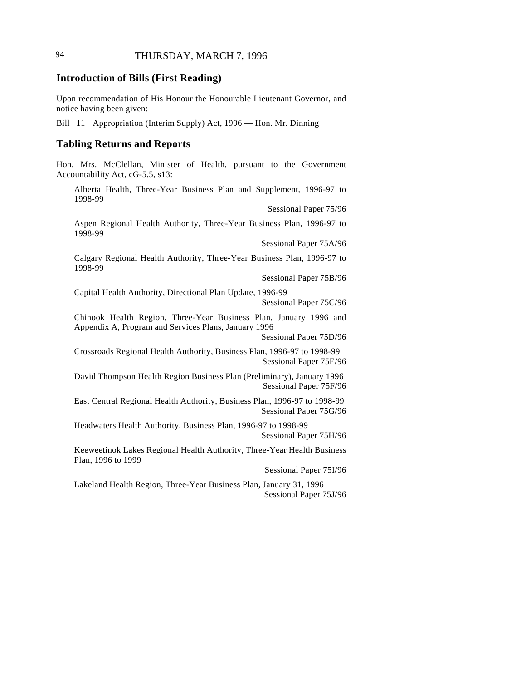# **Introduction of Bills (First Reading)**

Upon recommendation of His Honour the Honourable Lieutenant Governor, and notice having been given:

Bill 11 Appropriation (Interim Supply) Act, 1996 — Hon. Mr. Dinning

#### **Tabling Returns and Reports**

Hon. Mrs. McClellan, Minister of Health, pursuant to the Government Accountability Act, cG-5.5, s13:

Alberta Health, Three-Year Business Plan and Supplement, 1996-97 to 1998-99

Sessional Paper 75/96

Aspen Regional Health Authority, Three-Year Business Plan, 1996-97 to 1998-99

Sessional Paper 75A/96

Calgary Regional Health Authority, Three-Year Business Plan, 1996-97 to 1998-99

Sessional Paper 75B/96

Capital Health Authority, Directional Plan Update, 1996-99 Sessional Paper 75C/96

Chinook Health Region, Three-Year Business Plan, January 1996 and Appendix A, Program and Services Plans, January 1996

Sessional Paper 75D/96

Crossroads Regional Health Authority, Business Plan, 1996-97 to 1998-99 Sessional Paper 75E/96

David Thompson Health Region Business Plan (Preliminary), January 1996 Sessional Paper 75F/96

East Central Regional Health Authority, Business Plan, 1996-97 to 1998-99 Sessional Paper 75G/96

Headwaters Health Authority, Business Plan, 1996-97 to 1998-99 Sessional Paper 75H/96

Keeweetinok Lakes Regional Health Authority, Three-Year Health Business Plan, 1996 to 1999

Sessional Paper 75I/96

Lakeland Health Region, Three-Year Business Plan, January 31, 1996 Sessional Paper 75J/96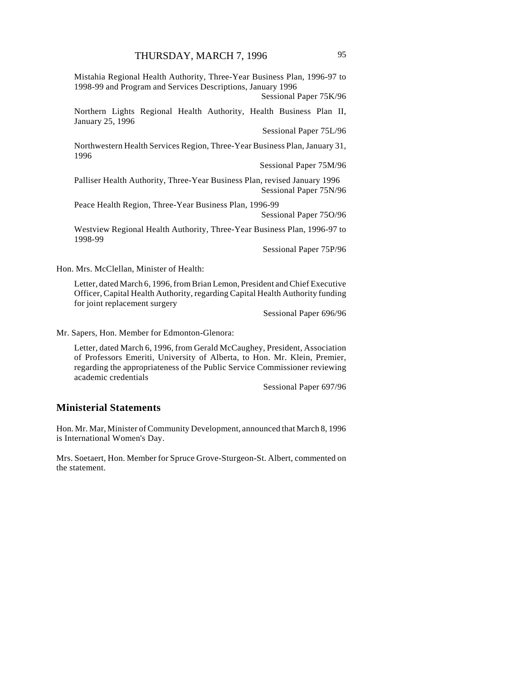Mistahia Regional Health Authority, Three-Year Business Plan, 1996-97 to 1998-99 and Program and Services Descriptions, January 1996

Sessional Paper 75K/96

Northern Lights Regional Health Authority, Health Business Plan II, January 25, 1996

Sessional Paper 75L/96

Northwestern Health Services Region, Three-Year Business Plan, January 31, 1996

Sessional Paper 75M/96

Palliser Health Authority, Three-Year Business Plan, revised January 1996 Sessional Paper 75N/96

Peace Health Region, Three-Year Business Plan, 1996-99

Sessional Paper 75O/96

Westview Regional Health Authority, Three-Year Business Plan, 1996-97 to 1998-99

Sessional Paper 75P/96

Hon. Mrs. McClellan, Minister of Health:

Letter, dated March 6, 1996, from Brian Lemon, President and Chief Executive Officer, Capital Health Authority, regarding Capital Health Authority funding for joint replacement surgery

Sessional Paper 696/96

Mr. Sapers, Hon. Member for Edmonton-Glenora:

Letter, dated March 6, 1996, from Gerald McCaughey, President, Association of Professors Emeriti, University of Alberta, to Hon. Mr. Klein, Premier, regarding the appropriateness of the Public Service Commissioner reviewing academic credentials

Sessional Paper 697/96

# **Ministerial Statements**

Hon. Mr. Mar, Minister of Community Development, announced that March 8, 1996 is International Women's Day.

Mrs. Soetaert, Hon. Member for Spruce Grove-Sturgeon-St. Albert, commented on the statement.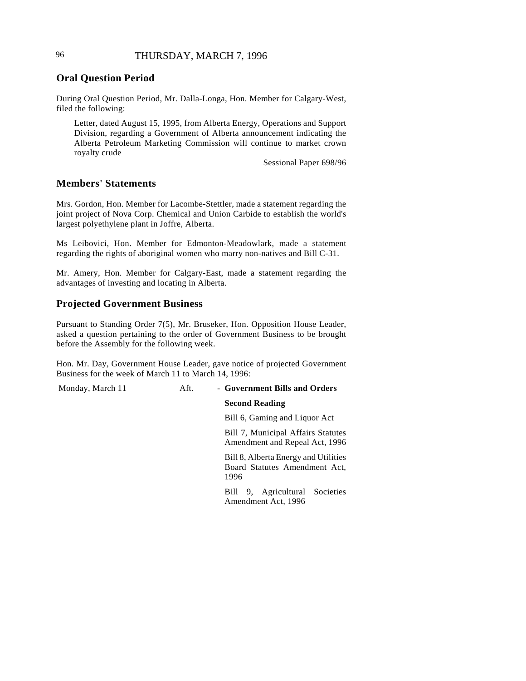# 96 THURSDAY, MARCH 7, 1996

# **Oral Question Period**

During Oral Question Period, Mr. Dalla-Longa, Hon. Member for Calgary-West, filed the following:

Letter, dated August 15, 1995, from Alberta Energy, Operations and Support Division, regarding a Government of Alberta announcement indicating the Alberta Petroleum Marketing Commission will continue to market crown royalty crude

Sessional Paper 698/96

# **Members' Statements**

Mrs. Gordon, Hon. Member for Lacombe-Stettler, made a statement regarding the joint project of Nova Corp. Chemical and Union Carbide to establish the world's largest polyethylene plant in Joffre, Alberta.

Ms Leibovici, Hon. Member for Edmonton-Meadowlark, made a statement regarding the rights of aboriginal women who marry non-natives and Bill C-31.

Mr. Amery, Hon. Member for Calgary-East, made a statement regarding the advantages of investing and locating in Alberta.

# **Projected Government Business**

Pursuant to Standing Order 7(5), Mr. Bruseker, Hon. Opposition House Leader, asked a question pertaining to the order of Government Business to be brought before the Assembly for the following week.

Hon. Mr. Day, Government House Leader, gave notice of projected Government Business for the week of March 11 to March 14, 1996:

# Monday, March 11 **Aft.** - **Government Bills and Orders**

## **Second Reading**

Bill 6, Gaming and Liquor Act

Bill 7, Municipal Affairs Statutes Amendment and Repeal Act, 1996

Bill 8, Alberta Energy and Utilities Board Statutes Amendment Act, 1996

Bill 9, Agricultural Societies Amendment Act, 1996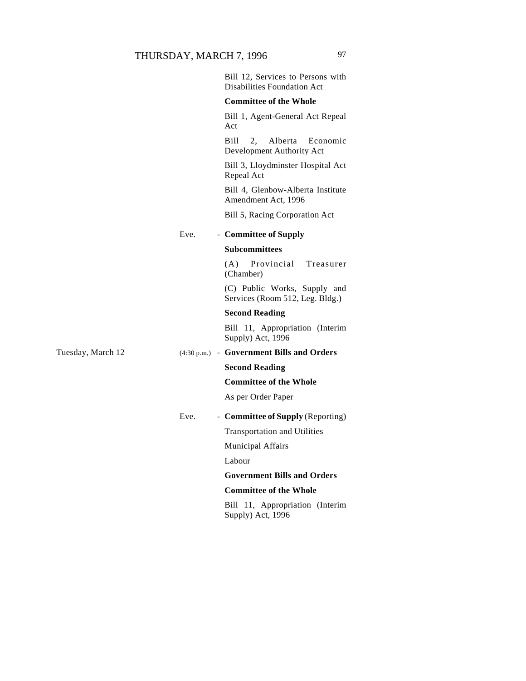|                   |      | Bill 12, Services to Persons with<br><b>Disabilities Foundation Act</b> |
|-------------------|------|-------------------------------------------------------------------------|
|                   |      | <b>Committee of the Whole</b>                                           |
|                   |      | Bill 1, Agent-General Act Repeal<br>Act                                 |
|                   |      | Bill –<br>2.<br>Alberta<br>Economic<br>Development Authority Act        |
|                   |      | Bill 3, Lloydminster Hospital Act<br>Repeal Act                         |
|                   |      | Bill 4, Glenbow-Alberta Institute<br>Amendment Act, 1996                |
|                   |      | Bill 5, Racing Corporation Act                                          |
|                   | Eve. | - Committee of Supply                                                   |
|                   |      | <b>Subcommittees</b>                                                    |
|                   |      | Provincial<br>(A)<br>Treasurer<br>(Chamber)                             |
|                   |      | (C) Public Works, Supply and<br>Services (Room 512, Leg. Bldg.)         |
|                   |      | <b>Second Reading</b>                                                   |
|                   |      | Bill 11, Appropriation (Interim<br>Supply) Act, 1996                    |
| Tuesday, March 12 |      | (4:30 p.m.) - Government Bills and Orders                               |
|                   |      | <b>Second Reading</b>                                                   |
|                   |      | <b>Committee of the Whole</b>                                           |
|                   |      | As per Order Paper                                                      |
|                   | Eve. | - Committee of Supply (Reporting)                                       |
|                   |      | Transportation and Utilities                                            |
|                   |      | <b>Municipal Affairs</b>                                                |
|                   |      | Labour                                                                  |
|                   |      | <b>Government Bills and Orders</b>                                      |
|                   |      | <b>Committee of the Whole</b>                                           |
|                   |      | Bill 11, Appropriation (Interim<br>Supply) Act, 1996                    |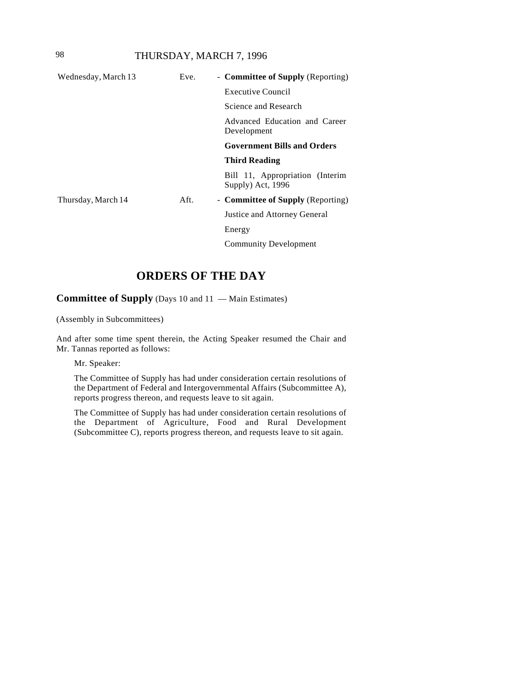# 98 THURSDAY, MARCH 7, 1996

| Wednesday, March 13 | Eve. | - <b>Committee of Supply</b> (Reporting)             |
|---------------------|------|------------------------------------------------------|
|                     |      | Executive Council                                    |
|                     |      | Science and Research                                 |
|                     |      | Advanced Education and Career<br>Development         |
|                     |      | <b>Government Bills and Orders</b>                   |
|                     |      | <b>Third Reading</b>                                 |
|                     |      | Bill 11, Appropriation (Interim<br>Supply) Act, 1996 |
| Thursday, March 14  | Aft. | - Committee of Supply (Reporting)                    |
|                     |      | Justice and Attorney General                         |
|                     |      | Energy                                               |
|                     |      | <b>Community Development</b>                         |
|                     |      |                                                      |

# **ORDERS OF THE DAY**

**Committee of Supply** (Days 10 and 11 — Main Estimates)

(Assembly in Subcommittees)

And after some time spent therein, the Acting Speaker resumed the Chair and Mr. Tannas reported as follows:

Mr. Speaker:

The Committee of Supply has had under consideration certain resolutions of the Department of Federal and Intergovernmental Affairs (Subcommittee A), reports progress thereon, and requests leave to sit again.

The Committee of Supply has had under consideration certain resolutions of the Department of Agriculture, Food and Rural Development (Subcommittee C), reports progress thereon, and requests leave to sit again.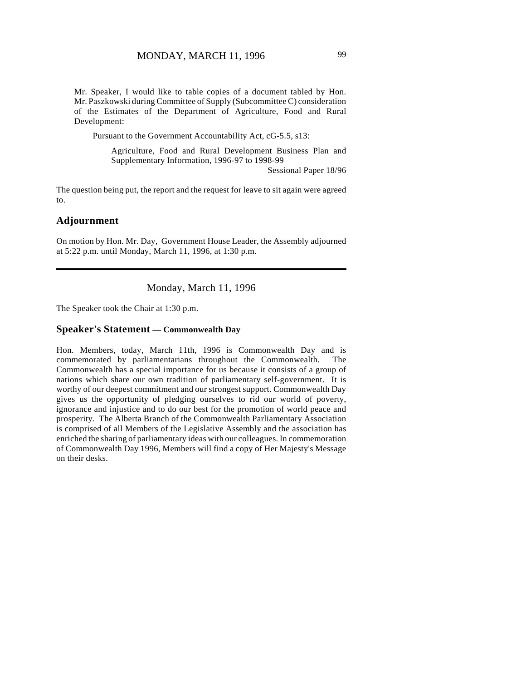Mr. Speaker, I would like to table copies of a document tabled by Hon. Mr. Paszkowski during Committee of Supply (Subcommittee C) consideration of the Estimates of the Department of Agriculture, Food and Rural Development:

Pursuant to the Government Accountability Act, cG-5.5, s13:

Agriculture, Food and Rural Development Business Plan and Supplementary Information, 1996-97 to 1998-99

Sessional Paper 18/96

The question being put, the report and the request for leave to sit again were agreed to.

#### **Adjournment**

On motion by Hon. Mr. Day, Government House Leader, the Assembly adjourned at 5:22 p.m. until Monday, March 11, 1996, at 1:30 p.m.

Monday, March 11, 1996

The Speaker took the Chair at 1:30 p.m.

#### **Speaker's Statement — Commonwealth Day**

Hon. Members, today, March 11th, 1996 is Commonwealth Day and is commemorated by parliamentarians throughout the Commonwealth. The Commonwealth has a special importance for us because it consists of a group of nations which share our own tradition of parliamentary self-government. It is worthy of our deepest commitment and our strongest support. Commonwealth Day gives us the opportunity of pledging ourselves to rid our world of poverty, ignorance and injustice and to do our best for the promotion of world peace and prosperity. The Alberta Branch of the Commonwealth Parliamentary Association is comprised of all Members of the Legislative Assembly and the association has enriched the sharing of parliamentary ideas with our colleagues. In commemoration of Commonwealth Day 1996, Members will find a copy of Her Majesty's Message on their desks.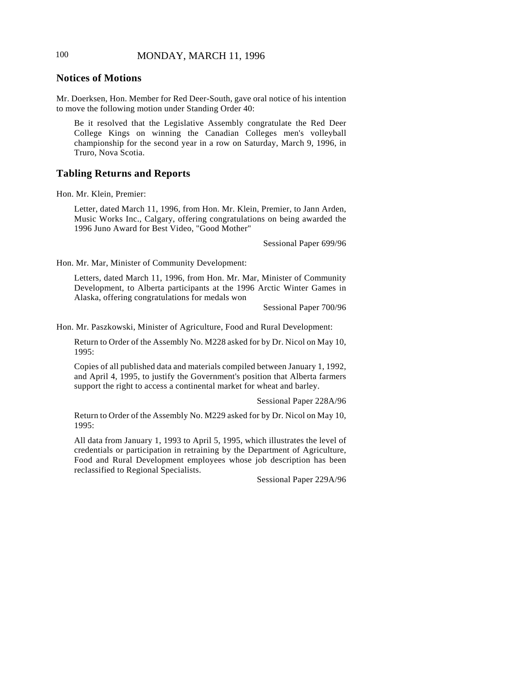# 100 MONDAY, MARCH 11, 1996

# **Notices of Motions**

Mr. Doerksen, Hon. Member for Red Deer-South, gave oral notice of his intention to move the following motion under Standing Order 40:

Be it resolved that the Legislative Assembly congratulate the Red Deer College Kings on winning the Canadian Colleges men's volleyball championship for the second year in a row on Saturday, March 9, 1996, in Truro, Nova Scotia.

#### **Tabling Returns and Reports**

Hon. Mr. Klein, Premier:

Letter, dated March 11, 1996, from Hon. Mr. Klein, Premier, to Jann Arden, Music Works Inc., Calgary, offering congratulations on being awarded the 1996 Juno Award for Best Video, "Good Mother"

Sessional Paper 699/96

Hon. Mr. Mar, Minister of Community Development:

Letters, dated March 11, 1996, from Hon. Mr. Mar, Minister of Community Development, to Alberta participants at the 1996 Arctic Winter Games in Alaska, offering congratulations for medals won

Sessional Paper 700/96

Hon. Mr. Paszkowski, Minister of Agriculture, Food and Rural Development:

Return to Order of the Assembly No. M228 asked for by Dr. Nicol on May 10, 1995:

Copies of all published data and materials compiled between January 1, 1992, and April 4, 1995, to justify the Government's position that Alberta farmers support the right to access a continental market for wheat and barley.

Sessional Paper 228A/96

Return to Order of the Assembly No. M229 asked for by Dr. Nicol on May 10, 1995:

All data from January 1, 1993 to April 5, 1995, which illustrates the level of credentials or participation in retraining by the Department of Agriculture, Food and Rural Development employees whose job description has been reclassified to Regional Specialists.

Sessional Paper 229A/96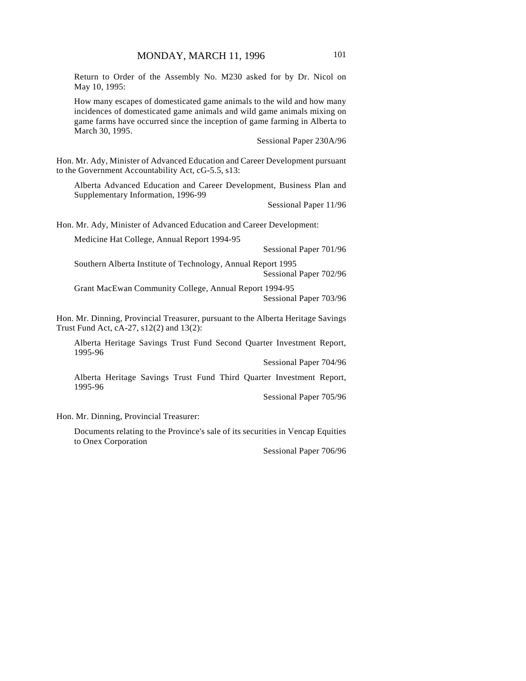Return to Order of the Assembly No. M230 asked for by Dr. Nicol on May 10, 1995:

How many escapes of domesticated game animals to the wild and how many incidences of domesticated game animals and wild game animals mixing on game farms have occurred since the inception of game farming in Alberta to March 30, 1995.

Sessional Paper 230A/96

Hon. Mr. Ady, Minister of Advanced Education and Career Development pursuant to the Government Accountability Act, cG-5.5, s13:

Alberta Advanced Education and Career Development, Business Plan and Supplementary Information, 1996-99

Sessional Paper 11/96

Hon. Mr. Ady, Minister of Advanced Education and Career Development:

| Medicine Hat College, Annual Report 1994-95                                            |                        |
|----------------------------------------------------------------------------------------|------------------------|
|                                                                                        | Sessional Paper 701/96 |
| Southern Alberta Institute of Technology, Annual Report 1995<br>Sessional Paper 702/96 |                        |
| Grant MacEwan Community College, Annual Report 1994-95                                 |                        |

Sessional Paper 703/96

Hon. Mr. Dinning, Provincial Treasurer, pursuant to the Alberta Heritage Savings Trust Fund Act, cA-27, s12(2) and 13(2):

Alberta Heritage Savings Trust Fund Second Quarter Investment Report, 1995-96

Sessional Paper 704/96

Alberta Heritage Savings Trust Fund Third Quarter Investment Report, 1995-96

Sessional Paper 705/96

Hon. Mr. Dinning, Provincial Treasurer:

Documents relating to the Province's sale of its securities in Vencap Equities to Onex Corporation

Sessional Paper 706/96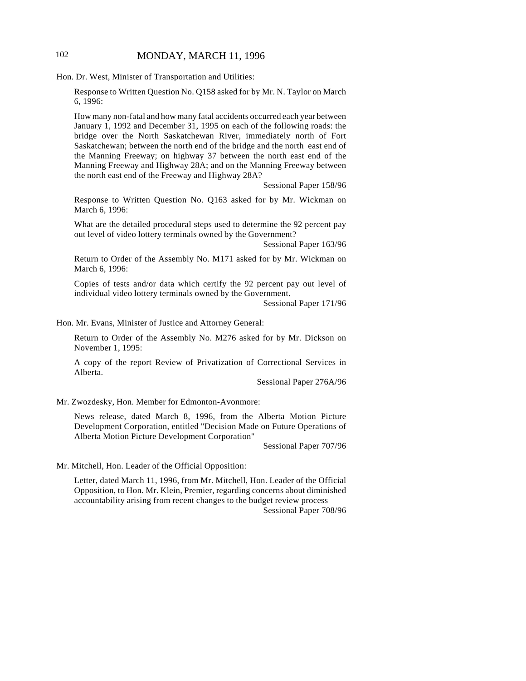# 102 MONDAY, MARCH 11, 1996

Hon. Dr. West, Minister of Transportation and Utilities:

Response to Written Question No. Q158 asked for by Mr. N. Taylor on March 6, 1996:

How many non-fatal and how many fatal accidents occurred each year between January 1, 1992 and December 31, 1995 on each of the following roads: the bridge over the North Saskatchewan River, immediately north of Fort Saskatchewan; between the north end of the bridge and the north east end of the Manning Freeway; on highway 37 between the north east end of the Manning Freeway and Highway 28A; and on the Manning Freeway between the north east end of the Freeway and Highway 28A?

Sessional Paper 158/96

Response to Written Question No. Q163 asked for by Mr. Wickman on March 6, 1996:

What are the detailed procedural steps used to determine the 92 percent pay out level of video lottery terminals owned by the Government?

Sessional Paper 163/96

Return to Order of the Assembly No. M171 asked for by Mr. Wickman on March 6, 1996:

Copies of tests and/or data which certify the 92 percent pay out level of individual video lottery terminals owned by the Government.

Sessional Paper 171/96

Hon. Mr. Evans, Minister of Justice and Attorney General:

Return to Order of the Assembly No. M276 asked for by Mr. Dickson on November 1, 1995:

A copy of the report Review of Privatization of Correctional Services in Alberta.

Sessional Paper 276A/96

Mr. Zwozdesky, Hon. Member for Edmonton-Avonmore:

News release, dated March 8, 1996, from the Alberta Motion Picture Development Corporation, entitled "Decision Made on Future Operations of Alberta Motion Picture Development Corporation"

Sessional Paper 707/96

Mr. Mitchell, Hon. Leader of the Official Opposition:

Letter, dated March 11, 1996, from Mr. Mitchell, Hon. Leader of the Official Opposition, to Hon. Mr. Klein, Premier, regarding concerns about diminished accountability arising from recent changes to the budget review process Sessional Paper 708/96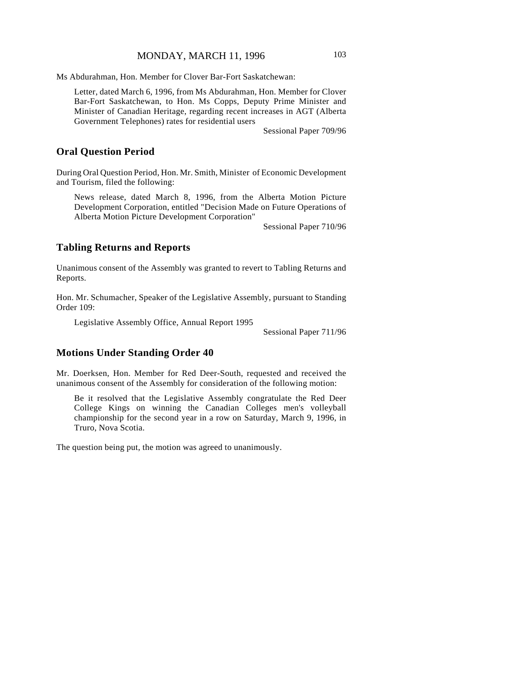Ms Abdurahman, Hon. Member for Clover Bar-Fort Saskatchewan:

Letter, dated March 6, 1996, from Ms Abdurahman, Hon. Member for Clover Bar-Fort Saskatchewan, to Hon. Ms Copps, Deputy Prime Minister and Minister of Canadian Heritage, regarding recent increases in AGT (Alberta Government Telephones) rates for residential users

Sessional Paper 709/96

# **Oral Question Period**

During Oral Question Period, Hon. Mr. Smith, Minister of Economic Development and Tourism, filed the following:

News release, dated March 8, 1996, from the Alberta Motion Picture Development Corporation, entitled "Decision Made on Future Operations of Alberta Motion Picture Development Corporation"

Sessional Paper 710/96

# **Tabling Returns and Reports**

Unanimous consent of the Assembly was granted to revert to Tabling Returns and Reports.

Hon. Mr. Schumacher, Speaker of the Legislative Assembly, pursuant to Standing Order 109:

Legislative Assembly Office, Annual Report 1995

Sessional Paper 711/96

## **Motions Under Standing Order 40**

Mr. Doerksen, Hon. Member for Red Deer-South, requested and received the unanimous consent of the Assembly for consideration of the following motion:

Be it resolved that the Legislative Assembly congratulate the Red Deer College Kings on winning the Canadian Colleges men's volleyball championship for the second year in a row on Saturday, March 9, 1996, in Truro, Nova Scotia.

The question being put, the motion was agreed to unanimously.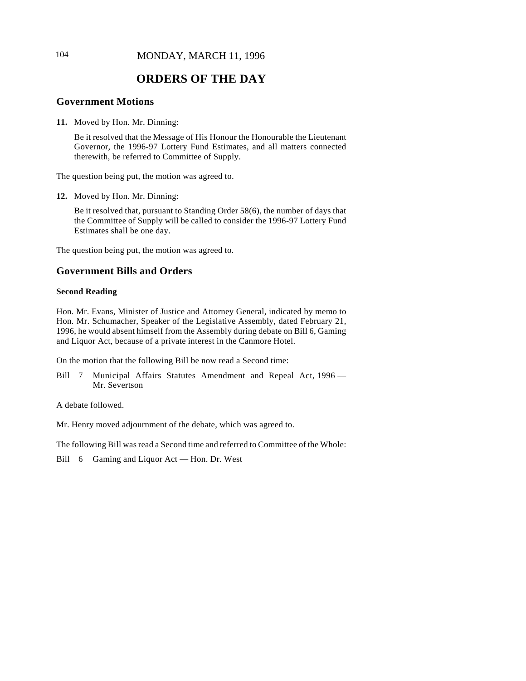# 104 **MONDAY, MARCH 11, 1996**

# **ORDERS OF THE DAY**

# **Government Motions**

**11.** Moved by Hon. Mr. Dinning:

Be it resolved that the Message of His Honour the Honourable the Lieutenant Governor, the 1996-97 Lottery Fund Estimates, and all matters connected therewith, be referred to Committee of Supply.

The question being put, the motion was agreed to.

**12.** Moved by Hon. Mr. Dinning:

Be it resolved that, pursuant to Standing Order 58(6), the number of days that the Committee of Supply will be called to consider the 1996-97 Lottery Fund Estimates shall be one day.

The question being put, the motion was agreed to.

# **Government Bills and Orders**

#### **Second Reading**

Hon. Mr. Evans, Minister of Justice and Attorney General, indicated by memo to Hon. Mr. Schumacher, Speaker of the Legislative Assembly, dated February 21, 1996, he would absent himself from the Assembly during debate on Bill 6, Gaming and Liquor Act, because of a private interest in the Canmore Hotel.

On the motion that the following Bill be now read a Second time:

Bill 7 Municipal Affairs Statutes Amendment and Repeal Act, 1996 -Mr. Severtson

A debate followed.

Mr. Henry moved adjournment of the debate, which was agreed to.

The following Bill was read a Second time and referred to Committee of the Whole:

Bill 6 Gaming and Liquor Act — Hon. Dr. West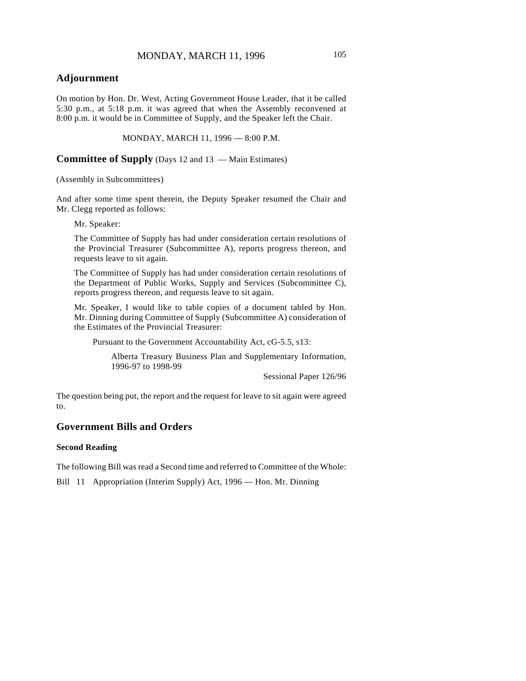# **Adjournment**

On motion by Hon. Dr. West, Acting Government House Leader, that it be called 5:30 p.m., at 5:18 p.m. it was agreed that when the Assembly reconvened at 8:00 p.m. it would be in Committee of Supply, and the Speaker left the Chair.

MONDAY, MARCH 11, 1996 — 8:00 P.M.

**Committee of Supply** (Days 12 and 13 — Main Estimates)

(Assembly in Subcommittees)

And after some time spent therein, the Deputy Speaker resumed the Chair and Mr. Clegg reported as follows:

Mr. Speaker:

The Committee of Supply has had under consideration certain resolutions of the Provincial Treasurer (Subcommittee A), reports progress thereon, and requests leave to sit again.

The Committee of Supply has had under consideration certain resolutions of the Department of Public Works, Supply and Services (Subcommittee C), reports progress thereon, and requests leave to sit again.

Mr. Speaker, I would like to table copies of a document tabled by Hon. Mr. Dinning during Committee of Supply (Subcommittee A) consideration of the Estimates of the Provincial Treasurer:

Pursuant to the Government Accountability Act, cG-5.5, s13:

Alberta Treasury Business Plan and Supplementary Information, 1996-97 to 1998-99

Sessional Paper 126/96

The question being put, the report and the request for leave to sit again were agreed to.

# **Government Bills and Orders**

#### **Second Reading**

The following Bill was read a Second time and referred to Committee of the Whole:

Bill 11 Appropriation (Interim Supply) Act, 1996 — Hon. Mr. Dinning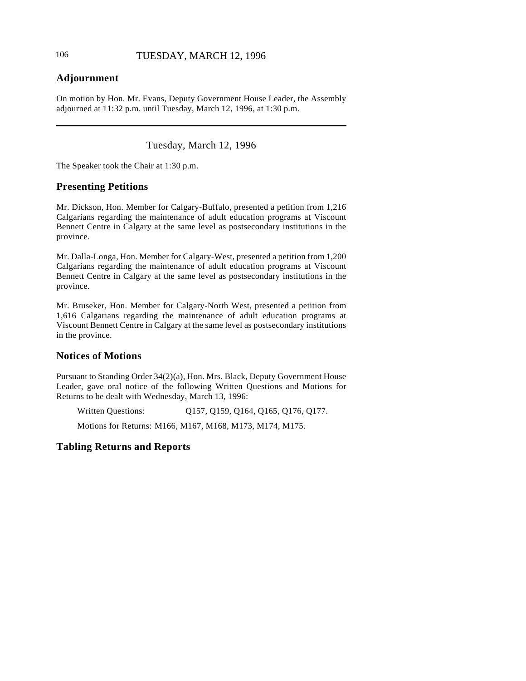# **Adjournment**

On motion by Hon. Mr. Evans, Deputy Government House Leader, the Assembly adjourned at 11:32 p.m. until Tuesday, March 12, 1996, at 1:30 p.m.

Tuesday, March 12, 1996

The Speaker took the Chair at 1:30 p.m.

# **Presenting Petitions**

Mr. Dickson, Hon. Member for Calgary-Buffalo, presented a petition from 1,216 Calgarians regarding the maintenance of adult education programs at Viscount Bennett Centre in Calgary at the same level as postsecondary institutions in the province.

Mr. Dalla-Longa, Hon. Member for Calgary-West, presented a petition from 1,200 Calgarians regarding the maintenance of adult education programs at Viscount Bennett Centre in Calgary at the same level as postsecondary institutions in the province.

Mr. Bruseker, Hon. Member for Calgary-North West, presented a petition from 1,616 Calgarians regarding the maintenance of adult education programs at Viscount Bennett Centre in Calgary at the same level as postsecondary institutions in the province.

# **Notices of Motions**

Pursuant to Standing Order 34(2)(a), Hon. Mrs. Black, Deputy Government House Leader, gave oral notice of the following Written Questions and Motions for Returns to be dealt with Wednesday, March 13, 1996:

Written Questions: Q157, Q159, Q164, Q165, Q176, Q177.

Motions for Returns: M166, M167, M168, M173, M174, M175.

# **Tabling Returns and Reports**

 $\overline{\phantom{a}}$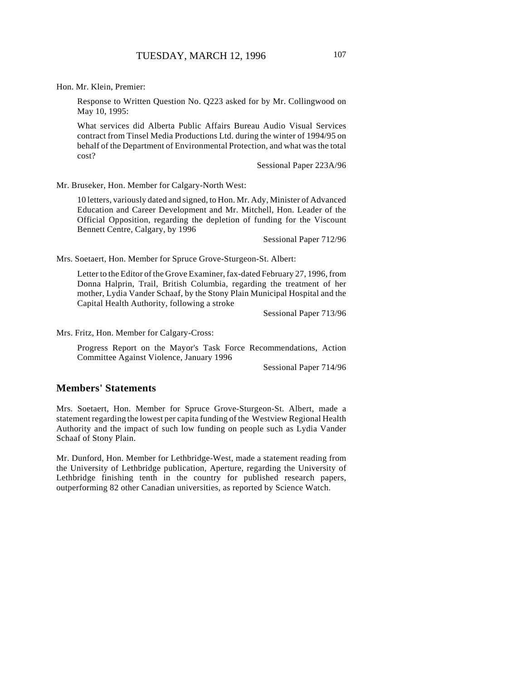Hon. Mr. Klein, Premier:

Response to Written Question No. Q223 asked for by Mr. Collingwood on May 10, 1995:

What services did Alberta Public Affairs Bureau Audio Visual Services contract from Tinsel Media Productions Ltd. during the winter of 1994/95 on behalf of the Department of Environmental Protection, and what was the total cost?

Sessional Paper 223A/96

Mr. Bruseker, Hon. Member for Calgary-North West:

10 letters, variously dated and signed, to Hon. Mr. Ady, Minister of Advanced Education and Career Development and Mr. Mitchell, Hon. Leader of the Official Opposition, regarding the depletion of funding for the Viscount Bennett Centre, Calgary, by 1996

Sessional Paper 712/96

Mrs. Soetaert, Hon. Member for Spruce Grove-Sturgeon-St. Albert:

Letter to the Editor of the Grove Examiner, fax-dated February 27, 1996, from Donna Halprin, Trail, British Columbia, regarding the treatment of her mother, Lydia Vander Schaaf, by the Stony Plain Municipal Hospital and the Capital Health Authority, following a stroke

Sessional Paper 713/96

Mrs. Fritz, Hon. Member for Calgary-Cross:

Progress Report on the Mayor's Task Force Recommendations, Action Committee Against Violence, January 1996

Sessional Paper 714/96

#### **Members' Statements**

Mrs. Soetaert, Hon. Member for Spruce Grove-Sturgeon-St. Albert, made a statement regarding the lowest per capita funding of the Westview Regional Health Authority and the impact of such low funding on people such as Lydia Vander Schaaf of Stony Plain.

Mr. Dunford, Hon. Member for Lethbridge-West, made a statement reading from the University of Lethbridge publication, Aperture, regarding the University of Lethbridge finishing tenth in the country for published research papers, outperforming 82 other Canadian universities, as reported by Science Watch.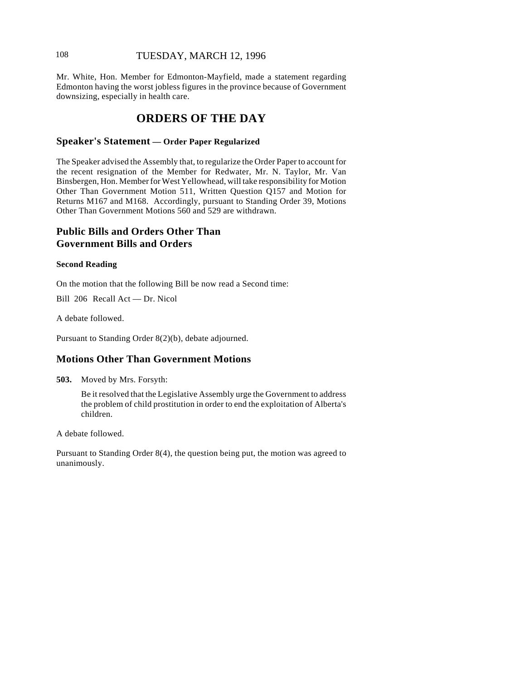# 108 TUESDAY, MARCH 12, 1996

Mr. White, Hon. Member for Edmonton-Mayfield, made a statement regarding Edmonton having the worst jobless figures in the province because of Government downsizing, especially in health care.

# **ORDERS OF THE DAY**

## **Speaker's Statement — Order Paper Regularized**

The Speaker advised the Assembly that, to regularize the Order Paper to account for the recent resignation of the Member for Redwater, Mr. N. Taylor, Mr. Van Binsbergen, Hon. Member for West Yellowhead, will take responsibility for Motion Other Than Government Motion 511, Written Question Q157 and Motion for Returns M167 and M168. Accordingly, pursuant to Standing Order 39, Motions Other Than Government Motions 560 and 529 are withdrawn.

# **Public Bills and Orders Other Than Government Bills and Orders**

#### **Second Reading**

On the motion that the following Bill be now read a Second time:

Bill 206 Recall Act — Dr. Nicol

A debate followed.

Pursuant to Standing Order 8(2)(b), debate adjourned.

# **Motions Other Than Government Motions**

**503.** Moved by Mrs. Forsyth:

Be it resolved that the Legislative Assembly urge the Government to address the problem of child prostitution in order to end the exploitation of Alberta's children.

A debate followed.

Pursuant to Standing Order 8(4), the question being put, the motion was agreed to unanimously.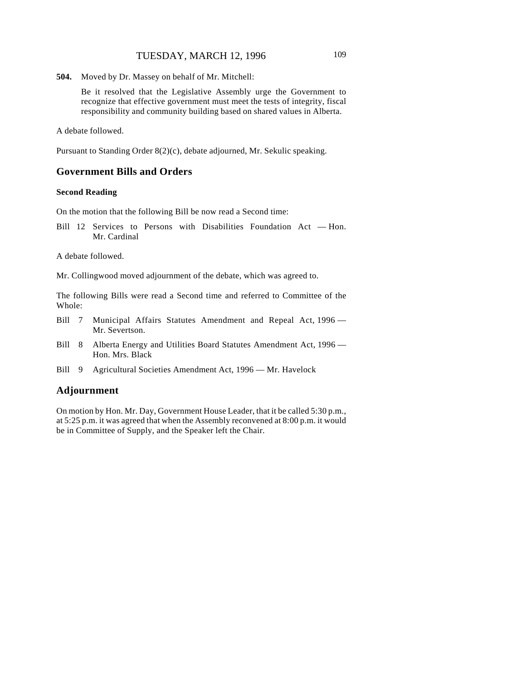**504.** Moved by Dr. Massey on behalf of Mr. Mitchell:

Be it resolved that the Legislative Assembly urge the Government to recognize that effective government must meet the tests of integrity, fiscal responsibility and community building based on shared values in Alberta.

A debate followed.

Pursuant to Standing Order 8(2)(c), debate adjourned, Mr. Sekulic speaking.

### **Government Bills and Orders**

#### **Second Reading**

On the motion that the following Bill be now read a Second time:

Bill 12 Services to Persons with Disabilities Foundation Act — Hon. Mr. Cardinal

A debate followed.

Mr. Collingwood moved adjournment of the debate, which was agreed to.

The following Bills were read a Second time and referred to Committee of the Whole:

- Bill 7 Municipal Affairs Statutes Amendment and Repeal Act, 1996 -Mr. Severtson.
- Bill 8 Alberta Energy and Utilities Board Statutes Amendment Act, 1996 -Hon. Mrs. Black
- Bill 9 Agricultural Societies Amendment Act, 1996 Mr. Havelock

#### **Adjournment**

On motion by Hon. Mr. Day, Government House Leader, that it be called 5:30 p.m., at 5:25 p.m. it was agreed that when the Assembly reconvened at 8:00 p.m. it would be in Committee of Supply, and the Speaker left the Chair.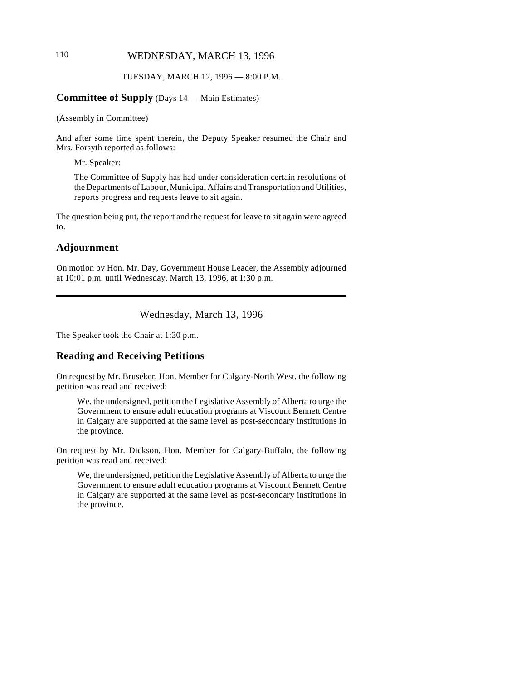# 110 WEDNESDAY, MARCH 13, 1996

#### TUESDAY, MARCH 12, 1996 — 8:00 P.M.

#### **Committee of Supply** (Days 14 — Main Estimates)

(Assembly in Committee)

And after some time spent therein, the Deputy Speaker resumed the Chair and Mrs. Forsyth reported as follows:

Mr. Speaker:

The Committee of Supply has had under consideration certain resolutions of the Departments of Labour, Municipal Affairs and Transportation and Utilities, reports progress and requests leave to sit again.

The question being put, the report and the request for leave to sit again were agreed to.

# **Adjournment**

On motion by Hon. Mr. Day, Government House Leader, the Assembly adjourned at 10:01 p.m. until Wednesday, March 13, 1996, at 1:30 p.m.

Wednesday, March 13, 1996

The Speaker took the Chair at 1:30 p.m.

# **Reading and Receiving Petitions**

On request by Mr. Bruseker, Hon. Member for Calgary-North West, the following petition was read and received:

We, the undersigned, petition the Legislative Assembly of Alberta to urge the Government to ensure adult education programs at Viscount Bennett Centre in Calgary are supported at the same level as post-secondary institutions in the province.

On request by Mr. Dickson, Hon. Member for Calgary-Buffalo, the following petition was read and received:

We, the undersigned, petition the Legislative Assembly of Alberta to urge the Government to ensure adult education programs at Viscount Bennett Centre in Calgary are supported at the same level as post-secondary institutions in the province.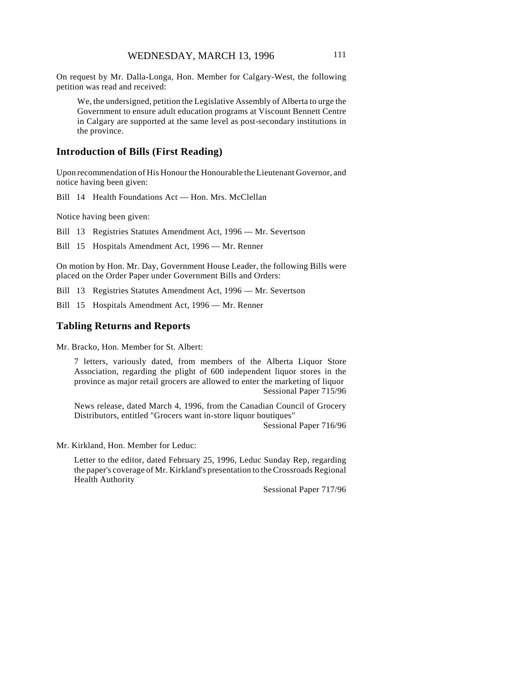On request by Mr. Dalla-Longa, Hon. Member for Calgary-West, the following petition was read and received:

We, the undersigned, petition the Legislative Assembly of Alberta to urge the Government to ensure adult education programs at Viscount Bennett Centre in Calgary are supported at the same level as post-secondary institutions in the province.

### **Introduction of Bills (First Reading)**

Upon recommendation of His Honour the Honourable the Lieutenant Governor, and notice having been given:

Bill 14 Health Foundations Act — Hon. Mrs. McClellan

Notice having been given:

Bill 13 Registries Statutes Amendment Act, 1996 — Mr. Severtson

Bill 15 Hospitals Amendment Act, 1996 — Mr. Renner

On motion by Hon. Mr. Day, Government House Leader, the following Bills were placed on the Order Paper under Government Bills and Orders:

Bill 13 Registries Statutes Amendment Act, 1996 — Mr. Severtson

Bill 15 Hospitals Amendment Act, 1996 — Mr. Renner

#### **Tabling Returns and Reports**

Mr. Bracko, Hon. Member for St. Albert:

7 letters, variously dated, from members of the Alberta Liquor Store Association, regarding the plight of 600 independent liquor stores in the province as major retail grocers are allowed to enter the marketing of liquor Sessional Paper 715/96

News release, dated March 4, 1996, from the Canadian Council of Grocery Distributors, entitled "Grocers want in-store liquor boutiques"

Sessional Paper 716/96

Mr. Kirkland, Hon. Member for Leduc:

Letter to the editor, dated February 25, 1996, Leduc Sunday Rep, regarding the paper's coverage of Mr. Kirkland's presentation to the Crossroads Regional Health Authority

Sessional Paper 717/96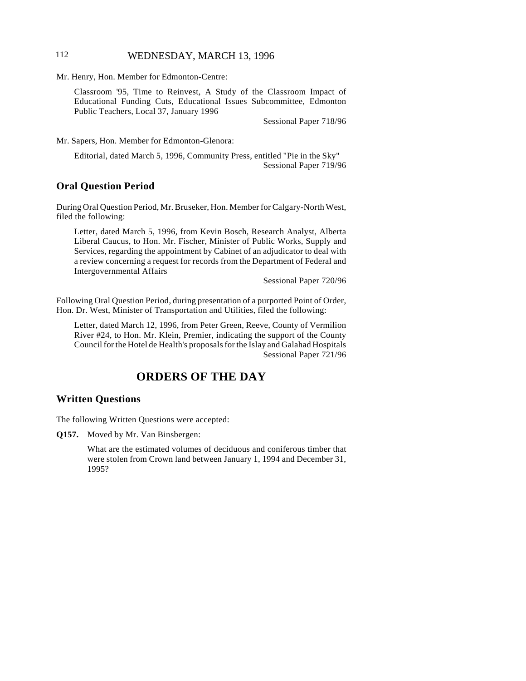# 112 **WEDNESDAY, MARCH 13, 1996**

Mr. Henry, Hon. Member for Edmonton-Centre:

Classroom '95, Time to Reinvest, A Study of the Classroom Impact of Educational Funding Cuts, Educational Issues Subcommittee, Edmonton Public Teachers, Local 37, January 1996

Sessional Paper 718/96

Mr. Sapers, Hon. Member for Edmonton-Glenora:

 Editorial, dated March 5, 1996, Community Press, entitled "Pie in the Sky" Sessional Paper 719/96

### **Oral Question Period**

During Oral Question Period, Mr. Bruseker, Hon. Member for Calgary-North West, filed the following:

Letter, dated March 5, 1996, from Kevin Bosch, Research Analyst, Alberta Liberal Caucus, to Hon. Mr. Fischer, Minister of Public Works, Supply and Services, regarding the appointment by Cabinet of an adjudicator to deal with a review concerning a request for records from the Department of Federal and Intergovernmental Affairs

Sessional Paper 720/96

Following Oral Question Period, during presentation of a purported Point of Order, Hon. Dr. West, Minister of Transportation and Utilities, filed the following:

Letter, dated March 12, 1996, from Peter Green, Reeve, County of Vermilion River #24, to Hon. Mr. Klein, Premier, indicating the support of the County Council for the Hotel de Health's proposals for the Islay and Galahad Hospitals Sessional Paper 721/96

# **ORDERS OF THE DAY**

#### **Written Questions**

The following Written Questions were accepted:

**Q157.** Moved by Mr. Van Binsbergen:

What are the estimated volumes of deciduous and coniferous timber that were stolen from Crown land between January 1, 1994 and December 31, 1995?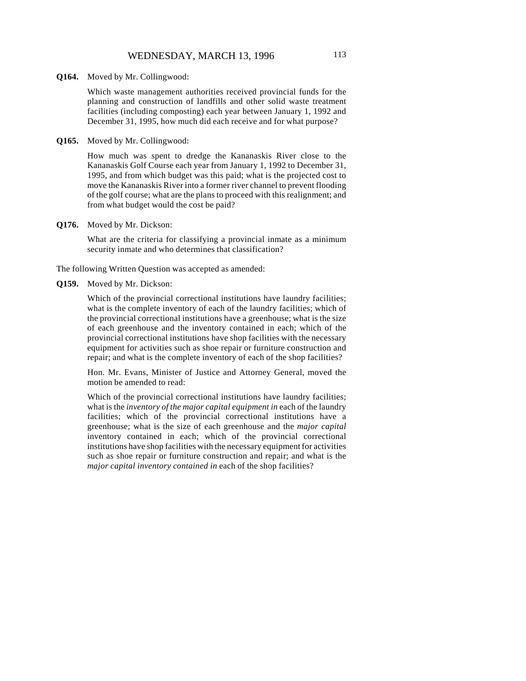**Q164.** Moved by Mr. Collingwood:

Which waste management authorities received provincial funds for the planning and construction of landfills and other solid waste treatment facilities (including composting) each year between January 1, 1992 and December 31, 1995, how much did each receive and for what purpose?

**Q165.** Moved by Mr. Collingwood:

How much was spent to dredge the Kananaskis River close to the Kananaskis Golf Course each year from January 1, 1992 to December 31, 1995, and from which budget was this paid; what is the projected cost to move the Kananaskis River into a former river channel to prevent flooding of the golf course; what are the plans to proceed with this realignment; and from what budget would the cost be paid?

**Q176.** Moved by Mr. Dickson:

What are the criteria for classifying a provincial inmate as a minimum security inmate and who determines that classification?

The following Written Question was accepted as amended:

**Q159.** Moved by Mr. Dickson:

Which of the provincial correctional institutions have laundry facilities; what is the complete inventory of each of the laundry facilities; which of the provincial correctional institutions have a greenhouse; what is the size of each greenhouse and the inventory contained in each; which of the provincial correctional institutions have shop facilities with the necessary equipment for activities such as shoe repair or furniture construction and repair; and what is the complete inventory of each of the shop facilities?

Hon. Mr. Evans, Minister of Justice and Attorney General, moved the motion be amended to read:

Which of the provincial correctional institutions have laundry facilities; what is the *inventory of the major capital equipment in* each of the laundry facilities; which of the provincial correctional institutions have a greenhouse; what is the size of each greenhouse and the *major capital* inventory contained in each; which of the provincial correctional institutions have shop facilities with the necessary equipment for activities such as shoe repair or furniture construction and repair; and what is the *major capital inventory contained in* each of the shop facilities?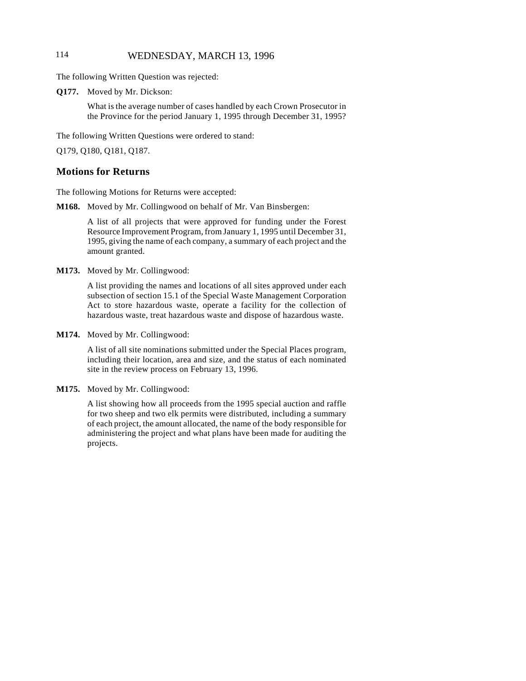# 114 WEDNESDAY, MARCH 13, 1996

The following Written Question was rejected:

**Q177.** Moved by Mr. Dickson:

What is the average number of cases handled by each Crown Prosecutor in the Province for the period January 1, 1995 through December 31, 1995?

The following Written Questions were ordered to stand:

Q179, Q180, Q181, Q187.

### **Motions for Returns**

The following Motions for Returns were accepted:

**M168.** Moved by Mr. Collingwood on behalf of Mr. Van Binsbergen:

A list of all projects that were approved for funding under the Forest Resource Improvement Program, from January 1, 1995 until December 31, 1995, giving the name of each company, a summary of each project and the amount granted.

**M173.** Moved by Mr. Collingwood:

A list providing the names and locations of all sites approved under each subsection of section 15.1 of the Special Waste Management Corporation Act to store hazardous waste, operate a facility for the collection of hazardous waste, treat hazardous waste and dispose of hazardous waste.

**M174.** Moved by Mr. Collingwood:

A list of all site nominations submitted under the Special Places program, including their location, area and size, and the status of each nominated site in the review process on February 13, 1996.

**M175.** Moved by Mr. Collingwood:

A list showing how all proceeds from the 1995 special auction and raffle for two sheep and two elk permits were distributed, including a summary of each project, the amount allocated, the name of the body responsible for administering the project and what plans have been made for auditing the projects.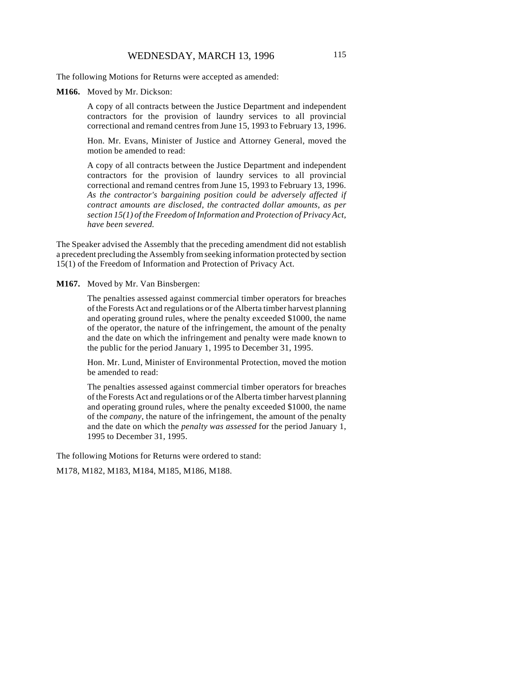The following Motions for Returns were accepted as amended:

#### **M166.** Moved by Mr. Dickson:

A copy of all contracts between the Justice Department and independent contractors for the provision of laundry services to all provincial correctional and remand centres from June 15, 1993 to February 13, 1996.

Hon. Mr. Evans, Minister of Justice and Attorney General, moved the motion be amended to read:

A copy of all contracts between the Justice Department and independent contractors for the provision of laundry services to all provincial correctional and remand centres from June 15, 1993 to February 13, 1996. *As the contractor's bargaining position could be adversely affected if contract amounts are disclosed, the contracted dollar amounts, as per section 15(1) of the Freedom of Information and Protection of Privacy Act, have been severed.*

The Speaker advised the Assembly that the preceding amendment did not establish a precedent precluding the Assembly from seeking information protected by section 15(1) of the Freedom of Information and Protection of Privacy Act.

**M167.** Moved by Mr. Van Binsbergen:

The penalties assessed against commercial timber operators for breaches of the Forests Act and regulations or of the Alberta timber harvest planning and operating ground rules, where the penalty exceeded \$1000, the name of the operator, the nature of the infringement, the amount of the penalty and the date on which the infringement and penalty were made known to the public for the period January 1, 1995 to December 31, 1995.

Hon. Mr. Lund, Minister of Environmental Protection, moved the motion be amended to read:

The penalties assessed against commercial timber operators for breaches of the Forests Act and regulations or of the Alberta timber harvest planning and operating ground rules, where the penalty exceeded \$1000, the name of the *company*, the nature of the infringement, the amount of the penalty and the date on which the *penalty was assessed* for the period January 1, 1995 to December 31, 1995.

The following Motions for Returns were ordered to stand:

M178, M182, M183, M184, M185, M186, M188.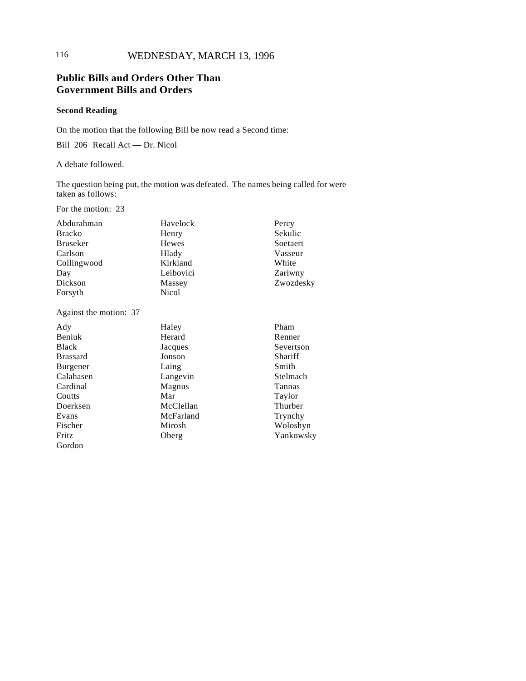# **Public Bills and Orders Other Than Government Bills and Orders**

## **Second Reading**

On the motion that the following Bill be now read a Second time:

Bill 206 Recall Act — Dr. Nicol

A debate followed.

The question being put, the motion was defeated. The names being called for were taken as follows:

For the motion: 23

| Abdurahman    | Havelock  | Percy     |
|---------------|-----------|-----------|
| <b>Bracko</b> | Henry     | Sekulic   |
| Bruseker      | Hewes     | Soetaert  |
| Carlson       | Hlady     | Vasseur   |
| Collingwood   | Kirkland  | White     |
| Day           | Leibovici | Zariwny   |
| Dickson       | Massey    | Zwozdesky |
| Forsyth       | Nicol     |           |

Against the motion: 37

| Ady             | Haley     | Pham      |
|-----------------|-----------|-----------|
| Beniuk          | Herard    | Renner    |
| <b>Black</b>    | Jacques   | Severtson |
| <b>Brassard</b> | Jonson    | Shariff   |
| Burgener        | Laing     | Smith     |
| Calahasen       | Langevin  | Stelmach  |
| Cardinal        | Magnus    | Tannas    |
| Coutts          | Mar       | Taylor    |
| Doerksen        | McClellan | Thurber   |
| Evans           | McFarland | Trynchy   |
| Fischer         | Mirosh    | Woloshyn  |
| Fritz           | Oberg     | Yankowsky |
| Gordon          |           |           |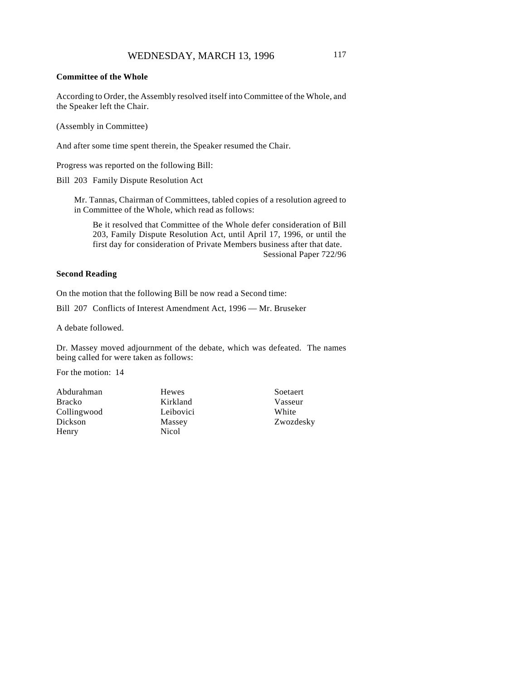#### **Committee of the Whole**

According to Order, the Assembly resolved itself into Committee of the Whole, and the Speaker left the Chair.

(Assembly in Committee)

And after some time spent therein, the Speaker resumed the Chair.

Progress was reported on the following Bill:

Bill 203 Family Dispute Resolution Act

Mr. Tannas, Chairman of Committees, tabled copies of a resolution agreed to in Committee of the Whole, which read as follows:

Be it resolved that Committee of the Whole defer consideration of Bill 203, Family Dispute Resolution Act, until April 17, 1996, or until the first day for consideration of Private Members business after that date. Sessional Paper 722/96

#### **Second Reading**

On the motion that the following Bill be now read a Second time:

Bill 207 Conflicts of Interest Amendment Act, 1996 — Mr. Bruseker

A debate followed.

Dr. Massey moved adjournment of the debate, which was defeated. The names being called for were taken as follows:

For the motion: 14

Abdurahman Bracko Collingwood Dickson Henry

Hewes Kirkland Leibovici Massey Nicol

Soetaert Vasseur White Zwozdesky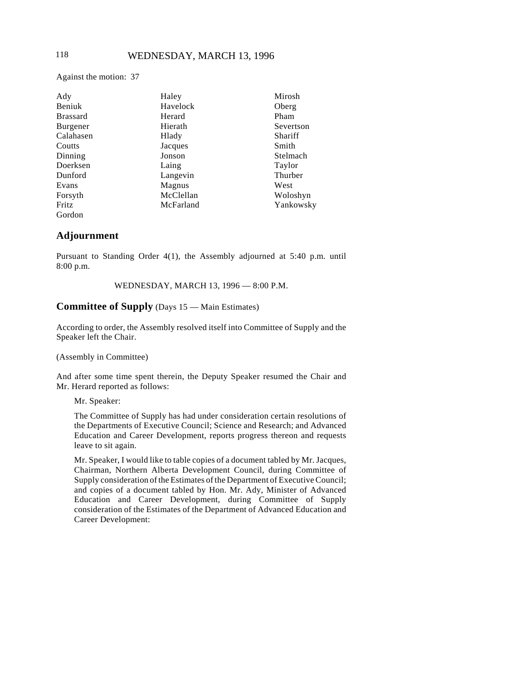Against the motion: 37

| Ady             | Haley     | Mirosh    |
|-----------------|-----------|-----------|
| Beniuk          | Havelock  | Oberg     |
| <b>Brassard</b> | Herard    | Pham      |
| Burgener        | Hierath   | Severtson |
| Calahasen       | Hlady     | Shariff   |
| Coutts          | Jacques   | Smith     |
| Dinning         | Jonson    | Stelmach  |
| Doerksen        | Laing     | Taylor    |
| Dunford         | Langevin  | Thurber   |
| Evans           | Magnus    | West      |
| Forsyth         | McClellan | Woloshyn  |
| Fritz           | McFarland | Yankowsky |
| Gordon          |           |           |

## **Adjournment**

Pursuant to Standing Order 4(1), the Assembly adjourned at 5:40 p.m. until 8:00 p.m.

WEDNESDAY, MARCH 13, 1996 — 8:00 P.M.

# **Committee of Supply** (Days 15 — Main Estimates)

According to order, the Assembly resolved itself into Committee of Supply and the Speaker left the Chair.

(Assembly in Committee)

And after some time spent therein, the Deputy Speaker resumed the Chair and Mr. Herard reported as follows:

Mr. Speaker:

The Committee of Supply has had under consideration certain resolutions of the Departments of Executive Council; Science and Research; and Advanced Education and Career Development, reports progress thereon and requests leave to sit again.

Mr. Speaker, I would like to table copies of a document tabled by Mr. Jacques, Chairman, Northern Alberta Development Council, during Committee of Supply consideration of the Estimates of the Department of Executive Council; and copies of a document tabled by Hon. Mr. Ady, Minister of Advanced Education and Career Development, during Committee of Supply consideration of the Estimates of the Department of Advanced Education and Career Development: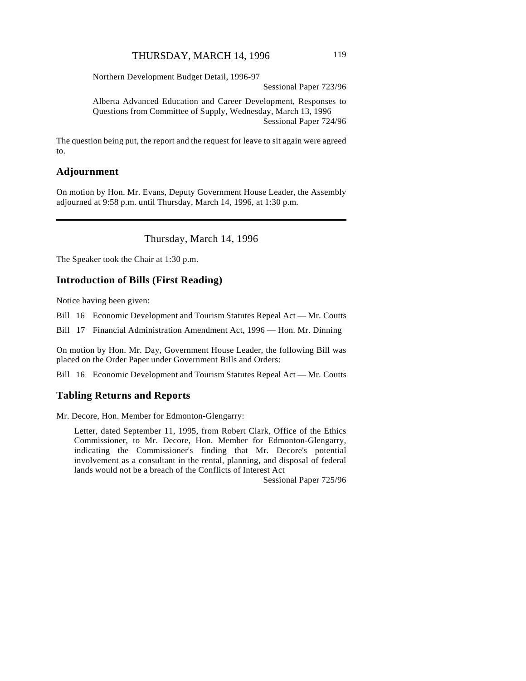Northern Development Budget Detail, 1996-97

Sessional Paper 723/96

Alberta Advanced Education and Career Development, Responses to Questions from Committee of Supply, Wednesday, March 13, 1996 Sessional Paper 724/96

The question being put, the report and the request for leave to sit again were agreed to.

# **Adjournment**

 $\overline{\phantom{a}}$ 

On motion by Hon. Mr. Evans, Deputy Government House Leader, the Assembly adjourned at 9:58 p.m. until Thursday, March 14, 1996, at 1:30 p.m.

Thursday, March 14, 1996

The Speaker took the Chair at 1:30 p.m.

### **Introduction of Bills (First Reading)**

Notice having been given:

Bill 16 Economic Development and Tourism Statutes Repeal Act — Mr. Coutts

Bill 17 Financial Administration Amendment Act, 1996 — Hon. Mr. Dinning

On motion by Hon. Mr. Day, Government House Leader, the following Bill was placed on the Order Paper under Government Bills and Orders:

Bill 16 Economic Development and Tourism Statutes Repeal Act — Mr. Coutts

#### **Tabling Returns and Reports**

Mr. Decore, Hon. Member for Edmonton-Glengarry:

Letter, dated September 11, 1995, from Robert Clark, Office of the Ethics Commissioner, to Mr. Decore, Hon. Member for Edmonton-Glengarry, indicating the Commissioner's finding that Mr. Decore's potential involvement as a consultant in the rental, planning, and disposal of federal lands would not be a breach of the Conflicts of Interest Act

Sessional Paper 725/96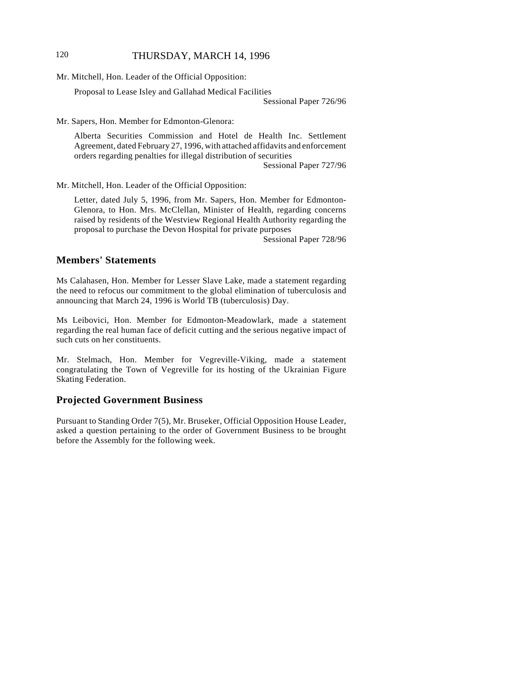# 120 THURSDAY, MARCH 14, 1996

Mr. Mitchell, Hon. Leader of the Official Opposition:

Proposal to Lease Isley and Gallahad Medical Facilities

Sessional Paper 726/96

Mr. Sapers, Hon. Member for Edmonton-Glenora:

Alberta Securities Commission and Hotel de Health Inc. Settlement Agreement, dated February 27, 1996, with attached affidavits and enforcement orders regarding penalties for illegal distribution of securities

Sessional Paper 727/96

Mr. Mitchell, Hon. Leader of the Official Opposition:

Letter, dated July 5, 1996, from Mr. Sapers, Hon. Member for Edmonton-Glenora, to Hon. Mrs. McClellan, Minister of Health, regarding concerns raised by residents of the Westview Regional Health Authority regarding the proposal to purchase the Devon Hospital for private purposes

Sessional Paper 728/96

# **Members' Statements**

Ms Calahasen, Hon. Member for Lesser Slave Lake, made a statement regarding the need to refocus our commitment to the global elimination of tuberculosis and announcing that March 24, 1996 is World TB (tuberculosis) Day.

Ms Leibovici, Hon. Member for Edmonton-Meadowlark, made a statement regarding the real human face of deficit cutting and the serious negative impact of such cuts on her constituents.

Mr. Stelmach, Hon. Member for Vegreville-Viking, made a statement congratulating the Town of Vegreville for its hosting of the Ukrainian Figure Skating Federation.

### **Projected Government Business**

Pursuant to Standing Order 7(5), Mr. Bruseker, Official Opposition House Leader, asked a question pertaining to the order of Government Business to be brought before the Assembly for the following week.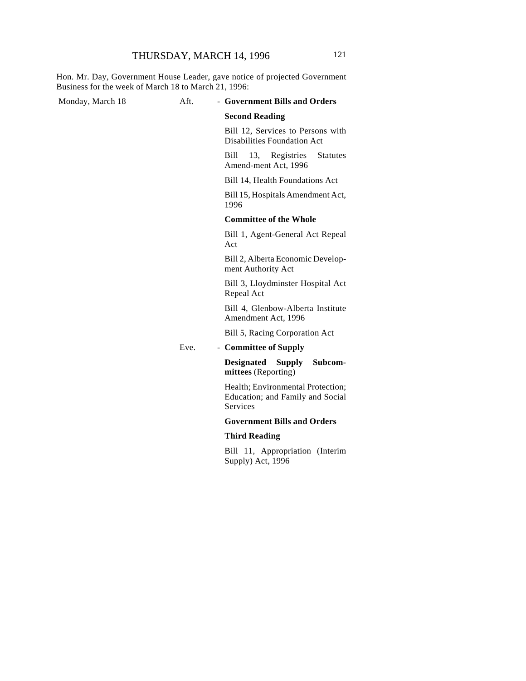Hon. Mr. Day, Government House Leader, gave notice of projected Government Business for the week of March 18 to March 21, 1996:

#### Monday, March 18 **Aft.** - Government Bills and Orders

#### **Second Reading**

Bill 12, Services to Persons with Disabilities Foundation Act

Bill 13, Registries Statutes Amend-ment Act, 1996

Bill 14, Health Foundations Act

Bill 15, Hospitals Amendment Act, 1996

#### **Committee of the Whole**

Bill 1, Agent-General Act Repeal Act

Bill 2, Alberta Economic Development Authority Act

Bill 3, Lloydminster Hospital Act Repeal Act

Bill 4, Glenbow-Alberta Institute Amendment Act, 1996

Bill 5, Racing Corporation Act

Eve. - **Committee of Supply**

**Designated Supply Subcommittees** (Reporting)

Health; Environmental Protection; Education; and Family and Social Services

### **Government Bills and Orders**

#### **Third Reading**

Bill 11, Appropriation (Interim Supply) Act, 1996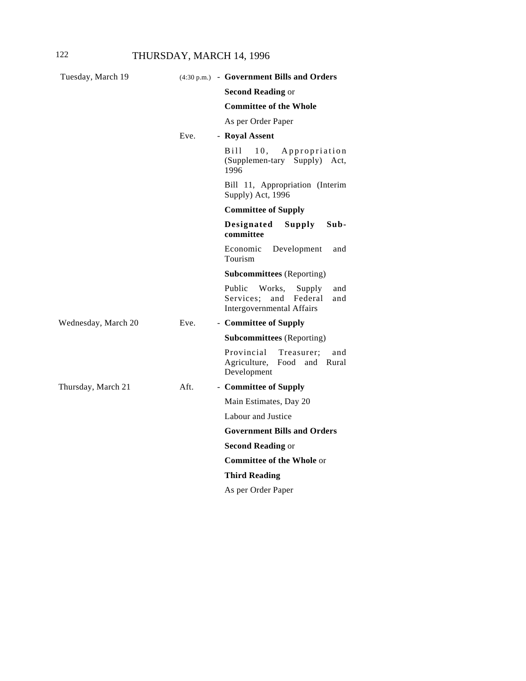| Tuesday, March 19   |      | (4:30 p.m.) - Government Bills and Orders                                                                   |
|---------------------|------|-------------------------------------------------------------------------------------------------------------|
|                     |      | <b>Second Reading or</b>                                                                                    |
|                     |      | <b>Committee of the Whole</b>                                                                               |
|                     |      | As per Order Paper                                                                                          |
|                     | Eve. | - Royal Assent                                                                                              |
|                     |      | B i 11<br>10.<br>Appropriation<br>(Supplemen-tary Supply) Act,<br>1996                                      |
|                     |      | Bill 11, Appropriation (Interim<br>Supply) Act, 1996                                                        |
|                     |      | <b>Committee of Supply</b>                                                                                  |
|                     |      | Designated<br>Supply<br>Sub-<br>committee                                                                   |
|                     |      | Economic<br>Development<br>and<br>Tourism                                                                   |
|                     |      | <b>Subcommittees</b> (Reporting)                                                                            |
|                     |      | Public<br>Works,<br>Supply<br>and<br>Services:<br>and<br>Federal<br>and<br><b>Intergovernmental Affairs</b> |
| Wednesday, March 20 | Eve. | - Committee of Supply                                                                                       |
|                     |      | <b>Subcommittees</b> (Reporting)                                                                            |
|                     |      | Provincial<br>Treasurer:<br>and<br>Agriculture,<br>Food<br>and<br>Rural<br>Development                      |
| Thursday, March 21  | Aft. | - Committee of Supply                                                                                       |
|                     |      | Main Estimates, Day 20                                                                                      |
|                     |      | Labour and Justice                                                                                          |
|                     |      | <b>Government Bills and Orders</b>                                                                          |
|                     |      | <b>Second Reading or</b>                                                                                    |
|                     |      | <b>Committee of the Whole or</b>                                                                            |
|                     |      | <b>Third Reading</b>                                                                                        |
|                     |      | As per Order Paper                                                                                          |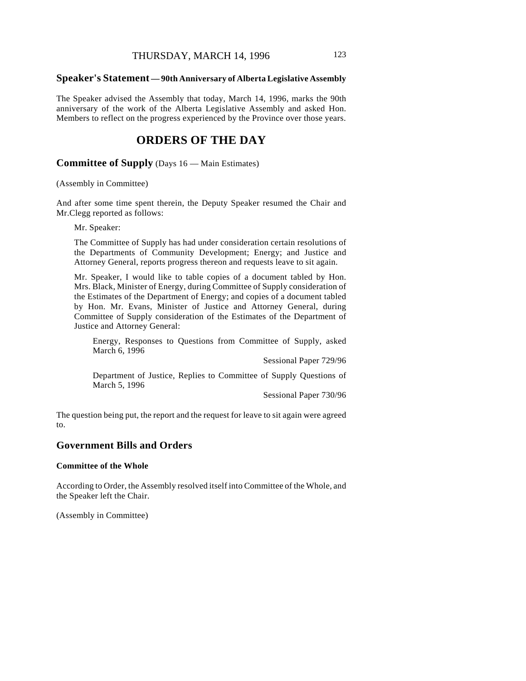#### **Speaker's Statement — 90th Anniversary of Alberta Legislative Assembly**

The Speaker advised the Assembly that today, March 14, 1996, marks the 90th anniversary of the work of the Alberta Legislative Assembly and asked Hon. Members to reflect on the progress experienced by the Province over those years.

# **ORDERS OF THE DAY**

**Committee of Supply** (Days 16 — Main Estimates)

(Assembly in Committee)

And after some time spent therein, the Deputy Speaker resumed the Chair and Mr.Clegg reported as follows:

Mr. Speaker:

The Committee of Supply has had under consideration certain resolutions of the Departments of Community Development; Energy; and Justice and Attorney General, reports progress thereon and requests leave to sit again.

Mr. Speaker, I would like to table copies of a document tabled by Hon. Mrs. Black, Minister of Energy, during Committee of Supply consideration of the Estimates of the Department of Energy; and copies of a document tabled by Hon. Mr. Evans, Minister of Justice and Attorney General, during Committee of Supply consideration of the Estimates of the Department of Justice and Attorney General:

Energy, Responses to Questions from Committee of Supply, asked March 6, 1996

Sessional Paper 729/96

Department of Justice, Replies to Committee of Supply Questions of March 5, 1996

Sessional Paper 730/96

The question being put, the report and the request for leave to sit again were agreed to.

# **Government Bills and Orders**

#### **Committee of the Whole**

According to Order, the Assembly resolved itself into Committee of the Whole, and the Speaker left the Chair.

(Assembly in Committee)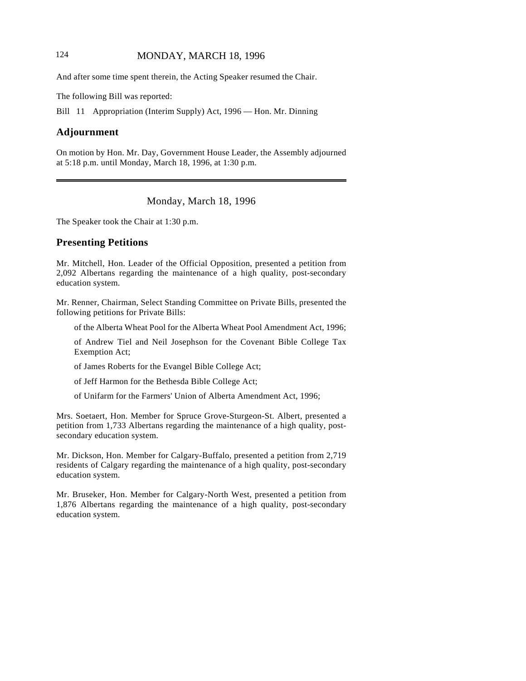# 124 **MONDAY, MARCH 18, 1996**

And after some time spent therein, the Acting Speaker resumed the Chair.

The following Bill was reported:

Bill 11 Appropriation (Interim Supply) Act, 1996 — Hon. Mr. Dinning

# **Adjournment**

 $\overline{\phantom{a}}$ 

On motion by Hon. Mr. Day, Government House Leader, the Assembly adjourned at 5:18 p.m. until Monday, March 18, 1996, at 1:30 p.m.

Monday, March 18, 1996

The Speaker took the Chair at 1:30 p.m.

## **Presenting Petitions**

Mr. Mitchell, Hon. Leader of the Official Opposition, presented a petition from 2,092 Albertans regarding the maintenance of a high quality, post-secondary education system.

Mr. Renner, Chairman, Select Standing Committee on Private Bills, presented the following petitions for Private Bills:

of the Alberta Wheat Pool for the Alberta Wheat Pool Amendment Act, 1996;

of Andrew Tiel and Neil Josephson for the Covenant Bible College Tax Exemption Act;

of James Roberts for the Evangel Bible College Act;

of Jeff Harmon for the Bethesda Bible College Act;

of Unifarm for the Farmers' Union of Alberta Amendment Act, 1996;

Mrs. Soetaert, Hon. Member for Spruce Grove-Sturgeon-St. Albert, presented a petition from 1,733 Albertans regarding the maintenance of a high quality, postsecondary education system.

Mr. Dickson, Hon. Member for Calgary-Buffalo, presented a petition from 2,719 residents of Calgary regarding the maintenance of a high quality, post-secondary education system.

Mr. Bruseker, Hon. Member for Calgary-North West, presented a petition from 1,876 Albertans regarding the maintenance of a high quality, post-secondary education system.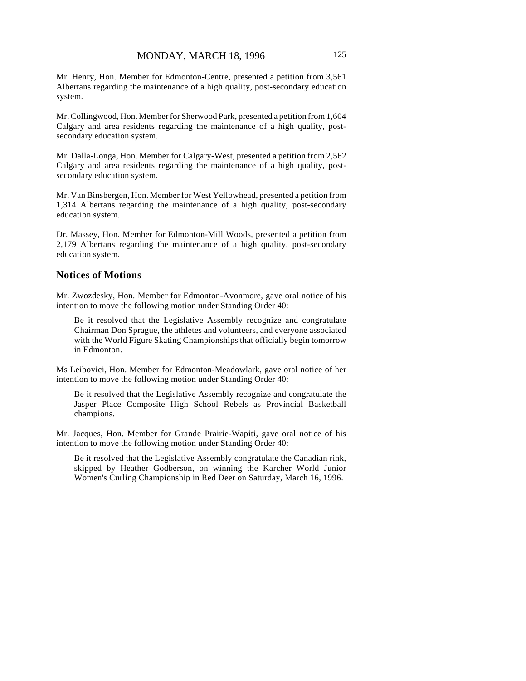Mr. Henry, Hon. Member for Edmonton-Centre, presented a petition from 3,561 Albertans regarding the maintenance of a high quality, post-secondary education system.

Mr. Collingwood, Hon. Member for Sherwood Park, presented a petition from 1,604 Calgary and area residents regarding the maintenance of a high quality, postsecondary education system.

Mr. Dalla-Longa, Hon. Member for Calgary-West, presented a petition from 2,562 Calgary and area residents regarding the maintenance of a high quality, postsecondary education system.

Mr. Van Binsbergen, Hon. Member for West Yellowhead, presented a petition from 1,314 Albertans regarding the maintenance of a high quality, post-secondary education system.

Dr. Massey, Hon. Member for Edmonton-Mill Woods, presented a petition from 2,179 Albertans regarding the maintenance of a high quality, post-secondary education system.

#### **Notices of Motions**

Mr. Zwozdesky, Hon. Member for Edmonton-Avonmore, gave oral notice of his intention to move the following motion under Standing Order 40:

Be it resolved that the Legislative Assembly recognize and congratulate Chairman Don Sprague, the athletes and volunteers, and everyone associated with the World Figure Skating Championships that officially begin tomorrow in Edmonton.

Ms Leibovici, Hon. Member for Edmonton-Meadowlark, gave oral notice of her intention to move the following motion under Standing Order 40:

Be it resolved that the Legislative Assembly recognize and congratulate the Jasper Place Composite High School Rebels as Provincial Basketball champions.

Mr. Jacques, Hon. Member for Grande Prairie-Wapiti, gave oral notice of his intention to move the following motion under Standing Order 40:

Be it resolved that the Legislative Assembly congratulate the Canadian rink, skipped by Heather Godberson, on winning the Karcher World Junior Women's Curling Championship in Red Deer on Saturday, March 16, 1996.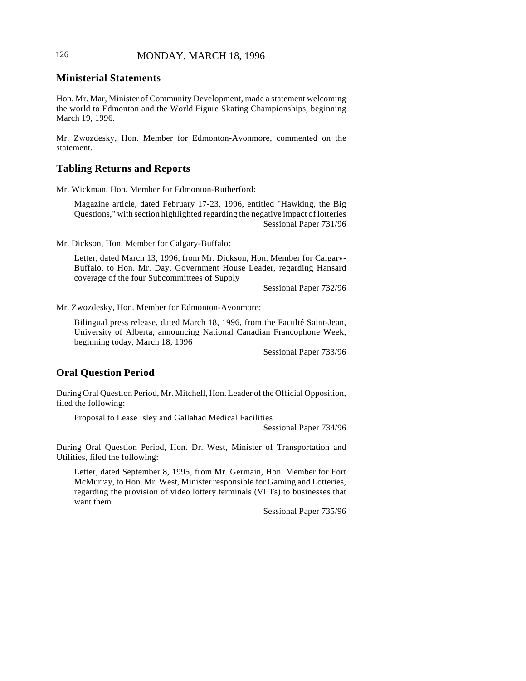# 126 **MONDAY, MARCH 18, 1996**

# **Ministerial Statements**

Hon. Mr. Mar, Minister of Community Development, made a statement welcoming the world to Edmonton and the World Figure Skating Championships, beginning March 19, 1996.

Mr. Zwozdesky, Hon. Member for Edmonton-Avonmore, commented on the statement.

#### **Tabling Returns and Reports**

Mr. Wickman, Hon. Member for Edmonton-Rutherford:

Magazine article, dated February 17-23, 1996, entitled "Hawking, the Big Questions," with section highlighted regarding the negative impact of lotteries Sessional Paper 731/96

Mr. Dickson, Hon. Member for Calgary-Buffalo:

Letter, dated March 13, 1996, from Mr. Dickson, Hon. Member for Calgary-Buffalo, to Hon. Mr. Day, Government House Leader, regarding Hansard coverage of the four Subcommittees of Supply

Sessional Paper 732/96

Mr. Zwozdesky, Hon. Member for Edmonton-Avonmore:

Bilingual press release, dated March 18, 1996, from the Faculté Saint-Jean, University of Alberta, announcing National Canadian Francophone Week, beginning today, March 18, 1996

Sessional Paper 733/96

### **Oral Question Period**

During Oral Question Period, Mr. Mitchell, Hon. Leader of the Official Opposition, filed the following:

Proposal to Lease Isley and Gallahad Medical Facilities

Sessional Paper 734/96

During Oral Question Period, Hon. Dr. West, Minister of Transportation and Utilities, filed the following:

Letter, dated September 8, 1995, from Mr. Germain, Hon. Member for Fort McMurray, to Hon. Mr. West, Minister responsible for Gaming and Lotteries, regarding the provision of video lottery terminals (VLTs) to businesses that want them

Sessional Paper 735/96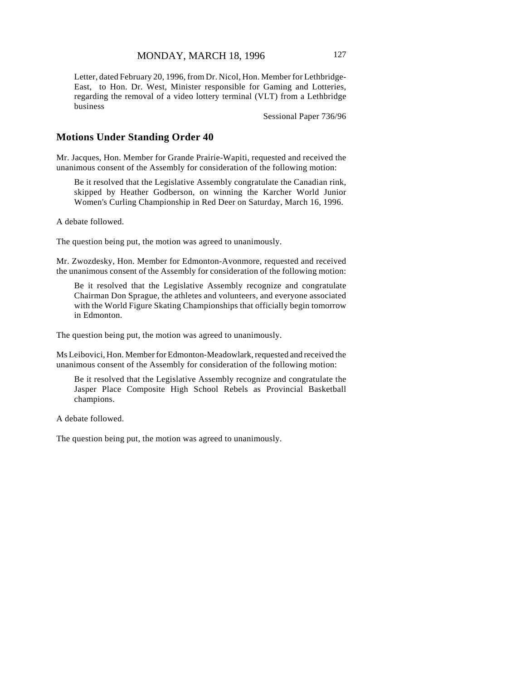Letter, dated February 20, 1996, from Dr. Nicol, Hon. Member for Lethbridge-East, to Hon. Dr. West, Minister responsible for Gaming and Lotteries, regarding the removal of a video lottery terminal (VLT) from a Lethbridge business

Sessional Paper 736/96

### **Motions Under Standing Order 40**

Mr. Jacques, Hon. Member for Grande Prairie-Wapiti, requested and received the unanimous consent of the Assembly for consideration of the following motion:

Be it resolved that the Legislative Assembly congratulate the Canadian rink, skipped by Heather Godberson, on winning the Karcher World Junior Women's Curling Championship in Red Deer on Saturday, March 16, 1996.

A debate followed.

The question being put, the motion was agreed to unanimously.

Mr. Zwozdesky, Hon. Member for Edmonton-Avonmore, requested and received the unanimous consent of the Assembly for consideration of the following motion:

Be it resolved that the Legislative Assembly recognize and congratulate Chairman Don Sprague, the athletes and volunteers, and everyone associated with the World Figure Skating Championships that officially begin tomorrow in Edmonton.

The question being put, the motion was agreed to unanimously.

Ms Leibovici, Hon. Member for Edmonton-Meadowlark, requested and received the unanimous consent of the Assembly for consideration of the following motion:

Be it resolved that the Legislative Assembly recognize and congratulate the Jasper Place Composite High School Rebels as Provincial Basketball champions.

A debate followed.

The question being put, the motion was agreed to unanimously.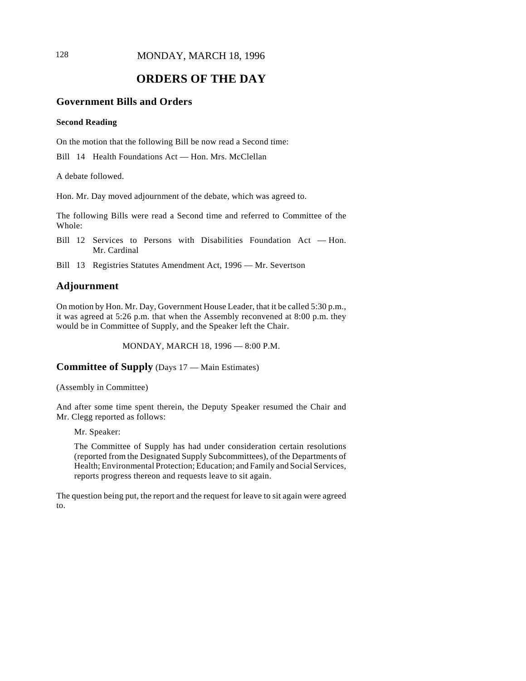128 **MONDAY, MARCH 18, 1996** 

# **ORDERS OF THE DAY**

# **Government Bills and Orders**

#### **Second Reading**

On the motion that the following Bill be now read a Second time:

Bill 14 Health Foundations Act — Hon. Mrs. McClellan

A debate followed.

Hon. Mr. Day moved adjournment of the debate, which was agreed to.

The following Bills were read a Second time and referred to Committee of the Whole:

- Bill 12 Services to Persons with Disabilities Foundation Act Hon. Mr. Cardinal
- Bill 13 Registries Statutes Amendment Act, 1996 Mr. Severtson

## **Adjournment**

On motion by Hon. Mr. Day, Government House Leader, that it be called 5:30 p.m., it was agreed at 5:26 p.m. that when the Assembly reconvened at 8:00 p.m. they would be in Committee of Supply, and the Speaker left the Chair.

MONDAY, MARCH 18, 1996 — 8:00 P.M.

**Committee of Supply** (Days 17 — Main Estimates)

(Assembly in Committee)

And after some time spent therein, the Deputy Speaker resumed the Chair and Mr. Clegg reported as follows:

Mr. Speaker:

The Committee of Supply has had under consideration certain resolutions (reported from the Designated Supply Subcommittees), of the Departments of Health; Environmental Protection; Education; and Family and Social Services, reports progress thereon and requests leave to sit again.

The question being put, the report and the request for leave to sit again were agreed to.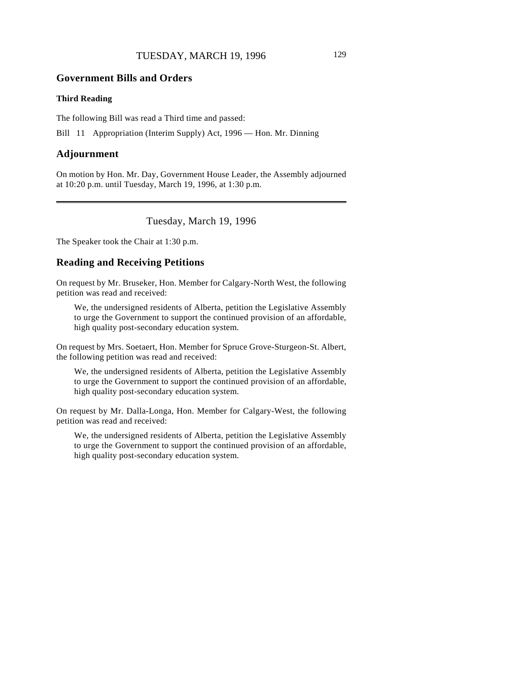# **Government Bills and Orders**

#### **Third Reading**

The following Bill was read a Third time and passed:

Bill 11 Appropriation (Interim Supply) Act, 1996 — Hon. Mr. Dinning

#### **Adjournment**

On motion by Hon. Mr. Day, Government House Leader, the Assembly adjourned at 10:20 p.m. until Tuesday, March 19, 1996, at 1:30 p.m.

Tuesday, March 19, 1996

The Speaker took the Chair at 1:30 p.m.

# **Reading and Receiving Petitions**

On request by Mr. Bruseker, Hon. Member for Calgary-North West, the following petition was read and received:

We, the undersigned residents of Alberta, petition the Legislative Assembly to urge the Government to support the continued provision of an affordable, high quality post-secondary education system.

On request by Mrs. Soetaert, Hon. Member for Spruce Grove-Sturgeon-St. Albert, the following petition was read and received:

We, the undersigned residents of Alberta, petition the Legislative Assembly to urge the Government to support the continued provision of an affordable, high quality post-secondary education system.

On request by Mr. Dalla-Longa, Hon. Member for Calgary-West, the following petition was read and received:

We, the undersigned residents of Alberta, petition the Legislative Assembly to urge the Government to support the continued provision of an affordable, high quality post-secondary education system.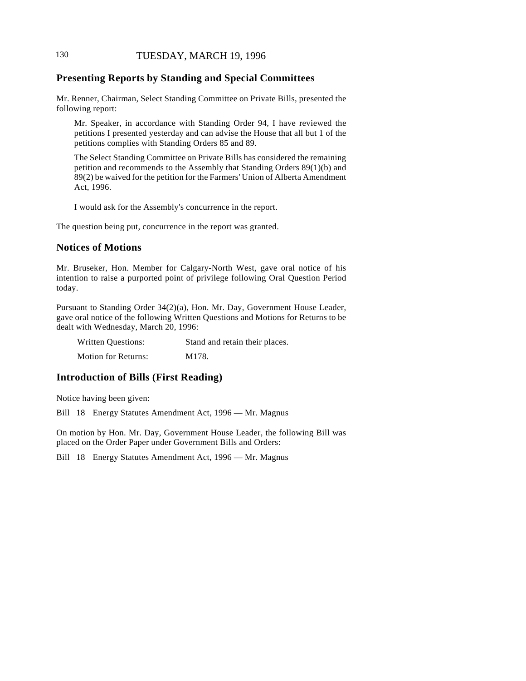# 130 TUESDAY, MARCH 19, 1996

# **Presenting Reports by Standing and Special Committees**

Mr. Renner, Chairman, Select Standing Committee on Private Bills, presented the following report:

Mr. Speaker, in accordance with Standing Order 94, I have reviewed the petitions I presented yesterday and can advise the House that all but 1 of the petitions complies with Standing Orders 85 and 89.

The Select Standing Committee on Private Bills has considered the remaining petition and recommends to the Assembly that Standing Orders 89(1)(b) and 89(2) be waived for the petition for the Farmers' Union of Alberta Amendment Act, 1996.

I would ask for the Assembly's concurrence in the report.

The question being put, concurrence in the report was granted.

### **Notices of Motions**

Mr. Bruseker, Hon. Member for Calgary-North West, gave oral notice of his intention to raise a purported point of privilege following Oral Question Period today.

Pursuant to Standing Order 34(2)(a), Hon. Mr. Day, Government House Leader, gave oral notice of the following Written Questions and Motions for Returns to be dealt with Wednesday, March 20, 1996:

| <b>Written Questions:</b>  | Stand and retain their places. |
|----------------------------|--------------------------------|
| <b>Motion for Returns:</b> | M178.                          |

# **Introduction of Bills (First Reading)**

Notice having been given:

Bill 18 Energy Statutes Amendment Act, 1996 — Mr. Magnus

On motion by Hon. Mr. Day, Government House Leader, the following Bill was placed on the Order Paper under Government Bills and Orders:

Bill 18 Energy Statutes Amendment Act, 1996 — Mr. Magnus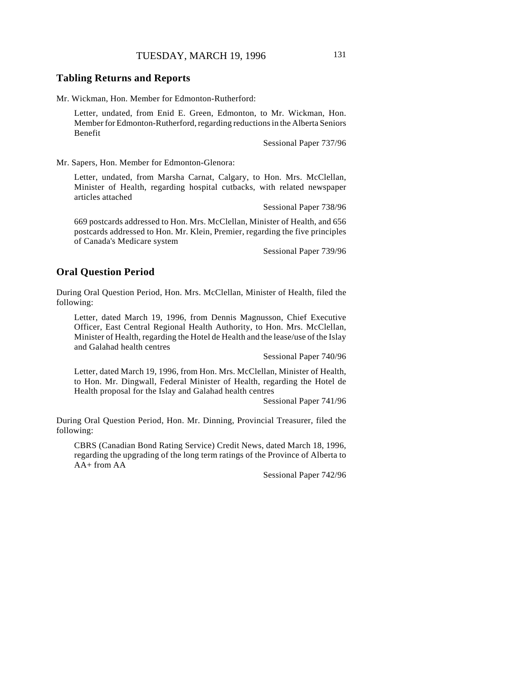## TUESDAY, MARCH 19, 1996 131

### **Tabling Returns and Reports**

Mr. Wickman, Hon. Member for Edmonton-Rutherford:

Letter, undated, from Enid E. Green, Edmonton, to Mr. Wickman, Hon. Member for Edmonton-Rutherford, regarding reductions in the Alberta Seniors Benefit

Sessional Paper 737/96

Mr. Sapers, Hon. Member for Edmonton-Glenora:

Letter, undated, from Marsha Carnat, Calgary, to Hon. Mrs. McClellan, Minister of Health, regarding hospital cutbacks, with related newspaper articles attached

Sessional Paper 738/96

669 postcards addressed to Hon. Mrs. McClellan, Minister of Health, and 656 postcards addressed to Hon. Mr. Klein, Premier, regarding the five principles of Canada's Medicare system

Sessional Paper 739/96

### **Oral Question Period**

During Oral Question Period, Hon. Mrs. McClellan, Minister of Health, filed the following:

Letter, dated March 19, 1996, from Dennis Magnusson, Chief Executive Officer, East Central Regional Health Authority, to Hon. Mrs. McClellan, Minister of Health, regarding the Hotel de Health and the lease/use of the Islay and Galahad health centres

Sessional Paper 740/96

Letter, dated March 19, 1996, from Hon. Mrs. McClellan, Minister of Health, to Hon. Mr. Dingwall, Federal Minister of Health, regarding the Hotel de Health proposal for the Islay and Galahad health centres

Sessional Paper 741/96

During Oral Question Period, Hon. Mr. Dinning, Provincial Treasurer, filed the following:

CBRS (Canadian Bond Rating Service) Credit News, dated March 18, 1996, regarding the upgrading of the long term ratings of the Province of Alberta to AA+ from AA

Sessional Paper 742/96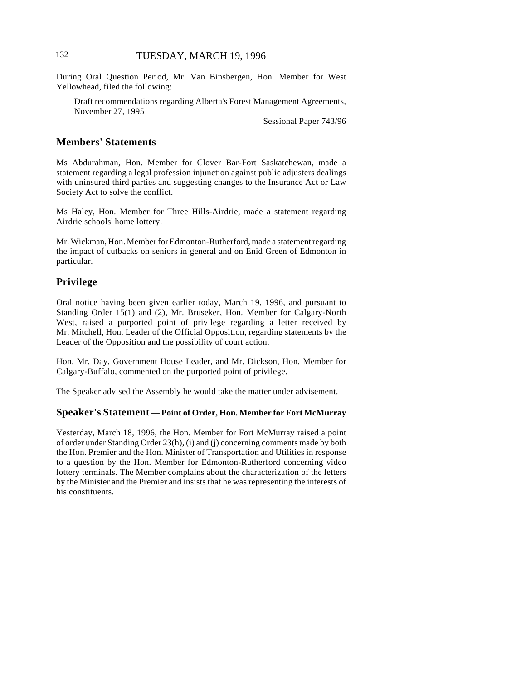During Oral Question Period, Mr. Van Binsbergen, Hon. Member for West Yellowhead, filed the following:

Draft recommendations regarding Alberta's Forest Management Agreements, November 27, 1995

Sessional Paper 743/96

## **Members' Statements**

Ms Abdurahman, Hon. Member for Clover Bar-Fort Saskatchewan, made a statement regarding a legal profession injunction against public adjusters dealings with uninsured third parties and suggesting changes to the Insurance Act or Law Society Act to solve the conflict.

Ms Haley, Hon. Member for Three Hills-Airdrie, made a statement regarding Airdrie schools' home lottery.

Mr. Wickman, Hon. Member for Edmonton-Rutherford, made a statement regarding the impact of cutbacks on seniors in general and on Enid Green of Edmonton in particular.

## **Privilege**

Oral notice having been given earlier today, March 19, 1996, and pursuant to Standing Order 15(1) and (2), Mr. Bruseker, Hon. Member for Calgary-North West, raised a purported point of privilege regarding a letter received by Mr. Mitchell, Hon. Leader of the Official Opposition, regarding statements by the Leader of the Opposition and the possibility of court action.

Hon. Mr. Day, Government House Leader, and Mr. Dickson, Hon. Member for Calgary-Buffalo, commented on the purported point of privilege.

The Speaker advised the Assembly he would take the matter under advisement.

#### **Speaker's Statement** — **Point of Order, Hon. Member for Fort McMurray**

Yesterday, March 18, 1996, the Hon. Member for Fort McMurray raised a point of order under Standing Order 23(h), (i) and (j) concerning comments made by both the Hon. Premier and the Hon. Minister of Transportation and Utilities in response to a question by the Hon. Member for Edmonton-Rutherford concerning video lottery terminals. The Member complains about the characterization of the letters by the Minister and the Premier and insists that he was representing the interests of his constituents.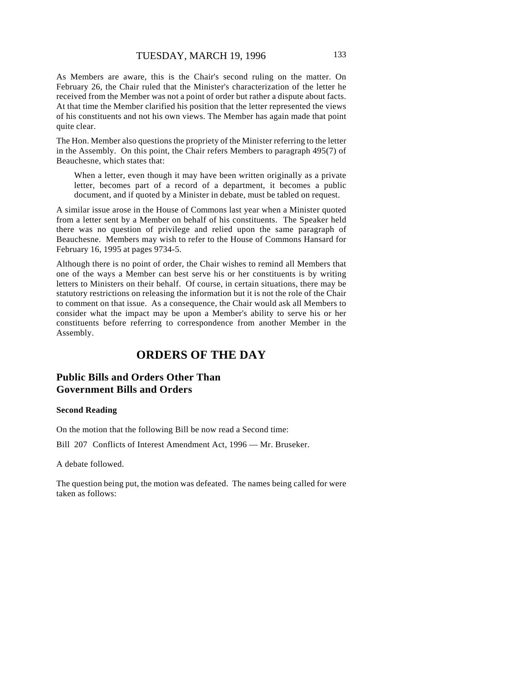As Members are aware, this is the Chair's second ruling on the matter. On February 26, the Chair ruled that the Minister's characterization of the letter he received from the Member was not a point of order but rather a dispute about facts. At that time the Member clarified his position that the letter represented the views of his constituents and not his own views. The Member has again made that point quite clear.

The Hon. Member also questions the propriety of the Minister referring to the letter in the Assembly. On this point, the Chair refers Members to paragraph 495(7) of Beauchesne, which states that:

When a letter, even though it may have been written originally as a private letter, becomes part of a record of a department, it becomes a public document, and if quoted by a Minister in debate, must be tabled on request.

A similar issue arose in the House of Commons last year when a Minister quoted from a letter sent by a Member on behalf of his constituents. The Speaker held there was no question of privilege and relied upon the same paragraph of Beauchesne. Members may wish to refer to the House of Commons Hansard for February 16, 1995 at pages 9734-5.

Although there is no point of order, the Chair wishes to remind all Members that one of the ways a Member can best serve his or her constituents is by writing letters to Ministers on their behalf. Of course, in certain situations, there may be statutory restrictions on releasing the information but it is not the role of the Chair to comment on that issue. As a consequence, the Chair would ask all Members to consider what the impact may be upon a Member's ability to serve his or her constituents before referring to correspondence from another Member in the Assembly.

# **ORDERS OF THE DAY**

# **Public Bills and Orders Other Than Government Bills and Orders**

#### **Second Reading**

On the motion that the following Bill be now read a Second time:

Bill 207 Conflicts of Interest Amendment Act, 1996 — Mr. Bruseker.

A debate followed.

The question being put, the motion was defeated. The names being called for were taken as follows: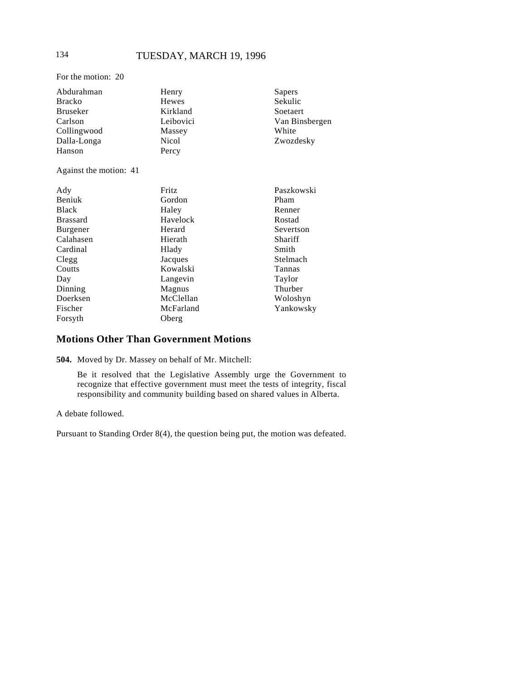For the motion: 20

| Henry        | Sapers         |
|--------------|----------------|
| <b>Hewes</b> | Sekulic        |
| Kirkland     | Soetaert       |
| Leibovici    | Van Binsbergen |
| Massey       | White          |
| <b>Nicol</b> | Zwozdesky      |
| Percy        |                |
|              |                |
| Fritz        | Paszkowski     |
| Gordon       | Pham           |
| Haley        | Renner         |
| Havelock     | Rostad         |
| Herard       | Severtson      |
| Hierath      | Shariff        |
| Hlady        | Smith          |
| Jacques      | Stelmach       |
| Kowalski     | Tannas         |
| Langevin     | Taylor         |
| Magnus       | Thurber        |
| McClellan    | Woloshyn       |
| McFarland    | Yankowsky      |
| Oberg        |                |
|              |                |

# **Motions Other Than Government Motions**

**504.** Moved by Dr. Massey on behalf of Mr. Mitchell:

Be it resolved that the Legislative Assembly urge the Government to recognize that effective government must meet the tests of integrity, fiscal responsibility and community building based on shared values in Alberta.

A debate followed.

Pursuant to Standing Order 8(4), the question being put, the motion was defeated.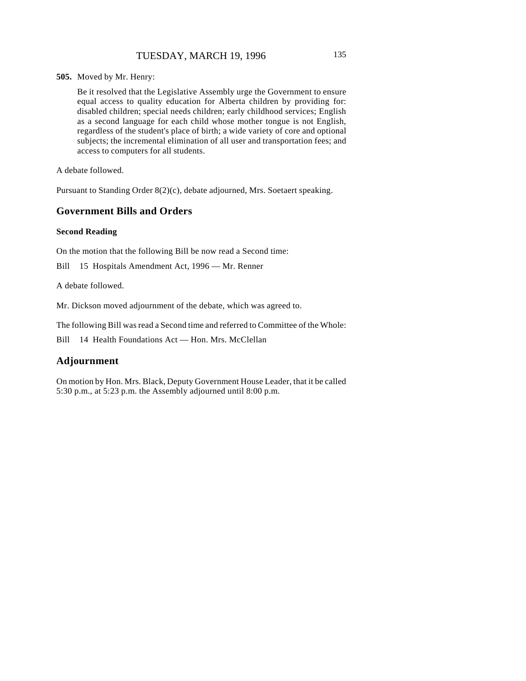**505.** Moved by Mr. Henry:

Be it resolved that the Legislative Assembly urge the Government to ensure equal access to quality education for Alberta children by providing for: disabled children; special needs children; early childhood services; English as a second language for each child whose mother tongue is not English, regardless of the student's place of birth; a wide variety of core and optional subjects; the incremental elimination of all user and transportation fees; and access to computers for all students.

A debate followed.

Pursuant to Standing Order 8(2)(c), debate adjourned, Mrs. Soetaert speaking.

## **Government Bills and Orders**

#### **Second Reading**

On the motion that the following Bill be now read a Second time:

Bill 15 Hospitals Amendment Act, 1996 — Mr. Renner

A debate followed.

Mr. Dickson moved adjournment of the debate, which was agreed to.

The following Bill was read a Second time and referred to Committee of the Whole:

Bill 14 Health Foundations Act — Hon. Mrs. McClellan

### **Adjournment**

On motion by Hon. Mrs. Black, Deputy Government House Leader, that it be called 5:30 p.m., at 5:23 p.m. the Assembly adjourned until 8:00 p.m.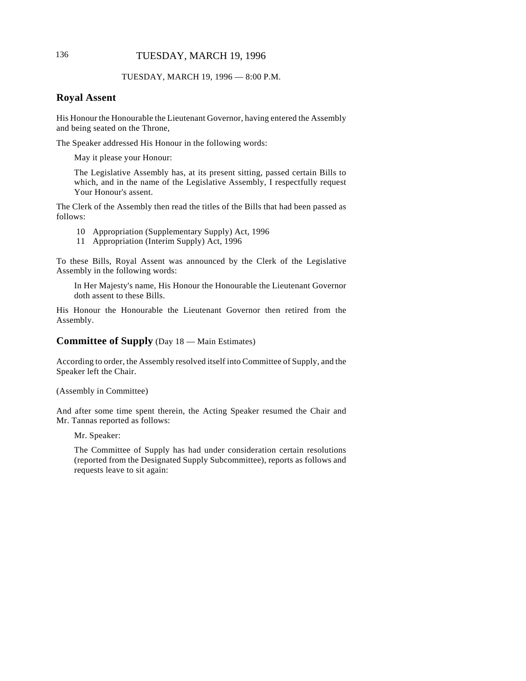# 136 TUESDAY, MARCH 19, 1996

#### TUESDAY, MARCH 19, 1996 — 8:00 P.M.

# **Royal Assent**

His Honour the Honourable the Lieutenant Governor, having entered the Assembly and being seated on the Throne,

The Speaker addressed His Honour in the following words:

May it please your Honour:

The Legislative Assembly has, at its present sitting, passed certain Bills to which, and in the name of the Legislative Assembly, I respectfully request Your Honour's assent.

The Clerk of the Assembly then read the titles of the Bills that had been passed as follows:

- 10 Appropriation (Supplementary Supply) Act, 1996
- 11 Appropriation (Interim Supply) Act, 1996

To these Bills, Royal Assent was announced by the Clerk of the Legislative Assembly in the following words:

In Her Majesty's name, His Honour the Honourable the Lieutenant Governor doth assent to these Bills.

His Honour the Honourable the Lieutenant Governor then retired from the Assembly.

### **Committee of Supply** (Day 18 — Main Estimates)

According to order, the Assembly resolved itself into Committee of Supply, and the Speaker left the Chair.

(Assembly in Committee)

And after some time spent therein, the Acting Speaker resumed the Chair and Mr. Tannas reported as follows:

Mr. Speaker:

The Committee of Supply has had under consideration certain resolutions (reported from the Designated Supply Subcommittee), reports as follows and requests leave to sit again: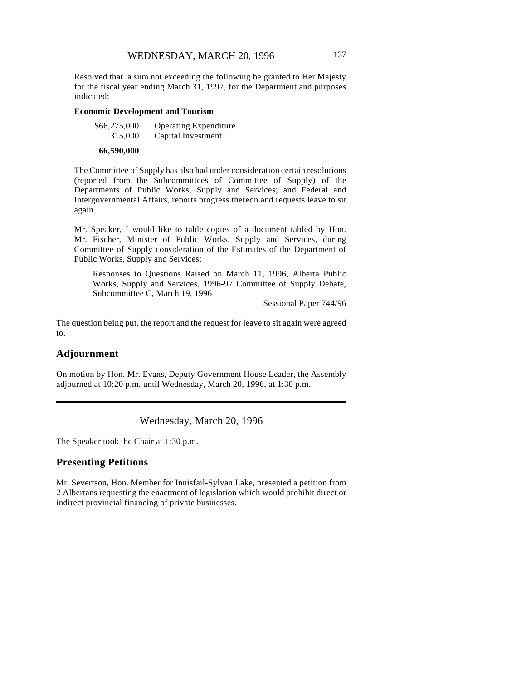Resolved that a sum not exceeding the following be granted to Her Majesty for the fiscal year ending March 31, 1997, for the Department and purposes indicated:

#### **Economic Development and Tourism**

| \$66,275,000 | <b>Operating Expenditure</b> |
|--------------|------------------------------|
| 315,000      | Capital Investment           |
|              |                              |

#### **66,590,000**

The Committee of Supply has also had under consideration certain resolutions (reported from the Subcommittees of Committee of Supply) of the Departments of Public Works, Supply and Services; and Federal and Intergovernmental Affairs, reports progress thereon and requests leave to sit again.

Mr. Speaker, I would like to table copies of a document tabled by Hon. Mr. Fischer, Minister of Public Works, Supply and Services, during Committee of Supply consideration of the Estimates of the Department of Public Works, Supply and Services:

Responses to Questions Raised on March 11, 1996, Alberta Public Works, Supply and Services, 1996-97 Committee of Supply Debate, Subcommittee C, March 19, 1996

Sessional Paper 744/96

The question being put, the report and the request for leave to sit again were agreed to.

# **Adjournment**

On motion by Hon. Mr. Evans, Deputy Government House Leader, the Assembly adjourned at 10:20 p.m. until Wednesday, March 20, 1996, at 1:30 p.m.

## Wednesday, March 20, 1996

The Speaker took the Chair at 1:30 p.m.

#### **Presenting Petitions**

Mr. Severtson, Hon. Member for Innisfail-Sylvan Lake, presented a petition from 2 Albertans requesting the enactment of legislation which would prohibit direct or indirect provincial financing of private businesses.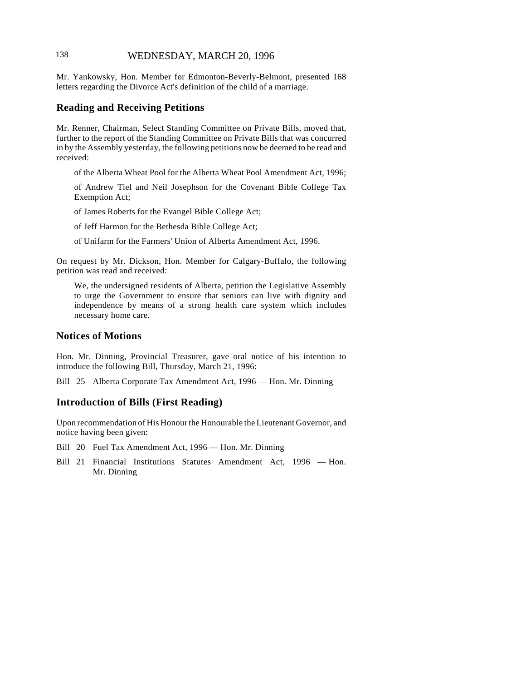# 138 WEDNESDAY, MARCH 20, 1996

Mr. Yankowsky, Hon. Member for Edmonton-Beverly-Belmont, presented 168 letters regarding the Divorce Act's definition of the child of a marriage.

# **Reading and Receiving Petitions**

Mr. Renner, Chairman, Select Standing Committee on Private Bills, moved that, further to the report of the Standing Committee on Private Bills that was concurred in by the Assembly yesterday, the following petitions now be deemed to be read and received:

of the Alberta Wheat Pool for the Alberta Wheat Pool Amendment Act, 1996;

of Andrew Tiel and Neil Josephson for the Covenant Bible College Tax Exemption Act;

of James Roberts for the Evangel Bible College Act;

of Jeff Harmon for the Bethesda Bible College Act;

of Unifarm for the Farmers' Union of Alberta Amendment Act, 1996.

On request by Mr. Dickson, Hon. Member for Calgary-Buffalo, the following petition was read and received:

We, the undersigned residents of Alberta, petition the Legislative Assembly to urge the Government to ensure that seniors can live with dignity and independence by means of a strong health care system which includes necessary home care.

### **Notices of Motions**

Hon. Mr. Dinning, Provincial Treasurer, gave oral notice of his intention to introduce the following Bill, Thursday, March 21, 1996:

Bill 25 Alberta Corporate Tax Amendment Act, 1996 — Hon. Mr. Dinning

### **Introduction of Bills (First Reading)**

Upon recommendation of His Honour the Honourable the Lieutenant Governor, and notice having been given:

Bill 20 Fuel Tax Amendment Act, 1996 — Hon. Mr. Dinning

Bill 21 Financial Institutions Statutes Amendment Act, 1996 — Hon. Mr. Dinning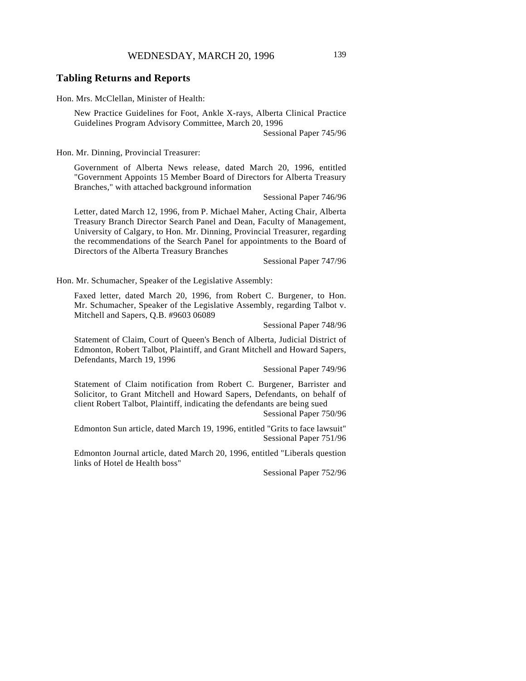## **Tabling Returns and Reports**

Hon. Mrs. McClellan, Minister of Health:

New Practice Guidelines for Foot, Ankle X-rays, Alberta Clinical Practice Guidelines Program Advisory Committee, March 20, 1996

Sessional Paper 745/96

Hon. Mr. Dinning, Provincial Treasurer:

Government of Alberta News release, dated March 20, 1996, entitled "Government Appoints 15 Member Board of Directors for Alberta Treasury Branches," with attached background information

Sessional Paper 746/96

Letter, dated March 12, 1996, from P. Michael Maher, Acting Chair, Alberta Treasury Branch Director Search Panel and Dean, Faculty of Management, University of Calgary, to Hon. Mr. Dinning, Provincial Treasurer, regarding the recommendations of the Search Panel for appointments to the Board of Directors of the Alberta Treasury Branches

Sessional Paper 747/96

Hon. Mr. Schumacher, Speaker of the Legislative Assembly:

Faxed letter, dated March 20, 1996, from Robert C. Burgener, to Hon. Mr. Schumacher, Speaker of the Legislative Assembly, regarding Talbot v. Mitchell and Sapers, Q.B. #9603 06089

Sessional Paper 748/96

Statement of Claim, Court of Queen's Bench of Alberta, Judicial District of Edmonton, Robert Talbot, Plaintiff, and Grant Mitchell and Howard Sapers, Defendants, March 19, 1996

Sessional Paper 749/96

Statement of Claim notification from Robert C. Burgener, Barrister and Solicitor, to Grant Mitchell and Howard Sapers, Defendants, on behalf of client Robert Talbot, Plaintiff, indicating the defendants are being sued

Sessional Paper 750/96

Edmonton Sun article, dated March 19, 1996, entitled "Grits to face lawsuit" Sessional Paper 751/96

Edmonton Journal article, dated March 20, 1996, entitled "Liberals question links of Hotel de Health boss"

Sessional Paper 752/96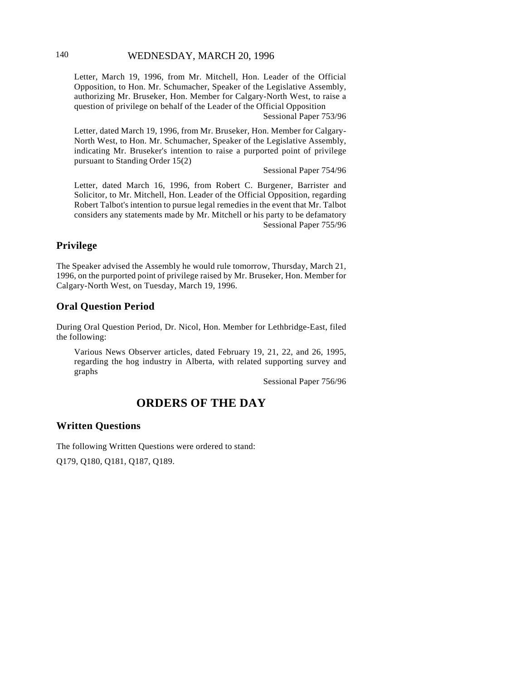# 140 WEDNESDAY, MARCH 20, 1996

Letter, March 19, 1996, from Mr. Mitchell, Hon. Leader of the Official Opposition, to Hon. Mr. Schumacher, Speaker of the Legislative Assembly, authorizing Mr. Bruseker, Hon. Member for Calgary-North West, to raise a question of privilege on behalf of the Leader of the Official Opposition

Sessional Paper 753/96

Letter, dated March 19, 1996, from Mr. Bruseker, Hon. Member for Calgary-North West, to Hon. Mr. Schumacher, Speaker of the Legislative Assembly, indicating Mr. Bruseker's intention to raise a purported point of privilege pursuant to Standing Order 15(2)

Sessional Paper 754/96

Letter, dated March 16, 1996, from Robert C. Burgener, Barrister and Solicitor, to Mr. Mitchell, Hon. Leader of the Official Opposition, regarding Robert Talbot's intention to pursue legal remedies in the event that Mr. Talbot considers any statements made by Mr. Mitchell or his party to be defamatory Sessional Paper 755/96

# **Privilege**

The Speaker advised the Assembly he would rule tomorrow, Thursday, March 21, 1996, on the purported point of privilege raised by Mr. Bruseker, Hon. Member for Calgary-North West, on Tuesday, March 19, 1996.

# **Oral Question Period**

During Oral Question Period, Dr. Nicol, Hon. Member for Lethbridge-East, filed the following:

Various News Observer articles, dated February 19, 21, 22, and 26, 1995, regarding the hog industry in Alberta, with related supporting survey and graphs

Sessional Paper 756/96

# **ORDERS OF THE DAY**

### **Written Questions**

The following Written Questions were ordered to stand:

Q179, Q180, Q181, Q187, Q189.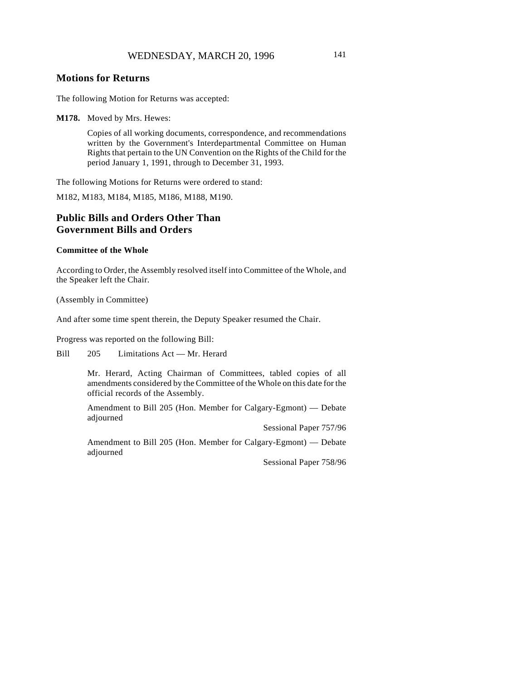### **Motions for Returns**

The following Motion for Returns was accepted:

**M178.** Moved by Mrs. Hewes:

Copies of all working documents, correspondence, and recommendations written by the Government's Interdepartmental Committee on Human Rights that pertain to the UN Convention on the Rights of the Child for the period January 1, 1991, through to December 31, 1993.

The following Motions for Returns were ordered to stand:

M182, M183, M184, M185, M186, M188, M190.

# **Public Bills and Orders Other Than Government Bills and Orders**

#### **Committee of the Whole**

According to Order, the Assembly resolved itself into Committee of the Whole, and the Speaker left the Chair.

(Assembly in Committee)

And after some time spent therein, the Deputy Speaker resumed the Chair.

Progress was reported on the following Bill:

Bill 205 Limitations Act — Mr. Herard

Mr. Herard, Acting Chairman of Committees, tabled copies of all amendments considered by the Committee of the Whole on this date for the official records of the Assembly.

Amendment to Bill 205 (Hon. Member for Calgary-Egmont) — Debate adjourned

Sessional Paper 757/96

Amendment to Bill 205 (Hon. Member for Calgary-Egmont) — Debate adjourned

Sessional Paper 758/96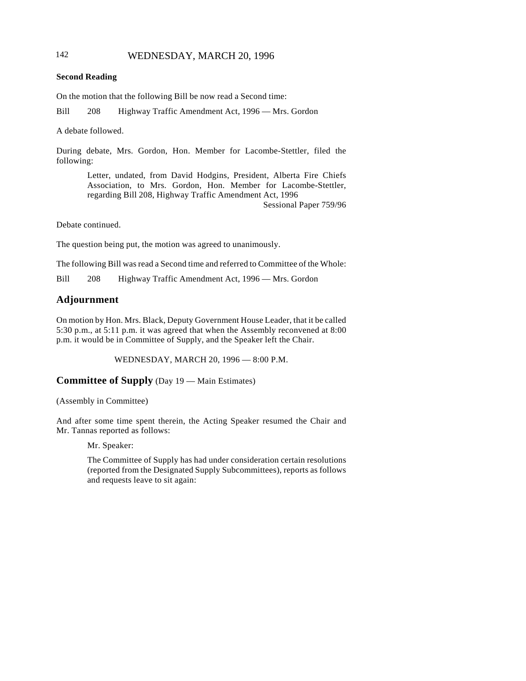# 142 WEDNESDAY, MARCH 20, 1996

### **Second Reading**

On the motion that the following Bill be now read a Second time:

Bill 208 Highway Traffic Amendment Act, 1996 — Mrs. Gordon

A debate followed.

During debate, Mrs. Gordon, Hon. Member for Lacombe-Stettler, filed the following:

> Letter, undated, from David Hodgins, President, Alberta Fire Chiefs Association, to Mrs. Gordon, Hon. Member for Lacombe-Stettler, regarding Bill 208, Highway Traffic Amendment Act, 1996 Sessional Paper 759/96

Debate continued.

The question being put, the motion was agreed to unanimously.

The following Bill was read a Second time and referred to Committee of the Whole:

Bill 208 Highway Traffic Amendment Act, 1996 — Mrs. Gordon

# **Adjournment**

On motion by Hon. Mrs. Black, Deputy Government House Leader, that it be called 5:30 p.m., at 5:11 p.m. it was agreed that when the Assembly reconvened at 8:00 p.m. it would be in Committee of Supply, and the Speaker left the Chair.

WEDNESDAY, MARCH 20, 1996 — 8:00 P.M.

**Committee of Supply** (Day 19 — Main Estimates)

(Assembly in Committee)

And after some time spent therein, the Acting Speaker resumed the Chair and Mr. Tannas reported as follows:

Mr. Speaker:

The Committee of Supply has had under consideration certain resolutions (reported from the Designated Supply Subcommittees), reports as follows and requests leave to sit again: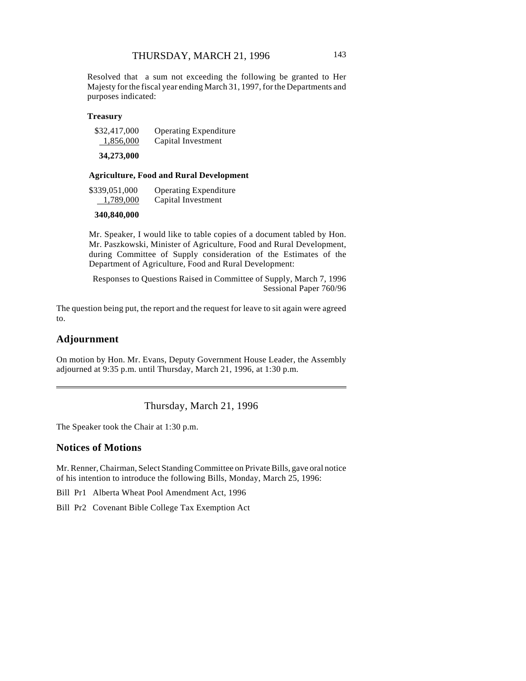Resolved that a sum not exceeding the following be granted to Her Majesty for the fiscal year ending March 31, 1997, for the Departments and purposes indicated:

#### **Treasury**

| \$32,417,000                                                | <b>Operating Expenditure</b> |
|-------------------------------------------------------------|------------------------------|
| 1,856,000                                                   | Capital Investment           |
| $\bullet$ $\bullet$ $\bullet$ $\bullet$ $\bullet$ $\bullet$ |                              |

**34,273,000**

### **Agriculture, Food and Rural Development**

| \$339,051,000 | <b>Operating Expenditure</b> |
|---------------|------------------------------|
| 1,789,000     | Capital Investment           |

### **340,840,000**

Mr. Speaker, I would like to table copies of a document tabled by Hon. Mr. Paszkowski, Minister of Agriculture, Food and Rural Development, during Committee of Supply consideration of the Estimates of the Department of Agriculture, Food and Rural Development:

Responses to Questions Raised in Committee of Supply, March 7, 1996 Sessional Paper 760/96

The question being put, the report and the request for leave to sit again were agreed to.

### **Adjournment**

On motion by Hon. Mr. Evans, Deputy Government House Leader, the Assembly adjourned at 9:35 p.m. until Thursday, March 21, 1996, at 1:30 p.m.

Thursday, March 21, 1996

The Speaker took the Chair at 1:30 p.m.

### **Notices of Motions**

Mr. Renner, Chairman, Select Standing Committee on Private Bills, gave oral notice of his intention to introduce the following Bills, Monday, March 25, 1996:

Bill Pr1 Alberta Wheat Pool Amendment Act, 1996

Bill Pr2 Covenant Bible College Tax Exemption Act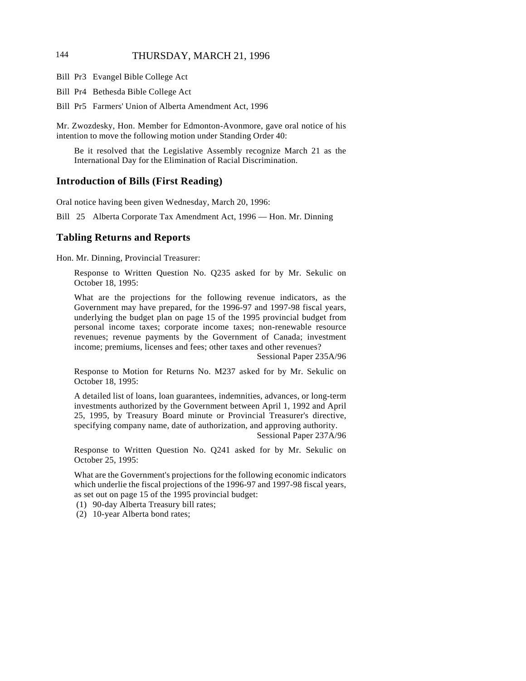# 144 THURSDAY, MARCH 21, 1996

- Bill Pr3 Evangel Bible College Act
- Bill Pr4 Bethesda Bible College Act
- Bill Pr5 Farmers' Union of Alberta Amendment Act, 1996

Mr. Zwozdesky, Hon. Member for Edmonton-Avonmore, gave oral notice of his intention to move the following motion under Standing Order 40:

Be it resolved that the Legislative Assembly recognize March 21 as the International Day for the Elimination of Racial Discrimination.

#### **Introduction of Bills (First Reading)**

Oral notice having been given Wednesday, March 20, 1996:

Bill 25 Alberta Corporate Tax Amendment Act, 1996 — Hon. Mr. Dinning

### **Tabling Returns and Reports**

Hon. Mr. Dinning, Provincial Treasurer:

Response to Written Question No. Q235 asked for by Mr. Sekulic on October 18, 1995:

What are the projections for the following revenue indicators, as the Government may have prepared, for the 1996-97 and 1997-98 fiscal years, underlying the budget plan on page 15 of the 1995 provincial budget from personal income taxes; corporate income taxes; non-renewable resource revenues; revenue payments by the Government of Canada; investment income; premiums, licenses and fees; other taxes and other revenues?

Sessional Paper 235A/96

Response to Motion for Returns No. M237 asked for by Mr. Sekulic on October 18, 1995:

A detailed list of loans, loan guarantees, indemnities, advances, or long-term investments authorized by the Government between April 1, 1992 and April 25, 1995, by Treasury Board minute or Provincial Treasurer's directive, specifying company name, date of authorization, and approving authority.

Sessional Paper 237A/96

Response to Written Question No. Q241 asked for by Mr. Sekulic on October 25, 1995:

What are the Government's projections for the following economic indicators which underlie the fiscal projections of the 1996-97 and 1997-98 fiscal years, as set out on page 15 of the 1995 provincial budget:

(1) 90-day Alberta Treasury bill rates;

(2) 10-year Alberta bond rates;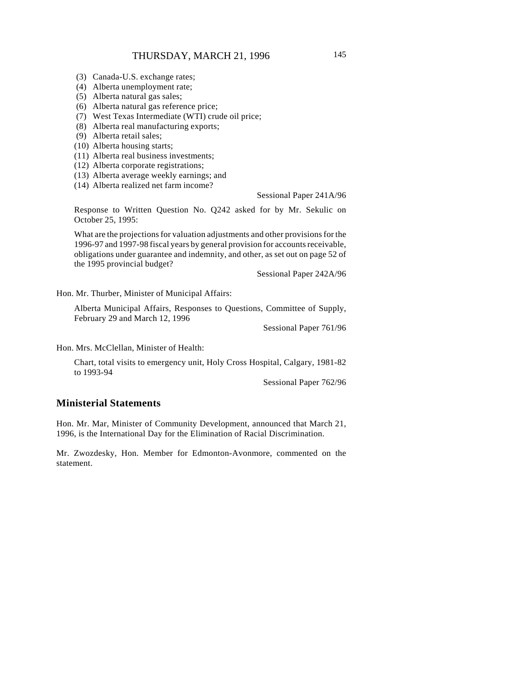- (3) Canada-U.S. exchange rates;
- (4) Alberta unemployment rate;
- (5) Alberta natural gas sales;
- (6) Alberta natural gas reference price;
- (7) West Texas Intermediate (WTI) crude oil price;
- (8) Alberta real manufacturing exports;
- (9) Alberta retail sales;
- (10) Alberta housing starts;
- (11) Alberta real business investments;
- (12) Alberta corporate registrations;
- (13) Alberta average weekly earnings; and (14) Alberta realized net farm income?

Sessional Paper 241A/96

Response to Written Question No. Q242 asked for by Mr. Sekulic on October 25, 1995:

What are the projections for valuation adjustments and other provisions for the 1996-97 and 1997-98 fiscal years by general provision for accounts receivable, obligations under guarantee and indemnity, and other, as set out on page 52 of the 1995 provincial budget?

Sessional Paper 242A/96

Hon. Mr. Thurber, Minister of Municipal Affairs:

Alberta Municipal Affairs, Responses to Questions, Committee of Supply, February 29 and March 12, 1996

Sessional Paper 761/96

Hon. Mrs. McClellan, Minister of Health:

Chart, total visits to emergency unit, Holy Cross Hospital, Calgary, 1981-82 to 1993-94

Sessional Paper 762/96

# **Ministerial Statements**

Hon. Mr. Mar, Minister of Community Development, announced that March 21, 1996, is the International Day for the Elimination of Racial Discrimination.

Mr. Zwozdesky, Hon. Member for Edmonton-Avonmore, commented on the statement.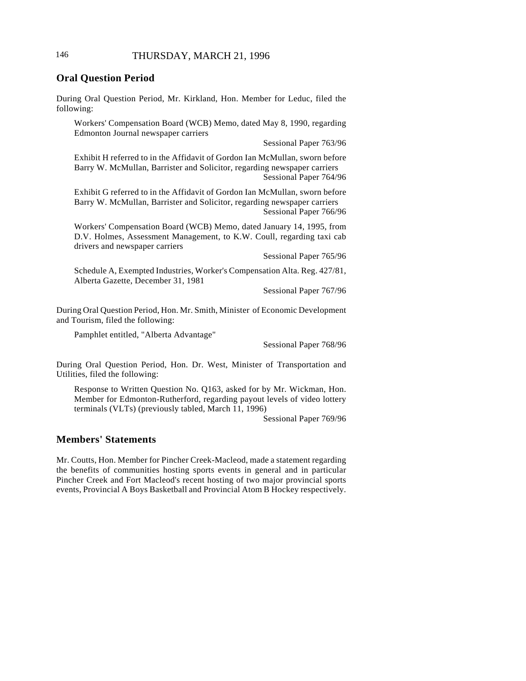# **Oral Question Period**

During Oral Question Period, Mr. Kirkland, Hon. Member for Leduc, filed the following:

Workers' Compensation Board (WCB) Memo, dated May 8, 1990, regarding Edmonton Journal newspaper carriers

Sessional Paper 763/96

Exhibit H referred to in the Affidavit of Gordon Ian McMullan, sworn before Barry W. McMullan, Barrister and Solicitor, regarding newspaper carriers Sessional Paper 764/96

Exhibit G referred to in the Affidavit of Gordon Ian McMullan, sworn before Barry W. McMullan, Barrister and Solicitor, regarding newspaper carriers Sessional Paper 766/96

Workers' Compensation Board (WCB) Memo, dated January 14, 1995, from D.V. Holmes, Assessment Management, to K.W. Coull, regarding taxi cab drivers and newspaper carriers

Sessional Paper 765/96

Schedule A, Exempted Industries, Worker's Compensation Alta. Reg. 427/81, Alberta Gazette, December 31, 1981

Sessional Paper 767/96

During Oral Question Period, Hon. Mr. Smith, Minister of Economic Development and Tourism, filed the following:

Pamphlet entitled, "Alberta Advantage"

Sessional Paper 768/96

During Oral Question Period, Hon. Dr. West, Minister of Transportation and Utilities, filed the following:

Response to Written Question No. Q163, asked for by Mr. Wickman, Hon. Member for Edmonton-Rutherford, regarding payout levels of video lottery terminals (VLTs) (previously tabled, March 11, 1996)

Sessional Paper 769/96

# **Members' Statements**

Mr. Coutts, Hon. Member for Pincher Creek-Macleod, made a statement regarding the benefits of communities hosting sports events in general and in particular Pincher Creek and Fort Macleod's recent hosting of two major provincial sports events, Provincial A Boys Basketball and Provincial Atom B Hockey respectively.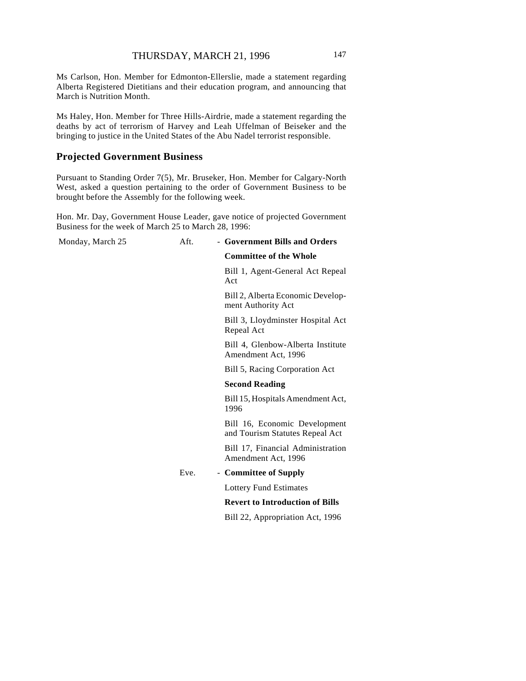Ms Carlson, Hon. Member for Edmonton-Ellerslie, made a statement regarding Alberta Registered Dietitians and their education program, and announcing that March is Nutrition Month.

Ms Haley, Hon. Member for Three Hills-Airdrie, made a statement regarding the deaths by act of terrorism of Harvey and Leah Uffelman of Beiseker and the bringing to justice in the United States of the Abu Nadel terrorist responsible.

### **Projected Government Business**

Pursuant to Standing Order 7(5), Mr. Bruseker, Hon. Member for Calgary-North West, asked a question pertaining to the order of Government Business to be brought before the Assembly for the following week.

Hon. Mr. Day, Government House Leader, gave notice of projected Government Business for the week of March 25 to March 28, 1996:

| Monday, March 25 | Aft. | - Government Bills and Orders                                    |
|------------------|------|------------------------------------------------------------------|
|                  |      | <b>Committee of the Whole</b>                                    |
|                  |      | Bill 1, Agent-General Act Repeal<br>Act                          |
|                  |      | Bill 2, Alberta Economic Develop-<br>ment Authority Act          |
|                  |      | Bill 3, Lloydminster Hospital Act<br>Repeal Act                  |
|                  |      | Bill 4, Glenbow-Alberta Institute<br>Amendment Act, 1996         |
|                  |      | Bill 5, Racing Corporation Act                                   |
|                  |      | <b>Second Reading</b>                                            |
|                  |      | Bill 15, Hospitals Amendment Act,<br>1996                        |
|                  |      | Bill 16, Economic Development<br>and Tourism Statutes Repeal Act |
|                  |      | Bill 17, Financial Administration<br>Amendment Act, 1996         |
|                  | Eve. | - Committee of Supply                                            |
|                  |      | <b>Lottery Fund Estimates</b>                                    |
|                  |      | <b>Revert to Introduction of Bills</b>                           |
|                  |      | Bill 22, Appropriation Act, 1996                                 |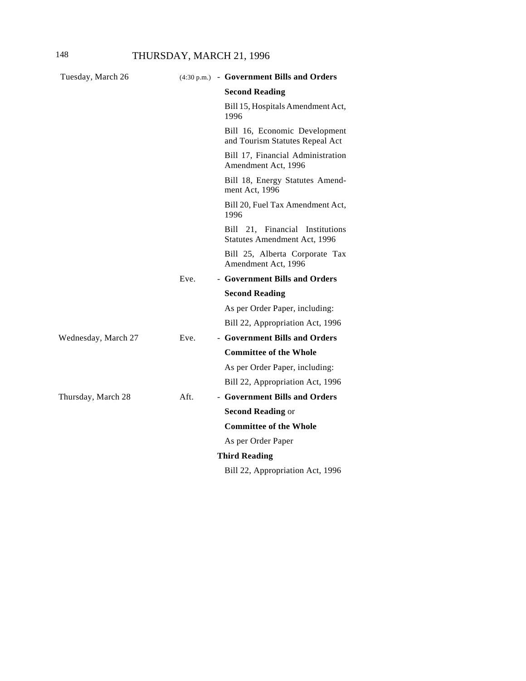| Tuesday, March 26   |      | (4:30 p.m.) - Government Bills and Orders                        |
|---------------------|------|------------------------------------------------------------------|
|                     |      | <b>Second Reading</b>                                            |
|                     |      | Bill 15, Hospitals Amendment Act,<br>1996                        |
|                     |      | Bill 16, Economic Development<br>and Tourism Statutes Repeal Act |
|                     |      | Bill 17, Financial Administration<br>Amendment Act, 1996         |
|                     |      | Bill 18, Energy Statutes Amend-<br>ment Act, 1996                |
|                     |      | Bill 20, Fuel Tax Amendment Act,<br>1996                         |
|                     |      | Bill 21, Financial Institutions<br>Statutes Amendment Act, 1996  |
|                     |      | Bill 25, Alberta Corporate Tax<br>Amendment Act, 1996            |
|                     | Eve. | - Government Bills and Orders                                    |
|                     |      | <b>Second Reading</b>                                            |
|                     |      | As per Order Paper, including:                                   |
|                     |      | Bill 22, Appropriation Act, 1996                                 |
| Wednesday, March 27 | Eve. | - Government Bills and Orders                                    |
|                     |      | <b>Committee of the Whole</b>                                    |
|                     |      | As per Order Paper, including:                                   |
|                     |      | Bill 22, Appropriation Act, 1996                                 |
| Thursday, March 28  | Aft. | - Government Bills and Orders                                    |
|                     |      | <b>Second Reading or</b>                                         |
|                     |      | <b>Committee of the Whole</b>                                    |
|                     |      | As per Order Paper                                               |
|                     |      | <b>Third Reading</b>                                             |
|                     |      | Bill 22, Appropriation Act, 1996                                 |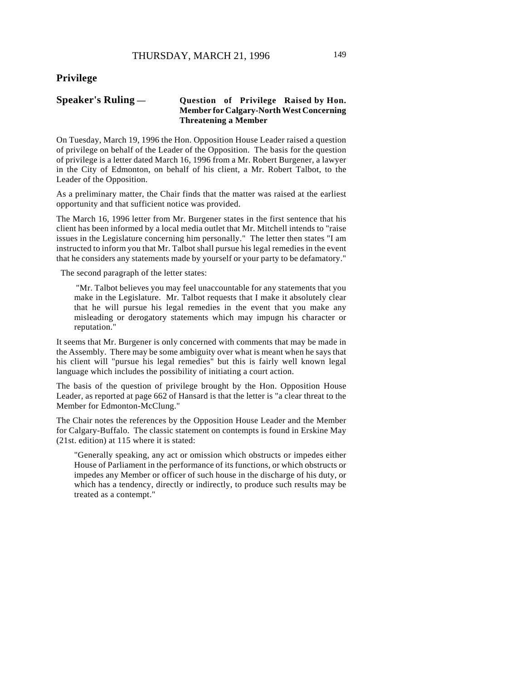## **Privilege**

### **Speaker's Ruling — Question of Privilege Raised by Hon. Member for Calgary-North West Concerning Threatening a Member**

On Tuesday, March 19, 1996 the Hon. Opposition House Leader raised a question of privilege on behalf of the Leader of the Opposition. The basis for the question of privilege is a letter dated March 16, 1996 from a Mr. Robert Burgener, a lawyer in the City of Edmonton, on behalf of his client, a Mr. Robert Talbot, to the Leader of the Opposition.

As a preliminary matter, the Chair finds that the matter was raised at the earliest opportunity and that sufficient notice was provided.

The March 16, 1996 letter from Mr. Burgener states in the first sentence that his client has been informed by a local media outlet that Mr. Mitchell intends to "raise issues in the Legislature concerning him personally." The letter then states "I am instructed to inform you that Mr. Talbot shall pursue his legal remedies in the event that he considers any statements made by yourself or your party to be defamatory."

The second paragraph of the letter states:

 "Mr. Talbot believes you may feel unaccountable for any statements that you make in the Legislature. Mr. Talbot requests that I make it absolutely clear that he will pursue his legal remedies in the event that you make any misleading or derogatory statements which may impugn his character or reputation."

It seems that Mr. Burgener is only concerned with comments that may be made in the Assembly. There may be some ambiguity over what is meant when he says that his client will "pursue his legal remedies" but this is fairly well known legal language which includes the possibility of initiating a court action.

The basis of the question of privilege brought by the Hon. Opposition House Leader, as reported at page 662 of Hansard is that the letter is "a clear threat to the Member for Edmonton-McClung."

The Chair notes the references by the Opposition House Leader and the Member for Calgary-Buffalo. The classic statement on contempts is found in Erskine May (21st. edition) at 115 where it is stated:

"Generally speaking, any act or omission which obstructs or impedes either House of Parliament in the performance of its functions, or which obstructs or impedes any Member or officer of such house in the discharge of his duty, or which has a tendency, directly or indirectly, to produce such results may be treated as a contempt."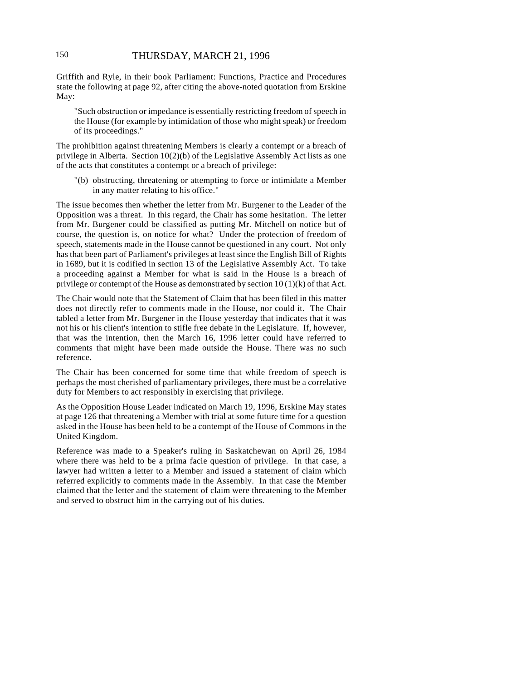Griffith and Ryle, in their book Parliament: Functions, Practice and Procedures state the following at page 92, after citing the above-noted quotation from Erskine May:

"Such obstruction or impedance is essentially restricting freedom of speech in the House (for example by intimidation of those who might speak) or freedom of its proceedings."

The prohibition against threatening Members is clearly a contempt or a breach of privilege in Alberta. Section 10(2)(b) of the Legislative Assembly Act lists as one of the acts that constitutes a contempt or a breach of privilege:

"(b) obstructing, threatening or attempting to force or intimidate a Member in any matter relating to his office."

The issue becomes then whether the letter from Mr. Burgener to the Leader of the Opposition was a threat. In this regard, the Chair has some hesitation. The letter from Mr. Burgener could be classified as putting Mr. Mitchell on notice but of course, the question is, on notice for what? Under the protection of freedom of speech, statements made in the House cannot be questioned in any court. Not only has that been part of Parliament's privileges at least since the English Bill of Rights in 1689, but it is codified in section 13 of the Legislative Assembly Act. To take a proceeding against a Member for what is said in the House is a breach of privilege or contempt of the House as demonstrated by section  $10(1)(k)$  of that Act.

The Chair would note that the Statement of Claim that has been filed in this matter does not directly refer to comments made in the House, nor could it. The Chair tabled a letter from Mr. Burgener in the House yesterday that indicates that it was not his or his client's intention to stifle free debate in the Legislature. If, however, that was the intention, then the March 16, 1996 letter could have referred to comments that might have been made outside the House. There was no such reference.

The Chair has been concerned for some time that while freedom of speech is perhaps the most cherished of parliamentary privileges, there must be a correlative duty for Members to act responsibly in exercising that privilege.

As the Opposition House Leader indicated on March 19, 1996, Erskine May states at page 126 that threatening a Member with trial at some future time for a question asked in the House has been held to be a contempt of the House of Commons in the United Kingdom.

Reference was made to a Speaker's ruling in Saskatchewan on April 26, 1984 where there was held to be a prima facie question of privilege. In that case, a lawyer had written a letter to a Member and issued a statement of claim which referred explicitly to comments made in the Assembly. In that case the Member claimed that the letter and the statement of claim were threatening to the Member and served to obstruct him in the carrying out of his duties.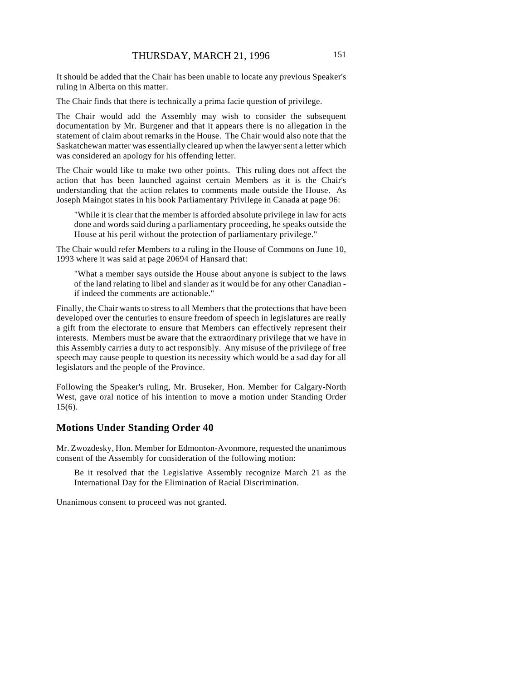It should be added that the Chair has been unable to locate any previous Speaker's ruling in Alberta on this matter.

The Chair finds that there is technically a prima facie question of privilege.

The Chair would add the Assembly may wish to consider the subsequent documentation by Mr. Burgener and that it appears there is no allegation in the statement of claim about remarks in the House. The Chair would also note that the Saskatchewan matter was essentially cleared up when the lawyer sent a letter which was considered an apology for his offending letter.

The Chair would like to make two other points. This ruling does not affect the action that has been launched against certain Members as it is the Chair's understanding that the action relates to comments made outside the House. As Joseph Maingot states in his book Parliamentary Privilege in Canada at page 96:

"While it is clear that the member is afforded absolute privilege in law for acts done and words said during a parliamentary proceeding, he speaks outside the House at his peril without the protection of parliamentary privilege."

The Chair would refer Members to a ruling in the House of Commons on June 10, 1993 where it was said at page 20694 of Hansard that:

"What a member says outside the House about anyone is subject to the laws of the land relating to libel and slander as it would be for any other Canadian if indeed the comments are actionable."

Finally, the Chair wants to stress to all Members that the protections that have been developed over the centuries to ensure freedom of speech in legislatures are really a gift from the electorate to ensure that Members can effectively represent their interests. Members must be aware that the extraordinary privilege that we have in this Assembly carries a duty to act responsibly. Any misuse of the privilege of free speech may cause people to question its necessity which would be a sad day for all legislators and the people of the Province.

Following the Speaker's ruling, Mr. Bruseker, Hon. Member for Calgary-North West, gave oral notice of his intention to move a motion under Standing Order 15(6).

### **Motions Under Standing Order 40**

Mr. Zwozdesky, Hon. Member for Edmonton-Avonmore, requested the unanimous consent of the Assembly for consideration of the following motion:

Be it resolved that the Legislative Assembly recognize March 21 as the International Day for the Elimination of Racial Discrimination.

Unanimous consent to proceed was not granted.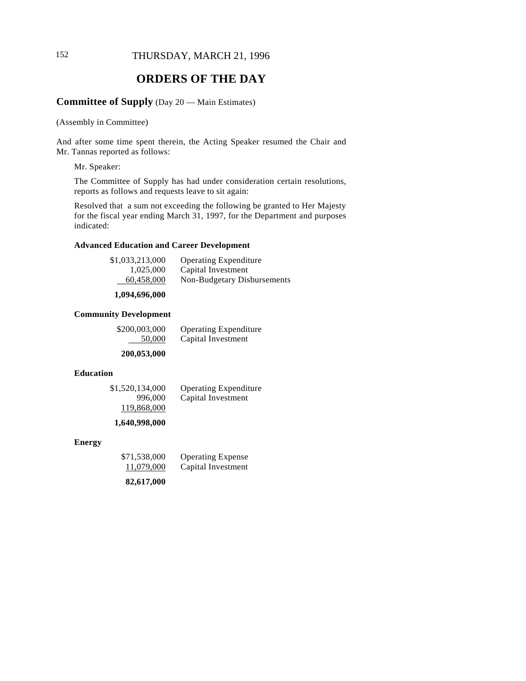# 152 THURSDAY, MARCH 21, 1996

# **ORDERS OF THE DAY**

# **Committee of Supply** (Day 20 — Main Estimates)

(Assembly in Committee)

And after some time spent therein, the Acting Speaker resumed the Chair and Mr. Tannas reported as follows:

Mr. Speaker:

The Committee of Supply has had under consideration certain resolutions, reports as follows and requests leave to sit again:

Resolved that a sum not exceeding the following be granted to Her Majesty for the fiscal year ending March 31, 1997, for the Department and purposes indicated:

### **Advanced Education and Career Development**

| \$1,033,213,000 | <b>Operating Expenditure</b> |
|-----------------|------------------------------|
| 1,025,000       | Capital Investment           |
| 60,458,000      | Non-Budgetary Disbursements  |

#### **1,094,696,000**

#### **Community Development**

| \$200,003,000 | <b>Operating Expenditure</b> |
|---------------|------------------------------|
| 50,000        | Capital Investment           |

#### **200,053,000**

#### **Education**

| \$1,520,134,000 | <b>Operating Expenditure</b> |
|-----------------|------------------------------|
| 996,000         | Capital Investment           |
| 119,868,000     |                              |

#### **1,640,998,000**

#### **Energy**

| \$71,538,000 | <b>Operating Expense</b> |
|--------------|--------------------------|
| 11,079,000   | Capital Investment       |
| 82,617,000   |                          |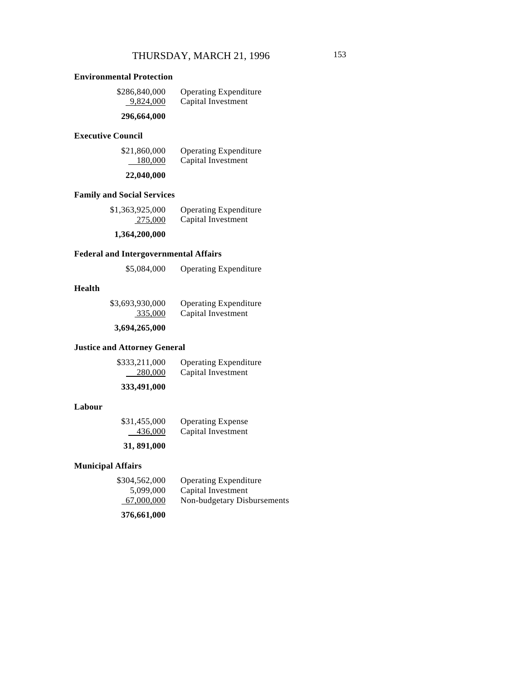### **Environmental Protection**

| \$286,840,000 | <b>Operating Expenditure</b> |
|---------------|------------------------------|
| 9,824,000     | Capital Investment           |
| 296,664,000   |                              |

### **Executive Council**

| \$21,860,000 | <b>Operating Expenditure</b> |
|--------------|------------------------------|
| 180,000      | Capital Investment           |

### **22,040,000**

### **Family and Social Services**

| \$1,363,925,000 | <b>Operating Expenditure</b> |
|-----------------|------------------------------|
| 275,000         | Capital Investment           |
|                 |                              |

### **1,364,200,000**

### **Federal and Intergovernmental Affairs**

| \$5,084,000 | <b>Operating Expenditure</b> |
|-------------|------------------------------|
|-------------|------------------------------|

### **Health**

| \$3,693,930,000 | <b>Operating Expenditure</b> |
|-----------------|------------------------------|
| 335,000         | Capital Investment           |

### **3,694,265,000**

### **Justice and Attorney General**

| \$333,211,000 | <b>Operating Expenditure</b> |
|---------------|------------------------------|
| 280,000       | Capital Investment           |

### **333,491,000**

### **Labour**

| \$31,455,000 | <b>Operating Expense</b> |
|--------------|--------------------------|
| 436,000      | Capital Investment       |

# **31, 891,000**

# **Municipal Affairs**

| \$304,562,000 | <b>Operating Expenditure</b> |
|---------------|------------------------------|
| 5,099,000     | Capital Investment           |
| 67,000,000    | Non-budgetary Disbursements  |

**376,661,000**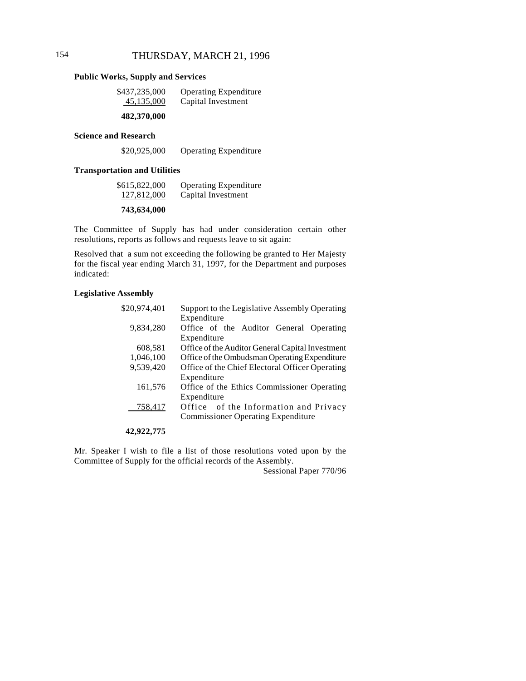# 154 THURSDAY, MARCH 21, 1996

#### **Public Works, Supply and Services**

| \$437,235,000 | <b>Operating Expenditure</b> |
|---------------|------------------------------|
| 45,135,000    | Capital Investment           |
| 482,370,000   |                              |

#### **Science and Research**

| \$20,925,000 | <b>Operating Expenditure</b> |
|--------------|------------------------------|
|              |                              |

#### **Transportation and Utilities**

| \$615,822,000 | <b>Operating Expenditure</b> |
|---------------|------------------------------|
| 127,812,000   | Capital Investment           |

### **743,634,000**

The Committee of Supply has had under consideration certain other resolutions, reports as follows and requests leave to sit again:

Resolved that a sum not exceeding the following be granted to Her Majesty for the fiscal year ending March 31, 1997, for the Department and purposes indicated:

#### **Legislative Assembly**

| \$20,974,401 | Support to the Legislative Assembly Operating    |
|--------------|--------------------------------------------------|
|              | Expenditure                                      |
| 9,834,280    | Office of the Auditor General Operating          |
|              | Expenditure                                      |
| 608,581      | Office of the Auditor General Capital Investment |
| 1,046,100    | Office of the Ombudsman Operating Expenditure    |
| 9,539,420    | Office of the Chief Electoral Officer Operating  |
|              | Expenditure                                      |
| 161,576      | Office of the Ethics Commissioner Operating      |
|              | Expenditure                                      |
| 758,417      | Office of the Information and Privacy            |
|              | <b>Commissioner Operating Expenditure</b>        |
|              |                                                  |

### **42,922,775**

Mr. Speaker I wish to file a list of those resolutions voted upon by the Committee of Supply for the official records of the Assembly.

Sessional Paper 770/96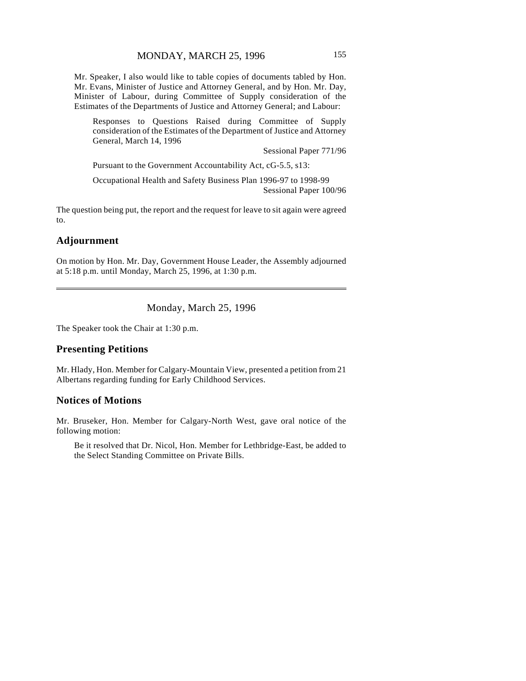Mr. Speaker, I also would like to table copies of documents tabled by Hon. Mr. Evans, Minister of Justice and Attorney General, and by Hon. Mr. Day, Minister of Labour, during Committee of Supply consideration of the Estimates of the Departments of Justice and Attorney General; and Labour:

Responses to Questions Raised during Committee of Supply consideration of the Estimates of the Department of Justice and Attorney General, March 14, 1996

Sessional Paper 771/96

Pursuant to the Government Accountability Act, cG-5.5, s13:

Occupational Health and Safety Business Plan 1996-97 to 1998-99 Sessional Paper 100/96

The question being put, the report and the request for leave to sit again were agreed to.

### **Adjournment**

 $\overline{\phantom{a}}$ 

On motion by Hon. Mr. Day, Government House Leader, the Assembly adjourned at 5:18 p.m. until Monday, March 25, 1996, at 1:30 p.m.

# Monday, March 25, 1996

The Speaker took the Chair at 1:30 p.m.

#### **Presenting Petitions**

Mr. Hlady, Hon. Member for Calgary-Mountain View, presented a petition from 21 Albertans regarding funding for Early Childhood Services.

### **Notices of Motions**

Mr. Bruseker, Hon. Member for Calgary-North West, gave oral notice of the following motion:

Be it resolved that Dr. Nicol, Hon. Member for Lethbridge-East, be added to the Select Standing Committee on Private Bills.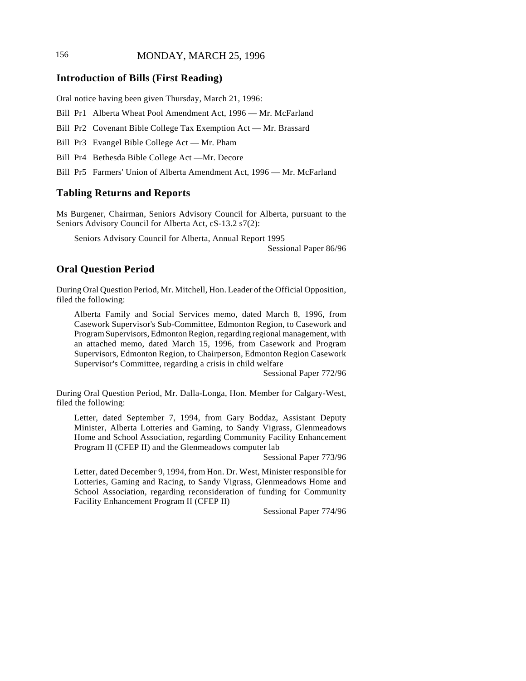# 156 **MONDAY, MARCH 25, 1996**

### **Introduction of Bills (First Reading)**

Oral notice having been given Thursday, March 21, 1996:

Bill Pr1 Alberta Wheat Pool Amendment Act, 1996 — Mr. McFarland

Bill Pr2 Covenant Bible College Tax Exemption Act — Mr. Brassard

Bill Pr3 Evangel Bible College Act — Mr. Pham

Bill Pr4 Bethesda Bible College Act —Mr. Decore

Bill Pr5 Farmers' Union of Alberta Amendment Act, 1996 — Mr. McFarland

# **Tabling Returns and Reports**

Ms Burgener, Chairman, Seniors Advisory Council for Alberta, pursuant to the Seniors Advisory Council for Alberta Act, cS-13.2 s7(2):

Seniors Advisory Council for Alberta, Annual Report 1995

Sessional Paper 86/96

# **Oral Question Period**

During Oral Question Period, Mr. Mitchell, Hon. Leader of the Official Opposition, filed the following:

Alberta Family and Social Services memo, dated March 8, 1996, from Casework Supervisor's Sub-Committee, Edmonton Region, to Casework and Program Supervisors, Edmonton Region, regarding regional management, with an attached memo, dated March 15, 1996, from Casework and Program Supervisors, Edmonton Region, to Chairperson, Edmonton Region Casework Supervisor's Committee, regarding a crisis in child welfare

Sessional Paper 772/96

During Oral Question Period, Mr. Dalla-Longa, Hon. Member for Calgary-West, filed the following:

Letter, dated September 7, 1994, from Gary Boddaz, Assistant Deputy Minister, Alberta Lotteries and Gaming, to Sandy Vigrass, Glenmeadows Home and School Association, regarding Community Facility Enhancement Program II (CFEP II) and the Glenmeadows computer lab

Sessional Paper 773/96

Letter, dated December 9, 1994, from Hon. Dr. West, Minister responsible for Lotteries, Gaming and Racing, to Sandy Vigrass, Glenmeadows Home and School Association, regarding reconsideration of funding for Community Facility Enhancement Program II (CFEP II)

Sessional Paper 774/96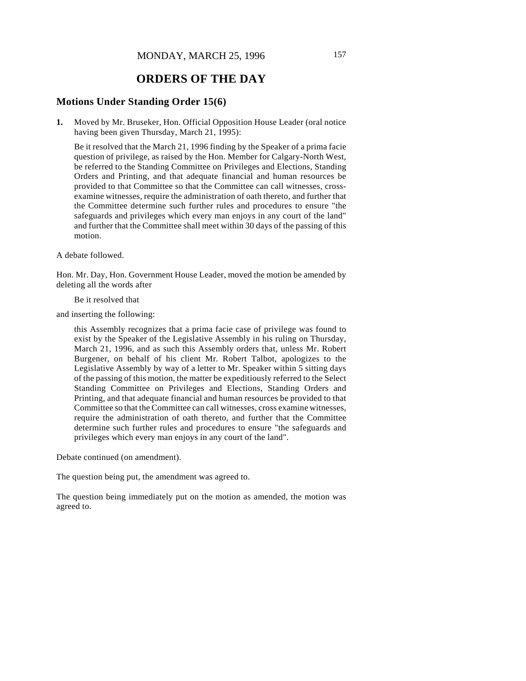# **ORDERS OF THE DAY**

### **Motions Under Standing Order 15(6)**

**1.** Moved by Mr. Bruseker, Hon. Official Opposition House Leader (oral notice having been given Thursday, March 21, 1995):

Be it resolved that the March 21, 1996 finding by the Speaker of a prima facie question of privilege, as raised by the Hon. Member for Calgary-North West, be referred to the Standing Committee on Privileges and Elections, Standing Orders and Printing, and that adequate financial and human resources be provided to that Committee so that the Committee can call witnesses, crossexamine witnesses, require the administration of oath thereto, and further that the Committee determine such further rules and procedures to ensure "the safeguards and privileges which every man enjoys in any court of the land" and further that the Committee shall meet within 30 days of the passing of this motion.

A debate followed.

Hon. Mr. Day, Hon. Government House Leader, moved the motion be amended by deleting all the words after

Be it resolved that

and inserting the following:

this Assembly recognizes that a prima facie case of privilege was found to exist by the Speaker of the Legislative Assembly in his ruling on Thursday, March 21, 1996, and as such this Assembly orders that, unless Mr. Robert Burgener, on behalf of his client Mr. Robert Talbot, apologizes to the Legislative Assembly by way of a letter to Mr. Speaker within 5 sitting days of the passing of this motion, the matter be expeditiously referred to the Select Standing Committee on Privileges and Elections, Standing Orders and Printing, and that adequate financial and human resources be provided to that Committee so that the Committee can call witnesses, cross examine witnesses, require the administration of oath thereto, and further that the Committee determine such further rules and procedures to ensure "the safeguards and privileges which every man enjoys in any court of the land".

Debate continued (on amendment).

The question being put, the amendment was agreed to.

The question being immediately put on the motion as amended, the motion was agreed to.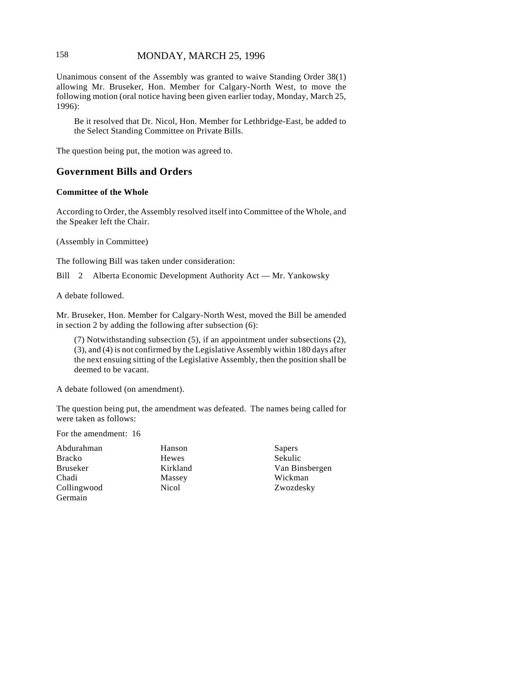# 158 **MONDAY, MARCH 25, 1996**

Unanimous consent of the Assembly was granted to waive Standing Order 38(1) allowing Mr. Bruseker, Hon. Member for Calgary-North West, to move the following motion (oral notice having been given earlier today, Monday, March 25, 1996):

Be it resolved that Dr. Nicol, Hon. Member for Lethbridge-East, be added to the Select Standing Committee on Private Bills.

The question being put, the motion was agreed to.

## **Government Bills and Orders**

### **Committee of the Whole**

According to Order, the Assembly resolved itself into Committee of the Whole, and the Speaker left the Chair.

(Assembly in Committee)

The following Bill was taken under consideration:

Bill 2 Alberta Economic Development Authority Act — Mr. Yankowsky

A debate followed.

Mr. Bruseker, Hon. Member for Calgary-North West, moved the Bill be amended in section 2 by adding the following after subsection (6):

(7) Notwithstanding subsection (5), if an appointment under subsections (2), (3), and (4) is not confirmed by the Legislative Assembly within 180 days after the next ensuing sitting of the Legislative Assembly, then the position shall be deemed to be vacant.

A debate followed (on amendment).

The question being put, the amendment was defeated. The names being called for were taken as follows:

For the amendment: 16

| Abdurahman  | Hanson       |
|-------------|--------------|
| Bracko      | Hewes        |
| Bruseker    | Kirkland     |
| Chadi       | Massey       |
| Collingwood | <b>Nicol</b> |
| Germain     |              |

Sapers Sekulic Van Binsbergen Wickman Zwozdesky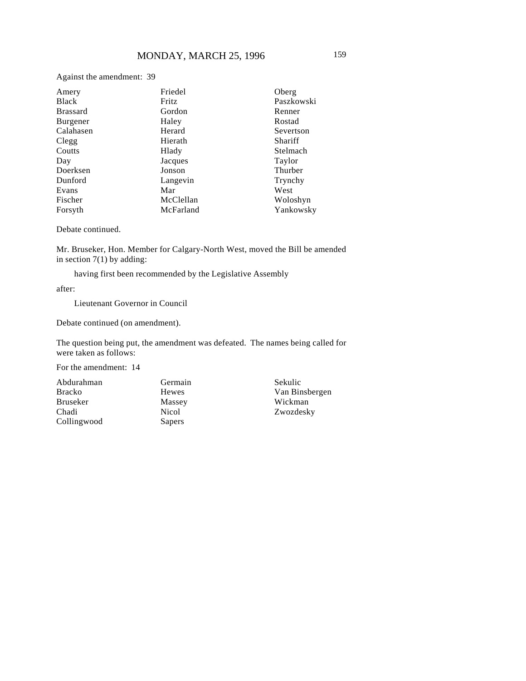| Against the amendment: 39 |           |            |
|---------------------------|-----------|------------|
| Amery                     | Friedel   | Oberg      |
| <b>Black</b>              | Fritz     | Paszkowski |
| <b>Brassard</b>           | Gordon    | Renner     |
| Burgener                  | Haley     | Rostad     |
| Calahasen                 | Herard    | Severtson  |
| Clegg                     | Hierath   | Shariff    |
| Coutts                    | Hlady     | Stelmach   |
| Day                       | Jacques   | Taylor     |
| Doerksen                  | Jonson    | Thurber    |
| Dunford                   | Langevin  | Trynchy    |
| Evans                     | Mar       | West       |
| Fischer                   | McClellan | Woloshyn   |

Debate continued.

Mr. Bruseker, Hon. Member for Calgary-North West, moved the Bill be amended in section 7(1) by adding:

having first been recommended by the Legislative Assembly

McFarland

after:

Forsyth

Lieutenant Governor in Council

Debate continued (on amendment).

The question being put, the amendment was defeated. The names being called for were taken as follows:

For the amendment: 14

Abdurahman Bracko Bruseker Chadi Collingwood

Germain Hewes Massey Nicol Sapers

Sekulic Van Binsbergen Wickman Zwozdesky

Yankowsky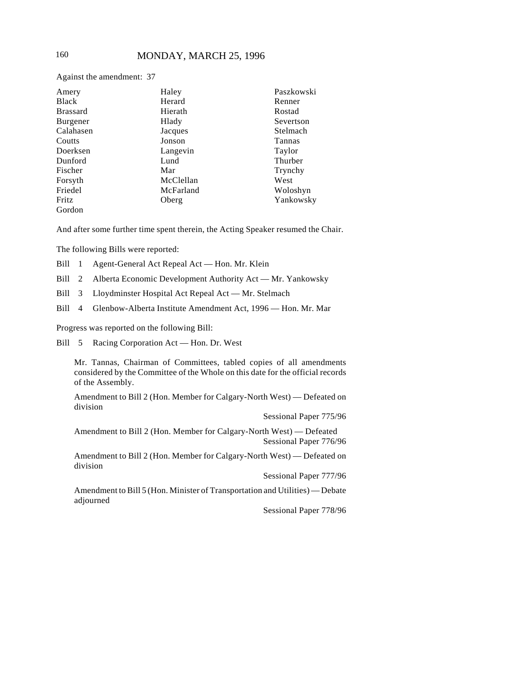Against the amendment: 37

| Amery           | Haley     | Paszkowski |
|-----------------|-----------|------------|
| <b>Black</b>    | Herard    | Renner     |
| <b>Brassard</b> | Hierath   | Rostad     |
| Burgener        | Hlady     | Severtson  |
| Calahasen       | Jacques   | Stelmach   |
| Coutts          | Jonson    | Tannas     |
| Doerksen        | Langevin  | Taylor     |
| Dunford         | Lund      | Thurber    |
| Fischer         | Mar       | Trynchy    |
| Forsyth         | McClellan | West       |
| Friedel         | McFarland | Woloshyn   |
| Fritz           | Oberg     | Yankowsky  |
| Gordon          |           |            |

And after some further time spent therein, the Acting Speaker resumed the Chair.

The following Bills were reported:

- Bill 1 Agent-General Act Repeal Act Hon. Mr. Klein
- Bill 2 Alberta Economic Development Authority Act Mr. Yankowsky
- Bill 3 Lloydminster Hospital Act Repeal Act Mr. Stelmach
- Bill 4 Glenbow-Alberta Institute Amendment Act, 1996 Hon. Mr. Mar

Progress was reported on the following Bill:

Bill 5 Racing Corporation Act — Hon. Dr. West

Mr. Tannas, Chairman of Committees, tabled copies of all amendments considered by the Committee of the Whole on this date for the official records of the Assembly.

Amendment to Bill 2 (Hon. Member for Calgary-North West) — Defeated on division

Sessional Paper 775/96

Amendment to Bill 2 (Hon. Member for Calgary-North West) — Defeated Sessional Paper 776/96

Amendment to Bill 2 (Hon. Member for Calgary-North West) — Defeated on division

Sessional Paper 777/96

Amendment to Bill 5 (Hon. Minister of Transportation and Utilities) — Debate adjourned

Sessional Paper 778/96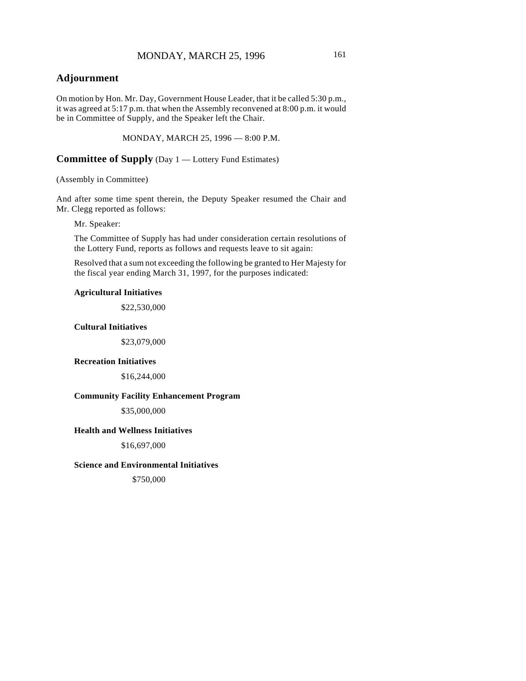# **Adjournment**

On motion by Hon. Mr. Day, Government House Leader, that it be called 5:30 p.m., it was agreed at 5:17 p.m. that when the Assembly reconvened at 8:00 p.m. it would be in Committee of Supply, and the Speaker left the Chair.

MONDAY, MARCH 25, 1996 — 8:00 P.M.

**Committee of Supply** (Day 1 — Lottery Fund Estimates)

(Assembly in Committee)

And after some time spent therein, the Deputy Speaker resumed the Chair and Mr. Clegg reported as follows:

Mr. Speaker:

The Committee of Supply has had under consideration certain resolutions of the Lottery Fund, reports as follows and requests leave to sit again:

Resolved that a sum not exceeding the following be granted to Her Majesty for the fiscal year ending March 31, 1997, for the purposes indicated:

#### **Agricultural Initiatives**

\$22,530,000

#### **Cultural Initiatives**

\$23,079,000

#### **Recreation Initiatives**

\$16,244,000

### **Community Facility Enhancement Program**

\$35,000,000

### **Health and Wellness Initiatives**

\$16,697,000

### **Science and Environmental Initiatives**

\$750,000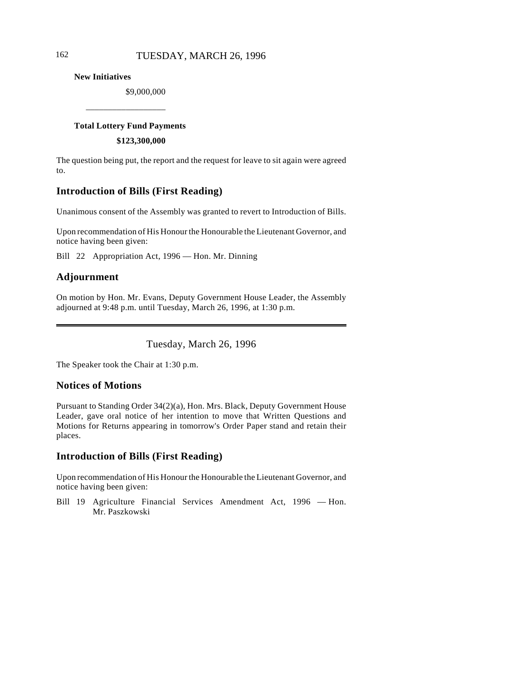**New Initiatives**

\$9,000,000

### **Total Lottery Fund Payments**

\_\_\_\_\_\_\_\_\_\_\_\_\_\_\_\_\_\_

**\$123,300,000**

The question being put, the report and the request for leave to sit again were agreed to.

# **Introduction of Bills (First Reading)**

Unanimous consent of the Assembly was granted to revert to Introduction of Bills.

Upon recommendation of His Honour the Honourable the Lieutenant Governor, and notice having been given:

Bill 22 Appropriation Act, 1996 — Hon. Mr. Dinning

# **Adjournment**

 $\overline{\phantom{a}}$ 

On motion by Hon. Mr. Evans, Deputy Government House Leader, the Assembly adjourned at 9:48 p.m. until Tuesday, March 26, 1996, at 1:30 p.m.

Tuesday, March 26, 1996

The Speaker took the Chair at 1:30 p.m.

# **Notices of Motions**

Pursuant to Standing Order 34(2)(a), Hon. Mrs. Black, Deputy Government House Leader, gave oral notice of her intention to move that Written Questions and Motions for Returns appearing in tomorrow's Order Paper stand and retain their places.

# **Introduction of Bills (First Reading)**

Upon recommendation of His Honour the Honourable the Lieutenant Governor, and notice having been given:

Bill 19 Agriculture Financial Services Amendment Act, 1996 — Hon. Mr. Paszkowski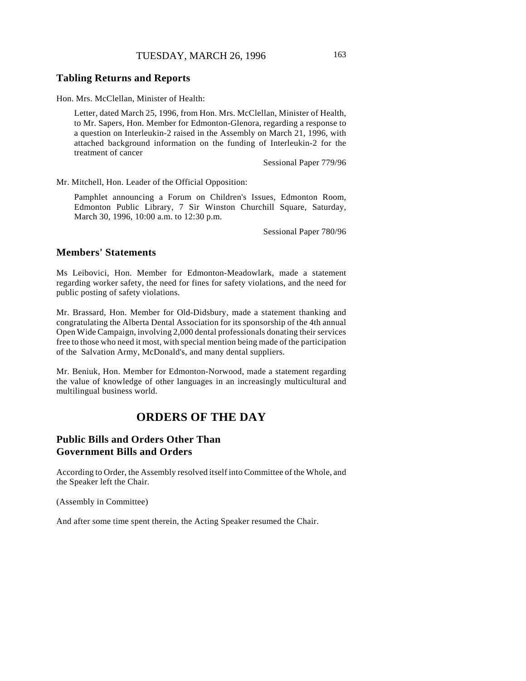### **Tabling Returns and Reports**

Hon. Mrs. McClellan, Minister of Health:

Letter, dated March 25, 1996, from Hon. Mrs. McClellan, Minister of Health, to Mr. Sapers, Hon. Member for Edmonton-Glenora, regarding a response to a question on Interleukin-2 raised in the Assembly on March 21, 1996, with attached background information on the funding of Interleukin-2 for the treatment of cancer

Sessional Paper 779/96

Mr. Mitchell, Hon. Leader of the Official Opposition:

Pamphlet announcing a Forum on Children's Issues, Edmonton Room, Edmonton Public Library, 7 Sir Winston Churchill Square, Saturday, March 30, 1996, 10:00 a.m. to 12:30 p.m.

Sessional Paper 780/96

## **Members' Statements**

Ms Leibovici, Hon. Member for Edmonton-Meadowlark, made a statement regarding worker safety, the need for fines for safety violations, and the need for public posting of safety violations.

Mr. Brassard, Hon. Member for Old-Didsbury, made a statement thanking and congratulating the Alberta Dental Association for its sponsorship of the 4th annual Open Wide Campaign, involving 2,000 dental professionals donating their services free to those who need it most, with special mention being made of the participation of the Salvation Army, McDonald's, and many dental suppliers.

Mr. Beniuk, Hon. Member for Edmonton-Norwood, made a statement regarding the value of knowledge of other languages in an increasingly multicultural and multilingual business world.

# **ORDERS OF THE DAY**

# **Public Bills and Orders Other Than Government Bills and Orders**

According to Order, the Assembly resolved itself into Committee of the Whole, and the Speaker left the Chair.

(Assembly in Committee)

And after some time spent therein, the Acting Speaker resumed the Chair.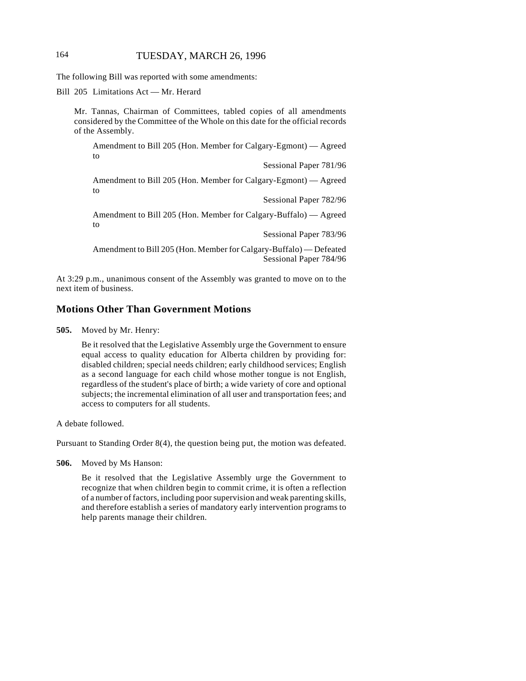# 164 TUESDAY, MARCH 26, 1996

The following Bill was reported with some amendments:

Bill 205 Limitations Act — Mr. Herard

Mr. Tannas, Chairman of Committees, tabled copies of all amendments considered by the Committee of the Whole on this date for the official records of the Assembly.

Amendment to Bill 205 (Hon. Member for Calgary-Egmont) — Agreed to

Sessional Paper 781/96

Amendment to Bill 205 (Hon. Member for Calgary-Egmont) — Agreed to

Sessional Paper 782/96

Amendment to Bill 205 (Hon. Member for Calgary-Buffalo) — Agreed to

Sessional Paper 783/96

Amendment to Bill 205 (Hon. Member for Calgary-Buffalo) — Defeated Sessional Paper 784/96

At 3:29 p.m., unanimous consent of the Assembly was granted to move on to the next item of business.

# **Motions Other Than Government Motions**

**505.** Moved by Mr. Henry:

Be it resolved that the Legislative Assembly urge the Government to ensure equal access to quality education for Alberta children by providing for: disabled children; special needs children; early childhood services; English as a second language for each child whose mother tongue is not English, regardless of the student's place of birth; a wide variety of core and optional subjects; the incremental elimination of all user and transportation fees; and access to computers for all students.

A debate followed.

Pursuant to Standing Order 8(4), the question being put, the motion was defeated.

**506.** Moved by Ms Hanson:

Be it resolved that the Legislative Assembly urge the Government to recognize that when children begin to commit crime, it is often a reflection of a number of factors, including poor supervision and weak parenting skills, and therefore establish a series of mandatory early intervention programs to help parents manage their children.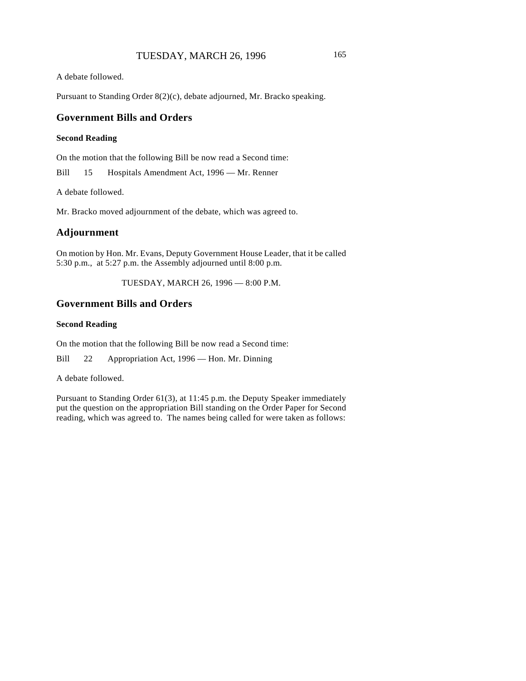A debate followed.

Pursuant to Standing Order 8(2)(c), debate adjourned, Mr. Bracko speaking.

# **Government Bills and Orders**

### **Second Reading**

On the motion that the following Bill be now read a Second time:

Bill 15 Hospitals Amendment Act, 1996 — Mr. Renner

A debate followed.

Mr. Bracko moved adjournment of the debate, which was agreed to.

### **Adjournment**

On motion by Hon. Mr. Evans, Deputy Government House Leader, that it be called 5:30 p.m., at 5:27 p.m. the Assembly adjourned until 8:00 p.m.

TUESDAY, MARCH 26, 1996 — 8:00 P.M.

### **Government Bills and Orders**

#### **Second Reading**

On the motion that the following Bill be now read a Second time:

Bill 22 Appropriation Act, 1996 — Hon. Mr. Dinning

A debate followed.

Pursuant to Standing Order 61(3), at 11:45 p.m. the Deputy Speaker immediately put the question on the appropriation Bill standing on the Order Paper for Second reading, which was agreed to. The names being called for were taken as follows: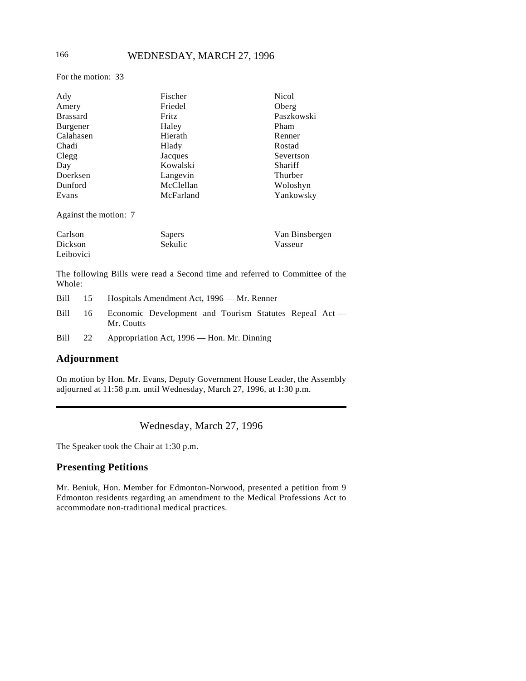# 166 WEDNESDAY, MARCH 27, 1996

For the motion: 33

| Ady                   | Fischer   | <b>Nicol</b>   |
|-----------------------|-----------|----------------|
| Amery                 | Friedel   | Oberg          |
| <b>Brassard</b>       | Fritz     | Paszkowski     |
| Burgener              | Haley     | Pham           |
| Calahasen             | Hierath   | Renner         |
| Chadi                 | Hlady     | Rostad         |
| Clegg                 | Jacques   | Severtson      |
| Day                   | Kowalski  | Shariff        |
| Doerksen              | Langevin  | Thurber        |
| Dunford               | McClellan | Woloshyn       |
| Evans                 | McFarland | Yankowsky      |
| Against the motion: 7 |           |                |
| Carlon                | Sanare    | Van Rinchargan |

| Carlson   | Sapers         | Van Binsbergen |
|-----------|----------------|----------------|
| Dickson   | <b>Sekulic</b> | Vasseur        |
| Leibovici |                |                |

The following Bills were read a Second time and referred to Committee of the Whole:

| Bill | 15 | Hospitals Amendment Act, 1996 — Mr. Renner                           |  |  |
|------|----|----------------------------------------------------------------------|--|--|
| Bill | 16 | Economic Development and Tourism Statutes Repeal Act —<br>Mr. Coutts |  |  |
| Bill | 22 | Appropriation Act, 1996 — Hon. Mr. Dinning                           |  |  |

# **Adjournment**

On motion by Hon. Mr. Evans, Deputy Government House Leader, the Assembly adjourned at 11:58 p.m. until Wednesday, March 27, 1996, at 1:30 p.m.

Wednesday, March 27, 1996

The Speaker took the Chair at 1:30 p.m.

# **Presenting Petitions**

Mr. Beniuk, Hon. Member for Edmonton-Norwood, presented a petition from 9 Edmonton residents regarding an amendment to the Medical Professions Act to accommodate non-traditional medical practices.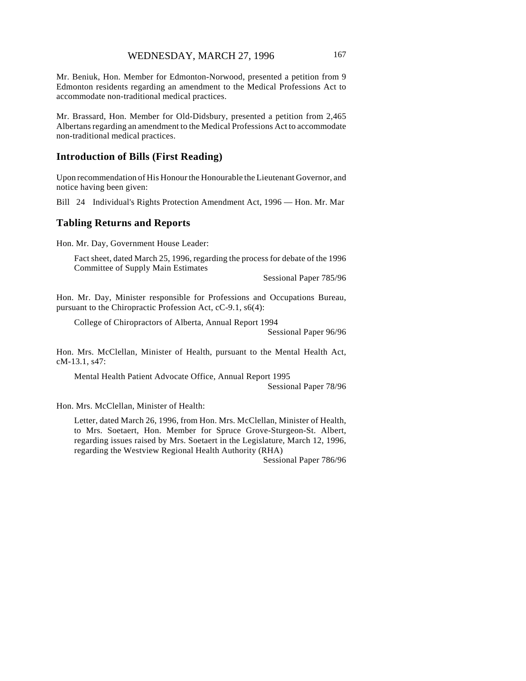Mr. Beniuk, Hon. Member for Edmonton-Norwood, presented a petition from 9 Edmonton residents regarding an amendment to the Medical Professions Act to accommodate non-traditional medical practices.

Mr. Brassard, Hon. Member for Old-Didsbury, presented a petition from 2,465 Albertans regarding an amendment to the Medical Professions Act to accommodate non-traditional medical practices.

### **Introduction of Bills (First Reading)**

Upon recommendation of His Honour the Honourable the Lieutenant Governor, and notice having been given:

Bill 24 Individual's Rights Protection Amendment Act, 1996 — Hon. Mr. Mar

# **Tabling Returns and Reports**

Hon. Mr. Day, Government House Leader:

Fact sheet, dated March 25, 1996, regarding the process for debate of the 1996 Committee of Supply Main Estimates

Sessional Paper 785/96

Hon. Mr. Day, Minister responsible for Professions and Occupations Bureau, pursuant to the Chiropractic Profession Act, cC-9.1, s6(4):

College of Chiropractors of Alberta, Annual Report 1994

Sessional Paper 96/96

Hon. Mrs. McClellan, Minister of Health, pursuant to the Mental Health Act, cM-13.1, s47:

Mental Health Patient Advocate Office, Annual Report 1995 Sessional Paper 78/96

Hon. Mrs. McClellan, Minister of Health:

Letter, dated March 26, 1996, from Hon. Mrs. McClellan, Minister of Health, to Mrs. Soetaert, Hon. Member for Spruce Grove-Sturgeon-St. Albert, regarding issues raised by Mrs. Soetaert in the Legislature, March 12, 1996, regarding the Westview Regional Health Authority (RHA)

Sessional Paper 786/96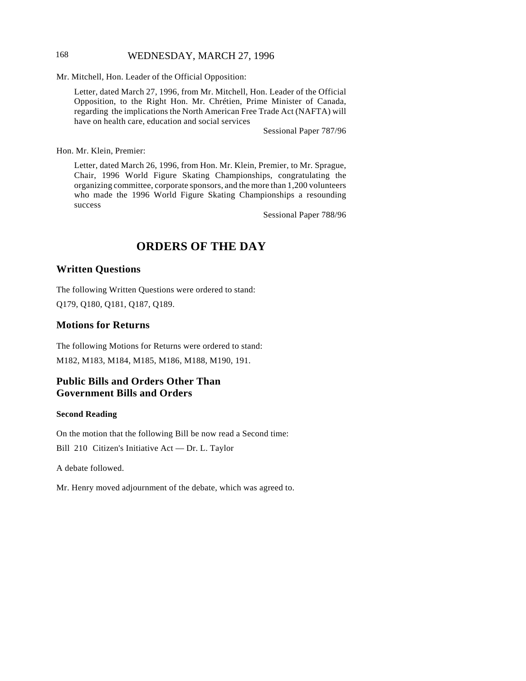# 168 WEDNESDAY, MARCH 27, 1996

Mr. Mitchell, Hon. Leader of the Official Opposition:

Letter, dated March 27, 1996, from Mr. Mitchell, Hon. Leader of the Official Opposition, to the Right Hon. Mr. Chrétien, Prime Minister of Canada, regarding the implications the North American Free Trade Act (NAFTA) will have on health care, education and social services

Sessional Paper 787/96

Hon. Mr. Klein, Premier:

Letter, dated March 26, 1996, from Hon. Mr. Klein, Premier, to Mr. Sprague, Chair, 1996 World Figure Skating Championships, congratulating the organizing committee, corporate sponsors, and the more than 1,200 volunteers who made the 1996 World Figure Skating Championships a resounding success

Sessional Paper 788/96

# **ORDERS OF THE DAY**

### **Written Questions**

The following Written Questions were ordered to stand: Q179, Q180, Q181, Q187, Q189.

### **Motions for Returns**

The following Motions for Returns were ordered to stand: M182, M183, M184, M185, M186, M188, M190, 191.

# **Public Bills and Orders Other Than Government Bills and Orders**

#### **Second Reading**

On the motion that the following Bill be now read a Second time: Bill 210 Citizen's Initiative Act — Dr. L. Taylor

A debate followed.

Mr. Henry moved adjournment of the debate, which was agreed to.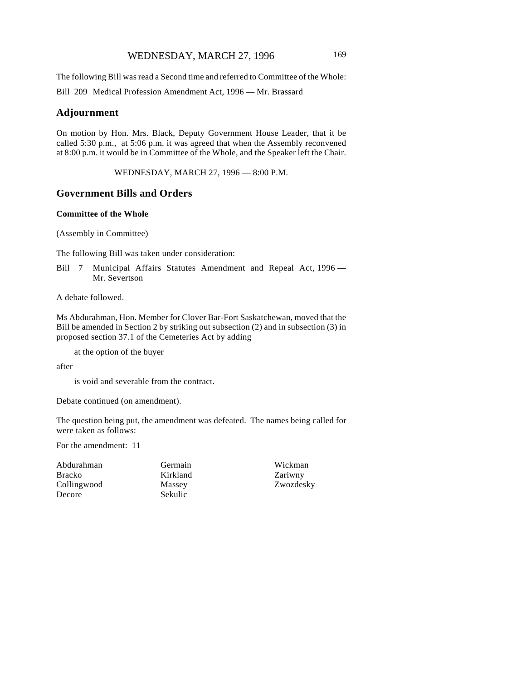# WEDNESDAY, MARCH 27, 1996 169

The following Bill was read a Second time and referred to Committee of the Whole: Bill 209 Medical Profession Amendment Act, 1996 — Mr. Brassard

### **Adjournment**

On motion by Hon. Mrs. Black, Deputy Government House Leader, that it be called 5:30 p.m., at 5:06 p.m. it was agreed that when the Assembly reconvened at 8:00 p.m. it would be in Committee of the Whole, and the Speaker left the Chair.

WEDNESDAY, MARCH 27, 1996 — 8:00 P.M.

### **Government Bills and Orders**

### **Committee of the Whole**

(Assembly in Committee)

The following Bill was taken under consideration:

Bill 7 Municipal Affairs Statutes Amendment and Repeal Act, 1996 -Mr. Severtson

A debate followed.

Ms Abdurahman, Hon. Member for Clover Bar-Fort Saskatchewan, moved that the Bill be amended in Section 2 by striking out subsection (2) and in subsection (3) in proposed section 37.1 of the Cemeteries Act by adding

at the option of the buyer

after

is void and severable from the contract.

Debate continued (on amendment).

The question being put, the amendment was defeated. The names being called for were taken as follows:

For the amendment: 11

Abdurahman Bracko Collingwood Decore

Germain Kirkland Massey Sekulic

Wickman Zariwny Zwozdesky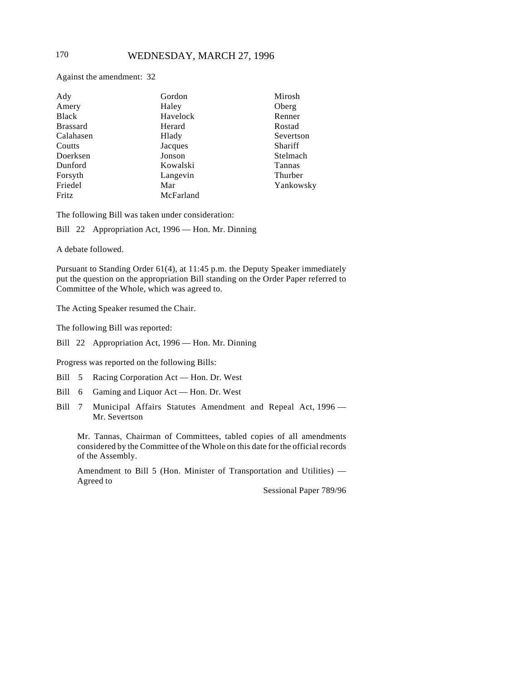Against the amendment: 32

| Ady             | Gordon    | Mirosh    |
|-----------------|-----------|-----------|
| Amery           | Haley     | Oberg     |
| <b>Black</b>    | Havelock  | Renner    |
| <b>Brassard</b> | Herard    | Rostad    |
| Calahasen       | Hlady     | Severtson |
| Coutts          | Jacques   | Shariff   |
| Doerksen        | Jonson    | Stelmach  |
| Dunford         | Kowalski  | Tannas    |
| Forsyth         | Langevin  | Thurber   |
| Friedel         | Mar       | Yankowsky |
| Fritz           | McFarland |           |

The following Bill was taken under consideration:

Bill 22 Appropriation Act, 1996 — Hon. Mr. Dinning

A debate followed.

Pursuant to Standing Order 61(4), at 11:45 p.m. the Deputy Speaker immediately put the question on the appropriation Bill standing on the Order Paper referred to Committee of the Whole, which was agreed to.

The Acting Speaker resumed the Chair.

The following Bill was reported:

Bill 22 Appropriation Act, 1996 — Hon. Mr. Dinning

Progress was reported on the following Bills:

- Bill 5 Racing Corporation Act Hon. Dr. West
- Bill 6 Gaming and Liquor Act Hon. Dr. West
- Bill 7 Municipal Affairs Statutes Amendment and Repeal Act, 1996 Mr. Severtson

Mr. Tannas, Chairman of Committees, tabled copies of all amendments considered by the Committee of the Whole on this date for the official records of the Assembly.

Amendment to Bill 5 (Hon. Minister of Transportation and Utilities) — Agreed to

Sessional Paper 789/96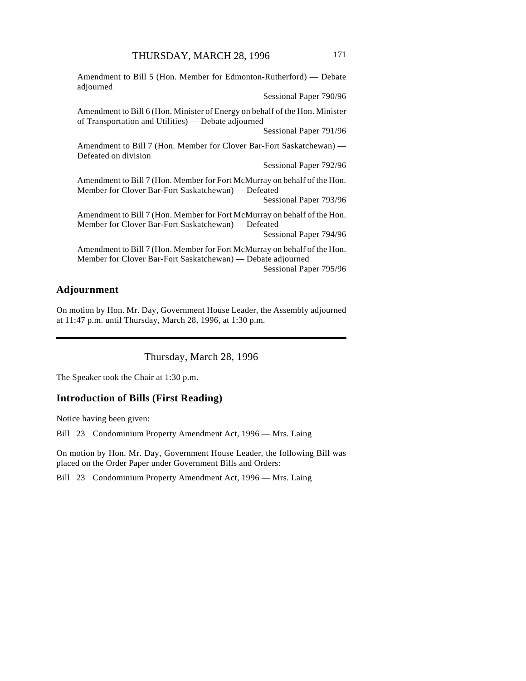Amendment to Bill 5 (Hon. Member for Edmonton-Rutherford) — Debate adjourned

Sessional Paper 790/96

Amendment to Bill 6 (Hon. Minister of Energy on behalf of the Hon. Minister of Transportation and Utilities) — Debate adjourned

Sessional Paper 791/96

Amendment to Bill 7 (Hon. Member for Clover Bar-Fort Saskatchewan) — Defeated on division

Sessional Paper 792/96

Amendment to Bill 7 (Hon. Member for Fort McMurray on behalf of the Hon. Member for Clover Bar-Fort Saskatchewan) — Defeated

Sessional Paper 793/96

Amendment to Bill 7 (Hon. Member for Fort McMurray on behalf of the Hon. Member for Clover Bar-Fort Saskatchewan) — Defeated

Sessional Paper 794/96

Amendment to Bill 7 (Hon. Member for Fort McMurray on behalf of the Hon. Member for Clover Bar-Fort Saskatchewan) — Debate adjourned Sessional Paper 795/96

# **Adjournment**

On motion by Hon. Mr. Day, Government House Leader, the Assembly adjourned at 11:47 p.m. until Thursday, March 28, 1996, at 1:30 p.m.

Thursday, March 28, 1996

The Speaker took the Chair at 1:30 p.m.

### **Introduction of Bills (First Reading)**

Notice having been given:

Bill 23 Condominium Property Amendment Act, 1996 — Mrs. Laing

On motion by Hon. Mr. Day, Government House Leader, the following Bill was placed on the Order Paper under Government Bills and Orders:

Bill 23 Condominium Property Amendment Act, 1996 — Mrs. Laing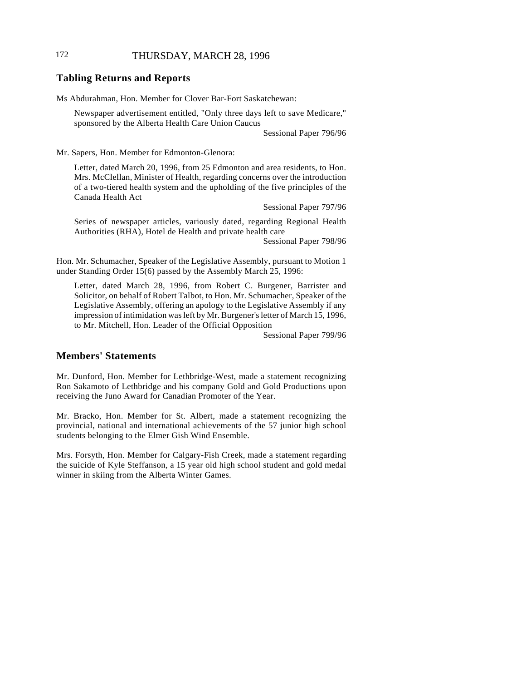# 172 THURSDAY, MARCH 28, 1996

### **Tabling Returns and Reports**

Ms Abdurahman, Hon. Member for Clover Bar-Fort Saskatchewan:

Newspaper advertisement entitled, "Only three days left to save Medicare," sponsored by the Alberta Health Care Union Caucus

Sessional Paper 796/96

Mr. Sapers, Hon. Member for Edmonton-Glenora:

Letter, dated March 20, 1996, from 25 Edmonton and area residents, to Hon. Mrs. McClellan, Minister of Health, regarding concerns over the introduction of a two-tiered health system and the upholding of the five principles of the Canada Health Act

Sessional Paper 797/96

Series of newspaper articles, variously dated, regarding Regional Health Authorities (RHA), Hotel de Health and private health care

Sessional Paper 798/96

Hon. Mr. Schumacher, Speaker of the Legislative Assembly, pursuant to Motion 1 under Standing Order 15(6) passed by the Assembly March 25, 1996:

Letter, dated March 28, 1996, from Robert C. Burgener, Barrister and Solicitor, on behalf of Robert Talbot, to Hon. Mr. Schumacher, Speaker of the Legislative Assembly, offering an apology to the Legislative Assembly if any impression of intimidation was left by Mr. Burgener's letter of March 15, 1996, to Mr. Mitchell, Hon. Leader of the Official Opposition

Sessional Paper 799/96

# **Members' Statements**

Mr. Dunford, Hon. Member for Lethbridge-West, made a statement recognizing Ron Sakamoto of Lethbridge and his company Gold and Gold Productions upon receiving the Juno Award for Canadian Promoter of the Year.

Mr. Bracko, Hon. Member for St. Albert, made a statement recognizing the provincial, national and international achievements of the 57 junior high school students belonging to the Elmer Gish Wind Ensemble.

Mrs. Forsyth, Hon. Member for Calgary-Fish Creek, made a statement regarding the suicide of Kyle Steffanson, a 15 year old high school student and gold medal winner in skiing from the Alberta Winter Games.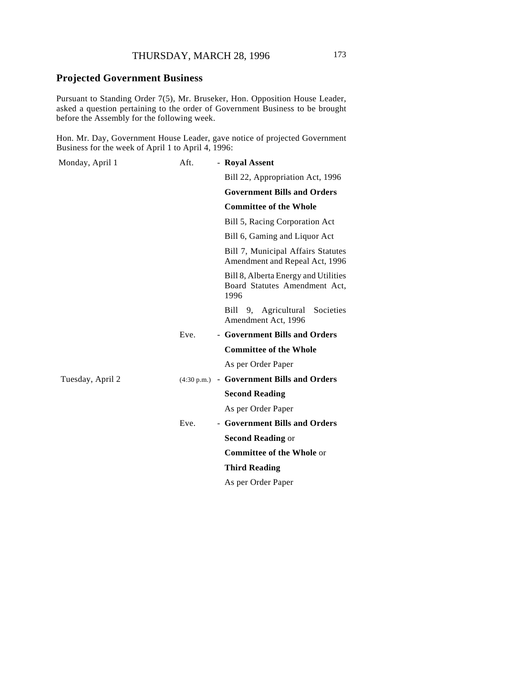# **Projected Government Business**

Pursuant to Standing Order 7(5), Mr. Bruseker, Hon. Opposition House Leader, asked a question pertaining to the order of Government Business to be brought before the Assembly for the following week.

Hon. Mr. Day, Government House Leader, gave notice of projected Government Business for the week of April 1 to April 4, 1996:

| Monday, April 1  | Aft. | - Royal Assent                                                                |
|------------------|------|-------------------------------------------------------------------------------|
|                  |      | Bill 22, Appropriation Act, 1996                                              |
|                  |      | <b>Government Bills and Orders</b>                                            |
|                  |      | <b>Committee of the Whole</b>                                                 |
|                  |      | Bill 5, Racing Corporation Act                                                |
|                  |      | Bill 6, Gaming and Liquor Act                                                 |
|                  |      | Bill 7, Municipal Affairs Statutes<br>Amendment and Repeal Act, 1996          |
|                  |      | Bill 8, Alberta Energy and Utilities<br>Board Statutes Amendment Act,<br>1996 |
|                  |      | Bill 9, Agricultural Societies<br>Amendment Act, 1996                         |
|                  | Eve. | - Government Bills and Orders                                                 |
|                  |      | <b>Committee of the Whole</b>                                                 |
|                  |      | As per Order Paper                                                            |
| Tuesday, April 2 |      | (4:30 p.m.) - Government Bills and Orders                                     |
|                  |      | <b>Second Reading</b>                                                         |
|                  |      | As per Order Paper                                                            |
|                  | Eve. | - Government Bills and Orders                                                 |
|                  |      | <b>Second Reading or</b>                                                      |
|                  |      | <b>Committee of the Whole or</b>                                              |
|                  |      | <b>Third Reading</b>                                                          |
|                  |      | As per Order Paper                                                            |
|                  |      |                                                                               |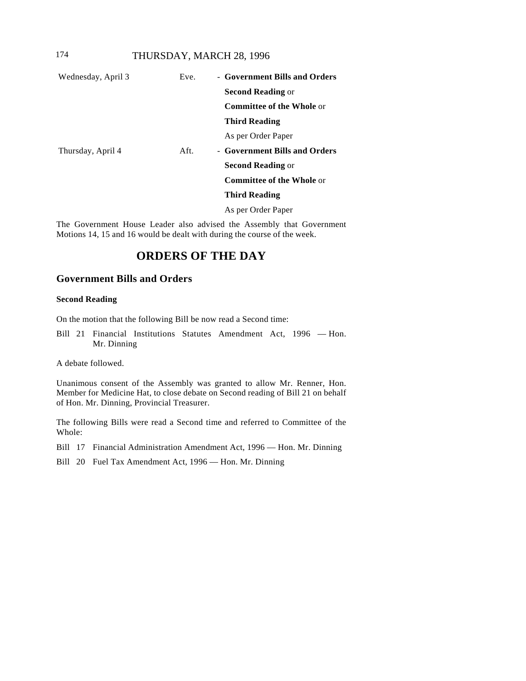# 174 THURSDAY, MARCH 28, 1996

| Wednesday, April 3 | Eve. | - Government Bills and Orders    |
|--------------------|------|----------------------------------|
|                    |      | <b>Second Reading or</b>         |
|                    |      | <b>Committee of the Whole or</b> |
|                    |      | <b>Third Reading</b>             |
|                    |      | As per Order Paper               |
| Thursday, April 4  | Aft. | - Government Bills and Orders    |
|                    |      | <b>Second Reading or</b>         |
|                    |      | <b>Committee of the Whole or</b> |
|                    |      | <b>Third Reading</b>             |
|                    |      | As per Order Paper               |

The Government House Leader also advised the Assembly that Government Motions 14, 15 and 16 would be dealt with during the course of the week.

# **ORDERS OF THE DAY**

# **Government Bills and Orders**

# **Second Reading**

On the motion that the following Bill be now read a Second time:

Bill 21 Financial Institutions Statutes Amendment Act, 1996 — Hon. Mr. Dinning

A debate followed.

Unanimous consent of the Assembly was granted to allow Mr. Renner, Hon. Member for Medicine Hat, to close debate on Second reading of Bill 21 on behalf of Hon. Mr. Dinning, Provincial Treasurer.

The following Bills were read a Second time and referred to Committee of the Whole:

Bill 17 Financial Administration Amendment Act, 1996 — Hon. Mr. Dinning

Bill 20 Fuel Tax Amendment Act, 1996 — Hon. Mr. Dinning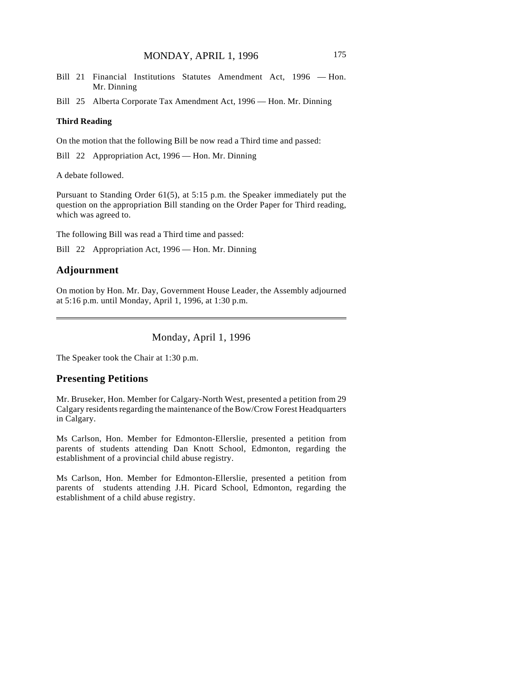Bill 21 Financial Institutions Statutes Amendment Act, 1996 — Hon. Mr. Dinning

Bill 25 Alberta Corporate Tax Amendment Act, 1996 — Hon. Mr. Dinning

#### **Third Reading**

On the motion that the following Bill be now read a Third time and passed:

Bill 22 Appropriation Act, 1996 — Hon. Mr. Dinning

A debate followed.

Pursuant to Standing Order 61(5), at 5:15 p.m. the Speaker immediately put the question on the appropriation Bill standing on the Order Paper for Third reading, which was agreed to.

The following Bill was read a Third time and passed:

Bill 22 Appropriation Act, 1996 — Hon. Mr. Dinning

### **Adjournment**

On motion by Hon. Mr. Day, Government House Leader, the Assembly adjourned at 5:16 p.m. until Monday, April 1, 1996, at 1:30 p.m.

Monday, April 1, 1996

The Speaker took the Chair at 1:30 p.m.

#### **Presenting Petitions**

Mr. Bruseker, Hon. Member for Calgary-North West, presented a petition from 29 Calgary residents regarding the maintenance of the Bow/Crow Forest Headquarters in Calgary.

Ms Carlson, Hon. Member for Edmonton-Ellerslie, presented a petition from parents of students attending Dan Knott School, Edmonton, regarding the establishment of a provincial child abuse registry.

Ms Carlson, Hon. Member for Edmonton-Ellerslie, presented a petition from parents of students attending J.H. Picard School, Edmonton, regarding the establishment of a child abuse registry.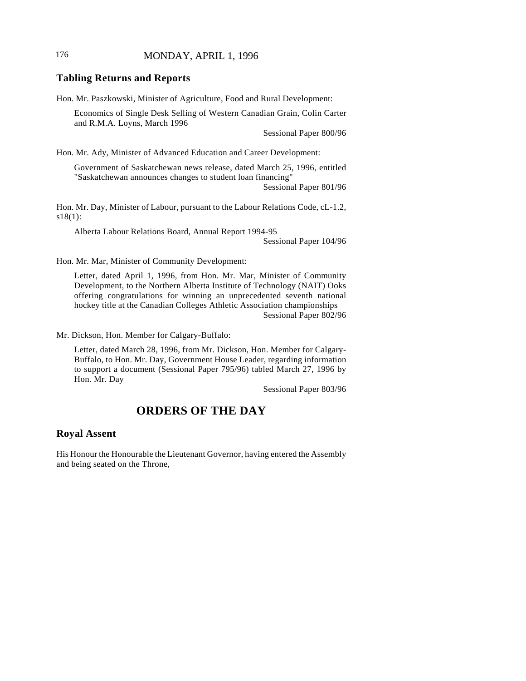# 176 MONDAY, APRIL 1, 1996

### **Tabling Returns and Reports**

Hon. Mr. Paszkowski, Minister of Agriculture, Food and Rural Development:

Economics of Single Desk Selling of Western Canadian Grain, Colin Carter and R.M.A. Loyns, March 1996

Sessional Paper 800/96

Hon. Mr. Ady, Minister of Advanced Education and Career Development:

Government of Saskatchewan news release, dated March 25, 1996, entitled "Saskatchewan announces changes to student loan financing"

Sessional Paper 801/96

Hon. Mr. Day, Minister of Labour, pursuant to the Labour Relations Code, cL-1.2, s18(1):

Alberta Labour Relations Board, Annual Report 1994-95

Sessional Paper 104/96

Hon. Mr. Mar, Minister of Community Development:

Letter, dated April 1, 1996, from Hon. Mr. Mar, Minister of Community Development, to the Northern Alberta Institute of Technology (NAIT) Ooks offering congratulations for winning an unprecedented seventh national hockey title at the Canadian Colleges Athletic Association championships Sessional Paper 802/96

Mr. Dickson, Hon. Member for Calgary-Buffalo:

Letter, dated March 28, 1996, from Mr. Dickson, Hon. Member for Calgary-Buffalo, to Hon. Mr. Day, Government House Leader, regarding information to support a document (Sessional Paper 795/96) tabled March 27, 1996 by Hon. Mr. Day

Sessional Paper 803/96

# **ORDERS OF THE DAY**

### **Royal Assent**

His Honour the Honourable the Lieutenant Governor, having entered the Assembly and being seated on the Throne,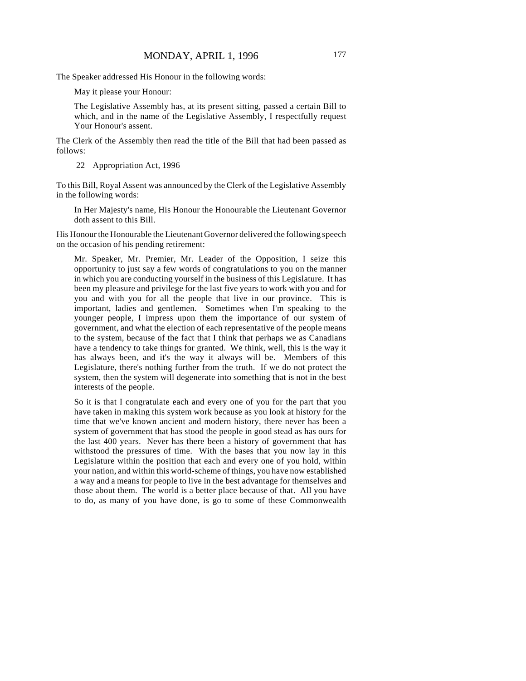The Speaker addressed His Honour in the following words:

May it please your Honour:

The Legislative Assembly has, at its present sitting, passed a certain Bill to which, and in the name of the Legislative Assembly, I respectfully request Your Honour's assent.

The Clerk of the Assembly then read the title of the Bill that had been passed as follows:

22 Appropriation Act, 1996

To this Bill, Royal Assent was announced by the Clerk of the Legislative Assembly in the following words:

In Her Majesty's name, His Honour the Honourable the Lieutenant Governor doth assent to this Bill.

His Honour the Honourable the Lieutenant Governor delivered the following speech on the occasion of his pending retirement:

Mr. Speaker, Mr. Premier, Mr. Leader of the Opposition, I seize this opportunity to just say a few words of congratulations to you on the manner in which you are conducting yourself in the business of this Legislature. It has been my pleasure and privilege for the last five years to work with you and for you and with you for all the people that live in our province. This is important, ladies and gentlemen. Sometimes when I'm speaking to the younger people, I impress upon them the importance of our system of government, and what the election of each representative of the people means to the system, because of the fact that I think that perhaps we as Canadians have a tendency to take things for granted. We think, well, this is the way it has always been, and it's the way it always will be. Members of this Legislature, there's nothing further from the truth. If we do not protect the system, then the system will degenerate into something that is not in the best interests of the people.

So it is that I congratulate each and every one of you for the part that you have taken in making this system work because as you look at history for the time that we've known ancient and modern history, there never has been a system of government that has stood the people in good stead as has ours for the last 400 years. Never has there been a history of government that has withstood the pressures of time. With the bases that you now lay in this Legislature within the position that each and every one of you hold, within your nation, and within this world-scheme of things, you have now established a way and a means for people to live in the best advantage for themselves and those about them. The world is a better place because of that. All you have to do, as many of you have done, is go to some of these Commonwealth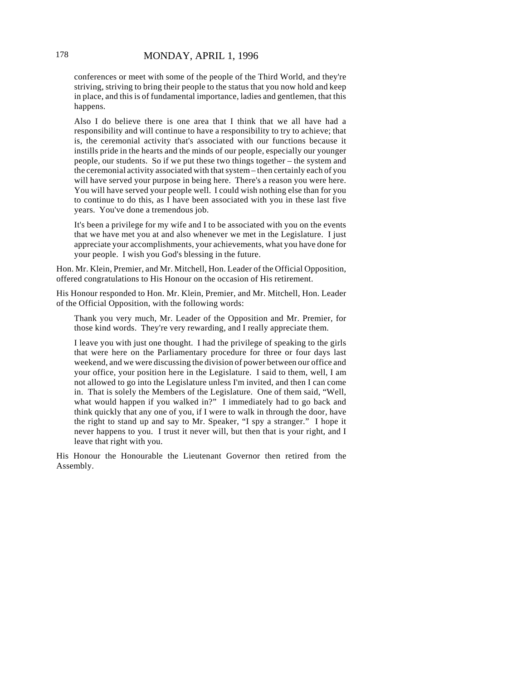conferences or meet with some of the people of the Third World, and they're striving, striving to bring their people to the status that you now hold and keep in place, and this is of fundamental importance, ladies and gentlemen, that this happens.

Also I do believe there is one area that I think that we all have had a responsibility and will continue to have a responsibility to try to achieve; that is, the ceremonial activity that's associated with our functions because it instills pride in the hearts and the minds of our people, especially our younger people, our students. So if we put these two things together – the system and the ceremonial activity associated with that system – then certainly each of you will have served your purpose in being here. There's a reason you were here. You will have served your people well. I could wish nothing else than for you to continue to do this, as I have been associated with you in these last five years. You've done a tremendous job.

It's been a privilege for my wife and I to be associated with you on the events that we have met you at and also whenever we met in the Legislature. I just appreciate your accomplishments, your achievements, what you have done for your people. I wish you God's blessing in the future.

Hon. Mr. Klein, Premier, and Mr. Mitchell, Hon. Leader of the Official Opposition, offered congratulations to His Honour on the occasion of His retirement.

His Honour responded to Hon. Mr. Klein, Premier, and Mr. Mitchell, Hon. Leader of the Official Opposition, with the following words:

Thank you very much, Mr. Leader of the Opposition and Mr. Premier, for those kind words. They're very rewarding, and I really appreciate them.

I leave you with just one thought. I had the privilege of speaking to the girls that were here on the Parliamentary procedure for three or four days last weekend, and we were discussing the division of power between our office and your office, your position here in the Legislature. I said to them, well, I am not allowed to go into the Legislature unless I'm invited, and then I can come in. That is solely the Members of the Legislature. One of them said, "Well, what would happen if you walked in?" I immediately had to go back and think quickly that any one of you, if I were to walk in through the door, have the right to stand up and say to Mr. Speaker, "I spy a stranger." I hope it never happens to you. I trust it never will, but then that is your right, and I leave that right with you.

His Honour the Honourable the Lieutenant Governor then retired from the Assembly.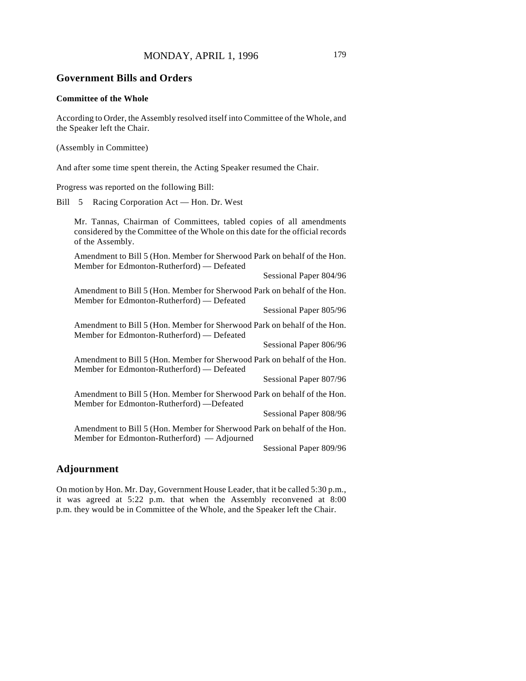#### **Government Bills and Orders**

#### **Committee of the Whole**

According to Order, the Assembly resolved itself into Committee of the Whole, and the Speaker left the Chair.

(Assembly in Committee)

And after some time spent therein, the Acting Speaker resumed the Chair.

Progress was reported on the following Bill:

Bill 5 Racing Corporation Act — Hon. Dr. West

Mr. Tannas, Chairman of Committees, tabled copies of all amendments considered by the Committee of the Whole on this date for the official records of the Assembly.

Amendment to Bill 5 (Hon. Member for Sherwood Park on behalf of the Hon. Member for Edmonton-Rutherford) — Defeated

Sessional Paper 804/96

Amendment to Bill 5 (Hon. Member for Sherwood Park on behalf of the Hon. Member for Edmonton-Rutherford) — Defeated

Sessional Paper 805/96

Amendment to Bill 5 (Hon. Member for Sherwood Park on behalf of the Hon. Member for Edmonton-Rutherford) — Defeated

Sessional Paper 806/96

Amendment to Bill 5 (Hon. Member for Sherwood Park on behalf of the Hon. Member for Edmonton-Rutherford) — Defeated

Sessional Paper 807/96

Amendment to Bill 5 (Hon. Member for Sherwood Park on behalf of the Hon. Member for Edmonton-Rutherford) —Defeated

Sessional Paper 808/96

Amendment to Bill 5 (Hon. Member for Sherwood Park on behalf of the Hon. Member for Edmonton-Rutherford) — Adjourned

Sessional Paper 809/96

## **Adjournment**

On motion by Hon. Mr. Day, Government House Leader, that it be called 5:30 p.m., it was agreed at 5:22 p.m. that when the Assembly reconvened at 8:00 p.m. they would be in Committee of the Whole, and the Speaker left the Chair.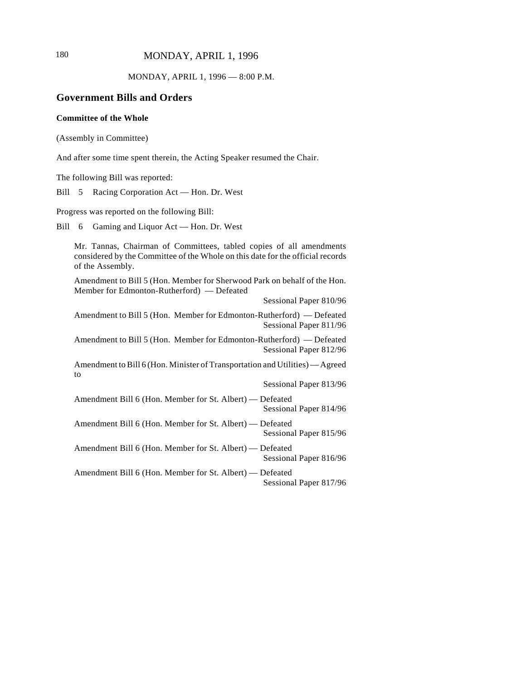180 MONDAY, APRIL 1, 1996

MONDAY, APRIL 1, 1996 — 8:00 P.M.

## **Government Bills and Orders**

#### **Committee of the Whole**

(Assembly in Committee)

And after some time spent therein, the Acting Speaker resumed the Chair.

The following Bill was reported:

Bill 5 Racing Corporation Act — Hon. Dr. West

Progress was reported on the following Bill:

Bill 6 Gaming and Liquor Act — Hon. Dr. West

Mr. Tannas, Chairman of Committees, tabled copies of all amendments considered by the Committee of the Whole on this date for the official records of the Assembly.

Amendment to Bill 5 (Hon. Member for Sherwood Park on behalf of the Hon. Member for Edmonton-Rutherford) — Defeated

Sessional Paper 810/96

Amendment to Bill 5 (Hon. Member for Edmonton-Rutherford) — Defeated Sessional Paper 811/96

Amendment to Bill 5 (Hon. Member for Edmonton-Rutherford) — Defeated Sessional Paper 812/96

Amendment to Bill 6 (Hon. Minister of Transportation and Utilities) — Agreed to

Sessional Paper 813/96

Amendment Bill 6 (Hon. Member for St. Albert) — Defeated Sessional Paper 814/96

Amendment Bill 6 (Hon. Member for St. Albert) — Defeated Sessional Paper 815/96

Amendment Bill 6 (Hon. Member for St. Albert) — Defeated Sessional Paper 816/96

Amendment Bill 6 (Hon. Member for St. Albert) — Defeated Sessional Paper 817/96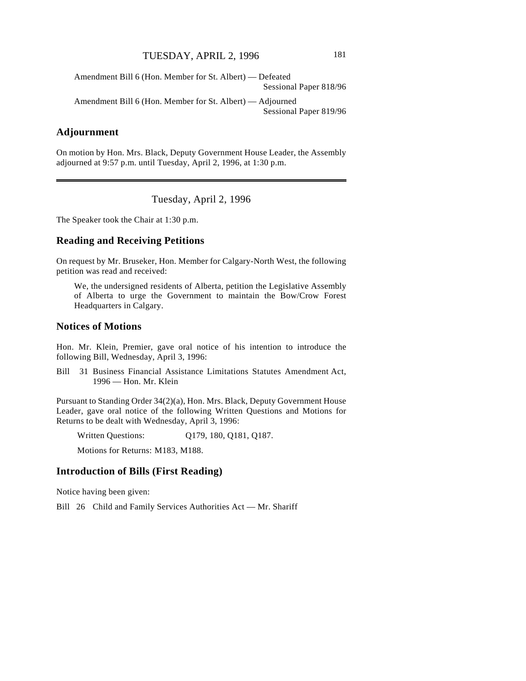Amendment Bill 6 (Hon. Member for St. Albert) — Defeated Sessional Paper 818/96

Amendment Bill 6 (Hon. Member for St. Albert) — Adjourned Sessional Paper 819/96

# **Adjournment**

 $\overline{\phantom{a}}$ 

On motion by Hon. Mrs. Black, Deputy Government House Leader, the Assembly adjourned at 9:57 p.m. until Tuesday, April 2, 1996, at 1:30 p.m.

Tuesday, April 2, 1996

The Speaker took the Chair at 1:30 p.m.

## **Reading and Receiving Petitions**

On request by Mr. Bruseker, Hon. Member for Calgary-North West, the following petition was read and received:

We, the undersigned residents of Alberta, petition the Legislative Assembly of Alberta to urge the Government to maintain the Bow/Crow Forest Headquarters in Calgary.

#### **Notices of Motions**

Hon. Mr. Klein, Premier, gave oral notice of his intention to introduce the following Bill, Wednesday, April 3, 1996:

Bill 31 Business Financial Assistance Limitations Statutes Amendment Act, 1996 — Hon. Mr. Klein

Pursuant to Standing Order 34(2)(a), Hon. Mrs. Black, Deputy Government House Leader, gave oral notice of the following Written Questions and Motions for Returns to be dealt with Wednesday, April 3, 1996:

Written Questions: Q179, 180, Q181, Q187.

Motions for Returns: M183, M188.

#### **Introduction of Bills (First Reading)**

Notice having been given:

Bill 26 Child and Family Services Authorities Act — Mr. Shariff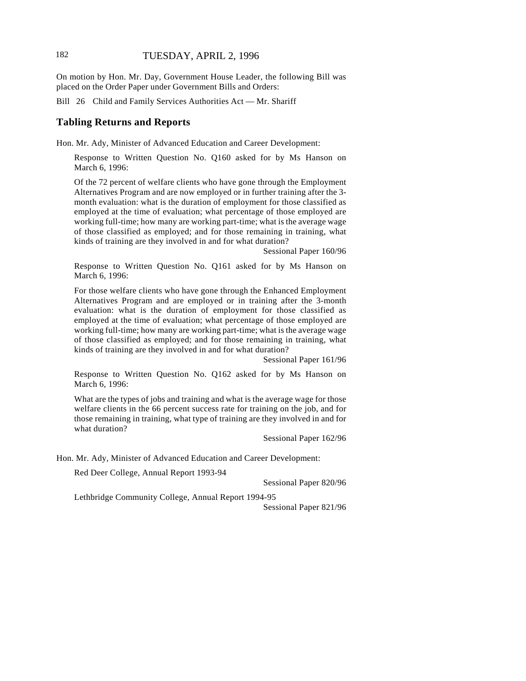On motion by Hon. Mr. Day, Government House Leader, the following Bill was placed on the Order Paper under Government Bills and Orders:

Bill 26 Child and Family Services Authorities Act — Mr. Shariff

#### **Tabling Returns and Reports**

Hon. Mr. Ady, Minister of Advanced Education and Career Development:

Response to Written Question No. Q160 asked for by Ms Hanson on March 6, 1996:

Of the 72 percent of welfare clients who have gone through the Employment Alternatives Program and are now employed or in further training after the 3 month evaluation: what is the duration of employment for those classified as employed at the time of evaluation; what percentage of those employed are working full-time; how many are working part-time; what is the average wage of those classified as employed; and for those remaining in training, what kinds of training are they involved in and for what duration?

Sessional Paper 160/96

Response to Written Question No. Q161 asked for by Ms Hanson on March 6, 1996:

For those welfare clients who have gone through the Enhanced Employment Alternatives Program and are employed or in training after the 3-month evaluation: what is the duration of employment for those classified as employed at the time of evaluation; what percentage of those employed are working full-time; how many are working part-time; what is the average wage of those classified as employed; and for those remaining in training, what kinds of training are they involved in and for what duration?

Sessional Paper 161/96

Response to Written Question No. Q162 asked for by Ms Hanson on March 6, 1996:

What are the types of jobs and training and what is the average wage for those welfare clients in the 66 percent success rate for training on the job, and for those remaining in training, what type of training are they involved in and for what duration?

Sessional Paper 162/96

Hon. Mr. Ady, Minister of Advanced Education and Career Development:

Red Deer College, Annual Report 1993-94

Sessional Paper 820/96

Lethbridge Community College, Annual Report 1994-95

Sessional Paper 821/96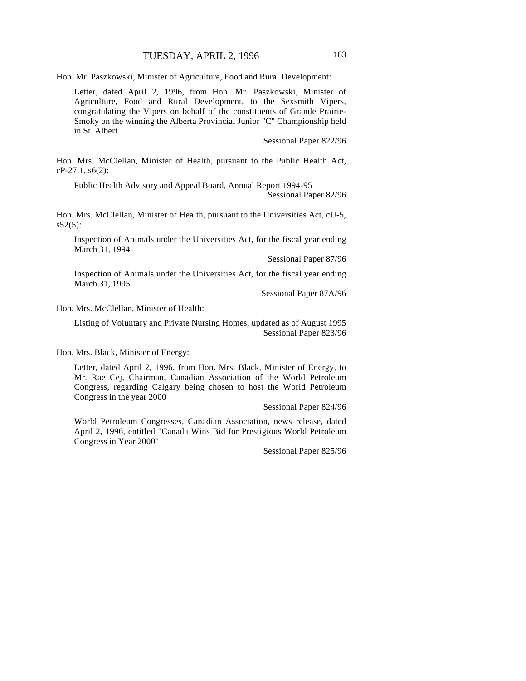Hon. Mr. Paszkowski, Minister of Agriculture, Food and Rural Development:

Letter, dated April 2, 1996, from Hon. Mr. Paszkowski, Minister of Agriculture, Food and Rural Development, to the Sexsmith Vipers, congratulating the Vipers on behalf of the constituents of Grande Prairie-Smoky on the winning the Alberta Provincial Junior "C" Championship held in St. Albert

Sessional Paper 822/96

Hon. Mrs. McClellan, Minister of Health, pursuant to the Public Health Act, cP-27.1, s6(2):

Public Health Advisory and Appeal Board, Annual Report 1994-95

Sessional Paper 82/96

Hon. Mrs. McClellan, Minister of Health, pursuant to the Universities Act, cU-5,  $s52(5)$ :

Inspection of Animals under the Universities Act, for the fiscal year ending March 31, 1994

Sessional Paper 87/96

Inspection of Animals under the Universities Act, for the fiscal year ending March 31, 1995

Sessional Paper 87A/96

Hon. Mrs. McClellan, Minister of Health:

Listing of Voluntary and Private Nursing Homes, updated as of August 1995 Sessional Paper 823/96

Hon. Mrs. Black, Minister of Energy:

Letter, dated April 2, 1996, from Hon. Mrs. Black, Minister of Energy, to Mr. Rae Cej, Chairman, Canadian Association of the World Petroleum Congress, regarding Calgary being chosen to host the World Petroleum Congress in the year 2000

Sessional Paper 824/96

World Petroleum Congresses, Canadian Association, news release, dated April 2, 1996, entitled "Canada Wins Bid for Prestigious World Petroleum Congress in Year 2000"

Sessional Paper 825/96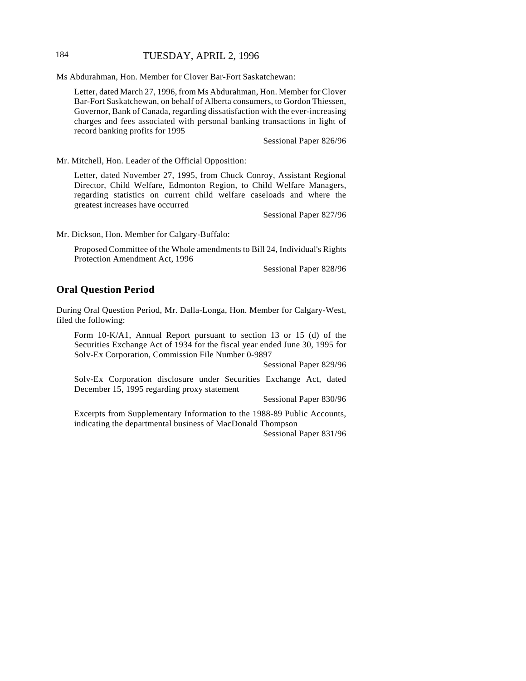## 184 TUESDAY, APRIL 2, 1996

Ms Abdurahman, Hon. Member for Clover Bar-Fort Saskatchewan:

Letter, dated March 27, 1996, from Ms Abdurahman, Hon. Member for Clover Bar-Fort Saskatchewan, on behalf of Alberta consumers, to Gordon Thiessen, Governor, Bank of Canada, regarding dissatisfaction with the ever-increasing charges and fees associated with personal banking transactions in light of record banking profits for 1995

Sessional Paper 826/96

Mr. Mitchell, Hon. Leader of the Official Opposition:

Letter, dated November 27, 1995, from Chuck Conroy, Assistant Regional Director, Child Welfare, Edmonton Region, to Child Welfare Managers, regarding statistics on current child welfare caseloads and where the greatest increases have occurred

Sessional Paper 827/96

Mr. Dickson, Hon. Member for Calgary-Buffalo:

Proposed Committee of the Whole amendments to Bill 24, Individual's Rights Protection Amendment Act, 1996

Sessional Paper 828/96

#### **Oral Question Period**

During Oral Question Period, Mr. Dalla-Longa, Hon. Member for Calgary-West, filed the following:

Form 10-K/A1, Annual Report pursuant to section 13 or 15 (d) of the Securities Exchange Act of 1934 for the fiscal year ended June 30, 1995 for Solv-Ex Corporation, Commission File Number 0-9897

Sessional Paper 829/96

Solv-Ex Corporation disclosure under Securities Exchange Act, dated December 15, 1995 regarding proxy statement

Sessional Paper 830/96

Excerpts from Supplementary Information to the 1988-89 Public Accounts, indicating the departmental business of MacDonald Thompson

Sessional Paper 831/96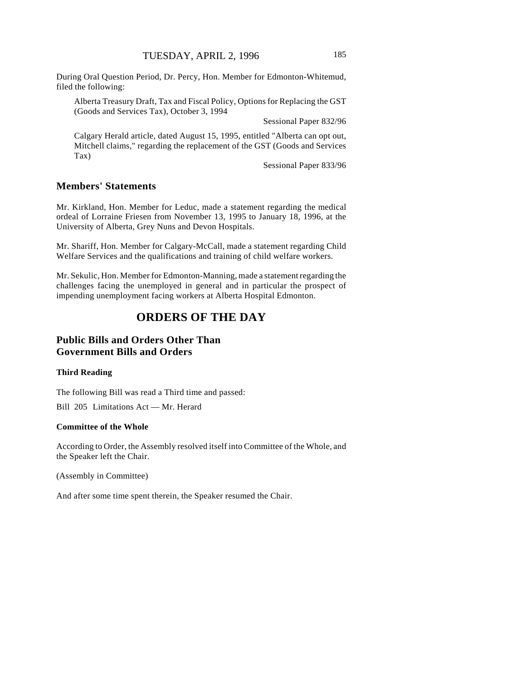During Oral Question Period, Dr. Percy, Hon. Member for Edmonton-Whitemud, filed the following:

Alberta Treasury Draft, Tax and Fiscal Policy, Options for Replacing the GST (Goods and Services Tax), October 3, 1994

Sessional Paper 832/96

Calgary Herald article, dated August 15, 1995, entitled "Alberta can opt out, Mitchell claims," regarding the replacement of the GST (Goods and Services Tax)

Sessional Paper 833/96

# **Members' Statements**

Mr. Kirkland, Hon. Member for Leduc, made a statement regarding the medical ordeal of Lorraine Friesen from November 13, 1995 to January 18, 1996, at the University of Alberta, Grey Nuns and Devon Hospitals.

Mr. Shariff, Hon. Member for Calgary-McCall, made a statement regarding Child Welfare Services and the qualifications and training of child welfare workers.

Mr. Sekulic, Hon. Member for Edmonton-Manning, made a statement regarding the challenges facing the unemployed in general and in particular the prospect of impending unemployment facing workers at Alberta Hospital Edmonton.

# **ORDERS OF THE DAY**

# **Public Bills and Orders Other Than Government Bills and Orders**

#### **Third Reading**

The following Bill was read a Third time and passed:

Bill 205 Limitations Act — Mr. Herard

#### **Committee of the Whole**

According to Order, the Assembly resolved itself into Committee of the Whole, and the Speaker left the Chair.

(Assembly in Committee)

And after some time spent therein, the Speaker resumed the Chair.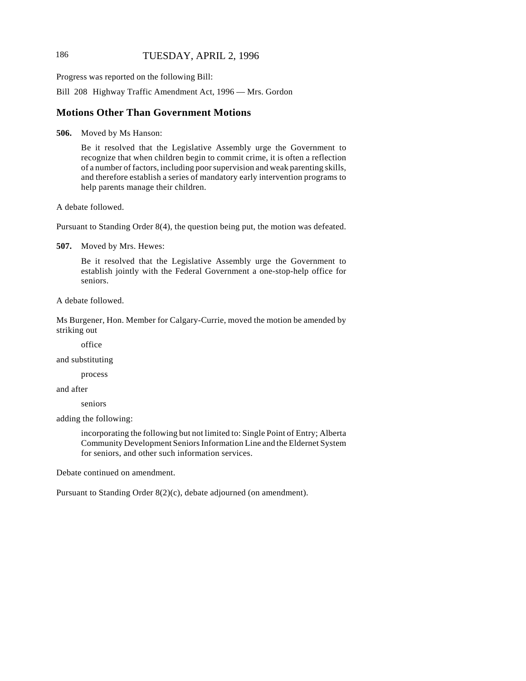## 186 TUESDAY, APRIL 2, 1996

Progress was reported on the following Bill:

Bill 208 Highway Traffic Amendment Act, 1996 — Mrs. Gordon

### **Motions Other Than Government Motions**

**506.** Moved by Ms Hanson:

Be it resolved that the Legislative Assembly urge the Government to recognize that when children begin to commit crime, it is often a reflection of a number of factors, including poor supervision and weak parenting skills, and therefore establish a series of mandatory early intervention programs to help parents manage their children.

A debate followed.

Pursuant to Standing Order 8(4), the question being put, the motion was defeated.

**507.** Moved by Mrs. Hewes:

Be it resolved that the Legislative Assembly urge the Government to establish jointly with the Federal Government a one-stop-help office for seniors.

A debate followed.

Ms Burgener, Hon. Member for Calgary-Currie, moved the motion be amended by striking out

office

and substituting

process

and after

seniors

adding the following:

incorporating the following but not limited to: Single Point of Entry; Alberta Community Development Seniors Information Line and the Eldernet System for seniors, and other such information services.

Debate continued on amendment.

Pursuant to Standing Order 8(2)(c), debate adjourned (on amendment).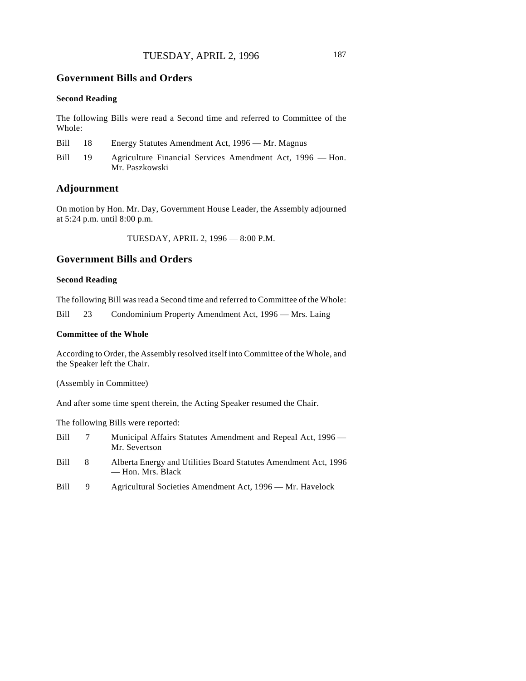#### **Second Reading**

The following Bills were read a Second time and referred to Committee of the Whole:

| Bill | 18 | Energy Statutes Amendment Act, 1996 — Mr. Magnus                            |
|------|----|-----------------------------------------------------------------------------|
| Bill | 19 | Agriculture Financial Services Amendment Act, 1996 — Hon.<br>Mr. Paszkowski |

## **Adjournment**

On motion by Hon. Mr. Day, Government House Leader, the Assembly adjourned at 5:24 p.m. until 8:00 p.m.

TUESDAY, APRIL 2, 1996 — 8:00 P.M.

## **Government Bills and Orders**

#### **Second Reading**

The following Bill was read a Second time and referred to Committee of the Whole:

Bill 23 Condominium Property Amendment Act, 1996 — Mrs. Laing

#### **Committee of the Whole**

According to Order, the Assembly resolved itself into Committee of the Whole, and the Speaker left the Chair.

(Assembly in Committee)

And after some time spent therein, the Acting Speaker resumed the Chair.

The following Bills were reported:

| Bill | $\tau$ | Municipal Affairs Statutes Amendment and Repeal Act, 1996 —<br>Mr. Severtson         |
|------|--------|--------------------------------------------------------------------------------------|
| Bill | 8.     | Alberta Energy and Utilities Board Statutes Amendment Act, 1996<br>— Hon. Mrs. Black |
| Bill | 9.     | Agricultural Societies Amendment Act, 1996 — Mr. Havelock                            |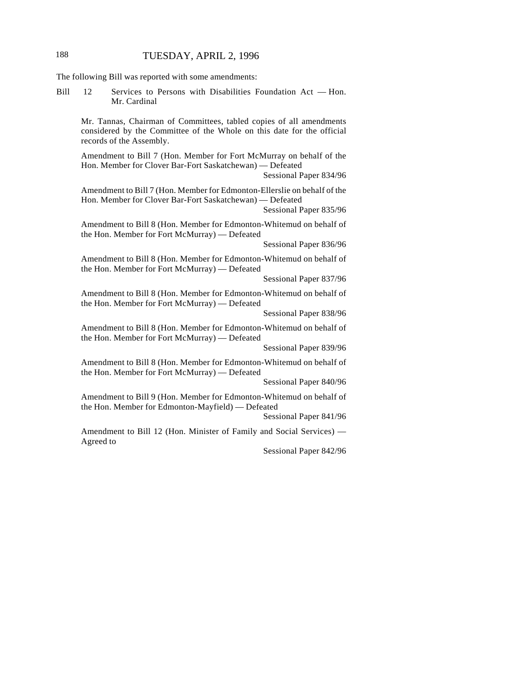The following Bill was reported with some amendments:

Bill 12 Services to Persons with Disabilities Foundation Act — Hon. Mr. Cardinal

Mr. Tannas, Chairman of Committees, tabled copies of all amendments considered by the Committee of the Whole on this date for the official records of the Assembly.

Amendment to Bill 7 (Hon. Member for Fort McMurray on behalf of the Hon. Member for Clover Bar-Fort Saskatchewan) — Defeated

Sessional Paper 834/96

Amendment to Bill 7 (Hon. Member for Edmonton-Ellerslie on behalf of the Hon. Member for Clover Bar-Fort Saskatchewan) — Defeated

Sessional Paper 835/96

Amendment to Bill 8 (Hon. Member for Edmonton-Whitemud on behalf of the Hon. Member for Fort McMurray) — Defeated

Sessional Paper 836/96

Amendment to Bill 8 (Hon. Member for Edmonton-Whitemud on behalf of the Hon. Member for Fort McMurray) — Defeated

Sessional Paper 837/96

Amendment to Bill 8 (Hon. Member for Edmonton-Whitemud on behalf of the Hon. Member for Fort McMurray) — Defeated

Sessional Paper 838/96

Amendment to Bill 8 (Hon. Member for Edmonton-Whitemud on behalf of the Hon. Member for Fort McMurray) — Defeated

Sessional Paper 839/96

Amendment to Bill 8 (Hon. Member for Edmonton-Whitemud on behalf of the Hon. Member for Fort McMurray) — Defeated

Sessional Paper 840/96

Amendment to Bill 9 (Hon. Member for Edmonton-Whitemud on behalf of the Hon. Member for Edmonton-Mayfield) — Defeated

Sessional Paper 841/96

Amendment to Bill 12 (Hon. Minister of Family and Social Services) — Agreed to

Sessional Paper 842/96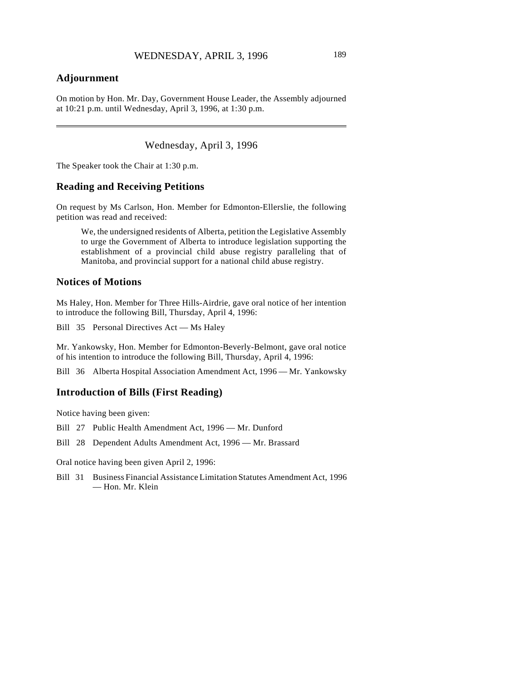# **Adjournment**

 $\overline{\phantom{a}}$ 

On motion by Hon. Mr. Day, Government House Leader, the Assembly adjourned at 10:21 p.m. until Wednesday, April 3, 1996, at 1:30 p.m.

Wednesday, April 3, 1996

The Speaker took the Chair at 1:30 p.m.

#### **Reading and Receiving Petitions**

On request by Ms Carlson, Hon. Member for Edmonton-Ellerslie, the following petition was read and received:

We, the undersigned residents of Alberta, petition the Legislative Assembly to urge the Government of Alberta to introduce legislation supporting the establishment of a provincial child abuse registry paralleling that of Manitoba, and provincial support for a national child abuse registry.

#### **Notices of Motions**

Ms Haley, Hon. Member for Three Hills-Airdrie, gave oral notice of her intention to introduce the following Bill, Thursday, April 4, 1996:

Bill 35 Personal Directives Act — Ms Haley

Mr. Yankowsky, Hon. Member for Edmonton-Beverly-Belmont, gave oral notice of his intention to introduce the following Bill, Thursday, April 4, 1996:

Bill 36 Alberta Hospital Association Amendment Act, 1996 — Mr. Yankowsky

#### **Introduction of Bills (First Reading)**

Notice having been given:

Bill 27 Public Health Amendment Act, 1996 — Mr. Dunford

Bill 28 Dependent Adults Amendment Act, 1996 — Mr. Brassard

Oral notice having been given April 2, 1996:

Bill 31 Business Financial Assistance Limitation Statutes Amendment Act, 1996 — Hon. Mr. Klein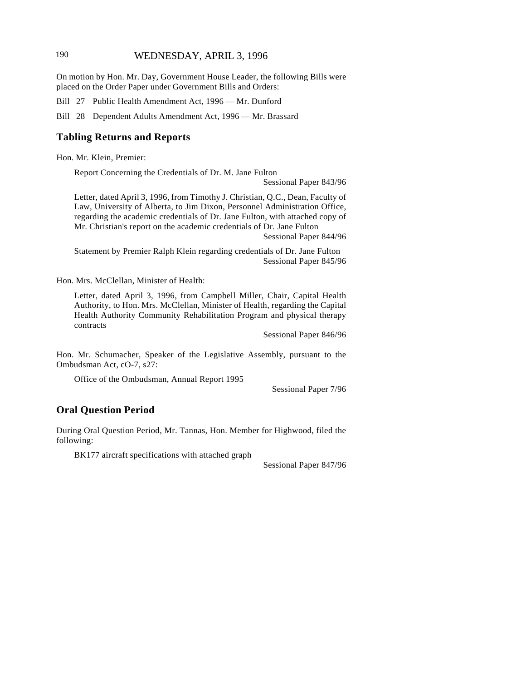## 190 WEDNESDAY, APRIL 3, 1996

On motion by Hon. Mr. Day, Government House Leader, the following Bills were placed on the Order Paper under Government Bills and Orders:

Bill 27 Public Health Amendment Act, 1996 — Mr. Dunford

Bill 28 Dependent Adults Amendment Act, 1996 — Mr. Brassard

## **Tabling Returns and Reports**

Hon. Mr. Klein, Premier:

Report Concerning the Credentials of Dr. M. Jane Fulton

Sessional Paper 843/96

Letter, dated April 3, 1996, from Timothy J. Christian, Q.C., Dean, Faculty of Law, University of Alberta, to Jim Dixon, Personnel Administration Office, regarding the academic credentials of Dr. Jane Fulton, with attached copy of Mr. Christian's report on the academic credentials of Dr. Jane Fulton

Sessional Paper 844/96

Statement by Premier Ralph Klein regarding credentials of Dr. Jane Fulton Sessional Paper 845/96

Hon. Mrs. McClellan, Minister of Health:

Letter, dated April 3, 1996, from Campbell Miller, Chair, Capital Health Authority, to Hon. Mrs. McClellan, Minister of Health, regarding the Capital Health Authority Community Rehabilitation Program and physical therapy contracts

Sessional Paper 846/96

Hon. Mr. Schumacher, Speaker of the Legislative Assembly, pursuant to the Ombudsman Act, cO-7, s27:

Office of the Ombudsman, Annual Report 1995

Sessional Paper 7/96

#### **Oral Question Period**

During Oral Question Period, Mr. Tannas, Hon. Member for Highwood, filed the following:

BK177 aircraft specifications with attached graph

Sessional Paper 847/96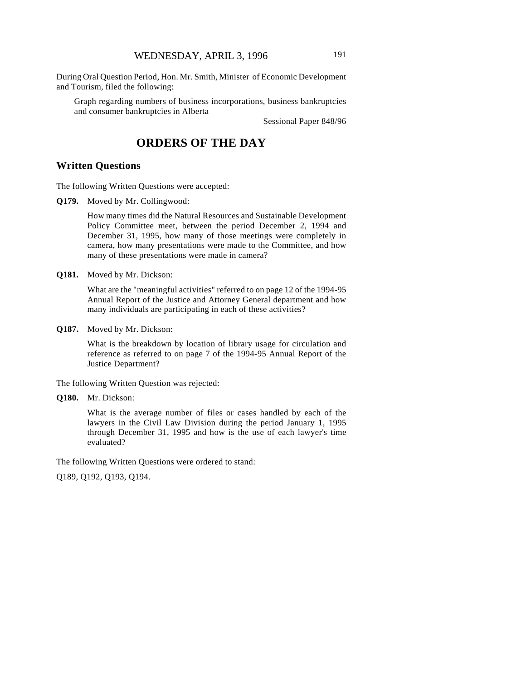During Oral Question Period, Hon. Mr. Smith, Minister of Economic Development and Tourism, filed the following:

Graph regarding numbers of business incorporations, business bankruptcies and consumer bankruptcies in Alberta

Sessional Paper 848/96

# **ORDERS OF THE DAY**

#### **Written Questions**

The following Written Questions were accepted:

**Q179.** Moved by Mr. Collingwood:

How many times did the Natural Resources and Sustainable Development Policy Committee meet, between the period December 2, 1994 and December 31, 1995, how many of those meetings were completely in camera, how many presentations were made to the Committee, and how many of these presentations were made in camera?

**Q181.** Moved by Mr. Dickson:

What are the "meaningful activities" referred to on page 12 of the 1994-95 Annual Report of the Justice and Attorney General department and how many individuals are participating in each of these activities?

**Q187.** Moved by Mr. Dickson:

What is the breakdown by location of library usage for circulation and reference as referred to on page 7 of the 1994-95 Annual Report of the Justice Department?

The following Written Question was rejected:

#### **Q180.** Mr. Dickson:

What is the average number of files or cases handled by each of the lawyers in the Civil Law Division during the period January 1, 1995 through December 31, 1995 and how is the use of each lawyer's time evaluated?

The following Written Questions were ordered to stand:

Q189, Q192, Q193, Q194.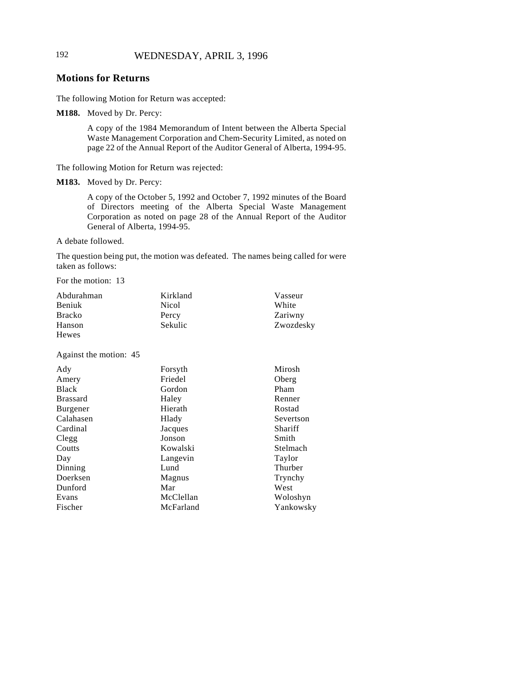# **Motions for Returns**

The following Motion for Return was accepted:

**M188.** Moved by Dr. Percy:

A copy of the 1984 Memorandum of Intent between the Alberta Special Waste Management Corporation and Chem-Security Limited, as noted on page 22 of the Annual Report of the Auditor General of Alberta, 1994-95.

The following Motion for Return was rejected:

**M183.** Moved by Dr. Percy:

A copy of the October 5, 1992 and October 7, 1992 minutes of the Board of Directors meeting of the Alberta Special Waste Management Corporation as noted on page 28 of the Annual Report of the Auditor General of Alberta, 1994-95.

A debate followed.

The question being put, the motion was defeated. The names being called for were taken as follows:

For the motion: 13

| Abdurahman<br>Beniuk<br><b>Bracko</b><br>Hanson<br>Hewes | Kirkland<br>Nicol<br>Percy<br>Sekulic | Vasseur<br>White<br>Zariwny<br>Zwozdesky |
|----------------------------------------------------------|---------------------------------------|------------------------------------------|
| Against the motion: 45                                   |                                       |                                          |
| Ady                                                      | Forsyth                               | Mirosh                                   |
| Amery                                                    | Friedel                               | Oberg                                    |
| <b>Black</b>                                             | Gordon                                | Pham                                     |
| <b>Brassard</b>                                          | Haley                                 | Renner                                   |
| Burgener                                                 | Hierath                               | Rostad                                   |
| Calahasen                                                | Hlady                                 | Severtson                                |
| Cardinal                                                 | Jacques                               | Shariff                                  |
| Clegg                                                    | Jonson                                | Smith                                    |
| Coutts                                                   | Kowalski                              | Stelmach                                 |
| Day                                                      | Langevin                              | Taylor                                   |
| Dinning                                                  | Lund                                  | Thurber                                  |
| Doerksen                                                 | Magnus                                | Trynchy                                  |
| Dunford                                                  | Mar                                   | West                                     |
| Evans                                                    | McClellan                             | Woloshyn                                 |
| Fischer                                                  | McFarland                             | Yankowsky                                |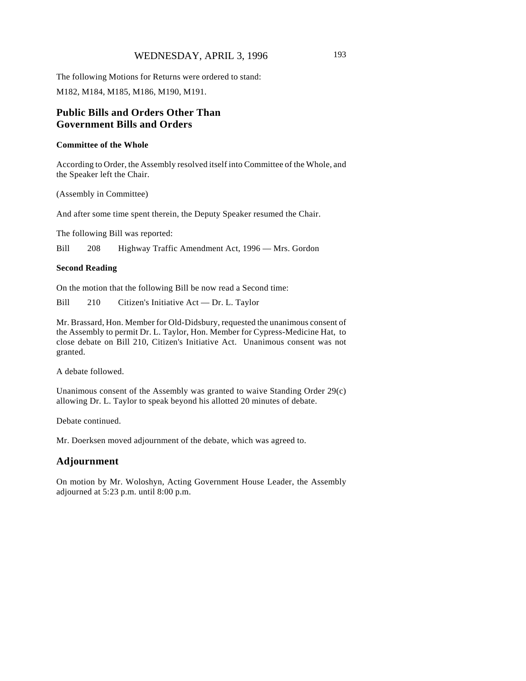### WEDNESDAY, APRIL 3, 1996 193

The following Motions for Returns were ordered to stand: M182, M184, M185, M186, M190, M191.

## **Public Bills and Orders Other Than Government Bills and Orders**

#### **Committee of the Whole**

According to Order, the Assembly resolved itself into Committee of the Whole, and the Speaker left the Chair.

(Assembly in Committee)

And after some time spent therein, the Deputy Speaker resumed the Chair.

The following Bill was reported:

Bill 208 Highway Traffic Amendment Act, 1996 — Mrs. Gordon

#### **Second Reading**

On the motion that the following Bill be now read a Second time:

Bill 210 Citizen's Initiative Act — Dr. L. Taylor

Mr. Brassard, Hon. Member for Old-Didsbury, requested the unanimous consent of the Assembly to permit Dr. L. Taylor, Hon. Member for Cypress-Medicine Hat, to close debate on Bill 210, Citizen's Initiative Act. Unanimous consent was not granted.

A debate followed.

Unanimous consent of the Assembly was granted to waive Standing Order 29(c) allowing Dr. L. Taylor to speak beyond his allotted 20 minutes of debate.

Debate continued.

Mr. Doerksen moved adjournment of the debate, which was agreed to.

### **Adjournment**

On motion by Mr. Woloshyn, Acting Government House Leader, the Assembly adjourned at 5:23 p.m. until 8:00 p.m.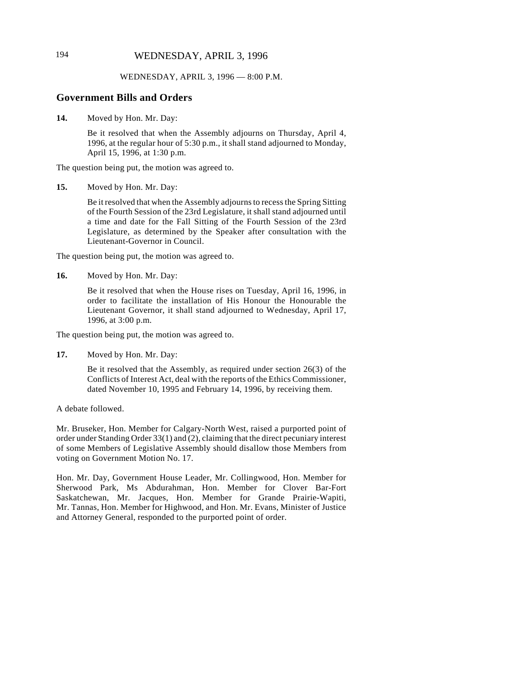# 194 WEDNESDAY, APRIL 3, 1996

#### WEDNESDAY, APRIL 3, 1996 — 8:00 P.M.

#### **Government Bills and Orders**

**14.** Moved by Hon. Mr. Day:

Be it resolved that when the Assembly adjourns on Thursday, April 4, 1996, at the regular hour of 5:30 p.m., it shall stand adjourned to Monday, April 15, 1996, at 1:30 p.m.

The question being put, the motion was agreed to.

**15.** Moved by Hon. Mr. Day:

Be it resolved that when the Assembly adjourns to recess the Spring Sitting of the Fourth Session of the 23rd Legislature, it shall stand adjourned until a time and date for the Fall Sitting of the Fourth Session of the 23rd Legislature, as determined by the Speaker after consultation with the Lieutenant-Governor in Council.

The question being put, the motion was agreed to.

**16.** Moved by Hon. Mr. Day:

Be it resolved that when the House rises on Tuesday, April 16, 1996, in order to facilitate the installation of His Honour the Honourable the Lieutenant Governor, it shall stand adjourned to Wednesday, April 17, 1996, at 3:00 p.m.

The question being put, the motion was agreed to.

**17.** Moved by Hon. Mr. Day:

Be it resolved that the Assembly, as required under section 26(3) of the Conflicts of Interest Act, deal with the reports of the Ethics Commissioner, dated November 10, 1995 and February 14, 1996, by receiving them.

#### A debate followed.

Mr. Bruseker, Hon. Member for Calgary-North West, raised a purported point of order under Standing Order 33(1) and (2), claiming that the direct pecuniary interest of some Members of Legislative Assembly should disallow those Members from voting on Government Motion No. 17.

Hon. Mr. Day, Government House Leader, Mr. Collingwood, Hon. Member for Sherwood Park, Ms Abdurahman, Hon. Member for Clover Bar-Fort Saskatchewan, Mr. Jacques, Hon. Member for Grande Prairie-Wapiti, Mr. Tannas, Hon. Member for Highwood, and Hon. Mr. Evans, Minister of Justice and Attorney General, responded to the purported point of order.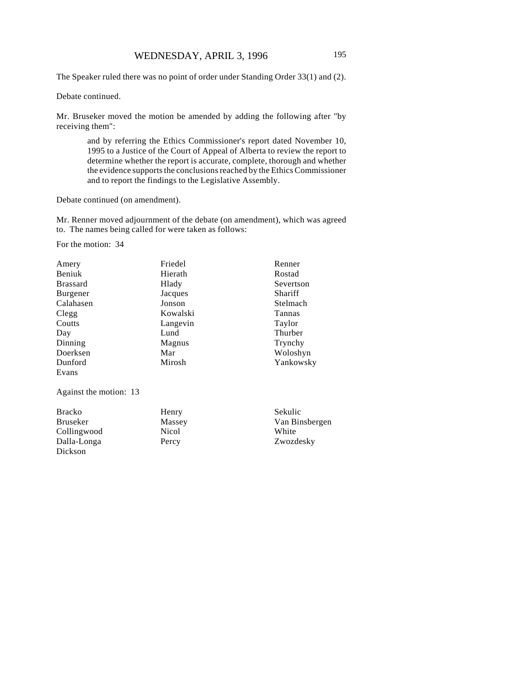The Speaker ruled there was no point of order under Standing Order 33(1) and (2).

Debate continued.

Mr. Bruseker moved the motion be amended by adding the following after "by receiving them":

> and by referring the Ethics Commissioner's report dated November 10, 1995 to a Justice of the Court of Appeal of Alberta to review the report to determine whether the report is accurate, complete, thorough and whether the evidence supports the conclusions reached by the Ethics Commissioner and to report the findings to the Legislative Assembly.

Debate continued (on amendment).

Mr. Renner moved adjournment of the debate (on amendment), which was agreed to. The names being called for were taken as follows:

For the motion: 34

| Amery           | Friedel  | Renner    |
|-----------------|----------|-----------|
| Beniuk          | Hierath  | Rostad    |
| <b>Brassard</b> | Hlady    | Severtson |
| Burgener        | Jacques  | Shariff   |
| Calahasen       | Jonson   | Stelmach  |
| Clegg           | Kowalski | Tannas    |
| Coutts          | Langevin | Taylor    |
| Day             | Lund     | Thurber   |
| Dinning         | Magnus   | Trynchy   |
| Doerksen        | Mar      | Woloshyn  |
| Dunford         | Mirosh   | Yankowsky |
| Evans           |          |           |

Against the motion: 13

| <b>Bracko</b> | Henry  | Sekulic        |
|---------------|--------|----------------|
| Bruseker      | Massey | Van Binsbergen |
| Collingwood   | Nicol  | White          |
| Dalla-Longa   | Percy  | Zwozdesky      |
| Dickson       |        |                |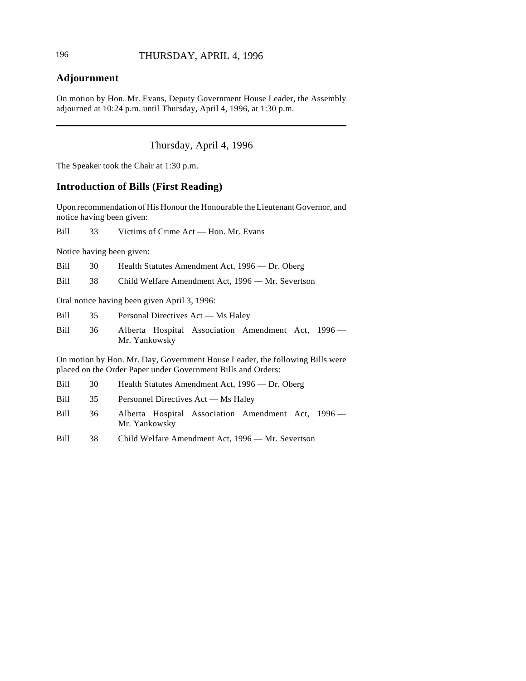# **Adjournment**

On motion by Hon. Mr. Evans, Deputy Government House Leader, the Assembly adjourned at 10:24 p.m. until Thursday, April 4, 1996, at 1:30 p.m.

Thursday, April 4, 1996

The Speaker took the Chair at 1:30 p.m.

# **Introduction of Bills (First Reading)**

Upon recommendation of His Honour the Honourable the Lieutenant Governor, and notice having been given:

Bill 33 Victims of Crime Act — Hon. Mr. Evans

Notice having been given:

| Bill        | 30 | Health Statutes Amendment Act, 1996 — Dr. Oberg                                                                                              |  |  |
|-------------|----|----------------------------------------------------------------------------------------------------------------------------------------------|--|--|
| Bill        | 38 | Child Welfare Amendment Act, 1996 — Mr. Severtson                                                                                            |  |  |
|             |    | Oral notice having been given April 3, 1996:                                                                                                 |  |  |
| <b>Bill</b> | 35 | Personal Directives Act — Ms Haley                                                                                                           |  |  |
| <b>Bill</b> | 36 | Alberta Hospital Association Amendment Act, 1996 —<br>Mr. Yankowsky                                                                          |  |  |
|             |    | On motion by Hon. Mr. Day, Government House Leader, the following Bills were<br>placed on the Order Paper under Government Bills and Orders: |  |  |
| <b>Bill</b> | 30 | Health Statutes Amendment Act, 1996 — Dr. Oberg                                                                                              |  |  |

| Bill | Personnel Directives Act - Ms Haley |  |
|------|-------------------------------------|--|
|      |                                     |  |

Bill 36 Alberta Hospital Association Amendment Act, 1996 — Mr. Yankowsky

Bill 38 Child Welfare Amendment Act, 1996 — Mr. Severtson

 $\overline{\phantom{a}}$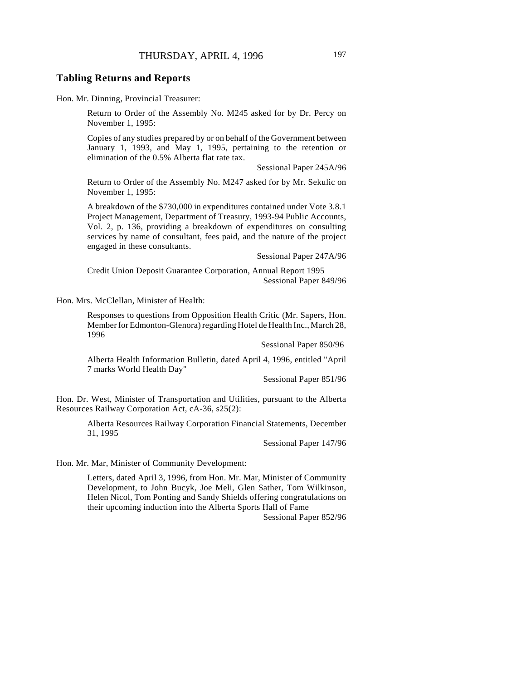#### **Tabling Returns and Reports**

Hon. Mr. Dinning, Provincial Treasurer:

Return to Order of the Assembly No. M245 asked for by Dr. Percy on November 1, 1995:

Copies of any studies prepared by or on behalf of the Government between January 1, 1993, and May 1, 1995, pertaining to the retention or elimination of the 0.5% Alberta flat rate tax.

Sessional Paper 245A/96

Return to Order of the Assembly No. M247 asked for by Mr. Sekulic on November 1, 1995:

A breakdown of the \$730,000 in expenditures contained under Vote 3.8.1 Project Management, Department of Treasury, 1993-94 Public Accounts, Vol. 2, p. 136, providing a breakdown of expenditures on consulting services by name of consultant, fees paid, and the nature of the project engaged in these consultants.

Sessional Paper 247A/96

Credit Union Deposit Guarantee Corporation, Annual Report 1995 Sessional Paper 849/96

Hon. Mrs. McClellan, Minister of Health:

Responses to questions from Opposition Health Critic (Mr. Sapers, Hon. Member for Edmonton-Glenora) regarding Hotel de Health Inc., March 28, 1996

Sessional Paper 850/96

Alberta Health Information Bulletin, dated April 4, 1996, entitled "April 7 marks World Health Day"

Sessional Paper 851/96

Hon. Dr. West, Minister of Transportation and Utilities, pursuant to the Alberta Resources Railway Corporation Act, cA-36, s25(2):

> Alberta Resources Railway Corporation Financial Statements, December 31, 1995

> > Sessional Paper 147/96

Hon. Mr. Mar, Minister of Community Development:

Letters, dated April 3, 1996, from Hon. Mr. Mar, Minister of Community Development, to John Bucyk, Joe Meli, Glen Sather, Tom Wilkinson, Helen Nicol, Tom Ponting and Sandy Shields offering congratulations on their upcoming induction into the Alberta Sports Hall of Fame

Sessional Paper 852/96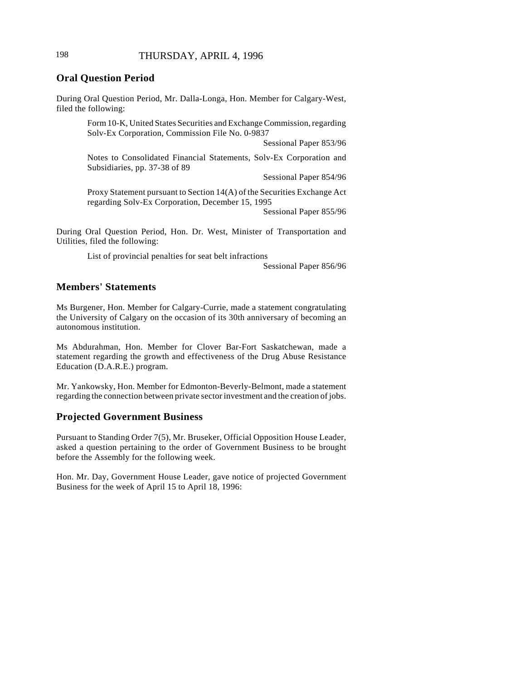## 198 THURSDAY, APRIL 4, 1996

## **Oral Question Period**

During Oral Question Period, Mr. Dalla-Longa, Hon. Member for Calgary-West, filed the following:

> Form 10-K, United States Securities and Exchange Commission, regarding Solv-Ex Corporation, Commission File No. 0-9837

> > Sessional Paper 853/96

Notes to Consolidated Financial Statements, Solv-Ex Corporation and Subsidiaries, pp. 37-38 of 89

Sessional Paper 854/96

Proxy Statement pursuant to Section 14(A) of the Securities Exchange Act regarding Solv-Ex Corporation, December 15, 1995

Sessional Paper 855/96

During Oral Question Period, Hon. Dr. West, Minister of Transportation and Utilities, filed the following:

List of provincial penalties for seat belt infractions

Sessional Paper 856/96

## **Members' Statements**

Ms Burgener, Hon. Member for Calgary-Currie, made a statement congratulating the University of Calgary on the occasion of its 30th anniversary of becoming an autonomous institution.

Ms Abdurahman, Hon. Member for Clover Bar-Fort Saskatchewan, made a statement regarding the growth and effectiveness of the Drug Abuse Resistance Education (D.A.R.E.) program.

Mr. Yankowsky, Hon. Member for Edmonton-Beverly-Belmont, made a statement regarding the connection between private sector investment and the creation of jobs.

#### **Projected Government Business**

Pursuant to Standing Order 7(5), Mr. Bruseker, Official Opposition House Leader, asked a question pertaining to the order of Government Business to be brought before the Assembly for the following week.

Hon. Mr. Day, Government House Leader, gave notice of projected Government Business for the week of April 15 to April 18, 1996: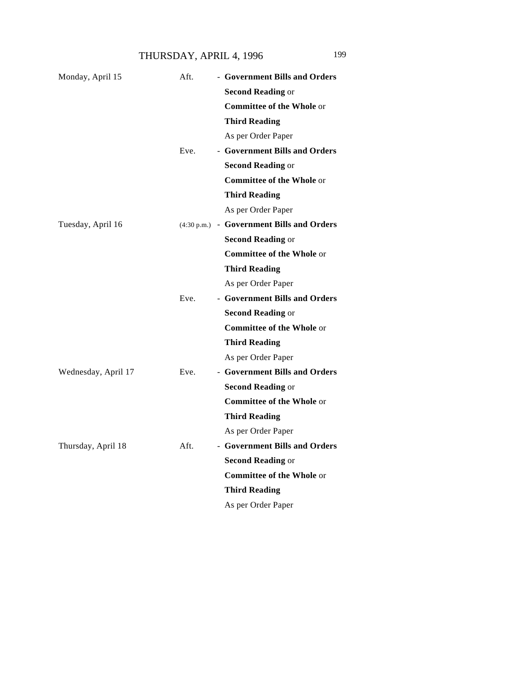THURSDAY, APRIL 4, 1996 199

| Monday, April 15    | Aft. | - Government Bills and Orders             |
|---------------------|------|-------------------------------------------|
|                     |      | <b>Second Reading or</b>                  |
|                     |      | <b>Committee of the Whole or</b>          |
|                     |      | <b>Third Reading</b>                      |
|                     |      | As per Order Paper                        |
|                     | Eve. | - Government Bills and Orders             |
|                     |      | <b>Second Reading or</b>                  |
|                     |      | <b>Committee of the Whole or</b>          |
|                     |      | <b>Third Reading</b>                      |
|                     |      | As per Order Paper                        |
| Tuesday, April 16   |      | (4:30 p.m.) - Government Bills and Orders |
|                     |      | <b>Second Reading or</b>                  |
|                     |      | <b>Committee of the Whole or</b>          |
|                     |      | <b>Third Reading</b>                      |
|                     |      | As per Order Paper                        |
|                     | Eve. | - Government Bills and Orders             |
|                     |      | <b>Second Reading or</b>                  |
|                     |      | <b>Committee of the Whole or</b>          |
|                     |      | <b>Third Reading</b>                      |
|                     |      | As per Order Paper                        |
| Wednesday, April 17 | Eve. | - Government Bills and Orders             |
|                     |      | <b>Second Reading or</b>                  |
|                     |      | <b>Committee of the Whole or</b>          |
|                     |      | <b>Third Reading</b>                      |
|                     |      | As per Order Paper                        |
| Thursday, April 18  | Aft. | - Government Bills and Orders             |
|                     |      | <b>Second Reading or</b>                  |
|                     |      | <b>Committee of the Whole or</b>          |
|                     |      | <b>Third Reading</b>                      |
|                     |      | As per Order Paper                        |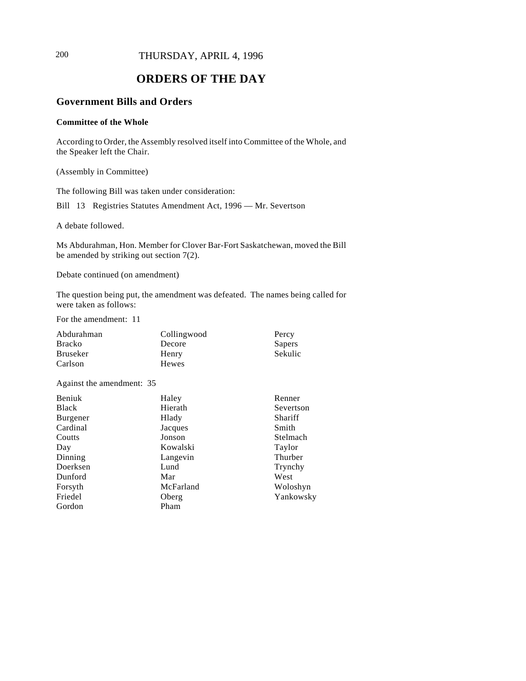# 200 THURSDAY, APRIL 4, 1996

# **ORDERS OF THE DAY**

# **Government Bills and Orders**

#### **Committee of the Whole**

According to Order, the Assembly resolved itself into Committee of the Whole, and the Speaker left the Chair.

(Assembly in Committee)

The following Bill was taken under consideration:

Bill 13 Registries Statutes Amendment Act, 1996 — Mr. Severtson

A debate followed.

Ms Abdurahman, Hon. Member for Clover Bar-Fort Saskatchewan, moved the Bill be amended by striking out section 7(2).

Debate continued (on amendment)

The question being put, the amendment was defeated. The names being called for were taken as follows:

For the amendment: 11

| Abdurahman      | Collingwood | Percy   |
|-----------------|-------------|---------|
| <b>Bracko</b>   | Decore      | Sapers  |
| <b>Bruseker</b> | Henry       | Sekulic |
| Carlson         | Hewes       |         |

Against the amendment: 35

| <b>Beniuk</b> | Haley     | Renner    |
|---------------|-----------|-----------|
| <b>Black</b>  | Hierath   | Severtson |
| Burgener      | Hlady     | Shariff   |
| Cardinal      | Jacques   | Smith     |
| Coutts        | Jonson    | Stelmach  |
| Day           | Kowalski  | Taylor    |
| Dinning       | Langevin  | Thurber   |
| Doerksen      | Lund      | Trynchy   |
| Dunford       | Mar       | West      |
| Forsyth       | McFarland | Woloshyn  |
| Friedel       | Oberg     | Yankowsky |
| Gordon        | Pham      |           |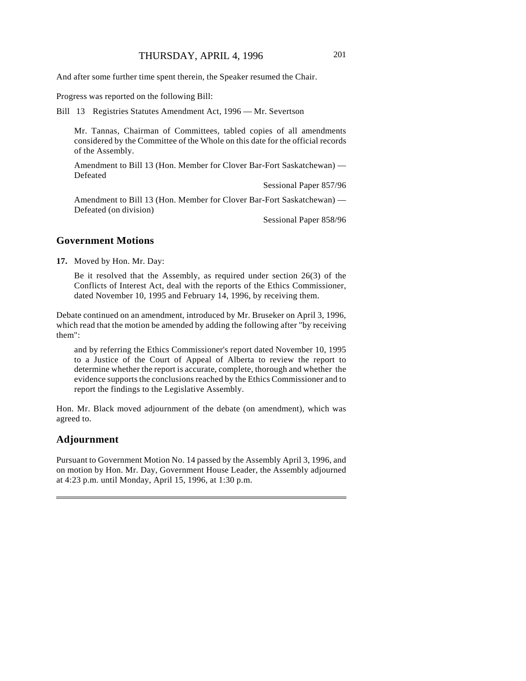And after some further time spent therein, the Speaker resumed the Chair.

Progress was reported on the following Bill:

Bill 13 Registries Statutes Amendment Act, 1996 — Mr. Severtson

Mr. Tannas, Chairman of Committees, tabled copies of all amendments considered by the Committee of the Whole on this date for the official records of the Assembly.

Amendment to Bill 13 (Hon. Member for Clover Bar-Fort Saskatchewan) — Defeated

Sessional Paper 857/96

Amendment to Bill 13 (Hon. Member for Clover Bar-Fort Saskatchewan) — Defeated (on division)

Sessional Paper 858/96

#### **Government Motions**

**17.** Moved by Hon. Mr. Day:

Be it resolved that the Assembly, as required under section 26(3) of the Conflicts of Interest Act, deal with the reports of the Ethics Commissioner, dated November 10, 1995 and February 14, 1996, by receiving them.

Debate continued on an amendment, introduced by Mr. Bruseker on April 3, 1996, which read that the motion be amended by adding the following after "by receiving them":

and by referring the Ethics Commissioner's report dated November 10, 1995 to a Justice of the Court of Appeal of Alberta to review the report to determine whether the report is accurate, complete, thorough and whether the evidence supports the conclusions reached by the Ethics Commissioner and to report the findings to the Legislative Assembly.

Hon. Mr. Black moved adjournment of the debate (on amendment), which was agreed to.

### **Adjournment**

Pursuant to Government Motion No. 14 passed by the Assembly April 3, 1996, and on motion by Hon. Mr. Day, Government House Leader, the Assembly adjourned at 4:23 p.m. until Monday, April 15, 1996, at 1:30 p.m.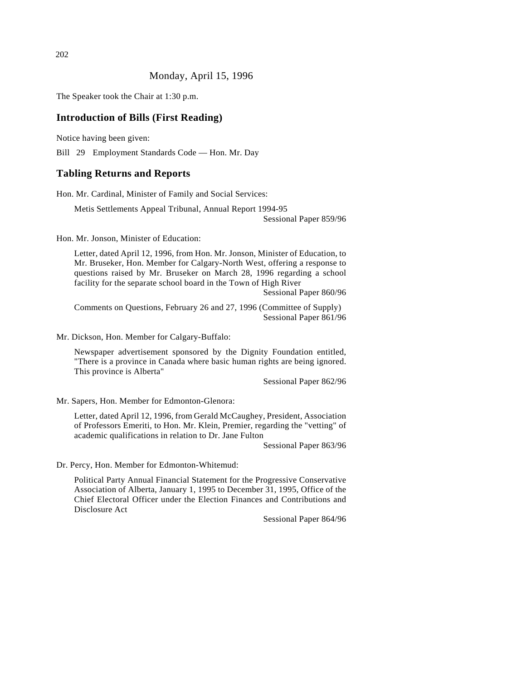### Monday, April 15, 1996

The Speaker took the Chair at 1:30 p.m.

#### **Introduction of Bills (First Reading)**

Notice having been given:

Bill 29 Employment Standards Code — Hon. Mr. Day

#### **Tabling Returns and Reports**

Hon. Mr. Cardinal, Minister of Family and Social Services:

Metis Settlements Appeal Tribunal, Annual Report 1994-95 Sessional Paper 859/96

Hon. Mr. Jonson, Minister of Education:

Letter, dated April 12, 1996, from Hon. Mr. Jonson, Minister of Education, to Mr. Bruseker, Hon. Member for Calgary-North West, offering a response to questions raised by Mr. Bruseker on March 28, 1996 regarding a school facility for the separate school board in the Town of High River

Sessional Paper 860/96

Comments on Questions, February 26 and 27, 1996 (Committee of Supply) Sessional Paper 861/96

Mr. Dickson, Hon. Member for Calgary-Buffalo:

Newspaper advertisement sponsored by the Dignity Foundation entitled, "There is a province in Canada where basic human rights are being ignored. This province is Alberta"

Sessional Paper 862/96

Mr. Sapers, Hon. Member for Edmonton-Glenora:

Letter, dated April 12, 1996, from Gerald McCaughey, President, Association of Professors Emeriti, to Hon. Mr. Klein, Premier, regarding the "vetting" of academic qualifications in relation to Dr. Jane Fulton

Sessional Paper 863/96

Dr. Percy, Hon. Member for Edmonton-Whitemud:

Political Party Annual Financial Statement for the Progressive Conservative Association of Alberta, January 1, 1995 to December 31, 1995, Office of the Chief Electoral Officer under the Election Finances and Contributions and Disclosure Act

Sessional Paper 864/96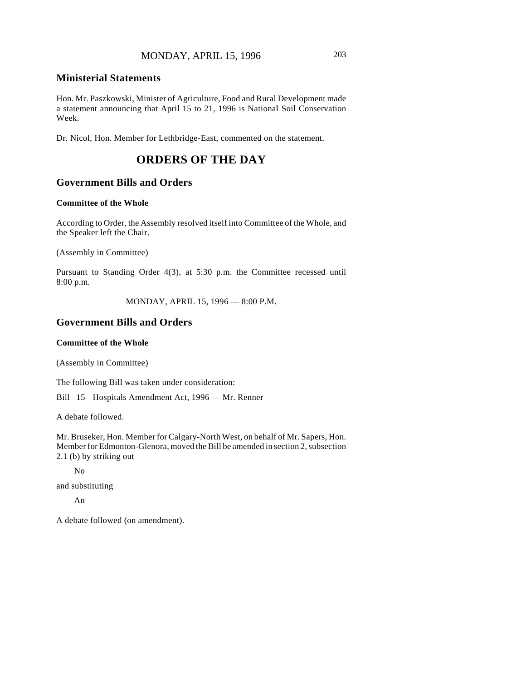#### **Ministerial Statements**

Hon. Mr. Paszkowski, Minister of Agriculture, Food and Rural Development made a statement announcing that April 15 to 21, 1996 is National Soil Conservation Week.

Dr. Nicol, Hon. Member for Lethbridge-East, commented on the statement.

# **ORDERS OF THE DAY**

#### **Government Bills and Orders**

#### **Committee of the Whole**

According to Order, the Assembly resolved itself into Committee of the Whole, and the Speaker left the Chair.

(Assembly in Committee)

Pursuant to Standing Order 4(3), at 5:30 p.m. the Committee recessed until 8:00 p.m.

MONDAY, APRIL 15, 1996 — 8:00 P.M.

### **Government Bills and Orders**

#### **Committee of the Whole**

(Assembly in Committee)

The following Bill was taken under consideration:

Bill 15 Hospitals Amendment Act, 1996 — Mr. Renner

A debate followed.

Mr. Bruseker, Hon. Member for Calgary-North West, on behalf of Mr. Sapers, Hon. Member for Edmonton-Glenora, moved the Bill be amended in section 2, subsection 2.1 (b) by striking out

No

and substituting

An

A debate followed (on amendment).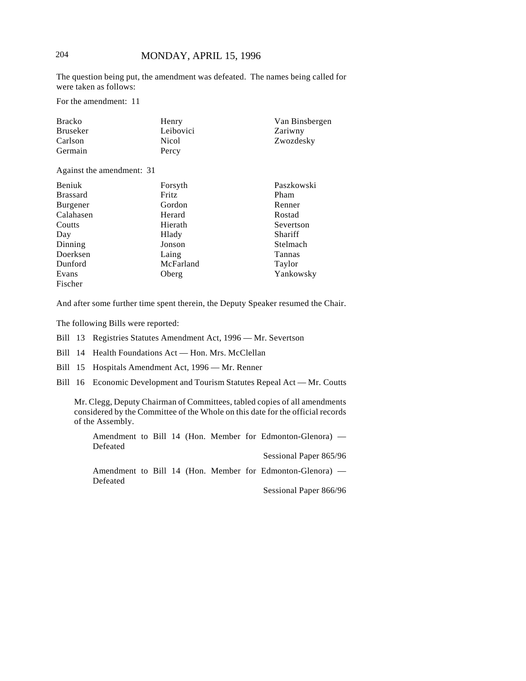The question being put, the amendment was defeated. The names being called for were taken as follows:

For the amendment: 11

| <b>Bracko</b> | Henry     | Van Binsbergen |
|---------------|-----------|----------------|
| Bruseker      | Leibovici | Zariwny        |
| Carlson       | Nicol     | Zwozdesky      |
| Germain       | Percy     |                |

Against the amendment: 31

| <b>Beniuk</b>   | Forsyth      | Paszkowski |
|-----------------|--------------|------------|
| <b>Brassard</b> | <b>Fritz</b> | Pham       |
| Burgener        | Gordon       | Renner     |
| Calahasen       | Herard       | Rostad     |
| Coutts          | Hierath      | Severtson  |
| Day             | Hlady        | Shariff    |
| Dinning         | Jonson       | Stelmach   |
| Doerksen        | Laing        | Tannas     |
| Dunford         | McFarland    | Taylor     |
| Evans           | Oberg        | Yankowsky  |
| Fischer         |              |            |

And after some further time spent therein, the Deputy Speaker resumed the Chair.

The following Bills were reported:

Bill 13 Registries Statutes Amendment Act, 1996 — Mr. Severtson

Bill 14 Health Foundations Act — Hon. Mrs. McClellan

Bill 15 Hospitals Amendment Act, 1996 — Mr. Renner

Bill 16 Economic Development and Tourism Statutes Repeal Act — Mr. Coutts

Mr. Clegg, Deputy Chairman of Committees, tabled copies of all amendments considered by the Committee of the Whole on this date for the official records of the Assembly.

Amendment to Bill 14 (Hon. Member for Edmonton-Glenora) — Defeated

Sessional Paper 865/96 Amendment to Bill 14 (Hon. Member for Edmonton-Glenora) — Defeated

Sessional Paper 866/96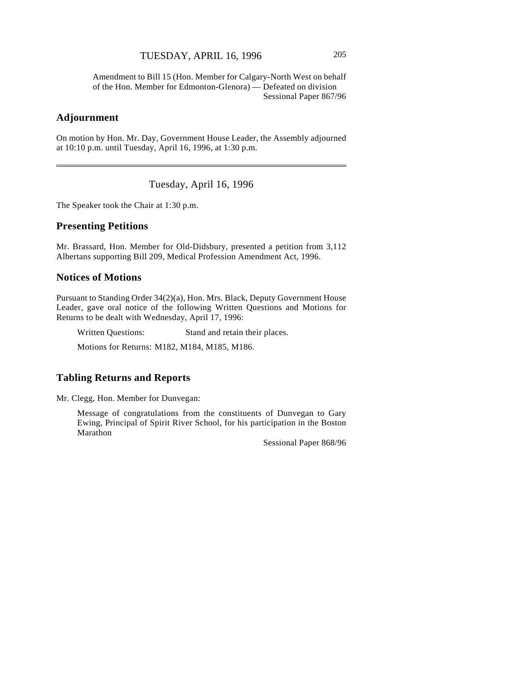Amendment to Bill 15 (Hon. Member for Calgary-North West on behalf of the Hon. Member for Edmonton-Glenora) — Defeated on division Sessional Paper 867/96

### **Adjournment**

 $\overline{\phantom{a}}$ 

On motion by Hon. Mr. Day, Government House Leader, the Assembly adjourned at 10:10 p.m. until Tuesday, April 16, 1996, at 1:30 p.m.

Tuesday, April 16, 1996

The Speaker took the Chair at 1:30 p.m.

## **Presenting Petitions**

Mr. Brassard, Hon. Member for Old-Didsbury, presented a petition from 3,112 Albertans supporting Bill 209, Medical Profession Amendment Act, 1996.

#### **Notices of Motions**

Pursuant to Standing Order 34(2)(a), Hon. Mrs. Black, Deputy Government House Leader, gave oral notice of the following Written Questions and Motions for Returns to be dealt with Wednesday, April 17, 1996:

Written Questions: Stand and retain their places.

Motions for Returns: M182, M184, M185, M186.

## **Tabling Returns and Reports**

Mr. Clegg, Hon. Member for Dunvegan:

Message of congratulations from the constituents of Dunvegan to Gary Ewing, Principal of Spirit River School, for his participation in the Boston Marathon

Sessional Paper 868/96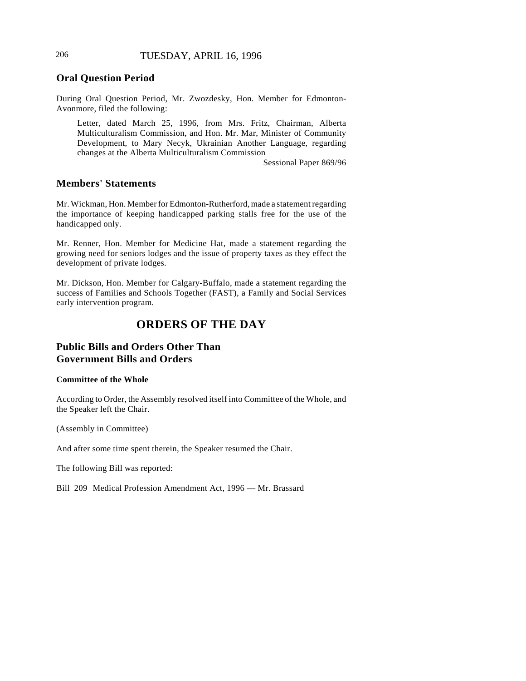# **Oral Question Period**

During Oral Question Period, Mr. Zwozdesky, Hon. Member for Edmonton-Avonmore, filed the following:

Letter, dated March 25, 1996, from Mrs. Fritz, Chairman, Alberta Multiculturalism Commission, and Hon. Mr. Mar, Minister of Community Development, to Mary Necyk, Ukrainian Another Language, regarding changes at the Alberta Multiculturalism Commission

Sessional Paper 869/96

### **Members' Statements**

Mr. Wickman, Hon. Member for Edmonton-Rutherford, made a statement regarding the importance of keeping handicapped parking stalls free for the use of the handicapped only.

Mr. Renner, Hon. Member for Medicine Hat, made a statement regarding the growing need for seniors lodges and the issue of property taxes as they effect the development of private lodges.

Mr. Dickson, Hon. Member for Calgary-Buffalo, made a statement regarding the success of Families and Schools Together (FAST), a Family and Social Services early intervention program.

# **ORDERS OF THE DAY**

# **Public Bills and Orders Other Than Government Bills and Orders**

#### **Committee of the Whole**

According to Order, the Assembly resolved itself into Committee of the Whole, and the Speaker left the Chair.

(Assembly in Committee)

And after some time spent therein, the Speaker resumed the Chair.

The following Bill was reported:

Bill 209 Medical Profession Amendment Act, 1996 — Mr. Brassard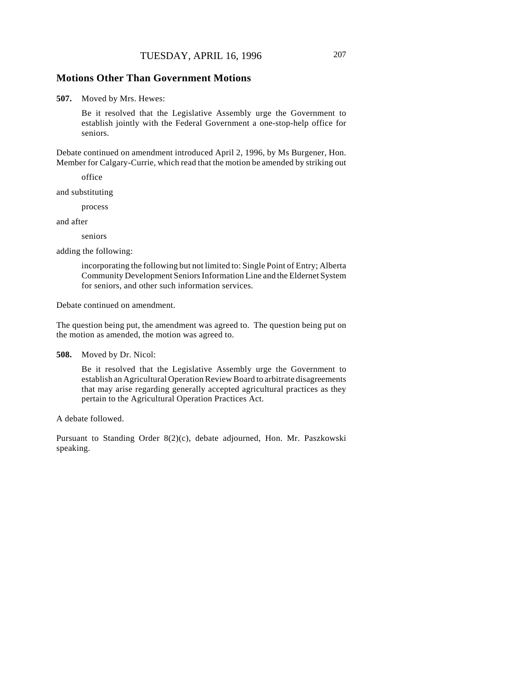#### **Motions Other Than Government Motions**

**507.** Moved by Mrs. Hewes:

Be it resolved that the Legislative Assembly urge the Government to establish jointly with the Federal Government a one-stop-help office for seniors.

Debate continued on amendment introduced April 2, 1996, by Ms Burgener, Hon. Member for Calgary-Currie, which read that the motion be amended by striking out

office

and substituting

process

and after

seniors

adding the following:

incorporating the following but not limited to: Single Point of Entry; Alberta Community Development Seniors Information Line and the Eldernet System for seniors, and other such information services.

Debate continued on amendment.

The question being put, the amendment was agreed to. The question being put on the motion as amended, the motion was agreed to.

**508.** Moved by Dr. Nicol:

Be it resolved that the Legislative Assembly urge the Government to establish an Agricultural Operation Review Board to arbitrate disagreements that may arise regarding generally accepted agricultural practices as they pertain to the Agricultural Operation Practices Act.

A debate followed.

Pursuant to Standing Order 8(2)(c), debate adjourned, Hon. Mr. Paszkowski speaking.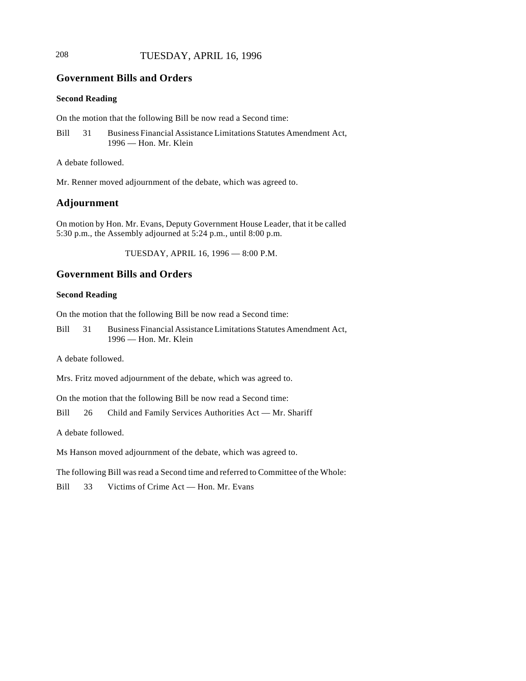# 208 TUESDAY, APRIL 16, 1996

# **Government Bills and Orders**

#### **Second Reading**

On the motion that the following Bill be now read a Second time:

Bill 31 Business Financial Assistance Limitations Statutes Amendment Act, 1996 — Hon. Mr. Klein

A debate followed.

Mr. Renner moved adjournment of the debate, which was agreed to.

## **Adjournment**

On motion by Hon. Mr. Evans, Deputy Government House Leader, that it be called 5:30 p.m., the Assembly adjourned at 5:24 p.m., until 8:00 p.m.

TUESDAY, APRIL 16, 1996 — 8:00 P.M.

# **Government Bills and Orders**

#### **Second Reading**

On the motion that the following Bill be now read a Second time:

Bill 31 Business Financial Assistance Limitations Statutes Amendment Act, 1996 — Hon. Mr. Klein

A debate followed.

Mrs. Fritz moved adjournment of the debate, which was agreed to.

On the motion that the following Bill be now read a Second time:

Bill 26 Child and Family Services Authorities Act — Mr. Shariff

A debate followed.

Ms Hanson moved adjournment of the debate, which was agreed to.

The following Bill was read a Second time and referred to Committee of the Whole:

Bill 33 Victims of Crime Act — Hon. Mr. Evans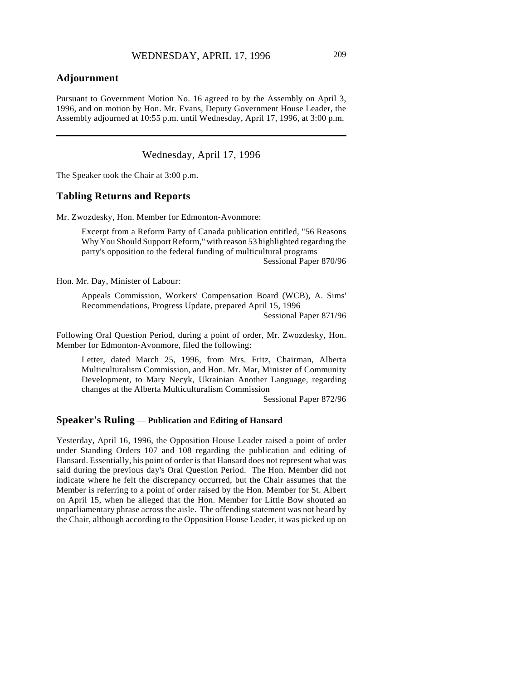# **Adjournment**

Pursuant to Government Motion No. 16 agreed to by the Assembly on April 3, 1996, and on motion by Hon. Mr. Evans, Deputy Government House Leader, the Assembly adjourned at 10:55 p.m. until Wednesday, April 17, 1996, at 3:00 p.m.

Wednesday, April 17, 1996

The Speaker took the Chair at 3:00 p.m.

#### **Tabling Returns and Reports**

Mr. Zwozdesky, Hon. Member for Edmonton-Avonmore:

Excerpt from a Reform Party of Canada publication entitled, "56 Reasons Why You Should Support Reform," with reason 53 highlighted regarding the party's opposition to the federal funding of multicultural programs Sessional Paper 870/96

Hon. Mr. Day, Minister of Labour:

Appeals Commission, Workers' Compensation Board (WCB), A. Sims' Recommendations, Progress Update, prepared April 15, 1996

Sessional Paper 871/96

Following Oral Question Period, during a point of order, Mr. Zwozdesky, Hon. Member for Edmonton-Avonmore, filed the following:

Letter, dated March 25, 1996, from Mrs. Fritz, Chairman, Alberta Multiculturalism Commission, and Hon. Mr. Mar, Minister of Community Development, to Mary Necyk, Ukrainian Another Language, regarding changes at the Alberta Multiculturalism Commission

Sessional Paper 872/96

## **Speaker's Ruling** — **Publication and Editing of Hansard**

Yesterday, April 16, 1996, the Opposition House Leader raised a point of order under Standing Orders 107 and 108 regarding the publication and editing of Hansard. Essentially, his point of order is that Hansard does not represent what was said during the previous day's Oral Question Period. The Hon. Member did not indicate where he felt the discrepancy occurred, but the Chair assumes that the Member is referring to a point of order raised by the Hon. Member for St. Albert on April 15, when he alleged that the Hon. Member for Little Bow shouted an unparliamentary phrase across the aisle. The offending statement was not heard by the Chair, although according to the Opposition House Leader, it was picked up on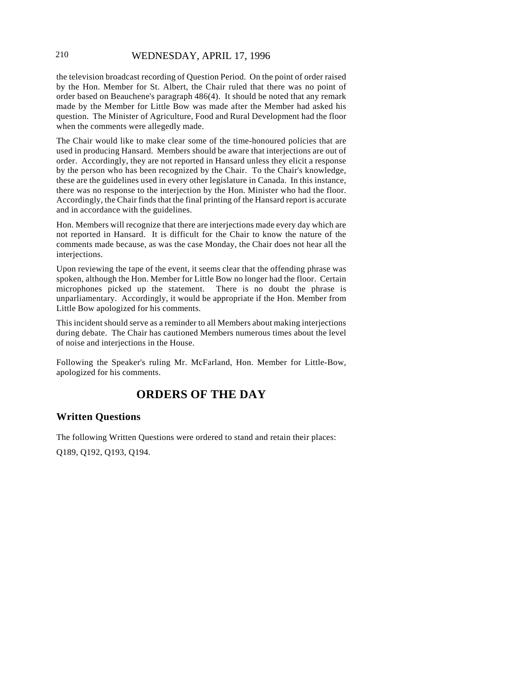## 210 WEDNESDAY, APRIL 17, 1996

the television broadcast recording of Question Period. On the point of order raised by the Hon. Member for St. Albert, the Chair ruled that there was no point of order based on Beauchene's paragraph 486(4). It should be noted that any remark made by the Member for Little Bow was made after the Member had asked his question. The Minister of Agriculture, Food and Rural Development had the floor when the comments were allegedly made.

The Chair would like to make clear some of the time-honoured policies that are used in producing Hansard. Members should be aware that interjections are out of order. Accordingly, they are not reported in Hansard unless they elicit a response by the person who has been recognized by the Chair. To the Chair's knowledge, these are the guidelines used in every other legislature in Canada. In this instance, there was no response to the interjection by the Hon. Minister who had the floor. Accordingly, the Chair finds that the final printing of the Hansard report is accurate and in accordance with the guidelines.

Hon. Members will recognize that there are interjections made every day which are not reported in Hansard. It is difficult for the Chair to know the nature of the comments made because, as was the case Monday, the Chair does not hear all the interjections.

Upon reviewing the tape of the event, it seems clear that the offending phrase was spoken, although the Hon. Member for Little Bow no longer had the floor. Certain microphones picked up the statement. There is no doubt the phrase is unparliamentary. Accordingly, it would be appropriate if the Hon. Member from Little Bow apologized for his comments.

This incident should serve as a reminder to all Members about making interjections during debate. The Chair has cautioned Members numerous times about the level of noise and interjections in the House.

Following the Speaker's ruling Mr. McFarland, Hon. Member for Little-Bow, apologized for his comments.

# **ORDERS OF THE DAY**

## **Written Questions**

The following Written Questions were ordered to stand and retain their places:

Q189, Q192, Q193, Q194.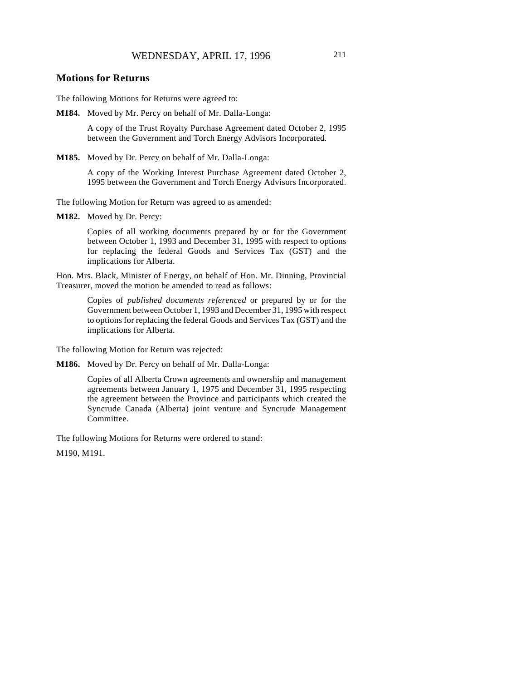#### **Motions for Returns**

The following Motions for Returns were agreed to:

**M184.** Moved by Mr. Percy on behalf of Mr. Dalla-Longa:

A copy of the Trust Royalty Purchase Agreement dated October 2, 1995 between the Government and Torch Energy Advisors Incorporated.

**M185.** Moved by Dr. Percy on behalf of Mr. Dalla-Longa:

A copy of the Working Interest Purchase Agreement dated October 2, 1995 between the Government and Torch Energy Advisors Incorporated.

The following Motion for Return was agreed to as amended:

**M182.** Moved by Dr. Percy:

Copies of all working documents prepared by or for the Government between October 1, 1993 and December 31, 1995 with respect to options for replacing the federal Goods and Services Tax (GST) and the implications for Alberta.

Hon. Mrs. Black, Minister of Energy, on behalf of Hon. Mr. Dinning, Provincial Treasurer, moved the motion be amended to read as follows:

> Copies of *published documents referenced* or prepared by or for the Government between October 1, 1993 and December 31, 1995 with respect to options for replacing the federal Goods and Services Tax (GST) and the implications for Alberta.

The following Motion for Return was rejected:

**M186.** Moved by Dr. Percy on behalf of Mr. Dalla-Longa:

Copies of all Alberta Crown agreements and ownership and management agreements between January 1, 1975 and December 31, 1995 respecting the agreement between the Province and participants which created the Syncrude Canada (Alberta) joint venture and Syncrude Management Committee.

The following Motions for Returns were ordered to stand:

M190, M191.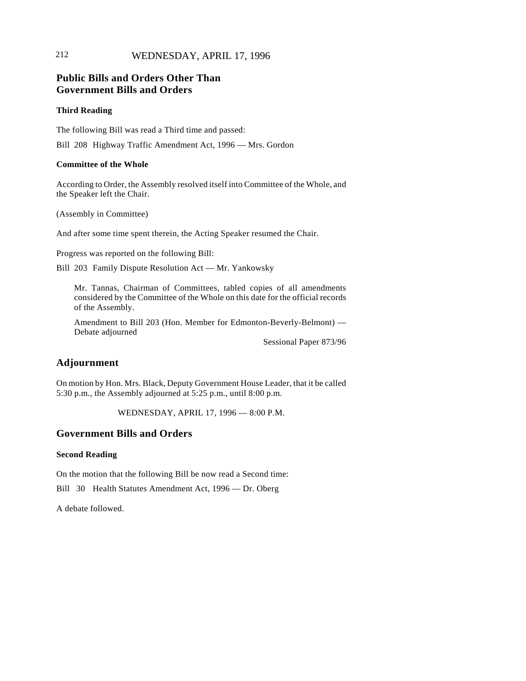# 212 WEDNESDAY, APRIL 17, 1996

# **Public Bills and Orders Other Than Government Bills and Orders**

#### **Third Reading**

The following Bill was read a Third time and passed:

Bill 208 Highway Traffic Amendment Act, 1996 — Mrs. Gordon

#### **Committee of the Whole**

According to Order, the Assembly resolved itself into Committee of the Whole, and the Speaker left the Chair.

(Assembly in Committee)

And after some time spent therein, the Acting Speaker resumed the Chair.

Progress was reported on the following Bill:

Bill 203 Family Dispute Resolution Act — Mr. Yankowsky

Mr. Tannas, Chairman of Committees, tabled copies of all amendments considered by the Committee of the Whole on this date for the official records of the Assembly.

Amendment to Bill 203 (Hon. Member for Edmonton-Beverly-Belmont) — Debate adjourned

Sessional Paper 873/96

## **Adjournment**

On motion by Hon. Mrs. Black, Deputy Government House Leader, that it be called 5:30 p.m., the Assembly adjourned at 5:25 p.m., until 8:00 p.m.

WEDNESDAY, APRIL 17, 1996 — 8:00 P.M.

## **Government Bills and Orders**

#### **Second Reading**

On the motion that the following Bill be now read a Second time:

Bill 30 Health Statutes Amendment Act, 1996 — Dr. Oberg

A debate followed.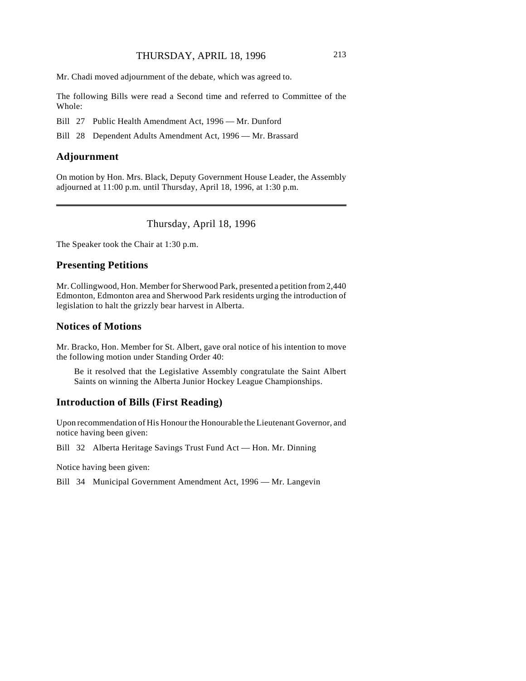Mr. Chadi moved adjournment of the debate, which was agreed to.

The following Bills were read a Second time and referred to Committee of the Whole:

Bill 27 Public Health Amendment Act, 1996 — Mr. Dunford

Bill 28 Dependent Adults Amendment Act, 1996 — Mr. Brassard

## **Adjournment**

On motion by Hon. Mrs. Black, Deputy Government House Leader, the Assembly adjourned at 11:00 p.m. until Thursday, April 18, 1996, at 1:30 p.m.

# Thursday, April 18, 1996

The Speaker took the Chair at 1:30 p.m.

#### **Presenting Petitions**

Mr. Collingwood, Hon. Member for Sherwood Park, presented a petition from 2,440 Edmonton, Edmonton area and Sherwood Park residents urging the introduction of legislation to halt the grizzly bear harvest in Alberta.

## **Notices of Motions**

Mr. Bracko, Hon. Member for St. Albert, gave oral notice of his intention to move the following motion under Standing Order 40:

Be it resolved that the Legislative Assembly congratulate the Saint Albert Saints on winning the Alberta Junior Hockey League Championships.

## **Introduction of Bills (First Reading)**

Upon recommendation of His Honour the Honourable the Lieutenant Governor, and notice having been given:

Bill 32 Alberta Heritage Savings Trust Fund Act — Hon. Mr. Dinning

Notice having been given:

Bill 34 Municipal Government Amendment Act, 1996 — Mr. Langevin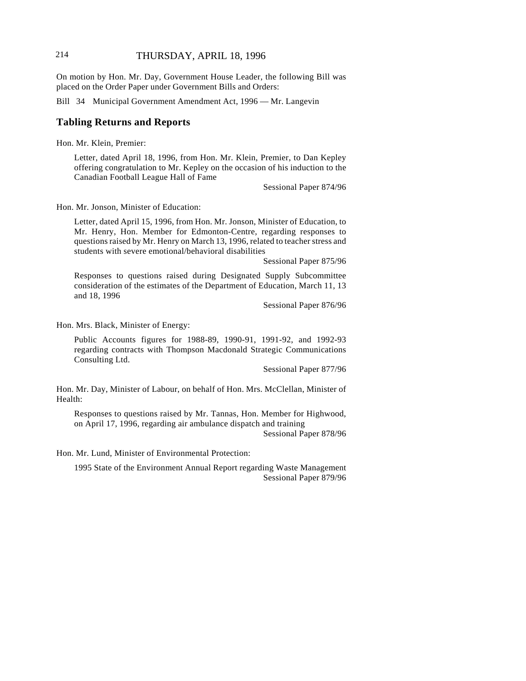# 214 THURSDAY, APRIL 18, 1996

On motion by Hon. Mr. Day, Government House Leader, the following Bill was placed on the Order Paper under Government Bills and Orders:

Bill 34 Municipal Government Amendment Act, 1996 — Mr. Langevin

### **Tabling Returns and Reports**

Hon. Mr. Klein, Premier:

Letter, dated April 18, 1996, from Hon. Mr. Klein, Premier, to Dan Kepley offering congratulation to Mr. Kepley on the occasion of his induction to the Canadian Football League Hall of Fame

Sessional Paper 874/96

Hon. Mr. Jonson, Minister of Education:

Letter, dated April 15, 1996, from Hon. Mr. Jonson, Minister of Education, to Mr. Henry, Hon. Member for Edmonton-Centre, regarding responses to questions raised by Mr. Henry on March 13, 1996, related to teacher stress and students with severe emotional/behavioral disabilities

Sessional Paper 875/96

Responses to questions raised during Designated Supply Subcommittee consideration of the estimates of the Department of Education, March 11, 13 and 18, 1996

Sessional Paper 876/96

Hon. Mrs. Black, Minister of Energy:

Public Accounts figures for 1988-89, 1990-91, 1991-92, and 1992-93 regarding contracts with Thompson Macdonald Strategic Communications Consulting Ltd.

Sessional Paper 877/96

Hon. Mr. Day, Minister of Labour, on behalf of Hon. Mrs. McClellan, Minister of Health:

Responses to questions raised by Mr. Tannas, Hon. Member for Highwood, on April 17, 1996, regarding air ambulance dispatch and training

Sessional Paper 878/96

Hon. Mr. Lund, Minister of Environmental Protection:

1995 State of the Environment Annual Report regarding Waste Management Sessional Paper 879/96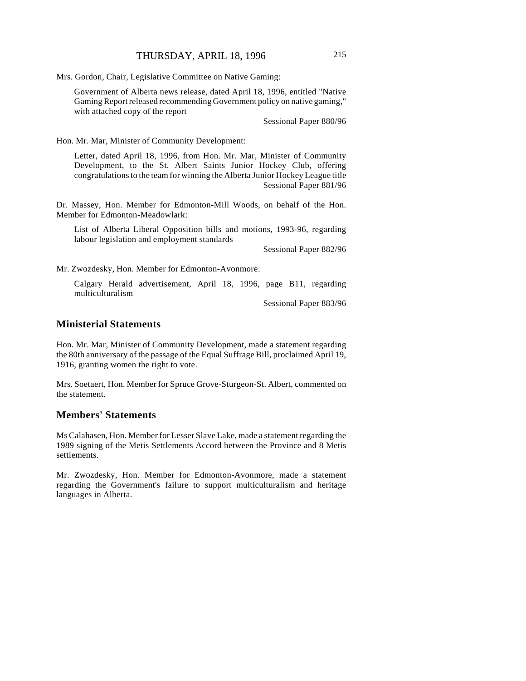Mrs. Gordon, Chair, Legislative Committee on Native Gaming:

Government of Alberta news release, dated April 18, 1996, entitled "Native Gaming Report released recommending Government policy on native gaming," with attached copy of the report

Sessional Paper 880/96

Hon. Mr. Mar, Minister of Community Development:

Letter, dated April 18, 1996, from Hon. Mr. Mar, Minister of Community Development, to the St. Albert Saints Junior Hockey Club, offering congratulations to the team for winning the Alberta Junior Hockey League title Sessional Paper 881/96

Dr. Massey, Hon. Member for Edmonton-Mill Woods, on behalf of the Hon. Member for Edmonton-Meadowlark:

List of Alberta Liberal Opposition bills and motions, 1993-96, regarding labour legislation and employment standards

Sessional Paper 882/96

Mr. Zwozdesky, Hon. Member for Edmonton-Avonmore:

Calgary Herald advertisement, April 18, 1996, page B11, regarding multiculturalism

Sessional Paper 883/96

### **Ministerial Statements**

Hon. Mr. Mar, Minister of Community Development, made a statement regarding the 80th anniversary of the passage of the Equal Suffrage Bill, proclaimed April 19, 1916, granting women the right to vote.

Mrs. Soetaert, Hon. Member for Spruce Grove-Sturgeon-St. Albert, commented on the statement.

#### **Members' Statements**

Ms Calahasen, Hon. Member for Lesser Slave Lake, made a statement regarding the 1989 signing of the Metis Settlements Accord between the Province and 8 Metis settlements.

Mr. Zwozdesky, Hon. Member for Edmonton-Avonmore, made a statement regarding the Government's failure to support multiculturalism and heritage languages in Alberta.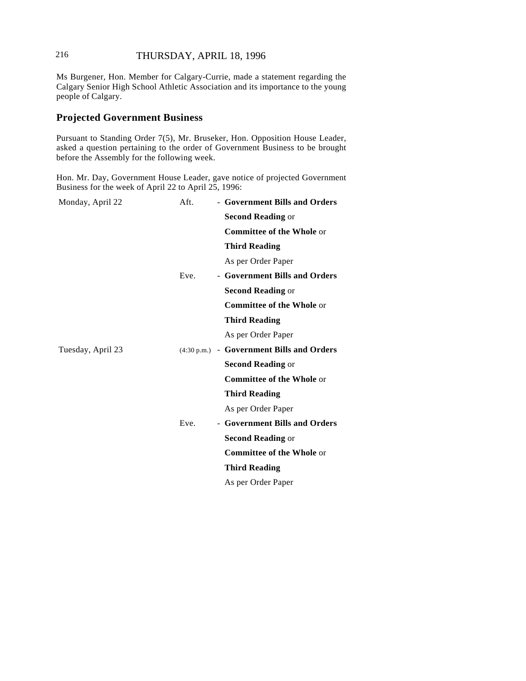# 216 THURSDAY, APRIL 18, 1996

Ms Burgener, Hon. Member for Calgary-Currie, made a statement regarding the Calgary Senior High School Athletic Association and its importance to the young people of Calgary.

## **Projected Government Business**

Pursuant to Standing Order 7(5), Mr. Bruseker, Hon. Opposition House Leader, asked a question pertaining to the order of Government Business to be brought before the Assembly for the following week.

Hon. Mr. Day, Government House Leader, gave notice of projected Government Business for the week of April 22 to April 25, 1996:

| Monday, April 22  | Aft. | - Government Bills and Orders             |
|-------------------|------|-------------------------------------------|
|                   |      | <b>Second Reading or</b>                  |
|                   |      | <b>Committee of the Whole or</b>          |
|                   |      | <b>Third Reading</b>                      |
|                   |      | As per Order Paper                        |
|                   | Eve. | - Government Bills and Orders             |
|                   |      | <b>Second Reading or</b>                  |
|                   |      | <b>Committee of the Whole or</b>          |
|                   |      | <b>Third Reading</b>                      |
|                   |      | As per Order Paper                        |
| Tuesday, April 23 |      | (4:30 p.m.) - Government Bills and Orders |
|                   |      | <b>Second Reading or</b>                  |
|                   |      | <b>Committee of the Whole or</b>          |
|                   |      | <b>Third Reading</b>                      |
|                   |      | As per Order Paper                        |
|                   | Eve. | - Government Bills and Orders             |
|                   |      | <b>Second Reading or</b>                  |
|                   |      | <b>Committee of the Whole or</b>          |
|                   |      | <b>Third Reading</b>                      |
|                   |      | As per Order Paper                        |
|                   |      |                                           |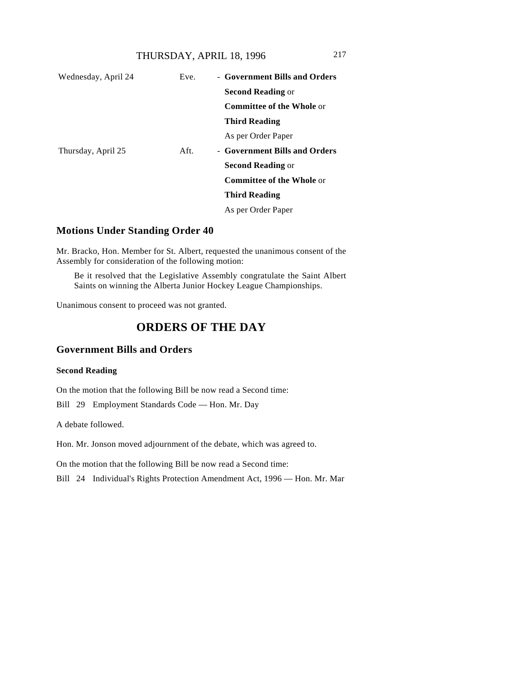| Wednesday, April 24 | Eve. | - Government Bills and Orders    |
|---------------------|------|----------------------------------|
|                     |      | <b>Second Reading or</b>         |
|                     |      | <b>Committee of the Whole or</b> |
|                     |      | <b>Third Reading</b>             |
|                     |      | As per Order Paper               |
| Thursday, April 25  | Aft. | - Government Bills and Orders    |
|                     |      | <b>Second Reading or</b>         |
|                     |      | <b>Committee of the Whole or</b> |
|                     |      | <b>Third Reading</b>             |
|                     |      | As per Order Paper               |

### **Motions Under Standing Order 40**

Mr. Bracko, Hon. Member for St. Albert, requested the unanimous consent of the Assembly for consideration of the following motion:

Be it resolved that the Legislative Assembly congratulate the Saint Albert Saints on winning the Alberta Junior Hockey League Championships.

Unanimous consent to proceed was not granted.

# **ORDERS OF THE DAY**

# **Government Bills and Orders**

### **Second Reading**

On the motion that the following Bill be now read a Second time:

Bill 29 Employment Standards Code — Hon. Mr. Day

A debate followed.

Hon. Mr. Jonson moved adjournment of the debate, which was agreed to.

On the motion that the following Bill be now read a Second time:

Bill 24 Individual's Rights Protection Amendment Act, 1996 — Hon. Mr. Mar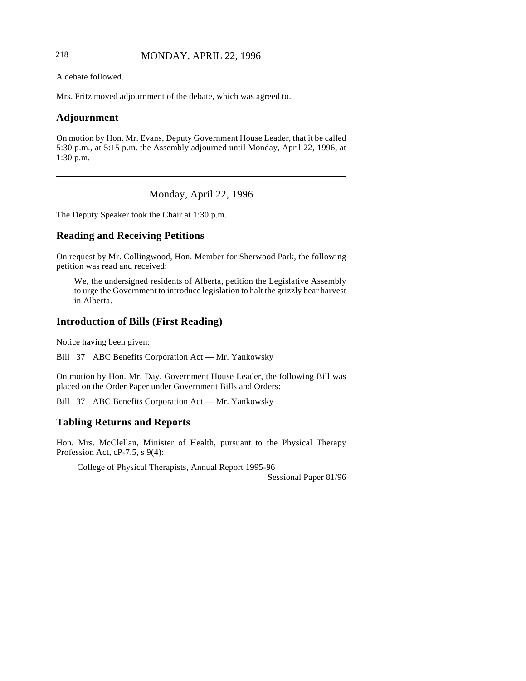## 218 MONDAY, APRIL 22, 1996

A debate followed.

Mrs. Fritz moved adjournment of the debate, which was agreed to.

# **Adjournment**

On motion by Hon. Mr. Evans, Deputy Government House Leader, that it be called 5:30 p.m., at 5:15 p.m. the Assembly adjourned until Monday, April 22, 1996, at 1:30 p.m.

Monday, April 22, 1996

The Deputy Speaker took the Chair at 1:30 p.m.

# **Reading and Receiving Petitions**

On request by Mr. Collingwood, Hon. Member for Sherwood Park, the following petition was read and received:

We, the undersigned residents of Alberta, petition the Legislative Assembly to urge the Government to introduce legislation to halt the grizzly bear harvest in Alberta.

# **Introduction of Bills (First Reading)**

Notice having been given:

Bill 37 ABC Benefits Corporation Act — Mr. Yankowsky

On motion by Hon. Mr. Day, Government House Leader, the following Bill was placed on the Order Paper under Government Bills and Orders:

Bill 37 ABC Benefits Corporation Act — Mr. Yankowsky

# **Tabling Returns and Reports**

Hon. Mrs. McClellan, Minister of Health, pursuant to the Physical Therapy Profession Act, cP-7.5, s 9(4):

College of Physical Therapists, Annual Report 1995-96

Sessional Paper 81/96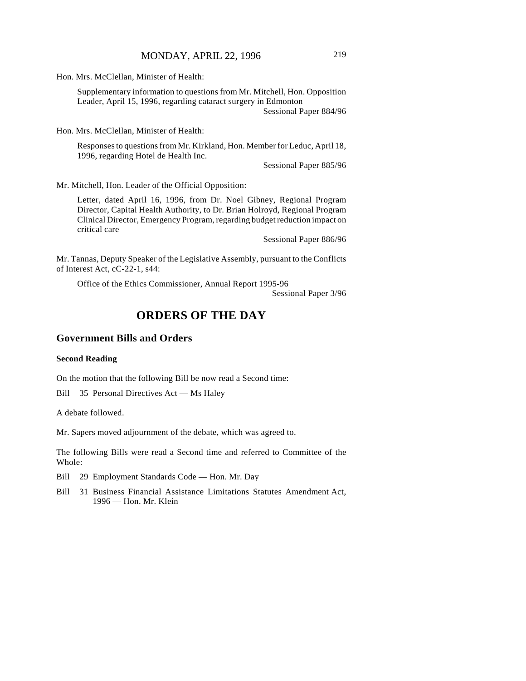Hon. Mrs. McClellan, Minister of Health:

Supplementary information to questions from Mr. Mitchell, Hon. Opposition Leader, April 15, 1996, regarding cataract surgery in Edmonton Sessional Paper 884/96

Hon. Mrs. McClellan, Minister of Health:

Responses to questions from Mr. Kirkland, Hon. Member for Leduc, April 18, 1996, regarding Hotel de Health Inc.

Sessional Paper 885/96

Mr. Mitchell, Hon. Leader of the Official Opposition:

Letter, dated April 16, 1996, from Dr. Noel Gibney, Regional Program Director, Capital Health Authority, to Dr. Brian Holroyd, Regional Program Clinical Director, Emergency Program, regarding budget reduction impact on critical care

Sessional Paper 886/96

Mr. Tannas, Deputy Speaker of the Legislative Assembly, pursuant to the Conflicts of Interest Act, cC-22-1, s44:

Office of the Ethics Commissioner, Annual Report 1995-96

Sessional Paper 3/96

# **ORDERS OF THE DAY**

# **Government Bills and Orders**

### **Second Reading**

On the motion that the following Bill be now read a Second time:

Bill 35 Personal Directives Act — Ms Haley

A debate followed.

Mr. Sapers moved adjournment of the debate, which was agreed to.

The following Bills were read a Second time and referred to Committee of the Whole:

Bill 29 Employment Standards Code — Hon. Mr. Day

Bill 31 Business Financial Assistance Limitations Statutes Amendment Act, 1996 — Hon. Mr. Klein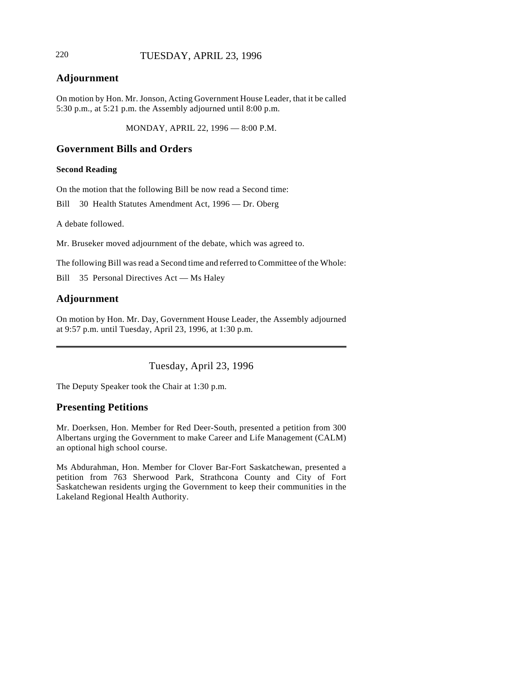# 220 TUESDAY, APRIL 23, 1996

# **Adjournment**

On motion by Hon. Mr. Jonson, Acting Government House Leader, that it be called 5:30 p.m., at 5:21 p.m. the Assembly adjourned until 8:00 p.m.

MONDAY, APRIL 22, 1996 — 8:00 P.M.

## **Government Bills and Orders**

#### **Second Reading**

On the motion that the following Bill be now read a Second time:

Bill 30 Health Statutes Amendment Act, 1996 — Dr. Oberg

A debate followed.

Mr. Bruseker moved adjournment of the debate, which was agreed to.

The following Bill was read a Second time and referred to Committee of the Whole:

Bill 35 Personal Directives Act — Ms Haley

# **Adjournment**

On motion by Hon. Mr. Day, Government House Leader, the Assembly adjourned at 9:57 p.m. until Tuesday, April 23, 1996, at 1:30 p.m.

Tuesday, April 23, 1996

The Deputy Speaker took the Chair at 1:30 p.m.

# **Presenting Petitions**

Mr. Doerksen, Hon. Member for Red Deer-South, presented a petition from 300 Albertans urging the Government to make Career and Life Management (CALM) an optional high school course.

Ms Abdurahman, Hon. Member for Clover Bar-Fort Saskatchewan, presented a petition from 763 Sherwood Park, Strathcona County and City of Fort Saskatchewan residents urging the Government to keep their communities in the Lakeland Regional Health Authority.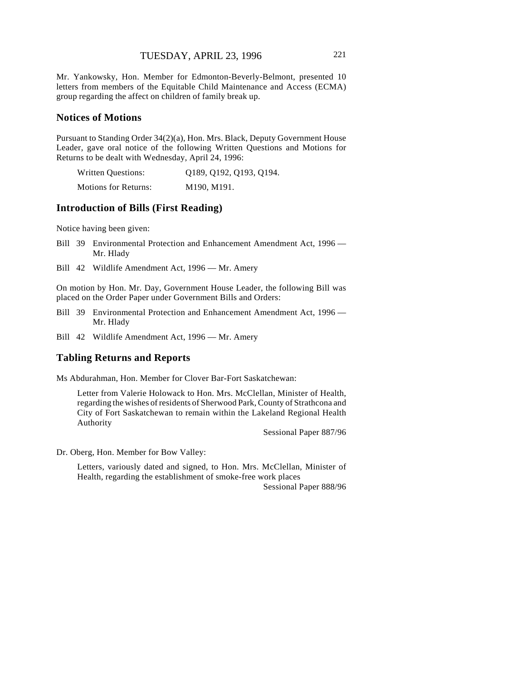Mr. Yankowsky, Hon. Member for Edmonton-Beverly-Belmont, presented 10 letters from members of the Equitable Child Maintenance and Access (ECMA) group regarding the affect on children of family break up.

### **Notices of Motions**

Pursuant to Standing Order 34(2)(a), Hon. Mrs. Black, Deputy Government House Leader, gave oral notice of the following Written Questions and Motions for Returns to be dealt with Wednesday, April 24, 1996:

| Written Questions:          | Q189, Q192, Q193, Q194. |
|-----------------------------|-------------------------|
| <b>Motions for Returns:</b> | M190, M191.             |

# **Introduction of Bills (First Reading)**

Notice having been given:

- Bill 39 Environmental Protection and Enhancement Amendment Act, 1996 Mr. Hlady
- Bill 42 Wildlife Amendment Act, 1996 Mr. Amery

On motion by Hon. Mr. Day, Government House Leader, the following Bill was placed on the Order Paper under Government Bills and Orders:

- Bill 39 Environmental Protection and Enhancement Amendment Act, 1996 Mr. Hlady
- Bill 42 Wildlife Amendment Act, 1996 Mr. Amery

### **Tabling Returns and Reports**

Ms Abdurahman, Hon. Member for Clover Bar-Fort Saskatchewan:

Letter from Valerie Holowack to Hon. Mrs. McClellan, Minister of Health, regarding the wishes of residents of Sherwood Park, County of Strathcona and City of Fort Saskatchewan to remain within the Lakeland Regional Health Authority

Sessional Paper 887/96

Dr. Oberg, Hon. Member for Bow Valley:

Letters, variously dated and signed, to Hon. Mrs. McClellan, Minister of Health, regarding the establishment of smoke-free work places

Sessional Paper 888/96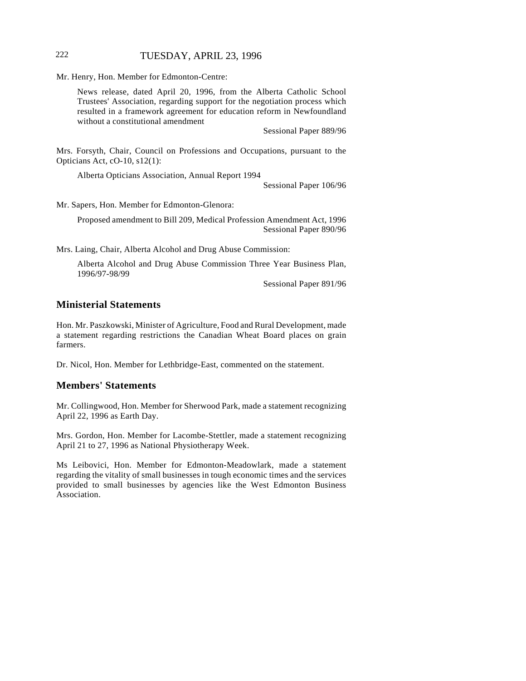### 222 TUESDAY, APRIL 23, 1996

Mr. Henry, Hon. Member for Edmonton-Centre:

News release, dated April 20, 1996, from the Alberta Catholic School Trustees' Association, regarding support for the negotiation process which resulted in a framework agreement for education reform in Newfoundland without a constitutional amendment

Sessional Paper 889/96

Mrs. Forsyth, Chair, Council on Professions and Occupations, pursuant to the Opticians Act, cO-10, s12(1):

Alberta Opticians Association, Annual Report 1994

Sessional Paper 106/96

Mr. Sapers, Hon. Member for Edmonton-Glenora:

Proposed amendment to Bill 209, Medical Profession Amendment Act, 1996 Sessional Paper 890/96

Mrs. Laing, Chair, Alberta Alcohol and Drug Abuse Commission:

Alberta Alcohol and Drug Abuse Commission Three Year Business Plan, 1996/97-98/99

Sessional Paper 891/96

### **Ministerial Statements**

Hon. Mr. Paszkowski, Minister of Agriculture, Food and Rural Development, made a statement regarding restrictions the Canadian Wheat Board places on grain farmers.

Dr. Nicol, Hon. Member for Lethbridge-East, commented on the statement.

### **Members' Statements**

Mr. Collingwood, Hon. Member for Sherwood Park, made a statement recognizing April 22, 1996 as Earth Day.

Mrs. Gordon, Hon. Member for Lacombe-Stettler, made a statement recognizing April 21 to 27, 1996 as National Physiotherapy Week.

Ms Leibovici, Hon. Member for Edmonton-Meadowlark, made a statement regarding the vitality of small businesses in tough economic times and the services provided to small businesses by agencies like the West Edmonton Business Association.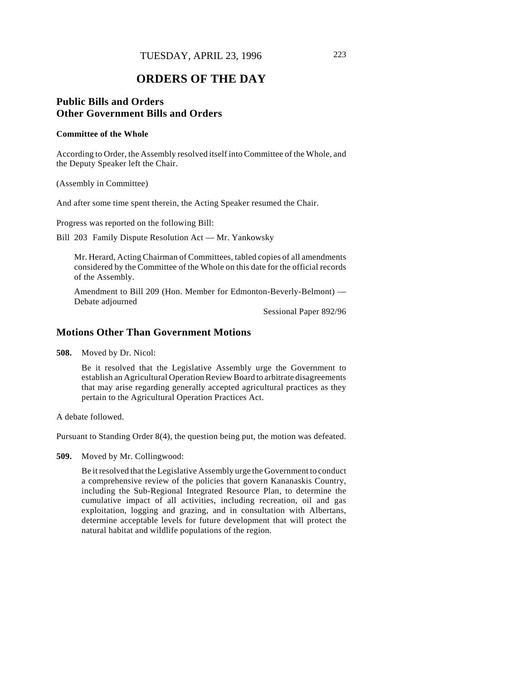# **ORDERS OF THE DAY**

# **Public Bills and Orders Other Government Bills and Orders**

#### **Committee of the Whole**

According to Order, the Assembly resolved itself into Committee of the Whole, and the Deputy Speaker left the Chair.

(Assembly in Committee)

And after some time spent therein, the Acting Speaker resumed the Chair.

Progress was reported on the following Bill:

Bill 203 Family Dispute Resolution Act — Mr. Yankowsky

Mr. Herard, Acting Chairman of Committees, tabled copies of all amendments considered by the Committee of the Whole on this date for the official records of the Assembly.

Amendment to Bill 209 (Hon. Member for Edmonton-Beverly-Belmont) — Debate adjourned

Sessional Paper 892/96

## **Motions Other Than Government Motions**

**508.** Moved by Dr. Nicol:

Be it resolved that the Legislative Assembly urge the Government to establish an Agricultural Operation Review Board to arbitrate disagreements that may arise regarding generally accepted agricultural practices as they pertain to the Agricultural Operation Practices Act.

A debate followed.

Pursuant to Standing Order 8(4), the question being put, the motion was defeated.

**509.** Moved by Mr. Collingwood:

Be it resolved that the Legislative Assembly urge the Government to conduct a comprehensive review of the policies that govern Kananaskis Country, including the Sub-Regional Integrated Resource Plan, to determine the cumulative impact of all activities, including recreation, oil and gas exploitation, logging and grazing, and in consultation with Albertans, determine acceptable levels for future development that will protect the natural habitat and wildlife populations of the region.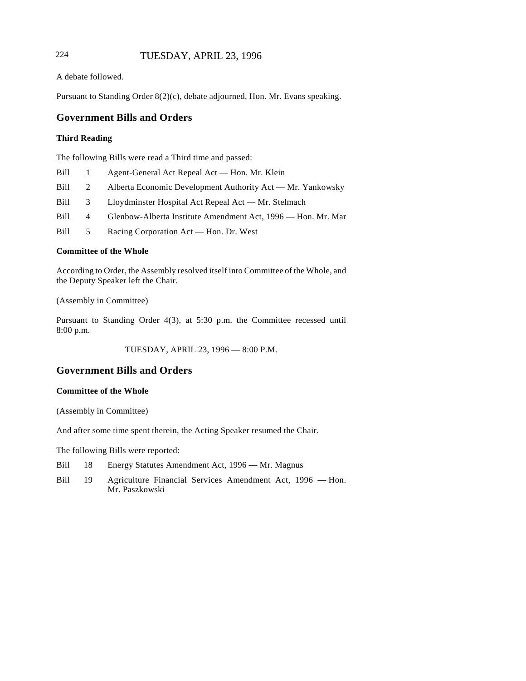# 224 TUESDAY, APRIL 23, 1996

A debate followed.

Pursuant to Standing Order 8(2)(c), debate adjourned, Hon. Mr. Evans speaking.

## **Government Bills and Orders**

### **Third Reading**

The following Bills were read a Third time and passed:

| Bill |   | Agent-General Act Repeal Act — Hon. Mr. Klein                |
|------|---|--------------------------------------------------------------|
| Bill | 2 | Alberta Economic Development Authority Act — Mr. Yankowsky   |
| Bill | 3 | Lloydminster Hospital Act Repeal Act — Mr. Stelmach          |
| Bill | 4 | Glenbow-Alberta Institute Amendment Act, 1996 — Hon. Mr. Mar |
| Bill | 5 | Racing Corporation Act — Hon. Dr. West                       |

### **Committee of the Whole**

According to Order, the Assembly resolved itself into Committee of the Whole, and the Deputy Speaker left the Chair.

(Assembly in Committee)

Pursuant to Standing Order 4(3), at 5:30 p.m. the Committee recessed until 8:00 p.m.

TUESDAY, APRIL 23, 1996 — 8:00 P.M.

# **Government Bills and Orders**

#### **Committee of the Whole**

(Assembly in Committee)

And after some time spent therein, the Acting Speaker resumed the Chair.

The following Bills were reported:

- Bill 18 Energy Statutes Amendment Act, 1996 Mr. Magnus
- Bill 19 Agriculture Financial Services Amendment Act, 1996 Hon. Mr. Paszkowski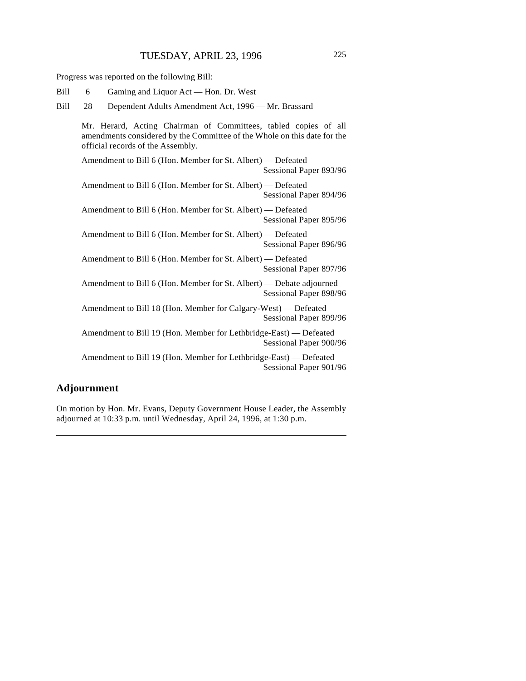Progress was reported on the following Bill:

| Bill | 6  |                                                                                                                                                                                  |  | Gaming and Liquor Act — Hon. Dr. West               |  |                        |  |
|------|----|----------------------------------------------------------------------------------------------------------------------------------------------------------------------------------|--|-----------------------------------------------------|--|------------------------|--|
|      |    |                                                                                                                                                                                  |  |                                                     |  |                        |  |
| Bill | 28 |                                                                                                                                                                                  |  | Dependent Adults Amendment Act, 1996 - Mr. Brassard |  |                        |  |
|      |    | Mr. Herard, Acting Chairman of Committees, tabled copies of all<br>amendments considered by the Committee of the Whole on this date for the<br>official records of the Assembly. |  |                                                     |  |                        |  |
|      |    | Amendment to Bill 6 (Hon. Member for St. Albert) — Defeated                                                                                                                      |  |                                                     |  | Sessional Paper 893/96 |  |
|      |    | Amendment to Bill 6 (Hon. Member for St. Albert) — Defeated                                                                                                                      |  |                                                     |  | Sessional Paper 894/96 |  |
|      |    | Amendment to Bill 6 (Hon. Member for St. Albert) — Defeated                                                                                                                      |  |                                                     |  | Sessional Paper 895/96 |  |
|      |    | Amendment to Bill 6 (Hon. Member for St. Albert) — Defeated                                                                                                                      |  |                                                     |  | Sessional Paper 896/96 |  |
|      |    | Amendment to Bill 6 (Hon. Member for St. Albert) — Defeated                                                                                                                      |  |                                                     |  | Sessional Paper 897/96 |  |
|      |    | Amendment to Bill 6 (Hon. Member for St. Albert) — Debate adjourned                                                                                                              |  |                                                     |  | Sessional Paper 898/96 |  |
|      |    | Amendment to Bill 18 (Hon. Member for Calgary-West) — Defeated                                                                                                                   |  |                                                     |  | Sessional Paper 899/96 |  |
|      |    | Amendment to Bill 19 (Hon. Member for Lethbridge-East) — Defeated                                                                                                                |  |                                                     |  | Sessional Paper 900/96 |  |
|      |    | Amendment to Bill 19 (Hon. Member for Lethbridge-East) — Defeated                                                                                                                |  |                                                     |  | Sessional Paper 901/96 |  |

# **Adjournment**

On motion by Hon. Mr. Evans, Deputy Government House Leader, the Assembly adjourned at 10:33 p.m. until Wednesday, April 24, 1996, at 1:30 p.m.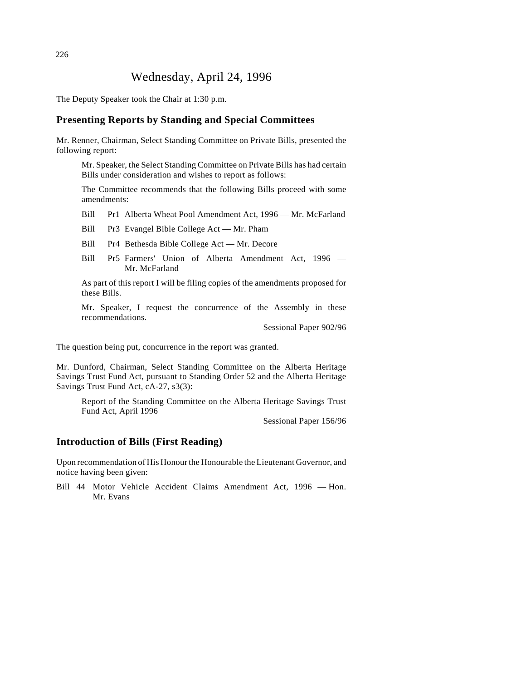# Wednesday, April 24, 1996

The Deputy Speaker took the Chair at 1:30 p.m.

### **Presenting Reports by Standing and Special Committees**

Mr. Renner, Chairman, Select Standing Committee on Private Bills, presented the following report:

Mr. Speaker, the Select Standing Committee on Private Bills has had certain Bills under consideration and wishes to report as follows:

The Committee recommends that the following Bills proceed with some amendments:

Bill Pr1 Alberta Wheat Pool Amendment Act, 1996 — Mr. McFarland

Bill Pr3 Evangel Bible College Act — Mr. Pham

- Bill Pr4 Bethesda Bible College Act Mr. Decore
- Bill Pr5 Farmers' Union of Alberta Amendment Act, 1996 Mr. McFarland

As part of this report I will be filing copies of the amendments proposed for these Bills.

Mr. Speaker, I request the concurrence of the Assembly in these recommendations.

Sessional Paper 902/96

The question being put, concurrence in the report was granted.

Mr. Dunford, Chairman, Select Standing Committee on the Alberta Heritage Savings Trust Fund Act, pursuant to Standing Order 52 and the Alberta Heritage Savings Trust Fund Act, cA-27, s3(3):

Report of the Standing Committee on the Alberta Heritage Savings Trust Fund Act, April 1996

Sessional Paper 156/96

# **Introduction of Bills (First Reading)**

Upon recommendation of His Honour the Honourable the Lieutenant Governor, and notice having been given:

Bill 44 Motor Vehicle Accident Claims Amendment Act, 1996 — Hon. Mr. Evans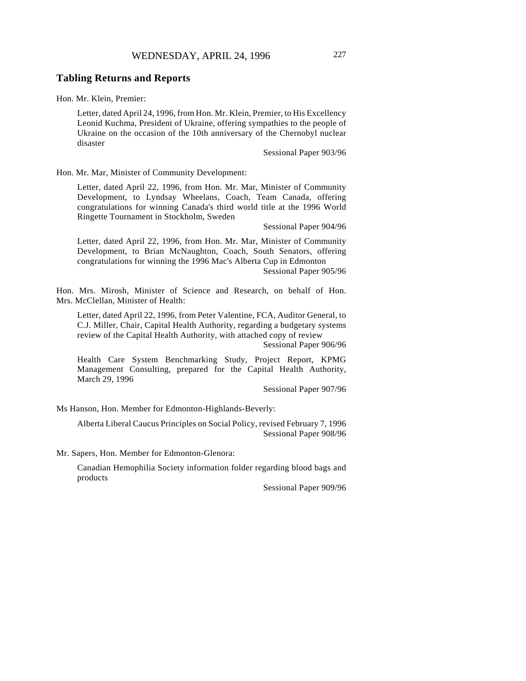### **Tabling Returns and Reports**

Hon. Mr. Klein, Premier:

Letter, dated April 24, 1996, from Hon. Mr. Klein, Premier, to His Excellency Leonid Kuchma, President of Ukraine, offering sympathies to the people of Ukraine on the occasion of the 10th anniversary of the Chernobyl nuclear disaster

Sessional Paper 903/96

Hon. Mr. Mar, Minister of Community Development:

Letter, dated April 22, 1996, from Hon. Mr. Mar, Minister of Community Development, to Lyndsay Wheelans, Coach, Team Canada, offering congratulations for winning Canada's third world title at the 1996 World Ringette Tournament in Stockholm, Sweden

Sessional Paper 904/96

Letter, dated April 22, 1996, from Hon. Mr. Mar, Minister of Community Development, to Brian McNaughton, Coach, South Senators, offering congratulations for winning the 1996 Mac's Alberta Cup in Edmonton Sessional Paper 905/96

Hon. Mrs. Mirosh, Minister of Science and Research, on behalf of Hon. Mrs. McClellan, Minister of Health:

Letter, dated April 22, 1996, from Peter Valentine, FCA, Auditor General, to C.J. Miller, Chair, Capital Health Authority, regarding a budgetary systems review of the Capital Health Authority, with attached copy of review

Sessional Paper 906/96

Health Care System Benchmarking Study, Project Report, KPMG Management Consulting, prepared for the Capital Health Authority, March 29, 1996

Sessional Paper 907/96

Ms Hanson, Hon. Member for Edmonton-Highlands-Beverly:

Alberta Liberal Caucus Principles on Social Policy, revised February 7, 1996 Sessional Paper 908/96

Mr. Sapers, Hon. Member for Edmonton-Glenora:

Canadian Hemophilia Society information folder regarding blood bags and products

Sessional Paper 909/96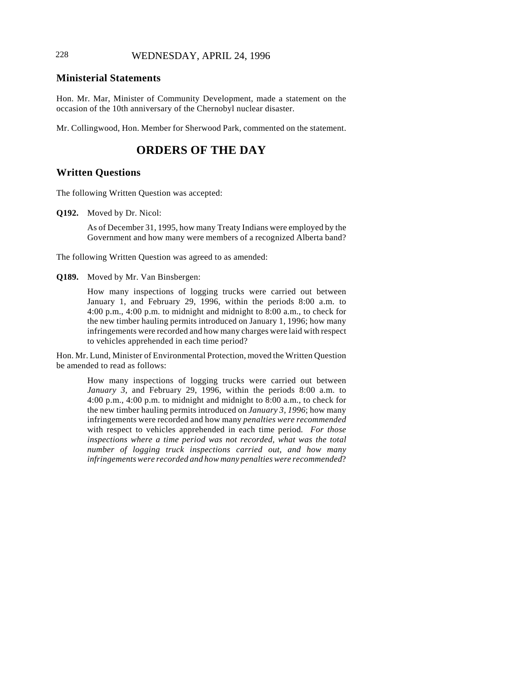# 228 WEDNESDAY, APRIL 24, 1996

# **Ministerial Statements**

Hon. Mr. Mar, Minister of Community Development, made a statement on the occasion of the 10th anniversary of the Chernobyl nuclear disaster.

Mr. Collingwood, Hon. Member for Sherwood Park, commented on the statement.

# **ORDERS OF THE DAY**

## **Written Questions**

The following Written Question was accepted:

**Q192.** Moved by Dr. Nicol:

As of December 31, 1995, how many Treaty Indians were employed by the Government and how many were members of a recognized Alberta band?

The following Written Question was agreed to as amended:

**Q189.** Moved by Mr. Van Binsbergen:

How many inspections of logging trucks were carried out between January 1, and February 29, 1996, within the periods 8:00 a.m. to 4:00 p.m., 4:00 p.m. to midnight and midnight to 8:00 a.m., to check for the new timber hauling permits introduced on January 1, 1996; how many infringements were recorded and how many charges were laid with respect to vehicles apprehended in each time period?

Hon. Mr. Lund, Minister of Environmental Protection, moved the Written Question be amended to read as follows:

> How many inspections of logging trucks were carried out between *January 3*, and February 29, 1996, within the periods 8:00 a.m. to 4:00 p.m., 4:00 p.m. to midnight and midnight to 8:00 a.m., to check for the new timber hauling permits introduced on *January 3, 1996*; how many infringements were recorded and how many *penalties were recommended* with respect to vehicles apprehended in each time period*. For those inspections where a time period was not recorded, what was the total number of logging truck inspections carried out, and how many infringements were recorded and how many penalties were recommended*?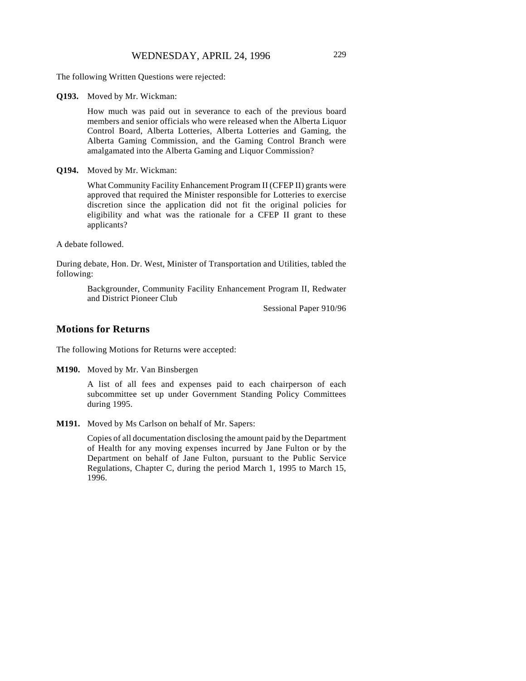The following Written Questions were rejected:

**Q193.** Moved by Mr. Wickman:

How much was paid out in severance to each of the previous board members and senior officials who were released when the Alberta Liquor Control Board, Alberta Lotteries, Alberta Lotteries and Gaming, the Alberta Gaming Commission, and the Gaming Control Branch were amalgamated into the Alberta Gaming and Liquor Commission?

**Q194.** Moved by Mr. Wickman:

What Community Facility Enhancement Program II (CFEP II) grants were approved that required the Minister responsible for Lotteries to exercise discretion since the application did not fit the original policies for eligibility and what was the rationale for a CFEP II grant to these applicants?

A debate followed.

During debate, Hon. Dr. West, Minister of Transportation and Utilities, tabled the following:

> Backgrounder, Community Facility Enhancement Program II, Redwater and District Pioneer Club

> > Sessional Paper 910/96

### **Motions for Returns**

The following Motions for Returns were accepted:

**M190.** Moved by Mr. Van Binsbergen

A list of all fees and expenses paid to each chairperson of each subcommittee set up under Government Standing Policy Committees during 1995.

**M191.** Moved by Ms Carlson on behalf of Mr. Sapers:

Copies of all documentation disclosing the amount paid by the Department of Health for any moving expenses incurred by Jane Fulton or by the Department on behalf of Jane Fulton, pursuant to the Public Service Regulations, Chapter C, during the period March 1, 1995 to March 15, 1996.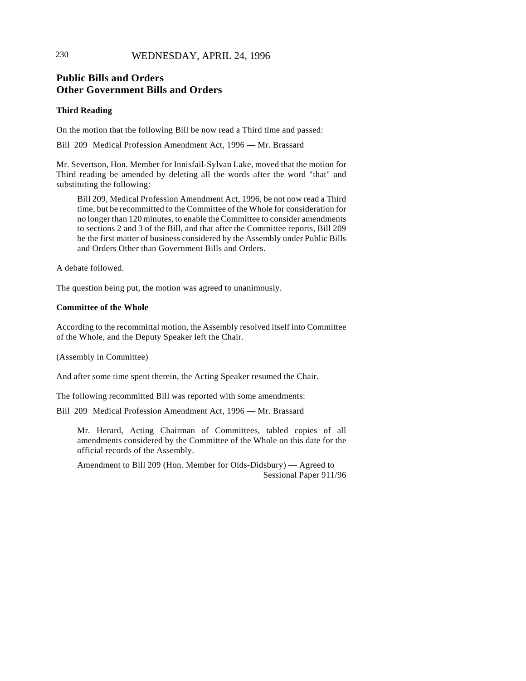# 230 WEDNESDAY, APRIL 24, 1996

# **Public Bills and Orders Other Government Bills and Orders**

#### **Third Reading**

On the motion that the following Bill be now read a Third time and passed:

Bill 209 Medical Profession Amendment Act, 1996 — Mr. Brassard

Mr. Severtson, Hon. Member for Innisfail-Sylvan Lake, moved that the motion for Third reading be amended by deleting all the words after the word "that" and substituting the following:

Bill 209, Medical Profession Amendment Act, 1996, be not now read a Third time, but be recommitted to the Committee of the Whole for consideration for no longer than 120 minutes, to enable the Committee to consider amendments to sections 2 and 3 of the Bill, and that after the Committee reports, Bill 209 be the first matter of business considered by the Assembly under Public Bills and Orders Other than Government Bills and Orders.

A debate followed.

The question being put, the motion was agreed to unanimously.

### **Committee of the Whole**

According to the recommittal motion, the Assembly resolved itself into Committee of the Whole, and the Deputy Speaker left the Chair.

(Assembly in Committee)

And after some time spent therein, the Acting Speaker resumed the Chair.

The following recommitted Bill was reported with some amendments:

Bill 209 Medical Profession Amendment Act, 1996 — Mr. Brassard

Mr. Herard, Acting Chairman of Committees, tabled copies of all amendments considered by the Committee of the Whole on this date for the official records of the Assembly.

Amendment to Bill 209 (Hon. Member for Olds-Didsbury) — Agreed to Sessional Paper 911/96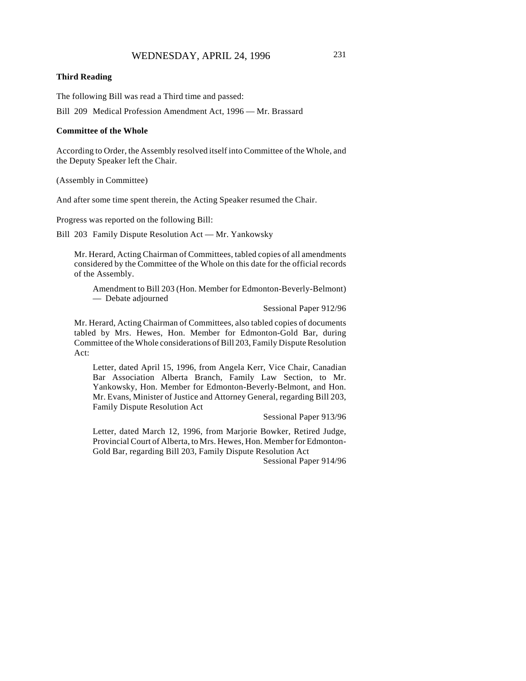#### **Third Reading**

The following Bill was read a Third time and passed:

Bill 209 Medical Profession Amendment Act, 1996 — Mr. Brassard

#### **Committee of the Whole**

According to Order, the Assembly resolved itself into Committee of the Whole, and the Deputy Speaker left the Chair.

(Assembly in Committee)

And after some time spent therein, the Acting Speaker resumed the Chair.

Progress was reported on the following Bill:

Bill 203 Family Dispute Resolution Act — Mr. Yankowsky

Mr. Herard, Acting Chairman of Committees, tabled copies of all amendments considered by the Committee of the Whole on this date for the official records of the Assembly.

Amendment to Bill 203 (Hon. Member for Edmonton-Beverly-Belmont) — Debate adjourned

Sessional Paper 912/96

Mr. Herard, Acting Chairman of Committees, also tabled copies of documents tabled by Mrs. Hewes, Hon. Member for Edmonton-Gold Bar, during Committee of the Whole considerations of Bill 203, Family Dispute Resolution Act:

Letter, dated April 15, 1996, from Angela Kerr, Vice Chair, Canadian Bar Association Alberta Branch, Family Law Section, to Mr. Yankowsky, Hon. Member for Edmonton-Beverly-Belmont, and Hon. Mr. Evans, Minister of Justice and Attorney General, regarding Bill 203, Family Dispute Resolution Act

Sessional Paper 913/96

Letter, dated March 12, 1996, from Marjorie Bowker, Retired Judge, Provincial Court of Alberta, to Mrs. Hewes, Hon. Member for Edmonton-Gold Bar, regarding Bill 203, Family Dispute Resolution Act

Sessional Paper 914/96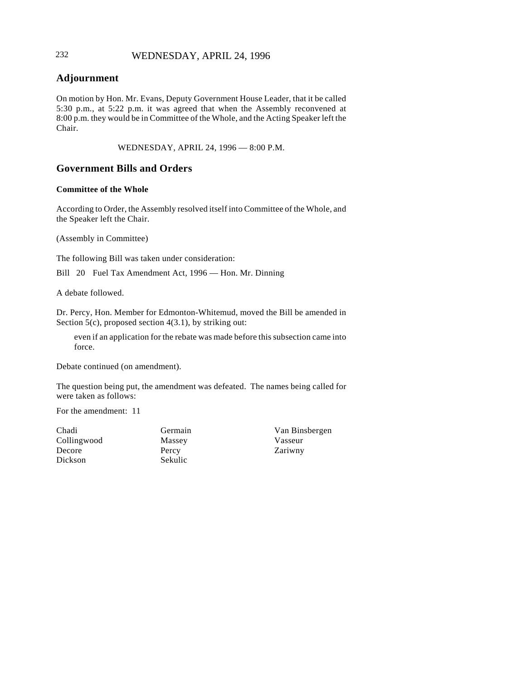# 232 WEDNESDAY, APRIL 24, 1996

# **Adjournment**

On motion by Hon. Mr. Evans, Deputy Government House Leader, that it be called 5:30 p.m., at 5:22 p.m. it was agreed that when the Assembly reconvened at 8:00 p.m. they would be in Committee of the Whole, and the Acting Speaker left the Chair.

WEDNESDAY, APRIL 24, 1996 — 8:00 P.M.

## **Government Bills and Orders**

### **Committee of the Whole**

According to Order, the Assembly resolved itself into Committee of the Whole, and the Speaker left the Chair.

(Assembly in Committee)

The following Bill was taken under consideration:

Bill 20 Fuel Tax Amendment Act, 1996 — Hon. Mr. Dinning

A debate followed.

Dr. Percy, Hon. Member for Edmonton-Whitemud, moved the Bill be amended in Section 5(c), proposed section 4(3.1), by striking out:

even if an application for the rebate was made before this subsection came into force.

Debate continued (on amendment).

The question being put, the amendment was defeated. The names being called for were taken as follows:

For the amendment: 11

Chadi Collingwood Decore Dickson

Germain Massey Percy Sekulic

Van Binsbergen Vasseur Zariwny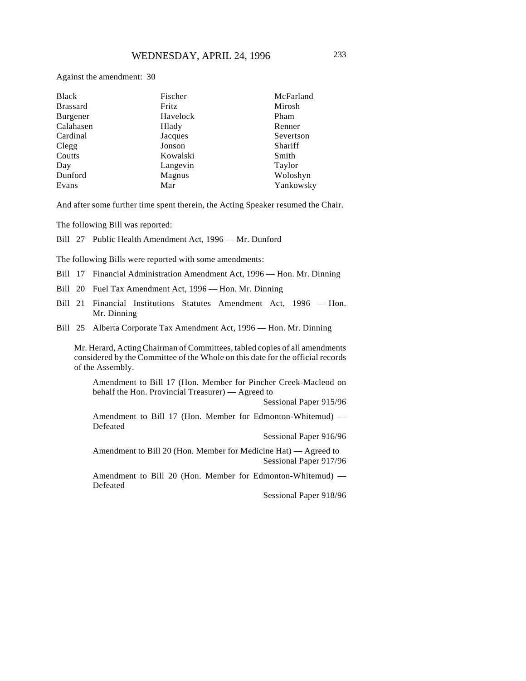| Black           | Fischer  | McFarland |
|-----------------|----------|-----------|
| <b>Brassard</b> | Fritz    | Mirosh    |
| Burgener        | Havelock | Pham      |
| Calahasen       | Hlady    | Renner    |
| Cardinal        | Jacques  | Severtson |
| Clegg           | Jonson   | Shariff   |
| Coutts          | Kowalski | Smith     |
| Day             | Langevin | Taylor    |
| Dunford         | Magnus   | Woloshyn  |
| Evans           | Mar      | Yankowsky |

And after some further time spent therein, the Acting Speaker resumed the Chair.

The following Bill was reported:

Bill 27 Public Health Amendment Act, 1996 — Mr. Dunford

The following Bills were reported with some amendments:

- Bill 17 Financial Administration Amendment Act, 1996 Hon. Mr. Dinning
- Bill 20 Fuel Tax Amendment Act, 1996 Hon. Mr. Dinning
- Bill 21 Financial Institutions Statutes Amendment Act, 1996 Hon. Mr. Dinning
- Bill 25 Alberta Corporate Tax Amendment Act, 1996 Hon. Mr. Dinning

Mr. Herard, Acting Chairman of Committees, tabled copies of all amendments considered by the Committee of the Whole on this date for the official records of the Assembly.

Amendment to Bill 17 (Hon. Member for Pincher Creek-Macleod on behalf the Hon. Provincial Treasurer) — Agreed to

Sessional Paper 915/96

Amendment to Bill 17 (Hon. Member for Edmonton-Whitemud) — Defeated

Sessional Paper 916/96

Amendment to Bill 20 (Hon. Member for Medicine Hat) — Agreed to Sessional Paper 917/96

Amendment to Bill 20 (Hon. Member for Edmonton-Whitemud) — Defeated

Sessional Paper 918/96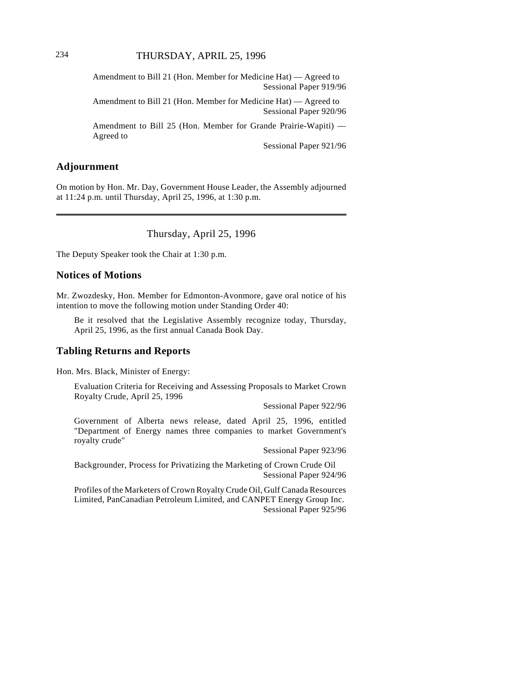Amendment to Bill 21 (Hon. Member for Medicine Hat) — Agreed to Sessional Paper 919/96

Amendment to Bill 21 (Hon. Member for Medicine Hat) — Agreed to Sessional Paper 920/96

Amendment to Bill 25 (Hon. Member for Grande Prairie-Wapiti) — Agreed to

Sessional Paper 921/96

### **Adjournment**

On motion by Hon. Mr. Day, Government House Leader, the Assembly adjourned at 11:24 p.m. until Thursday, April 25, 1996, at 1:30 p.m.

### Thursday, April 25, 1996

The Deputy Speaker took the Chair at 1:30 p.m.

### **Notices of Motions**

Mr. Zwozdesky, Hon. Member for Edmonton-Avonmore, gave oral notice of his intention to move the following motion under Standing Order 40:

Be it resolved that the Legislative Assembly recognize today, Thursday, April 25, 1996, as the first annual Canada Book Day.

### **Tabling Returns and Reports**

Hon. Mrs. Black, Minister of Energy:

Evaluation Criteria for Receiving and Assessing Proposals to Market Crown Royalty Crude, April 25, 1996

Sessional Paper 922/96

Government of Alberta news release, dated April 25, 1996, entitled "Department of Energy names three companies to market Government's royalty crude"

Sessional Paper 923/96

Backgrounder, Process for Privatizing the Marketing of Crown Crude Oil Sessional Paper 924/96

Profiles of the Marketers of Crown Royalty Crude Oil, Gulf Canada Resources Limited, PanCanadian Petroleum Limited, and CANPET Energy Group Inc. Sessional Paper 925/96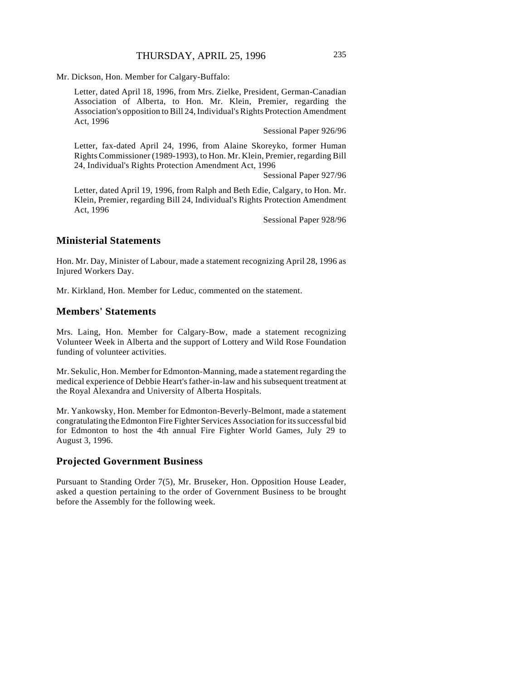Mr. Dickson, Hon. Member for Calgary-Buffalo:

Letter, dated April 18, 1996, from Mrs. Zielke, President, German-Canadian Association of Alberta, to Hon. Mr. Klein, Premier, regarding the Association's opposition to Bill 24, Individual's Rights Protection Amendment Act, 1996

Sessional Paper 926/96

Letter, fax-dated April 24, 1996, from Alaine Skoreyko, former Human Rights Commissioner (1989-1993), to Hon. Mr. Klein, Premier, regarding Bill 24, Individual's Rights Protection Amendment Act, 1996

Sessional Paper 927/96

Letter, dated April 19, 1996, from Ralph and Beth Edie, Calgary, to Hon. Mr. Klein, Premier, regarding Bill 24, Individual's Rights Protection Amendment Act, 1996

Sessional Paper 928/96

### **Ministerial Statements**

Hon. Mr. Day, Minister of Labour, made a statement recognizing April 28, 1996 as Injured Workers Day.

Mr. Kirkland, Hon. Member for Leduc, commented on the statement.

### **Members' Statements**

Mrs. Laing, Hon. Member for Calgary-Bow, made a statement recognizing Volunteer Week in Alberta and the support of Lottery and Wild Rose Foundation funding of volunteer activities.

Mr. Sekulic, Hon. Member for Edmonton-Manning, made a statement regarding the medical experience of Debbie Heart's father-in-law and his subsequent treatment at the Royal Alexandra and University of Alberta Hospitals.

Mr. Yankowsky, Hon. Member for Edmonton-Beverly-Belmont, made a statement congratulating the Edmonton Fire Fighter Services Association for its successful bid for Edmonton to host the 4th annual Fire Fighter World Games, July 29 to August 3, 1996.

### **Projected Government Business**

Pursuant to Standing Order 7(5), Mr. Bruseker, Hon. Opposition House Leader, asked a question pertaining to the order of Government Business to be brought before the Assembly for the following week.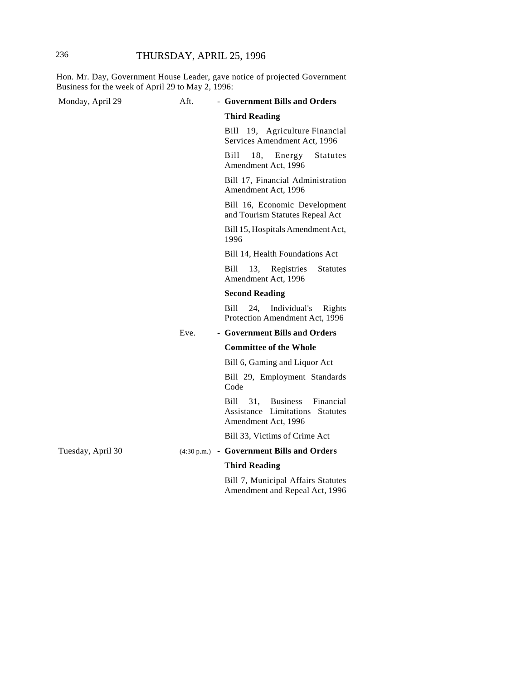Hon. Mr. Day, Government House Leader, gave notice of projected Government Business for the week of April 29 to May 2, 1996:

| Monday, April 29  | Aft. | - Government Bills and Orders                                                                                   |
|-------------------|------|-----------------------------------------------------------------------------------------------------------------|
|                   |      | <b>Third Reading</b>                                                                                            |
|                   |      | Bill 19, Agriculture Financial<br>Services Amendment Act, 1996                                                  |
|                   |      | Bill<br>18, Energy<br><b>Statutes</b><br>Amendment Act, 1996                                                    |
|                   |      | Bill 17, Financial Administration<br>Amendment Act, 1996                                                        |
|                   |      | Bill 16, Economic Development<br>and Tourism Statutes Repeal Act                                                |
|                   |      | Bill 15, Hospitals Amendment Act,<br>1996                                                                       |
|                   |      | Bill 14, Health Foundations Act                                                                                 |
|                   |      | 13,<br>Bill<br>Registries<br><b>Statutes</b><br>Amendment Act, 1996                                             |
|                   |      | <b>Second Reading</b>                                                                                           |
|                   |      | Bill<br>Individual's<br>24,<br>Rights<br>Protection Amendment Act, 1996                                         |
|                   | Eve. | - Government Bills and Orders                                                                                   |
|                   |      | <b>Committee of the Whole</b>                                                                                   |
|                   |      | Bill 6, Gaming and Liquor Act                                                                                   |
|                   |      | Bill 29, Employment Standards<br>Code                                                                           |
|                   |      | 31,<br><b>Business</b><br>Financial<br>Bill<br>Assistance Limitations<br><b>Statutes</b><br>Amendment Act, 1996 |
|                   |      | Bill 33, Victims of Crime Act                                                                                   |
| Tuesday, April 30 |      | (4:30 p.m.) - Government Bills and Orders                                                                       |
|                   |      | <b>Third Reading</b>                                                                                            |
|                   |      | Bill 7, Municipal Affairs Statutes<br>Amendment and Repeal Act, 1996                                            |
|                   |      |                                                                                                                 |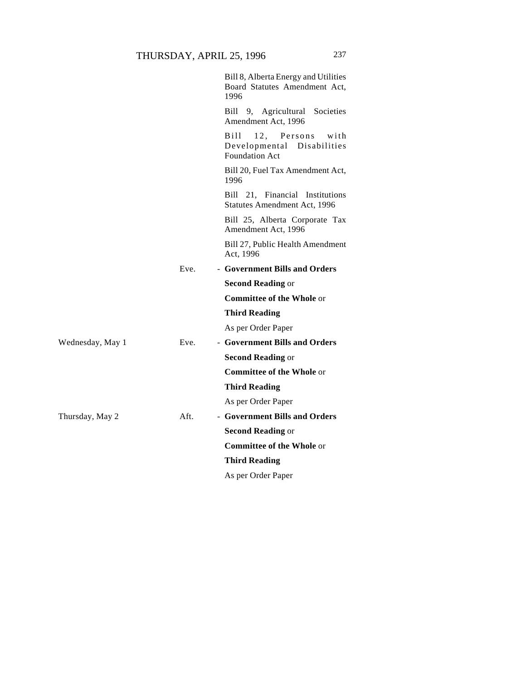|                  |         | Bill 8, Alberta Energy and Utilities<br>Board Statutes Amendment Act,<br>1996       |
|------------------|---------|-------------------------------------------------------------------------------------|
|                  |         | Bill 9, Agricultural Societies<br>Amendment Act, 1996                               |
|                  |         | 12, Persons<br>Bill-<br>with<br>Developmental Disabilities<br><b>Foundation Act</b> |
|                  |         | Bill 20, Fuel Tax Amendment Act,<br>1996                                            |
|                  |         | Bill 21, Financial Institutions<br><b>Statutes Amendment Act, 1996</b>              |
|                  |         | Bill 25, Alberta Corporate Tax<br>Amendment Act, 1996                               |
|                  |         | Bill 27, Public Health Amendment<br>Act, 1996                                       |
|                  | Eve.    | - Government Bills and Orders                                                       |
|                  |         | <b>Second Reading or</b>                                                            |
|                  |         | <b>Committee of the Whole or</b>                                                    |
|                  |         | <b>Third Reading</b>                                                                |
|                  |         | As per Order Paper                                                                  |
| Wednesday, May 1 | Eve.    | - Government Bills and Orders                                                       |
|                  |         | <b>Second Reading or</b>                                                            |
|                  |         | <b>Committee of the Whole or</b>                                                    |
|                  |         | <b>Third Reading</b>                                                                |
|                  |         | As per Order Paper                                                                  |
| Thursday, May 2  | $Aft$ . | - Government Bills and Orders                                                       |
|                  |         | <b>Second Reading or</b>                                                            |
|                  |         | <b>Committee of the Whole or</b>                                                    |
|                  |         | <b>Third Reading</b>                                                                |
|                  |         | As per Order Paper                                                                  |
|                  |         |                                                                                     |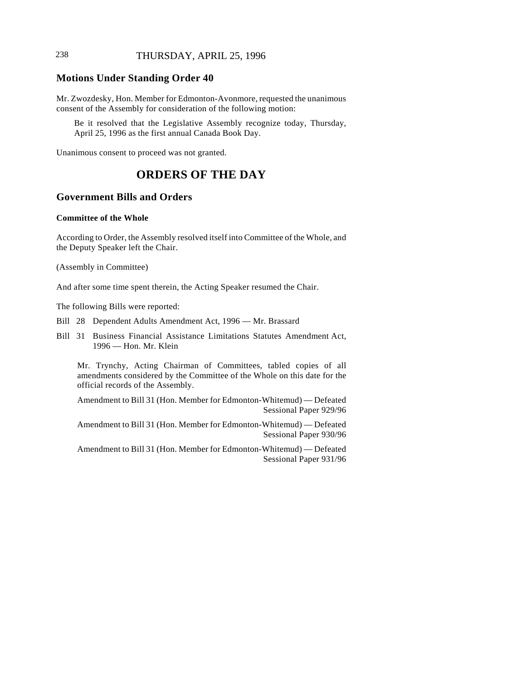# 238 THURSDAY, APRIL 25, 1996

### **Motions Under Standing Order 40**

Mr. Zwozdesky, Hon. Member for Edmonton-Avonmore, requested the unanimous consent of the Assembly for consideration of the following motion:

Be it resolved that the Legislative Assembly recognize today, Thursday, April 25, 1996 as the first annual Canada Book Day.

Unanimous consent to proceed was not granted.

# **ORDERS OF THE DAY**

### **Government Bills and Orders**

#### **Committee of the Whole**

According to Order, the Assembly resolved itself into Committee of the Whole, and the Deputy Speaker left the Chair.

(Assembly in Committee)

And after some time spent therein, the Acting Speaker resumed the Chair.

The following Bills were reported:

- Bill 28 Dependent Adults Amendment Act, 1996 Mr. Brassard
- Bill 31 Business Financial Assistance Limitations Statutes Amendment Act, 1996 — Hon. Mr. Klein

Mr. Trynchy, Acting Chairman of Committees, tabled copies of all amendments considered by the Committee of the Whole on this date for the official records of the Assembly.

Amendment to Bill 31 (Hon. Member for Edmonton-Whitemud) — Defeated Sessional Paper 929/96

Amendment to Bill 31 (Hon. Member for Edmonton-Whitemud) — Defeated Sessional Paper 930/96

Amendment to Bill 31 (Hon. Member for Edmonton-Whitemud) — Defeated Sessional Paper 931/96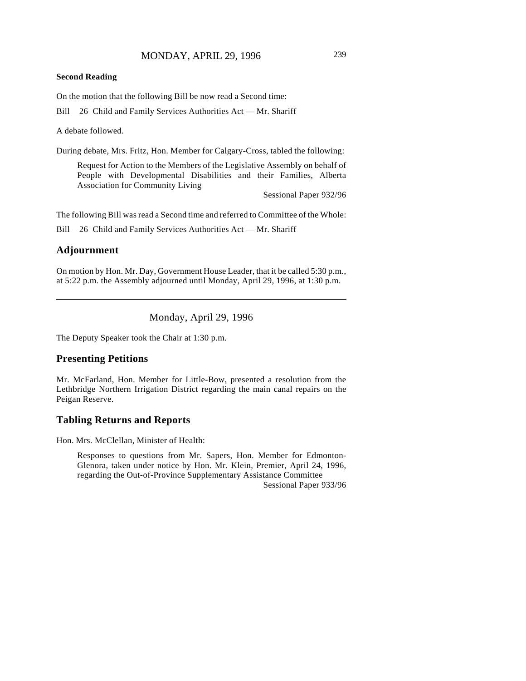#### **Second Reading**

On the motion that the following Bill be now read a Second time:

Bill 26 Child and Family Services Authorities Act — Mr. Shariff

A debate followed.

During debate, Mrs. Fritz, Hon. Member for Calgary-Cross, tabled the following:

Request for Action to the Members of the Legislative Assembly on behalf of People with Developmental Disabilities and their Families, Alberta Association for Community Living

Sessional Paper 932/96

The following Bill was read a Second time and referred to Committee of the Whole:

Bill 26 Child and Family Services Authorities Act — Mr. Shariff

# **Adjournment**

On motion by Hon. Mr. Day, Government House Leader, that it be called 5:30 p.m., at 5:22 p.m. the Assembly adjourned until Monday, April 29, 1996, at 1:30 p.m.

Monday, April 29, 1996

The Deputy Speaker took the Chair at 1:30 p.m.

### **Presenting Petitions**

Mr. McFarland, Hon. Member for Little-Bow, presented a resolution from the Lethbridge Northern Irrigation District regarding the main canal repairs on the Peigan Reserve.

# **Tabling Returns and Reports**

Hon. Mrs. McClellan, Minister of Health:

Responses to questions from Mr. Sapers, Hon. Member for Edmonton-Glenora, taken under notice by Hon. Mr. Klein, Premier, April 24, 1996, regarding the Out-of-Province Supplementary Assistance Committee Sessional Paper 933/96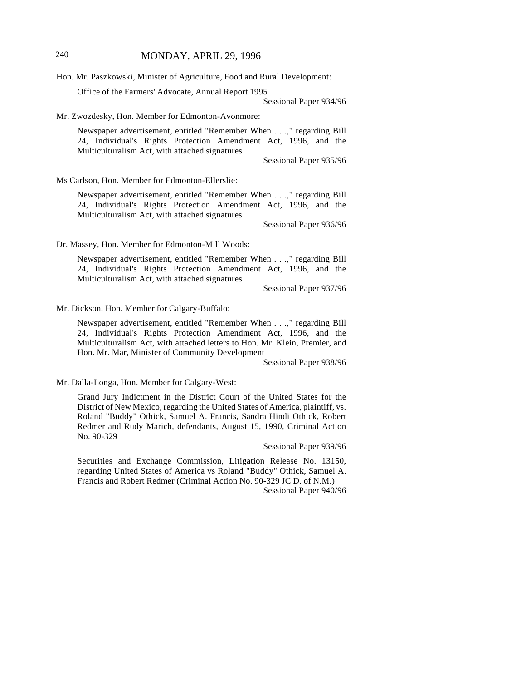Hon. Mr. Paszkowski, Minister of Agriculture, Food and Rural Development:

Office of the Farmers' Advocate, Annual Report 1995

Sessional Paper 934/96

Mr. Zwozdesky, Hon. Member for Edmonton-Avonmore:

Newspaper advertisement, entitled "Remember When . . .," regarding Bill 24, Individual's Rights Protection Amendment Act, 1996, and the Multiculturalism Act, with attached signatures

Sessional Paper 935/96

Ms Carlson, Hon. Member for Edmonton-Ellerslie:

Newspaper advertisement, entitled "Remember When . . .," regarding Bill 24, Individual's Rights Protection Amendment Act, 1996, and the Multiculturalism Act, with attached signatures

Sessional Paper 936/96

Dr. Massey, Hon. Member for Edmonton-Mill Woods:

Newspaper advertisement, entitled "Remember When . . .," regarding Bill 24, Individual's Rights Protection Amendment Act, 1996, and the Multiculturalism Act, with attached signatures

Sessional Paper 937/96

#### Mr. Dickson, Hon. Member for Calgary-Buffalo:

Newspaper advertisement, entitled "Remember When . . .," regarding Bill 24, Individual's Rights Protection Amendment Act, 1996, and the Multiculturalism Act, with attached letters to Hon. Mr. Klein, Premier, and Hon. Mr. Mar, Minister of Community Development

Sessional Paper 938/96

Mr. Dalla-Longa, Hon. Member for Calgary-West:

Grand Jury Indictment in the District Court of the United States for the District of New Mexico, regarding the United States of America, plaintiff, vs. Roland "Buddy" Othick, Samuel A. Francis, Sandra Hindi Othick, Robert Redmer and Rudy Marich, defendants, August 15, 1990, Criminal Action No. 90-329

Sessional Paper 939/96

Securities and Exchange Commission, Litigation Release No. 13150, regarding United States of America vs Roland "Buddy" Othick, Samuel A. Francis and Robert Redmer (Criminal Action No. 90-329 JC D. of N.M.) Sessional Paper 940/96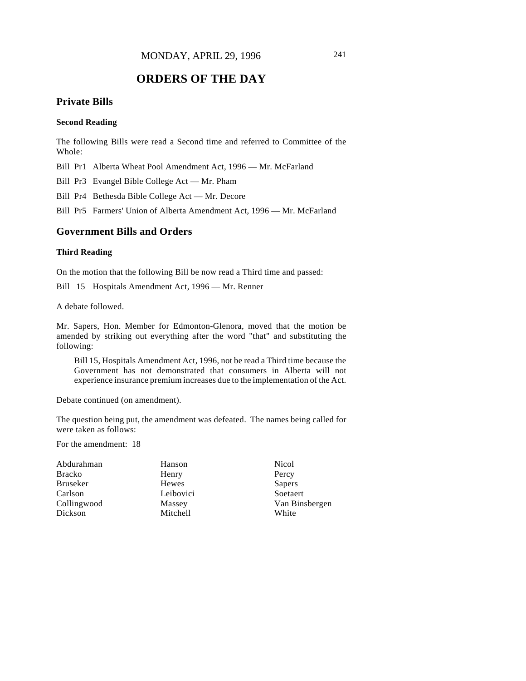# **ORDERS OF THE DAY**

# **Private Bills**

### **Second Reading**

The following Bills were read a Second time and referred to Committee of the Whole:

Bill Pr1 Alberta Wheat Pool Amendment Act, 1996 — Mr. McFarland

Bill Pr3 Evangel Bible College Act — Mr. Pham

Bill Pr4 Bethesda Bible College Act — Mr. Decore

Bill Pr5 Farmers' Union of Alberta Amendment Act, 1996 — Mr. McFarland

### **Government Bills and Orders**

### **Third Reading**

On the motion that the following Bill be now read a Third time and passed:

Bill 15 Hospitals Amendment Act, 1996 — Mr. Renner

A debate followed.

Mr. Sapers, Hon. Member for Edmonton-Glenora, moved that the motion be amended by striking out everything after the word "that" and substituting the following:

Bill 15, Hospitals Amendment Act, 1996, not be read a Third time because the Government has not demonstrated that consumers in Alberta will not experience insurance premium increases due to the implementation of the Act.

Debate continued (on amendment).

The question being put, the amendment was defeated. The names being called for were taken as follows:

For the amendment: 18

| Abdurahman      | Hanson    | Nicol          |
|-----------------|-----------|----------------|
| Bracko          | Henry     | Percy          |
| <b>Bruseker</b> | Hewes     | Sapers         |
| Carlson         | Leibovici | Soetaert       |
| Collingwood     | Massey    | Van Binsbergen |
| Dickson         | Mitchell  | White          |
|                 |           |                |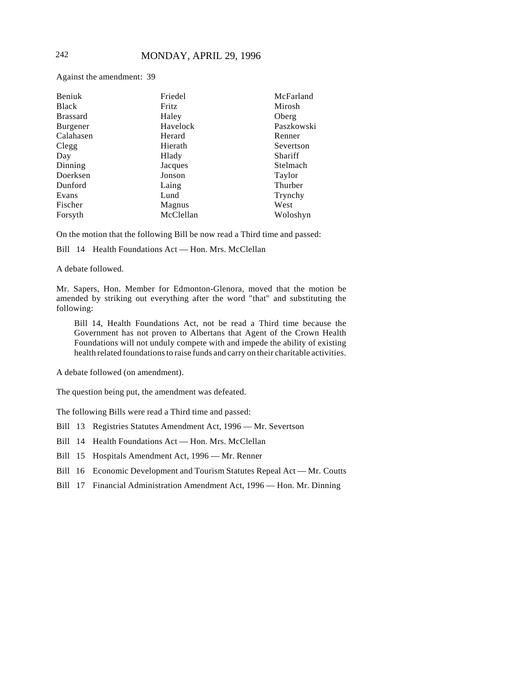Against the amendment: 39

| Beniuk          | Friedel   | McFarland  |
|-----------------|-----------|------------|
| <b>Black</b>    | Fritz     | Mirosh     |
| <b>Brassard</b> | Haley     | Oberg      |
| Burgener        | Havelock  | Paszkowski |
| Calahasen       | Herard    | Renner     |
| Clegg           | Hierath   | Severtson  |
| Day             | Hlady     | Shariff    |
| Dinning         | Jacques   | Stelmach   |
| Doerksen        | Jonson    | Taylor     |
| Dunford         | Laing     | Thurber    |
| Evans           | Lund      | Trynchy    |
| Fischer         | Magnus    | West       |
| Forsyth         | McClellan | Woloshyn   |

On the motion that the following Bill be now read a Third time and passed:

Bill 14 Health Foundations Act — Hon. Mrs. McClellan

A debate followed.

Mr. Sapers, Hon. Member for Edmonton-Glenora, moved that the motion be amended by striking out everything after the word "that" and substituting the following:

Bill 14, Health Foundations Act, not be read a Third time because the Government has not proven to Albertans that Agent of the Crown Health Foundations will not unduly compete with and impede the ability of existing health related foundations to raise funds and carry on their charitable activities.

A debate followed (on amendment).

The question being put, the amendment was defeated.

The following Bills were read a Third time and passed:

Bill 13 Registries Statutes Amendment Act, 1996 — Mr. Severtson

Bill 14 Health Foundations Act — Hon. Mrs. McClellan

Bill 15 Hospitals Amendment Act, 1996 — Mr. Renner

Bill 16 Economic Development and Tourism Statutes Repeal Act — Mr. Coutts

Bill 17 Financial Administration Amendment Act, 1996 — Hon. Mr. Dinning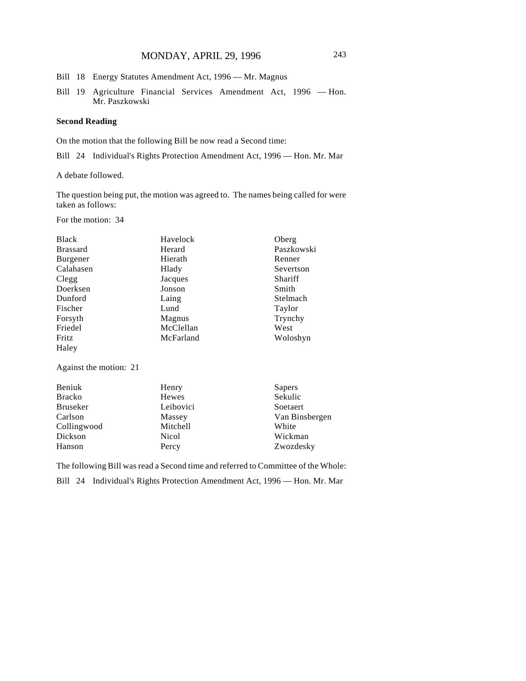# MONDAY, APRIL 29, 1996 243

- Bill 18 Energy Statutes Amendment Act, 1996 Mr. Magnus
- Bill 19 Agriculture Financial Services Amendment Act, 1996 Hon. Mr. Paszkowski

#### **Second Reading**

On the motion that the following Bill be now read a Second time:

Bill 24 Individual's Rights Protection Amendment Act, 1996 — Hon. Mr. Mar

A debate followed.

The question being put, the motion was agreed to. The names being called for were taken as follows:

For the motion: 34

| Havelock  | Oberg      |
|-----------|------------|
| Herard    | Paszkowski |
| Hierath   | Renner     |
| Hlady     | Severtson  |
| Jacques   | Shariff    |
| Jonson    | Smith      |
| Laing     | Stelmach   |
| Lund      | Taylor     |
| Magnus    | Trynchy    |
| McClellan | West       |
| McFarland | Woloshyn   |
|           |            |
|           |            |

Against the motion: 21

| Beniuk          | Henry     | Sapers         |
|-----------------|-----------|----------------|
| <b>Bracko</b>   | Hewes     | Sekulic        |
| <b>Bruseker</b> | Leibovici | Soetaert       |
| Carlson         | Massey    | Van Binsbergen |
| Collingwood     | Mitchell  | White          |
| Dickson         | Nicol     | Wickman        |
| Hanson          | Percy     | Zwozdesky      |

The following Bill was read a Second time and referred to Committee of the Whole: Bill 24 Individual's Rights Protection Amendment Act, 1996 — Hon. Mr. Mar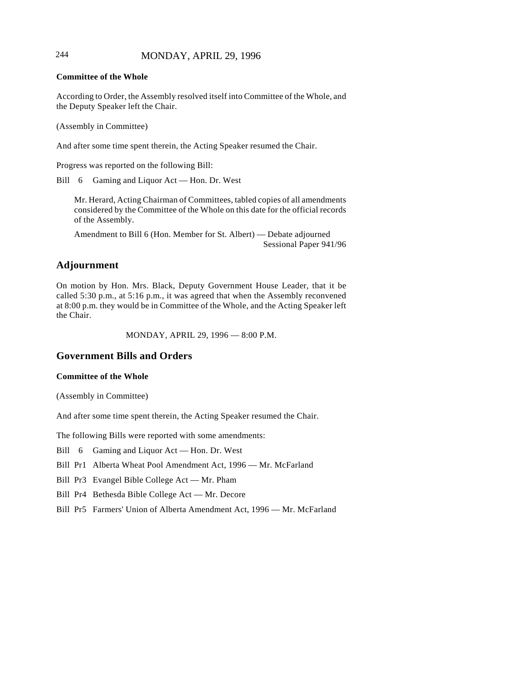## 244 MONDAY, APRIL 29, 1996

#### **Committee of the Whole**

According to Order, the Assembly resolved itself into Committee of the Whole, and the Deputy Speaker left the Chair.

(Assembly in Committee)

And after some time spent therein, the Acting Speaker resumed the Chair.

Progress was reported on the following Bill:

Bill 6 Gaming and Liquor Act — Hon. Dr. West

Mr. Herard, Acting Chairman of Committees, tabled copies of all amendments considered by the Committee of the Whole on this date for the official records of the Assembly.

Amendment to Bill 6 (Hon. Member for St. Albert) — Debate adjourned Sessional Paper 941/96

# **Adjournment**

On motion by Hon. Mrs. Black, Deputy Government House Leader, that it be called 5:30 p.m., at 5:16 p.m., it was agreed that when the Assembly reconvened at 8:00 p.m. they would be in Committee of the Whole, and the Acting Speaker left the Chair.

MONDAY, APRIL 29, 1996 — 8:00 P.M.

### **Government Bills and Orders**

#### **Committee of the Whole**

(Assembly in Committee)

And after some time spent therein, the Acting Speaker resumed the Chair.

The following Bills were reported with some amendments:

Bill 6 Gaming and Liquor Act — Hon. Dr. West

Bill Pr1 Alberta Wheat Pool Amendment Act, 1996 — Mr. McFarland

Bill Pr3 Evangel Bible College Act — Mr. Pham

Bill Pr4 Bethesda Bible College Act — Mr. Decore

Bill Pr5 Farmers' Union of Alberta Amendment Act, 1996 — Mr. McFarland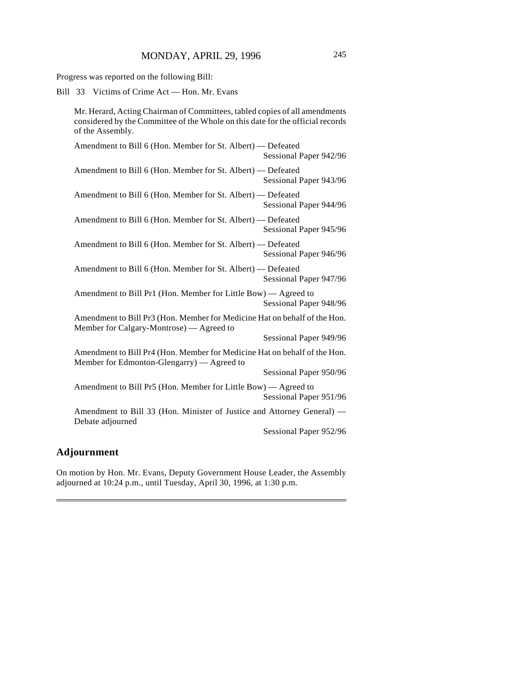Progress was reported on the following Bill:

Bill 33 Victims of Crime Act — Hon. Mr. Evans

Mr. Herard, Acting Chairman of Committees, tabled copies of all amendments considered by the Committee of the Whole on this date for the official records of the Assembly.

| Amendment to Bill 6 (Hon. Member for St. Albert) — Defeated                                                             | Sessional Paper 942/96 |
|-------------------------------------------------------------------------------------------------------------------------|------------------------|
| Amendment to Bill 6 (Hon. Member for St. Albert) — Defeated                                                             | Sessional Paper 943/96 |
| Amendment to Bill 6 (Hon. Member for St. Albert) - Defeated                                                             | Sessional Paper 944/96 |
| Amendment to Bill 6 (Hon. Member for St. Albert) — Defeated                                                             | Sessional Paper 945/96 |
| Amendment to Bill 6 (Hon. Member for St. Albert) — Defeated                                                             | Sessional Paper 946/96 |
| Amendment to Bill 6 (Hon. Member for St. Albert) — Defeated                                                             | Sessional Paper 947/96 |
| Amendment to Bill Pr1 (Hon. Member for Little Bow) — Agreed to                                                          | Sessional Paper 948/96 |
| Amendment to Bill Pr3 (Hon. Member for Medicine Hat on behalf of the Hon.<br>Member for Calgary-Montrose) — Agreed to   |                        |
|                                                                                                                         | Sessional Paper 949/96 |
| Amendment to Bill Pr4 (Hon. Member for Medicine Hat on behalf of the Hon.<br>Member for Edmonton-Glengarry) — Agreed to |                        |
|                                                                                                                         | Sessional Paper 950/96 |
| Amendment to Bill Pr5 (Hon. Member for Little Bow) — Agreed to<br>Sessional Paper 951/96                                |                        |
| Amendment to Bill 33 (Hon. Minister of Justice and Attorney General) -                                                  |                        |
| Debate adjourned                                                                                                        | Sessional Paper 952/96 |

# **Adjournment**

On motion by Hon. Mr. Evans, Deputy Government House Leader, the Assembly adjourned at 10:24 p.m., until Tuesday, April 30, 1996, at 1:30 p.m.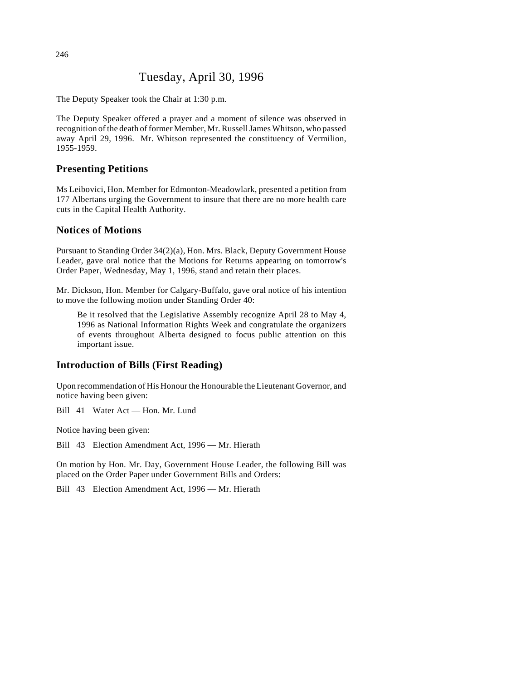# Tuesday, April 30, 1996

The Deputy Speaker took the Chair at 1:30 p.m.

The Deputy Speaker offered a prayer and a moment of silence was observed in recognition of the death of former Member, Mr. Russell James Whitson, who passed away April 29, 1996. Mr. Whitson represented the constituency of Vermilion, 1955-1959.

## **Presenting Petitions**

Ms Leibovici, Hon. Member for Edmonton-Meadowlark, presented a petition from 177 Albertans urging the Government to insure that there are no more health care cuts in the Capital Health Authority.

### **Notices of Motions**

Pursuant to Standing Order 34(2)(a), Hon. Mrs. Black, Deputy Government House Leader, gave oral notice that the Motions for Returns appearing on tomorrow's Order Paper, Wednesday, May 1, 1996, stand and retain their places.

Mr. Dickson, Hon. Member for Calgary-Buffalo, gave oral notice of his intention to move the following motion under Standing Order 40:

Be it resolved that the Legislative Assembly recognize April 28 to May 4, 1996 as National Information Rights Week and congratulate the organizers of events throughout Alberta designed to focus public attention on this important issue.

# **Introduction of Bills (First Reading)**

Upon recommendation of His Honour the Honourable the Lieutenant Governor, and notice having been given:

Bill 41 Water Act — Hon. Mr. Lund

Notice having been given:

Bill 43 Election Amendment Act, 1996 — Mr. Hierath

On motion by Hon. Mr. Day, Government House Leader, the following Bill was placed on the Order Paper under Government Bills and Orders:

Bill 43 Election Amendment Act, 1996 — Mr. Hierath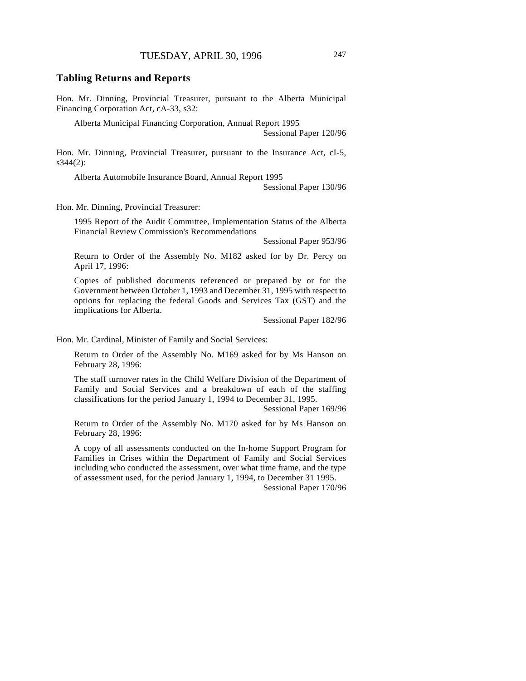### **Tabling Returns and Reports**

Hon. Mr. Dinning, Provincial Treasurer, pursuant to the Alberta Municipal Financing Corporation Act, cA-33, s32:

Alberta Municipal Financing Corporation, Annual Report 1995

Sessional Paper 120/96

Hon. Mr. Dinning, Provincial Treasurer, pursuant to the Insurance Act, cI-5,  $s344(2)$ :

Alberta Automobile Insurance Board, Annual Report 1995

Sessional Paper 130/96

Hon. Mr. Dinning, Provincial Treasurer:

1995 Report of the Audit Committee, Implementation Status of the Alberta Financial Review Commission's Recommendations

Sessional Paper 953/96

Return to Order of the Assembly No. M182 asked for by Dr. Percy on April 17, 1996:

Copies of published documents referenced or prepared by or for the Government between October 1, 1993 and December 31, 1995 with respect to options for replacing the federal Goods and Services Tax (GST) and the implications for Alberta.

Sessional Paper 182/96

Hon. Mr. Cardinal, Minister of Family and Social Services:

Return to Order of the Assembly No. M169 asked for by Ms Hanson on February 28, 1996:

The staff turnover rates in the Child Welfare Division of the Department of Family and Social Services and a breakdown of each of the staffing classifications for the period January 1, 1994 to December 31, 1995.

Sessional Paper 169/96

Return to Order of the Assembly No. M170 asked for by Ms Hanson on February 28, 1996:

A copy of all assessments conducted on the In-home Support Program for Families in Crises within the Department of Family and Social Services including who conducted the assessment, over what time frame, and the type of assessment used, for the period January 1, 1994, to December 31 1995.

Sessional Paper 170/96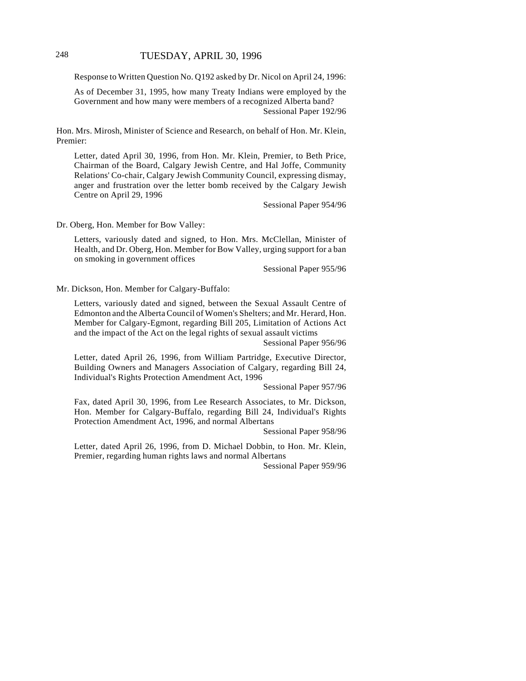Response to Written Question No. Q192 asked by Dr. Nicol on April 24, 1996:

As of December 31, 1995, how many Treaty Indians were employed by the Government and how many were members of a recognized Alberta band? Sessional Paper 192/96

Hon. Mrs. Mirosh, Minister of Science and Research, on behalf of Hon. Mr. Klein, Premier:

Letter, dated April 30, 1996, from Hon. Mr. Klein, Premier, to Beth Price, Chairman of the Board, Calgary Jewish Centre, and Hal Joffe, Community Relations' Co-chair, Calgary Jewish Community Council, expressing dismay, anger and frustration over the letter bomb received by the Calgary Jewish Centre on April 29, 1996

Sessional Paper 954/96

Dr. Oberg, Hon. Member for Bow Valley:

Letters, variously dated and signed, to Hon. Mrs. McClellan, Minister of Health, and Dr. Oberg, Hon. Member for Bow Valley, urging support for a ban on smoking in government offices

Sessional Paper 955/96

Mr. Dickson, Hon. Member for Calgary-Buffalo:

Letters, variously dated and signed, between the Sexual Assault Centre of Edmonton and the Alberta Council of Women's Shelters; and Mr. Herard, Hon. Member for Calgary-Egmont, regarding Bill 205, Limitation of Actions Act and the impact of the Act on the legal rights of sexual assault victims

Sessional Paper 956/96

Letter, dated April 26, 1996, from William Partridge, Executive Director, Building Owners and Managers Association of Calgary, regarding Bill 24, Individual's Rights Protection Amendment Act, 1996

Sessional Paper 957/96

Fax, dated April 30, 1996, from Lee Research Associates, to Mr. Dickson, Hon. Member for Calgary-Buffalo, regarding Bill 24, Individual's Rights Protection Amendment Act, 1996, and normal Albertans

Sessional Paper 958/96

Letter, dated April 26, 1996, from D. Michael Dobbin, to Hon. Mr. Klein, Premier, regarding human rights laws and normal Albertans

Sessional Paper 959/96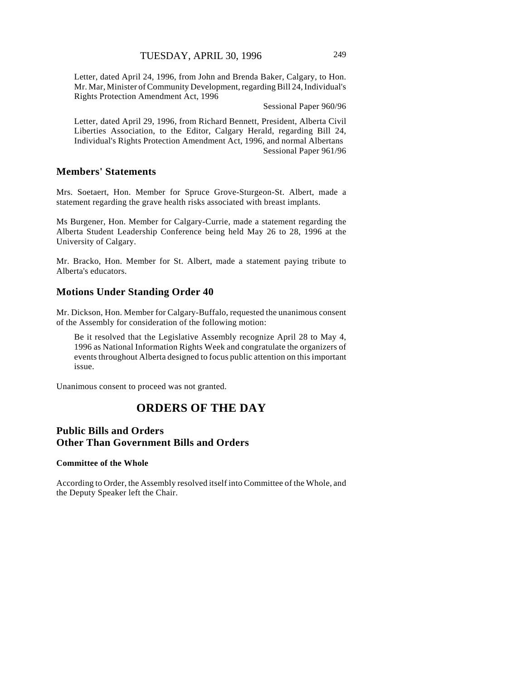Letter, dated April 24, 1996, from John and Brenda Baker, Calgary, to Hon. Mr. Mar, Minister of Community Development, regarding Bill 24, Individual's Rights Protection Amendment Act, 1996

Sessional Paper 960/96

Letter, dated April 29, 1996, from Richard Bennett, President, Alberta Civil Liberties Association, to the Editor, Calgary Herald, regarding Bill 24, Individual's Rights Protection Amendment Act, 1996, and normal Albertans Sessional Paper 961/96

# **Members' Statements**

Mrs. Soetaert, Hon. Member for Spruce Grove-Sturgeon-St. Albert, made a statement regarding the grave health risks associated with breast implants.

Ms Burgener, Hon. Member for Calgary-Currie, made a statement regarding the Alberta Student Leadership Conference being held May 26 to 28, 1996 at the University of Calgary.

Mr. Bracko, Hon. Member for St. Albert, made a statement paying tribute to Alberta's educators.

### **Motions Under Standing Order 40**

Mr. Dickson, Hon. Member for Calgary-Buffalo, requested the unanimous consent of the Assembly for consideration of the following motion:

Be it resolved that the Legislative Assembly recognize April 28 to May 4, 1996 as National Information Rights Week and congratulate the organizers of events throughout Alberta designed to focus public attention on this important issue.

Unanimous consent to proceed was not granted.

# **ORDERS OF THE DAY**

# **Public Bills and Orders Other Than Government Bills and Orders**

#### **Committee of the Whole**

According to Order, the Assembly resolved itself into Committee of the Whole, and the Deputy Speaker left the Chair.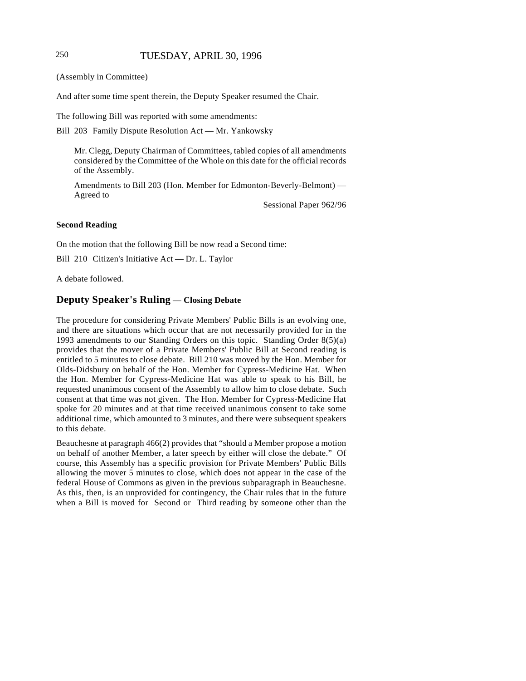# 250 TUESDAY, APRIL 30, 1996

(Assembly in Committee)

And after some time spent therein, the Deputy Speaker resumed the Chair.

The following Bill was reported with some amendments:

Bill 203 Family Dispute Resolution Act — Mr. Yankowsky

Mr. Clegg, Deputy Chairman of Committees, tabled copies of all amendments considered by the Committee of the Whole on this date for the official records of the Assembly.

Amendments to Bill 203 (Hon. Member for Edmonton-Beverly-Belmont) — Agreed to

Sessional Paper 962/96

#### **Second Reading**

On the motion that the following Bill be now read a Second time:

Bill 210 Citizen's Initiative Act — Dr. L. Taylor

A debate followed.

#### **Deputy Speaker's Ruling** — **Closing Debate**

The procedure for considering Private Members' Public Bills is an evolving one, and there are situations which occur that are not necessarily provided for in the 1993 amendments to our Standing Orders on this topic. Standing Order 8(5)(a) provides that the mover of a Private Members' Public Bill at Second reading is entitled to 5 minutes to close debate. Bill 210 was moved by the Hon. Member for Olds-Didsbury on behalf of the Hon. Member for Cypress-Medicine Hat. When the Hon. Member for Cypress-Medicine Hat was able to speak to his Bill, he requested unanimous consent of the Assembly to allow him to close debate. Such consent at that time was not given. The Hon. Member for Cypress-Medicine Hat spoke for 20 minutes and at that time received unanimous consent to take some additional time, which amounted to 3 minutes, and there were subsequent speakers to this debate.

Beauchesne at paragraph 466(2) provides that "should a Member propose a motion on behalf of another Member, a later speech by either will close the debate." Of course, this Assembly has a specific provision for Private Members' Public Bills allowing the mover 5 minutes to close, which does not appear in the case of the federal House of Commons as given in the previous subparagraph in Beauchesne. As this, then, is an unprovided for contingency, the Chair rules that in the future when a Bill is moved for Second or Third reading by someone other than the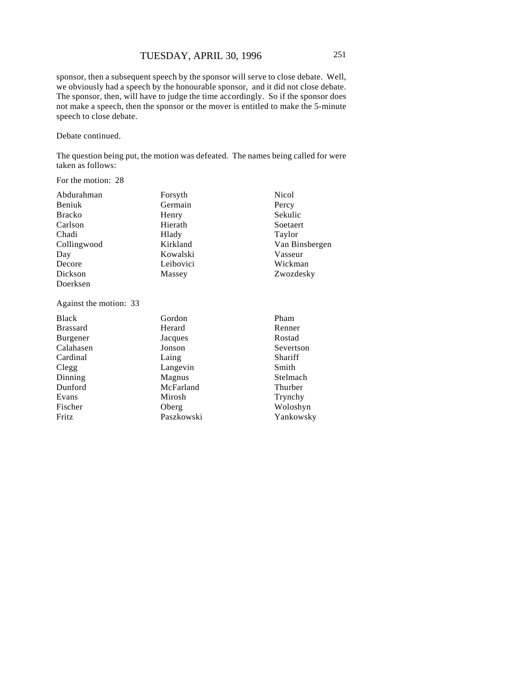sponsor, then a subsequent speech by the sponsor will serve to close debate. Well, we obviously had a speech by the honourable sponsor, and it did not close debate. The sponsor, then, will have to judge the time accordingly. So if the sponsor does not make a speech, then the sponsor or the mover is entitled to make the 5-minute speech to close debate.

Debate continued.

The question being put, the motion was defeated. The names being called for were taken as follows:

For the motion: 28

| Abdurahman             | Forsyth    | <b>Nicol</b>   |
|------------------------|------------|----------------|
| Beniuk                 | Germain    | Percy          |
| <b>Bracko</b>          | Henry      | Sekulic        |
| Carlson                | Hierath    | Soetaert       |
| Chadi                  | Hlady      | Taylor         |
| Collingwood            | Kirkland   | Van Binsbergen |
| Day                    | Kowalski   | Vasseur        |
| Decore                 | Leibovici  | Wickman        |
| Dickson                | Massey     | Zwozdesky      |
| Doerksen               |            |                |
| Against the motion: 33 |            |                |
| <b>Black</b>           | Gordon     | Pham           |
| <b>Brassard</b>        | Herard     | Renner         |
| <b>Burgener</b>        | Jacques    | Rostad         |
| Calahasen              | Jonson     | Severtson      |
| Cardinal               | Laing      | Shariff        |
| Clegg                  | Langevin   | Smith          |
| Dinning                | Magnus     | Stelmach       |
| Dunford                | McFarland  | Thurber        |
| Evans                  | Mirosh     | Trynchy        |
| Fischer                | Oberg      | Woloshyn       |
| Fritz                  | Paszkowski | Yankowsky      |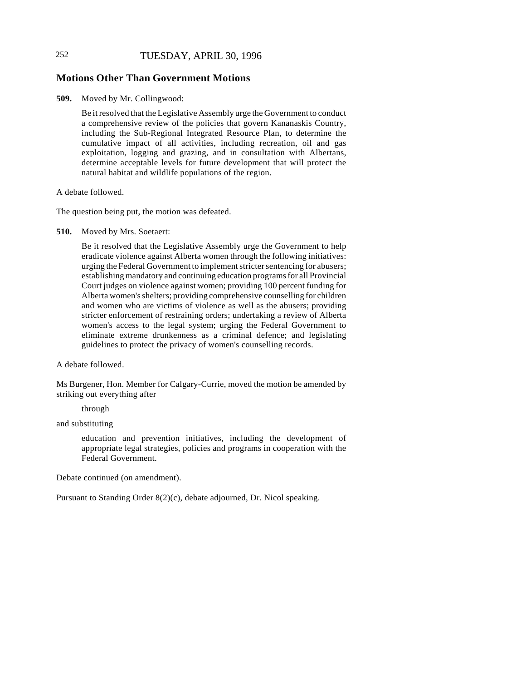# 252 TUESDAY, APRIL 30, 1996

## **Motions Other Than Government Motions**

**509.** Moved by Mr. Collingwood:

Be it resolved that the Legislative Assembly urge the Government to conduct a comprehensive review of the policies that govern Kananaskis Country, including the Sub-Regional Integrated Resource Plan, to determine the cumulative impact of all activities, including recreation, oil and gas exploitation, logging and grazing, and in consultation with Albertans, determine acceptable levels for future development that will protect the natural habitat and wildlife populations of the region.

A debate followed.

The question being put, the motion was defeated.

**510.** Moved by Mrs. Soetaert:

Be it resolved that the Legislative Assembly urge the Government to help eradicate violence against Alberta women through the following initiatives: urging the Federal Government to implement stricter sentencing for abusers; establishing mandatory and continuing education programs for all Provincial Court judges on violence against women; providing 100 percent funding for Alberta women's shelters; providing comprehensive counselling for children and women who are victims of violence as well as the abusers; providing stricter enforcement of restraining orders; undertaking a review of Alberta women's access to the legal system; urging the Federal Government to eliminate extreme drunkenness as a criminal defence; and legislating guidelines to protect the privacy of women's counselling records.

A debate followed.

Ms Burgener, Hon. Member for Calgary-Currie, moved the motion be amended by striking out everything after

through

and substituting

education and prevention initiatives, including the development of appropriate legal strategies, policies and programs in cooperation with the Federal Government.

Debate continued (on amendment).

Pursuant to Standing Order 8(2)(c), debate adjourned, Dr. Nicol speaking.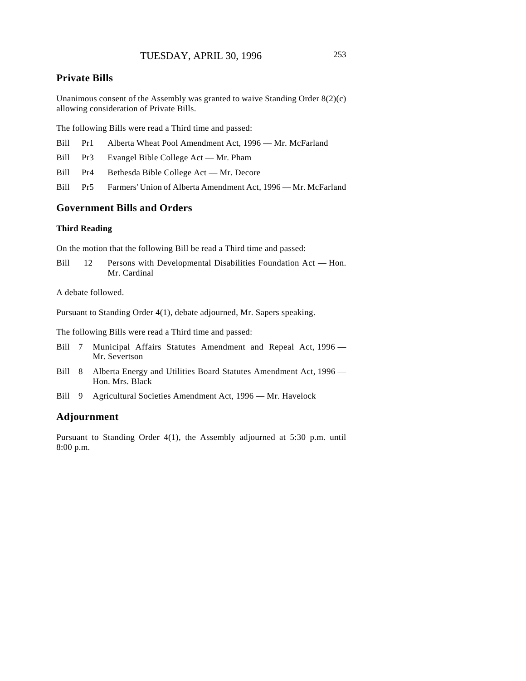# **Private Bills**

Unanimous consent of the Assembly was granted to waive Standing Order 8(2)(c) allowing consideration of Private Bills.

The following Bills were read a Third time and passed:

|  |  | Bill Pr1 Alberta Wheat Pool Amendment Act, 1996 — Mr. McFarland |  |  |  |
|--|--|-----------------------------------------------------------------|--|--|--|
|--|--|-----------------------------------------------------------------|--|--|--|

Bill Pr3 Evangel Bible College Act — Mr. Pham

Bill Pr4 Bethesda Bible College Act — Mr. Decore

Bill Pr5 Farmers' Union of Alberta Amendment Act, 1996 — Mr. McFarland

# **Government Bills and Orders**

#### **Third Reading**

On the motion that the following Bill be read a Third time and passed:

Bill 12 Persons with Developmental Disabilities Foundation Act — Hon. Mr. Cardinal

A debate followed.

Pursuant to Standing Order 4(1), debate adjourned, Mr. Sapers speaking.

The following Bills were read a Third time and passed:

- Bill 7 Municipal Affairs Statutes Amendment and Repeal Act, 1996 Mr. Severtson
- Bill 8 Alberta Energy and Utilities Board Statutes Amendment Act, 1996 Hon. Mrs. Black
- Bill 9 Agricultural Societies Amendment Act, 1996 Mr. Havelock

#### **Adjournment**

Pursuant to Standing Order 4(1), the Assembly adjourned at 5:30 p.m. until 8:00 p.m.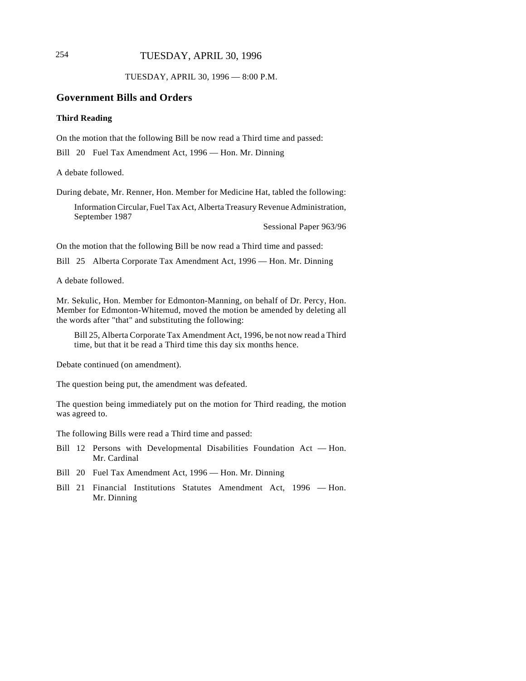# 254 TUESDAY, APRIL 30, 1996

TUESDAY, APRIL 30, 1996 — 8:00 P.M.

#### **Government Bills and Orders**

#### **Third Reading**

On the motion that the following Bill be now read a Third time and passed:

Bill 20 Fuel Tax Amendment Act, 1996 — Hon. Mr. Dinning

A debate followed.

During debate, Mr. Renner, Hon. Member for Medicine Hat, tabled the following:

Information Circular, Fuel Tax Act, Alberta Treasury Revenue Administration, September 1987

Sessional Paper 963/96

On the motion that the following Bill be now read a Third time and passed:

Bill 25 Alberta Corporate Tax Amendment Act, 1996 — Hon. Mr. Dinning

A debate followed.

Mr. Sekulic, Hon. Member for Edmonton-Manning, on behalf of Dr. Percy, Hon. Member for Edmonton-Whitemud, moved the motion be amended by deleting all the words after "that" and substituting the following:

Bill 25, Alberta Corporate Tax Amendment Act, 1996, be not now read a Third time, but that it be read a Third time this day six months hence.

Debate continued (on amendment).

The question being put, the amendment was defeated.

The question being immediately put on the motion for Third reading, the motion was agreed to.

The following Bills were read a Third time and passed:

- Bill 12 Persons with Developmental Disabilities Foundation Act Hon. Mr. Cardinal
- Bill 20 Fuel Tax Amendment Act, 1996 Hon. Mr. Dinning
- Bill 21 Financial Institutions Statutes Amendment Act, 1996 Hon. Mr. Dinning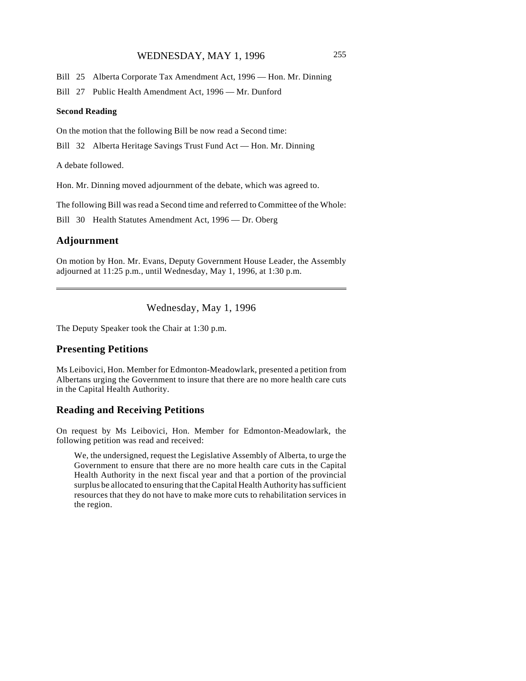## WEDNESDAY, MAY 1, 1996 255

Bill 25 Alberta Corporate Tax Amendment Act, 1996 — Hon. Mr. Dinning

Bill 27 Public Health Amendment Act, 1996 — Mr. Dunford

#### **Second Reading**

On the motion that the following Bill be now read a Second time:

Bill 32 Alberta Heritage Savings Trust Fund Act — Hon. Mr. Dinning

A debate followed.

Hon. Mr. Dinning moved adjournment of the debate, which was agreed to.

The following Bill was read a Second time and referred to Committee of the Whole:

Bill 30 Health Statutes Amendment Act, 1996 — Dr. Oberg

## **Adjournment**

 $\overline{\phantom{a}}$ 

On motion by Hon. Mr. Evans, Deputy Government House Leader, the Assembly adjourned at 11:25 p.m., until Wednesday, May 1, 1996, at 1:30 p.m.

Wednesday, May 1, 1996

The Deputy Speaker took the Chair at 1:30 p.m.

#### **Presenting Petitions**

Ms Leibovici, Hon. Member for Edmonton-Meadowlark, presented a petition from Albertans urging the Government to insure that there are no more health care cuts in the Capital Health Authority.

#### **Reading and Receiving Petitions**

On request by Ms Leibovici, Hon. Member for Edmonton-Meadowlark, the following petition was read and received:

We, the undersigned, request the Legislative Assembly of Alberta, to urge the Government to ensure that there are no more health care cuts in the Capital Health Authority in the next fiscal year and that a portion of the provincial surplus be allocated to ensuring that the Capital Health Authority has sufficient resources that they do not have to make more cuts to rehabilitation services in the region.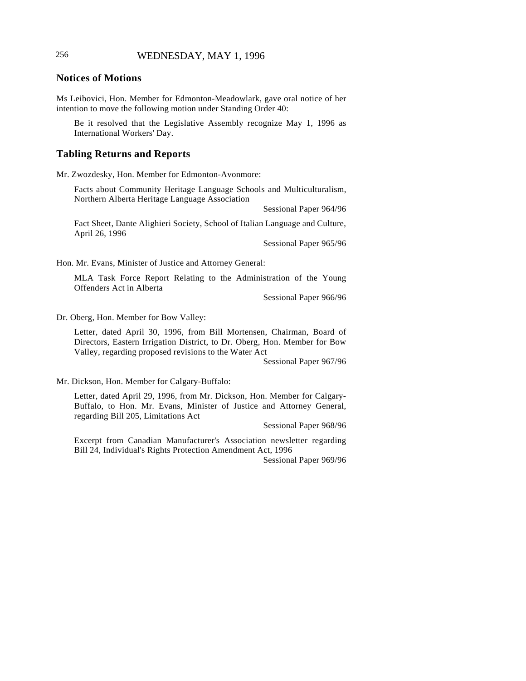## 256 WEDNESDAY, MAY 1, 1996

#### **Notices of Motions**

Ms Leibovici, Hon. Member for Edmonton-Meadowlark, gave oral notice of her intention to move the following motion under Standing Order 40:

Be it resolved that the Legislative Assembly recognize May 1, 1996 as International Workers' Day.

#### **Tabling Returns and Reports**

Mr. Zwozdesky, Hon. Member for Edmonton-Avonmore:

Facts about Community Heritage Language Schools and Multiculturalism, Northern Alberta Heritage Language Association

Sessional Paper 964/96

Fact Sheet, Dante Alighieri Society, School of Italian Language and Culture, April 26, 1996

Sessional Paper 965/96

Hon. Mr. Evans, Minister of Justice and Attorney General:

MLA Task Force Report Relating to the Administration of the Young Offenders Act in Alberta

Sessional Paper 966/96

Dr. Oberg, Hon. Member for Bow Valley:

Letter, dated April 30, 1996, from Bill Mortensen, Chairman, Board of Directors, Eastern Irrigation District, to Dr. Oberg, Hon. Member for Bow Valley, regarding proposed revisions to the Water Act

Sessional Paper 967/96

Mr. Dickson, Hon. Member for Calgary-Buffalo:

Letter, dated April 29, 1996, from Mr. Dickson, Hon. Member for Calgary-Buffalo, to Hon. Mr. Evans, Minister of Justice and Attorney General, regarding Bill 205, Limitations Act

Sessional Paper 968/96

Excerpt from Canadian Manufacturer's Association newsletter regarding Bill 24, Individual's Rights Protection Amendment Act, 1996

Sessional Paper 969/96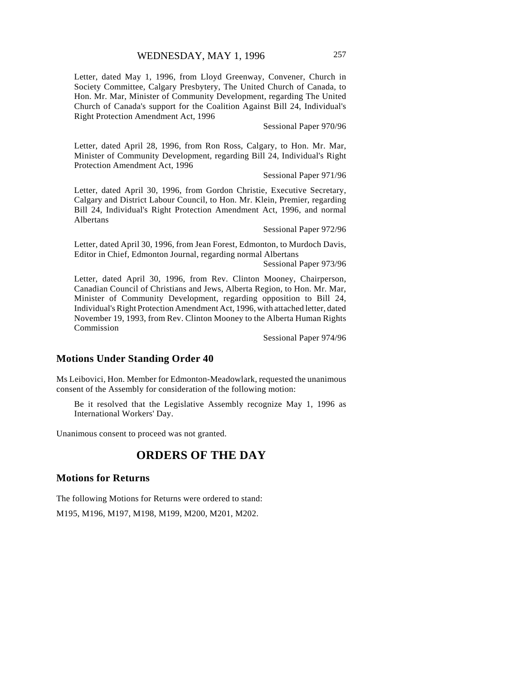Letter, dated May 1, 1996, from Lloyd Greenway, Convener, Church in Society Committee, Calgary Presbytery, The United Church of Canada, to Hon. Mr. Mar, Minister of Community Development, regarding The United Church of Canada's support for the Coalition Against Bill 24, Individual's Right Protection Amendment Act, 1996

Sessional Paper 970/96

Letter, dated April 28, 1996, from Ron Ross, Calgary, to Hon. Mr. Mar, Minister of Community Development, regarding Bill 24, Individual's Right Protection Amendment Act, 1996

Sessional Paper 971/96

Letter, dated April 30, 1996, from Gordon Christie, Executive Secretary, Calgary and District Labour Council, to Hon. Mr. Klein, Premier, regarding Bill 24, Individual's Right Protection Amendment Act, 1996, and normal Albertans

Sessional Paper 972/96

Letter, dated April 30, 1996, from Jean Forest, Edmonton, to Murdoch Davis, Editor in Chief, Edmonton Journal, regarding normal Albertans

Sessional Paper 973/96

Letter, dated April 30, 1996, from Rev. Clinton Mooney, Chairperson, Canadian Council of Christians and Jews, Alberta Region, to Hon. Mr. Mar, Minister of Community Development, regarding opposition to Bill 24, Individual's Right Protection Amendment Act, 1996, with attached letter, dated November 19, 1993, from Rev. Clinton Mooney to the Alberta Human Rights Commission

Sessional Paper 974/96

## **Motions Under Standing Order 40**

Ms Leibovici, Hon. Member for Edmonton-Meadowlark, requested the unanimous consent of the Assembly for consideration of the following motion:

Be it resolved that the Legislative Assembly recognize May 1, 1996 as International Workers' Day.

Unanimous consent to proceed was not granted.

# **ORDERS OF THE DAY**

#### **Motions for Returns**

The following Motions for Returns were ordered to stand: M195, M196, M197, M198, M199, M200, M201, M202.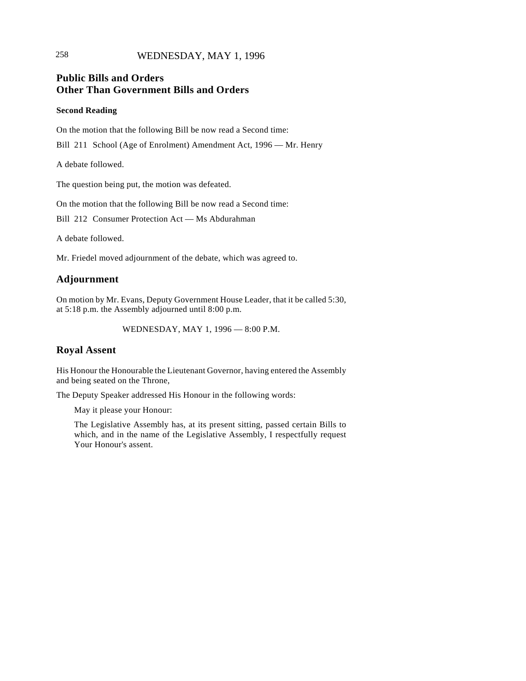# 258 WEDNESDAY, MAY 1, 1996

# **Public Bills and Orders Other Than Government Bills and Orders**

#### **Second Reading**

On the motion that the following Bill be now read a Second time:

Bill 211 School (Age of Enrolment) Amendment Act, 1996 — Mr. Henry

A debate followed.

The question being put, the motion was defeated.

On the motion that the following Bill be now read a Second time:

Bill 212 Consumer Protection Act — Ms Abdurahman

A debate followed.

Mr. Friedel moved adjournment of the debate, which was agreed to.

# **Adjournment**

On motion by Mr. Evans, Deputy Government House Leader, that it be called 5:30, at 5:18 p.m. the Assembly adjourned until 8:00 p.m.

WEDNESDAY, MAY 1, 1996 — 8:00 P.M.

# **Royal Assent**

His Honour the Honourable the Lieutenant Governor, having entered the Assembly and being seated on the Throne,

The Deputy Speaker addressed His Honour in the following words:

May it please your Honour:

The Legislative Assembly has, at its present sitting, passed certain Bills to which, and in the name of the Legislative Assembly, I respectfully request Your Honour's assent.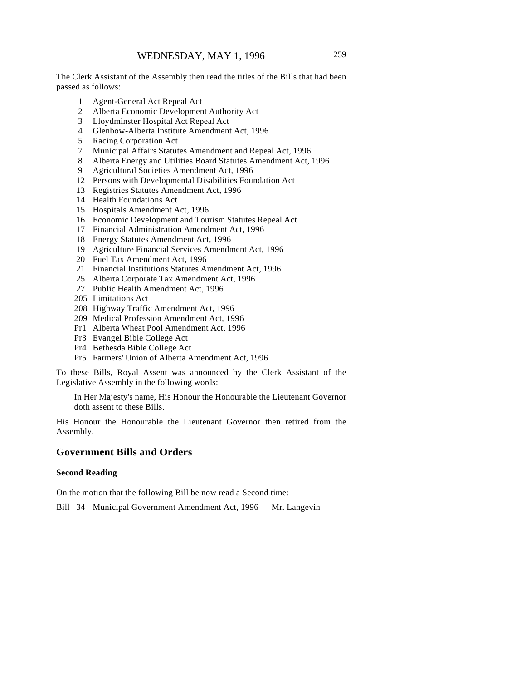The Clerk Assistant of the Assembly then read the titles of the Bills that had been passed as follows:

- 1 Agent-General Act Repeal Act
- 2 Alberta Economic Development Authority Act
- 3 Lloydminster Hospital Act Repeal Act
- 4 Glenbow-Alberta Institute Amendment Act, 1996
- 5 Racing Corporation Act
- 7 Municipal Affairs Statutes Amendment and Repeal Act, 1996
- 8 Alberta Energy and Utilities Board Statutes Amendment Act, 1996
- 9 Agricultural Societies Amendment Act, 1996
- 12 Persons with Developmental Disabilities Foundation Act
- 13 Registries Statutes Amendment Act, 1996
- 14 Health Foundations Act
- 15 Hospitals Amendment Act, 1996
- 16 Economic Development and Tourism Statutes Repeal Act
- 17 Financial Administration Amendment Act, 1996
- 18 Energy Statutes Amendment Act, 1996
- 19 Agriculture Financial Services Amendment Act, 1996
- 20 Fuel Tax Amendment Act, 1996
- 21 Financial Institutions Statutes Amendment Act, 1996
- 25 Alberta Corporate Tax Amendment Act, 1996
- 27 Public Health Amendment Act, 1996
- 205 Limitations Act
- 208 Highway Traffic Amendment Act, 1996
- 209 Medical Profession Amendment Act, 1996
- Pr1 Alberta Wheat Pool Amendment Act, 1996
- Pr3 Evangel Bible College Act
- Pr4 Bethesda Bible College Act
- Pr5 Farmers' Union of Alberta Amendment Act, 1996

To these Bills, Royal Assent was announced by the Clerk Assistant of the Legislative Assembly in the following words:

In Her Majesty's name, His Honour the Honourable the Lieutenant Governor doth assent to these Bills.

His Honour the Honourable the Lieutenant Governor then retired from the Assembly.

## **Government Bills and Orders**

#### **Second Reading**

On the motion that the following Bill be now read a Second time:

Bill 34 Municipal Government Amendment Act, 1996 — Mr. Langevin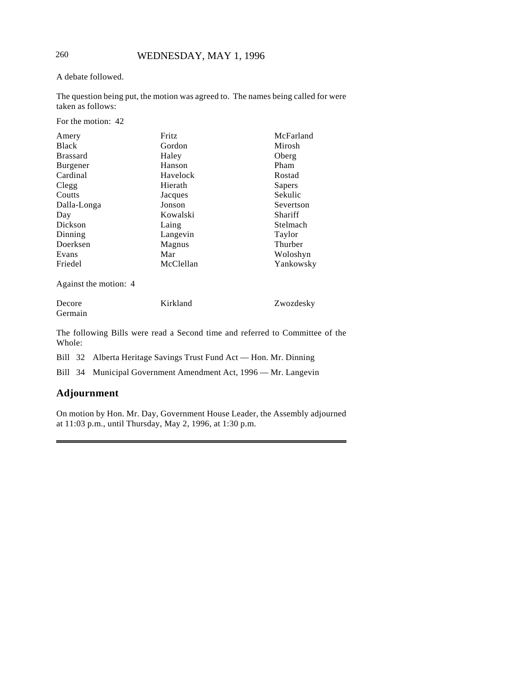## A debate followed.

The question being put, the motion was agreed to. The names being called for were taken as follows:

For the motion: 42

| Amery           | Fritz     | McFarland |
|-----------------|-----------|-----------|
| <b>Black</b>    | Gordon    | Mirosh    |
| <b>Brassard</b> | Haley     | Oberg     |
| <b>Burgener</b> | Hanson    | Pham      |
| Cardinal        | Havelock  | Rostad    |
| Clegg           | Hierath   | Sapers    |
| Coutts          | Jacques   | Sekulic   |
| Dalla-Longa     | Jonson    | Severtson |
| Day             | Kowalski  | Shariff   |
| Dickson         | Laing     | Stelmach  |
| Dinning         | Langevin  | Taylor    |
| Doerksen        | Magnus    | Thurber   |
| Evans           | Mar       | Woloshyn  |
| Friedel         | McClellan | Yankowsky |

Against the motion: 4

| Decore  | Kirkland | Zwozdesky |
|---------|----------|-----------|
| Germain |          |           |

The following Bills were read a Second time and referred to Committee of the Whole:

Bill 32 Alberta Heritage Savings Trust Fund Act — Hon. Mr. Dinning

Bill 34 Municipal Government Amendment Act, 1996 — Mr. Langevin

# **Adjournment**

On motion by Hon. Mr. Day, Government House Leader, the Assembly adjourned at 11:03 p.m., until Thursday, May 2, 1996, at 1:30 p.m.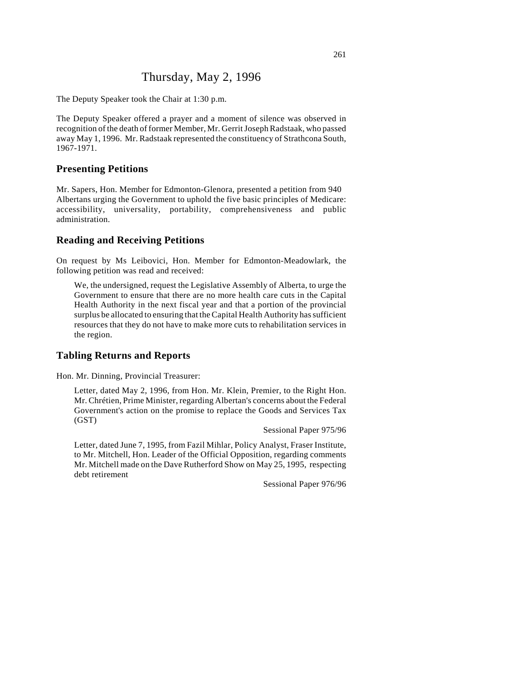# Thursday, May 2, 1996

The Deputy Speaker took the Chair at 1:30 p.m.

The Deputy Speaker offered a prayer and a moment of silence was observed in recognition of the death of former Member, Mr. Gerrit Joseph Radstaak, who passed away May 1, 1996. Mr. Radstaak represented the constituency of Strathcona South, 1967-1971.

## **Presenting Petitions**

Mr. Sapers, Hon. Member for Edmonton-Glenora, presented a petition from 940 Albertans urging the Government to uphold the five basic principles of Medicare: accessibility, universality, portability, comprehensiveness and public administration.

#### **Reading and Receiving Petitions**

On request by Ms Leibovici, Hon. Member for Edmonton-Meadowlark, the following petition was read and received:

We, the undersigned, request the Legislative Assembly of Alberta, to urge the Government to ensure that there are no more health care cuts in the Capital Health Authority in the next fiscal year and that a portion of the provincial surplus be allocated to ensuring that the Capital Health Authority has sufficient resources that they do not have to make more cuts to rehabilitation services in the region.

## **Tabling Returns and Reports**

Hon. Mr. Dinning, Provincial Treasurer:

Letter, dated May 2, 1996, from Hon. Mr. Klein, Premier, to the Right Hon. Mr. Chrétien, Prime Minister, regarding Albertan's concerns about the Federal Government's action on the promise to replace the Goods and Services Tax (GST)

Sessional Paper 975/96

Letter, dated June 7, 1995, from Fazil Mihlar, Policy Analyst, Fraser Institute, to Mr. Mitchell, Hon. Leader of the Official Opposition, regarding comments Mr. Mitchell made on the Dave Rutherford Show on May 25, 1995, respecting debt retirement

Sessional Paper 976/96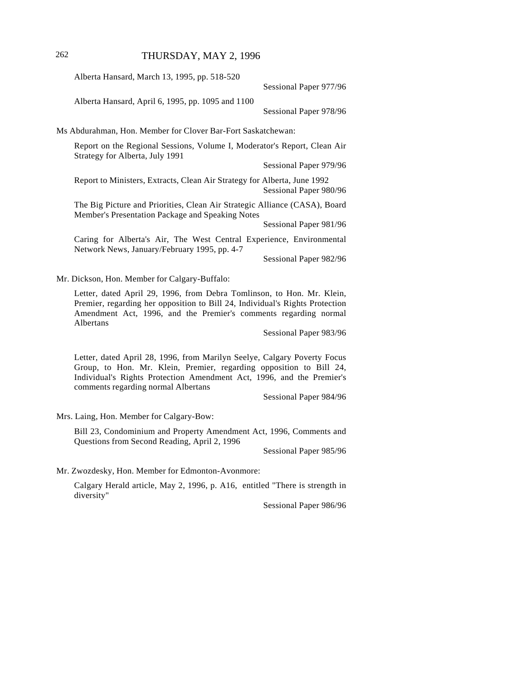## 262 THURSDAY, MAY 2, 1996

Alberta Hansard, March 13, 1995, pp. 518-520

Sessional Paper 977/96

Alberta Hansard, April 6, 1995, pp. 1095 and 1100

Sessional Paper 978/96

Ms Abdurahman, Hon. Member for Clover Bar-Fort Saskatchewan:

Report on the Regional Sessions, Volume I, Moderator's Report, Clean Air Strategy for Alberta, July 1991

Sessional Paper 979/96

Report to Ministers, Extracts, Clean Air Strategy for Alberta, June 1992 Sessional Paper 980/96

The Big Picture and Priorities, Clean Air Strategic Alliance (CASA), Board Member's Presentation Package and Speaking Notes

Sessional Paper 981/96

Caring for Alberta's Air, The West Central Experience, Environmental Network News, January/February 1995, pp. 4-7

Sessional Paper 982/96

Mr. Dickson, Hon. Member for Calgary-Buffalo:

Letter, dated April 29, 1996, from Debra Tomlinson, to Hon. Mr. Klein, Premier, regarding her opposition to Bill 24, Individual's Rights Protection Amendment Act, 1996, and the Premier's comments regarding normal Albertans

Sessional Paper 983/96

Letter, dated April 28, 1996, from Marilyn Seelye, Calgary Poverty Focus Group, to Hon. Mr. Klein, Premier, regarding opposition to Bill 24, Individual's Rights Protection Amendment Act, 1996, and the Premier's comments regarding normal Albertans

Sessional Paper 984/96

Mrs. Laing, Hon. Member for Calgary-Bow:

Bill 23, Condominium and Property Amendment Act, 1996, Comments and Questions from Second Reading, April 2, 1996

Sessional Paper 985/96

Mr. Zwozdesky, Hon. Member for Edmonton-Avonmore:

Calgary Herald article, May 2, 1996, p. A16, entitled "There is strength in diversity"

Sessional Paper 986/96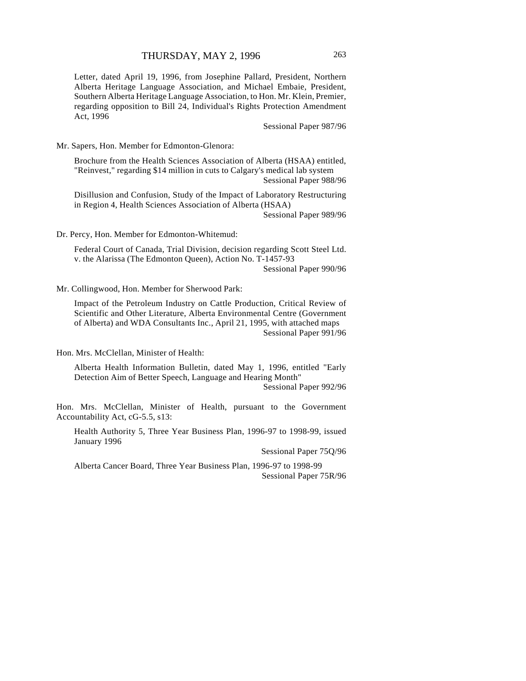Letter, dated April 19, 1996, from Josephine Pallard, President, Northern Alberta Heritage Language Association, and Michael Embaie, President, Southern Alberta Heritage Language Association, to Hon. Mr. Klein, Premier, regarding opposition to Bill 24, Individual's Rights Protection Amendment Act, 1996

Sessional Paper 987/96

Mr. Sapers, Hon. Member for Edmonton-Glenora:

Brochure from the Health Sciences Association of Alberta (HSAA) entitled, "Reinvest," regarding \$14 million in cuts to Calgary's medical lab system Sessional Paper 988/96

Disillusion and Confusion, Study of the Impact of Laboratory Restructuring in Region 4, Health Sciences Association of Alberta (HSAA) Sessional Paper 989/96

Dr. Percy, Hon. Member for Edmonton-Whitemud:

Federal Court of Canada, Trial Division, decision regarding Scott Steel Ltd. v. the Alarissa (The Edmonton Queen), Action No. T-1457-93 Sessional Paper 990/96

Mr. Collingwood, Hon. Member for Sherwood Park:

Impact of the Petroleum Industry on Cattle Production, Critical Review of Scientific and Other Literature, Alberta Environmental Centre (Government of Alberta) and WDA Consultants Inc., April 21, 1995, with attached maps Sessional Paper 991/96

Hon. Mrs. McClellan, Minister of Health:

Alberta Health Information Bulletin, dated May 1, 1996, entitled "Early Detection Aim of Better Speech, Language and Hearing Month" Sessional Paper 992/96

Hon. Mrs. McClellan, Minister of Health, pursuant to the Government Accountability Act, cG-5.5, s13:

Health Authority 5, Three Year Business Plan, 1996-97 to 1998-99, issued January 1996

Sessional Paper 75Q/96

Alberta Cancer Board, Three Year Business Plan, 1996-97 to 1998-99 Sessional Paper 75R/96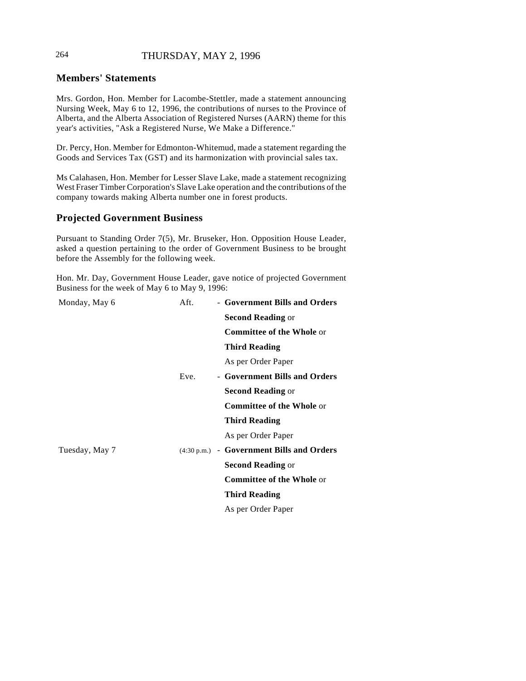# 264 THURSDAY, MAY 2, 1996

# **Members' Statements**

Mrs. Gordon, Hon. Member for Lacombe-Stettler, made a statement announcing Nursing Week, May 6 to 12, 1996, the contributions of nurses to the Province of Alberta, and the Alberta Association of Registered Nurses (AARN) theme for this year's activities, "Ask a Registered Nurse, We Make a Difference."

Dr. Percy, Hon. Member for Edmonton-Whitemud, made a statement regarding the Goods and Services Tax (GST) and its harmonization with provincial sales tax.

Ms Calahasen, Hon. Member for Lesser Slave Lake, made a statement recognizing West Fraser Timber Corporation's Slave Lake operation and the contributions of the company towards making Alberta number one in forest products.

# **Projected Government Business**

Pursuant to Standing Order 7(5), Mr. Bruseker, Hon. Opposition House Leader, asked a question pertaining to the order of Government Business to be brought before the Assembly for the following week.

Hon. Mr. Day, Government House Leader, gave notice of projected Government Business for the week of May 6 to May 9, 1996:

| Monday, May 6  | Aft. | - Government Bills and Orders                       |
|----------------|------|-----------------------------------------------------|
|                |      | <b>Second Reading or</b>                            |
|                |      | <b>Committee of the Whole or</b>                    |
|                |      | <b>Third Reading</b>                                |
|                |      | As per Order Paper                                  |
|                | Eve. | - Government Bills and Orders                       |
|                |      | <b>Second Reading or</b>                            |
|                |      | <b>Committee of the Whole or</b>                    |
|                |      | <b>Third Reading</b>                                |
|                |      | As per Order Paper                                  |
| Tuesday, May 7 |      | $(4:30 \text{ p.m.})$ - Government Bills and Orders |
|                |      | <b>Second Reading or</b>                            |
|                |      | <b>Committee of the Whole or</b>                    |
|                |      | <b>Third Reading</b>                                |
|                |      | As per Order Paper                                  |
|                |      |                                                     |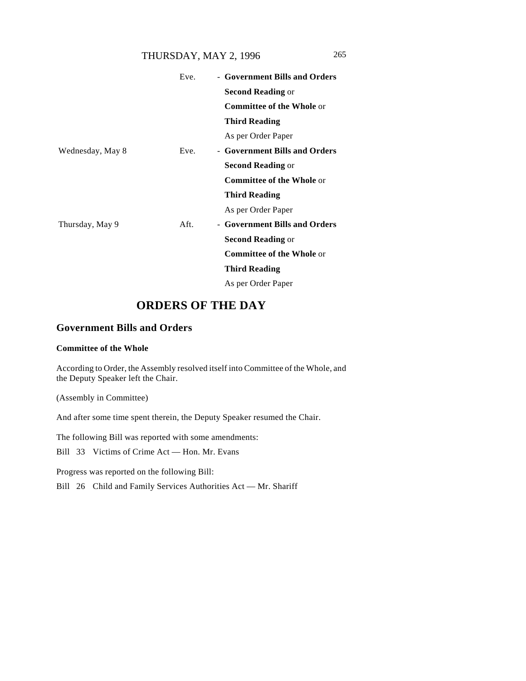# THURSDAY, MAY 2, 1996 265

|                  | Eve. | - Government Bills and Orders    |
|------------------|------|----------------------------------|
|                  |      | <b>Second Reading or</b>         |
|                  |      | <b>Committee of the Whole or</b> |
|                  |      | <b>Third Reading</b>             |
|                  |      | As per Order Paper               |
| Wednesday, May 8 | Eve. | - Government Bills and Orders    |
|                  |      | <b>Second Reading or</b>         |
|                  |      | <b>Committee of the Whole or</b> |
|                  |      | <b>Third Reading</b>             |
|                  |      | As per Order Paper               |
| Thursday, May 9  | Aft. | - Government Bills and Orders    |
|                  |      | <b>Second Reading or</b>         |
|                  |      | <b>Committee of the Whole or</b> |
|                  |      | <b>Third Reading</b>             |
|                  |      | As per Order Paper               |

# **ORDERS OF THE DAY**

# **Government Bills and Orders**

## **Committee of the Whole**

According to Order, the Assembly resolved itself into Committee of the Whole, and the Deputy Speaker left the Chair.

(Assembly in Committee)

And after some time spent therein, the Deputy Speaker resumed the Chair.

The following Bill was reported with some amendments:

Bill 33 Victims of Crime Act — Hon. Mr. Evans

Progress was reported on the following Bill:

Bill 26 Child and Family Services Authorities Act — Mr. Shariff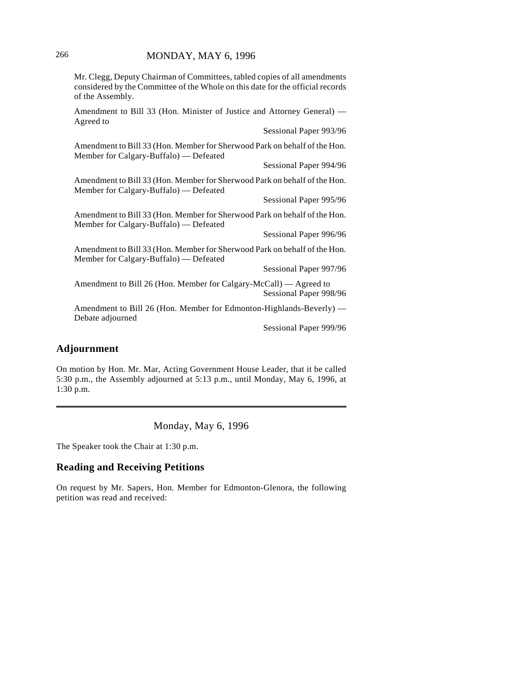Mr. Clegg, Deputy Chairman of Committees, tabled copies of all amendments considered by the Committee of the Whole on this date for the official records of the Assembly.

Amendment to Bill 33 (Hon. Minister of Justice and Attorney General) — Agreed to

Sessional Paper 993/96

Amendment to Bill 33 (Hon. Member for Sherwood Park on behalf of the Hon. Member for Calgary-Buffalo) — Defeated

Sessional Paper 994/96

Amendment to Bill 33 (Hon. Member for Sherwood Park on behalf of the Hon. Member for Calgary-Buffalo) — Defeated

Sessional Paper 995/96

Amendment to Bill 33 (Hon. Member for Sherwood Park on behalf of the Hon. Member for Calgary-Buffalo) — Defeated

Sessional Paper 996/96

Amendment to Bill 33 (Hon. Member for Sherwood Park on behalf of the Hon. Member for Calgary-Buffalo) — Defeated

Sessional Paper 997/96

Amendment to Bill 26 (Hon. Member for Calgary-McCall) — Agreed to Sessional Paper 998/96

Amendment to Bill 26 (Hon. Member for Edmonton-Highlands-Beverly) — Debate adjourned

Sessional Paper 999/96

#### **Adjournment**

On motion by Hon. Mr. Mar, Acting Government House Leader, that it be called 5:30 p.m., the Assembly adjourned at 5:13 p.m., until Monday, May 6, 1996, at 1:30 p.m.

Monday, May 6, 1996

The Speaker took the Chair at 1:30 p.m.

# **Reading and Receiving Petitions**

On request by Mr. Sapers, Hon. Member for Edmonton-Glenora, the following petition was read and received: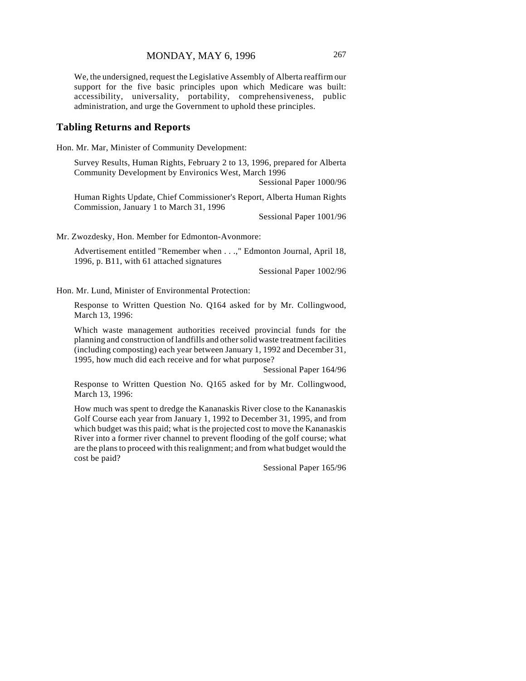We, the undersigned, request the Legislative Assembly of Alberta reaffirm our support for the five basic principles upon which Medicare was built: accessibility, universality, portability, comprehensiveness, public administration, and urge the Government to uphold these principles.

#### **Tabling Returns and Reports**

Hon. Mr. Mar, Minister of Community Development:

Survey Results, Human Rights, February 2 to 13, 1996, prepared for Alberta Community Development by Environics West, March 1996

Sessional Paper 1000/96

Human Rights Update, Chief Commissioner's Report, Alberta Human Rights Commission, January 1 to March 31, 1996

Sessional Paper 1001/96

Mr. Zwozdesky, Hon. Member for Edmonton-Avonmore:

Advertisement entitled "Remember when . . .," Edmonton Journal, April 18, 1996, p. B11, with 61 attached signatures

Sessional Paper 1002/96

Hon. Mr. Lund, Minister of Environmental Protection:

Response to Written Question No. Q164 asked for by Mr. Collingwood, March 13, 1996:

Which waste management authorities received provincial funds for the planning and construction of landfills and other solid waste treatment facilities (including composting) each year between January 1, 1992 and December 31, 1995, how much did each receive and for what purpose?

Sessional Paper 164/96

Response to Written Question No. Q165 asked for by Mr. Collingwood, March 13, 1996:

How much was spent to dredge the Kananaskis River close to the Kananaskis Golf Course each year from January 1, 1992 to December 31, 1995, and from which budget was this paid; what is the projected cost to move the Kananaskis River into a former river channel to prevent flooding of the golf course; what are the plans to proceed with this realignment; and from what budget would the cost be paid?

Sessional Paper 165/96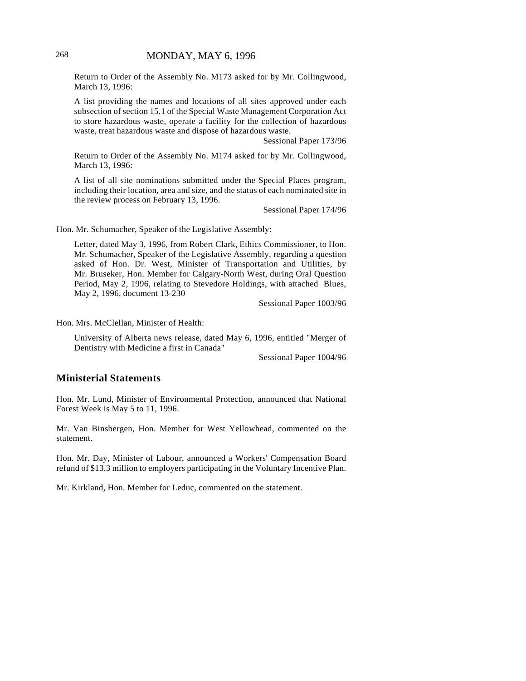Return to Order of the Assembly No. M173 asked for by Mr. Collingwood, March 13, 1996:

A list providing the names and locations of all sites approved under each subsection of section 15.1 of the Special Waste Management Corporation Act to store hazardous waste, operate a facility for the collection of hazardous waste, treat hazardous waste and dispose of hazardous waste.

Sessional Paper 173/96

Return to Order of the Assembly No. M174 asked for by Mr. Collingwood, March 13, 1996:

A list of all site nominations submitted under the Special Places program, including their location, area and size, and the status of each nominated site in the review process on February 13, 1996.

Sessional Paper 174/96

Hon. Mr. Schumacher, Speaker of the Legislative Assembly:

Letter, dated May 3, 1996, from Robert Clark, Ethics Commissioner, to Hon. Mr. Schumacher, Speaker of the Legislative Assembly, regarding a question asked of Hon. Dr. West, Minister of Transportation and Utilities, by Mr. Bruseker, Hon. Member for Calgary-North West, during Oral Question Period, May 2, 1996, relating to Stevedore Holdings, with attached Blues, May 2, 1996, document 13-230

Sessional Paper 1003/96

Hon. Mrs. McClellan, Minister of Health:

University of Alberta news release, dated May 6, 1996, entitled "Merger of Dentistry with Medicine a first in Canada"

Sessional Paper 1004/96

## **Ministerial Statements**

Hon. Mr. Lund, Minister of Environmental Protection, announced that National Forest Week is May 5 to 11, 1996.

Mr. Van Binsbergen, Hon. Member for West Yellowhead, commented on the statement.

Hon. Mr. Day, Minister of Labour, announced a Workers' Compensation Board refund of \$13.3 million to employers participating in the Voluntary Incentive Plan.

Mr. Kirkland, Hon. Member for Leduc, commented on the statement.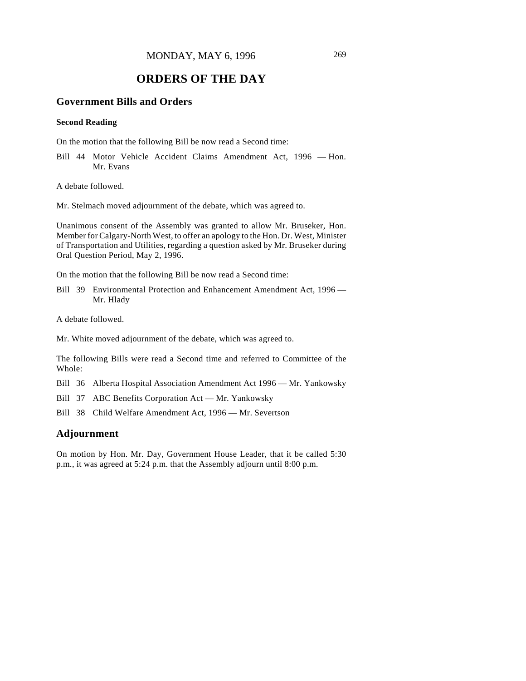# **ORDERS OF THE DAY**

# **Government Bills and Orders**

#### **Second Reading**

On the motion that the following Bill be now read a Second time:

Bill 44 Motor Vehicle Accident Claims Amendment Act, 1996 — Hon. Mr. Evans

A debate followed.

Mr. Stelmach moved adjournment of the debate, which was agreed to.

Unanimous consent of the Assembly was granted to allow Mr. Bruseker, Hon. Member for Calgary-North West, to offer an apology to the Hon. Dr. West, Minister of Transportation and Utilities, regarding a question asked by Mr. Bruseker during Oral Question Period, May 2, 1996.

On the motion that the following Bill be now read a Second time:

Bill 39 Environmental Protection and Enhancement Amendment Act, 1996 — Mr. Hlady

A debate followed.

Mr. White moved adjournment of the debate, which was agreed to.

The following Bills were read a Second time and referred to Committee of the Whole:

Bill 36 Alberta Hospital Association Amendment Act 1996 — Mr. Yankowsky

Bill 37 ABC Benefits Corporation Act — Mr. Yankowsky

Bill 38 Child Welfare Amendment Act, 1996 — Mr. Severtson

#### **Adjournment**

On motion by Hon. Mr. Day, Government House Leader, that it be called 5:30 p.m., it was agreed at 5:24 p.m. that the Assembly adjourn until 8:00 p.m.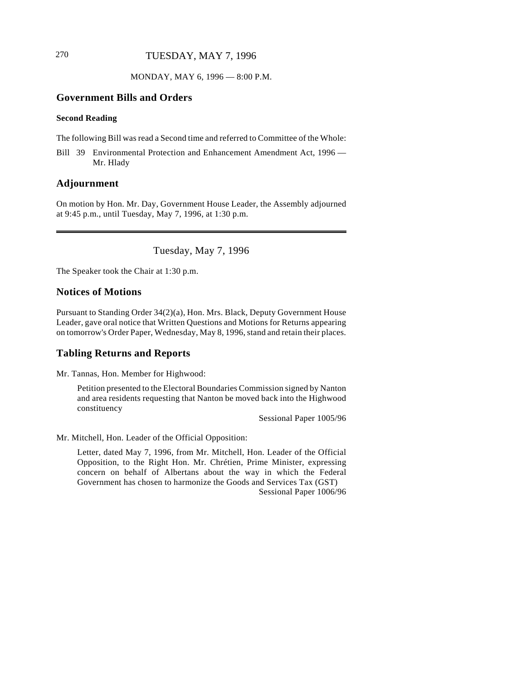# 270 TUESDAY, MAY 7, 1996

MONDAY, MAY 6, 1996 — 8:00 P.M.

# **Government Bills and Orders**

#### **Second Reading**

The following Bill was read a Second time and referred to Committee of the Whole:

Bill 39 Environmental Protection and Enhancement Amendment Act, 1996 — Mr. Hlady

## **Adjournment**

 $\overline{\phantom{a}}$ 

On motion by Hon. Mr. Day, Government House Leader, the Assembly adjourned at 9:45 p.m., until Tuesday, May 7, 1996, at 1:30 p.m.

Tuesday, May 7, 1996

The Speaker took the Chair at 1:30 p.m.

#### **Notices of Motions**

Pursuant to Standing Order 34(2)(a), Hon. Mrs. Black, Deputy Government House Leader, gave oral notice that Written Questions and Motions for Returns appearing on tomorrow's Order Paper, Wednesday, May 8, 1996, stand and retain their places.

#### **Tabling Returns and Reports**

Mr. Tannas, Hon. Member for Highwood:

Petition presented to the Electoral Boundaries Commission signed by Nanton and area residents requesting that Nanton be moved back into the Highwood constituency

Sessional Paper 1005/96

Mr. Mitchell, Hon. Leader of the Official Opposition:

Letter, dated May 7, 1996, from Mr. Mitchell, Hon. Leader of the Official Opposition, to the Right Hon. Mr. Chrétien, Prime Minister, expressing concern on behalf of Albertans about the way in which the Federal Government has chosen to harmonize the Goods and Services Tax (GST) Sessional Paper 1006/96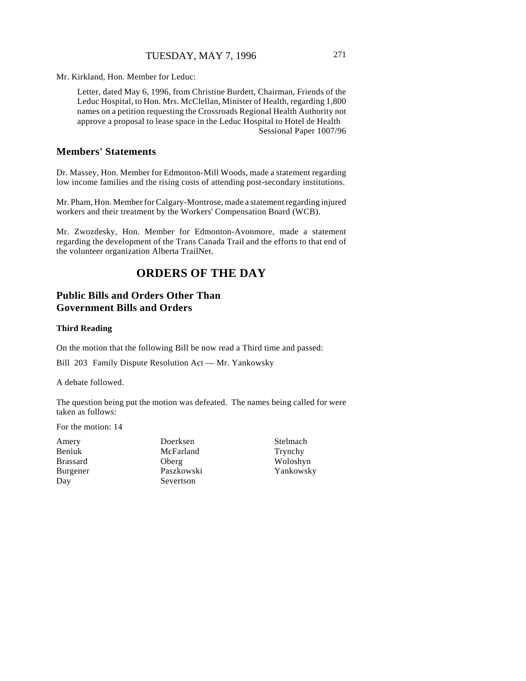## TUESDAY, MAY 7, 1996 271

Mr. Kirkland, Hon. Member for Leduc:

Letter, dated May 6, 1996, from Christine Burdett, Chairman, Friends of the Leduc Hospital, to Hon. Mrs. McClellan, Minister of Health, regarding 1,800 names on a petition requesting the Crossroads Regional Health Authority not approve a proposal to lease space in the Leduc Hospital to Hotel de Health Sessional Paper 1007/96

# **Members' Statements**

Dr. Massey, Hon. Member for Edmonton-Mill Woods, made a statement regarding low income families and the rising costs of attending post-secondary institutions.

Mr. Pham, Hon. Member for Calgary-Montrose, made a statement regarding injured workers and their treatment by the Workers' Compensation Board (WCB).

Mr. Zwozdesky, Hon. Member for Edmonton-Avonmore, made a statement regarding the development of the Trans Canada Trail and the efforts to that end of the volunteer organization Alberta TrailNet.

# **ORDERS OF THE DAY**

# **Public Bills and Orders Other Than Government Bills and Orders**

#### **Third Reading**

On the motion that the following Bill be now read a Third time and passed:

Bill 203 Family Dispute Resolution Act — Mr. Yankowsky

A debate followed.

The question being put the motion was defeated. The names being called for were taken as follows:

For the motion: 14

Amery Beniuk Brassard Burgener Day

Doerksen McFarland Oberg Paszkowski Severtson

Stelmach Trynchy Woloshyn Yankowsky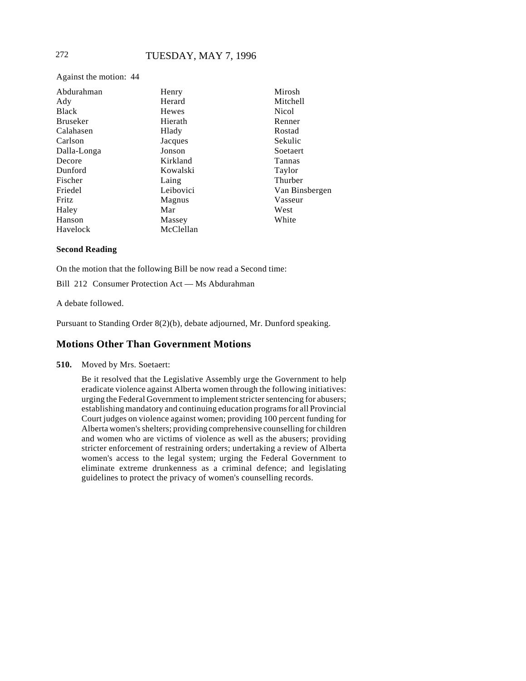Against the motion: 44

| Abdurahman      | Henry     | Mirosh         |
|-----------------|-----------|----------------|
| Ady             | Herard    | Mitchell       |
| <b>Black</b>    | Hewes     | Nicol          |
| <b>Bruseker</b> | Hierath   | Renner         |
| Calahasen       | Hlady     | Rostad         |
| Carlson         | Jacques   | Sekulic        |
| Dalla-Longa     | Jonson    | Soetaert       |
| Decore          | Kirkland  | Tannas         |
| Dunford         | Kowalski  | Taylor         |
| Fischer         | Laing     | Thurber        |
| Friedel         | Leibovici | Van Binsbergen |
| Fritz           | Magnus    | Vasseur        |
| Haley           | Mar       | West           |
| Hanson          | Massey    | White          |
| Havelock        | McClellan |                |

#### **Second Reading**

On the motion that the following Bill be now read a Second time:

Bill 212 Consumer Protection Act — Ms Abdurahman

A debate followed.

Pursuant to Standing Order 8(2)(b), debate adjourned, Mr. Dunford speaking.

## **Motions Other Than Government Motions**

**510.** Moved by Mrs. Soetaert:

Be it resolved that the Legislative Assembly urge the Government to help eradicate violence against Alberta women through the following initiatives: urging the Federal Government to implement stricter sentencing for abusers; establishing mandatory and continuing education programs for all Provincial Court judges on violence against women; providing 100 percent funding for Alberta women's shelters; providing comprehensive counselling for children and women who are victims of violence as well as the abusers; providing stricter enforcement of restraining orders; undertaking a review of Alberta women's access to the legal system; urging the Federal Government to eliminate extreme drunkenness as a criminal defence; and legislating guidelines to protect the privacy of women's counselling records.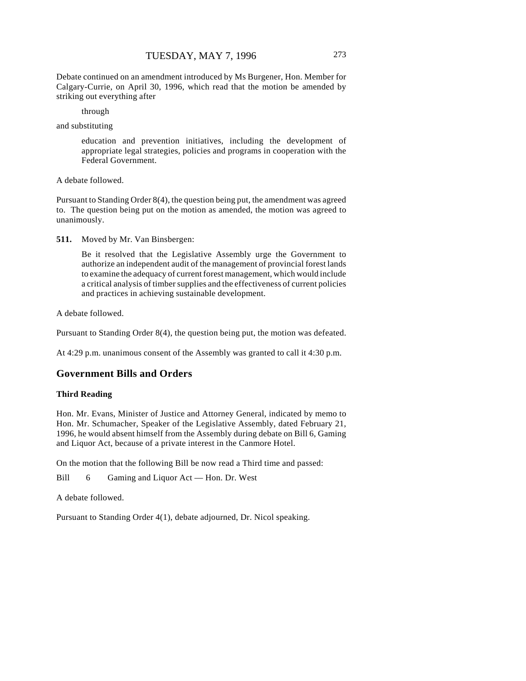Debate continued on an amendment introduced by Ms Burgener, Hon. Member for Calgary-Currie, on April 30, 1996, which read that the motion be amended by striking out everything after

through

and substituting

education and prevention initiatives, including the development of appropriate legal strategies, policies and programs in cooperation with the Federal Government.

A debate followed.

Pursuant to Standing Order 8(4), the question being put, the amendment was agreed to. The question being put on the motion as amended, the motion was agreed to unanimously.

**511.** Moved by Mr. Van Binsbergen:

Be it resolved that the Legislative Assembly urge the Government to authorize an independent audit of the management of provincial forest lands to examine the adequacy of current forest management, which would include a critical analysis of timber supplies and the effectiveness of current policies and practices in achieving sustainable development.

A debate followed.

Pursuant to Standing Order 8(4), the question being put, the motion was defeated.

At 4:29 p.m. unanimous consent of the Assembly was granted to call it 4:30 p.m.

# **Government Bills and Orders**

#### **Third Reading**

Hon. Mr. Evans, Minister of Justice and Attorney General, indicated by memo to Hon. Mr. Schumacher, Speaker of the Legislative Assembly, dated February 21, 1996, he would absent himself from the Assembly during debate on Bill 6, Gaming and Liquor Act, because of a private interest in the Canmore Hotel.

On the motion that the following Bill be now read a Third time and passed:

Bill 6 Gaming and Liquor Act — Hon. Dr. West

A debate followed.

Pursuant to Standing Order 4(1), debate adjourned, Dr. Nicol speaking.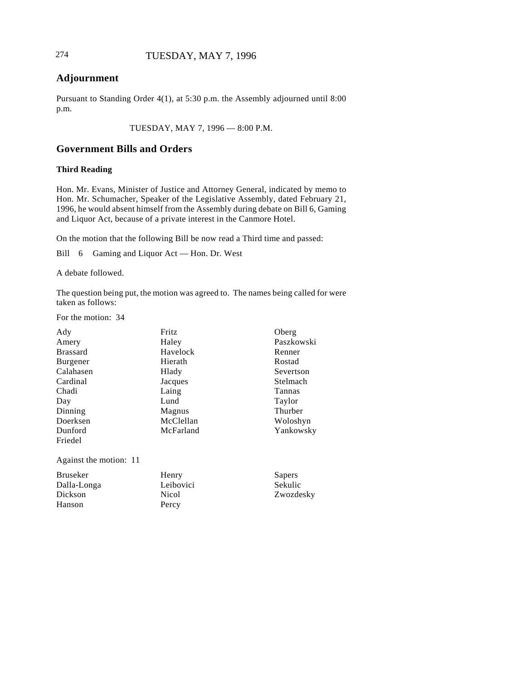# **Adjournment**

Pursuant to Standing Order 4(1), at 5:30 p.m. the Assembly adjourned until 8:00 p.m.

TUESDAY, MAY 7, 1996 — 8:00 P.M.

# **Government Bills and Orders**

#### **Third Reading**

Hon. Mr. Evans, Minister of Justice and Attorney General, indicated by memo to Hon. Mr. Schumacher, Speaker of the Legislative Assembly, dated February 21, 1996, he would absent himself from the Assembly during debate on Bill 6, Gaming and Liquor Act, because of a private interest in the Canmore Hotel.

On the motion that the following Bill be now read a Third time and passed:

Bill 6 Gaming and Liquor Act — Hon. Dr. West

A debate followed.

The question being put, the motion was agreed to. The names being called for were taken as follows:

For the motion: 34

Dickson Hanson

| Ady                    | Fritz     | Oberg      |
|------------------------|-----------|------------|
| Amery                  | Haley     | Paszkowski |
| <b>Brassard</b>        | Havelock  | Renner     |
| Burgener               | Hierath   | Rostad     |
| Calahasen              | Hlady     | Severtson  |
| Cardinal               | Jacques   | Stelmach   |
| Chadi                  | Laing     | Tannas     |
| Day                    | Lund      | Taylor     |
| Dinning                | Magnus    | Thurber    |
| Doerksen               | McClellan | Woloshyn   |
| Dunford                | McFarland | Yankowsky  |
| Friedel                |           |            |
| Against the motion: 11 |           |            |
| <b>Bruseker</b>        | Henry     | Sapers     |
| Dalla-Longa            | Leibovici | Sekulic    |

Zwozdesky

Nicol Percy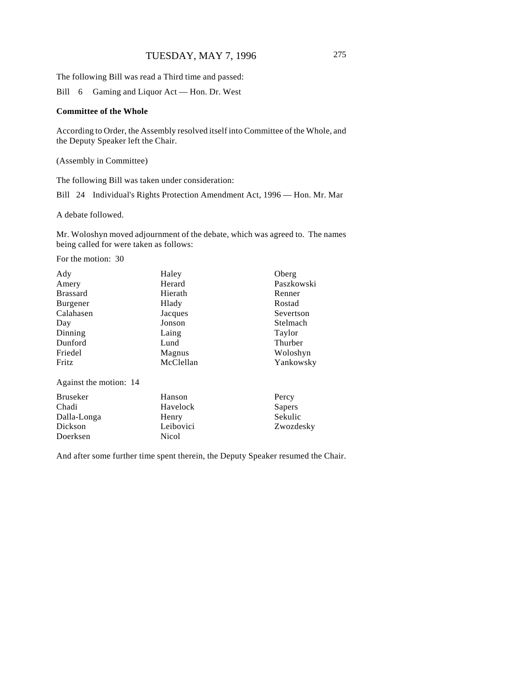The following Bill was read a Third time and passed:

Bill 6 Gaming and Liquor Act — Hon. Dr. West

#### **Committee of the Whole**

According to Order, the Assembly resolved itself into Committee of the Whole, and the Deputy Speaker left the Chair.

(Assembly in Committee)

The following Bill was taken under consideration:

Bill 24 Individual's Rights Protection Amendment Act, 1996 — Hon. Mr. Mar

A debate followed.

Mr. Woloshyn moved adjournment of the debate, which was agreed to. The names being called for were taken as follows:

For the motion: 30

| Ady                    | Haley     | Oberg      |
|------------------------|-----------|------------|
| Amery                  | Herard    | Paszkowski |
| <b>Brassard</b>        | Hierath   | Renner     |
| Burgener               | Hlady     | Rostad     |
| Calahasen              | Jacques   | Severtson  |
| Day                    | Jonson    | Stelmach   |
| Dinning                | Laing     | Taylor     |
| Dunford                | Lund      | Thurber    |
| Friedel                | Magnus    | Woloshyn   |
| Fritz                  | McClellan | Yankowsky  |
| Against the motion: 14 |           |            |

| Bruseker    | Hanson    | Percy     |
|-------------|-----------|-----------|
| Chadi       | Havelock  | Sapers    |
| Dalla-Longa | Henry     | Sekulic   |
| Dickson     | Leibovici | Zwozdesky |
| Doerksen    | Nicol     |           |

And after some further time spent therein, the Deputy Speaker resumed the Chair.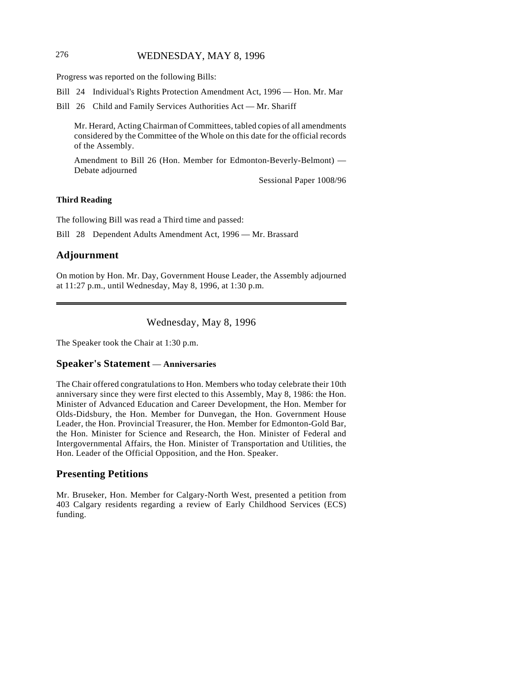# 276 WEDNESDAY, MAY 8, 1996

Progress was reported on the following Bills:

Bill 24 Individual's Rights Protection Amendment Act, 1996 — Hon. Mr. Mar

Bill 26 Child and Family Services Authorities Act — Mr. Shariff

Mr. Herard, Acting Chairman of Committees, tabled copies of all amendments considered by the Committee of the Whole on this date for the official records of the Assembly.

Amendment to Bill 26 (Hon. Member for Edmonton-Beverly-Belmont) — Debate adjourned

Sessional Paper 1008/96

#### **Third Reading**

The following Bill was read a Third time and passed:

Bill 28 Dependent Adults Amendment Act, 1996 — Mr. Brassard

## **Adjournment**

On motion by Hon. Mr. Day, Government House Leader, the Assembly adjourned at 11:27 p.m., until Wednesday, May 8, 1996, at 1:30 p.m.

Wednesday, May 8, 1996

The Speaker took the Chair at 1:30 p.m.

#### **Speaker's Statement** — **Anniversaries**

The Chair offered congratulations to Hon. Members who today celebrate their 10th anniversary since they were first elected to this Assembly, May 8, 1986: the Hon. Minister of Advanced Education and Career Development, the Hon. Member for Olds-Didsbury, the Hon. Member for Dunvegan, the Hon. Government House Leader, the Hon. Provincial Treasurer, the Hon. Member for Edmonton-Gold Bar, the Hon. Minister for Science and Research, the Hon. Minister of Federal and Intergovernmental Affairs, the Hon. Minister of Transportation and Utilities, the Hon. Leader of the Official Opposition, and the Hon. Speaker.

#### **Presenting Petitions**

Mr. Bruseker, Hon. Member for Calgary-North West, presented a petition from 403 Calgary residents regarding a review of Early Childhood Services (ECS) funding.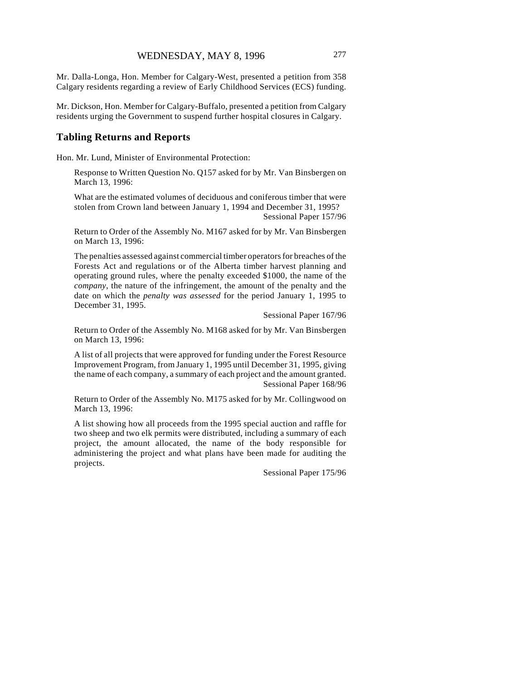Mr. Dalla-Longa, Hon. Member for Calgary-West, presented a petition from 358 Calgary residents regarding a review of Early Childhood Services (ECS) funding.

Mr. Dickson, Hon. Member for Calgary-Buffalo, presented a petition from Calgary residents urging the Government to suspend further hospital closures in Calgary.

## **Tabling Returns and Reports**

Hon. Mr. Lund, Minister of Environmental Protection:

Response to Written Question No. Q157 asked for by Mr. Van Binsbergen on March 13, 1996:

What are the estimated volumes of deciduous and coniferous timber that were stolen from Crown land between January 1, 1994 and December 31, 1995? Sessional Paper 157/96

Return to Order of the Assembly No. M167 asked for by Mr. Van Binsbergen on March 13, 1996:

The penalties assessed against commercial timber operators for breaches of the Forests Act and regulations or of the Alberta timber harvest planning and operating ground rules, where the penalty exceeded \$1000, the name of the *company*, the nature of the infringement, the amount of the penalty and the date on which the *penalty was assessed* for the period January 1, 1995 to December 31, 1995.

Sessional Paper 167/96

Return to Order of the Assembly No. M168 asked for by Mr. Van Binsbergen on March 13, 1996:

A list of all projects that were approved for funding under the Forest Resource Improvement Program, from January 1, 1995 until December 31, 1995, giving the name of each company, a summary of each project and the amount granted. Sessional Paper 168/96

Return to Order of the Assembly No. M175 asked for by Mr. Collingwood on March 13, 1996:

A list showing how all proceeds from the 1995 special auction and raffle for two sheep and two elk permits were distributed, including a summary of each project, the amount allocated, the name of the body responsible for administering the project and what plans have been made for auditing the projects.

Sessional Paper 175/96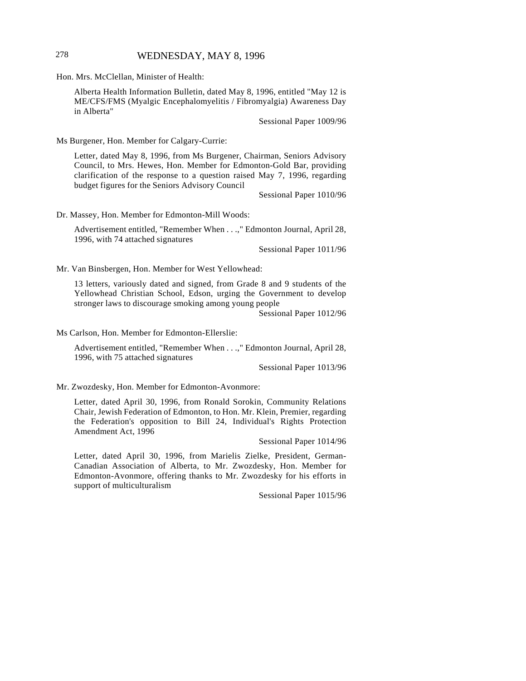## 278 WEDNESDAY, MAY 8, 1996

Hon. Mrs. McClellan, Minister of Health:

Alberta Health Information Bulletin, dated May 8, 1996, entitled "May 12 is ME/CFS/FMS (Myalgic Encephalomyelitis / Fibromyalgia) Awareness Day in Alberta"

Sessional Paper 1009/96

Ms Burgener, Hon. Member for Calgary-Currie:

Letter, dated May 8, 1996, from Ms Burgener, Chairman, Seniors Advisory Council, to Mrs. Hewes, Hon. Member for Edmonton-Gold Bar, providing clarification of the response to a question raised May 7, 1996, regarding budget figures for the Seniors Advisory Council

Sessional Paper 1010/96

Dr. Massey, Hon. Member for Edmonton-Mill Woods:

Advertisement entitled, "Remember When . . .," Edmonton Journal, April 28, 1996, with 74 attached signatures

Sessional Paper 1011/96

Mr. Van Binsbergen, Hon. Member for West Yellowhead:

13 letters, variously dated and signed, from Grade 8 and 9 students of the Yellowhead Christian School, Edson, urging the Government to develop stronger laws to discourage smoking among young people

Sessional Paper 1012/96

Ms Carlson, Hon. Member for Edmonton-Ellerslie:

Advertisement entitled, "Remember When . . .," Edmonton Journal, April 28, 1996, with 75 attached signatures

Sessional Paper 1013/96

Mr. Zwozdesky, Hon. Member for Edmonton-Avonmore:

Letter, dated April 30, 1996, from Ronald Sorokin, Community Relations Chair, Jewish Federation of Edmonton, to Hon. Mr. Klein, Premier, regarding the Federation's opposition to Bill 24, Individual's Rights Protection Amendment Act, 1996

Sessional Paper 1014/96

Letter, dated April 30, 1996, from Marielis Zielke, President, German-Canadian Association of Alberta, to Mr. Zwozdesky, Hon. Member for Edmonton-Avonmore, offering thanks to Mr. Zwozdesky for his efforts in support of multiculturalism

Sessional Paper 1015/96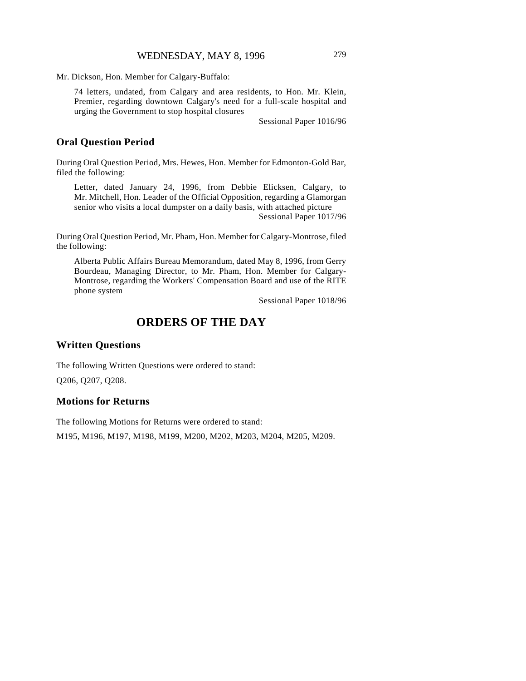Mr. Dickson, Hon. Member for Calgary-Buffalo:

74 letters, undated, from Calgary and area residents, to Hon. Mr. Klein, Premier, regarding downtown Calgary's need for a full-scale hospital and urging the Government to stop hospital closures

Sessional Paper 1016/96

## **Oral Question Period**

During Oral Question Period, Mrs. Hewes, Hon. Member for Edmonton-Gold Bar, filed the following:

Letter, dated January 24, 1996, from Debbie Elicksen, Calgary, to Mr. Mitchell, Hon. Leader of the Official Opposition, regarding a Glamorgan senior who visits a local dumpster on a daily basis, with attached picture Sessional Paper 1017/96

During Oral Question Period, Mr. Pham, Hon. Member for Calgary-Montrose, filed the following:

Alberta Public Affairs Bureau Memorandum, dated May 8, 1996, from Gerry Bourdeau, Managing Director, to Mr. Pham, Hon. Member for Calgary-Montrose, regarding the Workers' Compensation Board and use of the RITE phone system

Sessional Paper 1018/96

# **ORDERS OF THE DAY**

## **Written Questions**

The following Written Questions were ordered to stand: Q206, Q207, Q208.

#### **Motions for Returns**

The following Motions for Returns were ordered to stand: M195, M196, M197, M198, M199, M200, M202, M203, M204, M205, M209.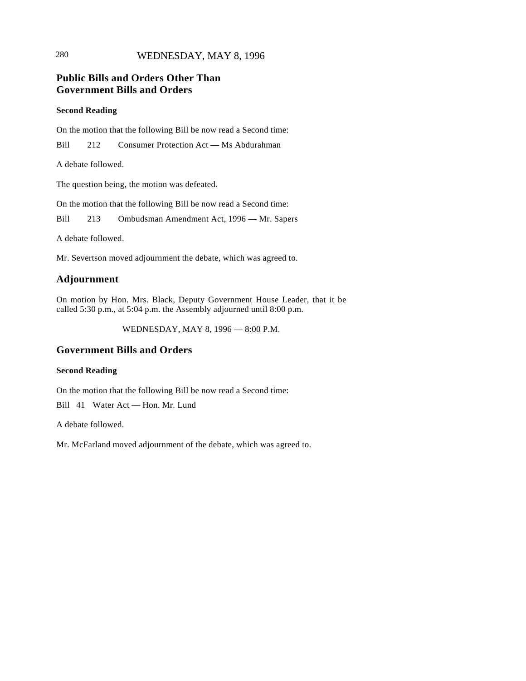# 280 WEDNESDAY, MAY 8, 1996

# **Public Bills and Orders Other Than Government Bills and Orders**

#### **Second Reading**

On the motion that the following Bill be now read a Second time:

Bill 212 Consumer Protection Act — Ms Abdurahman

A debate followed.

The question being, the motion was defeated.

On the motion that the following Bill be now read a Second time:

Bill 213 Ombudsman Amendment Act, 1996 — Mr. Sapers

A debate followed.

Mr. Severtson moved adjournment the debate, which was agreed to.

# **Adjournment**

On motion by Hon. Mrs. Black, Deputy Government House Leader, that it be called 5:30 p.m., at 5:04 p.m. the Assembly adjourned until 8:00 p.m.

WEDNESDAY, MAY 8, 1996 — 8:00 P.M.

# **Government Bills and Orders**

#### **Second Reading**

On the motion that the following Bill be now read a Second time:

Bill 41 Water Act — Hon. Mr. Lund

A debate followed.

Mr. McFarland moved adjournment of the debate, which was agreed to.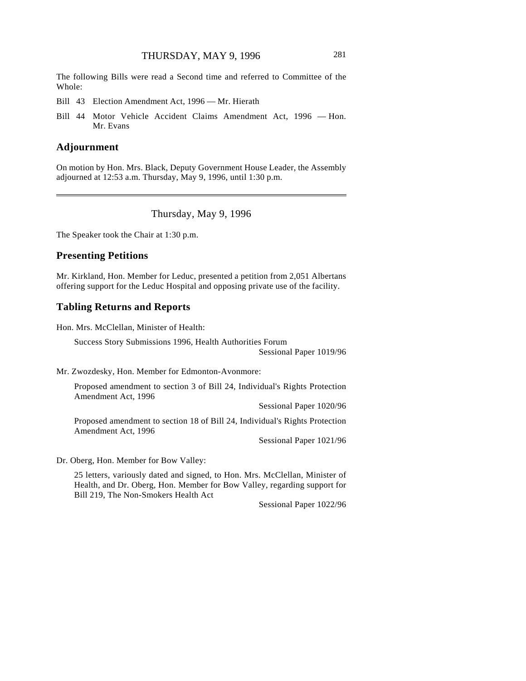The following Bills were read a Second time and referred to Committee of the Whole:

- Bill 43 Election Amendment Act, 1996 Mr. Hierath
- Bill 44 Motor Vehicle Accident Claims Amendment Act, 1996 Hon. Mr. Evans

#### **Adjournment**

On motion by Hon. Mrs. Black, Deputy Government House Leader, the Assembly adjourned at 12:53 a.m. Thursday, May 9, 1996, until 1:30 p.m.

Thursday, May 9, 1996

The Speaker took the Chair at 1:30 p.m.

## **Presenting Petitions**

Mr. Kirkland, Hon. Member for Leduc, presented a petition from 2,051 Albertans offering support for the Leduc Hospital and opposing private use of the facility.

## **Tabling Returns and Reports**

Hon. Mrs. McClellan, Minister of Health:

Success Story Submissions 1996, Health Authorities Forum Sessional Paper 1019/96

Mr. Zwozdesky, Hon. Member for Edmonton-Avonmore:

Proposed amendment to section 3 of Bill 24, Individual's Rights Protection Amendment Act, 1996

Sessional Paper 1020/96

Proposed amendment to section 18 of Bill 24, Individual's Rights Protection Amendment Act, 1996

Sessional Paper 1021/96

Dr. Oberg, Hon. Member for Bow Valley:

25 letters, variously dated and signed, to Hon. Mrs. McClellan, Minister of Health, and Dr. Oberg, Hon. Member for Bow Valley, regarding support for Bill 219, The Non-Smokers Health Act

Sessional Paper 1022/96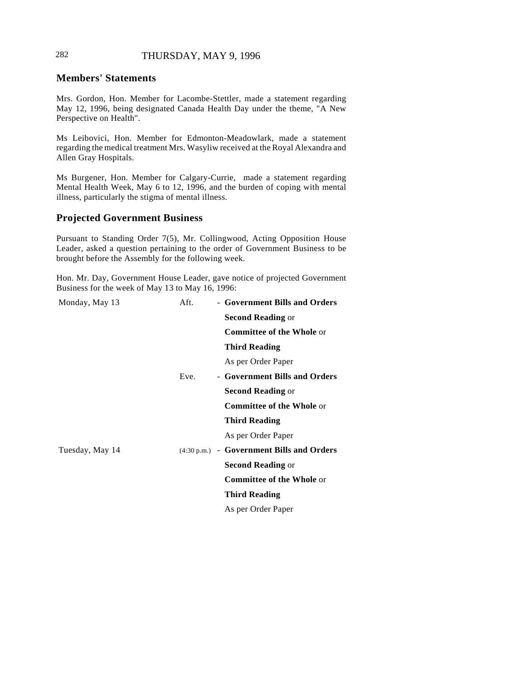# 282 THURSDAY, MAY 9, 1996

## **Members' Statements**

Mrs. Gordon, Hon. Member for Lacombe-Stettler, made a statement regarding May 12, 1996, being designated Canada Health Day under the theme, "A New Perspective on Health".

Ms Leibovici, Hon. Member for Edmonton-Meadowlark, made a statement regarding the medical treatment Mrs. Wasyliw received at the Royal Alexandra and Allen Gray Hospitals.

Ms Burgener, Hon. Member for Calgary-Currie, made a statement regarding Mental Health Week, May 6 to 12, 1996, and the burden of coping with mental illness, particularly the stigma of mental illness.

#### **Projected Government Business**

Pursuant to Standing Order 7(5), Mr. Collingwood, Acting Opposition House Leader, asked a question pertaining to the order of Government Business to be brought before the Assembly for the following week.

Hon. Mr. Day, Government House Leader, gave notice of projected Government Business for the week of May 13 to May 16, 1996:

| Monday, May 13  | Aft. | - Government Bills and Orders             |
|-----------------|------|-------------------------------------------|
|                 |      | <b>Second Reading or</b>                  |
|                 |      | <b>Committee of the Whole or</b>          |
|                 |      | <b>Third Reading</b>                      |
|                 |      | As per Order Paper                        |
|                 | Eve. | - Government Bills and Orders             |
|                 |      | <b>Second Reading or</b>                  |
|                 |      | <b>Committee of the Whole or</b>          |
|                 |      | <b>Third Reading</b>                      |
|                 |      | As per Order Paper                        |
| Tuesday, May 14 |      | (4:30 p.m.) - Government Bills and Orders |
|                 |      | <b>Second Reading or</b>                  |
|                 |      | <b>Committee of the Whole or</b>          |
|                 |      | <b>Third Reading</b>                      |
|                 |      | As per Order Paper                        |
|                 |      |                                           |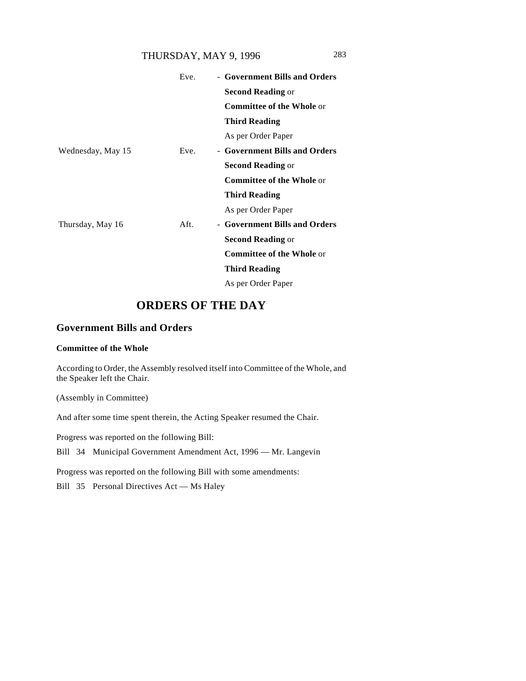# THURSDAY, MAY 9, 1996 283

|                   | Eve. | - Government Bills and Orders    |
|-------------------|------|----------------------------------|
|                   |      | <b>Second Reading or</b>         |
|                   |      | <b>Committee of the Whole or</b> |
|                   |      | <b>Third Reading</b>             |
|                   |      | As per Order Paper               |
| Wednesday, May 15 | Eve. | - Government Bills and Orders    |
|                   |      | <b>Second Reading or</b>         |
|                   |      | <b>Committee of the Whole or</b> |
|                   |      | <b>Third Reading</b>             |
|                   |      | As per Order Paper               |
| Thursday, May 16  | Aft. | - Government Bills and Orders    |
|                   |      | <b>Second Reading or</b>         |
|                   |      | <b>Committee of the Whole or</b> |
|                   |      | <b>Third Reading</b>             |
|                   |      | As per Order Paper               |

# **ORDERS OF THE DAY**

# **Government Bills and Orders**

## **Committee of the Whole**

According to Order, the Assembly resolved itself into Committee of the Whole, and the Speaker left the Chair.

(Assembly in Committee)

And after some time spent therein, the Acting Speaker resumed the Chair.

Progress was reported on the following Bill:

Bill 34 Municipal Government Amendment Act, 1996 — Mr. Langevin

Progress was reported on the following Bill with some amendments:

Bill 35 Personal Directives Act — Ms Haley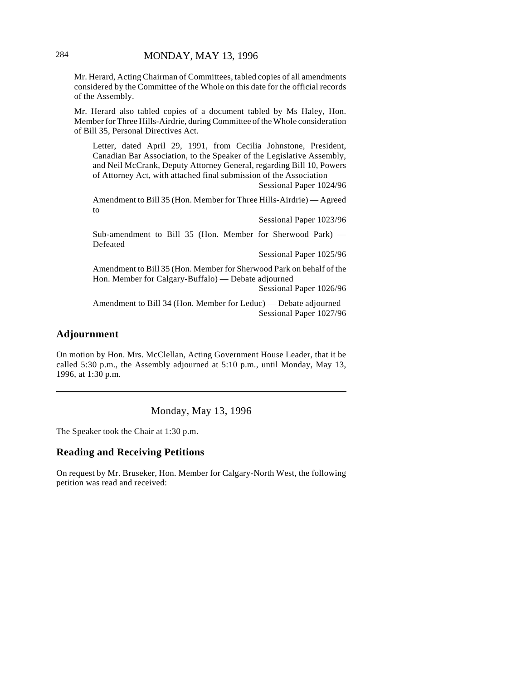Mr. Herard, Acting Chairman of Committees, tabled copies of all amendments considered by the Committee of the Whole on this date for the official records of the Assembly.

Mr. Herard also tabled copies of a document tabled by Ms Haley, Hon. Member for Three Hills-Airdrie, during Committee of the Whole consideration of Bill 35, Personal Directives Act.

Letter, dated April 29, 1991, from Cecilia Johnstone, President, Canadian Bar Association, to the Speaker of the Legislative Assembly, and Neil McCrank, Deputy Attorney General, regarding Bill 10, Powers of Attorney Act, with attached final submission of the Association

Sessional Paper 1024/96

Sessional Paper 1023/96

Amendment to Bill 35 (Hon. Member for Three Hills-Airdrie) — Agreed to

Sub-amendment to Bill 35 (Hon. Member for Sherwood Park) — Defeated

Sessional Paper 1025/96

Amendment to Bill 35 (Hon. Member for Sherwood Park on behalf of the Hon. Member for Calgary-Buffalo) — Debate adjourned Sessional Paper 1026/96

Amendment to Bill 34 (Hon. Member for Leduc) — Debate adjourned Sessional Paper 1027/96

## **Adjournment**

On motion by Hon. Mrs. McClellan, Acting Government House Leader, that it be called 5:30 p.m., the Assembly adjourned at 5:10 p.m., until Monday, May 13, 1996, at 1:30 p.m.

Monday, May 13, 1996

The Speaker took the Chair at 1:30 p.m.

# **Reading and Receiving Petitions**

On request by Mr. Bruseker, Hon. Member for Calgary-North West, the following petition was read and received: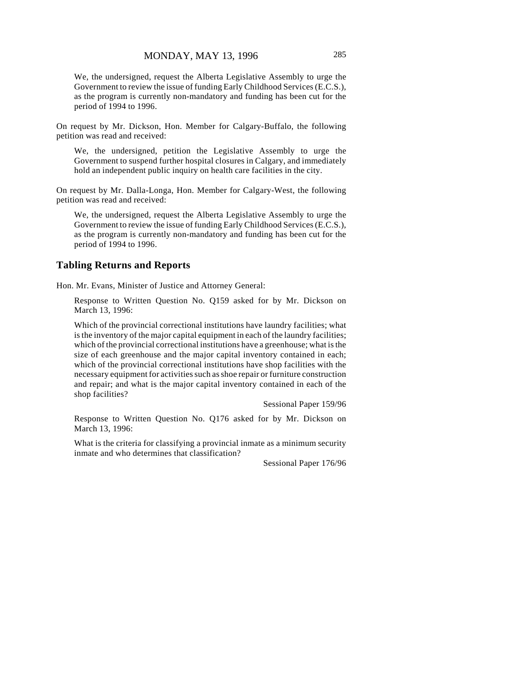We, the undersigned, request the Alberta Legislative Assembly to urge the Government to review the issue of funding Early Childhood Services (E.C.S.), as the program is currently non-mandatory and funding has been cut for the period of 1994 to 1996.

On request by Mr. Dickson, Hon. Member for Calgary-Buffalo, the following petition was read and received:

We, the undersigned, petition the Legislative Assembly to urge the Government to suspend further hospital closures in Calgary, and immediately hold an independent public inquiry on health care facilities in the city.

On request by Mr. Dalla-Longa, Hon. Member for Calgary-West, the following petition was read and received:

We, the undersigned, request the Alberta Legislative Assembly to urge the Government to review the issue of funding Early Childhood Services (E.C.S.), as the program is currently non-mandatory and funding has been cut for the period of 1994 to 1996.

#### **Tabling Returns and Reports**

Hon. Mr. Evans, Minister of Justice and Attorney General:

Response to Written Question No. Q159 asked for by Mr. Dickson on March 13, 1996:

Which of the provincial correctional institutions have laundry facilities; what is the inventory of the major capital equipment in each of the laundry facilities; which of the provincial correctional institutions have a greenhouse; what is the size of each greenhouse and the major capital inventory contained in each; which of the provincial correctional institutions have shop facilities with the necessary equipment for activities such as shoe repair or furniture construction and repair; and what is the major capital inventory contained in each of the shop facilities?

Sessional Paper 159/96

Response to Written Question No. Q176 asked for by Mr. Dickson on March 13, 1996:

What is the criteria for classifying a provincial inmate as a minimum security inmate and who determines that classification?

Sessional Paper 176/96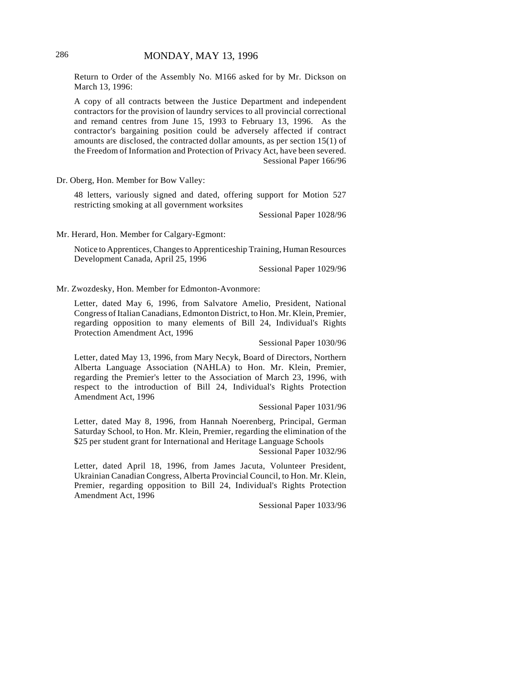Return to Order of the Assembly No. M166 asked for by Mr. Dickson on March 13, 1996:

A copy of all contracts between the Justice Department and independent contractors for the provision of laundry services to all provincial correctional and remand centres from June 15, 1993 to February 13, 1996. As the contractor's bargaining position could be adversely affected if contract amounts are disclosed, the contracted dollar amounts, as per section 15(1) of the Freedom of Information and Protection of Privacy Act, have been severed. Sessional Paper 166/96

Dr. Oberg, Hon. Member for Bow Valley:

48 letters, variously signed and dated, offering support for Motion 527 restricting smoking at all government worksites

Sessional Paper 1028/96

Mr. Herard, Hon. Member for Calgary-Egmont:

Notice to Apprentices, Changes to Apprenticeship Training, Human Resources Development Canada, April 25, 1996

Sessional Paper 1029/96

Mr. Zwozdesky, Hon. Member for Edmonton-Avonmore:

Letter, dated May 6, 1996, from Salvatore Amelio, President, National Congress of Italian Canadians, Edmonton District, to Hon. Mr. Klein, Premier, regarding opposition to many elements of Bill 24, Individual's Rights Protection Amendment Act, 1996

Sessional Paper 1030/96

Letter, dated May 13, 1996, from Mary Necyk, Board of Directors, Northern Alberta Language Association (NAHLA) to Hon. Mr. Klein, Premier, regarding the Premier's letter to the Association of March 23, 1996, with respect to the introduction of Bill 24, Individual's Rights Protection Amendment Act, 1996

Sessional Paper 1031/96

Letter, dated May 8, 1996, from Hannah Noerenberg, Principal, German Saturday School, to Hon. Mr. Klein, Premier, regarding the elimination of the \$25 per student grant for International and Heritage Language Schools

Sessional Paper 1032/96

Letter, dated April 18, 1996, from James Jacuta, Volunteer President, Ukrainian Canadian Congress, Alberta Provincial Council, to Hon. Mr. Klein, Premier, regarding opposition to Bill 24, Individual's Rights Protection Amendment Act, 1996

Sessional Paper 1033/96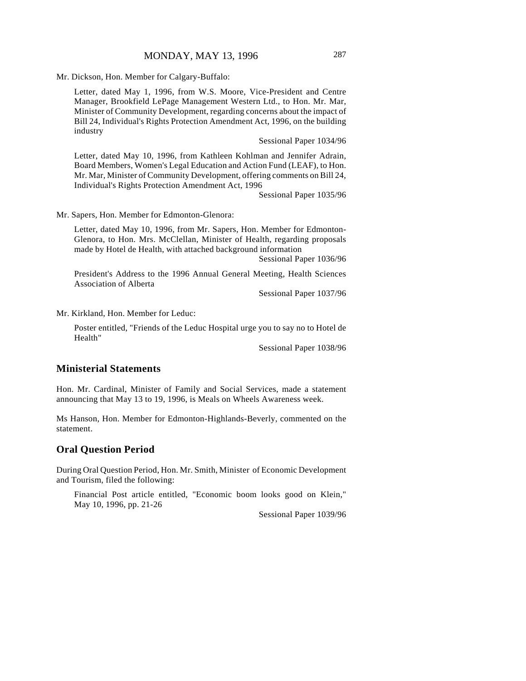Mr. Dickson, Hon. Member for Calgary-Buffalo:

Letter, dated May 1, 1996, from W.S. Moore, Vice-President and Centre Manager, Brookfield LePage Management Western Ltd., to Hon. Mr. Mar, Minister of Community Development, regarding concerns about the impact of Bill 24, Individual's Rights Protection Amendment Act, 1996, on the building industry

Sessional Paper 1034/96

Letter, dated May 10, 1996, from Kathleen Kohlman and Jennifer Adrain, Board Members, Women's Legal Education and Action Fund (LEAF), to Hon. Mr. Mar, Minister of Community Development, offering comments on Bill 24, Individual's Rights Protection Amendment Act, 1996

Sessional Paper 1035/96

Mr. Sapers, Hon. Member for Edmonton-Glenora:

Letter, dated May 10, 1996, from Mr. Sapers, Hon. Member for Edmonton-Glenora, to Hon. Mrs. McClellan, Minister of Health, regarding proposals made by Hotel de Health, with attached background information

Sessional Paper 1036/96

President's Address to the 1996 Annual General Meeting, Health Sciences Association of Alberta

Sessional Paper 1037/96

Mr. Kirkland, Hon. Member for Leduc:

Poster entitled, "Friends of the Leduc Hospital urge you to say no to Hotel de Health"

Sessional Paper 1038/96

# **Ministerial Statements**

Hon. Mr. Cardinal, Minister of Family and Social Services, made a statement announcing that May 13 to 19, 1996, is Meals on Wheels Awareness week.

Ms Hanson, Hon. Member for Edmonton-Highlands-Beverly, commented on the statement.

#### **Oral Question Period**

During Oral Question Period, Hon. Mr. Smith, Minister of Economic Development and Tourism, filed the following:

Financial Post article entitled, "Economic boom looks good on Klein," May 10, 1996, pp. 21-26

Sessional Paper 1039/96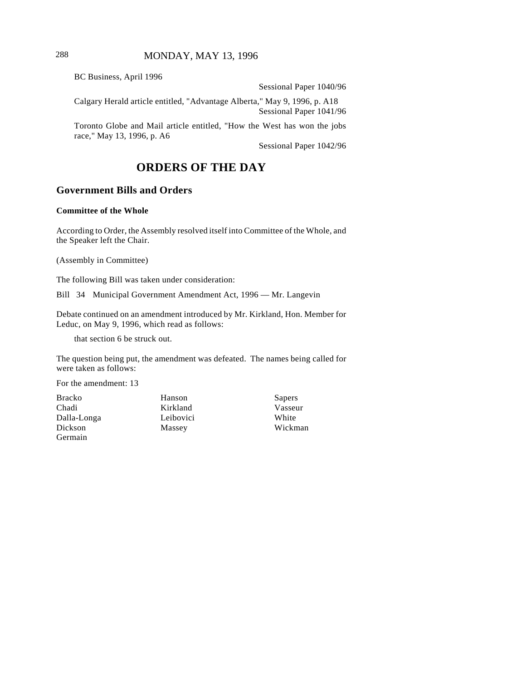BC Business, April 1996

Sessional Paper 1040/96

Calgary Herald article entitled, "Advantage Alberta," May 9, 1996, p. A18 Sessional Paper 1041/96

Toronto Globe and Mail article entitled, "How the West has won the jobs race," May 13, 1996, p. A6

Sessional Paper 1042/96

# **ORDERS OF THE DAY**

# **Government Bills and Orders**

#### **Committee of the Whole**

According to Order, the Assembly resolved itself into Committee of the Whole, and the Speaker left the Chair.

(Assembly in Committee)

The following Bill was taken under consideration:

Bill 34 Municipal Government Amendment Act, 1996 — Mr. Langevin

Debate continued on an amendment introduced by Mr. Kirkland, Hon. Member for Leduc, on May 9, 1996, which read as follows:

that section 6 be struck out.

The question being put, the amendment was defeated. The names being called for were taken as follows:

For the amendment: 13

- Bracko Chadi Dalla-Longa Dickson Germain
- Hanson Kirkland Leibovici Massey

Sapers Vasseur White Wickman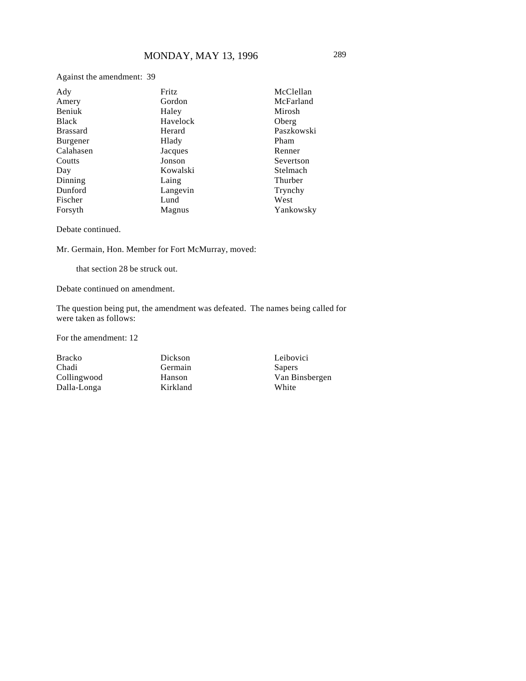Against the amendment: 39

| Ady             | Fritz    | McClellan  |
|-----------------|----------|------------|
| Amery           | Gordon   | McFarland  |
| Beniuk          | Haley    | Mirosh     |
| <b>Black</b>    | Havelock | Oberg      |
| <b>Brassard</b> | Herard   | Paszkowski |
| Burgener        | Hlady    | Pham       |
| Calahasen       | Jacques  | Renner     |
| Coutts          | Jonson   | Severtson  |
| Day             | Kowalski | Stelmach   |
| Dinning         | Laing    | Thurber    |
| Dunford         | Langevin | Trynchy    |
| Fischer         | Lund     | West       |
| Forsyth         | Magnus   | Yankowsky  |

Debate continued.

Mr. Germain, Hon. Member for Fort McMurray, moved:

that section 28 be struck out.

Debate continued on amendment.

The question being put, the amendment was defeated. The names being called for were taken as follows:

For the amendment: 12

Bracko Chadi Collingwood Dalla-Longa

Dickson Germain Hanson Kirkland Leibovici Sapers Van Binsbergen White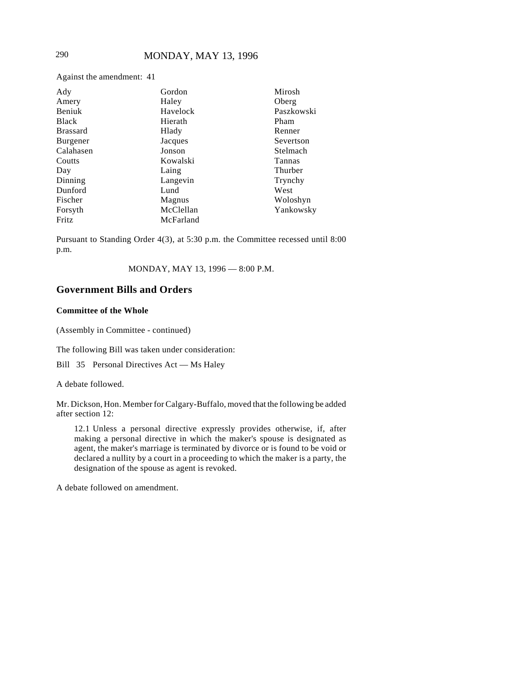Against the amendment: 41

| Ady             | Gordon    | Mirosh     |
|-----------------|-----------|------------|
| Amery           | Haley     | Oberg      |
| Beniuk          | Havelock  | Paszkowski |
| <b>Black</b>    | Hierath   | Pham       |
| <b>Brassard</b> | Hlady     | Renner     |
| <b>Burgener</b> | Jacques   | Severtson  |
| Calahasen       | Jonson    | Stelmach   |
| Coutts          | Kowalski  | Tannas     |
| Day             | Laing     | Thurber    |
| Dinning         | Langevin  | Trynchy    |
| Dunford         | Lund      | West       |
| Fischer         | Magnus    | Woloshyn   |
| Forsyth         | McClellan | Yankowsky  |
| Fritz           | McFarland |            |

Pursuant to Standing Order 4(3), at 5:30 p.m. the Committee recessed until 8:00 p.m.

MONDAY, MAY 13, 1996 — 8:00 P.M.

# **Government Bills and Orders**

#### **Committee of the Whole**

(Assembly in Committee - continued)

The following Bill was taken under consideration:

Bill 35 Personal Directives Act — Ms Haley

A debate followed.

Mr. Dickson, Hon. Member for Calgary-Buffalo, moved that the following be added after section 12:

12.1 Unless a personal directive expressly provides otherwise, if, after making a personal directive in which the maker's spouse is designated as agent, the maker's marriage is terminated by divorce or is found to be void or declared a nullity by a court in a proceeding to which the maker is a party, the designation of the spouse as agent is revoked.

A debate followed on amendment.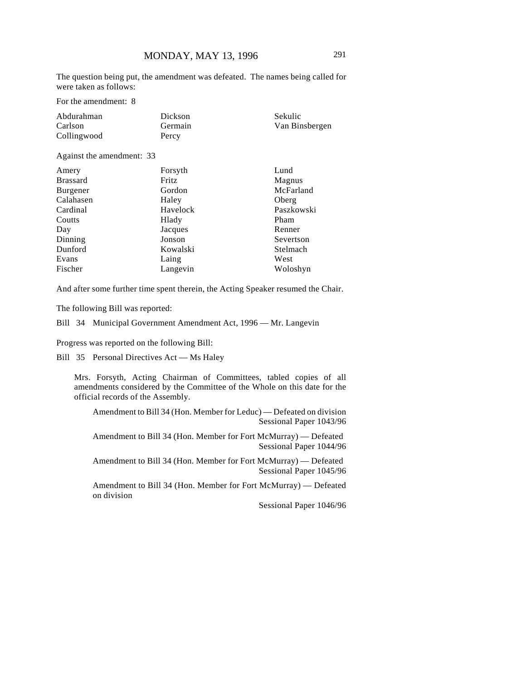The question being put, the amendment was defeated. The names being called for were taken as follows:

For the amendment: 8

| Abdurahman  | Dickson | Sekulic        |
|-------------|---------|----------------|
| Carlson     | Germain | Van Binsbergen |
| Collingwood | Percy   |                |

Against the amendment: 33

| Amery           | Forsyth  | Lund       |
|-----------------|----------|------------|
| <b>Brassard</b> | Fritz    | Magnus     |
| Burgener        | Gordon   | McFarland  |
| Calahasen       | Haley    | Oberg      |
| Cardinal        | Havelock | Paszkowski |
| Coutts          | Hlady    | Pham       |
| Day             | Jacques  | Renner     |
| Dinning         | Jonson   | Severtson  |
| Dunford         | Kowalski | Stelmach   |
| Evans           | Laing    | West       |
| Fischer         | Langevin | Woloshyn   |

And after some further time spent therein, the Acting Speaker resumed the Chair.

The following Bill was reported:

Bill 34 Municipal Government Amendment Act, 1996 — Mr. Langevin

Progress was reported on the following Bill:

Bill 35 Personal Directives Act — Ms Haley

Mrs. Forsyth, Acting Chairman of Committees, tabled copies of all amendments considered by the Committee of the Whole on this date for the official records of the Assembly.

Amendment to Bill 34 (Hon. Member for Leduc) — Defeated on division Sessional Paper 1043/96

Amendment to Bill 34 (Hon. Member for Fort McMurray) — Defeated Sessional Paper 1044/96

Amendment to Bill 34 (Hon. Member for Fort McMurray) — Defeated Sessional Paper 1045/96

Amendment to Bill 34 (Hon. Member for Fort McMurray) — Defeated on division

Sessional Paper 1046/96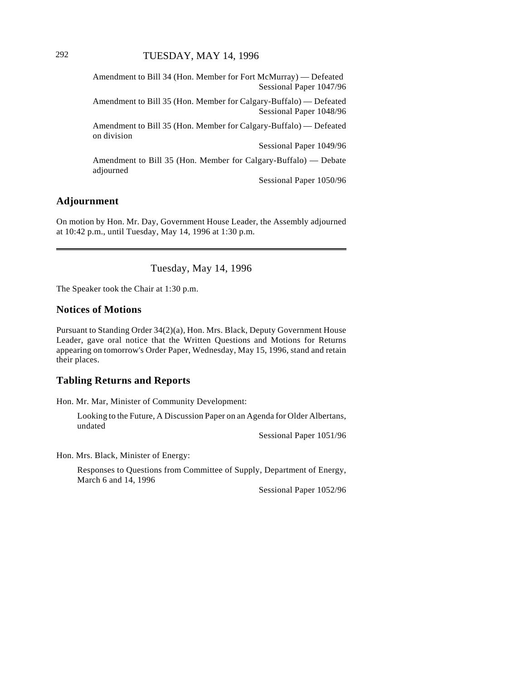Amendment to Bill 34 (Hon. Member for Fort McMurray) — Defeated Sessional Paper 1047/96

Amendment to Bill 35 (Hon. Member for Calgary-Buffalo) — Defeated Sessional Paper 1048/96

Amendment to Bill 35 (Hon. Member for Calgary-Buffalo) — Defeated on division

Sessional Paper 1049/96

Amendment to Bill 35 (Hon. Member for Calgary-Buffalo) — Debate adjourned

Sessional Paper 1050/96

# **Adjournment**

On motion by Hon. Mr. Day, Government House Leader, the Assembly adjourned at 10:42 p.m., until Tuesday, May 14, 1996 at 1:30 p.m.

Tuesday, May 14, 1996

The Speaker took the Chair at 1:30 p.m.

## **Notices of Motions**

Pursuant to Standing Order 34(2)(a), Hon. Mrs. Black, Deputy Government House Leader, gave oral notice that the Written Questions and Motions for Returns appearing on tomorrow's Order Paper, Wednesday, May 15, 1996, stand and retain their places.

### **Tabling Returns and Reports**

Hon. Mr. Mar, Minister of Community Development:

Looking to the Future, A Discussion Paper on an Agenda for Older Albertans, undated

Sessional Paper 1051/96

Hon. Mrs. Black, Minister of Energy:

Responses to Questions from Committee of Supply, Department of Energy, March 6 and 14, 1996

Sessional Paper 1052/96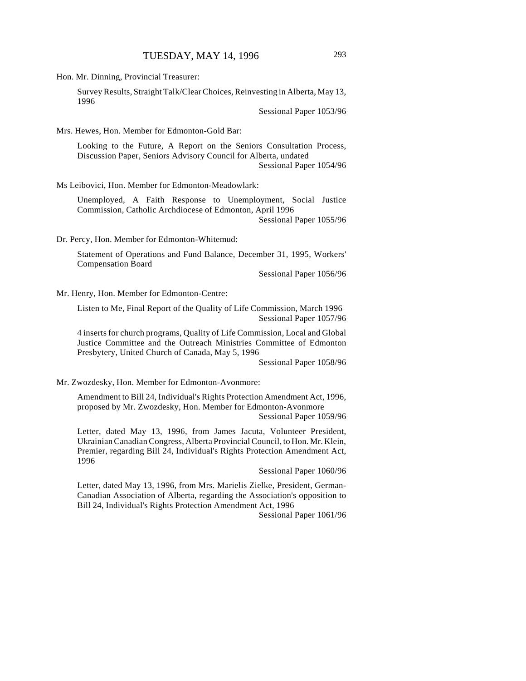Hon. Mr. Dinning, Provincial Treasurer:

Survey Results, Straight Talk/Clear Choices, Reinvesting in Alberta, May 13, 1996

Sessional Paper 1053/96

Mrs. Hewes, Hon. Member for Edmonton-Gold Bar:

Looking to the Future, A Report on the Seniors Consultation Process, Discussion Paper, Seniors Advisory Council for Alberta, undated Sessional Paper 1054/96

Ms Leibovici, Hon. Member for Edmonton-Meadowlark:

Unemployed, A Faith Response to Unemployment, Social Justice Commission, Catholic Archdiocese of Edmonton, April 1996 Sessional Paper 1055/96

Dr. Percy, Hon. Member for Edmonton-Whitemud:

Statement of Operations and Fund Balance, December 31, 1995, Workers' Compensation Board

Sessional Paper 1056/96

Mr. Henry, Hon. Member for Edmonton-Centre:

Listen to Me, Final Report of the Quality of Life Commission, March 1996 Sessional Paper 1057/96

4 inserts for church programs, Quality of Life Commission, Local and Global Justice Committee and the Outreach Ministries Committee of Edmonton Presbytery, United Church of Canada, May 5, 1996

Sessional Paper 1058/96

Mr. Zwozdesky, Hon. Member for Edmonton-Avonmore:

Amendment to Bill 24, Individual's Rights Protection Amendment Act, 1996, proposed by Mr. Zwozdesky, Hon. Member for Edmonton-Avonmore Sessional Paper 1059/96

Letter, dated May 13, 1996, from James Jacuta, Volunteer President, Ukrainian Canadian Congress, Alberta Provincial Council, to Hon. Mr. Klein, Premier, regarding Bill 24, Individual's Rights Protection Amendment Act, 1996

Sessional Paper 1060/96

Letter, dated May 13, 1996, from Mrs. Marielis Zielke, President, German-Canadian Association of Alberta, regarding the Association's opposition to Bill 24, Individual's Rights Protection Amendment Act, 1996

Sessional Paper 1061/96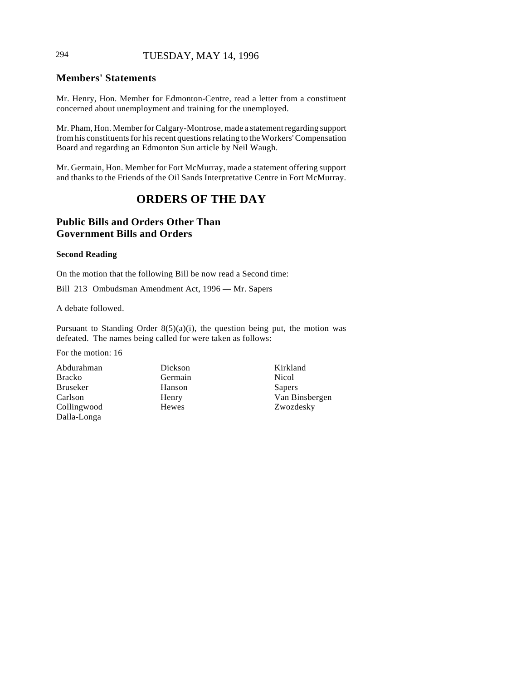# 294 TUESDAY, MAY 14, 1996

# **Members' Statements**

Mr. Henry, Hon. Member for Edmonton-Centre, read a letter from a constituent concerned about unemployment and training for the unemployed.

Mr. Pham, Hon. Member for Calgary-Montrose, made a statement regarding support from his constituents for his recent questions relating to the Workers' Compensation Board and regarding an Edmonton Sun article by Neil Waugh.

Mr. Germain, Hon. Member for Fort McMurray, made a statement offering support and thanks to the Friends of the Oil Sands Interpretative Centre in Fort McMurray.

# **ORDERS OF THE DAY**

# **Public Bills and Orders Other Than Government Bills and Orders**

#### **Second Reading**

On the motion that the following Bill be now read a Second time:

Bill 213 Ombudsman Amendment Act, 1996 — Mr. Sapers

A debate followed.

Pursuant to Standing Order  $8(5)(a)(i)$ , the question being put, the motion was defeated. The names being called for were taken as follows:

For the motion: 16

Abdurahman Bracko Bruseker Carlson Collingwood Dalla-Longa

Dickson Germain Hanson Henry Hewes

Kirkland Nicol Sapers Van Binsbergen Zwozdesky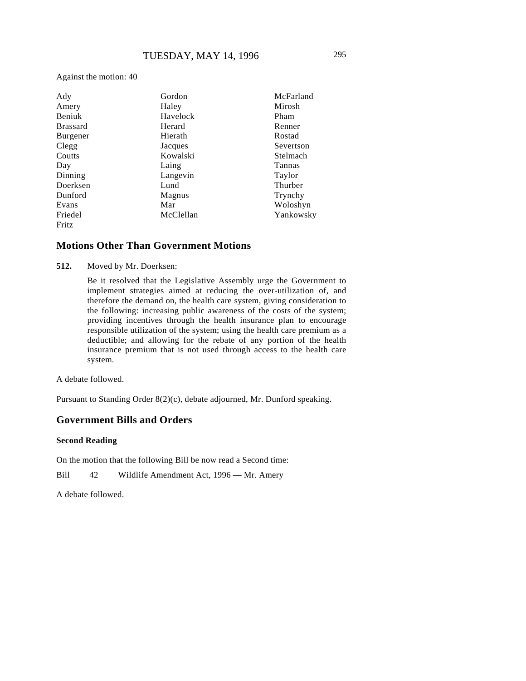Against the motion: 40

| Ady             | Gordon    | McFarland |
|-----------------|-----------|-----------|
| Amery           | Haley     | Mirosh    |
| <b>Beniuk</b>   | Havelock  | Pham      |
| <b>Brassard</b> | Herard    | Renner    |
| <b>Burgener</b> | Hierath   | Rostad    |
| Clegg           | Jacques   | Severtson |
| Coutts          | Kowalski  | Stelmach  |
| Day             | Laing     | Tannas    |
| Dinning         | Langevin  | Taylor    |
| Doerksen        | Lund      | Thurber   |
| Dunford         | Magnus    | Trynchy   |
| Evans           | Mar       | Woloshyn  |
| Friedel         | McClellan | Yankowsky |
| Fritz           |           |           |

#### **Motions Other Than Government Motions**

**512.** Moved by Mr. Doerksen:

Be it resolved that the Legislative Assembly urge the Government to implement strategies aimed at reducing the over-utilization of, and therefore the demand on, the health care system, giving consideration to the following: increasing public awareness of the costs of the system; providing incentives through the health insurance plan to encourage responsible utilization of the system; using the health care premium as a deductible; and allowing for the rebate of any portion of the health insurance premium that is not used through access to the health care system.

A debate followed.

Pursuant to Standing Order 8(2)(c), debate adjourned, Mr. Dunford speaking.

## **Government Bills and Orders**

#### **Second Reading**

On the motion that the following Bill be now read a Second time:

Bill 42 Wildlife Amendment Act, 1996 — Mr. Amery

A debate followed.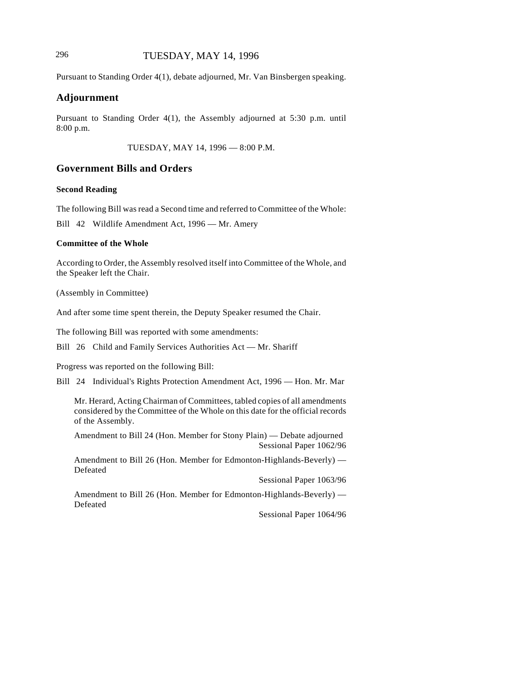# 296 TUESDAY, MAY 14, 1996

Pursuant to Standing Order 4(1), debate adjourned, Mr. Van Binsbergen speaking.

#### **Adjournment**

Pursuant to Standing Order 4(1), the Assembly adjourned at 5:30 p.m. until 8:00 p.m.

TUESDAY, MAY 14, 1996 — 8:00 P.M.

# **Government Bills and Orders**

### **Second Reading**

The following Bill was read a Second time and referred to Committee of the Whole:

Bill 42 Wildlife Amendment Act, 1996 — Mr. Amery

#### **Committee of the Whole**

According to Order, the Assembly resolved itself into Committee of the Whole, and the Speaker left the Chair.

(Assembly in Committee)

And after some time spent therein, the Deputy Speaker resumed the Chair.

The following Bill was reported with some amendments:

Bill 26 Child and Family Services Authorities Act — Mr. Shariff

Progress was reported on the following Bill:

Bill 24 Individual's Rights Protection Amendment Act, 1996 — Hon. Mr. Mar

Mr. Herard, Acting Chairman of Committees, tabled copies of all amendments considered by the Committee of the Whole on this date for the official records of the Assembly.

Amendment to Bill 24 (Hon. Member for Stony Plain) — Debate adjourned Sessional Paper 1062/96

Amendment to Bill 26 (Hon. Member for Edmonton-Highlands-Beverly) — Defeated

Sessional Paper 1063/96

Amendment to Bill 26 (Hon. Member for Edmonton-Highlands-Beverly) — Defeated

Sessional Paper 1064/96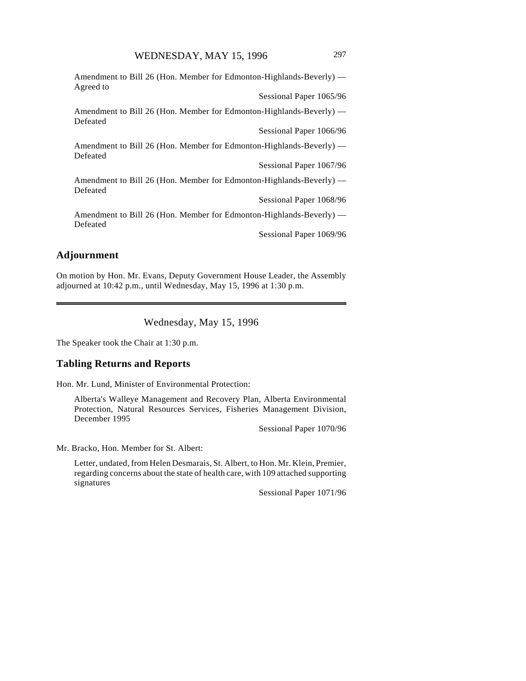Amendment to Bill 26 (Hon. Member for Edmonton-Highlands-Beverly) — Agreed to Sessional Paper 1065/96 Amendment to Bill 26 (Hon. Member for Edmonton-Highlands-Beverly) — Defeated Sessional Paper 1066/96 Amendment to Bill 26 (Hon. Member for Edmonton-Highlands-Beverly) — Defeated Sessional Paper 1067/96 Amendment to Bill 26 (Hon. Member for Edmonton-Highlands-Beverly) — Defeated Sessional Paper 1068/96 Amendment to Bill 26 (Hon. Member for Edmonton-Highlands-Beverly) — Defeated Sessional Paper 1069/96

# **Adjournment**

On motion by Hon. Mr. Evans, Deputy Government House Leader, the Assembly adjourned at 10:42 p.m., until Wednesday, May 15, 1996 at 1:30 p.m.

Wednesday, May 15, 1996

The Speaker took the Chair at 1:30 p.m.

## **Tabling Returns and Reports**

Hon. Mr. Lund, Minister of Environmental Protection:

Alberta's Walleye Management and Recovery Plan, Alberta Environmental Protection, Natural Resources Services, Fisheries Management Division, December 1995

Sessional Paper 1070/96

Mr. Bracko, Hon. Member for St. Albert:

Letter, undated, from Helen Desmarais, St. Albert, to Hon. Mr. Klein, Premier, regarding concerns about the state of health care, with 109 attached supporting signatures

Sessional Paper 1071/96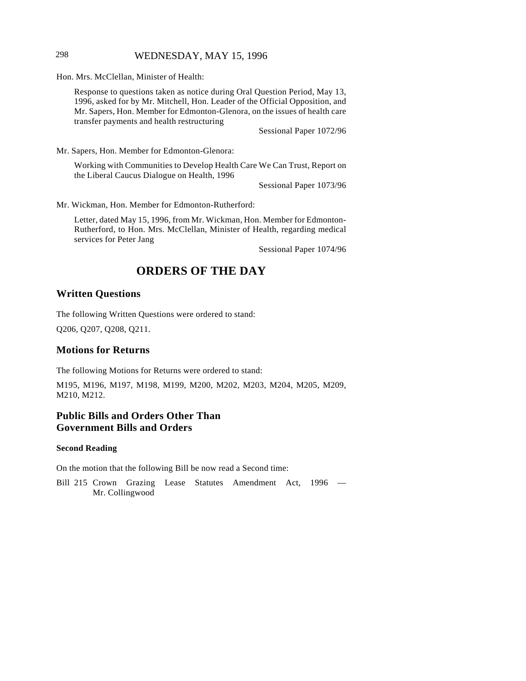## 298 WEDNESDAY, MAY 15, 1996

Hon. Mrs. McClellan, Minister of Health:

Response to questions taken as notice during Oral Question Period, May 13, 1996, asked for by Mr. Mitchell, Hon. Leader of the Official Opposition, and Mr. Sapers, Hon. Member for Edmonton-Glenora, on the issues of health care transfer payments and health restructuring

Sessional Paper 1072/96

Mr. Sapers, Hon. Member for Edmonton-Glenora:

Working with Communities to Develop Health Care We Can Trust, Report on the Liberal Caucus Dialogue on Health, 1996

Sessional Paper 1073/96

Mr. Wickman, Hon. Member for Edmonton-Rutherford:

Letter, dated May 15, 1996, from Mr. Wickman, Hon. Member for Edmonton-Rutherford, to Hon. Mrs. McClellan, Minister of Health, regarding medical services for Peter Jang

Sessional Paper 1074/96

# **ORDERS OF THE DAY**

### **Written Questions**

The following Written Questions were ordered to stand:

Q206, Q207, Q208, Q211.

## **Motions for Returns**

The following Motions for Returns were ordered to stand:

M195, M196, M197, M198, M199, M200, M202, M203, M204, M205, M209, M210, M212.

# **Public Bills and Orders Other Than Government Bills and Orders**

#### **Second Reading**

On the motion that the following Bill be now read a Second time:

Bill 215 Crown Grazing Lease Statutes Amendment Act, 1996 — Mr. Collingwood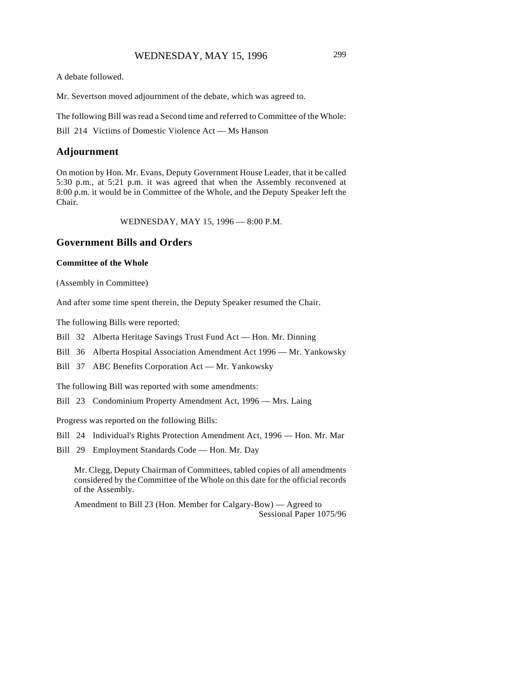A debate followed.

Mr. Severtson moved adjournment of the debate, which was agreed to.

The following Bill was read a Second time and referred to Committee of the Whole:

Bill 214 Victims of Domestic Violence Act — Ms Hanson

#### **Adjournment**

On motion by Hon. Mr. Evans, Deputy Government House Leader, that it be called 5:30 p.m., at 5:21 p.m. it was agreed that when the Assembly reconvened at 8:00 p.m. it would be in Committee of the Whole, and the Deputy Speaker left the Chair.

WEDNESDAY, MAY 15, 1996 — 8:00 P.M.

# **Government Bills and Orders**

#### **Committee of the Whole**

(Assembly in Committee)

And after some time spent therein, the Deputy Speaker resumed the Chair.

The following Bills were reported:

- Bill 32 Alberta Heritage Savings Trust Fund Act Hon. Mr. Dinning
- Bill 36 Alberta Hospital Association Amendment Act 1996 Mr. Yankowsky
- Bill 37 ABC Benefits Corporation Act Mr. Yankowsky

The following Bill was reported with some amendments:

Bill 23 Condominium Property Amendment Act, 1996 — Mrs. Laing

Progress was reported on the following Bills:

- Bill 24 Individual's Rights Protection Amendment Act, 1996 Hon. Mr. Mar
- Bill 29 Employment Standards Code Hon. Mr. Day

Mr. Clegg, Deputy Chairman of Committees, tabled copies of all amendments considered by the Committee of the Whole on this date for the official records of the Assembly.

Amendment to Bill 23 (Hon. Member for Calgary-Bow) — Agreed to Sessional Paper 1075/96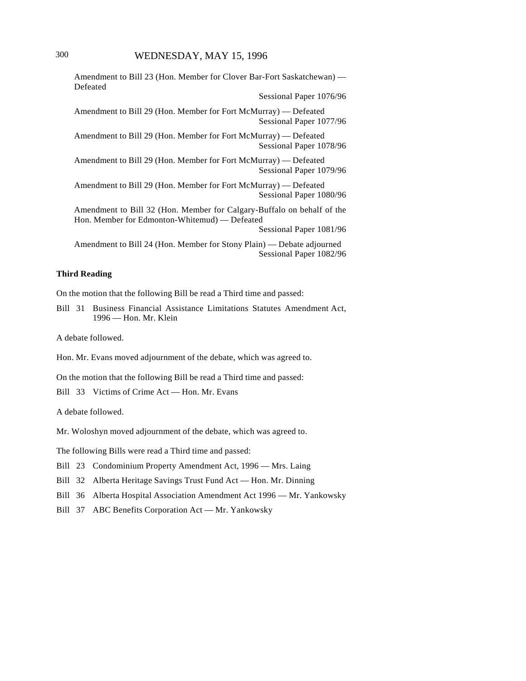Amendment to Bill 23 (Hon. Member for Clover Bar-Fort Saskatchewan) — Defeated

Sessional Paper 1076/96

Amendment to Bill 29 (Hon. Member for Fort McMurray) — Defeated Sessional Paper 1077/96

Amendment to Bill 29 (Hon. Member for Fort McMurray) — Defeated Sessional Paper 1078/96

Amendment to Bill 29 (Hon. Member for Fort McMurray) — Defeated Sessional Paper 1079/96

Amendment to Bill 29 (Hon. Member for Fort McMurray) — Defeated Sessional Paper 1080/96

Amendment to Bill 32 (Hon. Member for Calgary-Buffalo on behalf of the Hon. Member for Edmonton-Whitemud) — Defeated

Sessional Paper 1081/96

Amendment to Bill 24 (Hon. Member for Stony Plain) — Debate adjourned Sessional Paper 1082/96

#### **Third Reading**

On the motion that the following Bill be read a Third time and passed:

Bill 31 Business Financial Assistance Limitations Statutes Amendment Act, 1996 — Hon. Mr. Klein

A debate followed.

Hon. Mr. Evans moved adjournment of the debate, which was agreed to.

On the motion that the following Bill be read a Third time and passed:

Bill 33 Victims of Crime Act — Hon. Mr. Evans

A debate followed.

Mr. Woloshyn moved adjournment of the debate, which was agreed to.

The following Bills were read a Third time and passed:

Bill 23 Condominium Property Amendment Act, 1996 — Mrs. Laing

Bill 32 Alberta Heritage Savings Trust Fund Act — Hon. Mr. Dinning

Bill 36 Alberta Hospital Association Amendment Act 1996 — Mr. Yankowsky

Bill 37 ABC Benefits Corporation Act — Mr. Yankowsky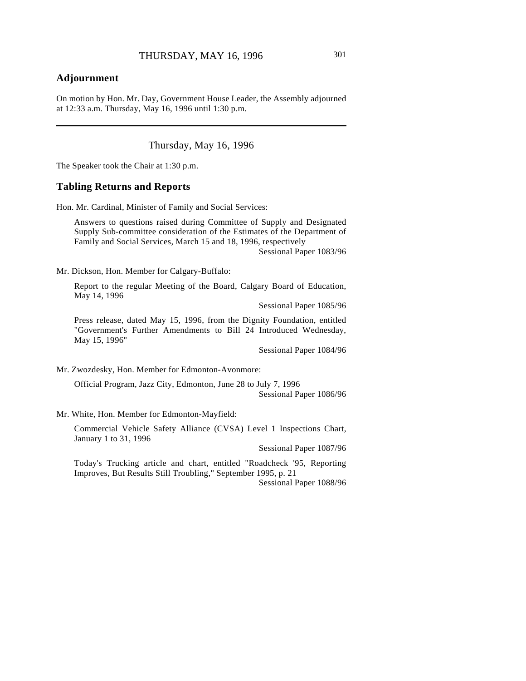# **Adjournment**

 $\overline{\phantom{a}}$ 

On motion by Hon. Mr. Day, Government House Leader, the Assembly adjourned at 12:33 a.m. Thursday, May 16, 1996 until 1:30 p.m.

Thursday, May 16, 1996

The Speaker took the Chair at 1:30 p.m.

#### **Tabling Returns and Reports**

Hon. Mr. Cardinal, Minister of Family and Social Services:

Answers to questions raised during Committee of Supply and Designated Supply Sub-committee consideration of the Estimates of the Department of Family and Social Services, March 15 and 18, 1996, respectively Sessional Paper 1083/96

Mr. Dickson, Hon. Member for Calgary-Buffalo:

Report to the regular Meeting of the Board, Calgary Board of Education, May 14, 1996

Sessional Paper 1085/96

Press release, dated May 15, 1996, from the Dignity Foundation, entitled "Government's Further Amendments to Bill 24 Introduced Wednesday, May 15, 1996"

Sessional Paper 1084/96

Mr. Zwozdesky, Hon. Member for Edmonton-Avonmore:

Official Program, Jazz City, Edmonton, June 28 to July 7, 1996

Sessional Paper 1086/96

Mr. White, Hon. Member for Edmonton-Mayfield:

Commercial Vehicle Safety Alliance (CVSA) Level 1 Inspections Chart, January 1 to 31, 1996

Sessional Paper 1087/96

Today's Trucking article and chart, entitled "Roadcheck '95, Reporting Improves, But Results Still Troubling," September 1995, p. 21

Sessional Paper 1088/96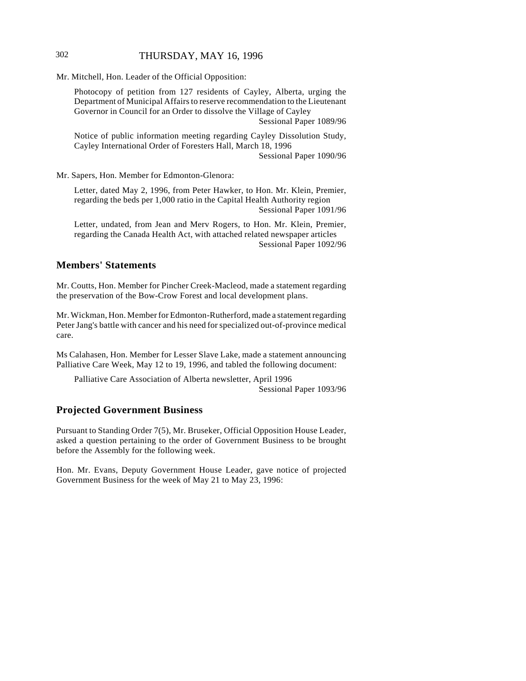## 302 THURSDAY, MAY 16, 1996

Mr. Mitchell, Hon. Leader of the Official Opposition:

Photocopy of petition from 127 residents of Cayley, Alberta, urging the Department of Municipal Affairs to reserve recommendation to the Lieutenant Governor in Council for an Order to dissolve the Village of Cayley Sessional Paper 1089/96

Notice of public information meeting regarding Cayley Dissolution Study, Cayley International Order of Foresters Hall, March 18, 1996

Sessional Paper 1090/96

Mr. Sapers, Hon. Member for Edmonton-Glenora:

Letter, dated May 2, 1996, from Peter Hawker, to Hon. Mr. Klein, Premier, regarding the beds per 1,000 ratio in the Capital Health Authority region Sessional Paper 1091/96

Letter, undated, from Jean and Merv Rogers, to Hon. Mr. Klein, Premier, regarding the Canada Health Act, with attached related newspaper articles Sessional Paper 1092/96

# **Members' Statements**

Mr. Coutts, Hon. Member for Pincher Creek-Macleod, made a statement regarding the preservation of the Bow-Crow Forest and local development plans.

Mr. Wickman, Hon. Member for Edmonton-Rutherford, made a statement regarding Peter Jang's battle with cancer and his need for specialized out-of-province medical care.

Ms Calahasen, Hon. Member for Lesser Slave Lake, made a statement announcing Palliative Care Week, May 12 to 19, 1996, and tabled the following document:

Palliative Care Association of Alberta newsletter, April 1996 Sessional Paper 1093/96

# **Projected Government Business**

Pursuant to Standing Order 7(5), Mr. Bruseker, Official Opposition House Leader, asked a question pertaining to the order of Government Business to be brought before the Assembly for the following week.

Hon. Mr. Evans, Deputy Government House Leader, gave notice of projected Government Business for the week of May 21 to May 23, 1996: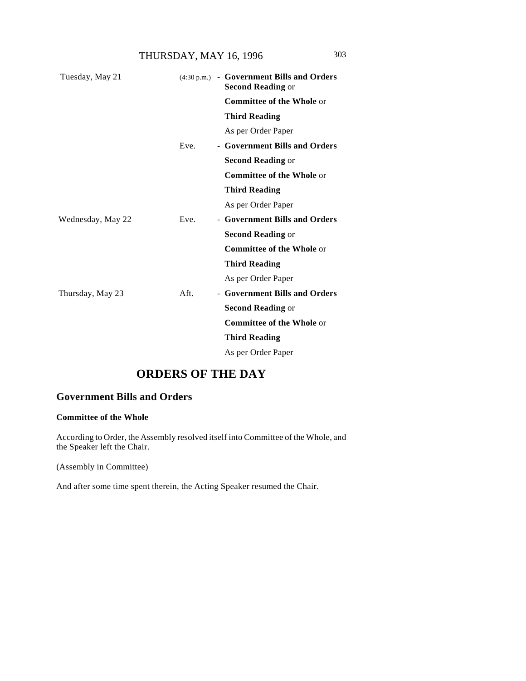THURSDAY, MAY 16, 1996 303

| Tuesday, May 21   |      | $(4:30 \text{ p.m.})$ - Government Bills and Orders<br><b>Second Reading or</b> |
|-------------------|------|---------------------------------------------------------------------------------|
|                   |      | <b>Committee of the Whole or</b>                                                |
|                   |      | <b>Third Reading</b>                                                            |
|                   |      | As per Order Paper                                                              |
|                   | Eve. | - Government Bills and Orders                                                   |
|                   |      | <b>Second Reading or</b>                                                        |
|                   |      | <b>Committee of the Whole or</b>                                                |
|                   |      | <b>Third Reading</b>                                                            |
|                   |      | As per Order Paper                                                              |
| Wednesday, May 22 | Eve. | - Government Bills and Orders                                                   |
|                   |      | <b>Second Reading or</b>                                                        |
|                   |      | <b>Committee of the Whole or</b>                                                |
|                   |      | <b>Third Reading</b>                                                            |
|                   |      | As per Order Paper                                                              |
| Thursday, May 23  | Aft. | - Government Bills and Orders                                                   |
|                   |      | <b>Second Reading or</b>                                                        |
|                   |      | <b>Committee of the Whole or</b>                                                |
|                   |      | <b>Third Reading</b>                                                            |
|                   |      | As per Order Paper                                                              |

# **ORDERS OF THE DAY**

# **Government Bills and Orders**

### **Committee of the Whole**

According to Order, the Assembly resolved itself into Committee of the Whole, and the Speaker left the Chair.

(Assembly in Committee)

And after some time spent therein, the Acting Speaker resumed the Chair.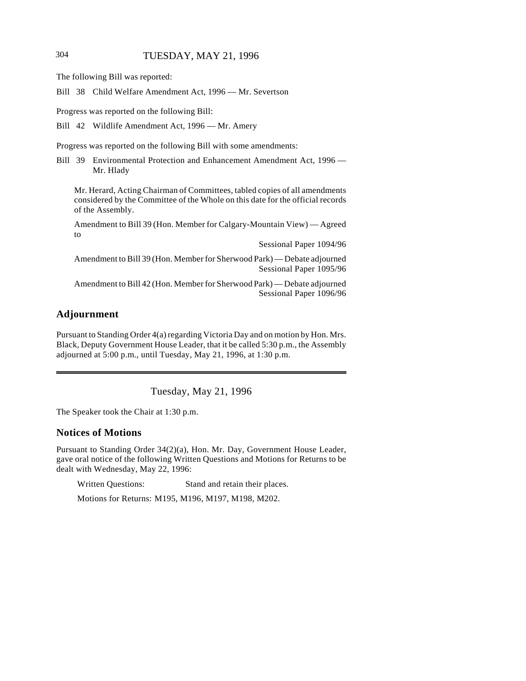# 304 TUESDAY, MAY 21, 1996

The following Bill was reported:

Bill 38 Child Welfare Amendment Act, 1996 — Mr. Severtson

Progress was reported on the following Bill:

Bill 42 Wildlife Amendment Act, 1996 — Mr. Amery

Progress was reported on the following Bill with some amendments:

Bill 39 Environmental Protection and Enhancement Amendment Act, 1996 — Mr. Hlady

Mr. Herard, Acting Chairman of Committees, tabled copies of all amendments considered by the Committee of the Whole on this date for the official records of the Assembly.

Amendment to Bill 39 (Hon. Member for Calgary-Mountain View) — Agreed to

Sessional Paper 1094/96

Amendment to Bill 39 (Hon. Member for Sherwood Park) — Debate adjourned Sessional Paper 1095/96

Amendment to Bill 42 (Hon. Member for Sherwood Park) — Debate adjourned Sessional Paper 1096/96

# **Adjournment**

Pursuant to Standing Order 4(a) regarding Victoria Day and on motion by Hon. Mrs. Black, Deputy Government House Leader, that it be called 5:30 p.m., the Assembly adjourned at 5:00 p.m., until Tuesday, May 21, 1996, at 1:30 p.m.

Tuesday, May 21, 1996

The Speaker took the Chair at 1:30 p.m.

## **Notices of Motions**

Pursuant to Standing Order 34(2)(a), Hon. Mr. Day, Government House Leader, gave oral notice of the following Written Questions and Motions for Returns to be dealt with Wednesday, May 22, 1996:

Written Questions: Stand and retain their places.

Motions for Returns: M195, M196, M197, M198, M202.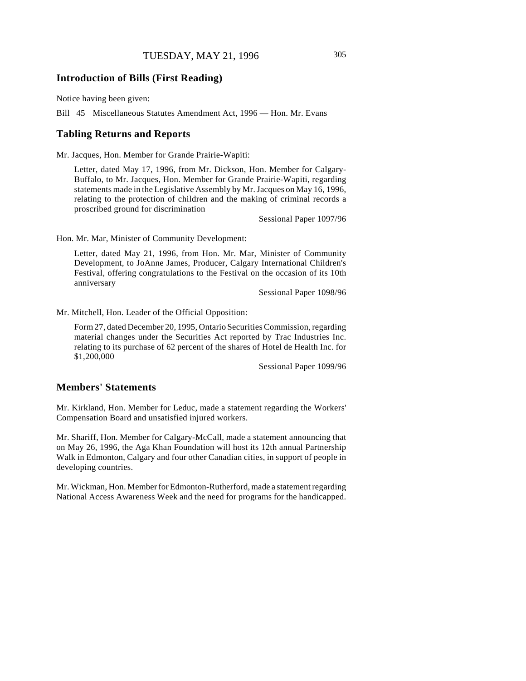## **Introduction of Bills (First Reading)**

Notice having been given:

Bill 45 Miscellaneous Statutes Amendment Act, 1996 — Hon. Mr. Evans

#### **Tabling Returns and Reports**

Mr. Jacques, Hon. Member for Grande Prairie-Wapiti:

Letter, dated May 17, 1996, from Mr. Dickson, Hon. Member for Calgary-Buffalo, to Mr. Jacques, Hon. Member for Grande Prairie-Wapiti, regarding statements made in the Legislative Assembly by Mr. Jacques on May 16, 1996, relating to the protection of children and the making of criminal records a proscribed ground for discrimination

Sessional Paper 1097/96

Hon. Mr. Mar, Minister of Community Development:

Letter, dated May 21, 1996, from Hon. Mr. Mar, Minister of Community Development, to JoAnne James, Producer, Calgary International Children's Festival, offering congratulations to the Festival on the occasion of its 10th anniversary

Sessional Paper 1098/96

Mr. Mitchell, Hon. Leader of the Official Opposition:

Form 27, dated December 20, 1995, Ontario Securities Commission, regarding material changes under the Securities Act reported by Trac Industries Inc. relating to its purchase of 62 percent of the shares of Hotel de Health Inc. for \$1,200,000

Sessional Paper 1099/96

## **Members' Statements**

Mr. Kirkland, Hon. Member for Leduc, made a statement regarding the Workers' Compensation Board and unsatisfied injured workers.

Mr. Shariff, Hon. Member for Calgary-McCall, made a statement announcing that on May 26, 1996, the Aga Khan Foundation will host its 12th annual Partnership Walk in Edmonton, Calgary and four other Canadian cities, in support of people in developing countries.

Mr. Wickman, Hon. Member for Edmonton-Rutherford, made a statement regarding National Access Awareness Week and the need for programs for the handicapped.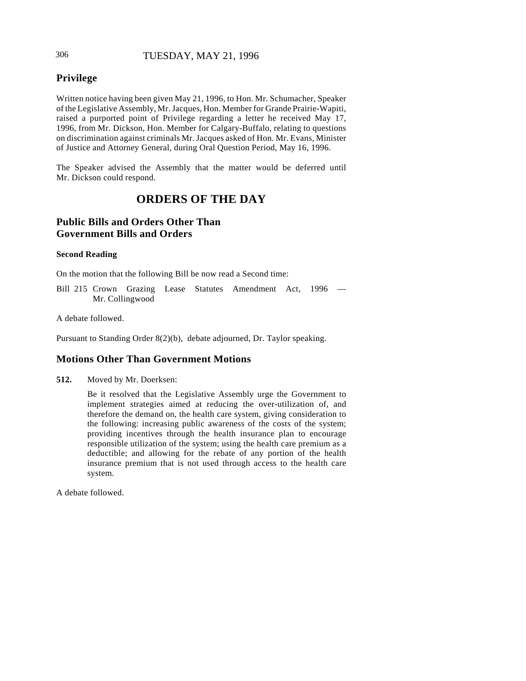# 306 TUESDAY, MAY 21, 1996

# **Privilege**

Written notice having been given May 21, 1996, to Hon. Mr. Schumacher, Speaker of the Legislative Assembly, Mr. Jacques, Hon. Member for Grande Prairie-Wapiti, raised a purported point of Privilege regarding a letter he received May 17, 1996, from Mr. Dickson, Hon. Member for Calgary-Buffalo, relating to questions on discrimination against criminals Mr. Jacques asked of Hon. Mr. Evans, Minister of Justice and Attorney General, during Oral Question Period, May 16, 1996.

The Speaker advised the Assembly that the matter would be deferred until Mr. Dickson could respond.

# **ORDERS OF THE DAY**

# **Public Bills and Orders Other Than Government Bills and Orders**

#### **Second Reading**

On the motion that the following Bill be now read a Second time:

Bill 215 Crown Grazing Lease Statutes Amendment Act, 1996 — Mr. Collingwood

A debate followed.

Pursuant to Standing Order 8(2)(b), debate adjourned, Dr. Taylor speaking.

# **Motions Other Than Government Motions**

**512.** Moved by Mr. Doerksen:

Be it resolved that the Legislative Assembly urge the Government to implement strategies aimed at reducing the over-utilization of, and therefore the demand on, the health care system, giving consideration to the following: increasing public awareness of the costs of the system; providing incentives through the health insurance plan to encourage responsible utilization of the system; using the health care premium as a deductible; and allowing for the rebate of any portion of the health insurance premium that is not used through access to the health care system.

A debate followed.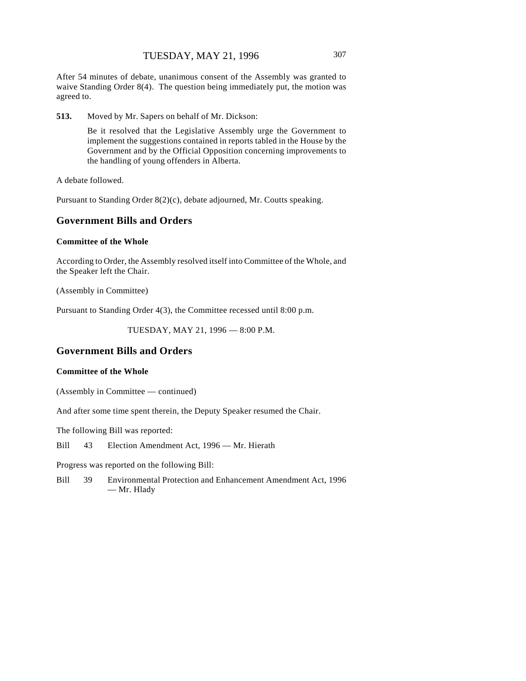After 54 minutes of debate, unanimous consent of the Assembly was granted to waive Standing Order 8(4). The question being immediately put, the motion was agreed to.

**513.** Moved by Mr. Sapers on behalf of Mr. Dickson:

Be it resolved that the Legislative Assembly urge the Government to implement the suggestions contained in reports tabled in the House by the Government and by the Official Opposition concerning improvements to the handling of young offenders in Alberta.

A debate followed.

Pursuant to Standing Order 8(2)(c), debate adjourned, Mr. Coutts speaking.

### **Government Bills and Orders**

#### **Committee of the Whole**

According to Order, the Assembly resolved itself into Committee of the Whole, and the Speaker left the Chair.

(Assembly in Committee)

Pursuant to Standing Order 4(3), the Committee recessed until 8:00 p.m.

TUESDAY, MAY 21, 1996 — 8:00 P.M.

# **Government Bills and Orders**

#### **Committee of the Whole**

(Assembly in Committee — continued)

And after some time spent therein, the Deputy Speaker resumed the Chair.

The following Bill was reported:

Bill 43 Election Amendment Act, 1996 — Mr. Hierath

Progress was reported on the following Bill:

Bill 39 Environmental Protection and Enhancement Amendment Act, 1996 — Mr. Hlady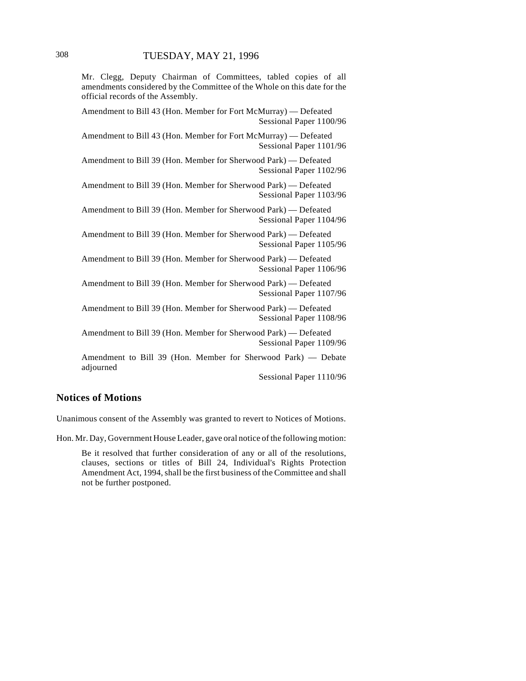Mr. Clegg, Deputy Chairman of Committees, tabled copies of all amendments considered by the Committee of the Whole on this date for the official records of the Assembly.

Amendment to Bill 43 (Hon. Member for Fort McMurray) — Defeated Sessional Paper 1100/96

Amendment to Bill 43 (Hon. Member for Fort McMurray) — Defeated Sessional Paper 1101/96

Amendment to Bill 39 (Hon. Member for Sherwood Park) — Defeated Sessional Paper 1102/96

Amendment to Bill 39 (Hon. Member for Sherwood Park) — Defeated Sessional Paper 1103/96

Amendment to Bill 39 (Hon. Member for Sherwood Park) — Defeated Sessional Paper 1104/96

Amendment to Bill 39 (Hon. Member for Sherwood Park) — Defeated Sessional Paper 1105/96

Amendment to Bill 39 (Hon. Member for Sherwood Park) — Defeated Sessional Paper 1106/96

Amendment to Bill 39 (Hon. Member for Sherwood Park) — Defeated Sessional Paper 1107/96

Amendment to Bill 39 (Hon. Member for Sherwood Park) — Defeated Sessional Paper 1108/96

Amendment to Bill 39 (Hon. Member for Sherwood Park) — Defeated Sessional Paper 1109/96

Amendment to Bill 39 (Hon. Member for Sherwood Park) — Debate adjourned

Sessional Paper 1110/96

## **Notices of Motions**

Unanimous consent of the Assembly was granted to revert to Notices of Motions.

Hon. Mr. Day, Government House Leader, gave oral notice of the following motion:

Be it resolved that further consideration of any or all of the resolutions, clauses, sections or titles of Bill 24, Individual's Rights Protection Amendment Act, 1994, shall be the first business of the Committee and shall not be further postponed.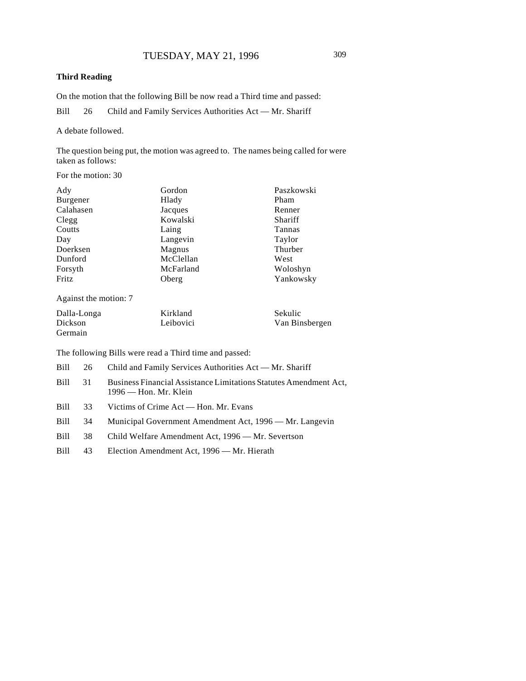### **Third Reading**

On the motion that the following Bill be now read a Third time and passed:

Bill 26 Child and Family Services Authorities Act — Mr. Shariff

A debate followed.

The question being put, the motion was agreed to. The names being called for were taken as follows:

For the motion: 30

| Ady       | Gordon    | Paszkowski |
|-----------|-----------|------------|
| Burgener  | Hlady     | Pham       |
| Calahasen | Jacques   | Renner     |
| Clegg     | Kowalski  | Shariff    |
| Coutts    | Laing     | Tannas     |
| Day       | Langevin  | Taylor     |
| Doerksen  | Magnus    | Thurber    |
| Dunford   | McClellan | West       |
| Forsyth   | McFarland | Woloshyn   |
| Fritz     | Oberg     | Yankowsky  |

Against the motion: 7

| Dalla-Longa | Kirkland  | Sekulic        |
|-------------|-----------|----------------|
| Dickson     | Leibovici | Van Binsbergen |
| Germain     |           |                |

The following Bills were read a Third time and passed:

| Bill | 26 |  | Child and Family Services Authorities Act — Mr. Shariff |  |
|------|----|--|---------------------------------------------------------|--|
|------|----|--|---------------------------------------------------------|--|

- Bill 31 Business Financial Assistance Limitations Statutes Amendment Act, 1996 — Hon. Mr. Klein
- Bill 33 Victims of Crime Act Hon. Mr. Evans
- Bill 34 Municipal Government Amendment Act, 1996 Mr. Langevin
- Bill 38 Child Welfare Amendment Act, 1996 Mr. Severtson
- Bill 43 Election Amendment Act, 1996 Mr. Hierath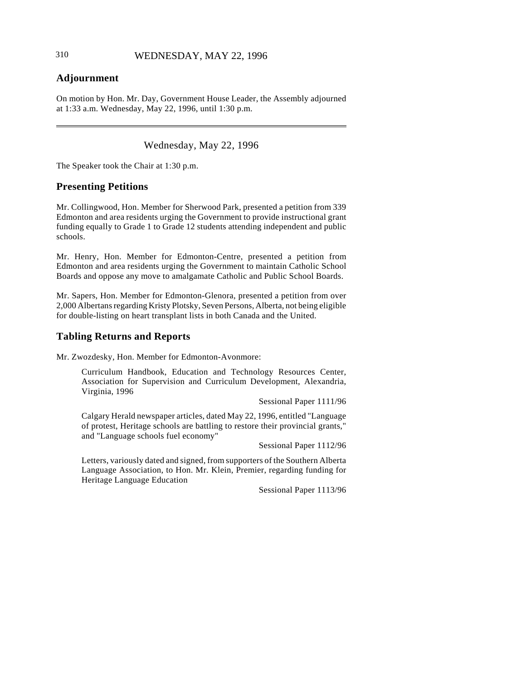# **Adjournment**

On motion by Hon. Mr. Day, Government House Leader, the Assembly adjourned at 1:33 a.m. Wednesday, May 22, 1996, until 1:30 p.m.

Wednesday, May 22, 1996

The Speaker took the Chair at 1:30 p.m.

### **Presenting Petitions**

Mr. Collingwood, Hon. Member for Sherwood Park, presented a petition from 339 Edmonton and area residents urging the Government to provide instructional grant funding equally to Grade 1 to Grade 12 students attending independent and public schools.

Mr. Henry, Hon. Member for Edmonton-Centre, presented a petition from Edmonton and area residents urging the Government to maintain Catholic School Boards and oppose any move to amalgamate Catholic and Public School Boards.

Mr. Sapers, Hon. Member for Edmonton-Glenora, presented a petition from over 2,000 Albertans regarding Kristy Plotsky, Seven Persons, Alberta, not being eligible for double-listing on heart transplant lists in both Canada and the United.

## **Tabling Returns and Reports**

Mr. Zwozdesky, Hon. Member for Edmonton-Avonmore:

Curriculum Handbook, Education and Technology Resources Center, Association for Supervision and Curriculum Development, Alexandria, Virginia, 1996

Sessional Paper 1111/96

Calgary Herald newspaper articles, dated May 22, 1996, entitled "Language of protest, Heritage schools are battling to restore their provincial grants," and "Language schools fuel economy"

Sessional Paper 1112/96

Letters, variously dated and signed, from supporters of the Southern Alberta Language Association, to Hon. Mr. Klein, Premier, regarding funding for Heritage Language Education

Sessional Paper 1113/96

 $\overline{\phantom{a}}$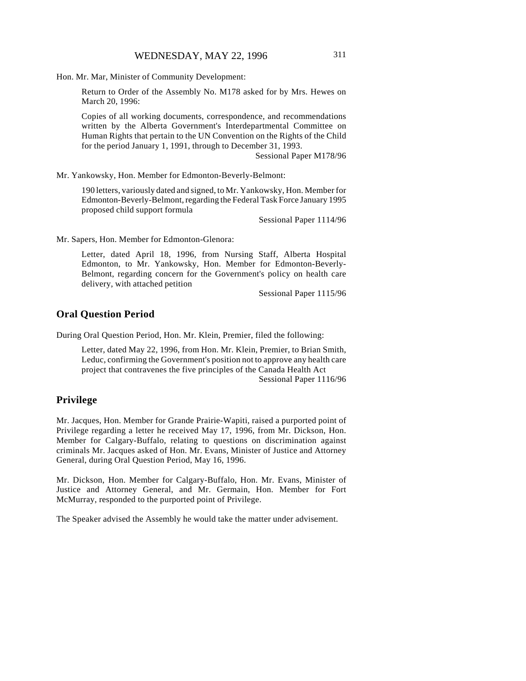Hon. Mr. Mar, Minister of Community Development:

Return to Order of the Assembly No. M178 asked for by Mrs. Hewes on March 20, 1996:

Copies of all working documents, correspondence, and recommendations written by the Alberta Government's Interdepartmental Committee on Human Rights that pertain to the UN Convention on the Rights of the Child for the period January 1, 1991, through to December 31, 1993.

Sessional Paper M178/96

Mr. Yankowsky, Hon. Member for Edmonton-Beverly-Belmont:

190 letters, variously dated and signed, to Mr. Yankowsky, Hon. Member for Edmonton-Beverly-Belmont, regarding the Federal Task Force January 1995 proposed child support formula

Sessional Paper 1114/96

Mr. Sapers, Hon. Member for Edmonton-Glenora:

Letter, dated April 18, 1996, from Nursing Staff, Alberta Hospital Edmonton, to Mr. Yankowsky, Hon. Member for Edmonton-Beverly-Belmont, regarding concern for the Government's policy on health care delivery, with attached petition

Sessional Paper 1115/96

## **Oral Question Period**

During Oral Question Period, Hon. Mr. Klein, Premier, filed the following:

Letter, dated May 22, 1996, from Hon. Mr. Klein, Premier, to Brian Smith, Leduc, confirming the Government's position not to approve any health care project that contravenes the five principles of the Canada Health Act Sessional Paper 1116/96

# **Privilege**

Mr. Jacques, Hon. Member for Grande Prairie-Wapiti, raised a purported point of Privilege regarding a letter he received May 17, 1996, from Mr. Dickson, Hon. Member for Calgary-Buffalo, relating to questions on discrimination against criminals Mr. Jacques asked of Hon. Mr. Evans, Minister of Justice and Attorney General, during Oral Question Period, May 16, 1996.

Mr. Dickson, Hon. Member for Calgary-Buffalo, Hon. Mr. Evans, Minister of Justice and Attorney General, and Mr. Germain, Hon. Member for Fort McMurray, responded to the purported point of Privilege.

The Speaker advised the Assembly he would take the matter under advisement.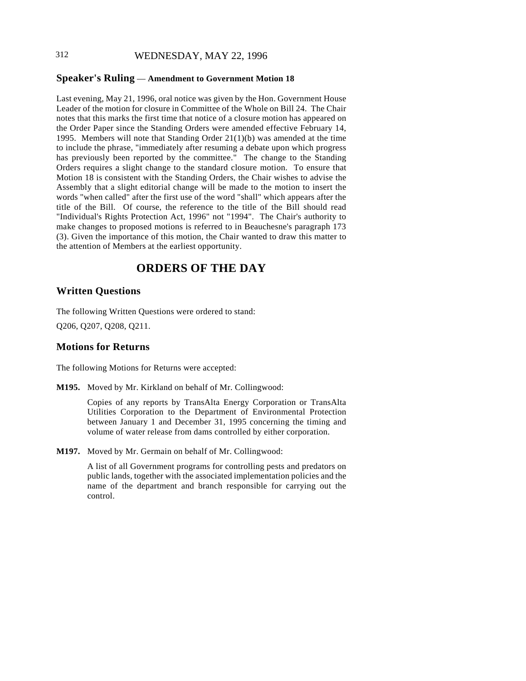# 312 WEDNESDAY, MAY 22, 1996

### **Speaker's Ruling** — **Amendment to Government Motion 18**

Last evening, May 21, 1996, oral notice was given by the Hon. Government House Leader of the motion for closure in Committee of the Whole on Bill 24. The Chair notes that this marks the first time that notice of a closure motion has appeared on the Order Paper since the Standing Orders were amended effective February 14, 1995. Members will note that Standing Order 21(1)(b) was amended at the time to include the phrase, "immediately after resuming a debate upon which progress has previously been reported by the committee." The change to the Standing Orders requires a slight change to the standard closure motion. To ensure that Motion 18 is consistent with the Standing Orders, the Chair wishes to advise the Assembly that a slight editorial change will be made to the motion to insert the words "when called" after the first use of the word "shall" which appears after the title of the Bill. Of course, the reference to the title of the Bill should read "Individual's Rights Protection Act, 1996" not "1994". The Chair's authority to make changes to proposed motions is referred to in Beauchesne's paragraph 173 (3). Given the importance of this motion, the Chair wanted to draw this matter to the attention of Members at the earliest opportunity.

# **ORDERS OF THE DAY**

#### **Written Questions**

The following Written Questions were ordered to stand:

Q206, Q207, Q208, Q211.

## **Motions for Returns**

The following Motions for Returns were accepted:

**M195.** Moved by Mr. Kirkland on behalf of Mr. Collingwood:

Copies of any reports by TransAlta Energy Corporation or TransAlta Utilities Corporation to the Department of Environmental Protection between January 1 and December 31, 1995 concerning the timing and volume of water release from dams controlled by either corporation.

**M197.** Moved by Mr. Germain on behalf of Mr. Collingwood:

A list of all Government programs for controlling pests and predators on public lands, together with the associated implementation policies and the name of the department and branch responsible for carrying out the control.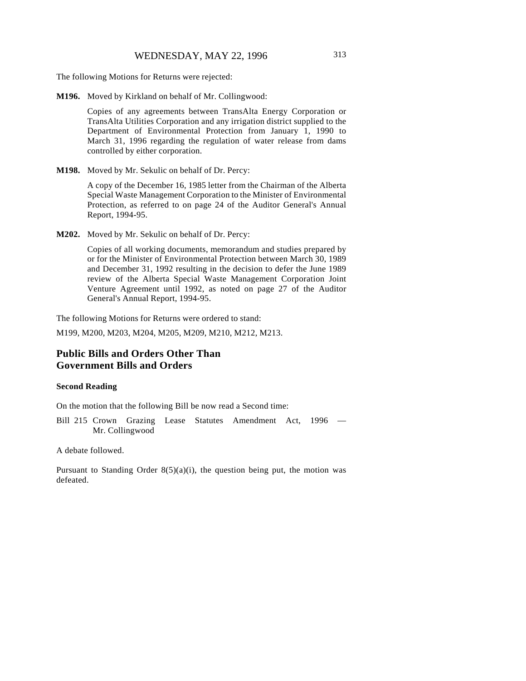The following Motions for Returns were rejected:

**M196.** Moved by Kirkland on behalf of Mr. Collingwood:

Copies of any agreements between TransAlta Energy Corporation or TransAlta Utilities Corporation and any irrigation district supplied to the Department of Environmental Protection from January 1, 1990 to March 31, 1996 regarding the regulation of water release from dams controlled by either corporation.

**M198.** Moved by Mr. Sekulic on behalf of Dr. Percy:

A copy of the December 16, 1985 letter from the Chairman of the Alberta Special Waste Management Corporation to the Minister of Environmental Protection, as referred to on page 24 of the Auditor General's Annual Report, 1994-95.

**M202.** Moved by Mr. Sekulic on behalf of Dr. Percy:

Copies of all working documents, memorandum and studies prepared by or for the Minister of Environmental Protection between March 30, 1989 and December 31, 1992 resulting in the decision to defer the June 1989 review of the Alberta Special Waste Management Corporation Joint Venture Agreement until 1992, as noted on page 27 of the Auditor General's Annual Report, 1994-95.

The following Motions for Returns were ordered to stand:

M199, M200, M203, M204, M205, M209, M210, M212, M213.

# **Public Bills and Orders Other Than Government Bills and Orders**

#### **Second Reading**

On the motion that the following Bill be now read a Second time:

Bill 215 Crown Grazing Lease Statutes Amendment Act, 1996 — Mr. Collingwood

A debate followed.

Pursuant to Standing Order  $8(5)(a)(i)$ , the question being put, the motion was defeated.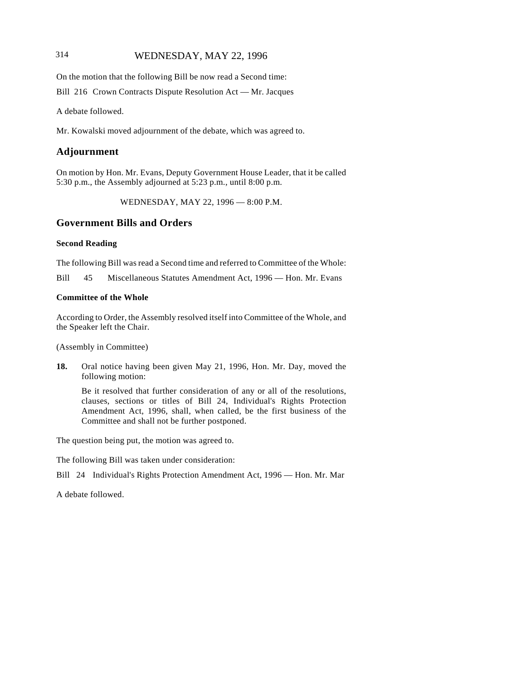# 314 WEDNESDAY, MAY 22, 1996

On the motion that the following Bill be now read a Second time:

Bill 216 Crown Contracts Dispute Resolution Act — Mr. Jacques

A debate followed.

Mr. Kowalski moved adjournment of the debate, which was agreed to.

# **Adjournment**

On motion by Hon. Mr. Evans, Deputy Government House Leader, that it be called 5:30 p.m., the Assembly adjourned at 5:23 p.m., until 8:00 p.m.

WEDNESDAY, MAY 22, 1996 — 8:00 P.M.

# **Government Bills and Orders**

### **Second Reading**

The following Bill was read a Second time and referred to Committee of the Whole:

Bill 45 Miscellaneous Statutes Amendment Act, 1996 — Hon. Mr. Evans

### **Committee of the Whole**

According to Order, the Assembly resolved itself into Committee of the Whole, and the Speaker left the Chair.

(Assembly in Committee)

**18.** Oral notice having been given May 21, 1996, Hon. Mr. Day, moved the following motion:

Be it resolved that further consideration of any or all of the resolutions, clauses, sections or titles of Bill 24, Individual's Rights Protection Amendment Act, 1996, shall, when called, be the first business of the Committee and shall not be further postponed.

The question being put, the motion was agreed to.

The following Bill was taken under consideration:

Bill 24 Individual's Rights Protection Amendment Act, 1996 — Hon. Mr. Mar

A debate followed.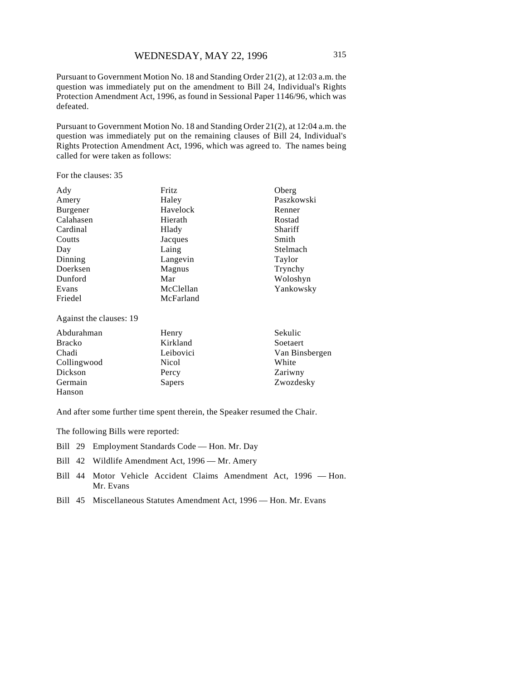Pursuant to Government Motion No. 18 and Standing Order 21(2), at 12:03 a.m. the question was immediately put on the amendment to Bill 24, Individual's Rights Protection Amendment Act, 1996, as found in Sessional Paper 1146/96, which was defeated.

Pursuant to Government Motion No. 18 and Standing Order 21(2), at 12:04 a.m. the question was immediately put on the remaining clauses of Bill 24, Individual's Rights Protection Amendment Act, 1996, which was agreed to. The names being called for were taken as follows:

For the clauses: 35

Dickson Germain Hanson

| Ady                     | Fritz     | Oberg          |
|-------------------------|-----------|----------------|
| Amery                   | Haley     | Paszkowski     |
| <b>Burgener</b>         | Havelock  | Renner         |
| Calahasen               | Hierath   | Rostad         |
| Cardinal                | Hlady     | Shariff        |
| Coutts                  | Jacques   | Smith          |
| Day                     | Laing     | Stelmach       |
| Dinning                 | Langevin  | Taylor         |
| Doerksen                | Magnus    | Trynchy        |
| Dunford                 | Mar       | Woloshyn       |
| Evans                   | McClellan | Yankowsky      |
| Friedel                 | McFarland |                |
| Against the clauses: 19 |           |                |
| Abdurahman              | Henry     | Sekulic        |
| <b>Bracko</b>           | Kirkland  | Soetaert       |
| Chadi                   | Leibovici | Van Binsbergen |
| Collingwood             | Nicol     | White          |

And after some further time spent therein, the Speaker resumed the Chair.

Percy Sapers

The following Bills were reported:

- Bill 29 Employment Standards Code Hon. Mr. Day
- Bill 42 Wildlife Amendment Act, 1996 Mr. Amery
- Bill 44 Motor Vehicle Accident Claims Amendment Act, 1996 Hon. Mr. Evans

Zariwny Zwozdesky

Bill 45 Miscellaneous Statutes Amendment Act, 1996 — Hon. Mr. Evans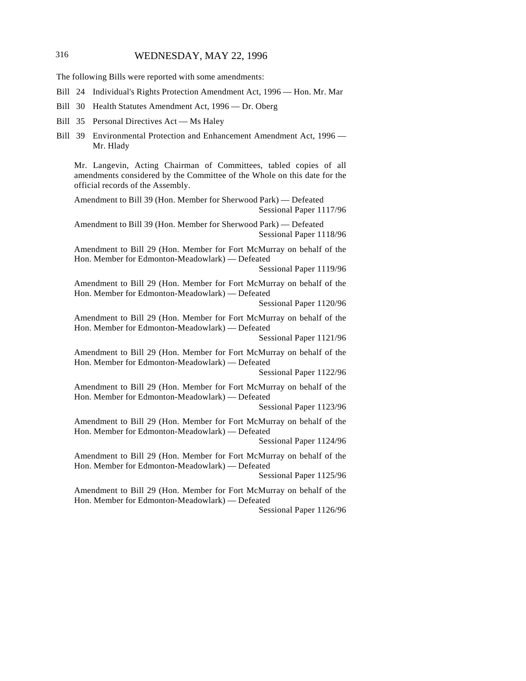# 316 WEDNESDAY, MAY 22, 1996

The following Bills were reported with some amendments:

- Bill 24 Individual's Rights Protection Amendment Act, 1996 Hon. Mr. Mar
- Bill 30 Health Statutes Amendment Act, 1996 Dr. Oberg
- Bill 35 Personal Directives Act Ms Haley
- Bill 39 Environmental Protection and Enhancement Amendment Act, 1996 Mr. Hlady

Mr. Langevin, Acting Chairman of Committees, tabled copies of all amendments considered by the Committee of the Whole on this date for the official records of the Assembly.

Amendment to Bill 39 (Hon. Member for Sherwood Park) — Defeated Sessional Paper 1117/96

Amendment to Bill 39 (Hon. Member for Sherwood Park) — Defeated Sessional Paper 1118/96

Amendment to Bill 29 (Hon. Member for Fort McMurray on behalf of the Hon. Member for Edmonton-Meadowlark) — Defeated

Sessional Paper 1119/96

Amendment to Bill 29 (Hon. Member for Fort McMurray on behalf of the Hon. Member for Edmonton-Meadowlark) — Defeated

Sessional Paper 1120/96

Amendment to Bill 29 (Hon. Member for Fort McMurray on behalf of the Hon. Member for Edmonton-Meadowlark) — Defeated

Sessional Paper 1121/96

Amendment to Bill 29 (Hon. Member for Fort McMurray on behalf of the Hon. Member for Edmonton-Meadowlark) — Defeated

Sessional Paper 1122/96

Amendment to Bill 29 (Hon. Member for Fort McMurray on behalf of the Hon. Member for Edmonton-Meadowlark) — Defeated

Sessional Paper 1123/96

Amendment to Bill 29 (Hon. Member for Fort McMurray on behalf of the Hon. Member for Edmonton-Meadowlark) — Defeated

Sessional Paper 1124/96

Amendment to Bill 29 (Hon. Member for Fort McMurray on behalf of the Hon. Member for Edmonton-Meadowlark) — Defeated

Sessional Paper 1125/96

Amendment to Bill 29 (Hon. Member for Fort McMurray on behalf of the Hon. Member for Edmonton-Meadowlark) — Defeated

Sessional Paper 1126/96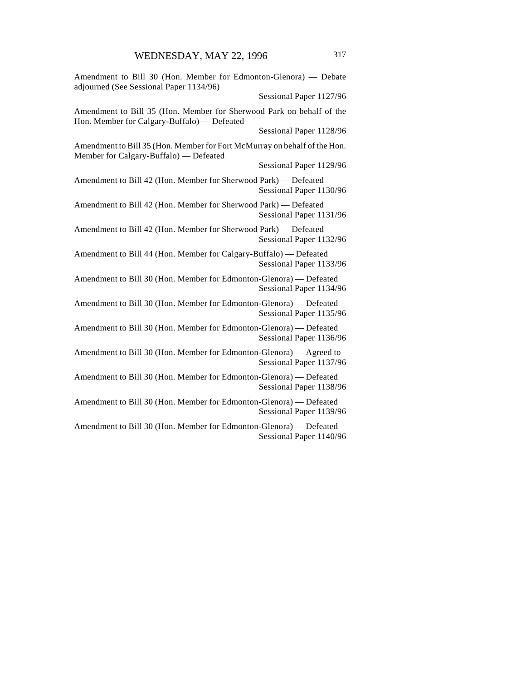| Amendment to Bill 30 (Hon. Member for Edmonton-Glenora) - Debate<br>adjourned (See Sessional Paper 1134/96)         |                         |
|---------------------------------------------------------------------------------------------------------------------|-------------------------|
|                                                                                                                     | Sessional Paper 1127/96 |
| Amendment to Bill 35 (Hon. Member for Sherwood Park on behalf of the<br>Hon. Member for Calgary-Buffalo) - Defeated |                         |
|                                                                                                                     | Sessional Paper 1128/96 |
| Amendment to Bill 35 (Hon. Member for Fort McMurray on behalf of the Hon.<br>Member for Calgary-Buffalo) — Defeated |                         |
|                                                                                                                     | Sessional Paper 1129/96 |
| Amendment to Bill 42 (Hon. Member for Sherwood Park) - Defeated                                                     | Sessional Paper 1130/96 |
| Amendment to Bill 42 (Hon. Member for Sherwood Park) - Defeated                                                     | Sessional Paper 1131/96 |
| Amendment to Bill 42 (Hon. Member for Sherwood Park) - Defeated                                                     | Sessional Paper 1132/96 |
| Amendment to Bill 44 (Hon. Member for Calgary-Buffalo) — Defeated                                                   | Sessional Paper 1133/96 |
| Amendment to Bill 30 (Hon. Member for Edmonton-Glenora) - Defeated                                                  | Sessional Paper 1134/96 |
| Amendment to Bill 30 (Hon. Member for Edmonton-Glenora) — Defeated                                                  | Sessional Paper 1135/96 |
| Amendment to Bill 30 (Hon. Member for Edmonton-Glenora) - Defeated                                                  | Sessional Paper 1136/96 |
| Amendment to Bill 30 (Hon. Member for Edmonton-Glenora) — Agreed to                                                 | Sessional Paper 1137/96 |
| Amendment to Bill 30 (Hon. Member for Edmonton-Glenora) - Defeated                                                  | Sessional Paper 1138/96 |
| Amendment to Bill 30 (Hon. Member for Edmonton-Glenora) - Defeated                                                  | Sessional Paper 1139/96 |
| Amendment to Bill 30 (Hon. Member for Edmonton-Glenora) - Defeated                                                  | Sessional Paper 1140/96 |
|                                                                                                                     |                         |
|                                                                                                                     |                         |
|                                                                                                                     |                         |
|                                                                                                                     |                         |
|                                                                                                                     |                         |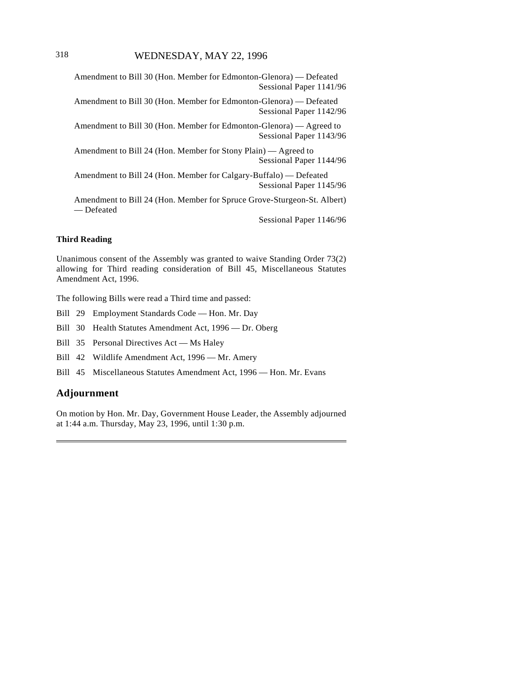Amendment to Bill 30 (Hon. Member for Edmonton-Glenora) — Defeated Sessional Paper 1141/96

Amendment to Bill 30 (Hon. Member for Edmonton-Glenora) — Defeated Sessional Paper 1142/96

Amendment to Bill 30 (Hon. Member for Edmonton-Glenora) — Agreed to Sessional Paper 1143/96

Amendment to Bill 24 (Hon. Member for Stony Plain) — Agreed to Sessional Paper 1144/96

Amendment to Bill 24 (Hon. Member for Calgary-Buffalo) — Defeated Sessional Paper 1145/96

Amendment to Bill 24 (Hon. Member for Spruce Grove-Sturgeon-St. Albert) — Defeated

Sessional Paper 1146/96

#### **Third Reading**

Unanimous consent of the Assembly was granted to waive Standing Order 73(2) allowing for Third reading consideration of Bill 45, Miscellaneous Statutes Amendment Act, 1996.

The following Bills were read a Third time and passed:

Bill 29 Employment Standards Code — Hon. Mr. Day

Bill 30 Health Statutes Amendment Act, 1996 — Dr. Oberg

Bill 35 Personal Directives Act — Ms Haley

Bill 42 Wildlife Amendment Act, 1996 — Mr. Amery

Bill 45 Miscellaneous Statutes Amendment Act, 1996 — Hon. Mr. Evans

# **Adjournment**

 $\overline{\phantom{a}}$ 

On motion by Hon. Mr. Day, Government House Leader, the Assembly adjourned at 1:44 a.m. Thursday, May 23, 1996, until 1:30 p.m.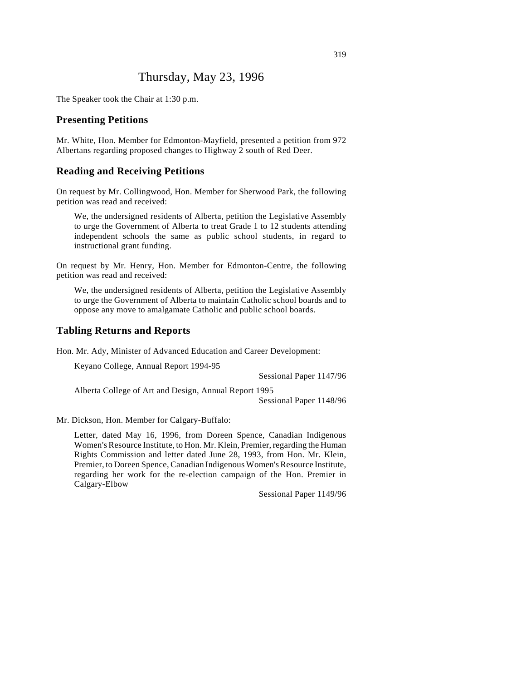# Thursday, May 23, 1996

The Speaker took the Chair at 1:30 p.m.

#### **Presenting Petitions**

Mr. White, Hon. Member for Edmonton-Mayfield, presented a petition from 972 Albertans regarding proposed changes to Highway 2 south of Red Deer.

## **Reading and Receiving Petitions**

On request by Mr. Collingwood, Hon. Member for Sherwood Park, the following petition was read and received:

We, the undersigned residents of Alberta, petition the Legislative Assembly to urge the Government of Alberta to treat Grade 1 to 12 students attending independent schools the same as public school students, in regard to instructional grant funding.

On request by Mr. Henry, Hon. Member for Edmonton-Centre, the following petition was read and received:

We, the undersigned residents of Alberta, petition the Legislative Assembly to urge the Government of Alberta to maintain Catholic school boards and to oppose any move to amalgamate Catholic and public school boards.

#### **Tabling Returns and Reports**

Hon. Mr. Ady, Minister of Advanced Education and Career Development:

Keyano College, Annual Report 1994-95

Sessional Paper 1147/96

Alberta College of Art and Design, Annual Report 1995

Sessional Paper 1148/96

Mr. Dickson, Hon. Member for Calgary-Buffalo:

Letter, dated May 16, 1996, from Doreen Spence, Canadian Indigenous Women's Resource Institute, to Hon. Mr. Klein, Premier, regarding the Human Rights Commission and letter dated June 28, 1993, from Hon. Mr. Klein, Premier, to Doreen Spence, Canadian Indigenous Women's Resource Institute, regarding her work for the re-election campaign of the Hon. Premier in Calgary-Elbow

Sessional Paper 1149/96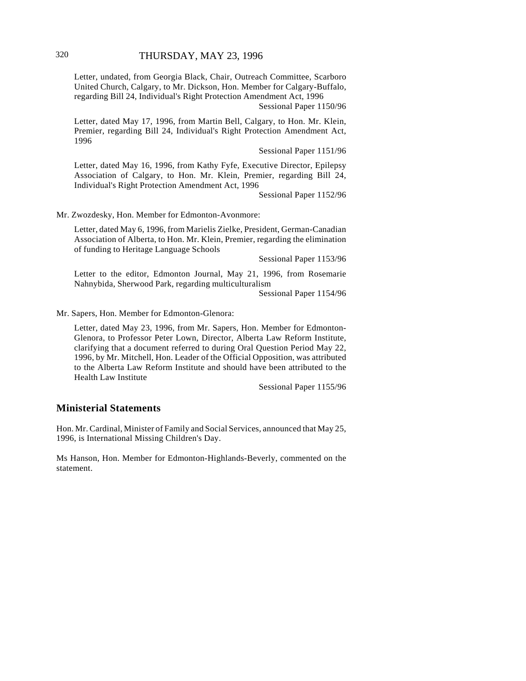Letter, undated, from Georgia Black, Chair, Outreach Committee, Scarboro United Church, Calgary, to Mr. Dickson, Hon. Member for Calgary-Buffalo, regarding Bill 24, Individual's Right Protection Amendment Act, 1996

Sessional Paper 1150/96

Letter, dated May 17, 1996, from Martin Bell, Calgary, to Hon. Mr. Klein, Premier, regarding Bill 24, Individual's Right Protection Amendment Act, 1996

Sessional Paper 1151/96

Letter, dated May 16, 1996, from Kathy Fyfe, Executive Director, Epilepsy Association of Calgary, to Hon. Mr. Klein, Premier, regarding Bill 24, Individual's Right Protection Amendment Act, 1996

Sessional Paper 1152/96

Mr. Zwozdesky, Hon. Member for Edmonton-Avonmore:

Letter, dated May 6, 1996, from Marielis Zielke, President, German-Canadian Association of Alberta, to Hon. Mr. Klein, Premier, regarding the elimination of funding to Heritage Language Schools

Sessional Paper 1153/96

Letter to the editor, Edmonton Journal, May 21, 1996, from Rosemarie Nahnybida, Sherwood Park, regarding multiculturalism

Sessional Paper 1154/96

Mr. Sapers, Hon. Member for Edmonton-Glenora:

Letter, dated May 23, 1996, from Mr. Sapers, Hon. Member for Edmonton-Glenora, to Professor Peter Lown, Director, Alberta Law Reform Institute, clarifying that a document referred to during Oral Question Period May 22, 1996, by Mr. Mitchell, Hon. Leader of the Official Opposition, was attributed to the Alberta Law Reform Institute and should have been attributed to the Health Law Institute

Sessional Paper 1155/96

## **Ministerial Statements**

Hon. Mr. Cardinal, Minister of Family and Social Services, announced that May 25, 1996, is International Missing Children's Day.

Ms Hanson, Hon. Member for Edmonton-Highlands-Beverly, commented on the statement.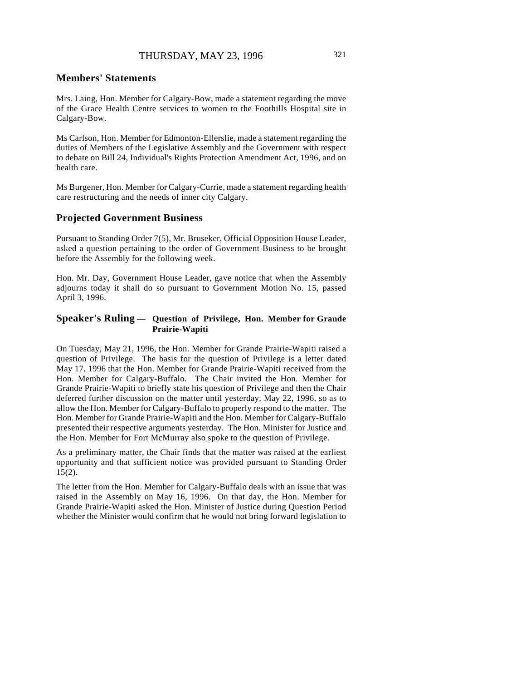#### **Members' Statements**

Mrs. Laing, Hon. Member for Calgary-Bow, made a statement regarding the move of the Grace Health Centre services to women to the Foothills Hospital site in Calgary-Bow.

Ms Carlson, Hon. Member for Edmonton-Ellerslie, made a statement regarding the duties of Members of the Legislative Assembly and the Government with respect to debate on Bill 24, Individual's Rights Protection Amendment Act, 1996, and on health care.

Ms Burgener, Hon. Member for Calgary-Currie, made a statement regarding health care restructuring and the needs of inner city Calgary.

### **Projected Government Business**

Pursuant to Standing Order 7(5), Mr. Bruseker, Official Opposition House Leader, asked a question pertaining to the order of Government Business to be brought before the Assembly for the following week.

Hon. Mr. Day, Government House Leader, gave notice that when the Assembly adjourns today it shall do so pursuant to Government Motion No. 15, passed April 3, 1996.

### **Speaker's Ruling** — **Question of Privilege, Hon. Member for Grande Prairie-Wapiti**

On Tuesday, May 21, 1996, the Hon. Member for Grande Prairie-Wapiti raised a question of Privilege. The basis for the question of Privilege is a letter dated May 17, 1996 that the Hon. Member for Grande Prairie-Wapiti received from the Hon. Member for Calgary-Buffalo. The Chair invited the Hon. Member for Grande Prairie-Wapiti to briefly state his question of Privilege and then the Chair deferred further discussion on the matter until yesterday, May 22, 1996, so as to allow the Hon. Member for Calgary-Buffalo to properly respond to the matter. The Hon. Member for Grande Prairie-Wapiti and the Hon. Member for Calgary-Buffalo presented their respective arguments yesterday. The Hon. Minister for Justice and the Hon. Member for Fort McMurray also spoke to the question of Privilege.

As a preliminary matter, the Chair finds that the matter was raised at the earliest opportunity and that sufficient notice was provided pursuant to Standing Order  $15(2)$ .

The letter from the Hon. Member for Calgary-Buffalo deals with an issue that was raised in the Assembly on May 16, 1996. On that day, the Hon. Member for Grande Prairie-Wapiti asked the Hon. Minister of Justice during Question Period whether the Minister would confirm that he would not bring forward legislation to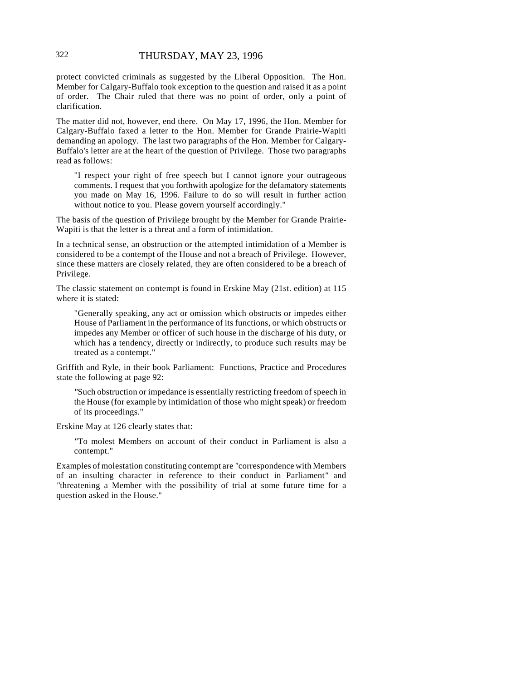protect convicted criminals as suggested by the Liberal Opposition. The Hon. Member for Calgary-Buffalo took exception to the question and raised it as a point of order. The Chair ruled that there was no point of order, only a point of clarification.

The matter did not, however, end there. On May 17, 1996, the Hon. Member for Calgary-Buffalo faxed a letter to the Hon. Member for Grande Prairie-Wapiti demanding an apology. The last two paragraphs of the Hon. Member for Calgary-Buffalo's letter are at the heart of the question of Privilege. Those two paragraphs read as follows:

"I respect your right of free speech but I cannot ignore your outrageous comments. I request that you forthwith apologize for the defamatory statements you made on May 16, 1996. Failure to do so will result in further action without notice to you. Please govern yourself accordingly."

The basis of the question of Privilege brought by the Member for Grande Prairie-Wapiti is that the letter is a threat and a form of intimidation.

In a technical sense, an obstruction or the attempted intimidation of a Member is considered to be a contempt of the House and not a breach of Privilege. However, since these matters are closely related, they are often considered to be a breach of Privilege.

The classic statement on contempt is found in Erskine May (21st. edition) at 115 where it is stated:

"Generally speaking, any act or omission which obstructs or impedes either House of Parliament in the performance of its functions, or which obstructs or impedes any Member or officer of such house in the discharge of his duty, or which has a tendency, directly or indirectly, to produce such results may be treated as a contempt."

Griffith and Ryle, in their book Parliament: Functions, Practice and Procedures state the following at page 92:

*"*Such obstruction or impedance is essentially restricting freedom of speech in the House (for example by intimidation of those who might speak) or freedom of its proceedings."

Erskine May at 126 clearly states that:

*"*To molest Members on account of their conduct in Parliament is also a contempt."

Examples of molestation constituting contempt are *"*correspondence with Members of an insulting character in reference to their conduct in Parliament*"* and *"*threatening a Member with the possibility of trial at some future time for a question asked in the House."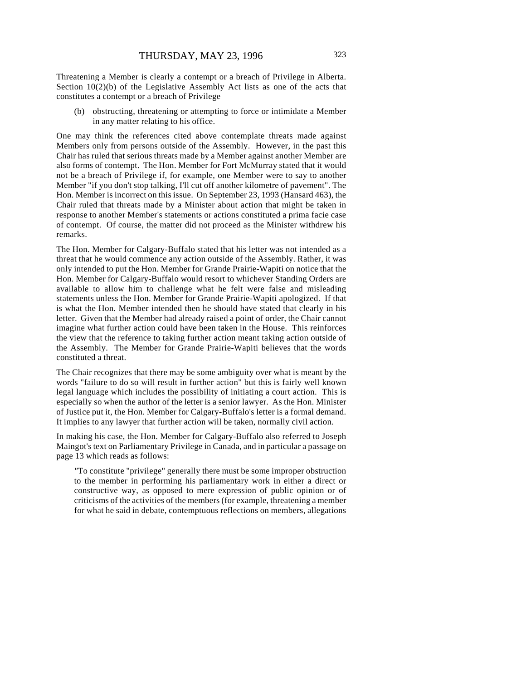Threatening a Member is clearly a contempt or a breach of Privilege in Alberta. Section 10(2)(b) of the Legislative Assembly Act lists as one of the acts that constitutes a contempt or a breach of Privilege

(b) obstructing, threatening or attempting to force or intimidate a Member in any matter relating to his office.

One may think the references cited above contemplate threats made against Members only from persons outside of the Assembly. However, in the past this Chair has ruled that serious threats made by a Member against another Member are also forms of contempt. The Hon. Member for Fort McMurray stated that it would not be a breach of Privilege if, for example, one Member were to say to another Member "if you don't stop talking, I'll cut off another kilometre of pavement". The Hon. Member is incorrect on this issue. On September 23, 1993 (Hansard 463), the Chair ruled that threats made by a Minister about action that might be taken in response to another Member's statements or actions constituted a prima facie case of contempt. Of course, the matter did not proceed as the Minister withdrew his remarks.

The Hon. Member for Calgary-Buffalo stated that his letter was not intended as a threat that he would commence any action outside of the Assembly. Rather, it was only intended to put the Hon. Member for Grande Prairie-Wapiti on notice that the Hon. Member for Calgary-Buffalo would resort to whichever Standing Orders are available to allow him to challenge what he felt were false and misleading statements unless the Hon. Member for Grande Prairie-Wapiti apologized. If that is what the Hon. Member intended then he should have stated that clearly in his letter. Given that the Member had already raised a point of order, the Chair cannot imagine what further action could have been taken in the House. This reinforces the view that the reference to taking further action meant taking action outside of the Assembly. The Member for Grande Prairie-Wapiti believes that the words constituted a threat.

The Chair recognizes that there may be some ambiguity over what is meant by the words "failure to do so will result in further action" but this is fairly well known legal language which includes the possibility of initiating a court action. This is especially so when the author of the letter is a senior lawyer. As the Hon. Minister of Justice put it, the Hon. Member for Calgary-Buffalo's letter is a formal demand. It implies to any lawyer that further action will be taken, normally civil action.

In making his case, the Hon. Member for Calgary-Buffalo also referred to Joseph Maingot's text on Parliamentary Privilege in Canada, and in particular a passage on page 13 which reads as follows:

*"*To constitute "privilege" generally there must be some improper obstruction to the member in performing his parliamentary work in either a direct or constructive way, as opposed to mere expression of public opinion or of criticisms of the activities of the members (for example, threatening a member for what he said in debate, contemptuous reflections on members, allegations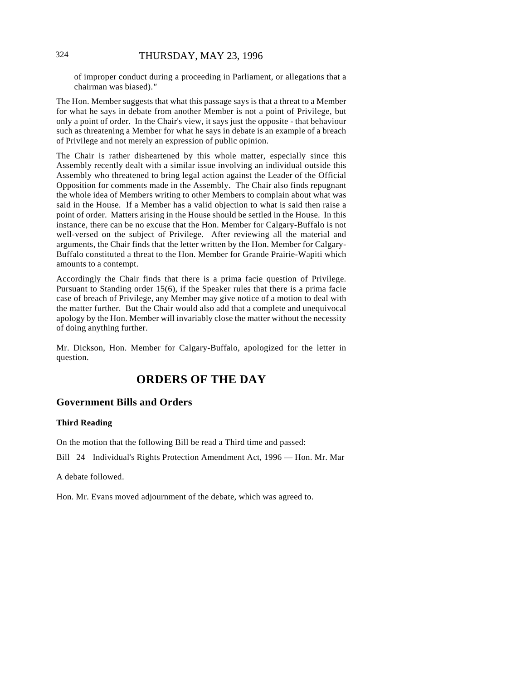### 324 THURSDAY, MAY 23, 1996

of improper conduct during a proceeding in Parliament, or allegations that a chairman was biased).*"* 

The Hon. Member suggests that what this passage says is that a threat to a Member for what he says in debate from another Member is not a point of Privilege, but only a point of order. In the Chair's view, it says just the opposite - that behaviour such as threatening a Member for what he says in debate is an example of a breach of Privilege and not merely an expression of public opinion.

The Chair is rather disheartened by this whole matter, especially since this Assembly recently dealt with a similar issue involving an individual outside this Assembly who threatened to bring legal action against the Leader of the Official Opposition for comments made in the Assembly. The Chair also finds repugnant the whole idea of Members writing to other Members to complain about what was said in the House. If a Member has a valid objection to what is said then raise a point of order. Matters arising in the House should be settled in the House. In this instance, there can be no excuse that the Hon. Member for Calgary-Buffalo is not well-versed on the subject of Privilege. After reviewing all the material and arguments, the Chair finds that the letter written by the Hon. Member for Calgary-Buffalo constituted a threat to the Hon. Member for Grande Prairie-Wapiti which amounts to a contempt.

Accordingly the Chair finds that there is a prima facie question of Privilege. Pursuant to Standing order 15(6), if the Speaker rules that there is a prima facie case of breach of Privilege, any Member may give notice of a motion to deal with the matter further. But the Chair would also add that a complete and unequivocal apology by the Hon. Member will invariably close the matter without the necessity of doing anything further.

Mr. Dickson, Hon. Member for Calgary-Buffalo, apologized for the letter in question.

# **ORDERS OF THE DAY**

### **Government Bills and Orders**

#### **Third Reading**

On the motion that the following Bill be read a Third time and passed:

Bill 24 Individual's Rights Protection Amendment Act, 1996 — Hon. Mr. Mar

A debate followed.

Hon. Mr. Evans moved adjournment of the debate, which was agreed to.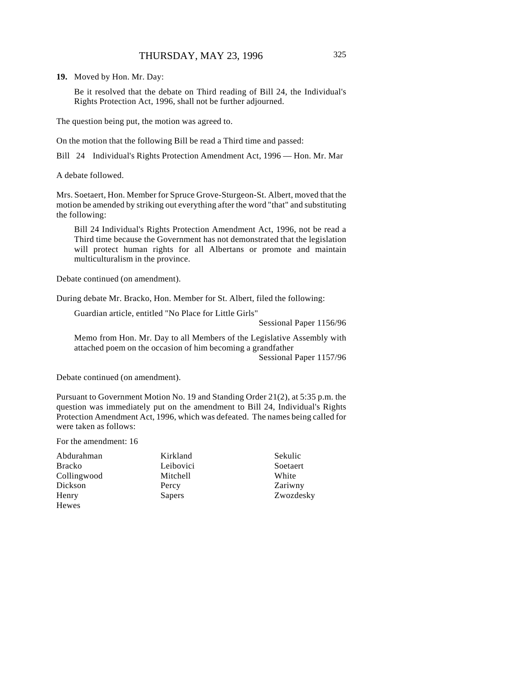**19.** Moved by Hon. Mr. Day:

Be it resolved that the debate on Third reading of Bill 24, the Individual's Rights Protection Act, 1996, shall not be further adjourned.

The question being put, the motion was agreed to.

On the motion that the following Bill be read a Third time and passed:

Bill 24 Individual's Rights Protection Amendment Act, 1996 — Hon. Mr. Mar

A debate followed.

Mrs. Soetaert, Hon. Member for Spruce Grove-Sturgeon-St. Albert, moved that the motion be amended by striking out everything after the word "that" and substituting the following:

Bill 24 Individual's Rights Protection Amendment Act, 1996, not be read a Third time because the Government has not demonstrated that the legislation will protect human rights for all Albertans or promote and maintain multiculturalism in the province.

Debate continued (on amendment).

During debate Mr. Bracko, Hon. Member for St. Albert, filed the following:

Guardian article, entitled "No Place for Little Girls"

Sessional Paper 1156/96

Memo from Hon. Mr. Day to all Members of the Legislative Assembly with attached poem on the occasion of him becoming a grandfather Sessional Paper 1157/96

Debate continued (on amendment).

Pursuant to Government Motion No. 19 and Standing Order 21(2), at 5:35 p.m. the question was immediately put on the amendment to Bill 24, Individual's Rights Protection Amendment Act, 1996, which was defeated. The names being called for were taken as follows:

For the amendment: 16

Abdurahman Bracko Collingwood Dickson Henry Hewes

Kirkland Leibovici Mitchell Percy Sapers

Sekulic Soetaert White Zariwny Zwozdesky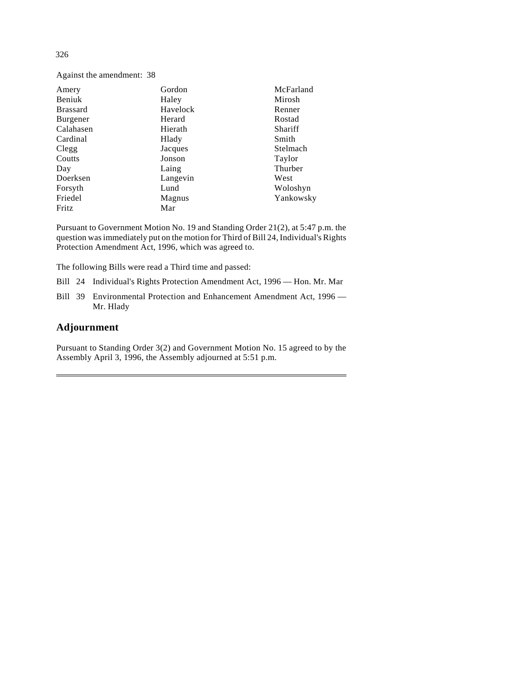Against the amendment: 38

| Amery           | Gordon   | McFarland |
|-----------------|----------|-----------|
| Beniuk          | Haley    | Mirosh    |
| <b>Brassard</b> | Havelock | Renner    |
| Burgener        | Herard   | Rostad    |
| Calahasen       | Hierath  | Shariff   |
| Cardinal        | Hlady    | Smith     |
| Clegg           | Jacques  | Stelmach  |
| Coutts          | Jonson   | Taylor    |
| Day             | Laing    | Thurber   |
| Doerksen        | Langevin | West      |
| Forsyth         | Lund     | Woloshyn  |
| Friedel         | Magnus   | Yankowsky |
| Fritz           | Mar      |           |

Pursuant to Government Motion No. 19 and Standing Order 21(2), at 5:47 p.m. the question was immediately put on the motion for Third of Bill 24, Individual's Rights Protection Amendment Act, 1996, which was agreed to.

The following Bills were read a Third time and passed:

- Bill 24 Individual's Rights Protection Amendment Act, 1996 Hon. Mr. Mar
- Bill 39 Environmental Protection and Enhancement Amendment Act, 1996 Mr. Hlady

# **Adjournment**

Pursuant to Standing Order 3(2) and Government Motion No. 15 agreed to by the Assembly April 3, 1996, the Assembly adjourned at 5:51 p.m.

326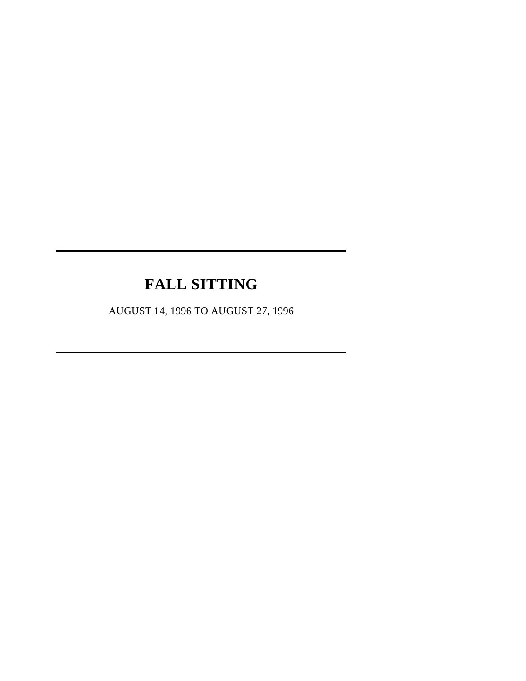# **FALL SITTING**

 $\overline{a}$ 

 $\overline{a}$ 

AUGUST 14, 1996 TO AUGUST 27, 1996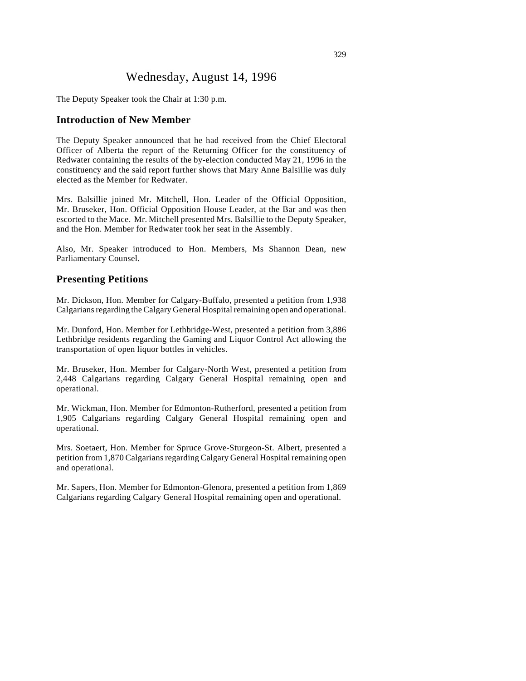# Wednesday, August 14, 1996

The Deputy Speaker took the Chair at 1:30 p.m.

# **Introduction of New Member**

The Deputy Speaker announced that he had received from the Chief Electoral Officer of Alberta the report of the Returning Officer for the constituency of Redwater containing the results of the by-election conducted May 21, 1996 in the constituency and the said report further shows that Mary Anne Balsillie was duly elected as the Member for Redwater.

Mrs. Balsillie joined Mr. Mitchell, Hon. Leader of the Official Opposition, Mr. Bruseker, Hon. Official Opposition House Leader, at the Bar and was then escorted to the Mace. Mr. Mitchell presented Mrs. Balsillie to the Deputy Speaker, and the Hon. Member for Redwater took her seat in the Assembly.

Also, Mr. Speaker introduced to Hon. Members, Ms Shannon Dean, new Parliamentary Counsel.

#### **Presenting Petitions**

Mr. Dickson, Hon. Member for Calgary-Buffalo, presented a petition from 1,938 Calgarians regarding the Calgary General Hospital remaining open and operational.

Mr. Dunford, Hon. Member for Lethbridge-West, presented a petition from 3,886 Lethbridge residents regarding the Gaming and Liquor Control Act allowing the transportation of open liquor bottles in vehicles.

Mr. Bruseker, Hon. Member for Calgary-North West, presented a petition from 2,448 Calgarians regarding Calgary General Hospital remaining open and operational.

Mr. Wickman, Hon. Member for Edmonton-Rutherford, presented a petition from 1,905 Calgarians regarding Calgary General Hospital remaining open and operational.

Mrs. Soetaert, Hon. Member for Spruce Grove-Sturgeon-St. Albert, presented a petition from 1,870 Calgarians regarding Calgary General Hospital remaining open and operational.

Mr. Sapers, Hon. Member for Edmonton-Glenora, presented a petition from 1,869 Calgarians regarding Calgary General Hospital remaining open and operational.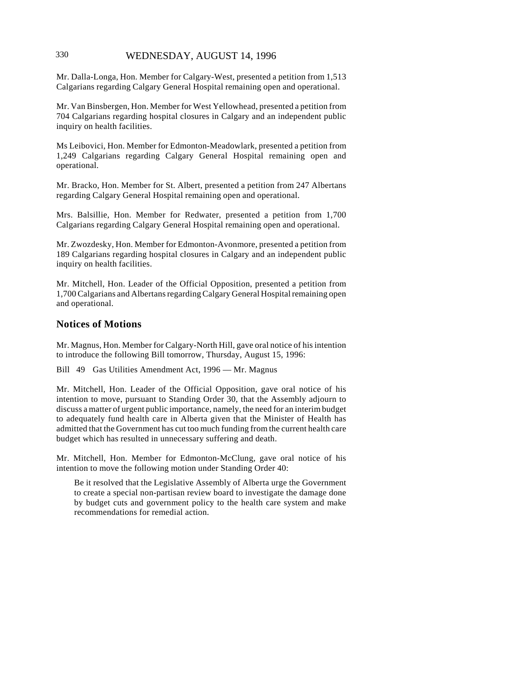# 330 WEDNESDAY, AUGUST 14, 1996

Mr. Dalla-Longa, Hon. Member for Calgary-West, presented a petition from 1,513 Calgarians regarding Calgary General Hospital remaining open and operational.

Mr. Van Binsbergen, Hon. Member for West Yellowhead, presented a petition from 704 Calgarians regarding hospital closures in Calgary and an independent public inquiry on health facilities.

Ms Leibovici, Hon. Member for Edmonton-Meadowlark, presented a petition from 1,249 Calgarians regarding Calgary General Hospital remaining open and operational.

Mr. Bracko, Hon. Member for St. Albert, presented a petition from 247 Albertans regarding Calgary General Hospital remaining open and operational.

Mrs. Balsillie, Hon. Member for Redwater, presented a petition from 1,700 Calgarians regarding Calgary General Hospital remaining open and operational.

Mr. Zwozdesky, Hon. Member for Edmonton-Avonmore, presented a petition from 189 Calgarians regarding hospital closures in Calgary and an independent public inquiry on health facilities.

Mr. Mitchell, Hon. Leader of the Official Opposition, presented a petition from 1,700 Calgarians and Albertans regarding Calgary General Hospital remaining open and operational.

#### **Notices of Motions**

Mr. Magnus, Hon. Member for Calgary-North Hill, gave oral notice of his intention to introduce the following Bill tomorrow, Thursday, August 15, 1996:

Bill 49 Gas Utilities Amendment Act, 1996 — Mr. Magnus

Mr. Mitchell, Hon. Leader of the Official Opposition, gave oral notice of his intention to move, pursuant to Standing Order 30, that the Assembly adjourn to discuss a matter of urgent public importance, namely, the need for an interim budget to adequately fund health care in Alberta given that the Minister of Health has admitted that the Government has cut too much funding from the current health care budget which has resulted in unnecessary suffering and death.

Mr. Mitchell, Hon. Member for Edmonton-McClung, gave oral notice of his intention to move the following motion under Standing Order 40:

Be it resolved that the Legislative Assembly of Alberta urge the Government to create a special non-partisan review board to investigate the damage done by budget cuts and government policy to the health care system and make recommendations for remedial action.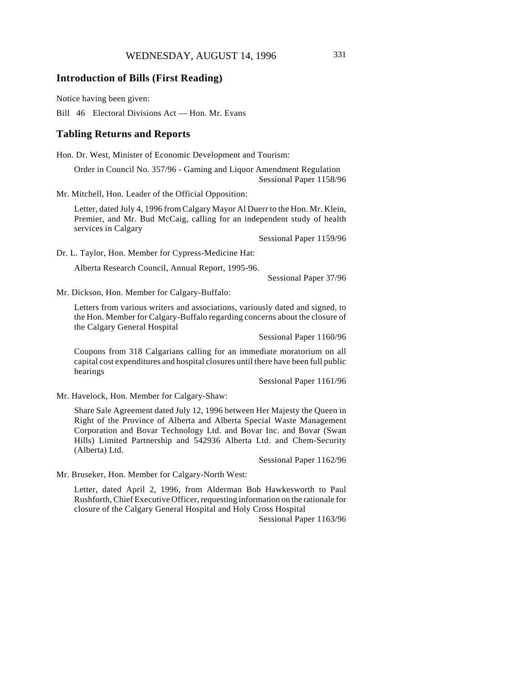### **Introduction of Bills (First Reading)**

Notice having been given:

Bill 46 Electoral Divisions Act — Hon. Mr. Evans

#### **Tabling Returns and Reports**

Hon. Dr. West, Minister of Economic Development and Tourism:

Order in Council No. 357/96 - Gaming and Liquor Amendment Regulation Sessional Paper 1158/96

Mr. Mitchell, Hon. Leader of the Official Opposition:

Letter, dated July 4, 1996 from Calgary Mayor Al Duerr to the Hon. Mr. Klein, Premier, and Mr. Bud McCaig, calling for an independent study of health services in Calgary

Sessional Paper 1159/96

Dr. L. Taylor, Hon. Member for Cypress-Medicine Hat:

Alberta Research Council, Annual Report, 1995-96.

Sessional Paper 37/96

Mr. Dickson, Hon. Member for Calgary-Buffalo:

Letters from various writers and associations, variously dated and signed, to the Hon. Member for Calgary-Buffalo regarding concerns about the closure of the Calgary General Hospital

Sessional Paper 1160/96

Coupons from 318 Calgarians calling for an immediate moratorium on all capital cost expenditures and hospital closures until there have been full public hearings

Sessional Paper 1161/96

Mr. Havelock, Hon. Member for Calgary-Shaw:

Share Sale Agreement dated July 12, 1996 between Her Majesty the Queen in Right of the Province of Alberta and Alberta Special Waste Management Corporation and Bovar Technology Ltd. and Bovar Inc. and Bovar (Swan Hills) Limited Partnership and 542936 Alberta Ltd. and Chem-Security (Alberta) Ltd.

Sessional Paper 1162/96

Mr. Bruseker, Hon. Member for Calgary-North West:

Letter, dated April 2, 1996, from Alderman Bob Hawkesworth to Paul Rushforth, Chief Executive Officer, requesting information on the rationale for closure of the Calgary General Hospital and Holy Cross Hospital

Sessional Paper 1163/96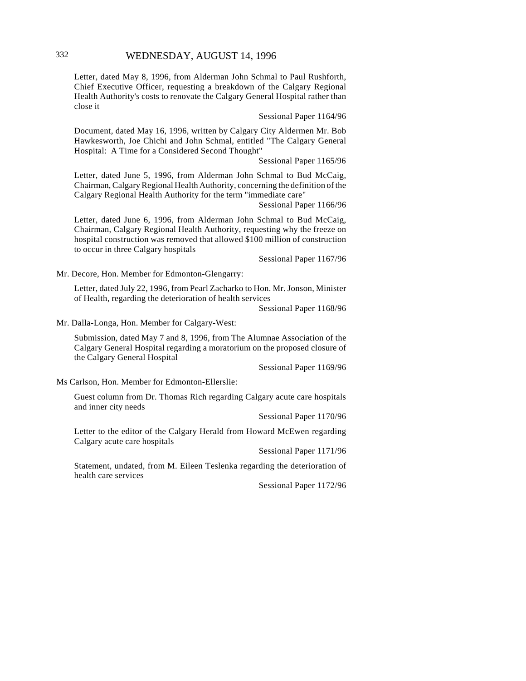Letter, dated May 8, 1996, from Alderman John Schmal to Paul Rushforth, Chief Executive Officer, requesting a breakdown of the Calgary Regional Health Authority's costs to renovate the Calgary General Hospital rather than close it

Sessional Paper 1164/96

Document, dated May 16, 1996, written by Calgary City Aldermen Mr. Bob Hawkesworth, Joe Chichi and John Schmal, entitled "The Calgary General Hospital: A Time for a Considered Second Thought"

Sessional Paper 1165/96

Letter, dated June 5, 1996, from Alderman John Schmal to Bud McCaig, Chairman, Calgary Regional Health Authority, concerning the definition of the Calgary Regional Health Authority for the term "immediate care"

Sessional Paper 1166/96

Letter, dated June 6, 1996, from Alderman John Schmal to Bud McCaig, Chairman, Calgary Regional Health Authority, requesting why the freeze on hospital construction was removed that allowed \$100 million of construction to occur in three Calgary hospitals

Sessional Paper 1167/96

Mr. Decore, Hon. Member for Edmonton-Glengarry:

Letter, dated July 22, 1996, from Pearl Zacharko to Hon. Mr. Jonson, Minister of Health, regarding the deterioration of health services

Sessional Paper 1168/96

Mr. Dalla-Longa, Hon. Member for Calgary-West:

Submission, dated May 7 and 8, 1996, from The Alumnae Association of the Calgary General Hospital regarding a moratorium on the proposed closure of the Calgary General Hospital

Sessional Paper 1169/96

Ms Carlson, Hon. Member for Edmonton-Ellerslie:

Guest column from Dr. Thomas Rich regarding Calgary acute care hospitals and inner city needs

Sessional Paper 1170/96

Letter to the editor of the Calgary Herald from Howard McEwen regarding Calgary acute care hospitals

Sessional Paper 1171/96

Statement, undated, from M. Eileen Teslenka regarding the deterioration of health care services

Sessional Paper 1172/96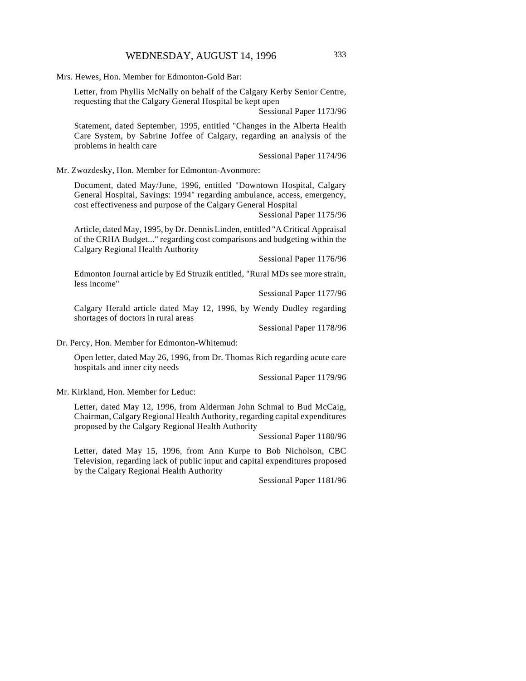Mrs. Hewes, Hon. Member for Edmonton-Gold Bar:

Letter, from Phyllis McNally on behalf of the Calgary Kerby Senior Centre, requesting that the Calgary General Hospital be kept open

Sessional Paper 1173/96

Statement, dated September, 1995, entitled "Changes in the Alberta Health Care System, by Sabrine Joffee of Calgary, regarding an analysis of the problems in health care

Sessional Paper 1174/96

Mr. Zwozdesky, Hon. Member for Edmonton-Avonmore:

Document, dated May/June, 1996, entitled "Downtown Hospital, Calgary General Hospital, Savings: 1994" regarding ambulance, access, emergency, cost effectiveness and purpose of the Calgary General Hospital

Sessional Paper 1175/96

Article, dated May, 1995, by Dr. Dennis Linden, entitled "A Critical Appraisal of the CRHA Budget..." regarding cost comparisons and budgeting within the Calgary Regional Health Authority

Sessional Paper 1176/96

Edmonton Journal article by Ed Struzik entitled, "Rural MDs see more strain, less income"

Sessional Paper 1177/96

Calgary Herald article dated May 12, 1996, by Wendy Dudley regarding shortages of doctors in rural areas

Sessional Paper 1178/96

Dr. Percy, Hon. Member for Edmonton-Whitemud:

Open letter, dated May 26, 1996, from Dr. Thomas Rich regarding acute care hospitals and inner city needs

Sessional Paper 1179/96

Mr. Kirkland, Hon. Member for Leduc:

Letter, dated May 12, 1996, from Alderman John Schmal to Bud McCaig, Chairman, Calgary Regional Health Authority, regarding capital expenditures proposed by the Calgary Regional Health Authority

Sessional Paper 1180/96

Letter, dated May 15, 1996, from Ann Kurpe to Bob Nicholson, CBC Television, regarding lack of public input and capital expenditures proposed by the Calgary Regional Health Authority

Sessional Paper 1181/96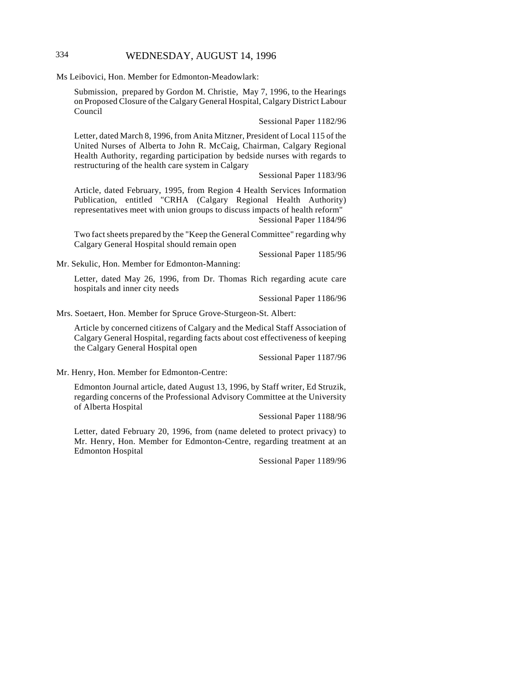# 334 WEDNESDAY, AUGUST 14, 1996

Ms Leibovici, Hon. Member for Edmonton-Meadowlark:

Submission, prepared by Gordon M. Christie, May 7, 1996, to the Hearings on Proposed Closure of the Calgary General Hospital, Calgary District Labour Council

#### Sessional Paper 1182/96

Letter, dated March 8, 1996, from Anita Mitzner, President of Local 115 of the United Nurses of Alberta to John R. McCaig, Chairman, Calgary Regional Health Authority, regarding participation by bedside nurses with regards to restructuring of the health care system in Calgary

Sessional Paper 1183/96

Article, dated February, 1995, from Region 4 Health Services Information Publication, entitled "CRHA (Calgary Regional Health Authority) representatives meet with union groups to discuss impacts of health reform" Sessional Paper 1184/96

Two fact sheets prepared by the "Keep the General Committee" regarding why Calgary General Hospital should remain open

Sessional Paper 1185/96

Mr. Sekulic, Hon. Member for Edmonton-Manning:

Letter, dated May 26, 1996, from Dr. Thomas Rich regarding acute care hospitals and inner city needs

Sessional Paper 1186/96

Mrs. Soetaert, Hon. Member for Spruce Grove-Sturgeon-St. Albert:

Article by concerned citizens of Calgary and the Medical Staff Association of Calgary General Hospital, regarding facts about cost effectiveness of keeping the Calgary General Hospital open

Sessional Paper 1187/96

Mr. Henry, Hon. Member for Edmonton-Centre:

Edmonton Journal article, dated August 13, 1996, by Staff writer, Ed Struzik, regarding concerns of the Professional Advisory Committee at the University of Alberta Hospital

Sessional Paper 1188/96

Letter, dated February 20, 1996, from (name deleted to protect privacy) to Mr. Henry, Hon. Member for Edmonton-Centre, regarding treatment at an Edmonton Hospital

Sessional Paper 1189/96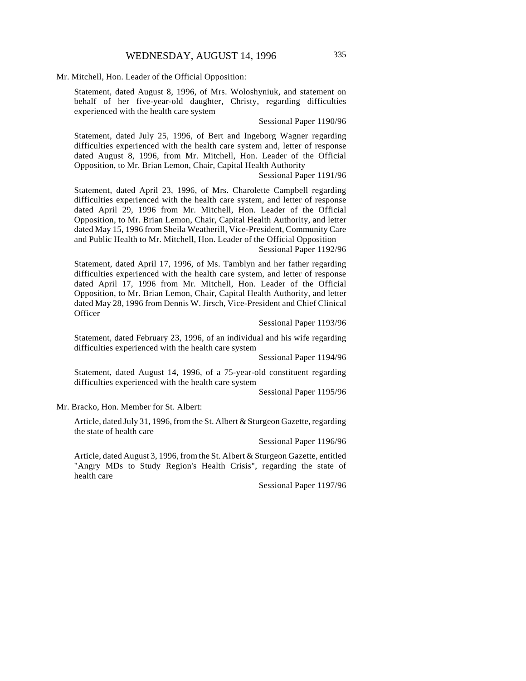Mr. Mitchell, Hon. Leader of the Official Opposition:

Statement, dated August 8, 1996, of Mrs. Woloshyniuk, and statement on behalf of her five-year-old daughter, Christy, regarding difficulties experienced with the health care system

Sessional Paper 1190/96

Statement, dated July 25, 1996, of Bert and Ingeborg Wagner regarding difficulties experienced with the health care system and, letter of response dated August 8, 1996, from Mr. Mitchell, Hon. Leader of the Official Opposition, to Mr. Brian Lemon, Chair, Capital Health Authority

Sessional Paper 1191/96

Statement, dated April 23, 1996, of Mrs. Charolette Campbell regarding difficulties experienced with the health care system, and letter of response dated April 29, 1996 from Mr. Mitchell, Hon. Leader of the Official Opposition, to Mr. Brian Lemon, Chair, Capital Health Authority, and letter dated May 15, 1996 from Sheila Weatherill, Vice-President, Community Care and Public Health to Mr. Mitchell, Hon. Leader of the Official Opposition

Sessional Paper 1192/96

Statement, dated April 17, 1996, of Ms. Tamblyn and her father regarding difficulties experienced with the health care system, and letter of response dated April 17, 1996 from Mr. Mitchell, Hon. Leader of the Official Opposition, to Mr. Brian Lemon, Chair, Capital Health Authority, and letter dated May 28, 1996 from Dennis W. Jirsch, Vice-President and Chief Clinical **Officer** 

Sessional Paper 1193/96

Statement, dated February 23, 1996, of an individual and his wife regarding difficulties experienced with the health care system

Sessional Paper 1194/96

Statement, dated August 14, 1996, of a 75-year-old constituent regarding difficulties experienced with the health care system

Sessional Paper 1195/96

Mr. Bracko, Hon. Member for St. Albert:

Article, dated July 31, 1996, from the St. Albert & Sturgeon Gazette, regarding the state of health care

Sessional Paper 1196/96

Article, dated August 3, 1996, from the St. Albert & Sturgeon Gazette, entitled "Angry MDs to Study Region's Health Crisis", regarding the state of health care

Sessional Paper 1197/96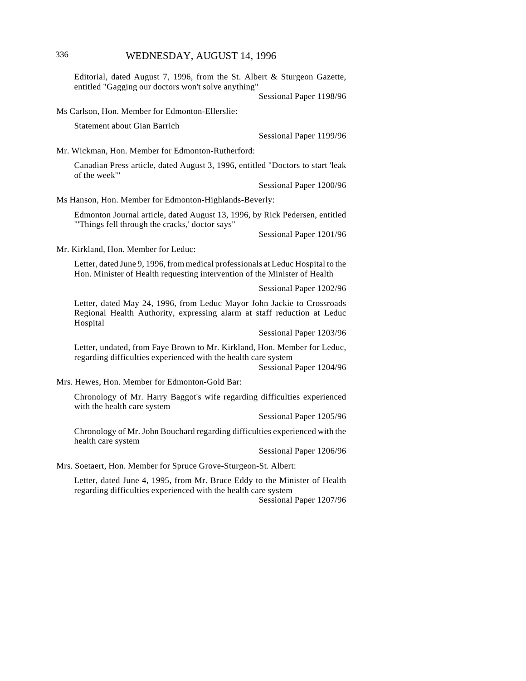# 336 WEDNESDAY, AUGUST 14, 1996

Editorial, dated August 7, 1996, from the St. Albert & Sturgeon Gazette, entitled "Gagging our doctors won't solve anything"

Sessional Paper 1198/96

Ms Carlson, Hon. Member for Edmonton-Ellerslie:

Statement about Gian Barrich

Sessional Paper 1199/96

Mr. Wickman, Hon. Member for Edmonton-Rutherford:

Canadian Press article, dated August 3, 1996, entitled "Doctors to start 'leak of the week'"

Sessional Paper 1200/96

Ms Hanson, Hon. Member for Edmonton-Highlands-Beverly:

Edmonton Journal article, dated August 13, 1996, by Rick Pedersen, entitled "'Things fell through the cracks,' doctor says"

Sessional Paper 1201/96

Mr. Kirkland, Hon. Member for Leduc:

Letter, dated June 9, 1996, from medical professionals at Leduc Hospital to the Hon. Minister of Health requesting intervention of the Minister of Health

Sessional Paper 1202/96

Letter, dated May 24, 1996, from Leduc Mayor John Jackie to Crossroads Regional Health Authority, expressing alarm at staff reduction at Leduc Hospital

Sessional Paper 1203/96

Letter, undated, from Faye Brown to Mr. Kirkland, Hon. Member for Leduc, regarding difficulties experienced with the health care system

Sessional Paper 1204/96

Mrs. Hewes, Hon. Member for Edmonton-Gold Bar:

Chronology of Mr. Harry Baggot's wife regarding difficulties experienced with the health care system

Sessional Paper 1205/96

Chronology of Mr. John Bouchard regarding difficulties experienced with the health care system

Sessional Paper 1206/96

Mrs. Soetaert, Hon. Member for Spruce Grove-Sturgeon-St. Albert:

Letter, dated June 4, 1995, from Mr. Bruce Eddy to the Minister of Health regarding difficulties experienced with the health care system

Sessional Paper 1207/96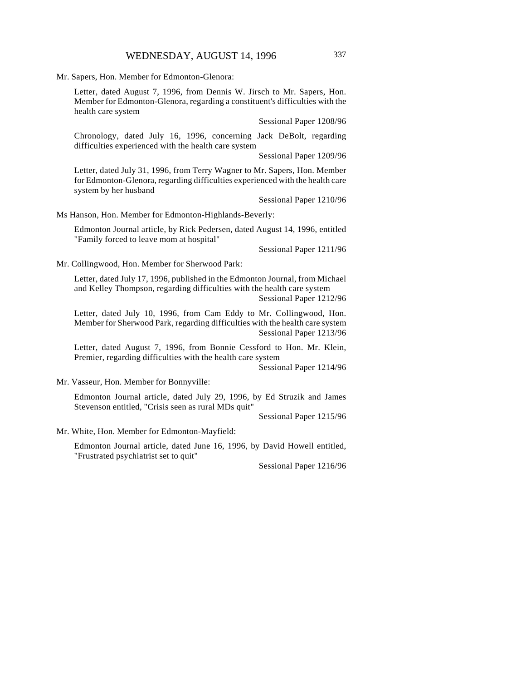Mr. Sapers, Hon. Member for Edmonton-Glenora:

Letter, dated August 7, 1996, from Dennis W. Jirsch to Mr. Sapers, Hon. Member for Edmonton-Glenora, regarding a constituent's difficulties with the health care system

Sessional Paper 1208/96

Chronology, dated July 16, 1996, concerning Jack DeBolt, regarding difficulties experienced with the health care system

Sessional Paper 1209/96

Letter, dated July 31, 1996, from Terry Wagner to Mr. Sapers, Hon. Member for Edmonton-Glenora, regarding difficulties experienced with the health care system by her husband

Sessional Paper 1210/96

Ms Hanson, Hon. Member for Edmonton-Highlands-Beverly:

Edmonton Journal article, by Rick Pedersen, dated August 14, 1996, entitled "Family forced to leave mom at hospital"

Sessional Paper 1211/96

Mr. Collingwood, Hon. Member for Sherwood Park:

Letter, dated July 17, 1996, published in the Edmonton Journal, from Michael and Kelley Thompson, regarding difficulties with the health care system Sessional Paper 1212/96

Letter, dated July 10, 1996, from Cam Eddy to Mr. Collingwood, Hon. Member for Sherwood Park, regarding difficulties with the health care system Sessional Paper 1213/96

Letter, dated August 7, 1996, from Bonnie Cessford to Hon. Mr. Klein, Premier, regarding difficulties with the health care system

Sessional Paper 1214/96

Mr. Vasseur, Hon. Member for Bonnyville:

Edmonton Journal article, dated July 29, 1996, by Ed Struzik and James Stevenson entitled, "Crisis seen as rural MDs quit"

Sessional Paper 1215/96

Mr. White, Hon. Member for Edmonton-Mayfield:

Edmonton Journal article, dated June 16, 1996, by David Howell entitled, "Frustrated psychiatrist set to quit"

Sessional Paper 1216/96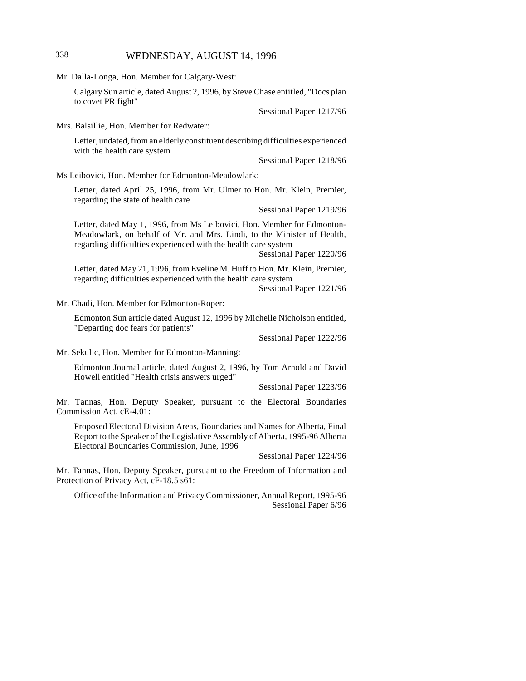# 338 WEDNESDAY, AUGUST 14, 1996

| Mr. Dalla-Longa, Hon. Member for Calgary-West:                                                                                                                                                                                                  |  |
|-------------------------------------------------------------------------------------------------------------------------------------------------------------------------------------------------------------------------------------------------|--|
| Calgary Sun article, dated August 2, 1996, by Steve Chase entitled, "Docs plan<br>to covet PR fight"                                                                                                                                            |  |
| Sessional Paper 1217/96                                                                                                                                                                                                                         |  |
| Mrs. Balsillie, Hon. Member for Redwater:                                                                                                                                                                                                       |  |
| Letter, undated, from an elderly constituent describing difficulties experienced<br>with the health care system                                                                                                                                 |  |
| Sessional Paper 1218/96                                                                                                                                                                                                                         |  |
| Ms Leibovici, Hon. Member for Edmonton-Meadowlark:                                                                                                                                                                                              |  |
| Letter, dated April 25, 1996, from Mr. Ulmer to Hon. Mr. Klein, Premier,<br>regarding the state of health care                                                                                                                                  |  |
| Sessional Paper 1219/96                                                                                                                                                                                                                         |  |
| Letter, dated May 1, 1996, from Ms Leibovici, Hon. Member for Edmonton-<br>Meadowlark, on behalf of Mr. and Mrs. Lindi, to the Minister of Health,<br>regarding difficulties experienced with the health care system<br>Sessional Paper 1220/96 |  |
| Letter, dated May 21, 1996, from Eveline M. Huff to Hon. Mr. Klein, Premier,<br>regarding difficulties experienced with the health care system<br>Sessional Paper 1221/96                                                                       |  |
| Mr. Chadi, Hon. Member for Edmonton-Roper:                                                                                                                                                                                                      |  |
| Edmonton Sun article dated August 12, 1996 by Michelle Nicholson entitled,<br>"Departing doc fears for patients"                                                                                                                                |  |
| Sessional Paper 1222/96                                                                                                                                                                                                                         |  |
| Mr. Sekulic, Hon. Member for Edmonton-Manning:                                                                                                                                                                                                  |  |
| Edmonton Journal article, dated August 2, 1996, by Tom Arnold and David<br>Howell entitled "Health crisis answers urged"                                                                                                                        |  |
| Sessional Paper 1223/96                                                                                                                                                                                                                         |  |
| Mr. Tannas, Hon. Deputy Speaker, pursuant to the Electoral Boundaries<br>Commission Act, cE-4.01:                                                                                                                                               |  |
| Proposed Electoral Division Areas, Boundaries and Names for Alberta, Final<br>Report to the Speaker of the Legislative Assembly of Alberta, 1995-96 Alberta<br>Electoral Boundaries Commission, June, 1996                                      |  |
| Sessional Paper 1224/96                                                                                                                                                                                                                         |  |
| Mr. Tannas, Hon. Deputy Speaker, pursuant to the Freedom of Information and<br>Protection of Privacy Act, cF-18.5 s61:                                                                                                                          |  |
| Office of the Information and Privacy Commissioner, Annual Report, 1995-96<br>Sessional Paper 6/96                                                                                                                                              |  |
|                                                                                                                                                                                                                                                 |  |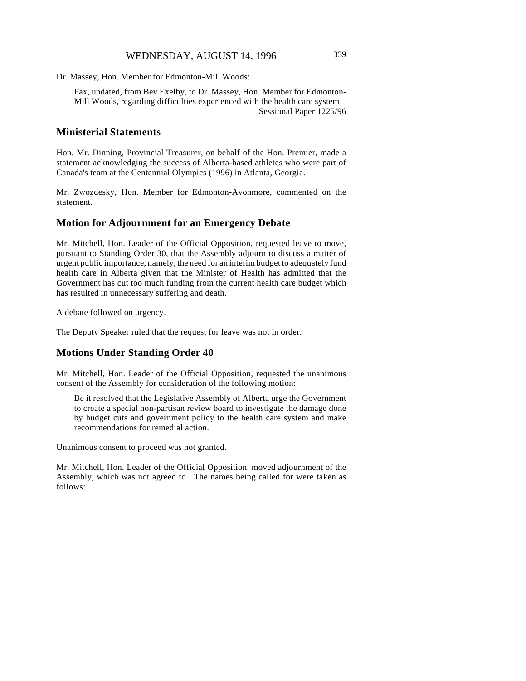# WEDNESDAY, AUGUST 14, 1996 339

Dr. Massey, Hon. Member for Edmonton-Mill Woods:

Fax, undated, from Bev Exelby, to Dr. Massey, Hon. Member for Edmonton-Mill Woods, regarding difficulties experienced with the health care system Sessional Paper 1225/96

### **Ministerial Statements**

Hon. Mr. Dinning, Provincial Treasurer, on behalf of the Hon. Premier, made a statement acknowledging the success of Alberta-based athletes who were part of Canada's team at the Centennial Olympics (1996) in Atlanta, Georgia.

Mr. Zwozdesky, Hon. Member for Edmonton-Avonmore, commented on the statement.

#### **Motion for Adjournment for an Emergency Debate**

Mr. Mitchell, Hon. Leader of the Official Opposition, requested leave to move, pursuant to Standing Order 30, that the Assembly adjourn to discuss a matter of urgent public importance, namely, the need for an interim budget to adequately fund health care in Alberta given that the Minister of Health has admitted that the Government has cut too much funding from the current health care budget which has resulted in unnecessary suffering and death.

A debate followed on urgency.

The Deputy Speaker ruled that the request for leave was not in order.

#### **Motions Under Standing Order 40**

Mr. Mitchell, Hon. Leader of the Official Opposition, requested the unanimous consent of the Assembly for consideration of the following motion:

Be it resolved that the Legislative Assembly of Alberta urge the Government to create a special non-partisan review board to investigate the damage done by budget cuts and government policy to the health care system and make recommendations for remedial action.

Unanimous consent to proceed was not granted.

Mr. Mitchell, Hon. Leader of the Official Opposition, moved adjournment of the Assembly, which was not agreed to. The names being called for were taken as follows: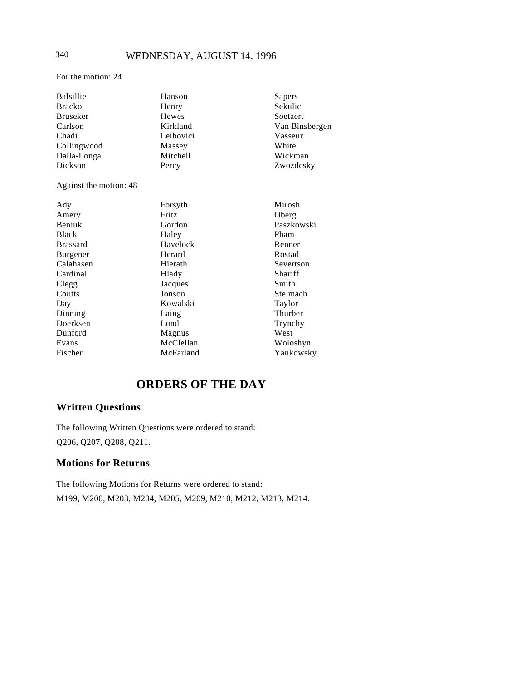# 340 WEDNESDAY, AUGUST 14, 1996

For the motion: 24

| <b>Balsillie</b>       | Hanson       | Sapers         |
|------------------------|--------------|----------------|
| <b>Bracko</b>          | Henry        | Sekulic        |
| <b>Bruseker</b>        | <b>Hewes</b> | Soetaert       |
| Carlson                | Kirkland     | Van Binsbergen |
| Chadi                  | Leibovici    | Vasseur        |
| Collingwood            | Massey       | White          |
| Dalla-Longa            | Mitchell     | Wickman        |
| Dickson                | Percy        | Zwozdesky      |
| Against the motion: 48 |              |                |
| Ady                    | Forsyth      | Mirosh         |
| Amery                  | <b>Fritz</b> | Oberg          |
| Beniuk                 | Gordon       | Paszkowski     |
| <b>Black</b>           | Haley        | Pham           |
| <b>Brassard</b>        | Havelock     | Renner         |
| Burgener               | Herard       | Rostad         |
| Calahasen              | Hierath      | Severtson      |
| Cardinal               | Hlady        | Shariff        |
| Clegg                  | Jacques      | Smith          |
| Coutts                 | Jonson       | Stelmach       |
| Day                    | Kowalski     | Taylor         |
| Dinning                | Laing        | Thurber        |
| Doerksen               | Lund         | Trynchy        |
| Dunford                | Magnus       | West           |
| Evans                  | McClellan    | Woloshyn       |
| Fischer                | McFarland    | Yankowsky      |

# **ORDERS OF THE DAY**

# **Written Questions**

The following Written Questions were ordered to stand: Q206, Q207, Q208, Q211.

# **Motions for Returns**

The following Motions for Returns were ordered to stand: M199, M200, M203, M204, M205, M209, M210, M212, M213, M214.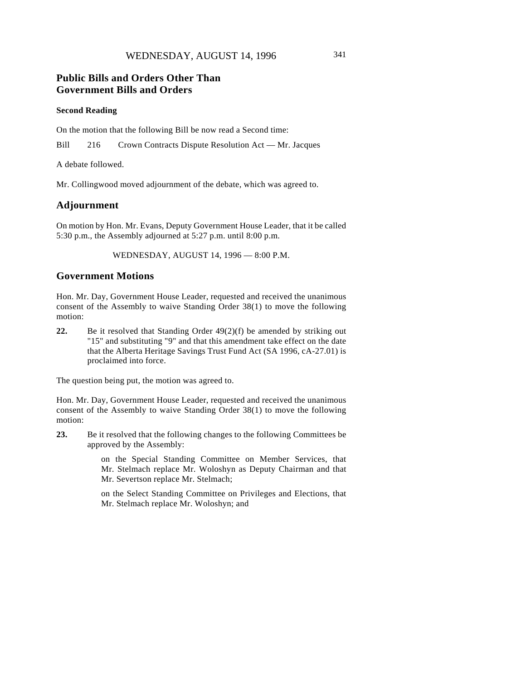# **Public Bills and Orders Other Than Government Bills and Orders**

#### **Second Reading**

On the motion that the following Bill be now read a Second time:

Bill 216 Crown Contracts Dispute Resolution Act — Mr. Jacques

A debate followed.

Mr. Collingwood moved adjournment of the debate, which was agreed to.

# **Adjournment**

On motion by Hon. Mr. Evans, Deputy Government House Leader, that it be called 5:30 p.m., the Assembly adjourned at 5:27 p.m. until 8:00 p.m.

WEDNESDAY, AUGUST 14, 1996 — 8:00 P.M.

### **Government Motions**

Hon. Mr. Day, Government House Leader, requested and received the unanimous consent of the Assembly to waive Standing Order 38(1) to move the following motion:

**22.** Be it resolved that Standing Order 49(2)(f) be amended by striking out "15" and substituting "9" and that this amendment take effect on the date that the Alberta Heritage Savings Trust Fund Act (SA 1996, cA-27.01) is proclaimed into force.

The question being put, the motion was agreed to.

Hon. Mr. Day, Government House Leader, requested and received the unanimous consent of the Assembly to waive Standing Order 38(1) to move the following motion:

**23.** Be it resolved that the following changes to the following Committees be approved by the Assembly:

> on the Special Standing Committee on Member Services, that Mr. Stelmach replace Mr. Woloshyn as Deputy Chairman and that Mr. Severtson replace Mr. Stelmach;

> on the Select Standing Committee on Privileges and Elections, that Mr. Stelmach replace Mr. Woloshyn; and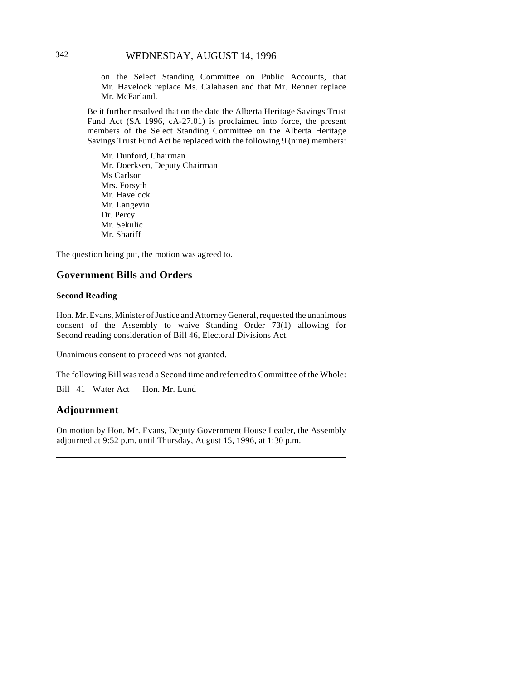on the Select Standing Committee on Public Accounts, that Mr. Havelock replace Ms. Calahasen and that Mr. Renner replace Mr. McFarland.

Be it further resolved that on the date the Alberta Heritage Savings Trust Fund Act (SA 1996, cA-27.01) is proclaimed into force, the present members of the Select Standing Committee on the Alberta Heritage Savings Trust Fund Act be replaced with the following 9 (nine) members:

Mr. Dunford, Chairman Mr. Doerksen, Deputy Chairman Ms Carlson Mrs. Forsyth Mr. Havelock Mr. Langevin Dr. Percy Mr. Sekulic Mr. Shariff

The question being put, the motion was agreed to.

### **Government Bills and Orders**

#### **Second Reading**

Hon. Mr. Evans, Minister of Justice and Attorney General, requested the unanimous consent of the Assembly to waive Standing Order 73(1) allowing for Second reading consideration of Bill 46, Electoral Divisions Act.

Unanimous consent to proceed was not granted.

The following Bill was read a Second time and referred to Committee of the Whole:

Bill 41 Water Act — Hon. Mr. Lund

#### **Adjournment**

On motion by Hon. Mr. Evans, Deputy Government House Leader, the Assembly adjourned at 9:52 p.m. until Thursday, August 15, 1996, at 1:30 p.m.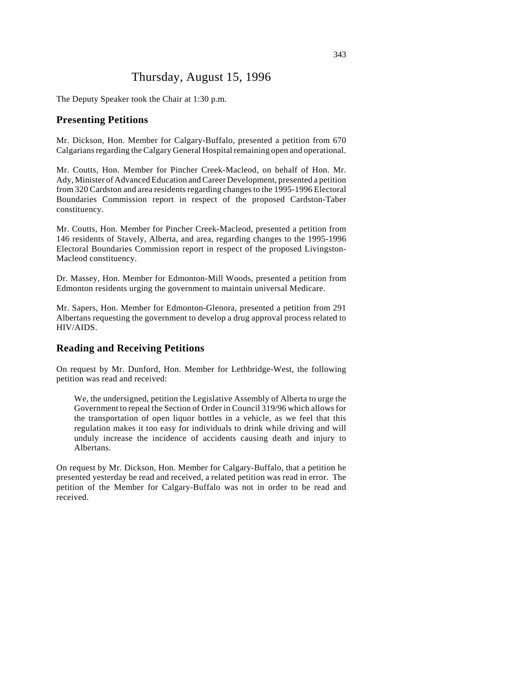# Thursday, August 15, 1996

The Deputy Speaker took the Chair at 1:30 p.m.

#### **Presenting Petitions**

Mr. Dickson, Hon. Member for Calgary-Buffalo, presented a petition from 670 Calgarians regarding the Calgary General Hospital remaining open and operational.

Mr. Coutts, Hon. Member for Pincher Creek-Macleod, on behalf of Hon. Mr. Ady, Minister of Advanced Education and Career Development, presented a petition from 320 Cardston and area residents regarding changes to the 1995-1996 Electoral Boundaries Commission report in respect of the proposed Cardston-Taber constituency.

Mr. Coutts, Hon. Member for Pincher Creek-Macleod, presented a petition from 146 residents of Stavely, Alberta, and area, regarding changes to the 1995-1996 Electoral Boundaries Commission report in respect of the proposed Livingston-Macleod constituency.

Dr. Massey, Hon. Member for Edmonton-Mill Woods, presented a petition from Edmonton residents urging the government to maintain universal Medicare.

Mr. Sapers, Hon. Member for Edmonton-Glenora, presented a petition from 291 Albertans requesting the government to develop a drug approval process related to HIV/AIDS.

#### **Reading and Receiving Petitions**

On request by Mr. Dunford, Hon. Member for Lethbridge-West, the following petition was read and received:

We, the undersigned, petition the Legislative Assembly of Alberta to urge the Government to repeal the Section of Order in Council 319/96 which allows for the transportation of open liquor bottles in a vehicle, as we feel that this regulation makes it too easy for individuals to drink while driving and will unduly increase the incidence of accidents causing death and injury to Albertans.

On request by Mr. Dickson, Hon. Member for Calgary-Buffalo, that a petition he presented yesterday be read and received, a related petition was read in error. The petition of the Member for Calgary-Buffalo was not in order to be read and received.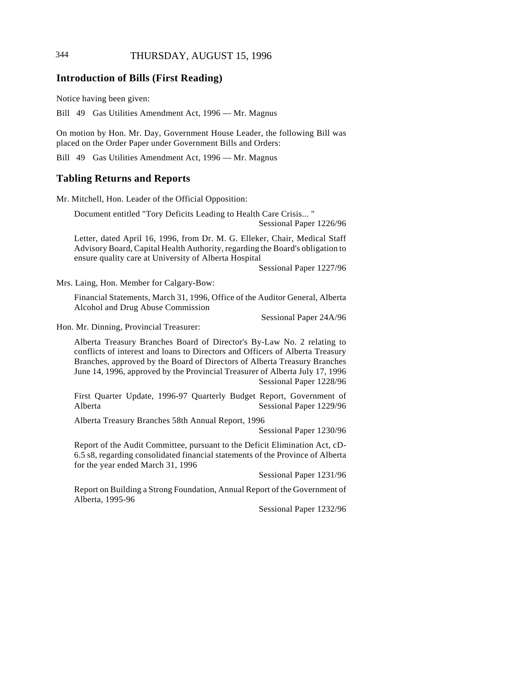# 344 THURSDAY, AUGUST 15, 1996

#### **Introduction of Bills (First Reading)**

Notice having been given:

Bill 49 Gas Utilities Amendment Act, 1996 — Mr. Magnus

On motion by Hon. Mr. Day, Government House Leader, the following Bill was placed on the Order Paper under Government Bills and Orders:

Bill 49 Gas Utilities Amendment Act, 1996 — Mr. Magnus

#### **Tabling Returns and Reports**

Mr. Mitchell, Hon. Leader of the Official Opposition:

Document entitled "Tory Deficits Leading to Health Care Crisis... "

Sessional Paper 1226/96

Letter, dated April 16, 1996, from Dr. M. G. Elleker, Chair, Medical Staff Advisory Board, Capital Health Authority, regarding the Board's obligation to ensure quality care at University of Alberta Hospital

Sessional Paper 1227/96

Mrs. Laing, Hon. Member for Calgary-Bow:

Financial Statements, March 31, 1996, Office of the Auditor General, Alberta Alcohol and Drug Abuse Commission

Sessional Paper 24A/96

Hon. Mr. Dinning, Provincial Treasurer:

Alberta Treasury Branches Board of Director's By-Law No. 2 relating to conflicts of interest and loans to Directors and Officers of Alberta Treasury Branches, approved by the Board of Directors of Alberta Treasury Branches June 14, 1996, approved by the Provincial Treasurer of Alberta July 17, 1996 Sessional Paper 1228/96

First Quarter Update, 1996-97 Quarterly Budget Report, Government of Alberta Sessional Paper 1229/96

Alberta Treasury Branches 58th Annual Report, 1996

Sessional Paper 1230/96

Report of the Audit Committee, pursuant to the Deficit Elimination Act, cD-6.5 s8, regarding consolidated financial statements of the Province of Alberta for the year ended March 31, 1996

Sessional Paper 1231/96

Report on Building a Strong Foundation, Annual Report of the Government of Alberta, 1995-96

Sessional Paper 1232/96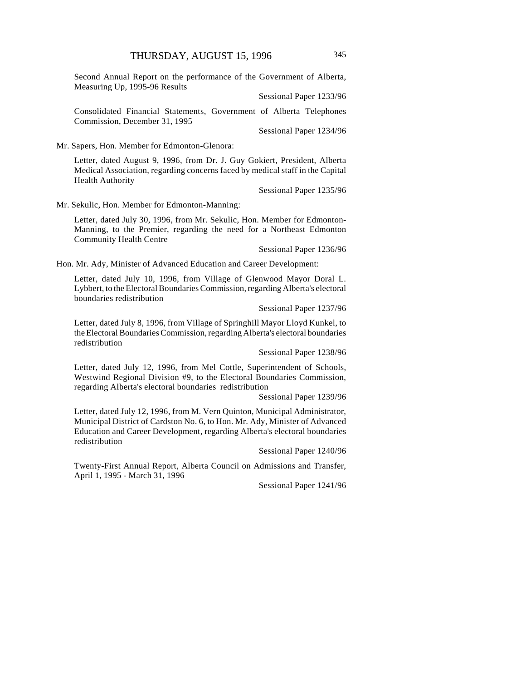Second Annual Report on the performance of the Government of Alberta, Measuring Up, 1995-96 Results

Sessional Paper 1233/96

Consolidated Financial Statements, Government of Alberta Telephones Commission, December 31, 1995

Sessional Paper 1234/96

Mr. Sapers, Hon. Member for Edmonton-Glenora:

Letter, dated August 9, 1996, from Dr. J. Guy Gokiert, President, Alberta Medical Association, regarding concerns faced by medical staff in the Capital Health Authority

Sessional Paper 1235/96

Mr. Sekulic, Hon. Member for Edmonton-Manning:

Letter, dated July 30, 1996, from Mr. Sekulic, Hon. Member for Edmonton-Manning, to the Premier, regarding the need for a Northeast Edmonton Community Health Centre

Sessional Paper 1236/96

Hon. Mr. Ady, Minister of Advanced Education and Career Development:

Letter, dated July 10, 1996, from Village of Glenwood Mayor Doral L. Lybbert, to the Electoral Boundaries Commission, regarding Alberta's electoral boundaries redistribution

Sessional Paper 1237/96

Letter, dated July 8, 1996, from Village of Springhill Mayor Lloyd Kunkel, to the Electoral Boundaries Commission, regarding Alberta's electoral boundaries redistribution

Sessional Paper 1238/96

Letter, dated July 12, 1996, from Mel Cottle, Superintendent of Schools, Westwind Regional Division #9, to the Electoral Boundaries Commission, regarding Alberta's electoral boundaries redistribution

Sessional Paper 1239/96

Letter, dated July 12, 1996, from M. Vern Quinton, Municipal Administrator, Municipal District of Cardston No. 6, to Hon. Mr. Ady, Minister of Advanced Education and Career Development, regarding Alberta's electoral boundaries redistribution

Sessional Paper 1240/96

Twenty-First Annual Report, Alberta Council on Admissions and Transfer, April 1, 1995 - March 31, 1996

Sessional Paper 1241/96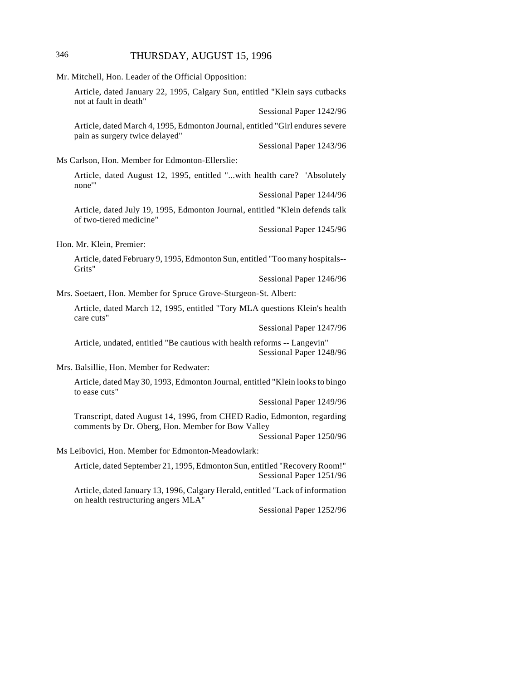# 346 THURSDAY, AUGUST 15, 1996

|                                                                                          | Mr. Mitchell, Hon. Leader of the Official Opposition:                                                                        |                         |
|------------------------------------------------------------------------------------------|------------------------------------------------------------------------------------------------------------------------------|-------------------------|
|                                                                                          | Article, dated January 22, 1995, Calgary Sun, entitled "Klein says cutbacks<br>not at fault in death"                        |                         |
|                                                                                          |                                                                                                                              | Sessional Paper 1242/96 |
|                                                                                          | Article, dated March 4, 1995, Edmonton Journal, entitled "Girl endures severe<br>pain as surgery twice delayed"              |                         |
|                                                                                          |                                                                                                                              | Sessional Paper 1243/96 |
|                                                                                          | Ms Carlson, Hon. Member for Edmonton-Ellerslie:                                                                              |                         |
|                                                                                          | Article, dated August 12, 1995, entitled "with health care? 'Absolutely<br>none'"                                            |                         |
|                                                                                          |                                                                                                                              | Sessional Paper 1244/96 |
|                                                                                          | Article, dated July 19, 1995, Edmonton Journal, entitled "Klein defends talk<br>of two-tiered medicine"                      |                         |
|                                                                                          |                                                                                                                              | Sessional Paper 1245/96 |
|                                                                                          | Hon. Mr. Klein, Premier:                                                                                                     |                         |
| Article, dated February 9, 1995, Edmonton Sun, entitled "Too many hospitals--<br>Grits"  |                                                                                                                              |                         |
|                                                                                          |                                                                                                                              | Sessional Paper 1246/96 |
|                                                                                          | Mrs. Soetaert, Hon. Member for Spruce Grove-Sturgeon-St. Albert:                                                             |                         |
| Article, dated March 12, 1995, entitled "Tory MLA questions Klein's health<br>care cuts" |                                                                                                                              |                         |
|                                                                                          |                                                                                                                              | Sessional Paper 1247/96 |
|                                                                                          | Article, undated, entitled "Be cautious with health reforms -- Langevin"                                                     | Sessional Paper 1248/96 |
|                                                                                          | Mrs. Balsillie, Hon. Member for Redwater:                                                                                    |                         |
|                                                                                          | Article, dated May 30, 1993, Edmonton Journal, entitled "Klein looks to bingo<br>to ease cuts"                               |                         |
|                                                                                          |                                                                                                                              | Sessional Paper 1249/96 |
|                                                                                          | Transcript, dated August 14, 1996, from CHED Radio, Edmonton, regarding<br>comments by Dr. Oberg, Hon. Member for Bow Valley | Sessional Paper 1250/96 |
|                                                                                          | Ms Leibovici, Hon. Member for Edmonton-Meadowlark:                                                                           |                         |
|                                                                                          | Article, dated September 21, 1995, Edmonton Sun, entitled "Recovery Room!"                                                   | Sessional Paper 1251/96 |
|                                                                                          | Article, dated January 13, 1996, Calgary Herald, entitled "Lack of information<br>on health restructuring angers MLA"        |                         |
|                                                                                          |                                                                                                                              | Sessional Paper 1252/96 |
|                                                                                          |                                                                                                                              |                         |
|                                                                                          |                                                                                                                              |                         |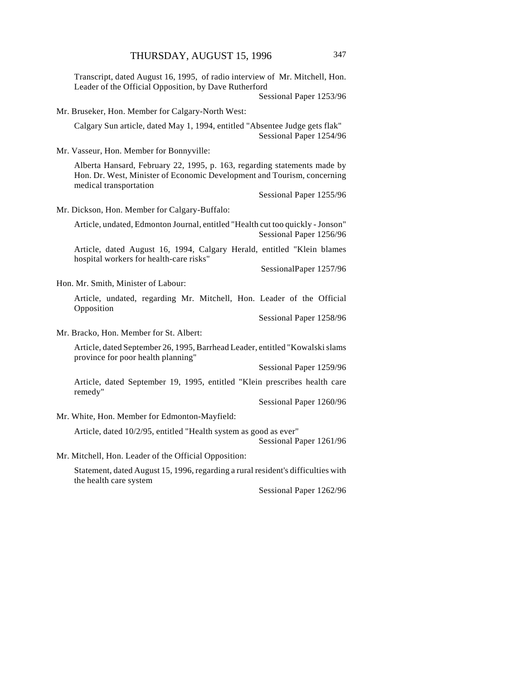Transcript, dated August 16, 1995, of radio interview of Mr. Mitchell, Hon. Leader of the Official Opposition, by Dave Rutherford

Sessional Paper 1253/96

Mr. Bruseker, Hon. Member for Calgary-North West:

Calgary Sun article, dated May 1, 1994, entitled "Absentee Judge gets flak" Sessional Paper 1254/96

Mr. Vasseur, Hon. Member for Bonnyville:

Alberta Hansard, February 22, 1995, p. 163, regarding statements made by Hon. Dr. West, Minister of Economic Development and Tourism, concerning medical transportation

Sessional Paper 1255/96

Mr. Dickson, Hon. Member for Calgary-Buffalo:

Article, undated, Edmonton Journal, entitled "Health cut too quickly - Jonson" Sessional Paper 1256/96

Article, dated August 16, 1994, Calgary Herald, entitled "Klein blames hospital workers for health-care risks"

SessionalPaper 1257/96

Hon. Mr. Smith, Minister of Labour:

Article, undated, regarding Mr. Mitchell, Hon. Leader of the Official Opposition

Sessional Paper 1258/96

Mr. Bracko, Hon. Member for St. Albert:

Article, dated September 26, 1995, Barrhead Leader, entitled "Kowalski slams province for poor health planning"

Sessional Paper 1259/96

Article, dated September 19, 1995, entitled "Klein prescribes health care remedy"

Sessional Paper 1260/96

Mr. White, Hon. Member for Edmonton-Mayfield:

Article, dated 10/2/95, entitled "Health system as good as ever"

Sessional Paper 1261/96

Mr. Mitchell, Hon. Leader of the Official Opposition:

Statement, dated August 15, 1996, regarding a rural resident's difficulties with the health care system

Sessional Paper 1262/96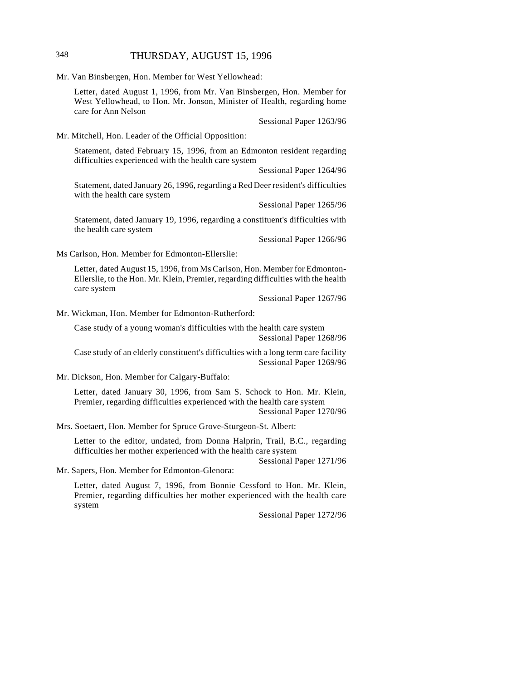# 348 THURSDAY, AUGUST 15, 1996

Mr. Van Binsbergen, Hon. Member for West Yellowhead:

Letter, dated August 1, 1996, from Mr. Van Binsbergen, Hon. Member for West Yellowhead, to Hon. Mr. Jonson, Minister of Health, regarding home care for Ann Nelson

Sessional Paper 1263/96

Mr. Mitchell, Hon. Leader of the Official Opposition:

Statement, dated February 15, 1996, from an Edmonton resident regarding difficulties experienced with the health care system

Sessional Paper 1264/96

Statement, dated January 26, 1996, regarding a Red Deer resident's difficulties with the health care system

Sessional Paper 1265/96

Statement, dated January 19, 1996, regarding a constituent's difficulties with the health care system

Sessional Paper 1266/96

Ms Carlson, Hon. Member for Edmonton-Ellerslie:

Letter, dated August 15, 1996, from Ms Carlson, Hon. Member for Edmonton-Ellerslie, to the Hon. Mr. Klein, Premier, regarding difficulties with the health care system

Sessional Paper 1267/96

Mr. Wickman, Hon. Member for Edmonton-Rutherford:

Case study of a young woman's difficulties with the health care system Sessional Paper 1268/96

Case study of an elderly constituent's difficulties with a long term care facility Sessional Paper 1269/96

Mr. Dickson, Hon. Member for Calgary-Buffalo:

Letter, dated January 30, 1996, from Sam S. Schock to Hon. Mr. Klein, Premier, regarding difficulties experienced with the health care system Sessional Paper 1270/96

Mrs. Soetaert, Hon. Member for Spruce Grove-Sturgeon-St. Albert:

Letter to the editor, undated, from Donna Halprin, Trail, B.C., regarding difficulties her mother experienced with the health care system

Sessional Paper 1271/96

Mr. Sapers, Hon. Member for Edmonton-Glenora:

Letter, dated August 7, 1996, from Bonnie Cessford to Hon. Mr. Klein, Premier, regarding difficulties her mother experienced with the health care system

Sessional Paper 1272/96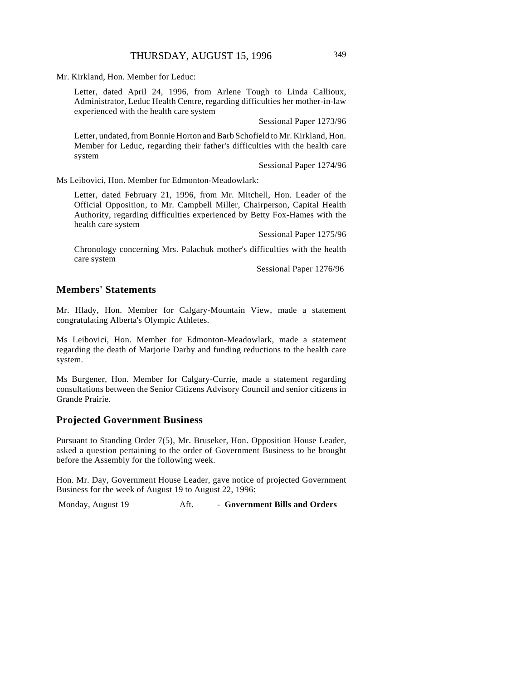Mr. Kirkland, Hon. Member for Leduc:

Letter, dated April 24, 1996, from Arlene Tough to Linda Callioux, Administrator, Leduc Health Centre, regarding difficulties her mother-in-law experienced with the health care system

Sessional Paper 1273/96

Letter, undated, from Bonnie Horton and Barb Schofield to Mr. Kirkland, Hon. Member for Leduc, regarding their father's difficulties with the health care system

Sessional Paper 1274/96

Ms Leibovici, Hon. Member for Edmonton-Meadowlark:

Letter, dated February 21, 1996, from Mr. Mitchell, Hon. Leader of the Official Opposition, to Mr. Campbell Miller, Chairperson, Capital Health Authority, regarding difficulties experienced by Betty Fox-Hames with the health care system

Sessional Paper 1275/96

Chronology concerning Mrs. Palachuk mother's difficulties with the health care system

Sessional Paper 1276/96

#### **Members' Statements**

Mr. Hlady, Hon. Member for Calgary-Mountain View, made a statement congratulating Alberta's Olympic Athletes.

Ms Leibovici, Hon. Member for Edmonton-Meadowlark, made a statement regarding the death of Marjorie Darby and funding reductions to the health care system.

Ms Burgener, Hon. Member for Calgary-Currie, made a statement regarding consultations between the Senior Citizens Advisory Council and senior citizens in Grande Prairie.

#### **Projected Government Business**

Pursuant to Standing Order 7(5), Mr. Bruseker, Hon. Opposition House Leader, asked a question pertaining to the order of Government Business to be brought before the Assembly for the following week.

Hon. Mr. Day, Government House Leader, gave notice of projected Government Business for the week of August 19 to August 22, 1996:

Monday, August 19 **Aft.** - Government Bills and Orders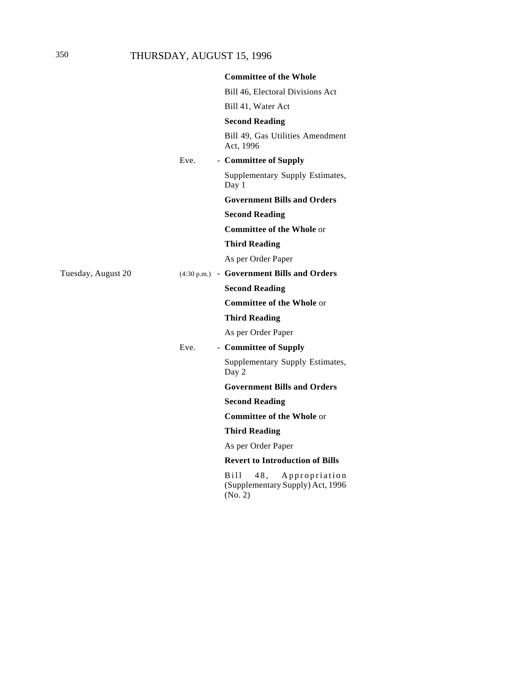# 350 THURSDAY, AUGUST 15, 1996

|                    |      | <b>Committee of the Whole</b>                                                           |
|--------------------|------|-----------------------------------------------------------------------------------------|
|                    |      | Bill 46, Electoral Divisions Act                                                        |
|                    |      | Bill 41, Water Act                                                                      |
|                    |      | <b>Second Reading</b>                                                                   |
|                    |      | Bill 49, Gas Utilities Amendment<br>Act. 1996                                           |
|                    | Eve. | - Committee of Supply                                                                   |
|                    |      | Supplementary Supply Estimates,<br>Day 1                                                |
|                    |      | <b>Government Bills and Orders</b>                                                      |
|                    |      | <b>Second Reading</b>                                                                   |
|                    |      | <b>Committee of the Whole or</b>                                                        |
|                    |      | <b>Third Reading</b>                                                                    |
|                    |      | As per Order Paper                                                                      |
| Tuesday, August 20 |      | (4:30 p.m.) - Government Bills and Orders                                               |
|                    |      | <b>Second Reading</b>                                                                   |
|                    |      | <b>Committee of the Whole or</b>                                                        |
|                    |      | <b>Third Reading</b>                                                                    |
|                    |      | As per Order Paper                                                                      |
|                    | Eve. | - Committee of Supply                                                                   |
|                    |      | Supplementary Supply Estimates,<br>Day 2                                                |
|                    |      | <b>Government Bills and Orders</b>                                                      |
|                    |      | <b>Second Reading</b>                                                                   |
|                    |      | <b>Committee of the Whole or</b>                                                        |
|                    |      | <b>Third Reading</b>                                                                    |
|                    |      | As per Order Paper                                                                      |
|                    |      | <b>Revert to Introduction of Bills</b>                                                  |
|                    |      | B <sub>111</sub><br>48,<br>Appropriation<br>(Supplementary Supply) Act, 1996<br>(No. 2) |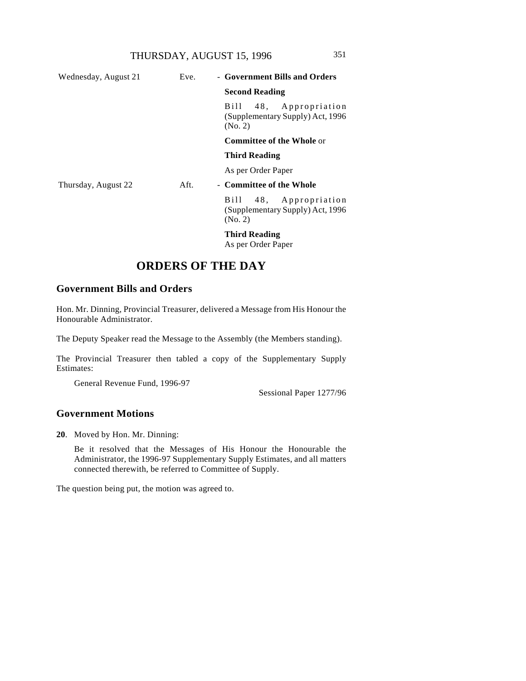|                    | ×.     |  |
|--------------------|--------|--|
| ۰,<br>×<br>۰.<br>v | ı<br>v |  |

| Wednesday, August 21 | Eve. | - Government Bills and Orders                                         |
|----------------------|------|-----------------------------------------------------------------------|
|                      |      | <b>Second Reading</b>                                                 |
|                      |      | Bill 48, Appropriation<br>(Supplementary Supply) Act, 1996<br>(No. 2) |
|                      |      | <b>Committee of the Whole or</b>                                      |
|                      |      | <b>Third Reading</b>                                                  |
|                      |      | As per Order Paper                                                    |
| Thursday, August 22  | Aft. | - Committee of the Whole                                              |
|                      |      | Bill 48, Appropriation<br>(Supplementary Supply) Act, 1996<br>(No. 2) |
|                      |      |                                                                       |

**Third Reading**

As per Order Paper

# **ORDERS OF THE DAY**

# **Government Bills and Orders**

Hon. Mr. Dinning, Provincial Treasurer, delivered a Message from His Honour the Honourable Administrator.

The Deputy Speaker read the Message to the Assembly (the Members standing).

The Provincial Treasurer then tabled a copy of the Supplementary Supply Estimates:

General Revenue Fund, 1996-97

Sessional Paper 1277/96

# **Government Motions**

**20**. Moved by Hon. Mr. Dinning:

Be it resolved that the Messages of His Honour the Honourable the Administrator, the 1996-97 Supplementary Supply Estimates, and all matters connected therewith, be referred to Committee of Supply.

The question being put, the motion was agreed to.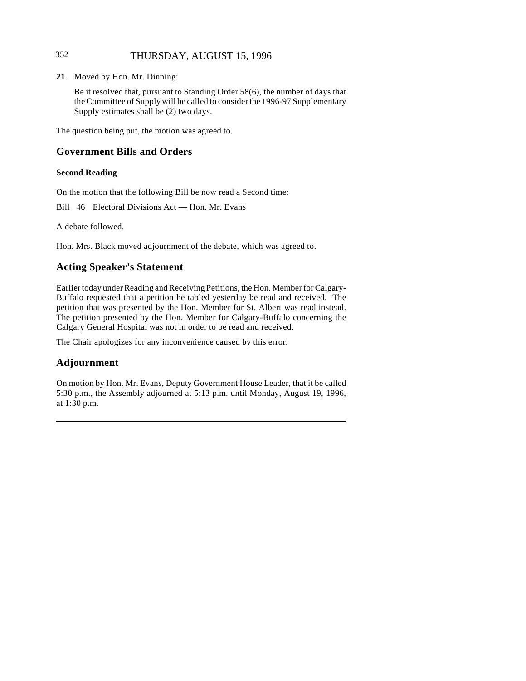# 352 THURSDAY, AUGUST 15, 1996

**21**. Moved by Hon. Mr. Dinning:

Be it resolved that, pursuant to Standing Order 58(6), the number of days that the Committee of Supply will be called to consider the 1996-97 Supplementary Supply estimates shall be (2) two days.

The question being put, the motion was agreed to.

# **Government Bills and Orders**

#### **Second Reading**

On the motion that the following Bill be now read a Second time:

Bill 46 Electoral Divisions Act — Hon. Mr. Evans

A debate followed.

Hon. Mrs. Black moved adjournment of the debate, which was agreed to.

# **Acting Speaker's Statement**

Earlier today under Reading and Receiving Petitions, the Hon. Member for Calgary-Buffalo requested that a petition he tabled yesterday be read and received. The petition that was presented by the Hon. Member for St. Albert was read instead. The petition presented by the Hon. Member for Calgary-Buffalo concerning the Calgary General Hospital was not in order to be read and received.

The Chair apologizes for any inconvenience caused by this error.

# **Adjournment**

On motion by Hon. Mr. Evans, Deputy Government House Leader, that it be called 5:30 p.m., the Assembly adjourned at 5:13 p.m. until Monday, August 19, 1996, at 1:30 p.m.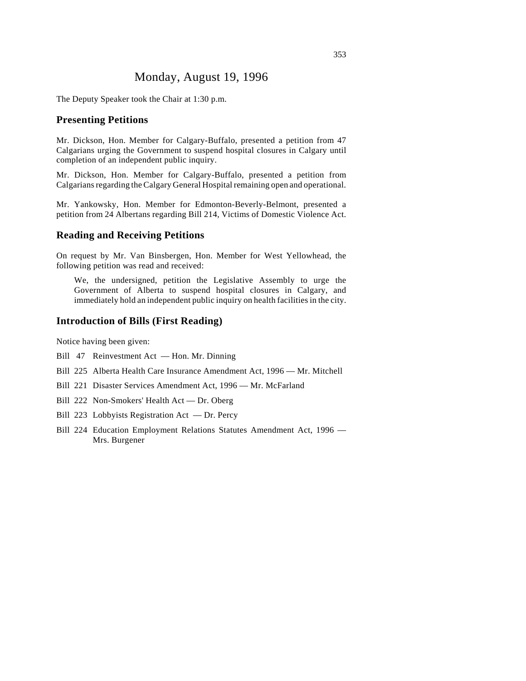# Monday, August 19, 1996

The Deputy Speaker took the Chair at 1:30 p.m.

#### **Presenting Petitions**

Mr. Dickson, Hon. Member for Calgary-Buffalo, presented a petition from 47 Calgarians urging the Government to suspend hospital closures in Calgary until completion of an independent public inquiry.

Mr. Dickson, Hon. Member for Calgary-Buffalo, presented a petition from Calgarians regarding the Calgary General Hospital remaining open and operational.

Mr. Yankowsky, Hon. Member for Edmonton-Beverly-Belmont, presented a petition from 24 Albertans regarding Bill 214, Victims of Domestic Violence Act.

#### **Reading and Receiving Petitions**

On request by Mr. Van Binsbergen, Hon. Member for West Yellowhead, the following petition was read and received:

We, the undersigned, petition the Legislative Assembly to urge the Government of Alberta to suspend hospital closures in Calgary, and immediately hold an independent public inquiry on health facilities in the city.

### **Introduction of Bills (First Reading)**

Notice having been given:

- Bill 47 Reinvestment Act Hon. Mr. Dinning
- Bill 225 Alberta Health Care Insurance Amendment Act, 1996 Mr. Mitchell
- Bill 221 Disaster Services Amendment Act, 1996 Mr. McFarland
- Bill 222 Non-Smokers' Health Act Dr. Oberg
- Bill 223 Lobbyists Registration Act Dr. Percy
- Bill 224 Education Employment Relations Statutes Amendment Act, 1996 Mrs. Burgener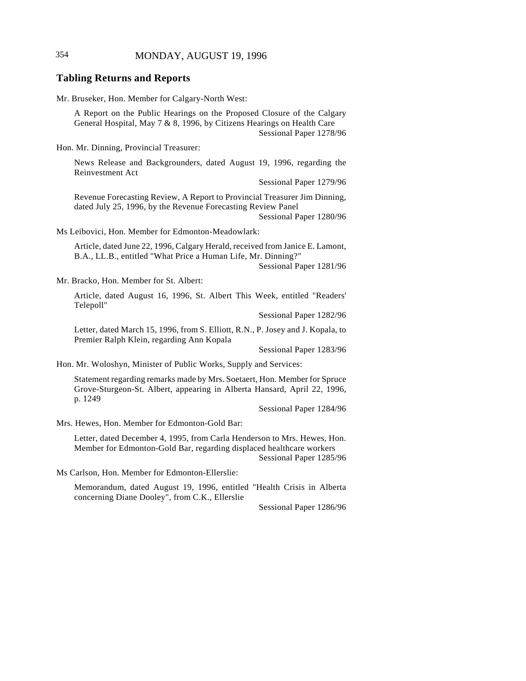#### **Tabling Returns and Reports**

Mr. Bruseker, Hon. Member for Calgary-North West:

A Report on the Public Hearings on the Proposed Closure of the Calgary General Hospital, May 7 & 8, 1996, by Citizens Hearings on Health Care Sessional Paper 1278/96

Hon. Mr. Dinning, Provincial Treasurer:

News Release and Backgrounders, dated August 19, 1996, regarding the Reinvestment Act

Sessional Paper 1279/96

Revenue Forecasting Review, A Report to Provincial Treasurer Jim Dinning, dated July 25, 1996, by the Revenue Forecasting Review Panel Sessional Paper 1280/96

Ms Leibovici, Hon. Member for Edmonton-Meadowlark:

Article, dated June 22, 1996, Calgary Herald, received from Janice E. Lamont, B.A., LL.B., entitled "What Price a Human Life, Mr. Dinning?"

Sessional Paper 1281/96

Mr. Bracko, Hon. Member for St. Albert:

Article, dated August 16, 1996, St. Albert This Week, entitled "Readers' Telepoll"

Sessional Paper 1282/96

Letter, dated March 15, 1996, from S. Elliott, R.N., P. Josey and J. Kopala, to Premier Ralph Klein, regarding Ann Kopala

Sessional Paper 1283/96

Hon. Mr. Woloshyn, Minister of Public Works, Supply and Services:

Statement regarding remarks made by Mrs. Soetaert, Hon. Member for Spruce Grove-Sturgeon-St. Albert, appearing in Alberta Hansard, April 22, 1996, p. 1249

Sessional Paper 1284/96

Mrs. Hewes, Hon. Member for Edmonton-Gold Bar:

Letter, dated December 4, 1995, from Carla Henderson to Mrs. Hewes, Hon. Member for Edmonton-Gold Bar, regarding displaced healthcare workers Sessional Paper 1285/96

Ms Carlson, Hon. Member for Edmonton-Ellerslie:

Memorandum, dated August 19, 1996, entitled "Health Crisis in Alberta concerning Diane Dooley", from C.K., Ellerslie

Sessional Paper 1286/96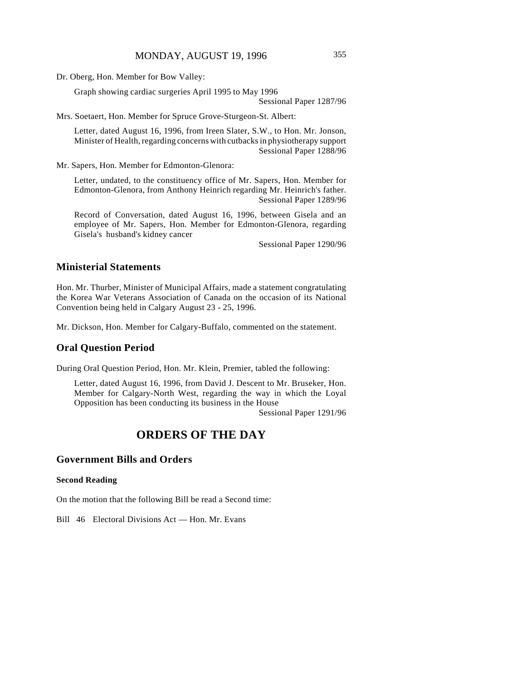Dr. Oberg, Hon. Member for Bow Valley:

Graph showing cardiac surgeries April 1995 to May 1996

Sessional Paper 1287/96

Mrs. Soetaert, Hon. Member for Spruce Grove-Sturgeon-St. Albert:

Letter, dated August 16, 1996, from Ireen Slater, S.W., to Hon. Mr. Jonson, Minister of Health, regarding concerns with cutbacks in physiotherapy support Sessional Paper 1288/96

Mr. Sapers, Hon. Member for Edmonton-Glenora:

Letter, undated, to the constituency office of Mr. Sapers, Hon. Member for Edmonton-Glenora, from Anthony Heinrich regarding Mr. Heinrich's father. Sessional Paper 1289/96

Record of Conversation, dated August 16, 1996, between Gisela and an employee of Mr. Sapers, Hon. Member for Edmonton-Glenora, regarding Gisela's husband's kidney cancer

Sessional Paper 1290/96

## **Ministerial Statements**

Hon. Mr. Thurber, Minister of Municipal Affairs, made a statement congratulating the Korea War Veterans Association of Canada on the occasion of its National Convention being held in Calgary August 23 - 25, 1996.

Mr. Dickson, Hon. Member for Calgary-Buffalo, commented on the statement.

#### **Oral Question Period**

During Oral Question Period, Hon. Mr. Klein, Premier, tabled the following:

Letter, dated August 16, 1996, from David J. Descent to Mr. Bruseker, Hon. Member for Calgary-North West, regarding the way in which the Loyal Opposition has been conducting its business in the House

Sessional Paper 1291/96

# **ORDERS OF THE DAY**

## **Government Bills and Orders**

#### **Second Reading**

On the motion that the following Bill be read a Second time:

Bill 46 Electoral Divisions Act — Hon. Mr. Evans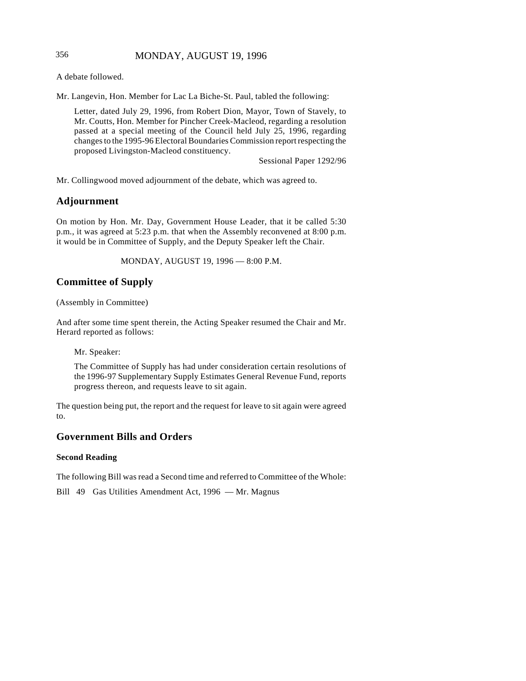# 356 MONDAY, AUGUST 19, 1996

A debate followed.

Mr. Langevin, Hon. Member for Lac La Biche-St. Paul, tabled the following:

Letter, dated July 29, 1996, from Robert Dion, Mayor, Town of Stavely, to Mr. Coutts, Hon. Member for Pincher Creek-Macleod, regarding a resolution passed at a special meeting of the Council held July 25, 1996, regarding changes to the 1995-96 Electoral Boundaries Commission report respecting the proposed Livingston-Macleod constituency.

Sessional Paper 1292/96

Mr. Collingwood moved adjournment of the debate, which was agreed to.

# **Adjournment**

On motion by Hon. Mr. Day, Government House Leader, that it be called 5:30 p.m., it was agreed at 5:23 p.m. that when the Assembly reconvened at 8:00 p.m. it would be in Committee of Supply, and the Deputy Speaker left the Chair.

MONDAY, AUGUST 19, 1996 — 8:00 P.M.

# **Committee of Supply**

(Assembly in Committee)

And after some time spent therein, the Acting Speaker resumed the Chair and Mr. Herard reported as follows:

Mr. Speaker:

The Committee of Supply has had under consideration certain resolutions of the 1996-97 Supplementary Supply Estimates General Revenue Fund, reports progress thereon, and requests leave to sit again.

The question being put, the report and the request for leave to sit again were agreed to.

# **Government Bills and Orders**

#### **Second Reading**

The following Bill was read a Second time and referred to Committee of the Whole:

Bill 49 Gas Utilities Amendment Act, 1996 — Mr. Magnus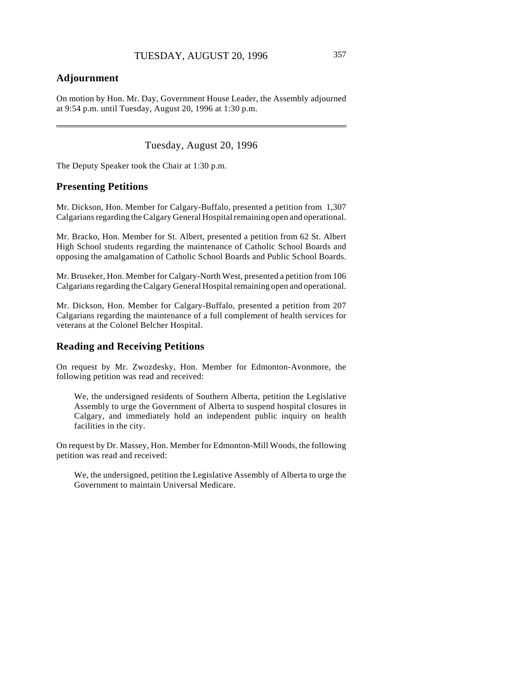# **Adjournment**

 $\overline{\phantom{a}}$ 

On motion by Hon. Mr. Day, Government House Leader, the Assembly adjourned at 9:54 p.m. until Tuesday, August 20, 1996 at 1:30 p.m.

Tuesday, August 20, 1996

The Deputy Speaker took the Chair at 1:30 p.m.

### **Presenting Petitions**

Mr. Dickson, Hon. Member for Calgary-Buffalo, presented a petition from 1,307 Calgarians regarding the Calgary General Hospital remaining open and operational.

Mr. Bracko, Hon. Member for St. Albert, presented a petition from 62 St. Albert High School students regarding the maintenance of Catholic School Boards and opposing the amalgamation of Catholic School Boards and Public School Boards.

Mr. Bruseker, Hon. Member for Calgary-North West, presented a petition from 106 Calgarians regarding the Calgary General Hospital remaining open and operational.

Mr. Dickson, Hon. Member for Calgary-Buffalo, presented a petition from 207 Calgarians regarding the maintenance of a full complement of health services for veterans at the Colonel Belcher Hospital.

### **Reading and Receiving Petitions**

On request by Mr. Zwozdesky, Hon. Member for Edmonton-Avonmore, the following petition was read and received:

We, the undersigned residents of Southern Alberta, petition the Legislative Assembly to urge the Government of Alberta to suspend hospital closures in Calgary, and immediately hold an independent public inquiry on health facilities in the city.

On request by Dr. Massey, Hon. Member for Edmonton-Mill Woods, the following petition was read and received:

We, the undersigned, petition the Legislative Assembly of Alberta to urge the Government to maintain Universal Medicare.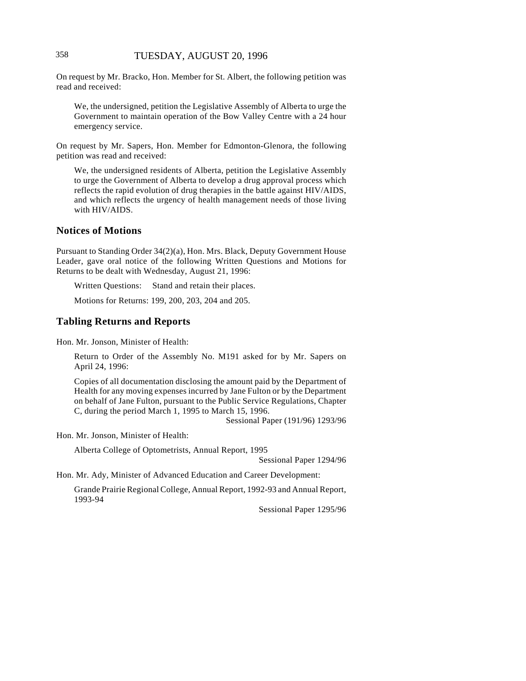On request by Mr. Bracko, Hon. Member for St. Albert, the following petition was read and received:

We, the undersigned, petition the Legislative Assembly of Alberta to urge the Government to maintain operation of the Bow Valley Centre with a 24 hour emergency service.

On request by Mr. Sapers, Hon. Member for Edmonton-Glenora, the following petition was read and received:

We, the undersigned residents of Alberta, petition the Legislative Assembly to urge the Government of Alberta to develop a drug approval process which reflects the rapid evolution of drug therapies in the battle against HIV/AIDS, and which reflects the urgency of health management needs of those living with HIV/AIDS.

# **Notices of Motions**

Pursuant to Standing Order 34(2)(a), Hon. Mrs. Black, Deputy Government House Leader, gave oral notice of the following Written Questions and Motions for Returns to be dealt with Wednesday, August 21, 1996:

Written Questions: Stand and retain their places.

Motions for Returns: 199, 200, 203, 204 and 205.

### **Tabling Returns and Reports**

Hon. Mr. Jonson, Minister of Health:

Return to Order of the Assembly No. M191 asked for by Mr. Sapers on April 24, 1996:

Copies of all documentation disclosing the amount paid by the Department of Health for any moving expenses incurred by Jane Fulton or by the Department on behalf of Jane Fulton, pursuant to the Public Service Regulations, Chapter C, during the period March 1, 1995 to March 15, 1996.

Sessional Paper (191/96) 1293/96

Hon. Mr. Jonson, Minister of Health:

Alberta College of Optometrists, Annual Report, 1995

Sessional Paper 1294/96

Hon. Mr. Ady, Minister of Advanced Education and Career Development:

Grande Prairie Regional College, Annual Report, 1992-93 and Annual Report, 1993-94

Sessional Paper 1295/96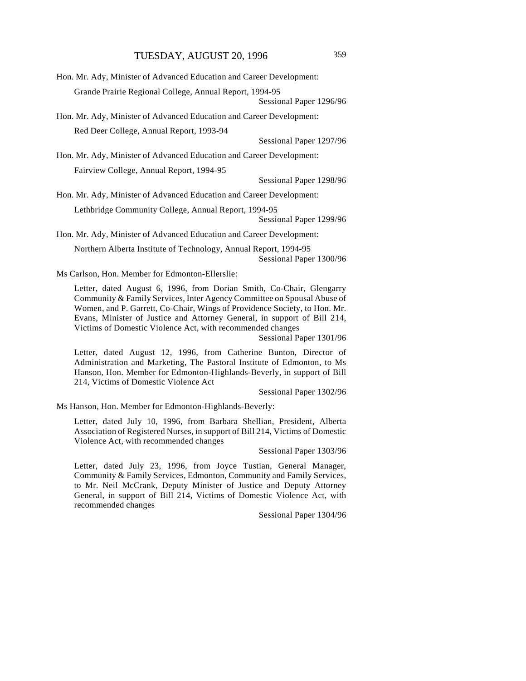| Hon. Mr. Ady, Minister of Advanced Education and Career Development: |  |  |
|----------------------------------------------------------------------|--|--|
| Grande Prairie Regional College, Annual Report, 1994-95              |  |  |
| Sessional Paper 1296/96                                              |  |  |
| Hon. Mr. Ady, Minister of Advanced Education and Career Development: |  |  |
| Red Deer College, Annual Report, 1993-94                             |  |  |
| Sessional Paper 1297/96                                              |  |  |
| Hon. Mr. Ady, Minister of Advanced Education and Career Development: |  |  |
| Fairview College, Annual Report, 1994-95                             |  |  |
| Sessional Paper 1298/96                                              |  |  |
| Hon. Mr. Ady, Minister of Advanced Education and Career Development: |  |  |
| Lethbridge Community College, Annual Report, 1994-95                 |  |  |
| Sessional Paper 1299/96                                              |  |  |
| Hon. Mr. Ady, Minister of Advanced Education and Career Development: |  |  |
| Northern Alberta Institute of Technology, Annual Report, 1994-95     |  |  |
| Sessional Paper 1300/96                                              |  |  |
| Ms Carlson, Hon. Member for Edmonton-Ellerslie:                      |  |  |

Letter, dated August 6, 1996, from Dorian Smith, Co-Chair, Glengarry Community & Family Services, Inter Agency Committee on Spousal Abuse of Women, and P. Garrett, Co-Chair, Wings of Providence Society, to Hon. Mr. Evans, Minister of Justice and Attorney General, in support of Bill 214, Victims of Domestic Violence Act, with recommended changes

Sessional Paper 1301/96

Letter, dated August 12, 1996, from Catherine Bunton, Director of Administration and Marketing, The Pastoral Institute of Edmonton, to Ms Hanson, Hon. Member for Edmonton-Highlands-Beverly, in support of Bill 214, Victims of Domestic Violence Act

Sessional Paper 1302/96

Ms Hanson, Hon. Member for Edmonton-Highlands-Beverly:

Letter, dated July 10, 1996, from Barbara Shellian, President, Alberta Association of Registered Nurses, in support of Bill 214, Victims of Domestic Violence Act, with recommended changes

Sessional Paper 1303/96

Letter, dated July 23, 1996, from Joyce Tustian, General Manager, Community & Family Services, Edmonton, Community and Family Services, to Mr. Neil McCrank, Deputy Minister of Justice and Deputy Attorney General, in support of Bill 214, Victims of Domestic Violence Act, with recommended changes

Sessional Paper 1304/96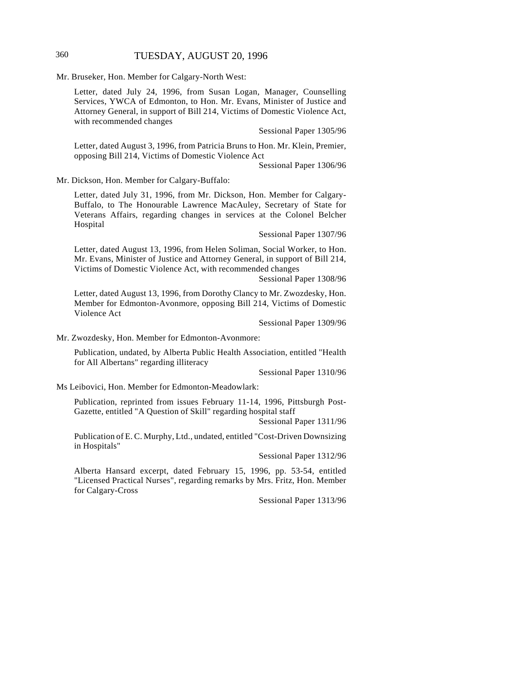# 360 TUESDAY, AUGUST 20, 1996

Mr. Bruseker, Hon. Member for Calgary-North West:

Letter, dated July 24, 1996, from Susan Logan, Manager, Counselling Services, YWCA of Edmonton, to Hon. Mr. Evans, Minister of Justice and Attorney General, in support of Bill 214, Victims of Domestic Violence Act, with recommended changes

Sessional Paper 1305/96

Letter, dated August 3, 1996, from Patricia Bruns to Hon. Mr. Klein, Premier, opposing Bill 214, Victims of Domestic Violence Act

Sessional Paper 1306/96

Mr. Dickson, Hon. Member for Calgary-Buffalo:

Letter, dated July 31, 1996, from Mr. Dickson, Hon. Member for Calgary-Buffalo, to The Honourable Lawrence MacAuley, Secretary of State for Veterans Affairs, regarding changes in services at the Colonel Belcher Hospital

Sessional Paper 1307/96

Letter, dated August 13, 1996, from Helen Soliman, Social Worker, to Hon. Mr. Evans, Minister of Justice and Attorney General, in support of Bill 214, Victims of Domestic Violence Act, with recommended changes

Sessional Paper 1308/96

Letter, dated August 13, 1996, from Dorothy Clancy to Mr. Zwozdesky, Hon. Member for Edmonton-Avonmore, opposing Bill 214, Victims of Domestic Violence Act

Sessional Paper 1309/96

Mr. Zwozdesky, Hon. Member for Edmonton-Avonmore:

Publication, undated, by Alberta Public Health Association, entitled "Health for All Albertans" regarding illiteracy

Sessional Paper 1310/96

Ms Leibovici, Hon. Member for Edmonton-Meadowlark:

Publication, reprinted from issues February 11-14, 1996, Pittsburgh Post-Gazette, entitled "A Question of Skill" regarding hospital staff

Sessional Paper 1311/96

Publication of E. C. Murphy, Ltd., undated, entitled "Cost-Driven Downsizing in Hospitals"

Sessional Paper 1312/96

Alberta Hansard excerpt, dated February 15, 1996, pp. 53-54, entitled "Licensed Practical Nurses", regarding remarks by Mrs. Fritz, Hon. Member for Calgary-Cross

Sessional Paper 1313/96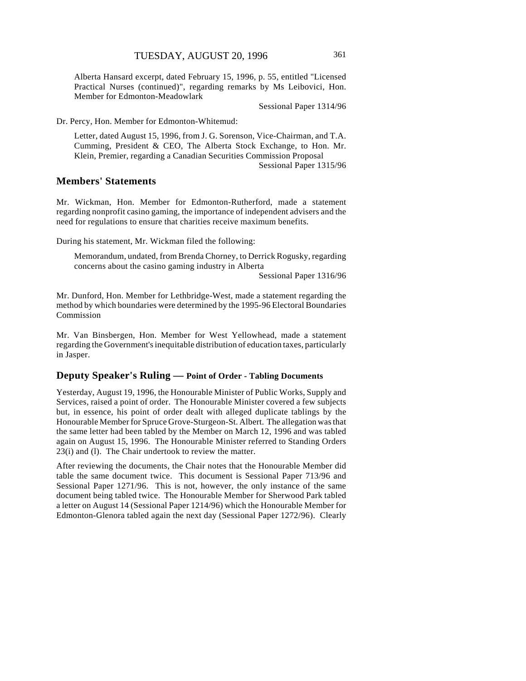Alberta Hansard excerpt, dated February 15, 1996, p. 55, entitled "Licensed Practical Nurses (continued)", regarding remarks by Ms Leibovici, Hon. Member for Edmonton-Meadowlark

Sessional Paper 1314/96

Dr. Percy, Hon. Member for Edmonton-Whitemud:

Letter, dated August 15, 1996, from J. G. Sorenson, Vice-Chairman, and T.A. Cumming, President & CEO, The Alberta Stock Exchange, to Hon. Mr. Klein, Premier, regarding a Canadian Securities Commission Proposal

Sessional Paper 1315/96

### **Members' Statements**

Mr. Wickman, Hon. Member for Edmonton-Rutherford, made a statement regarding nonprofit casino gaming, the importance of independent advisers and the need for regulations to ensure that charities receive maximum benefits.

During his statement, Mr. Wickman filed the following:

Memorandum, undated, from Brenda Chorney, to Derrick Rogusky, regarding concerns about the casino gaming industry in Alberta

Sessional Paper 1316/96

Mr. Dunford, Hon. Member for Lethbridge-West, made a statement regarding the method by which boundaries were determined by the 1995-96 Electoral Boundaries Commission

Mr. Van Binsbergen, Hon. Member for West Yellowhead, made a statement regarding the Government's inequitable distribution of education taxes, particularly in Jasper.

#### **Deputy Speaker's Ruling — Point of Order - Tabling Documents**

Yesterday, August 19, 1996, the Honourable Minister of Public Works, Supply and Services, raised a point of order. The Honourable Minister covered a few subjects but, in essence, his point of order dealt with alleged duplicate tablings by the Honourable Member for Spruce Grove-Sturgeon-St. Albert. The allegation was that the same letter had been tabled by the Member on March 12, 1996 and was tabled again on August 15, 1996. The Honourable Minister referred to Standing Orders 23(i) and (l). The Chair undertook to review the matter.

After reviewing the documents, the Chair notes that the Honourable Member did table the same document twice. This document is Sessional Paper 713/96 and Sessional Paper 1271/96. This is not, however, the only instance of the same document being tabled twice. The Honourable Member for Sherwood Park tabled a letter on August 14 (Sessional Paper 1214/96) which the Honourable Member for Edmonton-Glenora tabled again the next day (Sessional Paper 1272/96). Clearly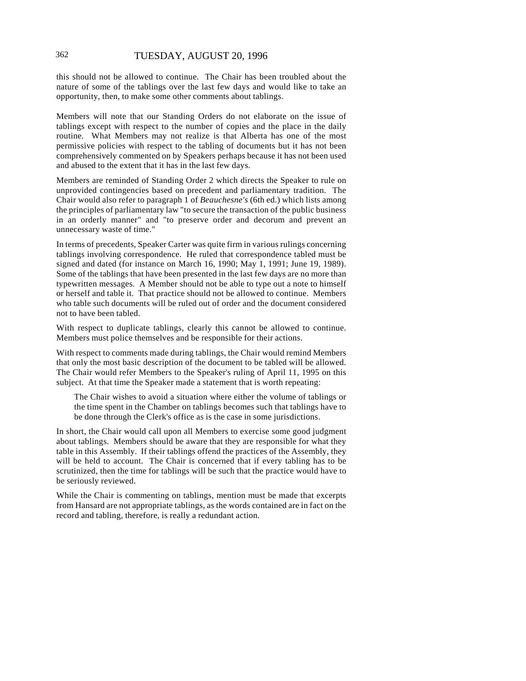this should not be allowed to continue. The Chair has been troubled about the nature of some of the tablings over the last few days and would like to take an opportunity, then, to make some other comments about tablings.

Members will note that our Standing Orders do not elaborate on the issue of tablings except with respect to the number of copies and the place in the daily routine. What Members may not realize is that Alberta has one of the most permissive policies with respect to the tabling of documents but it has not been comprehensively commented on by Speakers perhaps because it has not been used and abused to the extent that it has in the last few days.

Members are reminded of Standing Order 2 which directs the Speaker to rule on unprovided contingencies based on precedent and parliamentary tradition. The Chair would also refer to paragraph 1 of *Beauchesne's* (6th ed.) which lists among the principles of parliamentary law "to secure the transaction of the public business in an orderly manner" and "to preserve order and decorum and prevent an unnecessary waste of time."

In terms of precedents, Speaker Carter was quite firm in various rulings concerning tablings involving correspondence. He ruled that correspondence tabled must be signed and dated (for instance on March 16, 1990; May 1, 1991; June 19, 1989). Some of the tablings that have been presented in the last few days are no more than typewritten messages. A Member should not be able to type out a note to himself or herself and table it. That practice should not be allowed to continue. Members who table such documents will be ruled out of order and the document considered not to have been tabled.

With respect to duplicate tablings, clearly this cannot be allowed to continue. Members must police themselves and be responsible for their actions.

With respect to comments made during tablings, the Chair would remind Members that only the most basic description of the document to be tabled will be allowed. The Chair would refer Members to the Speaker's ruling of April 11, 1995 on this subject. At that time the Speaker made a statement that is worth repeating:

The Chair wishes to avoid a situation where either the volume of tablings or the time spent in the Chamber on tablings becomes such that tablings have to be done through the Clerk's office as is the case in some jurisdictions.

In short, the Chair would call upon all Members to exercise some good judgment about tablings. Members should be aware that they are responsible for what they table in this Assembly. If their tablings offend the practices of the Assembly, they will be held to account. The Chair is concerned that if every tabling has to be scrutinized, then the time for tablings will be such that the practice would have to be seriously reviewed.

While the Chair is commenting on tablings, mention must be made that excerpts from Hansard are not appropriate tablings, as the words contained are in fact on the record and tabling, therefore, is really a redundant action.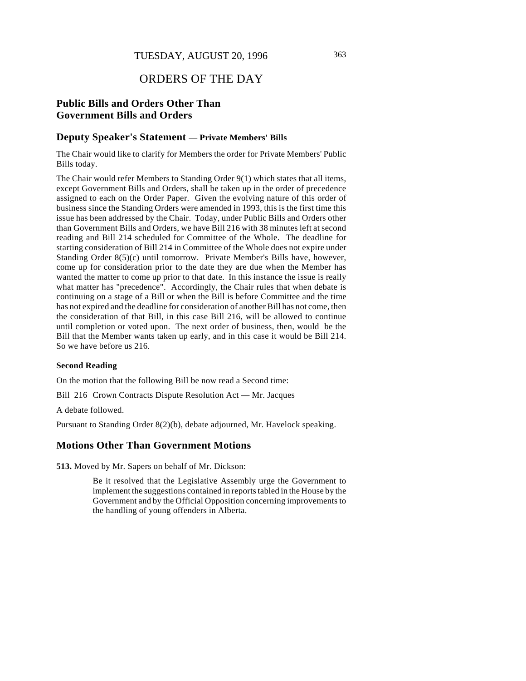# ORDERS OF THE DAY

# **Public Bills and Orders Other Than Government Bills and Orders**

#### **Deputy Speaker's Statement** — **Private Members' Bills**

The Chair would like to clarify for Members the order for Private Members' Public Bills today.

The Chair would refer Members to Standing Order 9(1) which states that all items, except Government Bills and Orders, shall be taken up in the order of precedence assigned to each on the Order Paper. Given the evolving nature of this order of business since the Standing Orders were amended in 1993, this is the first time this issue has been addressed by the Chair. Today, under Public Bills and Orders other than Government Bills and Orders, we have Bill 216 with 38 minutes left at second reading and Bill 214 scheduled for Committee of the Whole. The deadline for starting consideration of Bill 214 in Committee of the Whole does not expire under Standing Order 8(5)(c) until tomorrow. Private Member's Bills have, however, come up for consideration prior to the date they are due when the Member has wanted the matter to come up prior to that date. In this instance the issue is really what matter has "precedence". Accordingly, the Chair rules that when debate is continuing on a stage of a Bill or when the Bill is before Committee and the time has not expired and the deadline for consideration of another Bill has not come, then the consideration of that Bill, in this case Bill 216, will be allowed to continue until completion or voted upon. The next order of business, then, would be the Bill that the Member wants taken up early, and in this case it would be Bill 214. So we have before us 216.

#### **Second Reading**

On the motion that the following Bill be now read a Second time:

Bill 216 Crown Contracts Dispute Resolution Act — Mr. Jacques

A debate followed.

Pursuant to Standing Order 8(2)(b), debate adjourned, Mr. Havelock speaking.

### **Motions Other Than Government Motions**

**513.** Moved by Mr. Sapers on behalf of Mr. Dickson:

Be it resolved that the Legislative Assembly urge the Government to implement the suggestions contained in reports tabled in the House by the Government and by the Official Opposition concerning improvements to the handling of young offenders in Alberta.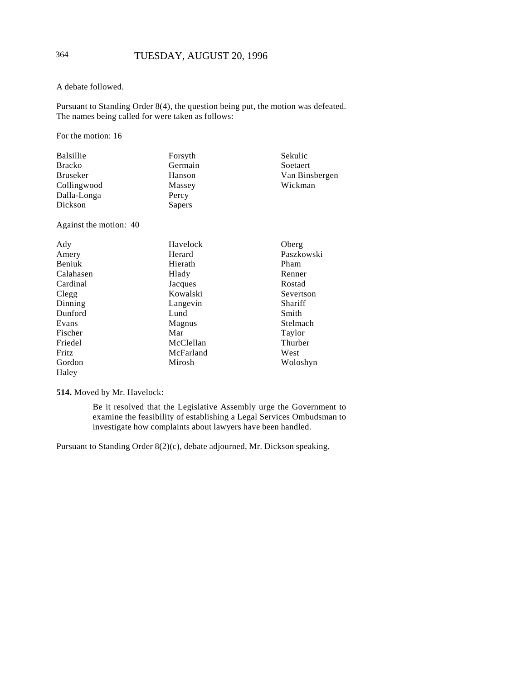### A debate followed.

Pursuant to Standing Order 8(4), the question being put, the motion was defeated. The names being called for were taken as follows:

For the motion: 16

| <b>Balsillie</b>       | Forsyth   | Sekulic        |
|------------------------|-----------|----------------|
| <b>Bracko</b>          | Germain   | Soetaert       |
| <b>Bruseker</b>        | Hanson    | Van Binsbergen |
| Collingwood            | Massey    | Wickman        |
| Dalla-Longa            | Percy     |                |
| Dickson                | Sapers    |                |
| Against the motion: 40 |           |                |
| Ady                    | Havelock  | Oberg          |
| Amery                  | Herard    | Paszkowski     |
| Beniuk                 | Hierath   | Pham           |
| Calahasen              | Hlady     | Renner         |
| Cardinal               | Jacques   | Rostad         |
| Clegg                  | Kowalski  | Severtson      |
| Dinning                | Langevin  | Shariff        |
| Dunford                | Lund      | Smith          |
| Evans                  | Magnus    | Stelmach       |
| Fischer                | Mar       | Taylor         |
| Friedel                | McClellan | Thurber        |
| Fritz                  | McFarland | West           |
| Gordon                 | Mirosh    | Woloshyn       |
| Haley                  |           |                |

# **514.** Moved by Mr. Havelock:

Be it resolved that the Legislative Assembly urge the Government to examine the feasibility of establishing a Legal Services Ombudsman to investigate how complaints about lawyers have been handled.

Pursuant to Standing Order 8(2)(c), debate adjourned, Mr. Dickson speaking.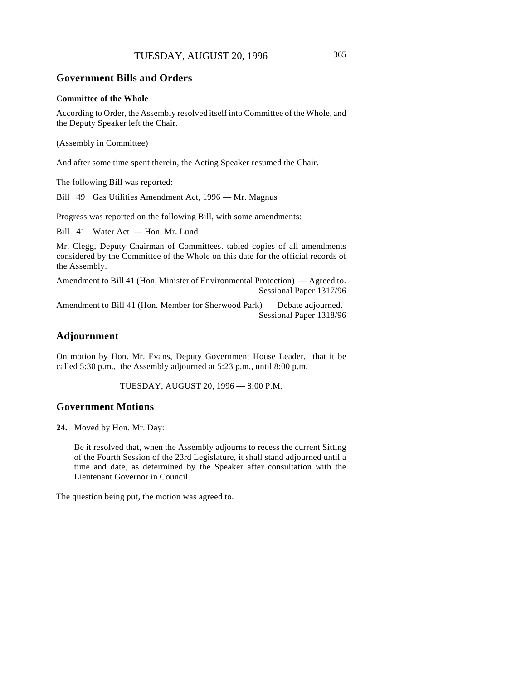### **Government Bills and Orders**

#### **Committee of the Whole**

According to Order, the Assembly resolved itself into Committee of the Whole, and the Deputy Speaker left the Chair.

(Assembly in Committee)

And after some time spent therein, the Acting Speaker resumed the Chair.

The following Bill was reported:

Bill 49 Gas Utilities Amendment Act, 1996 — Mr. Magnus

Progress was reported on the following Bill, with some amendments:

Bill 41 Water Act — Hon. Mr. Lund

Mr. Clegg, Deputy Chairman of Committees. tabled copies of all amendments considered by the Committee of the Whole on this date for the official records of the Assembly.

Amendment to Bill 41 (Hon. Minister of Environmental Protection) — Agreed to. Sessional Paper 1317/96

Amendment to Bill 41 (Hon. Member for Sherwood Park) — Debate adjourned. Sessional Paper 1318/96

# **Adjournment**

On motion by Hon. Mr. Evans, Deputy Government House Leader, that it be called 5:30 p.m., the Assembly adjourned at 5:23 p.m., until 8:00 p.m.

TUESDAY, AUGUST 20, 1996 — 8:00 P.M.

# **Government Motions**

**24.** Moved by Hon. Mr. Day:

Be it resolved that, when the Assembly adjourns to recess the current Sitting of the Fourth Session of the 23rd Legislature, it shall stand adjourned until a time and date, as determined by the Speaker after consultation with the Lieutenant Governor in Council.

The question being put, the motion was agreed to.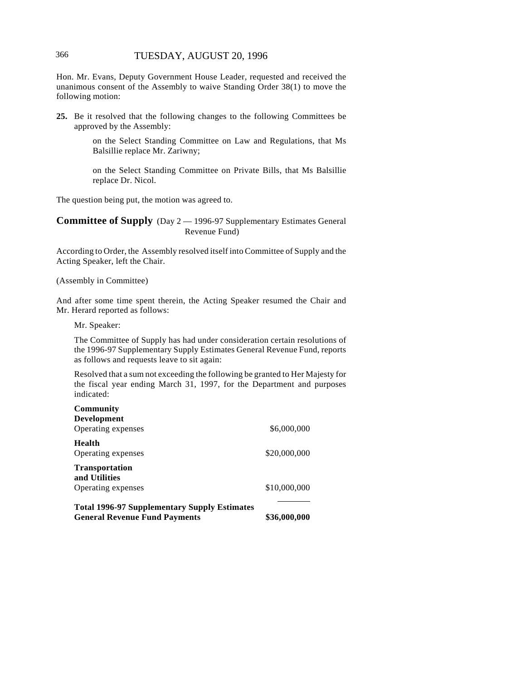# 366 TUESDAY, AUGUST 20, 1996

Hon. Mr. Evans, Deputy Government House Leader, requested and received the unanimous consent of the Assembly to waive Standing Order 38(1) to move the following motion:

**25.** Be it resolved that the following changes to the following Committees be approved by the Assembly:

> on the Select Standing Committee on Law and Regulations, that Ms Balsillie replace Mr. Zariwny;

> on the Select Standing Committee on Private Bills, that Ms Balsillie replace Dr. Nicol.

The question being put, the motion was agreed to.

**Committee of Supply** (Day 2 — 1996-97 Supplementary Estimates General Revenue Fund)

According to Order, the Assembly resolved itself into Committee of Supply and the Acting Speaker, left the Chair.

(Assembly in Committee)

And after some time spent therein, the Acting Speaker resumed the Chair and Mr. Herard reported as follows:

Mr. Speaker:

The Committee of Supply has had under consideration certain resolutions of the 1996-97 Supplementary Supply Estimates General Revenue Fund, reports as follows and requests leave to sit again:

Resolved that a sum not exceeding the following be granted to Her Majesty for the fiscal year ending March 31, 1997, for the Department and purposes indicated:

| Community                                           |              |
|-----------------------------------------------------|--------------|
| <b>Development</b>                                  | \$6,000,000  |
| Operating expenses                                  |              |
| Health<br>Operating expenses                        | \$20,000,000 |
| <b>Transportation</b><br>and Utilities              |              |
| Operating expenses                                  | \$10,000,000 |
| <b>Total 1996-97 Supplementary Supply Estimates</b> |              |
| <b>General Revenue Fund Payments</b>                | \$36,000,000 |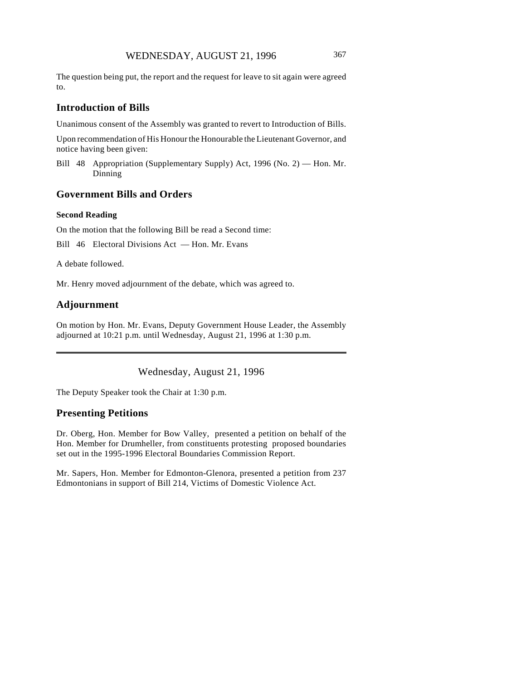The question being put, the report and the request for leave to sit again were agreed to.

### **Introduction of Bills**

Unanimous consent of the Assembly was granted to revert to Introduction of Bills.

Upon recommendation of His Honour the Honourable the Lieutenant Governor, and notice having been given:

Bill 48 Appropriation (Supplementary Supply) Act, 1996 (No. 2) — Hon. Mr. Dinning

# **Government Bills and Orders**

#### **Second Reading**

On the motion that the following Bill be read a Second time:

Bill 46 Electoral Divisions Act — Hon. Mr. Evans

A debate followed.

Mr. Henry moved adjournment of the debate, which was agreed to.

# **Adjournment**

On motion by Hon. Mr. Evans, Deputy Government House Leader, the Assembly adjourned at 10:21 p.m. until Wednesday, August 21, 1996 at 1:30 p.m.

Wednesday, August 21, 1996

The Deputy Speaker took the Chair at 1:30 p.m.

### **Presenting Petitions**

Dr. Oberg, Hon. Member for Bow Valley, presented a petition on behalf of the Hon. Member for Drumheller, from constituents protesting proposed boundaries set out in the 1995-1996 Electoral Boundaries Commission Report.

Mr. Sapers, Hon. Member for Edmonton-Glenora, presented a petition from 237 Edmontonians in support of Bill 214, Victims of Domestic Violence Act.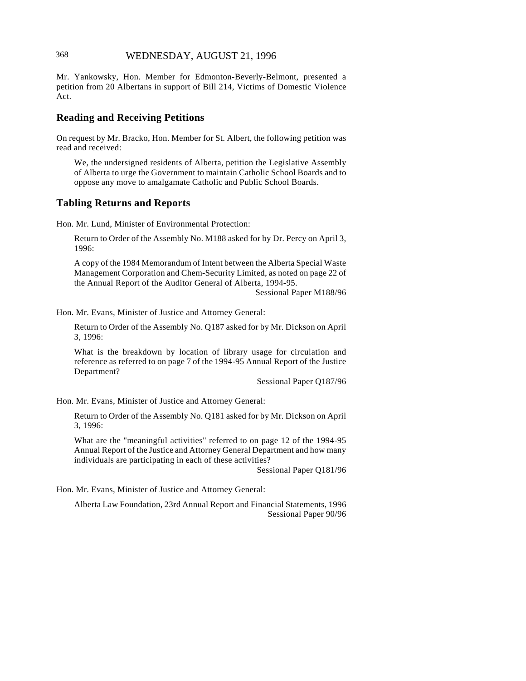# 368 WEDNESDAY, AUGUST 21, 1996

Mr. Yankowsky, Hon. Member for Edmonton-Beverly-Belmont, presented a petition from 20 Albertans in support of Bill 214, Victims of Domestic Violence Act.

### **Reading and Receiving Petitions**

On request by Mr. Bracko, Hon. Member for St. Albert, the following petition was read and received:

We, the undersigned residents of Alberta, petition the Legislative Assembly of Alberta to urge the Government to maintain Catholic School Boards and to oppose any move to amalgamate Catholic and Public School Boards.

# **Tabling Returns and Reports**

Hon. Mr. Lund, Minister of Environmental Protection:

Return to Order of the Assembly No. M188 asked for by Dr. Percy on April 3, 1996:

A copy of the 1984 Memorandum of Intent between the Alberta Special Waste Management Corporation and Chem-Security Limited, as noted on page 22 of the Annual Report of the Auditor General of Alberta, 1994-95.

Sessional Paper M188/96

Hon. Mr. Evans, Minister of Justice and Attorney General:

Return to Order of the Assembly No. Q187 asked for by Mr. Dickson on April 3, 1996:

What is the breakdown by location of library usage for circulation and reference as referred to on page 7 of the 1994-95 Annual Report of the Justice Department?

Sessional Paper Q187/96

Hon. Mr. Evans, Minister of Justice and Attorney General:

Return to Order of the Assembly No. Q181 asked for by Mr. Dickson on April 3, 1996:

What are the "meaningful activities" referred to on page 12 of the 1994-95 Annual Report of the Justice and Attorney General Department and how many individuals are participating in each of these activities?

Sessional Paper Q181/96

Hon. Mr. Evans, Minister of Justice and Attorney General:

Alberta Law Foundation, 23rd Annual Report and Financial Statements, 1996 Sessional Paper 90/96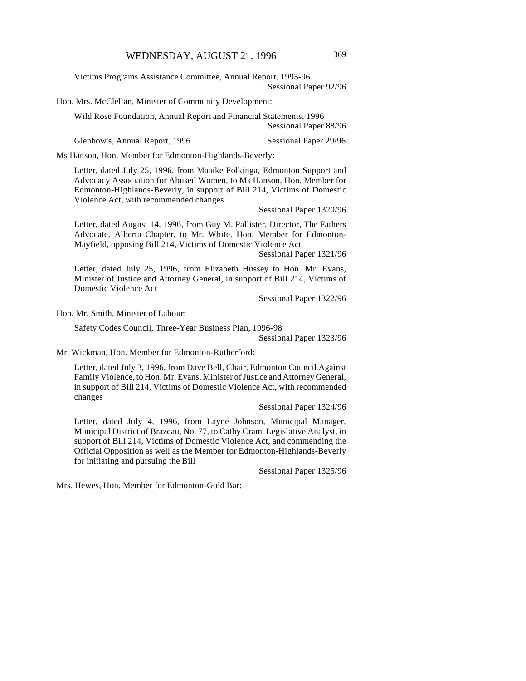Victims Programs Assistance Committee, Annual Report, 1995-96 Sessional Paper 92/96

Hon. Mrs. McClellan, Minister of Community Development:

Wild Rose Foundation, Annual Report and Financial Statements, 1996 Sessional Paper 88/96

Glenbow's, Annual Report, 1996 Sessional Paper 29/96

Ms Hanson, Hon. Member for Edmonton-Highlands-Beverly:

Letter, dated July 25, 1996, from Maaike Folkinga, Edmonton Support and Advocacy Association for Abused Women, to Ms Hanson, Hon. Member for Edmonton-Highlands-Beverly, in support of Bill 214, Victims of Domestic Violence Act, with recommended changes

Sessional Paper 1320/96

Letter, dated August 14, 1996, from Guy M. Pallister, Director, The Fathers Advocate, Alberta Chapter, to Mr. White, Hon. Member for Edmonton-Mayfield, opposing Bill 214, Victims of Domestic Violence Act

Sessional Paper 1321/96

Letter, dated July 25, 1996, from Elizabeth Hussey to Hon. Mr. Evans, Minister of Justice and Attorney General, in support of Bill 214, Victims of Domestic Violence Act

Sessional Paper 1322/96

Hon. Mr. Smith, Minister of Labour:

Safety Codes Council, Three-Year Business Plan, 1996-98

Sessional Paper 1323/96

Mr. Wickman, Hon. Member for Edmonton-Rutherford:

Letter, dated July 3, 1996, from Dave Bell, Chair, Edmonton Council Against Family Violence, to Hon. Mr. Evans, Minister of Justice and Attorney General, in support of Bill 214, Victims of Domestic Violence Act, with recommended changes

Sessional Paper 1324/96

Letter, dated July 4, 1996, from Layne Johnson, Municipal Manager, Municipal District of Brazeau, No. 77, to Cathy Cram, Legislative Analyst, in support of Bill 214, Victims of Domestic Violence Act, and commending the Official Opposition as well as the Member for Edmonton-Highlands-Beverly for initiating and pursuing the Bill

Sessional Paper 1325/96

Mrs. Hewes, Hon. Member for Edmonton-Gold Bar: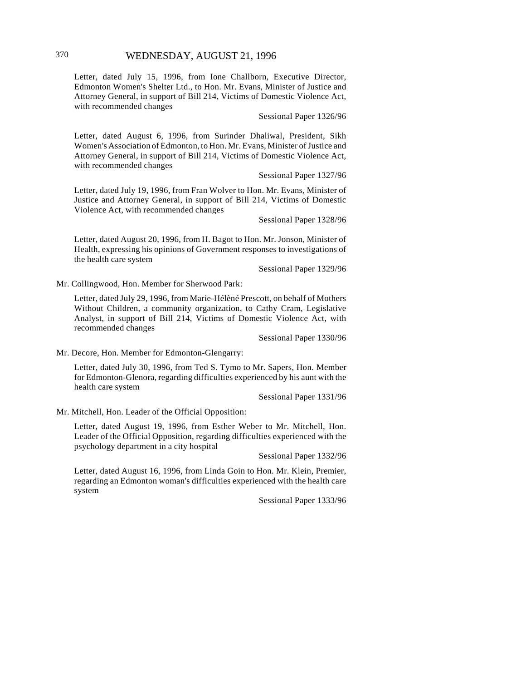Letter, dated July 15, 1996, from Ione Challborn, Executive Director, Edmonton Women's Shelter Ltd., to Hon. Mr. Evans, Minister of Justice and Attorney General, in support of Bill 214, Victims of Domestic Violence Act, with recommended changes

#### Sessional Paper 1326/96

Letter, dated August 6, 1996, from Surinder Dhaliwal, President, Sikh Women's Association of Edmonton, to Hon. Mr. Evans, Minister of Justice and Attorney General, in support of Bill 214, Victims of Domestic Violence Act, with recommended changes

Sessional Paper 1327/96

Letter, dated July 19, 1996, from Fran Wolver to Hon. Mr. Evans, Minister of Justice and Attorney General, in support of Bill 214, Victims of Domestic Violence Act, with recommended changes

Sessional Paper 1328/96

Letter, dated August 20, 1996, from H. Bagot to Hon. Mr. Jonson, Minister of Health, expressing his opinions of Government responses to investigations of the health care system

Sessional Paper 1329/96

Mr. Collingwood, Hon. Member for Sherwood Park:

Letter, dated July 29, 1996, from Marie-Hélèné Prescott, on behalf of Mothers Without Children, a community organization, to Cathy Cram, Legislative Analyst, in support of Bill 214, Victims of Domestic Violence Act, with recommended changes

Sessional Paper 1330/96

Mr. Decore, Hon. Member for Edmonton-Glengarry:

Letter, dated July 30, 1996, from Ted S. Tymo to Mr. Sapers, Hon. Member for Edmonton-Glenora, regarding difficulties experienced by his aunt with the health care system

Sessional Paper 1331/96

Mr. Mitchell, Hon. Leader of the Official Opposition:

Letter, dated August 19, 1996, from Esther Weber to Mr. Mitchell, Hon. Leader of the Official Opposition, regarding difficulties experienced with the psychology department in a city hospital

Sessional Paper 1332/96

Letter, dated August 16, 1996, from Linda Goin to Hon. Mr. Klein, Premier, regarding an Edmonton woman's difficulties experienced with the health care system

Sessional Paper 1333/96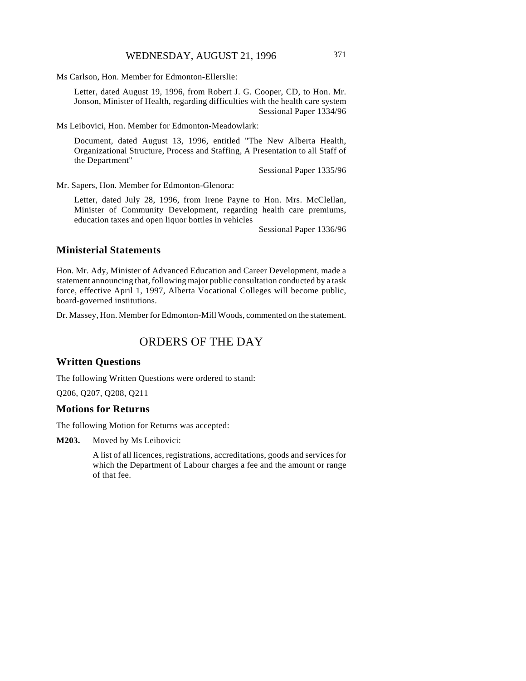Ms Carlson, Hon. Member for Edmonton-Ellerslie:

Letter, dated August 19, 1996, from Robert J. G. Cooper, CD, to Hon. Mr. Jonson, Minister of Health, regarding difficulties with the health care system Sessional Paper 1334/96

Ms Leibovici, Hon. Member for Edmonton-Meadowlark:

Document, dated August 13, 1996, entitled "The New Alberta Health, Organizational Structure, Process and Staffing, A Presentation to all Staff of the Department"

Sessional Paper 1335/96

Mr. Sapers, Hon. Member for Edmonton-Glenora:

Letter, dated July 28, 1996, from Irene Payne to Hon. Mrs. McClellan, Minister of Community Development, regarding health care premiums, education taxes and open liquor bottles in vehicles

Sessional Paper 1336/96

# **Ministerial Statements**

Hon. Mr. Ady, Minister of Advanced Education and Career Development, made a statement announcing that, following major public consultation conducted by a task force, effective April 1, 1997, Alberta Vocational Colleges will become public, board-governed institutions.

Dr. Massey, Hon. Member for Edmonton-Mill Woods, commented on the statement.

# ORDERS OF THE DAY

# **Written Questions**

The following Written Questions were ordered to stand:

Q206, Q207, Q208, Q211

#### **Motions for Returns**

The following Motion for Returns was accepted:

**M203.** Moved by Ms Leibovici:

A list of all licences, registrations, accreditations, goods and services for which the Department of Labour charges a fee and the amount or range of that fee.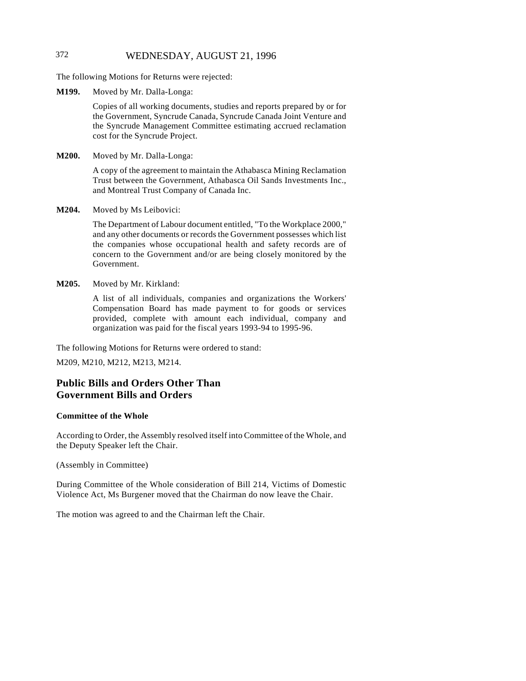# 372 WEDNESDAY, AUGUST 21, 1996

The following Motions for Returns were rejected:

**M199.** Moved by Mr. Dalla-Longa:

Copies of all working documents, studies and reports prepared by or for the Government, Syncrude Canada, Syncrude Canada Joint Venture and the Syncrude Management Committee estimating accrued reclamation cost for the Syncrude Project.

**M200.** Moved by Mr. Dalla-Longa:

A copy of the agreement to maintain the Athabasca Mining Reclamation Trust between the Government, Athabasca Oil Sands Investments Inc., and Montreal Trust Company of Canada Inc.

**M204.** Moved by Ms Leibovici:

The Department of Labour document entitled, "To the Workplace 2000," and any other documents or records the Government possesses which list the companies whose occupational health and safety records are of concern to the Government and/or are being closely monitored by the Government.

#### **M205.** Moved by Mr. Kirkland:

A list of all individuals, companies and organizations the Workers' Compensation Board has made payment to for goods or services provided, complete with amount each individual, company and organization was paid for the fiscal years 1993-94 to 1995-96.

The following Motions for Returns were ordered to stand:

M209, M210, M212, M213, M214.

# **Public Bills and Orders Other Than Government Bills and Orders**

#### **Committee of the Whole**

According to Order, the Assembly resolved itself into Committee of the Whole, and the Deputy Speaker left the Chair.

(Assembly in Committee)

During Committee of the Whole consideration of Bill 214, Victims of Domestic Violence Act, Ms Burgener moved that the Chairman do now leave the Chair.

The motion was agreed to and the Chairman left the Chair.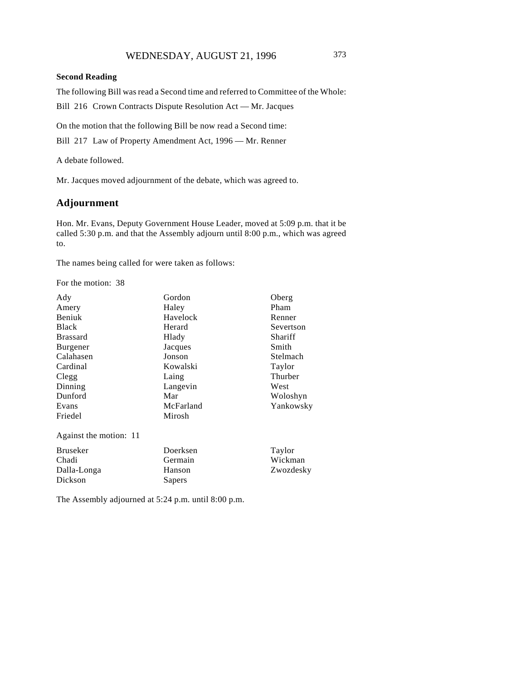### **Second Reading**

The following Bill was read a Second time and referred to Committee of the Whole:

Bill 216 Crown Contracts Dispute Resolution Act — Mr. Jacques

On the motion that the following Bill be now read a Second time:

Bill 217 Law of Property Amendment Act, 1996 — Mr. Renner

A debate followed.

Mr. Jacques moved adjournment of the debate, which was agreed to.

# **Adjournment**

Hon. Mr. Evans, Deputy Government House Leader, moved at 5:09 p.m. that it be called 5:30 p.m. and that the Assembly adjourn until 8:00 p.m., which was agreed to.

The names being called for were taken as follows:

For the motion: 38

| Ady                    | Gordon    | Oberg     |
|------------------------|-----------|-----------|
| Amery                  | Haley     | Pham      |
| Beniuk                 | Havelock  | Renner    |
| Black                  | Herard    | Severtson |
| <b>Brassard</b>        | Hlady     | Shariff   |
| Burgener               | Jacques   | Smith     |
| Calahasen              | Jonson    | Stelmach  |
| Cardinal               | Kowalski  | Taylor    |
| Clegg                  | Laing     | Thurber   |
| Dinning                | Langevin  | West      |
| Dunford                | Mar       | Woloshyn  |
| Evans                  | McFarland | Yankowsky |
| Friedel                | Mirosh    |           |
| Against the motion: 11 |           |           |
| <b>Bruseker</b>        | Doerksen  | Taylor    |
| Chadi                  | Germain   | Wickman   |
| Dalla-Longa            | Hanson    | Zwozdesky |
| Dickson                | Sapers    |           |
|                        |           |           |

The Assembly adjourned at 5:24 p.m. until 8:00 p.m.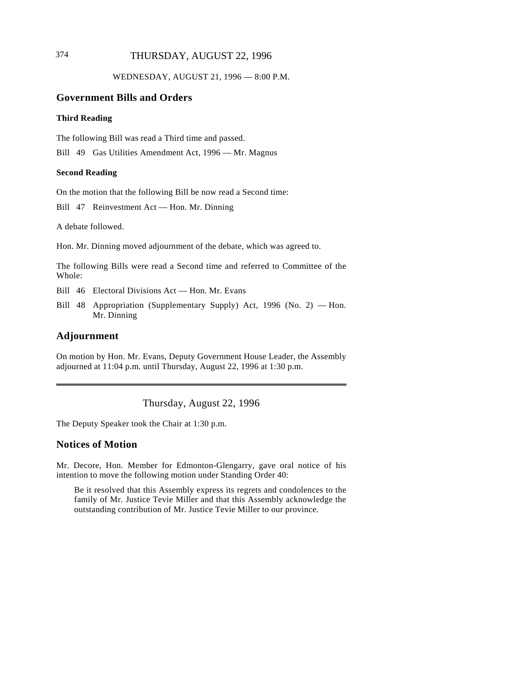# 374 THURSDAY, AUGUST 22, 1996

WEDNESDAY, AUGUST 21, 1996 — 8:00 P.M.

### **Government Bills and Orders**

#### **Third Reading**

The following Bill was read a Third time and passed.

Bill 49 Gas Utilities Amendment Act, 1996 — Mr. Magnus

#### **Second Reading**

On the motion that the following Bill be now read a Second time:

Bill 47 Reinvestment Act — Hon. Mr. Dinning

A debate followed.

Hon. Mr. Dinning moved adjournment of the debate, which was agreed to.

The following Bills were read a Second time and referred to Committee of the Whole:

Bill 46 Electoral Divisions Act — Hon. Mr. Evans

Bill 48 Appropriation (Supplementary Supply) Act, 1996 (No. 2) — Hon. Mr. Dinning

# **Adjournment**

On motion by Hon. Mr. Evans, Deputy Government House Leader, the Assembly adjourned at 11:04 p.m. until Thursday, August 22, 1996 at 1:30 p.m.

Thursday, August 22, 1996

The Deputy Speaker took the Chair at 1:30 p.m.

### **Notices of Motion**

Mr. Decore, Hon. Member for Edmonton-Glengarry, gave oral notice of his intention to move the following motion under Standing Order 40:

Be it resolved that this Assembly express its regrets and condolences to the family of Mr. Justice Tevie Miller and that this Assembly acknowledge the outstanding contribution of Mr. Justice Tevie Miller to our province.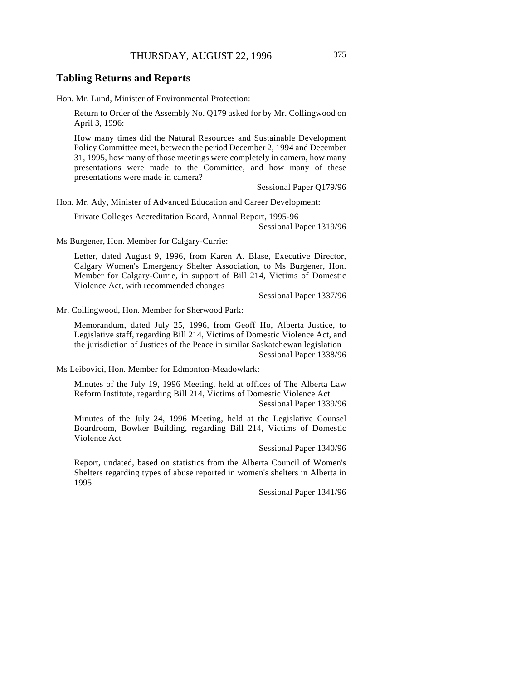## **Tabling Returns and Reports**

Hon. Mr. Lund, Minister of Environmental Protection:

Return to Order of the Assembly No. Q179 asked for by Mr. Collingwood on April 3, 1996:

How many times did the Natural Resources and Sustainable Development Policy Committee meet, between the period December 2, 1994 and December 31, 1995, how many of those meetings were completely in camera, how many presentations were made to the Committee, and how many of these presentations were made in camera?

Sessional Paper Q179/96

Hon. Mr. Ady, Minister of Advanced Education and Career Development:

Private Colleges Accreditation Board, Annual Report, 1995-96

Sessional Paper 1319/96

Ms Burgener, Hon. Member for Calgary-Currie:

Letter, dated August 9, 1996, from Karen A. Blase, Executive Director, Calgary Women's Emergency Shelter Association, to Ms Burgener, Hon. Member for Calgary-Currie, in support of Bill 214, Victims of Domestic Violence Act, with recommended changes

Sessional Paper 1337/96

Mr. Collingwood, Hon. Member for Sherwood Park:

Memorandum, dated July 25, 1996, from Geoff Ho, Alberta Justice, to Legislative staff, regarding Bill 214, Victims of Domestic Violence Act, and the jurisdiction of Justices of the Peace in similar Saskatchewan legislation Sessional Paper 1338/96

Ms Leibovici, Hon. Member for Edmonton-Meadowlark:

Minutes of the July 19, 1996 Meeting, held at offices of The Alberta Law Reform Institute, regarding Bill 214, Victims of Domestic Violence Act Sessional Paper 1339/96

Minutes of the July 24, 1996 Meeting, held at the Legislative Counsel Boardroom, Bowker Building, regarding Bill 214, Victims of Domestic Violence Act

Sessional Paper 1340/96

Report, undated, based on statistics from the Alberta Council of Women's Shelters regarding types of abuse reported in women's shelters in Alberta in 1995

Sessional Paper 1341/96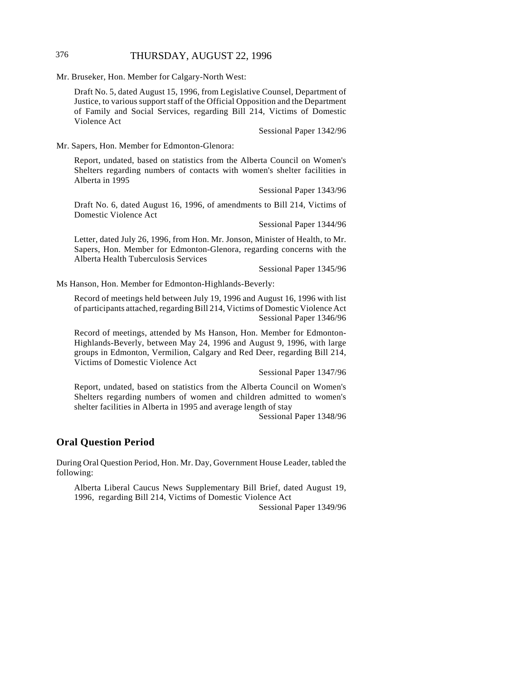# 376 THURSDAY, AUGUST 22, 1996

Mr. Bruseker, Hon. Member for Calgary-North West:

Draft No. 5, dated August 15, 1996, from Legislative Counsel, Department of Justice, to various support staff of the Official Opposition and the Department of Family and Social Services, regarding Bill 214, Victims of Domestic Violence Act

Sessional Paper 1342/96

Mr. Sapers, Hon. Member for Edmonton-Glenora:

Report, undated, based on statistics from the Alberta Council on Women's Shelters regarding numbers of contacts with women's shelter facilities in Alberta in 1995

Sessional Paper 1343/96

Draft No. 6, dated August 16, 1996, of amendments to Bill 214, Victims of Domestic Violence Act

Sessional Paper 1344/96

Letter, dated July 26, 1996, from Hon. Mr. Jonson, Minister of Health, to Mr. Sapers, Hon. Member for Edmonton-Glenora, regarding concerns with the Alberta Health Tuberculosis Services

Sessional Paper 1345/96

Ms Hanson, Hon. Member for Edmonton-Highlands-Beverly:

Record of meetings held between July 19, 1996 and August 16, 1996 with list of participants attached, regarding Bill 214, Victims of Domestic Violence Act Sessional Paper 1346/96

Record of meetings, attended by Ms Hanson, Hon. Member for Edmonton-Highlands-Beverly, between May 24, 1996 and August 9, 1996, with large groups in Edmonton, Vermilion, Calgary and Red Deer, regarding Bill 214, Victims of Domestic Violence Act

Sessional Paper 1347/96

Report, undated, based on statistics from the Alberta Council on Women's Shelters regarding numbers of women and children admitted to women's shelter facilities in Alberta in 1995 and average length of stay

Sessional Paper 1348/96

### **Oral Question Period**

During Oral Question Period, Hon. Mr. Day, Government House Leader, tabled the following:

Alberta Liberal Caucus News Supplementary Bill Brief, dated August 19, 1996, regarding Bill 214, Victims of Domestic Violence Act

Sessional Paper 1349/96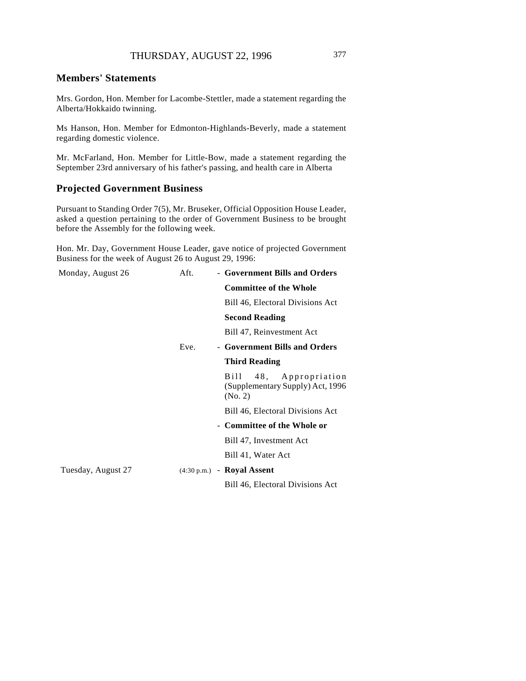# **Members' Statements**

Mrs. Gordon, Hon. Member for Lacombe-Stettler, made a statement regarding the Alberta/Hokkaido twinning.

Ms Hanson, Hon. Member for Edmonton-Highlands-Beverly, made a statement regarding domestic violence.

Mr. McFarland, Hon. Member for Little-Bow, made a statement regarding the September 23rd anniversary of his father's passing, and health care in Alberta

# **Projected Government Business**

Pursuant to Standing Order 7(5), Mr. Bruseker, Official Opposition House Leader, asked a question pertaining to the order of Government Business to be brought before the Assembly for the following week.

Hon. Mr. Day, Government House Leader, gave notice of projected Government Business for the week of August 26 to August 29, 1996:

| Monday, August 26  | Aft. | - Government Bills and Orders                                            |
|--------------------|------|--------------------------------------------------------------------------|
|                    |      | <b>Committee of the Whole</b>                                            |
|                    |      | Bill 46, Electoral Divisions Act                                         |
|                    |      | <b>Second Reading</b>                                                    |
|                    |      | Bill 47, Reinvestment Act                                                |
|                    | Eve. | - Government Bills and Orders                                            |
|                    |      | <b>Third Reading</b>                                                     |
|                    |      | Bill<br>48, Appropriation<br>(Supplementary Supply) Act, 1996<br>(No. 2) |
|                    |      | Bill 46, Electoral Divisions Act                                         |
|                    |      | - Committee of the Whole or                                              |
|                    |      | Bill 47, Investment Act                                                  |
|                    |      | Bill 41, Water Act                                                       |
| Tuesday, August 27 |      | $(4:30 \text{ p.m.})$ - Royal Assent                                     |
|                    |      | Bill 46, Electoral Divisions Act                                         |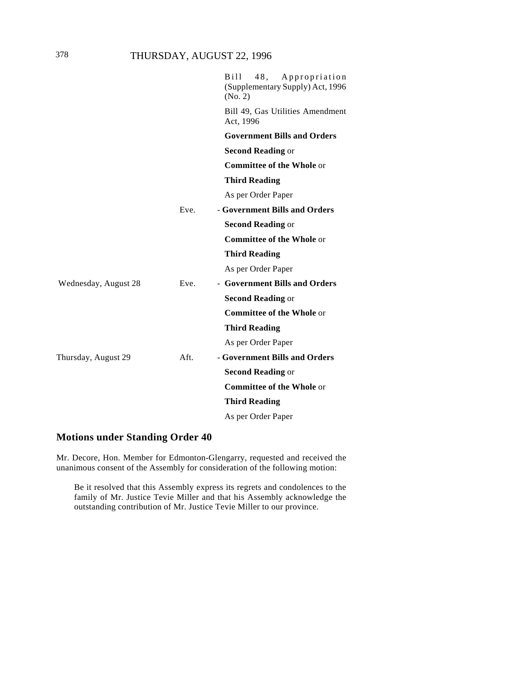|                      |      | $B$ ill<br>48,<br>Appropriation<br>(Supplementary Supply) Act, 1996<br>(No. 2) |
|----------------------|------|--------------------------------------------------------------------------------|
|                      |      | Bill 49, Gas Utilities Amendment<br>Act, 1996                                  |
|                      |      | <b>Government Bills and Orders</b>                                             |
|                      |      | <b>Second Reading or</b>                                                       |
|                      |      | <b>Committee of the Whole or</b>                                               |
|                      |      | <b>Third Reading</b>                                                           |
|                      |      | As per Order Paper                                                             |
|                      | Eve. | - Government Bills and Orders                                                  |
|                      |      | <b>Second Reading or</b>                                                       |
|                      |      | <b>Committee of the Whole or</b>                                               |
|                      |      | <b>Third Reading</b>                                                           |
|                      |      | As per Order Paper                                                             |
| Wednesday, August 28 | Eve. | - Government Bills and Orders                                                  |
|                      |      | <b>Second Reading or</b>                                                       |
|                      |      | <b>Committee of the Whole or</b>                                               |
|                      |      | <b>Third Reading</b>                                                           |
|                      |      | As per Order Paper                                                             |
| Thursday, August 29  | Aft. | - Government Bills and Orders                                                  |
|                      |      | <b>Second Reading or</b>                                                       |
|                      |      | <b>Committee of the Whole or</b>                                               |
|                      |      | <b>Third Reading</b>                                                           |
|                      |      | As per Order Paper                                                             |

# **Motions under Standing Order 40**

Mr. Decore, Hon. Member for Edmonton-Glengarry, requested and received the unanimous consent of the Assembly for consideration of the following motion:

Be it resolved that this Assembly express its regrets and condolences to the family of Mr. Justice Tevie Miller and that his Assembly acknowledge the outstanding contribution of Mr. Justice Tevie Miller to our province.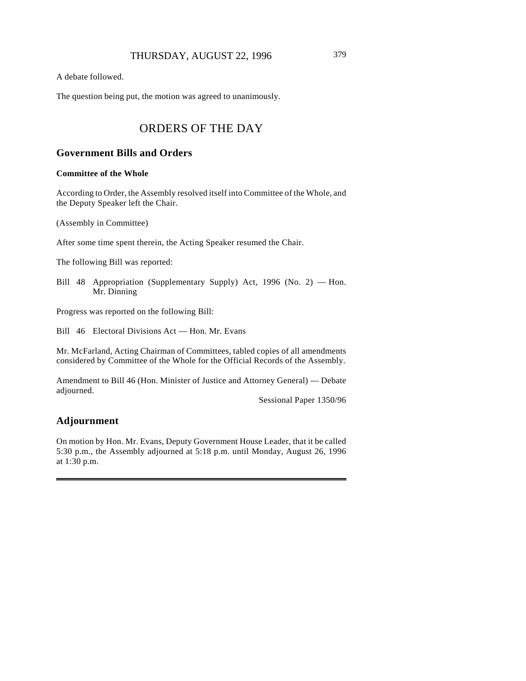A debate followed.

The question being put, the motion was agreed to unanimously.

# ORDERS OF THE DAY

# **Government Bills and Orders**

#### **Committee of the Whole**

According to Order, the Assembly resolved itself into Committee of the Whole, and the Deputy Speaker left the Chair.

(Assembly in Committee)

After some time spent therein, the Acting Speaker resumed the Chair.

The following Bill was reported:

Bill 48 Appropriation (Supplementary Supply) Act, 1996 (No. 2) — Hon. Mr. Dinning

Progress was reported on the following Bill:

Bill 46 Electoral Divisions Act — Hon. Mr. Evans

Mr. McFarland, Acting Chairman of Committees, tabled copies of all amendments considered by Committee of the Whole for the Official Records of the Assembly.

Amendment to Bill 46 (Hon. Minister of Justice and Attorney General) — Debate adjourned.

Sessional Paper 1350/96

# **Adjournment**

On motion by Hon. Mr. Evans, Deputy Government House Leader, that it be called 5:30 p.m., the Assembly adjourned at 5:18 p.m. until Monday, August 26, 1996 at 1:30 p.m.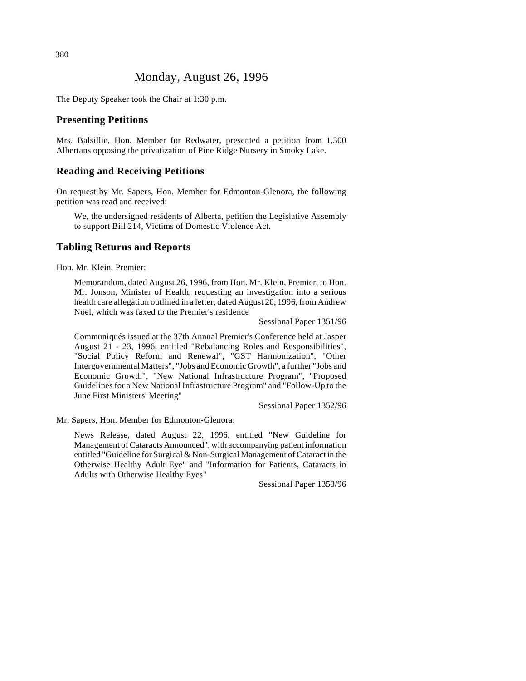# Monday, August 26, 1996

The Deputy Speaker took the Chair at 1:30 p.m.

### **Presenting Petitions**

Mrs. Balsillie, Hon. Member for Redwater, presented a petition from 1,300 Albertans opposing the privatization of Pine Ridge Nursery in Smoky Lake.

# **Reading and Receiving Petitions**

On request by Mr. Sapers, Hon. Member for Edmonton-Glenora, the following petition was read and received:

We, the undersigned residents of Alberta, petition the Legislative Assembly to support Bill 214, Victims of Domestic Violence Act.

#### **Tabling Returns and Reports**

Hon. Mr. Klein, Premier:

Memorandum, dated August 26, 1996, from Hon. Mr. Klein, Premier, to Hon. Mr. Jonson, Minister of Health, requesting an investigation into a serious health care allegation outlined in a letter, dated August 20, 1996, from Andrew Noel, which was faxed to the Premier's residence

Sessional Paper 1351/96

Communiqués issued at the 37th Annual Premier's Conference held at Jasper August 21 - 23, 1996, entitled "Rebalancing Roles and Responsibilities", "Social Policy Reform and Renewal", "GST Harmonization", "Other Intergovernmental Matters", "Jobs and Economic Growth", a further "Jobs and Economic Growth", "New National Infrastructure Program", "Proposed Guidelines for a New National Infrastructure Program" and "Follow-Up to the June First Ministers' Meeting"

Sessional Paper 1352/96

Mr. Sapers, Hon. Member for Edmonton-Glenora:

News Release, dated August 22, 1996, entitled "New Guideline for Management of Cataracts Announced", with accompanying patient information entitled "Guideline for Surgical & Non-Surgical Management of Cataract in the Otherwise Healthy Adult Eye" and "Information for Patients, Cataracts in Adults with Otherwise Healthy Eyes"

Sessional Paper 1353/96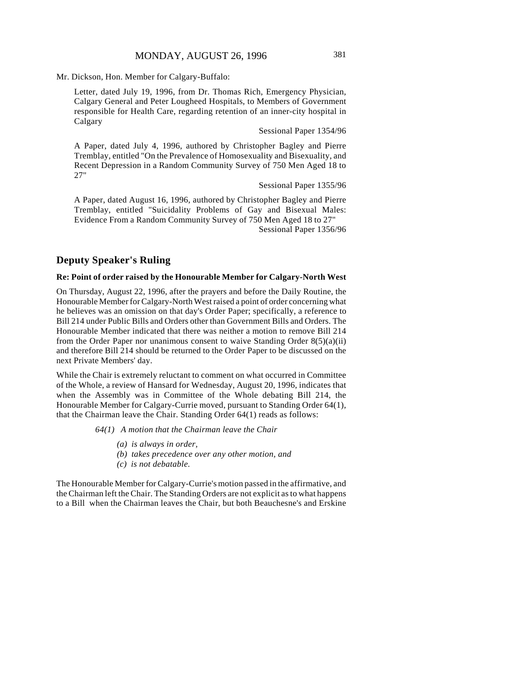Mr. Dickson, Hon. Member for Calgary-Buffalo:

Letter, dated July 19, 1996, from Dr. Thomas Rich, Emergency Physician, Calgary General and Peter Lougheed Hospitals, to Members of Government responsible for Health Care, regarding retention of an inner-city hospital in Calgary

Sessional Paper 1354/96

A Paper, dated July 4, 1996, authored by Christopher Bagley and Pierre Tremblay, entitled "On the Prevalence of Homosexuality and Bisexuality, and Recent Depression in a Random Community Survey of 750 Men Aged 18 to 27"

Sessional Paper 1355/96

A Paper, dated August 16, 1996, authored by Christopher Bagley and Pierre Tremblay, entitled "Suicidality Problems of Gay and Bisexual Males: Evidence From a Random Community Survey of 750 Men Aged 18 to 27" Sessional Paper 1356/96

### **Deputy Speaker's Ruling**

#### **Re: Point of order raised by the Honourable Member for Calgary-North West**

On Thursday, August 22, 1996, after the prayers and before the Daily Routine, the Honourable Member for Calgary-North West raised a point of order concerning what he believes was an omission on that day's Order Paper; specifically, a reference to Bill 214 under Public Bills and Orders other than Government Bills and Orders. The Honourable Member indicated that there was neither a motion to remove Bill 214 from the Order Paper nor unanimous consent to waive Standing Order  $8(5)(a)(ii)$ and therefore Bill 214 should be returned to the Order Paper to be discussed on the next Private Members' day.

While the Chair is extremely reluctant to comment on what occurred in Committee of the Whole, a review of Hansard for Wednesday, August 20, 1996, indicates that when the Assembly was in Committee of the Whole debating Bill 214, the Honourable Member for Calgary-Currie moved, pursuant to Standing Order 64(1), that the Chairman leave the Chair. Standing Order 64(1) reads as follows:

*64(1) A motion that the Chairman leave the Chair*

- *(a) is always in order,*
- *(b) takes precedence over any other motion, and*
- *(c) is not debatable.*

The Honourable Member for Calgary-Currie's motion passed in the affirmative, and the Chairman left the Chair. The Standing Orders are not explicit as to what happens to a Bill when the Chairman leaves the Chair, but both Beauchesne's and Erskine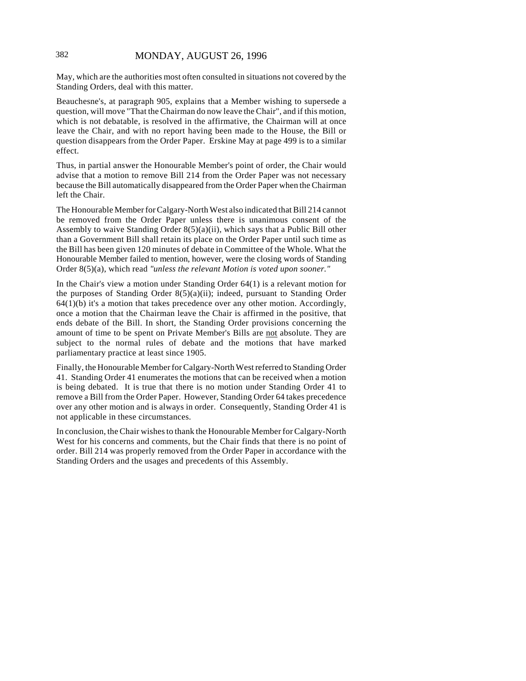May, which are the authorities most often consulted in situations not covered by the Standing Orders, deal with this matter.

Beauchesne's, at paragraph 905, explains that a Member wishing to supersede a question, will move "That the Chairman do now leave the Chair", and if this motion, which is not debatable, is resolved in the affirmative, the Chairman will at once leave the Chair, and with no report having been made to the House, the Bill or question disappears from the Order Paper. Erskine May at page 499 is to a similar effect.

Thus, in partial answer the Honourable Member's point of order, the Chair would advise that a motion to remove Bill 214 from the Order Paper was not necessary because the Bill automatically disappeared from the Order Paper when the Chairman left the Chair.

The Honourable Member for Calgary-North West also indicated that Bill 214 cannot be removed from the Order Paper unless there is unanimous consent of the Assembly to waive Standing Order 8(5)(a)(ii), which says that a Public Bill other than a Government Bill shall retain its place on the Order Paper until such time as the Bill has been given 120 minutes of debate in Committee of the Whole. What the Honourable Member failed to mention, however, were the closing words of Standing Order 8(5)(a), which read *"unless the relevant Motion is voted upon sooner."*

In the Chair's view a motion under Standing Order 64(1) is a relevant motion for the purposes of Standing Order 8(5)(a)(ii); indeed, pursuant to Standing Order  $64(1)(b)$  it's a motion that takes precedence over any other motion. Accordingly, once a motion that the Chairman leave the Chair is affirmed in the positive, that ends debate of the Bill. In short, the Standing Order provisions concerning the amount of time to be spent on Private Member's Bills are not absolute. They are subject to the normal rules of debate and the motions that have marked parliamentary practice at least since 1905.

Finally, the Honourable Member for Calgary-North West referred to Standing Order 41. Standing Order 41 enumerates the motions that can be received when a motion is being debated. It is true that there is no motion under Standing Order 41 to remove a Bill from the Order Paper. However, Standing Order 64 takes precedence over any other motion and is always in order. Consequently, Standing Order 41 is not applicable in these circumstances.

In conclusion, the Chair wishes to thank the Honourable Member for Calgary-North West for his concerns and comments, but the Chair finds that there is no point of order. Bill 214 was properly removed from the Order Paper in accordance with the Standing Orders and the usages and precedents of this Assembly.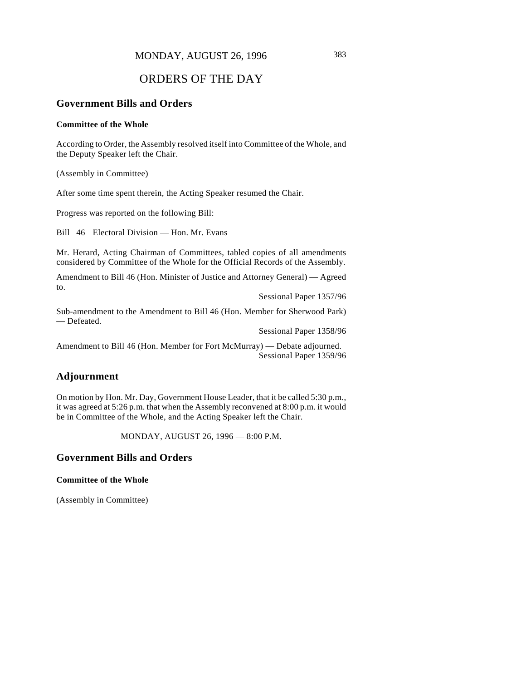# ORDERS OF THE DAY

## **Government Bills and Orders**

#### **Committee of the Whole**

According to Order, the Assembly resolved itself into Committee of the Whole, and the Deputy Speaker left the Chair.

(Assembly in Committee)

After some time spent therein, the Acting Speaker resumed the Chair.

Progress was reported on the following Bill:

Bill 46 Electoral Division — Hon. Mr. Evans

Mr. Herard, Acting Chairman of Committees, tabled copies of all amendments considered by Committee of the Whole for the Official Records of the Assembly.

Amendment to Bill 46 (Hon. Minister of Justice and Attorney General) — Agreed to.

Sessional Paper 1357/96

Sub-amendment to the Amendment to Bill 46 (Hon. Member for Sherwood Park) — Defeated.

Sessional Paper 1358/96

Amendment to Bill 46 (Hon. Member for Fort McMurray) — Debate adjourned. Sessional Paper 1359/96

# **Adjournment**

On motion by Hon. Mr. Day, Government House Leader, that it be called 5:30 p.m., it was agreed at 5:26 p.m. that when the Assembly reconvened at 8:00 p.m. it would be in Committee of the Whole, and the Acting Speaker left the Chair.

MONDAY, AUGUST 26, 1996 — 8:00 P.M.

### **Government Bills and Orders**

#### **Committee of the Whole**

(Assembly in Committee)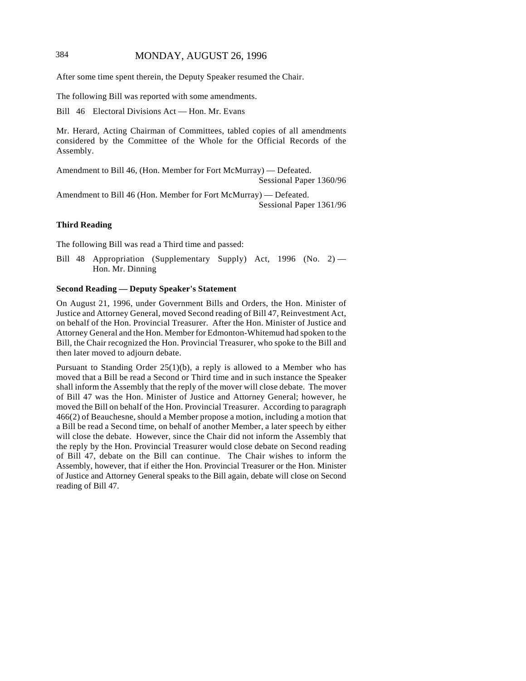# 384 MONDAY, AUGUST 26, 1996

After some time spent therein, the Deputy Speaker resumed the Chair.

The following Bill was reported with some amendments.

Bill 46 Electoral Divisions Act — Hon. Mr. Evans

Mr. Herard, Acting Chairman of Committees, tabled copies of all amendments considered by the Committee of the Whole for the Official Records of the Assembly.

Amendment to Bill 46, (Hon. Member for Fort McMurray) — Defeated. Sessional Paper 1360/96

Amendment to Bill 46 (Hon. Member for Fort McMurray) — Defeated. Sessional Paper 1361/96

#### **Third Reading**

The following Bill was read a Third time and passed:

Bill 48 Appropriation (Supplementary Supply) Act, 1996 (No. 2) — Hon. Mr. Dinning

### **Second Reading — Deputy Speaker's Statement**

On August 21, 1996, under Government Bills and Orders, the Hon. Minister of Justice and Attorney General, moved Second reading of Bill 47, Reinvestment Act, on behalf of the Hon. Provincial Treasurer. After the Hon. Minister of Justice and Attorney General and the Hon. Member for Edmonton-Whitemud had spoken to the Bill, the Chair recognized the Hon. Provincial Treasurer, who spoke to the Bill and then later moved to adjourn debate.

Pursuant to Standing Order  $25(1)(b)$ , a reply is allowed to a Member who has moved that a Bill be read a Second or Third time and in such instance the Speaker shall inform the Assembly that the reply of the mover will close debate. The mover of Bill 47 was the Hon. Minister of Justice and Attorney General; however, he moved the Bill on behalf of the Hon. Provincial Treasurer. According to paragraph 466(2) of Beauchesne, should a Member propose a motion, including a motion that a Bill be read a Second time, on behalf of another Member, a later speech by either will close the debate. However, since the Chair did not inform the Assembly that the reply by the Hon. Provincial Treasurer would close debate on Second reading of Bill 47, debate on the Bill can continue. The Chair wishes to inform the Assembly, however, that if either the Hon. Provincial Treasurer or the Hon. Minister of Justice and Attorney General speaks to the Bill again, debate will close on Second reading of Bill 47.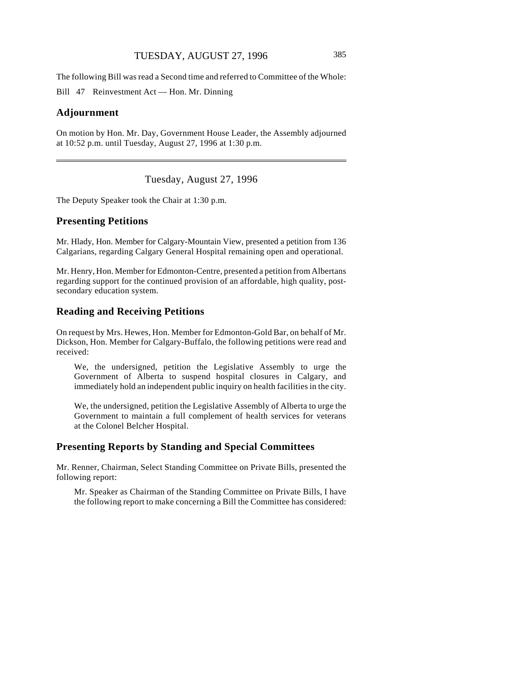The following Bill was read a Second time and referred to Committee of the Whole:

Bill 47 Reinvestment Act — Hon. Mr. Dinning

#### **Adjournment**

On motion by Hon. Mr. Day, Government House Leader, the Assembly adjourned at 10:52 p.m. until Tuesday, August 27, 1996 at 1:30 p.m.

Tuesday, August 27, 1996

The Deputy Speaker took the Chair at 1:30 p.m.

### **Presenting Petitions**

Mr. Hlady, Hon. Member for Calgary-Mountain View, presented a petition from 136 Calgarians, regarding Calgary General Hospital remaining open and operational.

Mr. Henry, Hon. Member for Edmonton-Centre, presented a petition from Albertans regarding support for the continued provision of an affordable, high quality, postsecondary education system.

# **Reading and Receiving Petitions**

On request by Mrs. Hewes, Hon. Member for Edmonton-Gold Bar, on behalf of Mr. Dickson, Hon. Member for Calgary-Buffalo, the following petitions were read and received:

We, the undersigned, petition the Legislative Assembly to urge the Government of Alberta to suspend hospital closures in Calgary, and immediately hold an independent public inquiry on health facilities in the city.

We, the undersigned, petition the Legislative Assembly of Alberta to urge the Government to maintain a full complement of health services for veterans at the Colonel Belcher Hospital.

### **Presenting Reports by Standing and Special Committees**

Mr. Renner, Chairman, Select Standing Committee on Private Bills, presented the following report:

Mr. Speaker as Chairman of the Standing Committee on Private Bills, I have the following report to make concerning a Bill the Committee has considered: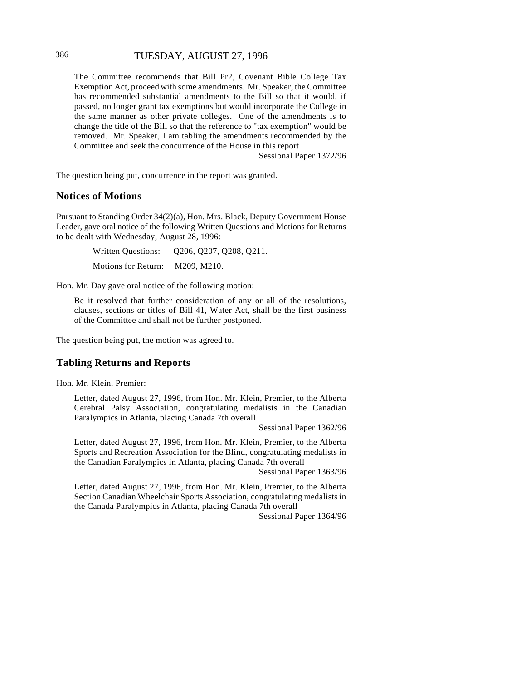# 386 TUESDAY, AUGUST 27, 1996

The Committee recommends that Bill Pr2, Covenant Bible College Tax Exemption Act, proceed with some amendments. Mr. Speaker, the Committee has recommended substantial amendments to the Bill so that it would, if passed, no longer grant tax exemptions but would incorporate the College in the same manner as other private colleges. One of the amendments is to change the title of the Bill so that the reference to "tax exemption" would be removed. Mr. Speaker, I am tabling the amendments recommended by the Committee and seek the concurrence of the House in this report

Sessional Paper 1372/96

The question being put, concurrence in the report was granted.

### **Notices of Motions**

Pursuant to Standing Order 34(2)(a), Hon. Mrs. Black, Deputy Government House Leader, gave oral notice of the following Written Questions and Motions for Returns to be dealt with Wednesday, August 28, 1996:

> Written Questions: Q206, Q207, Q208, Q211. Motions for Return: M209, M210.

Hon. Mr. Day gave oral notice of the following motion:

Be it resolved that further consideration of any or all of the resolutions, clauses, sections or titles of Bill 41, Water Act, shall be the first business of the Committee and shall not be further postponed.

The question being put, the motion was agreed to.

### **Tabling Returns and Reports**

Hon. Mr. Klein, Premier:

Letter, dated August 27, 1996, from Hon. Mr. Klein, Premier, to the Alberta Cerebral Palsy Association, congratulating medalists in the Canadian Paralympics in Atlanta, placing Canada 7th overall

Sessional Paper 1362/96

Letter, dated August 27, 1996, from Hon. Mr. Klein, Premier, to the Alberta Sports and Recreation Association for the Blind, congratulating medalists in the Canadian Paralympics in Atlanta, placing Canada 7th overall

Sessional Paper 1363/96

Letter, dated August 27, 1996, from Hon. Mr. Klein, Premier, to the Alberta Section Canadian Wheelchair Sports Association, congratulating medalists in the Canada Paralympics in Atlanta, placing Canada 7th overall

Sessional Paper 1364/96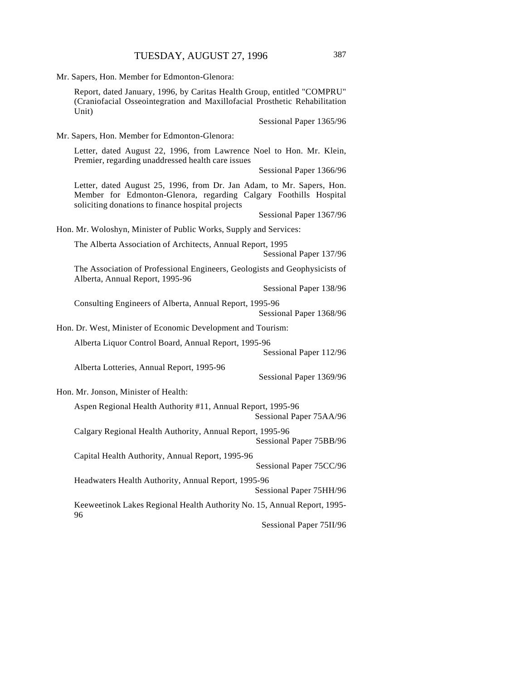|  |  |  |  |  | Mr. Sapers, Hon. Member for Edmonton-Glenora: |  |
|--|--|--|--|--|-----------------------------------------------|--|
|--|--|--|--|--|-----------------------------------------------|--|

Report, dated January, 1996, by Caritas Health Group, entitled "COMPRU" (Craniofacial Osseointegration and Maxillofacial Prosthetic Rehabilitation Unit)

Sessional Paper 1365/96

Mr. Sapers, Hon. Member for Edmonton-Glenora:

Letter, dated August 22, 1996, from Lawrence Noel to Hon. Mr. Klein, Premier, regarding unaddressed health care issues

Sessional Paper 1366/96

Letter, dated August 25, 1996, from Dr. Jan Adam, to Mr. Sapers, Hon. Member for Edmonton-Glenora, regarding Calgary Foothills Hospital soliciting donations to finance hospital projects

Sessional Paper 1367/96

Hon. Mr. Woloshyn, Minister of Public Works, Supply and Services:

The Alberta Association of Architects, Annual Report, 1995

Sessional Paper 137/96

The Association of Professional Engineers, Geologists and Geophysicists of Alberta, Annual Report, 1995-96

Sessional Paper 138/96

Consulting Engineers of Alberta, Annual Report, 1995-96 Sessional Paper 1368/96

Hon. Dr. West, Minister of Economic Development and Tourism:

Alberta Liquor Control Board, Annual Report, 1995-96

Sessional Paper 112/96

Alberta Lotteries, Annual Report, 1995-96

Sessional Paper 1369/96

Hon. Mr. Jonson, Minister of Health:

Aspen Regional Health Authority #11, Annual Report, 1995-96 Sessional Paper 75AA/96

Calgary Regional Health Authority, Annual Report, 1995-96 Sessional Paper 75BB/96

Capital Health Authority, Annual Report, 1995-96

Sessional Paper 75CC/96

Headwaters Health Authority, Annual Report, 1995-96 Sessional Paper 75HH/96

Keeweetinok Lakes Regional Health Authority No. 15, Annual Report, 1995- 96

Sessional Paper 75II/96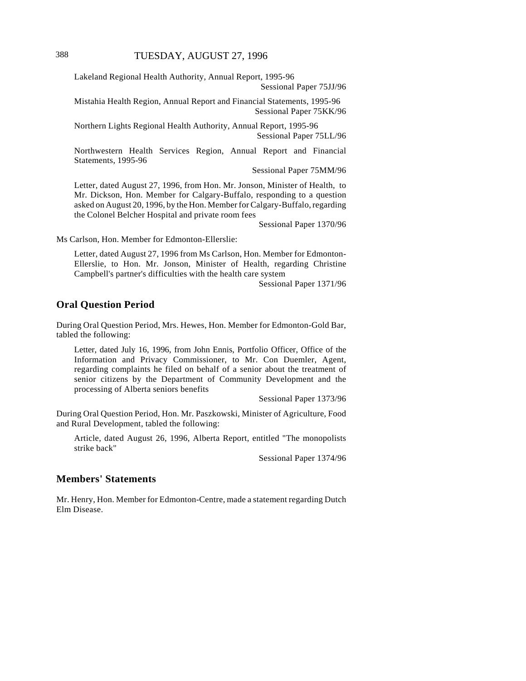Lakeland Regional Health Authority, Annual Report, 1995-96 Sessional Paper 75JJ/96

Mistahia Health Region, Annual Report and Financial Statements, 1995-96 Sessional Paper 75KK/96

Northern Lights Regional Health Authority, Annual Report, 1995-96 Sessional Paper 75LL/96

Northwestern Health Services Region, Annual Report and Financial Statements, 1995-96

Sessional Paper 75MM/96

Letter, dated August 27, 1996, from Hon. Mr. Jonson, Minister of Health, to Mr. Dickson, Hon. Member for Calgary-Buffalo, responding to a question asked on August 20, 1996, by the Hon. Member for Calgary-Buffalo, regarding the Colonel Belcher Hospital and private room fees

Sessional Paper 1370/96

Ms Carlson, Hon. Member for Edmonton-Ellerslie:

Letter, dated August 27, 1996 from Ms Carlson, Hon. Member for Edmonton-Ellerslie, to Hon. Mr. Jonson, Minister of Health, regarding Christine Campbell's partner's difficulties with the health care system

Sessional Paper 1371/96

#### **Oral Question Period**

During Oral Question Period, Mrs. Hewes, Hon. Member for Edmonton-Gold Bar, tabled the following:

Letter, dated July 16, 1996, from John Ennis, Portfolio Officer, Office of the Information and Privacy Commissioner, to Mr. Con Duemler, Agent, regarding complaints he filed on behalf of a senior about the treatment of senior citizens by the Department of Community Development and the processing of Alberta seniors benefits

Sessional Paper 1373/96

During Oral Question Period, Hon. Mr. Paszkowski, Minister of Agriculture, Food and Rural Development, tabled the following:

Article, dated August 26, 1996, Alberta Report, entitled "The monopolists strike back"

Sessional Paper 1374/96

### **Members' Statements**

Mr. Henry, Hon. Member for Edmonton-Centre, made a statement regarding Dutch Elm Disease.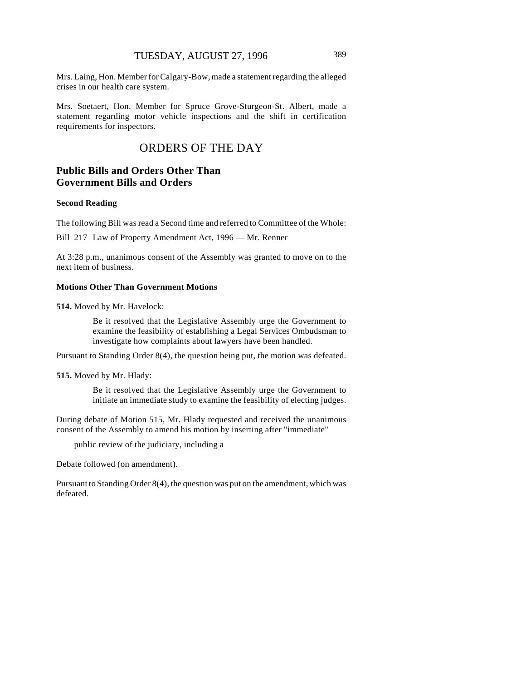Mrs. Laing, Hon. Member for Calgary-Bow, made a statement regarding the alleged crises in our health care system.

Mrs. Soetaert, Hon. Member for Spruce Grove-Sturgeon-St. Albert, made a statement regarding motor vehicle inspections and the shift in certification requirements for inspectors.

# ORDERS OF THE DAY

# **Public Bills and Orders Other Than Government Bills and Orders**

#### **Second Reading**

The following Bill was read a Second time and referred to Committee of the Whole:

Bill 217 Law of Property Amendment Act, 1996 — Mr. Renner

At 3:28 p.m., unanimous consent of the Assembly was granted to move on to the next item of business.

#### **Motions Other Than Government Motions**

**514.** Moved by Mr. Havelock:

Be it resolved that the Legislative Assembly urge the Government to examine the feasibility of establishing a Legal Services Ombudsman to investigate how complaints about lawyers have been handled.

Pursuant to Standing Order 8(4), the question being put, the motion was defeated.

#### **515.** Moved by Mr. Hlady:

Be it resolved that the Legislative Assembly urge the Government to initiate an immediate study to examine the feasibility of electing judges.

During debate of Motion 515, Mr. Hlady requested and received the unanimous consent of the Assembly to amend his motion by inserting after "immediate"

public review of the judiciary, including a

Debate followed (on amendment).

Pursuant to Standing Order 8(4), the question was put on the amendment, which was defeated.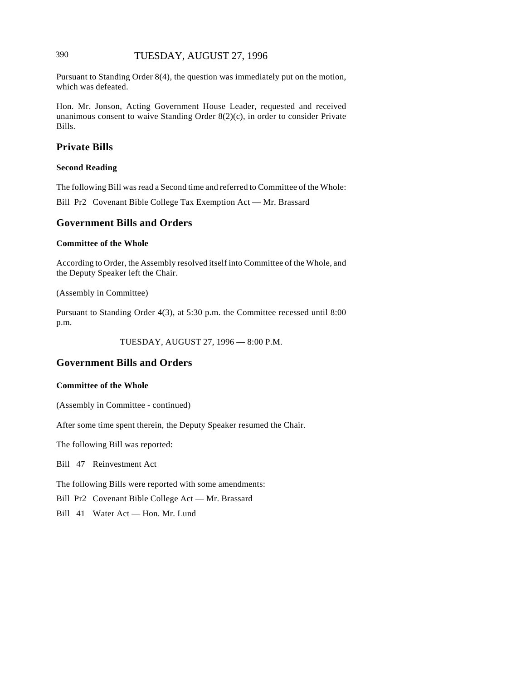# 390 TUESDAY, AUGUST 27, 1996

Pursuant to Standing Order 8(4), the question was immediately put on the motion, which was defeated.

Hon. Mr. Jonson, Acting Government House Leader, requested and received unanimous consent to waive Standing Order 8(2)(c), in order to consider Private Bills.

# **Private Bills**

#### **Second Reading**

The following Bill was read a Second time and referred to Committee of the Whole:

Bill Pr2 Covenant Bible College Tax Exemption Act — Mr. Brassard

# **Government Bills and Orders**

#### **Committee of the Whole**

According to Order, the Assembly resolved itself into Committee of the Whole, and the Deputy Speaker left the Chair.

(Assembly in Committee)

Pursuant to Standing Order 4(3), at 5:30 p.m. the Committee recessed until 8:00 p.m.

TUESDAY, AUGUST 27, 1996 — 8:00 P.M.

# **Government Bills and Orders**

#### **Committee of the Whole**

(Assembly in Committee - continued)

After some time spent therein, the Deputy Speaker resumed the Chair.

The following Bill was reported:

Bill 47 Reinvestment Act

The following Bills were reported with some amendments:

Bill Pr2 Covenant Bible College Act — Mr. Brassard

Bill 41 Water Act — Hon. Mr. Lund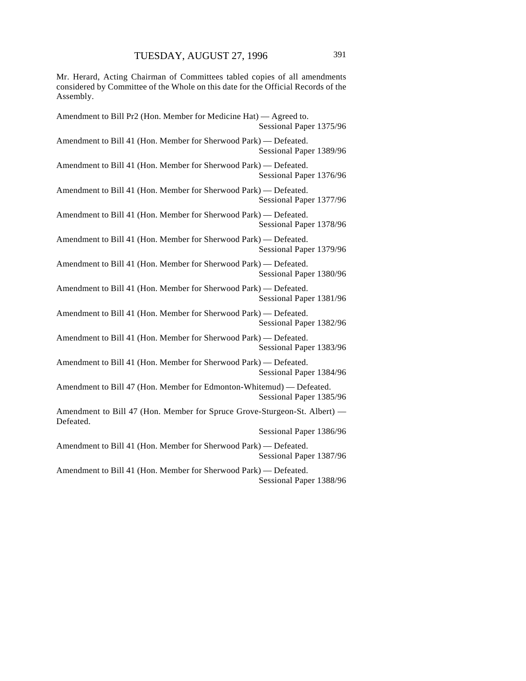Mr. Herard, Acting Chairman of Committees tabled copies of all amendments considered by Committee of the Whole on this date for the Official Records of the Assembly.

| Amendment to Bill Pr2 (Hon. Member for Medicine Hat) — Agreed to.<br>Sessional Paper 1375/96    |
|-------------------------------------------------------------------------------------------------|
| Amendment to Bill 41 (Hon. Member for Sherwood Park) - Defeated.<br>Sessional Paper 1389/96     |
| Amendment to Bill 41 (Hon. Member for Sherwood Park) - Defeated.<br>Sessional Paper 1376/96     |
| Amendment to Bill 41 (Hon. Member for Sherwood Park) - Defeated.<br>Sessional Paper 1377/96     |
| Amendment to Bill 41 (Hon. Member for Sherwood Park) - Defeated.<br>Sessional Paper 1378/96     |
| Amendment to Bill 41 (Hon. Member for Sherwood Park) - Defeated.<br>Sessional Paper 1379/96     |
| Amendment to Bill 41 (Hon. Member for Sherwood Park) - Defeated.<br>Sessional Paper 1380/96     |
| Amendment to Bill 41 (Hon. Member for Sherwood Park) - Defeated.<br>Sessional Paper 1381/96     |
| Amendment to Bill 41 (Hon. Member for Sherwood Park) - Defeated.<br>Sessional Paper 1382/96     |
| Amendment to Bill 41 (Hon. Member for Sherwood Park) - Defeated.<br>Sessional Paper 1383/96     |
| Amendment to Bill 41 (Hon. Member for Sherwood Park) - Defeated.<br>Sessional Paper 1384/96     |
| Amendment to Bill 47 (Hon. Member for Edmonton-Whitemud) — Defeated.<br>Sessional Paper 1385/96 |
| Amendment to Bill 47 (Hon. Member for Spruce Grove-Sturgeon-St. Albert) —<br>Defeated.          |
| Sessional Paper 1386/96                                                                         |
| Amendment to Bill 41 (Hon. Member for Sherwood Park) - Defeated.<br>Sessional Paper 1387/96     |
| Amendment to Bill 41 (Hon. Member for Sherwood Park) - Defeated.<br>Sessional Paper 1388/96     |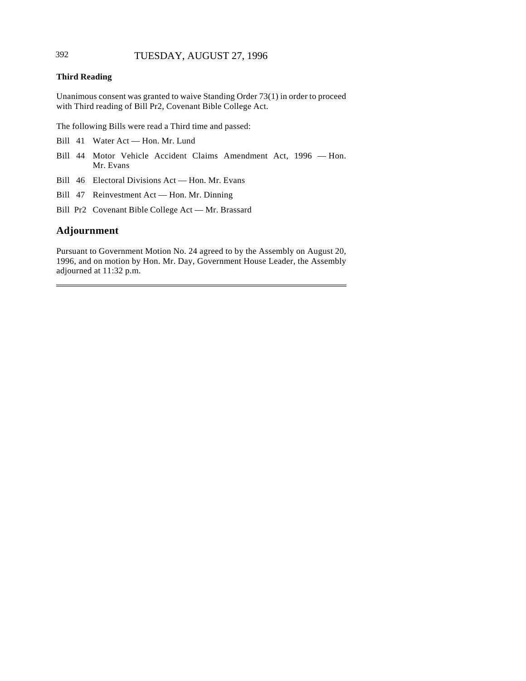# 392 TUESDAY, AUGUST 27, 1996

### **Third Reading**

Unanimous consent was granted to waive Standing Order 73(1) in order to proceed with Third reading of Bill Pr2, Covenant Bible College Act.

The following Bills were read a Third time and passed:

- Bill 41 Water Act Hon. Mr. Lund
- Bill 44 Motor Vehicle Accident Claims Amendment Act, 1996 Hon. Mr. Evans
- Bill 46 Electoral Divisions Act Hon. Mr. Evans
- Bill 47 Reinvestment Act Hon. Mr. Dinning
- Bill Pr2 Covenant Bible College Act Mr. Brassard

# **Adjournment**

l

Pursuant to Government Motion No. 24 agreed to by the Assembly on August 20, 1996, and on motion by Hon. Mr. Day, Government House Leader, the Assembly adjourned at 11:32 p.m.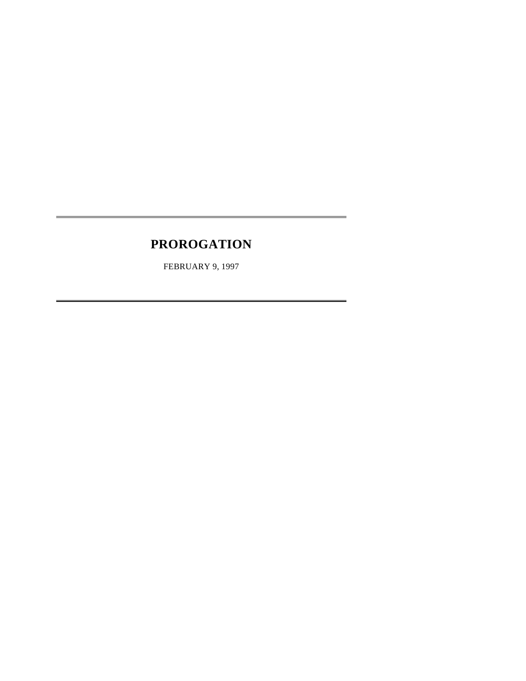# **PROROGATION**

l

l

FEBRUARY 9, 1997